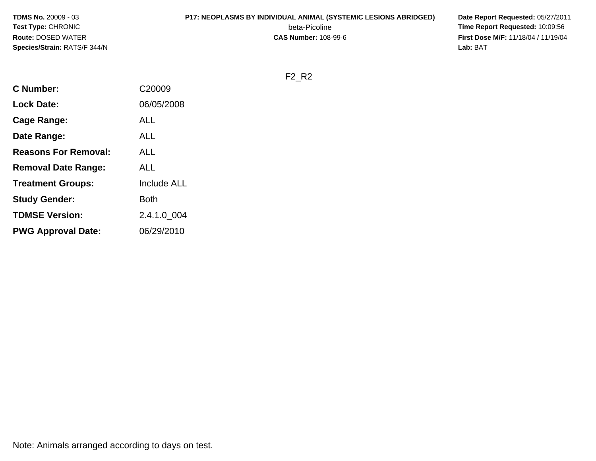#### **P17: NEOPLASMS BY INDIVIDUAL ANIMAL (SYSTEMIC LESIONS ABRIDGED) Date Report Requested:** 05/27/2011

beta-Picoline<br>CAS Number: 108-99-6

 **Time Report Requested:** 10:09:56 **First Dose M/F:** 11/18/04 / 11/19/04<br>**Lab:** BAT **Lab:** BAT

F2\_R2

| <b>C</b> Number:            | C20009             |
|-----------------------------|--------------------|
| <b>Lock Date:</b>           | 06/05/2008         |
| Cage Range:                 | ALL                |
| Date Range:                 | ALL                |
| <b>Reasons For Removal:</b> | ALL                |
| <b>Removal Date Range:</b>  | ALL                |
| <b>Treatment Groups:</b>    | <b>Include ALL</b> |
| <b>Study Gender:</b>        | Both               |
| <b>TDMSE Version:</b>       | 2.4.1.0_004        |
| <b>PWG Approval Date:</b>   | 06/29/2010         |
|                             |                    |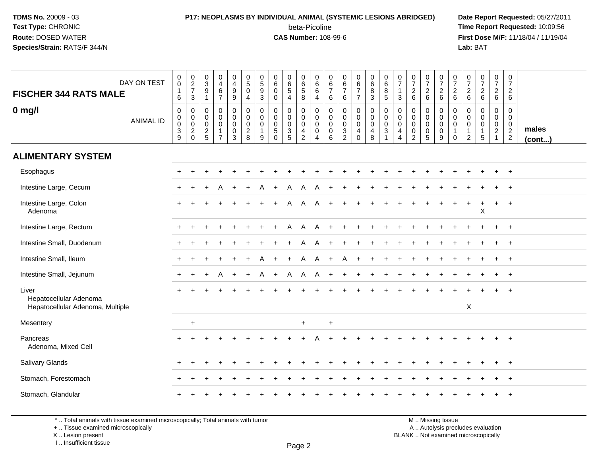#### **P17: NEOPLASMS BY INDIVIDUAL ANIMAL (SYSTEMIC LESIONS ABRIDGED) Date Report Requested:** 05/27/2011 beta-Picoline<br>CAS Number: 108-99-6

 **Time Report Requested:** 10:09:56 **First Dose M/F:** 11/18/04 / 11/19/04<br>**Lab:** BAT **Lab:** BAT

| DAY ON TEST<br><b>FISCHER 344 RATS MALE</b>                         | $\begin{smallmatrix}0\0\0\end{smallmatrix}$<br>$\begin{array}{c} 1 \\ 6 \end{array}$ | $\begin{array}{c} 0 \\ 2 \\ 7 \end{array}$<br>3                                                    | 0<br>$\mathsf 3$<br>9                  | $\begin{array}{c} 0 \\ 4 \\ 6 \end{array}$<br>$\overline{7}$                           | 0<br>$\begin{array}{c} 4 \\ 9 \end{array}$<br>9                                | $\begin{array}{c} 0 \\ 5 \end{array}$<br>$\mathbf 0$<br>$\overline{4}$ | $\begin{smallmatrix}0\0\5\end{smallmatrix}$<br>$\boldsymbol{9}$<br>3 | $_{6}^{\rm 0}$<br>$\mathbf 0$<br>$\Omega$                    | $\begin{array}{c} 0 \\ 6 \\ 5 \end{array}$<br>$\overline{4}$                         | $\begin{array}{c} 0 \\ 6 \\ 5 \end{array}$<br>8          | $\begin{array}{c} 0 \\ 6 \end{array}$<br>$\,6\,$<br>$\overline{4}$ | 0<br>$\,6\,$<br>$\overline{7}$<br>$\,6\,$           | 0<br>6<br>$\overline{7}$<br>6                                               | $\begin{array}{c} 0 \\ 6 \\ 7 \end{array}$<br>$\overline{7}$ | $\begin{array}{c} 0 \\ 6 \end{array}$<br>8<br>3                                       | $\begin{array}{c} 0 \\ 6 \end{array}$<br>$\bf 8$<br>5       | $\frac{0}{7}$<br>$\frac{1}{3}$                                                | $\frac{0}{7}$<br>$\begin{array}{c} 2 \\ 6 \end{array}$                 | $\begin{array}{c} 0 \\ 7 \end{array}$<br>$\frac{2}{6}$           | $\frac{0}{7}$<br>$\frac{2}{6}$                                                          | $\frac{0}{7}$<br>$\frac{2}{6}$                       | $\frac{0}{7}$<br>$\frac{2}{6}$                                    | $\frac{0}{7}$<br>$\frac{2}{6}$                                                   | $\begin{array}{c} 0 \\ 7 \end{array}$<br>$\frac{2}{6}$                                | $\begin{array}{c} 0 \\ 7 \end{array}$<br>$\overline{2}$<br>6 |                       |
|---------------------------------------------------------------------|--------------------------------------------------------------------------------------|----------------------------------------------------------------------------------------------------|----------------------------------------|----------------------------------------------------------------------------------------|--------------------------------------------------------------------------------|------------------------------------------------------------------------|----------------------------------------------------------------------|--------------------------------------------------------------|--------------------------------------------------------------------------------------|----------------------------------------------------------|--------------------------------------------------------------------|-----------------------------------------------------|-----------------------------------------------------------------------------|--------------------------------------------------------------|---------------------------------------------------------------------------------------|-------------------------------------------------------------|-------------------------------------------------------------------------------|------------------------------------------------------------------------|------------------------------------------------------------------|-----------------------------------------------------------------------------------------|------------------------------------------------------|-------------------------------------------------------------------|----------------------------------------------------------------------------------|---------------------------------------------------------------------------------------|--------------------------------------------------------------|-----------------------|
| $0$ mg/l<br><b>ANIMAL ID</b>                                        | $\pmb{0}$<br>$\begin{smallmatrix}0\0\0\end{smallmatrix}$<br>$\frac{3}{9}$            | $\mathsf{O}\xspace$<br>$\mathsf{O}\xspace$<br>$\ddot{\mathbf{0}}$<br>$\overline{c}$<br>$\mathbf 0$ | 0<br>0<br>$\mathbf 0$<br>$\frac{2}{5}$ | $\mathsf 0$<br>$\mathsf{O}\xspace$<br>$\overline{0}$<br>$\mathbf{1}$<br>$\overline{7}$ | $\mathbf 0$<br>$\mathbf 0$<br>$\mathsf{O}\xspace$<br>$\pmb{0}$<br>$\mathbf{3}$ | $\pmb{0}$<br>$\mathbf 0$<br>$\ddot{\mathbf{0}}$<br>$\frac{2}{8}$       | $\mathbf 0$<br>$\mathbf 0$<br>$\mathbf 0$<br>1<br>$\boldsymbol{9}$   | 0<br>$\mathbf 0$<br>$\mathbf 0$<br>$\sqrt{5}$<br>$\mathbf 0$ | 0<br>$\mathsf{O}\xspace$<br>$\pmb{0}$<br>$\ensuremath{\mathsf{3}}$<br>$\overline{5}$ | 0<br>0<br>$\overline{0}$<br>$\overline{4}$<br>$\sqrt{2}$ | $\pmb{0}$<br>$\overline{0}$<br>$\mathsf{O}\xspace$<br>4            | $\mathbf 0$<br>$\mathbf 0$<br>$\mathbf 0$<br>0<br>6 | $\mathbf 0$<br>$\mathbf 0$<br>$\mathbf 0$<br>$\mathbf{3}$<br>$\overline{2}$ | 0<br>$\mathbf 0$<br>$\mathbf 0$<br>4<br>$\mathbf 0$          | $\pmb{0}$<br>$\mathbf 0$<br>$\ddot{\mathbf{0}}$<br>$\overline{\mathbf{4}}$<br>$\bf 8$ | $\pmb{0}$<br>$\pmb{0}$<br>$\ddot{\mathbf{0}}$<br>$\sqrt{3}$ | $\mathbf 0$<br>$\mathbf 0$<br>$\mathbf 0$<br>$\overline{4}$<br>$\overline{4}$ | $\pmb{0}$<br>$\mathbf 0$<br>$\mathbf 0$<br>$\pmb{0}$<br>$\overline{2}$ | 0<br>$\mathbf 0$<br>$\mathbf 0$<br>$\mathbf 0$<br>$\overline{5}$ | $\pmb{0}$<br>$\boldsymbol{0}$<br>$\ddot{\mathbf{0}}$<br>$\mathsf 0$<br>$\boldsymbol{9}$ | 0<br>$\mathbf 0$<br>$\mathbf 0$<br>$\mathbf{1}$<br>0 | $\pmb{0}$<br>0<br>$\mathbf 0$<br>$\overline{1}$<br>$\overline{2}$ | $\mathsf{O}\xspace$<br>$\mathbf 0$<br>$\ddot{\mathbf{0}}$<br>1<br>$\overline{5}$ | $\mathbf 0$<br>$\mathbf 0$<br>$\ddot{\mathbf{0}}$<br>$\overline{2}$<br>$\overline{1}$ | 0<br>$\mathbf 0$<br>$\mathbf 0$<br>$\frac{2}{2}$             | males<br>$($ cont $)$ |
| <b>ALIMENTARY SYSTEM</b>                                            |                                                                                      |                                                                                                    |                                        |                                                                                        |                                                                                |                                                                        |                                                                      |                                                              |                                                                                      |                                                          |                                                                    |                                                     |                                                                             |                                                              |                                                                                       |                                                             |                                                                               |                                                                        |                                                                  |                                                                                         |                                                      |                                                                   |                                                                                  |                                                                                       |                                                              |                       |
| Esophagus                                                           |                                                                                      |                                                                                                    |                                        |                                                                                        |                                                                                |                                                                        |                                                                      |                                                              |                                                                                      |                                                          |                                                                    |                                                     |                                                                             |                                                              |                                                                                       |                                                             |                                                                               |                                                                        |                                                                  |                                                                                         |                                                      |                                                                   |                                                                                  |                                                                                       | $+$                                                          |                       |
| Intestine Large, Cecum                                              |                                                                                      |                                                                                                    |                                        |                                                                                        |                                                                                |                                                                        |                                                                      |                                                              |                                                                                      | A                                                        |                                                                    |                                                     |                                                                             |                                                              |                                                                                       |                                                             |                                                                               |                                                                        |                                                                  |                                                                                         |                                                      |                                                                   |                                                                                  |                                                                                       |                                                              |                       |
| Intestine Large, Colon<br>Adenoma                                   |                                                                                      |                                                                                                    |                                        |                                                                                        |                                                                                |                                                                        |                                                                      |                                                              |                                                                                      |                                                          | A                                                                  |                                                     |                                                                             |                                                              |                                                                                       |                                                             |                                                                               |                                                                        |                                                                  |                                                                                         |                                                      |                                                                   | X                                                                                | $\pm$                                                                                 | $+$                                                          |                       |
| Intestine Large, Rectum                                             |                                                                                      |                                                                                                    |                                        |                                                                                        |                                                                                |                                                                        |                                                                      |                                                              | Α                                                                                    | A                                                        | A                                                                  |                                                     |                                                                             |                                                              |                                                                                       |                                                             |                                                                               |                                                                        |                                                                  |                                                                                         |                                                      |                                                                   |                                                                                  |                                                                                       |                                                              |                       |
| Intestine Small, Duodenum                                           |                                                                                      |                                                                                                    |                                        |                                                                                        |                                                                                |                                                                        |                                                                      |                                                              |                                                                                      | A                                                        |                                                                    |                                                     |                                                                             |                                                              |                                                                                       |                                                             |                                                                               |                                                                        |                                                                  |                                                                                         |                                                      |                                                                   |                                                                                  |                                                                                       | $\overline{+}$                                               |                       |
| Intestine Small, Ileum                                              |                                                                                      |                                                                                                    |                                        |                                                                                        |                                                                                |                                                                        |                                                                      |                                                              |                                                                                      | A                                                        | A                                                                  | $\ddot{}$                                           |                                                                             |                                                              |                                                                                       |                                                             |                                                                               |                                                                        |                                                                  |                                                                                         |                                                      |                                                                   |                                                                                  |                                                                                       | $+$                                                          |                       |
| Intestine Small, Jejunum                                            |                                                                                      |                                                                                                    |                                        |                                                                                        |                                                                                |                                                                        |                                                                      |                                                              | A                                                                                    | A                                                        | A                                                                  | $+$                                                 |                                                                             |                                                              |                                                                                       |                                                             |                                                                               |                                                                        |                                                                  |                                                                                         |                                                      |                                                                   |                                                                                  |                                                                                       | $+$                                                          |                       |
| Liver<br>Hepatocellular Adenoma<br>Hepatocellular Adenoma, Multiple |                                                                                      |                                                                                                    |                                        |                                                                                        |                                                                                |                                                                        |                                                                      |                                                              |                                                                                      |                                                          |                                                                    |                                                     |                                                                             |                                                              |                                                                                       |                                                             |                                                                               |                                                                        |                                                                  |                                                                                         |                                                      | X                                                                 |                                                                                  |                                                                                       |                                                              |                       |
| Mesentery                                                           |                                                                                      | $\ddot{}$                                                                                          |                                        |                                                                                        |                                                                                |                                                                        |                                                                      |                                                              |                                                                                      | $\ddot{}$                                                |                                                                    | $\ddot{}$                                           |                                                                             |                                                              |                                                                                       |                                                             |                                                                               |                                                                        |                                                                  |                                                                                         |                                                      |                                                                   |                                                                                  |                                                                                       |                                                              |                       |
| Pancreas<br>Adenoma, Mixed Cell                                     |                                                                                      |                                                                                                    |                                        |                                                                                        |                                                                                |                                                                        |                                                                      |                                                              |                                                                                      |                                                          |                                                                    |                                                     |                                                                             |                                                              |                                                                                       |                                                             |                                                                               |                                                                        |                                                                  |                                                                                         |                                                      |                                                                   |                                                                                  |                                                                                       | $\ddot{}$                                                    |                       |
| Salivary Glands                                                     |                                                                                      |                                                                                                    |                                        |                                                                                        |                                                                                |                                                                        |                                                                      |                                                              |                                                                                      |                                                          |                                                                    |                                                     |                                                                             |                                                              |                                                                                       |                                                             |                                                                               |                                                                        |                                                                  |                                                                                         |                                                      |                                                                   |                                                                                  |                                                                                       | $+$                                                          |                       |
| Stomach, Forestomach                                                |                                                                                      |                                                                                                    |                                        |                                                                                        |                                                                                |                                                                        |                                                                      |                                                              |                                                                                      |                                                          |                                                                    |                                                     |                                                                             |                                                              |                                                                                       |                                                             |                                                                               |                                                                        |                                                                  |                                                                                         |                                                      |                                                                   |                                                                                  |                                                                                       |                                                              |                       |
| Stomach, Glandular                                                  |                                                                                      |                                                                                                    |                                        |                                                                                        |                                                                                |                                                                        |                                                                      |                                                              |                                                                                      |                                                          |                                                                    |                                                     |                                                                             |                                                              |                                                                                       |                                                             |                                                                               |                                                                        |                                                                  |                                                                                         |                                                      |                                                                   |                                                                                  |                                                                                       | $^{+}$                                                       |                       |

\* .. Total animals with tissue examined microscopically; Total animals with tumor

+ .. Tissue examined microscopically

 Lesion present BLANK .. Not examined microscopicallyX .. Lesion present

I .. Insufficient tissue

M .. Missing tissue y the contract of the contract of the contract of the contract of the contract of  $\mathsf A$  . Autolysis precludes evaluation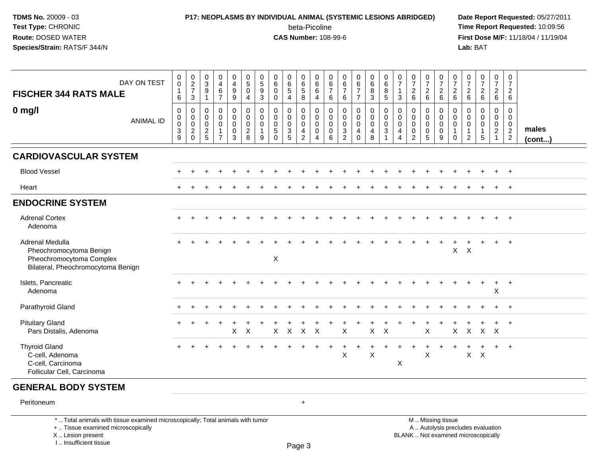### **P17: NEOPLASMS BY INDIVIDUAL ANIMAL (SYSTEMIC LESIONS ABRIDGED) Date Report Requested:** 05/27/2011 beta-Picoline<br>CAS Number: 108-99-6

 **Time Report Requested:** 10:09:56 **First Dose M/F:** 11/18/04 / 11/19/04<br>**Lab:** BAT **Lab:** BAT

| DAY ON TEST<br><b>FISCHER 344 RATS MALE</b>                                                                  | $\pmb{0}$<br>$\tilde{0}$<br>1<br>$\,6\,$                                    | $\begin{array}{c} 0 \\ 2 \\ 7 \end{array}$<br>$\mathbf{3}$       | $\begin{smallmatrix}0\3\9\end{smallmatrix}$<br>$\mathbf{1}$ | $\mathsf 0$<br>$\tilde{4}$<br>$\,6\,$<br>$\overline{7}$                 | $\pmb{0}$<br>$\overline{4}$<br>$\boldsymbol{9}$<br>$\boldsymbol{9}$ | $\begin{array}{c} 0 \\ 5 \end{array}$<br>$\overline{0}$<br>$\overline{4}$ | 0<br>$\overline{5}$<br>$\boldsymbol{9}$<br>$\mathbf{3}$ | 0<br>$\,6$<br>$\Omega$<br>0                                        | 0<br>$\overline{6}$<br>$\overline{5}$<br>$\overline{4}$            | $\mathbf 0$<br>$\overline{6}$<br>$\overline{5}$<br>8                          | 0<br>$6\overline{6}$<br>$\,6\,$<br>4                   | $\mathbf 0$<br>$\,6\,$<br>$\boldsymbol{7}$<br>6     | $\pmb{0}$<br>$rac{6}{7}$<br>6                            | $\begin{array}{c} 0 \\ 6 \\ 7 \end{array}$<br>$\overline{7}$             | $0\over 6$<br>$\overline{8}$<br>3            | $\begin{array}{c} 0 \\ 6 \end{array}$<br>$\overline{8}$<br>5                                | $\mathbf 0$<br>$\overline{7}$<br>$\mathbf{1}$<br>3                  | $\begin{array}{c} 0 \\ 7 \end{array}$<br>$\begin{array}{c} 2 \\ 6 \end{array}$ | $\frac{0}{7}$<br>$\overline{\mathbf{c}}$<br>$6\phantom{1}$       | $\begin{smallmatrix}0\\7\end{smallmatrix}$<br>$\frac{2}{6}$  | $\begin{array}{c} 0 \\ 7 \end{array}$<br>$\begin{array}{c} 2 \\ 6 \end{array}$ | 0<br>$\overline{7}$<br>$\begin{array}{c} 2 \\ 6 \end{array}$         | $\begin{array}{c} 0 \\ 7 \end{array}$<br>$\frac{2}{6}$                   | $\frac{0}{7}$<br>$\frac{2}{6}$                       | $\begin{smallmatrix}0\\7\end{smallmatrix}$<br>$\sqrt{2}$<br>6 |                       |
|--------------------------------------------------------------------------------------------------------------|-----------------------------------------------------------------------------|------------------------------------------------------------------|-------------------------------------------------------------|-------------------------------------------------------------------------|---------------------------------------------------------------------|---------------------------------------------------------------------------|---------------------------------------------------------|--------------------------------------------------------------------|--------------------------------------------------------------------|-------------------------------------------------------------------------------|--------------------------------------------------------|-----------------------------------------------------|----------------------------------------------------------|--------------------------------------------------------------------------|----------------------------------------------|---------------------------------------------------------------------------------------------|---------------------------------------------------------------------|--------------------------------------------------------------------------------|------------------------------------------------------------------|--------------------------------------------------------------|--------------------------------------------------------------------------------|----------------------------------------------------------------------|--------------------------------------------------------------------------|------------------------------------------------------|---------------------------------------------------------------|-----------------------|
| $0$ mg/l<br><b>ANIMAL ID</b>                                                                                 | $\mathbf 0$<br>$\mathbf 0$<br>$\mathbf 0$<br>$\ensuremath{\mathsf{3}}$<br>9 | 0<br>$\mathsf{O}\xspace$<br>$\mathsf{O}\xspace$<br>$\frac{2}{0}$ | 0<br>0<br>$\mathbf 0$<br>$\frac{2}{5}$                      | 0<br>$\mathsf{O}\xspace$<br>$\pmb{0}$<br>$\mathbf{1}$<br>$\overline{7}$ | 0<br>$\mathbf 0$<br>$\pmb{0}$<br>$\pmb{0}$<br>3                     | $\pmb{0}$<br>$\overline{0}$<br>$\mathbf 0$<br>$\frac{2}{8}$               | 0<br>$\Omega$<br>$\mathbf 0$<br>$\mathbf{1}$<br>9       | $\mathbf 0$<br>$\Omega$<br>$\Omega$<br>$5\phantom{.0}$<br>$\Omega$ | $\mathbf 0$<br>$\mathbf 0$<br>$\mathsf{O}\xspace$<br>$\frac{3}{5}$ | $\mathbf 0$<br>$\mathbf 0$<br>$\mathbf 0$<br>$\overline{4}$<br>$\overline{2}$ | 0<br>$\mathbf 0$<br>$\mathbf 0$<br>0<br>$\overline{4}$ | 0<br>$\mathbf 0$<br>$\mathbf 0$<br>$\mathbf 0$<br>6 | $\mathbf 0$<br>$\mathsf 0$<br>$\pmb{0}$<br>$\frac{3}{2}$ | $\pmb{0}$<br>$\overline{0}$<br>$\mathsf 0$<br>$\overline{4}$<br>$\Omega$ | 0<br>$\overline{0}$<br>$\mathbf 0$<br>4<br>8 | $\mathbf 0$<br>$\pmb{0}$<br>$\boldsymbol{0}$<br>$\ensuremath{\mathsf{3}}$<br>$\overline{1}$ | 0<br>$\mathbf 0$<br>$\mathbf 0$<br>$\overline{4}$<br>$\overline{4}$ | $\mathbf 0$<br>$\mathbf 0$<br>$\mathbf 0$<br>$\mathbf 0$<br>$\overline{2}$     | 0<br>$\mathbf 0$<br>$\mathbf 0$<br>$\mathbf 0$<br>$\overline{5}$ | 0<br>$\overline{0}$<br>$\mathsf{O}\xspace$<br>$_{9}^{\rm 0}$ | $\mathbf 0$<br>$\mathbf 0$<br>$\mathsf 0$<br>$\mathbf{1}$<br>$\mathbf 0$       | 0<br>$\mathbf{0}$<br>$\mathbf 0$<br>$\overline{1}$<br>$\overline{2}$ | $\mathbf 0$<br>$\Omega$<br>$\mathbf 0$<br>$\mathbf{1}$<br>$5\phantom{1}$ | 0<br>$\Omega$<br>0<br>$\overline{2}$<br>$\mathbf{1}$ | 0<br>$\mathbf 0$<br>$\mathbf 0$<br>$\frac{2}{2}$              | males<br>$($ cont $)$ |
| <b>CARDIOVASCULAR SYSTEM</b>                                                                                 |                                                                             |                                                                  |                                                             |                                                                         |                                                                     |                                                                           |                                                         |                                                                    |                                                                    |                                                                               |                                                        |                                                     |                                                          |                                                                          |                                              |                                                                                             |                                                                     |                                                                                |                                                                  |                                                              |                                                                                |                                                                      |                                                                          |                                                      |                                                               |                       |
| <b>Blood Vessel</b>                                                                                          |                                                                             |                                                                  |                                                             |                                                                         |                                                                     |                                                                           |                                                         |                                                                    |                                                                    |                                                                               |                                                        |                                                     |                                                          |                                                                          |                                              |                                                                                             |                                                                     |                                                                                |                                                                  |                                                              |                                                                                |                                                                      |                                                                          |                                                      | $+$                                                           |                       |
| Heart                                                                                                        |                                                                             |                                                                  |                                                             |                                                                         |                                                                     |                                                                           |                                                         |                                                                    |                                                                    |                                                                               |                                                        |                                                     |                                                          |                                                                          |                                              |                                                                                             |                                                                     |                                                                                |                                                                  |                                                              |                                                                                |                                                                      |                                                                          | $\div$                                               | $+$                                                           |                       |
| <b>ENDOCRINE SYSTEM</b>                                                                                      |                                                                             |                                                                  |                                                             |                                                                         |                                                                     |                                                                           |                                                         |                                                                    |                                                                    |                                                                               |                                                        |                                                     |                                                          |                                                                          |                                              |                                                                                             |                                                                     |                                                                                |                                                                  |                                                              |                                                                                |                                                                      |                                                                          |                                                      |                                                               |                       |
| <b>Adrenal Cortex</b><br>Adenoma                                                                             |                                                                             |                                                                  |                                                             |                                                                         |                                                                     |                                                                           |                                                         |                                                                    |                                                                    |                                                                               |                                                        |                                                     |                                                          |                                                                          |                                              |                                                                                             |                                                                     |                                                                                |                                                                  |                                                              |                                                                                |                                                                      |                                                                          |                                                      | $+$                                                           |                       |
| Adrenal Medulla<br>Pheochromocytoma Benign<br>Pheochromocytoma Complex<br>Bilateral, Pheochromocytoma Benign |                                                                             |                                                                  |                                                             |                                                                         |                                                                     |                                                                           |                                                         | $\boldsymbol{\mathsf{X}}$                                          |                                                                    |                                                                               |                                                        |                                                     |                                                          |                                                                          |                                              |                                                                                             |                                                                     |                                                                                |                                                                  |                                                              | X                                                                              | $\times$                                                             |                                                                          | $+$                                                  | $+$                                                           |                       |
| Islets, Pancreatic<br>Adenoma                                                                                |                                                                             |                                                                  |                                                             |                                                                         |                                                                     |                                                                           |                                                         |                                                                    |                                                                    |                                                                               |                                                        |                                                     |                                                          |                                                                          |                                              |                                                                                             |                                                                     |                                                                                |                                                                  |                                                              |                                                                                |                                                                      |                                                                          | $+$<br>$\pmb{\times}$                                | $+$                                                           |                       |
| Parathyroid Gland                                                                                            |                                                                             |                                                                  |                                                             |                                                                         |                                                                     |                                                                           |                                                         |                                                                    |                                                                    |                                                                               |                                                        |                                                     |                                                          |                                                                          |                                              |                                                                                             |                                                                     |                                                                                |                                                                  |                                                              |                                                                                |                                                                      |                                                                          |                                                      | $\ddot{}$                                                     |                       |
| <b>Pituitary Gland</b><br>Pars Distalis, Adenoma                                                             |                                                                             |                                                                  |                                                             | $\overline{1}$                                                          | $\ddot{}$<br>$\pmb{\times}$                                         | X                                                                         |                                                         | X                                                                  | $\mathsf{X}$                                                       | $\mathsf X$                                                                   | $\mathsf{X}$                                           |                                                     | X                                                        |                                                                          | $\mathsf{X}$                                 | $\times$                                                                                    |                                                                     |                                                                                | X                                                                |                                                              | X                                                                              | $\mathsf{X}$                                                         | $X$ $X$                                                                  | $\ddot{}$                                            | $+$                                                           |                       |
| <b>Thyroid Gland</b><br>C-cell, Adenoma<br>C-cell, Carcinoma<br>Follicular Cell, Carcinoma                   |                                                                             |                                                                  |                                                             |                                                                         |                                                                     |                                                                           |                                                         |                                                                    |                                                                    |                                                                               |                                                        |                                                     | X                                                        | $\ddot{}$                                                                | ÷<br>X                                       |                                                                                             | X                                                                   |                                                                                | X                                                                |                                                              |                                                                                | $\mathsf{X}$                                                         | $\boldsymbol{\mathsf{X}}$                                                | $\ddot{}$                                            | $+$                                                           |                       |
| <b>GENERAL BODY SYSTEM</b>                                                                                   |                                                                             |                                                                  |                                                             |                                                                         |                                                                     |                                                                           |                                                         |                                                                    |                                                                    |                                                                               |                                                        |                                                     |                                                          |                                                                          |                                              |                                                                                             |                                                                     |                                                                                |                                                                  |                                                              |                                                                                |                                                                      |                                                                          |                                                      |                                                               |                       |
| Peritoneum                                                                                                   |                                                                             |                                                                  |                                                             |                                                                         |                                                                     |                                                                           |                                                         |                                                                    |                                                                    | $\ddot{}$                                                                     |                                                        |                                                     |                                                          |                                                                          |                                              |                                                                                             |                                                                     |                                                                                |                                                                  |                                                              |                                                                                |                                                                      |                                                                          |                                                      |                                                               |                       |
| *  Total animals with tissue examined microscopically; Total animals with tumor                              |                                                                             |                                                                  |                                                             |                                                                         |                                                                     |                                                                           |                                                         |                                                                    |                                                                    |                                                                               |                                                        |                                                     |                                                          |                                                                          |                                              |                                                                                             |                                                                     |                                                                                |                                                                  | M  Missing tissue                                            |                                                                                |                                                                      |                                                                          |                                                      |                                                               |                       |

+ .. Tissue examined microscopically

X .. Lesion present

I .. Insufficient tissue

y the contract of the contract of the contract of the contract of the contract of  $\mathsf A$  . Autolysis precludes evaluation Lesion present BLANK .. Not examined microscopically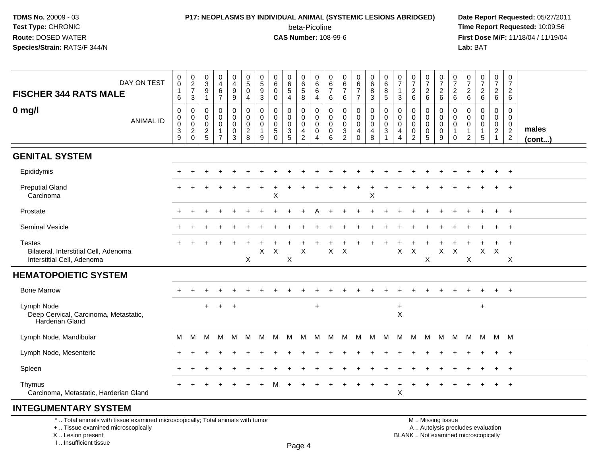# **P17: NEOPLASMS BY INDIVIDUAL ANIMAL (SYSTEMIC LESIONS ABRIDGED) Date Report Requested:** 05/27/2011

beta-Picoline<br>CAS Number: 108-99-6

 **Time Report Requested:** 10:09:56 **First Dose M/F:** 11/18/04 / 11/19/04<br>**Lab:** BAT **Lab:** BAT

| DAY ON TEST<br><b>FISCHER 344 RATS MALE</b>                                          | $\pmb{0}$<br>$\mathsf{O}$<br>$\mathbf{1}$<br>6                                 | $\begin{array}{c} 0 \\ 2 \\ 7 \end{array}$<br>$\mathbf{3}$        | 0<br>3<br>9<br>$\mathbf 1$                       | 0<br>$\overline{4}$<br>$\,6\,$<br>$\overline{7}$                  | 0<br>$\overline{4}$<br>$\overline{9}$<br>9 | $\begin{array}{c} 0 \\ 5 \end{array}$<br>$\mathbf 0$<br>4 | $^{\rm 0}_{\rm 5}$<br>$\boldsymbol{9}$<br>$\mathfrak{Z}$ | 0<br>6<br>0<br>0                                      | 0<br>$\,6\,$<br>$\sqrt{5}$<br>$\overline{4}$  | 0<br>6<br>$\overline{5}$<br>8                          | 0<br>6<br>$\,6$<br>4                                | $\mathbf 0$<br>6<br>$\overline{7}$<br>6             | 0<br>6<br>$\overline{7}$<br>6                              | $\begin{array}{c} 0 \\ 6 \\ 7 \end{array}$<br>$\overline{7}$ | 0<br>$\,6\,$<br>$\frac{8}{3}$                                  | $\begin{array}{c} 0 \\ 6 \end{array}$<br>$\,8\,$<br>$\overline{5}$ | 0<br>$\overline{7}$<br>$\overline{1}$<br>3                         | $\frac{0}{7}$<br>$\begin{array}{c} 2 \\ 6 \end{array}$                   | $\frac{0}{7}$<br>$\begin{array}{c} 2 \\ 6 \end{array}$ | $\frac{0}{7}$<br>$\frac{2}{6}$                                        | 0<br>$\overline{7}$<br>$^2\phantom{1}6$                        | 0<br>$\overline{7}$<br>$^2$ 6             | $\begin{smallmatrix}0\\7\end{smallmatrix}$<br>$\frac{2}{6}$ | $\frac{0}{7}$<br>$\frac{2}{6}$                                    | $\pmb{0}$<br>$\overline{7}$<br>$\overline{2}$<br>6                            |                 |
|--------------------------------------------------------------------------------------|--------------------------------------------------------------------------------|-------------------------------------------------------------------|--------------------------------------------------|-------------------------------------------------------------------|--------------------------------------------|-----------------------------------------------------------|----------------------------------------------------------|-------------------------------------------------------|-----------------------------------------------|--------------------------------------------------------|-----------------------------------------------------|-----------------------------------------------------|------------------------------------------------------------|--------------------------------------------------------------|----------------------------------------------------------------|--------------------------------------------------------------------|--------------------------------------------------------------------|--------------------------------------------------------------------------|--------------------------------------------------------|-----------------------------------------------------------------------|----------------------------------------------------------------|-------------------------------------------|-------------------------------------------------------------|-------------------------------------------------------------------|-------------------------------------------------------------------------------|-----------------|
| $0$ mg/l<br><b>ANIMAL ID</b>                                                         | 0<br>$\mathsf{O}$<br>$\mathsf{O}\xspace$<br>$\ensuremath{\mathsf{3}}$<br>$9\,$ | 0<br>$\boldsymbol{0}$<br>$\mathbf 0$<br>$\sqrt{2}$<br>$\mathbf 0$ | 0<br>$\mathbf 0$<br>$\mathbf 0$<br>$\frac{2}{5}$ | 0<br>$\mathbf 0$<br>$\mathbf 0$<br>$\mathbf{1}$<br>$\overline{7}$ | 0<br>0<br>$\mathbf 0$<br>$\pmb{0}$<br>3    | 0<br>$\mathbf 0$<br>0<br>$\sqrt{2}$<br>8                  | 0<br>0<br>0<br>1<br>9                                    | 0<br>$\mathbf{0}$<br>$\mathbf{0}$<br>5<br>$\mathbf 0$ | 0<br>0<br>0<br>$\ensuremath{\mathsf{3}}$<br>5 | 0<br>$\mathbf 0$<br>$\mathbf 0$<br>$\overline{4}$<br>2 | 0<br>$\mathbf 0$<br>$\mathbf 0$<br>$\mathbf 0$<br>4 | 0<br>$\mathbf 0$<br>$\mathbf 0$<br>$\mathbf 0$<br>6 | 0<br>0<br>0<br>$\ensuremath{\mathsf{3}}$<br>$\overline{c}$ | 0<br>0<br>$\mathbf 0$<br>4<br>0                              | 0<br>$\mathbf 0$<br>$\mathsf{O}\xspace$<br>$\overline{4}$<br>8 | 0<br>$\mathbf 0$<br>$\mathbf 0$<br>$\sqrt{3}$<br>$\mathbf{1}$      | 0<br>$\mathbf 0$<br>0<br>$\overline{\mathbf{4}}$<br>$\overline{4}$ | $\mathbf 0$<br>$\mathbf 0$<br>$\mathbf 0$<br>$\pmb{0}$<br>$\overline{2}$ | 0<br>0<br>$\mathbf 0$<br>$\pmb{0}$<br>5                | 0<br>$\boldsymbol{0}$<br>$\mathbf 0$<br>$\pmb{0}$<br>$\boldsymbol{9}$ | 0<br>$\mathbf 0$<br>$\mathbf 0$<br>$\mathbf{1}$<br>$\mathbf 0$ | 0<br>0<br>0<br>$\mathbf{1}$<br>$\sqrt{2}$ | 0<br>0<br>0<br>$\mathbf{1}$<br>5                            | 0<br>$\mathbf 0$<br>$\mathbf 0$<br>$\overline{c}$<br>$\mathbf{1}$ | $\mathbf 0$<br>$\mathbf 0$<br>$\mathbf 0$<br>$\overline{2}$<br>$\overline{2}$ | males<br>(cont) |
| <b>GENITAL SYSTEM</b>                                                                |                                                                                |                                                                   |                                                  |                                                                   |                                            |                                                           |                                                          |                                                       |                                               |                                                        |                                                     |                                                     |                                                            |                                                              |                                                                |                                                                    |                                                                    |                                                                          |                                                        |                                                                       |                                                                |                                           |                                                             |                                                                   |                                                                               |                 |
| Epididymis                                                                           |                                                                                |                                                                   |                                                  |                                                                   |                                            |                                                           |                                                          |                                                       |                                               |                                                        |                                                     |                                                     |                                                            |                                                              |                                                                |                                                                    |                                                                    |                                                                          |                                                        |                                                                       |                                                                |                                           |                                                             |                                                                   | $\overline{+}$                                                                |                 |
| <b>Preputial Gland</b><br>Carcinoma                                                  |                                                                                |                                                                   |                                                  |                                                                   |                                            |                                                           |                                                          | ÷<br>X                                                |                                               |                                                        |                                                     |                                                     |                                                            |                                                              | $\ddot{}$<br>X                                                 |                                                                    |                                                                    |                                                                          |                                                        |                                                                       |                                                                |                                           |                                                             |                                                                   |                                                                               |                 |
| Prostate                                                                             |                                                                                | $\ddot{}$                                                         |                                                  |                                                                   |                                            |                                                           |                                                          |                                                       |                                               |                                                        |                                                     |                                                     |                                                            |                                                              |                                                                |                                                                    |                                                                    |                                                                          |                                                        |                                                                       |                                                                |                                           |                                                             | $\ddot{}$                                                         | $+$                                                                           |                 |
| Seminal Vesicle                                                                      |                                                                                |                                                                   |                                                  |                                                                   |                                            |                                                           |                                                          |                                                       |                                               |                                                        |                                                     |                                                     |                                                            |                                                              |                                                                |                                                                    |                                                                    |                                                                          |                                                        |                                                                       |                                                                |                                           |                                                             |                                                                   | $\overline{ }$                                                                |                 |
| <b>Testes</b><br>Bilateral, Interstitial Cell, Adenoma<br>Interstitial Cell, Adenoma |                                                                                |                                                                   |                                                  |                                                                   |                                            | $\mathsf{X}$                                              | Χ                                                        | X                                                     | X                                             | $\mathsf X$                                            |                                                     | X                                                   | $\boldsymbol{\mathsf{X}}$                                  |                                                              |                                                                |                                                                    | $\mathsf X$                                                        | $\times$                                                                 | X                                                      | $\mathsf{X}$                                                          | $\boldsymbol{\mathsf{X}}$                                      | X                                         | $\mathsf{X}$                                                | $\ddot{}$<br>$\times$                                             | $\overline{+}$<br>Χ                                                           |                 |
| <b>HEMATOPOIETIC SYSTEM</b>                                                          |                                                                                |                                                                   |                                                  |                                                                   |                                            |                                                           |                                                          |                                                       |                                               |                                                        |                                                     |                                                     |                                                            |                                                              |                                                                |                                                                    |                                                                    |                                                                          |                                                        |                                                                       |                                                                |                                           |                                                             |                                                                   |                                                                               |                 |
| <b>Bone Marrow</b>                                                                   |                                                                                |                                                                   |                                                  |                                                                   |                                            |                                                           |                                                          |                                                       |                                               |                                                        |                                                     |                                                     |                                                            |                                                              |                                                                |                                                                    |                                                                    |                                                                          |                                                        |                                                                       |                                                                |                                           |                                                             | $\ddot{}$                                                         | $+$                                                                           |                 |
| Lymph Node<br>Deep Cervical, Carcinoma, Metastatic,<br>Harderian Gland               |                                                                                |                                                                   | $\ddot{}$                                        | $\ddot{}$                                                         | $\ddot{}$                                  |                                                           |                                                          |                                                       |                                               |                                                        | $\ddot{}$                                           |                                                     |                                                            |                                                              |                                                                |                                                                    | $+$<br>$\times$                                                    |                                                                          |                                                        |                                                                       |                                                                |                                           | $\ddot{}$                                                   |                                                                   |                                                                               |                 |
| Lymph Node, Mandibular                                                               | M                                                                              | M                                                                 | м                                                | м                                                                 | M                                          | M                                                         | M                                                        | M                                                     | M                                             | м                                                      | м                                                   | M                                                   | M                                                          | M                                                            | M                                                              | M                                                                  | M                                                                  | M                                                                        | м                                                      | M                                                                     | M                                                              | М                                         | M                                                           | M M                                                               |                                                                               |                 |
| Lymph Node, Mesenteric                                                               |                                                                                |                                                                   |                                                  |                                                                   |                                            |                                                           |                                                          |                                                       |                                               |                                                        |                                                     |                                                     |                                                            |                                                              |                                                                |                                                                    |                                                                    |                                                                          |                                                        |                                                                       |                                                                |                                           |                                                             |                                                                   | $+$                                                                           |                 |
| Spleen                                                                               |                                                                                |                                                                   |                                                  |                                                                   |                                            |                                                           |                                                          |                                                       |                                               |                                                        |                                                     |                                                     |                                                            |                                                              |                                                                |                                                                    |                                                                    |                                                                          |                                                        |                                                                       |                                                                |                                           |                                                             | $\ddot{}$                                                         | $+$                                                                           |                 |
| Thymus<br>Carcinoma, Metastatic, Harderian Gland                                     |                                                                                |                                                                   |                                                  |                                                                   |                                            |                                                           |                                                          |                                                       |                                               |                                                        |                                                     |                                                     |                                                            |                                                              |                                                                |                                                                    | $\sf X$                                                            |                                                                          |                                                        |                                                                       |                                                                |                                           |                                                             | $\ddot{}$                                                         | $^{+}$                                                                        |                 |
| <b>INTEGUMENTARY SYSTEM</b>                                                          |                                                                                |                                                                   |                                                  |                                                                   |                                            |                                                           |                                                          |                                                       |                                               |                                                        |                                                     |                                                     |                                                            |                                                              |                                                                |                                                                    |                                                                    |                                                                          |                                                        |                                                                       |                                                                |                                           |                                                             |                                                                   |                                                                               |                 |

\* .. Total animals with tissue examined microscopically; Total animals with tumor

+ .. Tissue examined microscopically

X .. Lesion present

I .. Insufficient tissue

 M .. Missing tissuey the contract of the contract of the contract of the contract of the contract of  $\mathsf A$  . Autolysis precludes evaluation Lesion present BLANK .. Not examined microscopically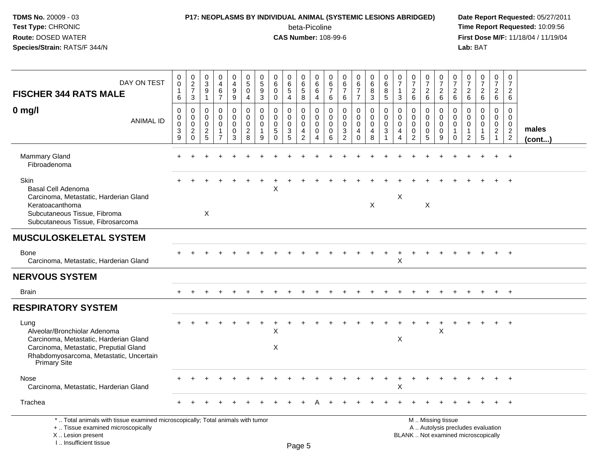### **P17: NEOPLASMS BY INDIVIDUAL ANIMAL (SYSTEMIC LESIONS ABRIDGED) Date Report Requested:** 05/27/2011 beta-Picoline<br>CAS Number: 108-99-6

 **Time Report Requested:** 10:09:56 **First Dose M/F:** 11/18/04 / 11/19/04<br>**Lab:** BAT **Lab:** BAT

| DAY ON TEST<br><b>FISCHER 344 RATS MALE</b>                                                                                                                                         | 0<br>0<br>$\mathbf{1}$<br>6                  | $_2^0$<br>$\boldsymbol{7}$<br>3        | $\pmb{0}$<br>$\overline{3}$<br>$\boldsymbol{9}$<br>$\mathbf{1}$ | 0<br>$\overline{4}$<br>$\,6\,$<br>$\overline{7}$            | $\mathbf 0$<br>$\overline{4}$<br>$\boldsymbol{9}$<br>$\boldsymbol{9}$      | $\begin{array}{c} 0 \\ 5 \end{array}$<br>$\mathbf 0$<br>$\overline{4}$ | 0<br>$\overline{5}$<br>$\boldsymbol{9}$<br>3 | 0<br>$6\phantom{a}$<br>$\pmb{0}$<br>$\mathbf 0$                     | 0<br>$\overline{6}$<br>5<br>$\overline{4}$                       | 0<br>$\,6\,$<br>$\,$ 5 $\,$<br>8 | $\mathbf 0$<br>$6\phantom{1}6$<br>$\,6\,$<br>$\overline{4}$                | 0<br>6<br>$\overline{7}$<br>6          | 0<br>$\,6$<br>$\overline{7}$<br>6                          | 0<br>$\overline{6}$<br>7<br>$\overline{7}$       | 0<br>$\overline{6}$<br>8<br>3                       | 0<br>$\overline{6}$<br>$\,8\,$<br>5            | 0<br>$\overline{7}$<br>3                                                    | $\frac{0}{7}$<br>$\boldsymbol{2}$<br>6                     | 0<br>$\overline{7}$<br>$^2\phantom{1}6$                | 0<br>$\overline{7}$<br>$\boldsymbol{2}$<br>$\,6\,$ | 0<br>$\overline{7}$<br>$\boldsymbol{2}$<br>6 | 0<br>$\overline{7}$<br>$\overline{c}$<br>6                           | $\begin{array}{c} 0 \\ 7 \end{array}$<br>$\frac{2}{6}$ | $\mathbf 0$<br>$\overline{7}$<br>$\begin{array}{c} 2 \\ 6 \end{array}$    | 0<br>$\overline{7}$<br>$\sqrt{2}$<br>6                     |                 |
|-------------------------------------------------------------------------------------------------------------------------------------------------------------------------------------|----------------------------------------------|----------------------------------------|-----------------------------------------------------------------|-------------------------------------------------------------|----------------------------------------------------------------------------|------------------------------------------------------------------------|----------------------------------------------|---------------------------------------------------------------------|------------------------------------------------------------------|----------------------------------|----------------------------------------------------------------------------|----------------------------------------|------------------------------------------------------------|--------------------------------------------------|-----------------------------------------------------|------------------------------------------------|-----------------------------------------------------------------------------|------------------------------------------------------------|--------------------------------------------------------|----------------------------------------------------|----------------------------------------------|----------------------------------------------------------------------|--------------------------------------------------------|---------------------------------------------------------------------------|------------------------------------------------------------|-----------------|
| $0$ mg/l<br><b>ANIMAL ID</b>                                                                                                                                                        | $\mathbf 0$<br>0<br>0<br>3<br>$\overline{9}$ | $\mathbf 0$<br>0<br>0<br>$\frac{2}{0}$ | $\mathbf 0$<br>0<br>$\mathbf 0$<br>$\frac{2}{5}$                | $\mathbf 0$<br>$\mathbf 0$<br>$\mathbf 0$<br>$\overline{7}$ | $\mathbf 0$<br>$\mathbf 0$<br>$\mathbf 0$<br>$\mathbf 0$<br>$\overline{3}$ | $\mathbf 0$<br>$\mathbf 0$<br>$\mathbf 0$<br>$\frac{2}{8}$             | 0<br>$\Omega$<br>$\Omega$<br>1<br>9          | $\mathbf 0$<br>$\mathbf 0$<br>$\mathbf 0$<br>$\sqrt{5}$<br>$\Omega$ | $\mathbf 0$<br>$\mathbf 0$<br>$\mathbf 0$<br>3<br>$\overline{5}$ | 0<br>0<br>0<br>$\frac{4}{2}$     | $\mathbf 0$<br>$\mathbf 0$<br>$\mathbf 0$<br>$\mathbf 0$<br>$\overline{4}$ | 0<br>$\Omega$<br>$\mathbf 0$<br>0<br>6 | $\Omega$<br>$\Omega$<br>$\mathbf 0$<br>3<br>$\overline{2}$ | 0<br>$\mathbf 0$<br>$\mathbf 0$<br>4<br>$\Omega$ | $\mathbf 0$<br>$\mathbf 0$<br>$\mathbf 0$<br>4<br>8 | $\mathbf 0$<br>$\mathbf 0$<br>$\mathbf 0$<br>3 | $\mathbf{0}$<br>$\mathbf 0$<br>$\mathbf 0$<br>$\overline{4}$<br>$\mathbf 4$ | $\Omega$<br>$\Omega$<br>$\mathbf 0$<br>0<br>$\overline{2}$ | 0<br>0<br>$\mathbf 0$<br>$\mathbf 0$<br>$\overline{5}$ | 0<br>$\mathbf 0$<br>$\mathbf 0$<br>0<br>9          | $\mathbf 0$<br>$\mathbf 0$<br>0<br>$\Omega$  | $\Omega$<br>$\Omega$<br>$\mathbf 0$<br>$\mathbf 1$<br>$\overline{2}$ | $\mathbf 0$<br>$\mathbf 0$<br>$\mathbf 0$<br>5         | $\mathbf 0$<br>$\mathbf 0$<br>$\mathbf 0$<br>$\sqrt{2}$<br>$\overline{1}$ | $\mathbf 0$<br>$\mathbf 0$<br>$\mathbf 0$<br>$\frac{2}{2}$ | males<br>(cont) |
| Mammary Gland<br>Fibroadenoma                                                                                                                                                       |                                              |                                        |                                                                 |                                                             |                                                                            |                                                                        |                                              |                                                                     |                                                                  |                                  |                                                                            |                                        |                                                            |                                                  |                                                     |                                                |                                                                             |                                                            |                                                        |                                                    |                                              |                                                                      |                                                        |                                                                           |                                                            |                 |
| Skin<br>Basal Cell Adenoma<br>Carcinoma, Metastatic, Harderian Gland<br>Keratoacanthoma<br>Subcutaneous Tissue, Fibroma<br>Subcutaneous Tissue, Fibrosarcoma                        |                                              |                                        | X                                                               |                                                             |                                                                            |                                                                        |                                              | X                                                                   |                                                                  |                                  |                                                                            |                                        |                                                            |                                                  | $\mathsf X$                                         |                                                | $\boldsymbol{\mathsf{X}}$                                                   |                                                            | X                                                      |                                                    |                                              |                                                                      |                                                        |                                                                           |                                                            |                 |
| <b>MUSCULOSKELETAL SYSTEM</b>                                                                                                                                                       |                                              |                                        |                                                                 |                                                             |                                                                            |                                                                        |                                              |                                                                     |                                                                  |                                  |                                                                            |                                        |                                                            |                                                  |                                                     |                                                |                                                                             |                                                            |                                                        |                                                    |                                              |                                                                      |                                                        |                                                                           |                                                            |                 |
| <b>Bone</b><br>Carcinoma, Metastatic, Harderian Gland                                                                                                                               |                                              |                                        |                                                                 |                                                             |                                                                            |                                                                        |                                              |                                                                     |                                                                  |                                  |                                                                            |                                        |                                                            |                                                  |                                                     |                                                | X                                                                           |                                                            |                                                        |                                                    |                                              |                                                                      |                                                        |                                                                           |                                                            |                 |
| <b>NERVOUS SYSTEM</b>                                                                                                                                                               |                                              |                                        |                                                                 |                                                             |                                                                            |                                                                        |                                              |                                                                     |                                                                  |                                  |                                                                            |                                        |                                                            |                                                  |                                                     |                                                |                                                                             |                                                            |                                                        |                                                    |                                              |                                                                      |                                                        |                                                                           |                                                            |                 |
| <b>Brain</b>                                                                                                                                                                        |                                              |                                        |                                                                 |                                                             |                                                                            |                                                                        |                                              |                                                                     |                                                                  |                                  |                                                                            |                                        |                                                            |                                                  |                                                     |                                                |                                                                             |                                                            |                                                        |                                                    |                                              |                                                                      |                                                        |                                                                           | $\ddot{}$                                                  |                 |
| <b>RESPIRATORY SYSTEM</b>                                                                                                                                                           |                                              |                                        |                                                                 |                                                             |                                                                            |                                                                        |                                              |                                                                     |                                                                  |                                  |                                                                            |                                        |                                                            |                                                  |                                                     |                                                |                                                                             |                                                            |                                                        |                                                    |                                              |                                                                      |                                                        |                                                                           |                                                            |                 |
| Lung<br>Alveolar/Bronchiolar Adenoma<br>Carcinoma, Metastatic, Harderian Gland<br>Carcinoma, Metastatic, Preputial Gland<br>Rhabdomyosarcoma, Metastatic, Uncertain<br>Primary Site |                                              |                                        |                                                                 |                                                             |                                                                            |                                                                        |                                              | X<br>X                                                              |                                                                  |                                  |                                                                            |                                        |                                                            |                                                  |                                                     |                                                | X                                                                           |                                                            |                                                        | $\mathsf{X}$                                       |                                              |                                                                      |                                                        |                                                                           | $\ddot{}$                                                  |                 |
| Nose<br>Carcinoma, Metastatic, Harderian Gland                                                                                                                                      |                                              |                                        |                                                                 |                                                             |                                                                            |                                                                        |                                              |                                                                     |                                                                  |                                  |                                                                            |                                        |                                                            |                                                  |                                                     |                                                | Х                                                                           |                                                            |                                                        |                                                    |                                              |                                                                      |                                                        |                                                                           | $\ddot{}$                                                  |                 |
| Trachea                                                                                                                                                                             |                                              |                                        |                                                                 |                                                             |                                                                            |                                                                        |                                              |                                                                     |                                                                  |                                  |                                                                            |                                        |                                                            |                                                  |                                                     |                                                |                                                                             |                                                            |                                                        |                                                    |                                              |                                                                      |                                                        |                                                                           | $^{+}$                                                     |                 |
| *  Total animals with tissue examined microscopically; Total animals with tumor<br>+  Tissue examined microscopically                                                               |                                              |                                        |                                                                 |                                                             |                                                                            |                                                                        |                                              |                                                                     |                                                                  |                                  |                                                                            |                                        |                                                            |                                                  |                                                     |                                                |                                                                             |                                                            |                                                        | M  Missing tissue                                  |                                              |                                                                      | A  Autolysis precludes evaluation                      |                                                                           |                                                            |                 |

X .. Lesion present

I .. Insufficient tissue

Page 5

Lesion present BLANK .. Not examined microscopically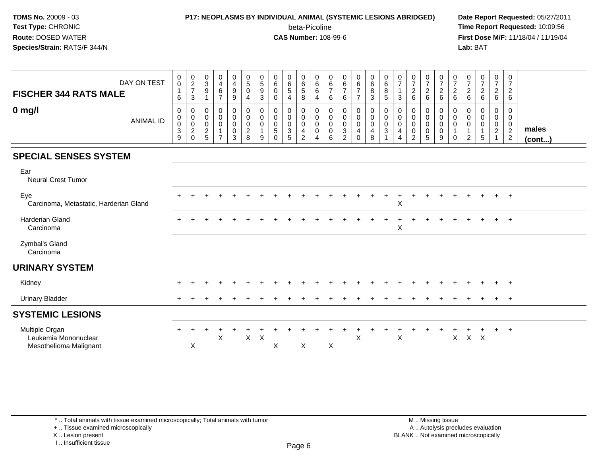#### **P17: NEOPLASMS BY INDIVIDUAL ANIMAL (SYSTEMIC LESIONS ABRIDGED) Date Report Requested:** 05/27/2011

beta-Picoline<br>CAS Number: 108-99-6

 **Time Report Requested:** 10:09:56 **First Dose M/F:** 11/18/04 / 11/19/04<br>**Lab:** BAT **Lab:** BAT

| <b>FISCHER 344 RATS MALE</b>                                     | DAY ON TEST      | $\mathbf 0$<br>$\mathsf 0$<br>6                         | $\begin{array}{c} 0 \\ 2 \\ 7 \end{array}$<br>3          | $_{3}^{\rm 0}$<br>$\boldsymbol{9}$<br>$\mathbf{1}$           | $\pmb{0}$<br>$\overline{\mathbf{4}}$<br>6<br>$\overline{7}$ | $\begin{smallmatrix}0\\4\end{smallmatrix}$<br>$\boldsymbol{9}$<br>$\boldsymbol{9}$ | $\begin{array}{c} 0 \\ 5 \end{array}$<br>$\mathbf 0$<br>$\overline{4}$ | $\begin{array}{c} 0 \\ 5 \end{array}$<br>$\boldsymbol{9}$<br>$\mathbf{3}$ | $\pmb{0}$<br>$\,6$<br>$\mathbf 0$<br>$\mathbf 0$           | $\pmb{0}$<br>$\frac{6}{5}$<br>4                | $\pmb{0}$<br>$\,6$<br>$5\,$<br>8                                | 0<br>$\,6\,$<br>6<br>4          | 0<br>6<br>$\overline{7}$<br>6         | $\begin{array}{c} 0 \\ 6 \end{array}$<br>$\overline{7}$<br>6    | $\begin{array}{c} 0 \\ 6 \end{array}$<br>$\overline{7}$<br>$\overline{7}$ | $\pmb{0}$<br>$\,6\,$<br>$\, 8$<br>$\mathbf{3}$ | $_{6}^{\rm 0}$<br>$\bf 8$<br>5             | $\frac{0}{7}$<br>$\mathbf{1}$<br>3 | $\frac{0}{7}$<br>$\overline{c}$<br>$\,6\,$                 | $\frac{0}{7}$<br>$\begin{array}{c} 2 \\ 6 \end{array}$                        | $\frac{0}{7}$<br>$\sqrt{2}$<br>6                    | $\frac{0}{7}$<br>$\overline{c}$<br>6 | $\frac{0}{7}$<br>$\overline{c}$<br>$\,6$ | $\frac{0}{7}$<br>$\overline{c}$<br>6 | 0<br>$\boldsymbol{7}$<br>$\overline{c}$<br>6              | $\mathbf 0$<br>$\overline{7}$<br>$\overline{c}$<br>6 |                 |
|------------------------------------------------------------------|------------------|---------------------------------------------------------|----------------------------------------------------------|--------------------------------------------------------------|-------------------------------------------------------------|------------------------------------------------------------------------------------|------------------------------------------------------------------------|---------------------------------------------------------------------------|------------------------------------------------------------|------------------------------------------------|-----------------------------------------------------------------|---------------------------------|---------------------------------------|-----------------------------------------------------------------|---------------------------------------------------------------------------|------------------------------------------------|--------------------------------------------|------------------------------------|------------------------------------------------------------|-------------------------------------------------------------------------------|-----------------------------------------------------|--------------------------------------|------------------------------------------|--------------------------------------|-----------------------------------------------------------|------------------------------------------------------|-----------------|
| $0$ mg/l                                                         | <b>ANIMAL ID</b> | 0<br>0<br>$\mathsf 0$<br>$\sqrt{3}$<br>$\boldsymbol{9}$ | 0<br>$\pmb{0}$<br>$\pmb{0}$<br>$\sqrt{2}$<br>$\mathbf 0$ | $\mathbf 0$<br>$\mathbf 0$<br>$\mathbf 0$<br>$\sqrt{2}$<br>5 | 0<br>$\mathsf 0$<br>$\mathbf 0$<br>1<br>$\overline{7}$      | 0<br>$\mathsf{O}\xspace$<br>$\mathbf 0$<br>0<br>3                                  | 0<br>$\pmb{0}$<br>$\pmb{0}$<br>$\boldsymbol{2}$<br>8                   | 0<br>0<br>$\mathbf 0$<br>$\mathbf{1}$<br>9                                | 0<br>$\mathbf 0$<br>$\mathbf 0$<br>$\,$ 5 $\,$<br>$\Omega$ | 0<br>$\pmb{0}$<br>$\pmb{0}$<br>$\sqrt{3}$<br>5 | 0<br>$\,0\,$<br>$\mathsf 0$<br>$\overline{4}$<br>$\overline{2}$ | 0<br>0<br>$\mathbf 0$<br>0<br>4 | 0<br>0<br>$\pmb{0}$<br>$\pmb{0}$<br>6 | 0<br>$\mathbf 0$<br>$\mathbf 0$<br>$\sqrt{3}$<br>$\overline{2}$ | 0<br>$\pmb{0}$<br>$\mathsf{O}$<br>$\overline{\mathbf{4}}$<br>$\Omega$     | 0<br>$\pmb{0}$<br>$\mathbf 0$<br>4<br>8        | 0<br>$\pmb{0}$<br>$\mathsf{O}\xspace$<br>3 | 0<br>0<br>$\mathbf 0$<br>4<br>4    | 0<br>$\pmb{0}$<br>$\pmb{0}$<br>$\pmb{0}$<br>$\overline{2}$ | $\mathbf 0$<br>$\pmb{0}$<br>$\mathbf 0$<br>$\boldsymbol{0}$<br>$\overline{5}$ | 0<br>$\mathbf 0$<br>$\mathsf 0$<br>$\mathbf 0$<br>9 | 0<br>0<br>$\mathbf 0$<br>$\Omega$    | 0<br>0<br>$\mathbf 0$<br>$\overline{2}$  | 0<br>0<br>0<br>5                     | 0<br>$\boldsymbol{0}$<br>$\overline{0}$<br>$\overline{2}$ | 0<br>$\mathbf 0$<br>$\mathbf 0$<br>$\frac{2}{2}$     | males<br>(cont) |
| <b>SPECIAL SENSES SYSTEM</b>                                     |                  |                                                         |                                                          |                                                              |                                                             |                                                                                    |                                                                        |                                                                           |                                                            |                                                |                                                                 |                                 |                                       |                                                                 |                                                                           |                                                |                                            |                                    |                                                            |                                                                               |                                                     |                                      |                                          |                                      |                                                           |                                                      |                 |
| Ear<br><b>Neural Crest Tumor</b>                                 |                  |                                                         |                                                          |                                                              |                                                             |                                                                                    |                                                                        |                                                                           |                                                            |                                                |                                                                 |                                 |                                       |                                                                 |                                                                           |                                                |                                            |                                    |                                                            |                                                                               |                                                     |                                      |                                          |                                      |                                                           |                                                      |                 |
| Eye<br>Carcinoma, Metastatic, Harderian Gland                    |                  |                                                         |                                                          |                                                              |                                                             |                                                                                    |                                                                        |                                                                           |                                                            |                                                |                                                                 |                                 |                                       |                                                                 |                                                                           |                                                |                                            | $\mathsf X$                        |                                                            |                                                                               |                                                     |                                      |                                          |                                      |                                                           | $+$                                                  |                 |
| Harderian Gland<br>Carcinoma                                     |                  | $\div$                                                  |                                                          |                                                              |                                                             |                                                                                    |                                                                        |                                                                           |                                                            |                                                |                                                                 |                                 |                                       |                                                                 |                                                                           |                                                |                                            | $\div$<br>X                        |                                                            | $\ddot{}$                                                                     |                                                     |                                      |                                          |                                      | $+$                                                       | $+$                                                  |                 |
| Zymbal's Gland<br>Carcinoma                                      |                  |                                                         |                                                          |                                                              |                                                             |                                                                                    |                                                                        |                                                                           |                                                            |                                                |                                                                 |                                 |                                       |                                                                 |                                                                           |                                                |                                            |                                    |                                                            |                                                                               |                                                     |                                      |                                          |                                      |                                                           |                                                      |                 |
| <b>URINARY SYSTEM</b>                                            |                  |                                                         |                                                          |                                                              |                                                             |                                                                                    |                                                                        |                                                                           |                                                            |                                                |                                                                 |                                 |                                       |                                                                 |                                                                           |                                                |                                            |                                    |                                                            |                                                                               |                                                     |                                      |                                          |                                      |                                                           |                                                      |                 |
| Kidney                                                           |                  |                                                         |                                                          |                                                              |                                                             |                                                                                    |                                                                        |                                                                           |                                                            |                                                |                                                                 |                                 |                                       |                                                                 |                                                                           |                                                |                                            |                                    |                                                            |                                                                               |                                                     |                                      |                                          |                                      | $+$                                                       | $+$                                                  |                 |
| <b>Urinary Bladder</b>                                           |                  |                                                         |                                                          |                                                              |                                                             |                                                                                    |                                                                        |                                                                           |                                                            |                                                |                                                                 |                                 |                                       |                                                                 |                                                                           |                                                |                                            |                                    |                                                            |                                                                               |                                                     |                                      |                                          |                                      | $\pm$                                                     | $+$                                                  |                 |
| <b>SYSTEMIC LESIONS</b>                                          |                  |                                                         |                                                          |                                                              |                                                             |                                                                                    |                                                                        |                                                                           |                                                            |                                                |                                                                 |                                 |                                       |                                                                 |                                                                           |                                                |                                            |                                    |                                                            |                                                                               |                                                     |                                      |                                          |                                      |                                                           |                                                      |                 |
| Multiple Organ<br>Leukemia Mononuclear<br>Mesothelioma Malignant |                  |                                                         | $\boldsymbol{\mathsf{X}}$                                |                                                              | X                                                           |                                                                                    | $\pmb{\times}$                                                         | $\boldsymbol{\mathsf{X}}$                                                 | X                                                          |                                                | X                                                               |                                 | X                                     |                                                                 | X                                                                         |                                                |                                            | X                                  |                                                            |                                                                               |                                                     | X                                    | $X$ $X$                                  |                                      | $\ddot{}$                                                 | $+$                                                  |                 |

\* .. Total animals with tissue examined microscopically; Total animals with tumor

+ .. Tissue examined microscopically

X .. Lesion present

I .. Insufficient tissue

M .. Missing tissue y the contract of the contract of the contract of the contract of the contract of  $\mathsf A$  . Autolysis precludes evaluation Lesion present BLANK .. Not examined microscopically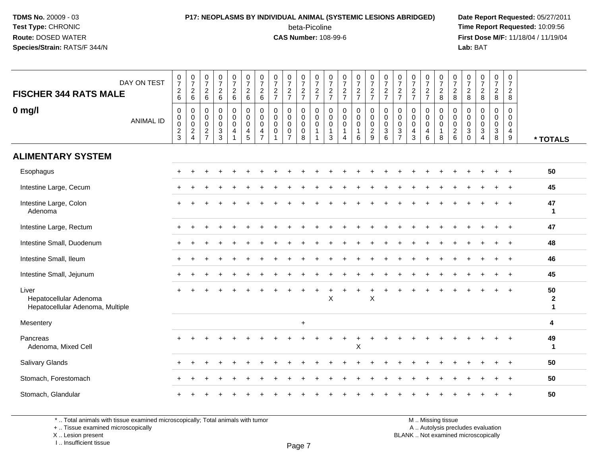#### **P17: NEOPLASMS BY INDIVIDUAL ANIMAL (SYSTEMIC LESIONS ABRIDGED) Date Report Requested:** 05/27/2011 beta-Picoline<br>CAS Number: 108-99-6

 **Time Report Requested:** 10:09:56 **First Dose M/F:** 11/18/04 / 11/19/04<br>**Lab:** BAT **Lab:** BAT

| DAY ON TEST<br><b>FISCHER 344 RATS MALE</b>                         | $\frac{0}{7}$<br>6                                      | $\begin{smallmatrix} 0\\7 \end{smallmatrix}$<br>$^2\phantom{1}6$                                | $\frac{0}{7}$<br>$\overline{c}$<br>6                                            | $\begin{array}{c} 0 \\ 7 \end{array}$<br>$\overline{c}$<br>6                | $\begin{array}{c} 0 \\ 7 \end{array}$<br>$\begin{array}{c} 2 \\ 6 \end{array}$ | $\frac{0}{7}$<br>$\overline{2}$<br>6            | $\frac{0}{7}$<br>$\overline{c}$<br>$6\phantom{1}$    | $\frac{0}{7}$<br>$\overline{c}$<br>$\overline{7}$ | $\frac{0}{7}$<br>$\frac{2}{7}$                                         | $\frac{0}{7}$<br>$\frac{2}{7}$                      | $\frac{0}{7}$<br>$\frac{2}{7}$                                                | $\frac{0}{7}$<br>$\overline{c}$<br>$\overline{7}$ | $\frac{0}{7}$<br>$\sqrt{2}$<br>$\overline{7}$        | $\frac{0}{7}$<br>$\frac{2}{7}$           | $\frac{0}{7}$<br>$\frac{2}{7}$                         | $\frac{0}{7}$<br>$\frac{2}{7}$                               | $\frac{0}{7}$<br>$\overline{c}$<br>$\overline{7}$ | $\frac{0}{7}$<br>$\frac{2}{7}$                         | $\frac{0}{7}$<br>$\sqrt{2}$<br>$\overline{7}$      | 0728                                                   | $\frac{0}{7}$<br>8                                                 | $\frac{0}{7}$<br>$\overline{c}$<br>8                                     | $\begin{array}{c} 0 \\ 7 \end{array}$<br>$\sqrt{2}$<br>8 | $\frac{0}{7}$<br>$\overline{a}$<br>8                            | $\begin{array}{c} 0 \\ 7 \end{array}$<br>$\overline{a}$<br>8 |                                        |
|---------------------------------------------------------------------|---------------------------------------------------------|-------------------------------------------------------------------------------------------------|---------------------------------------------------------------------------------|-----------------------------------------------------------------------------|--------------------------------------------------------------------------------|-------------------------------------------------|------------------------------------------------------|---------------------------------------------------|------------------------------------------------------------------------|-----------------------------------------------------|-------------------------------------------------------------------------------|---------------------------------------------------|------------------------------------------------------|------------------------------------------|--------------------------------------------------------|--------------------------------------------------------------|---------------------------------------------------|--------------------------------------------------------|----------------------------------------------------|--------------------------------------------------------|--------------------------------------------------------------------|--------------------------------------------------------------------------|----------------------------------------------------------|-----------------------------------------------------------------|--------------------------------------------------------------|----------------------------------------|
| $0$ mg/l<br><b>ANIMAL ID</b>                                        | $\,0\,$<br>$\pmb{0}$<br>$\overline{0}$<br>$\frac{2}{3}$ | $\mathbf 0$<br>$\begin{smallmatrix} 0\\0 \end{smallmatrix}$<br>$\overline{2}$<br>$\overline{4}$ | $\mathbf 0$<br>$\mathbf 0$<br>$\mathbf 0$<br>$\boldsymbol{2}$<br>$\overline{7}$ | $\pmb{0}$<br>$\mathsf{O}\xspace$<br>$\pmb{0}$<br>$\sqrt{3}$<br>$\mathbf{3}$ | $\mathbf 0$<br>$\mathbf 0$<br>$\pmb{0}$<br>$\overline{4}$<br>$\overline{1}$    | $\pmb{0}$<br>$\mathbf 0$<br>$\pmb{0}$<br>4<br>5 | 0<br>$\pmb{0}$<br>$\mathbf 0$<br>4<br>$\overline{7}$ | 0<br>0<br>$\mathbf 0$<br>0                        | $\mathbf 0$<br>$\mathbf 0$<br>$\pmb{0}$<br>$\pmb{0}$<br>$\overline{7}$ | 0<br>$\mathbf 0$<br>$\mathbf 0$<br>$\mathsf 0$<br>8 | $\mathbf 0$<br>$\mathbf 0$<br>$\overline{0}$<br>$\overline{1}$<br>$\mathbf 1$ | 0<br>0<br>$\mathbf 0$<br>$\mathbf{1}$<br>3        | 0<br>$\pmb{0}$<br>$\mathbf 0$<br>$\overline{1}$<br>4 | $\pmb{0}$<br>$\pmb{0}$<br>$\pmb{0}$<br>6 | $\mathbf 0$<br>$\pmb{0}$<br>$\pmb{0}$<br>$\frac{2}{9}$ | $\mathbf 0$<br>$\mathbf 0$<br>$\mathbf 0$<br>$\sqrt{3}$<br>6 | 0<br>0<br>$\mathbf 0$<br>3<br>$\overline{7}$      | 0<br>$\mathbf 0$<br>$\mathbf 0$<br>4<br>$\mathfrak{Z}$ | 0<br>$\pmb{0}$<br>$\pmb{0}$<br>$\overline{4}$<br>6 | 0<br>$\mathbf 0$<br>$\mathbf 0$<br>$\overline{1}$<br>8 | $\mathbf 0$<br>$\mathsf{O}\xspace$<br>$\mathbf 0$<br>$\frac{2}{6}$ | $\mathbf 0$<br>$\mathbf 0$<br>$\mathbf 0$<br>$\mathbf{3}$<br>$\mathbf 0$ | 0<br>0<br>$\Omega$<br>$\sqrt{3}$<br>4                    | $\mathsf{O}$<br>$\mathbf 0$<br>$\mathbf 0$<br>$\mathbf{3}$<br>8 | $\mathbf 0$<br>0<br>$\mathbf 0$<br>$\overline{4}$<br>$9\,$   | * TOTALS                               |
| <b>ALIMENTARY SYSTEM</b>                                            |                                                         |                                                                                                 |                                                                                 |                                                                             |                                                                                |                                                 |                                                      |                                                   |                                                                        |                                                     |                                                                               |                                                   |                                                      |                                          |                                                        |                                                              |                                                   |                                                        |                                                    |                                                        |                                                                    |                                                                          |                                                          |                                                                 |                                                              |                                        |
| Esophagus                                                           |                                                         |                                                                                                 |                                                                                 |                                                                             |                                                                                |                                                 |                                                      |                                                   |                                                                        |                                                     |                                                                               |                                                   |                                                      |                                          |                                                        |                                                              |                                                   |                                                        |                                                    |                                                        |                                                                    |                                                                          |                                                          |                                                                 |                                                              | 50                                     |
| Intestine Large, Cecum                                              |                                                         |                                                                                                 |                                                                                 |                                                                             |                                                                                |                                                 |                                                      |                                                   |                                                                        |                                                     |                                                                               |                                                   |                                                      |                                          |                                                        |                                                              |                                                   |                                                        |                                                    |                                                        |                                                                    |                                                                          |                                                          |                                                                 |                                                              | 45                                     |
| Intestine Large, Colon<br>Adenoma                                   |                                                         |                                                                                                 |                                                                                 |                                                                             |                                                                                |                                                 |                                                      |                                                   |                                                                        |                                                     |                                                                               |                                                   |                                                      |                                          |                                                        |                                                              |                                                   |                                                        |                                                    |                                                        |                                                                    |                                                                          |                                                          |                                                                 |                                                              | 47<br>$\mathbf{1}$                     |
| Intestine Large, Rectum                                             |                                                         |                                                                                                 |                                                                                 |                                                                             |                                                                                |                                                 |                                                      |                                                   |                                                                        |                                                     |                                                                               |                                                   |                                                      |                                          |                                                        |                                                              |                                                   |                                                        |                                                    |                                                        |                                                                    |                                                                          |                                                          |                                                                 | $\ddot{+}$                                                   | 47                                     |
| Intestine Small, Duodenum                                           |                                                         |                                                                                                 |                                                                                 |                                                                             |                                                                                |                                                 |                                                      |                                                   |                                                                        |                                                     |                                                                               |                                                   |                                                      |                                          |                                                        |                                                              |                                                   |                                                        |                                                    |                                                        |                                                                    |                                                                          |                                                          |                                                                 |                                                              | 48                                     |
| Intestine Small, Ileum                                              |                                                         |                                                                                                 |                                                                                 |                                                                             |                                                                                |                                                 |                                                      |                                                   |                                                                        |                                                     |                                                                               |                                                   |                                                      |                                          |                                                        |                                                              |                                                   |                                                        |                                                    |                                                        |                                                                    |                                                                          |                                                          |                                                                 | $\ddot{}$                                                    | 46                                     |
| Intestine Small, Jejunum                                            |                                                         |                                                                                                 |                                                                                 |                                                                             |                                                                                |                                                 |                                                      |                                                   |                                                                        |                                                     |                                                                               |                                                   |                                                      |                                          |                                                        |                                                              |                                                   |                                                        |                                                    |                                                        |                                                                    |                                                                          |                                                          |                                                                 |                                                              | 45                                     |
| Liver<br>Hepatocellular Adenoma<br>Hepatocellular Adenoma, Multiple |                                                         |                                                                                                 |                                                                                 |                                                                             |                                                                                |                                                 |                                                      |                                                   |                                                                        |                                                     |                                                                               | X                                                 |                                                      |                                          | X                                                      |                                                              |                                                   |                                                        |                                                    |                                                        |                                                                    |                                                                          |                                                          |                                                                 |                                                              | 50<br>$\boldsymbol{2}$<br>$\mathbf{1}$ |
| Mesentery                                                           |                                                         |                                                                                                 |                                                                                 |                                                                             |                                                                                |                                                 |                                                      |                                                   |                                                                        | $\ddot{}$                                           |                                                                               |                                                   |                                                      |                                          |                                                        |                                                              |                                                   |                                                        |                                                    |                                                        |                                                                    |                                                                          |                                                          |                                                                 |                                                              | 4                                      |
| Pancreas<br>Adenoma, Mixed Cell                                     |                                                         |                                                                                                 |                                                                                 |                                                                             |                                                                                |                                                 |                                                      |                                                   |                                                                        |                                                     |                                                                               |                                                   |                                                      | $\boldsymbol{\mathsf{X}}$                |                                                        |                                                              |                                                   |                                                        |                                                    |                                                        |                                                                    |                                                                          |                                                          |                                                                 | $\overline{ }$                                               | 49<br>$\mathbf{1}$                     |
| Salivary Glands                                                     |                                                         |                                                                                                 |                                                                                 |                                                                             |                                                                                |                                                 |                                                      |                                                   |                                                                        |                                                     |                                                                               |                                                   |                                                      |                                          |                                                        |                                                              |                                                   |                                                        |                                                    |                                                        |                                                                    |                                                                          |                                                          |                                                                 | $\ddot{}$                                                    | 50                                     |
| Stomach, Forestomach                                                |                                                         |                                                                                                 |                                                                                 |                                                                             |                                                                                |                                                 |                                                      |                                                   |                                                                        |                                                     |                                                                               |                                                   |                                                      |                                          |                                                        |                                                              |                                                   |                                                        |                                                    |                                                        |                                                                    |                                                                          |                                                          |                                                                 |                                                              | 50                                     |
| Stomach, Glandular                                                  |                                                         |                                                                                                 |                                                                                 |                                                                             |                                                                                |                                                 |                                                      |                                                   |                                                                        |                                                     |                                                                               |                                                   |                                                      |                                          |                                                        |                                                              |                                                   |                                                        |                                                    |                                                        |                                                                    |                                                                          |                                                          |                                                                 |                                                              | 50                                     |

\* .. Total animals with tissue examined microscopically; Total animals with tumor

+ .. Tissue examined microscopically

X .. Lesion present

I .. Insufficient tissue

M .. Missing tissue

y the contract of the contract of the contract of the contract of the contract of  $\mathsf A$  . Autolysis precludes evaluation

Lesion present BLANK .. Not examined microscopically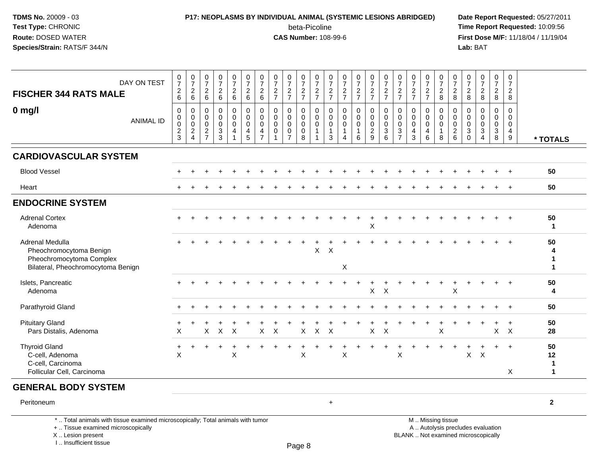# **P17: NEOPLASMS BY INDIVIDUAL ANIMAL (SYSTEMIC LESIONS ABRIDGED) Date Report Requested:** 05/27/2011

beta-Picoline<br>CAS Number: 108-99-6

 **Time Report Requested:** 10:09:56 **First Dose M/F:** 11/18/04 / 11/19/04<br>Lab: BAT **Lab:** BAT

| DAY ON TEST<br><b>FISCHER 344 RATS MALE</b>                                                                  | $\frac{0}{7}$<br>$\overline{c}$<br>6                         | $\frac{0}{7}$<br>$^2\phantom{1}6$                                           | $\frac{0}{7}$<br>$\overline{2}$<br>$6\phantom{1}6$                        | $\frac{0}{7}$<br>$\overline{c}$<br>$\,6\,$       | 0<br>$\overline{7}$<br>$\frac{2}{6}$                | $\frac{0}{7}$<br>$\overline{a}$<br>$\,6\,$          | $\frac{0}{7}$<br>$\boldsymbol{2}$<br>$\,6\,$                        | $\frac{0}{7}$<br>$rac{2}{7}$                             | $\frac{0}{7}$<br>$\frac{2}{7}$                                 | $\frac{0}{7}$<br>$\frac{2}{7}$                                | $\frac{0}{7}$<br>$\frac{2}{7}$       | $\frac{0}{7}$<br>$rac{2}{7}$                         | $\frac{0}{7}$<br>$\frac{2}{7}$                                 | $\frac{0}{7}$<br>$\frac{2}{7}$                                 | $\frac{0}{7}$<br>$\frac{2}{7}$                                         | $\frac{0}{7}$<br>$\frac{2}{7}$                       | $\frac{0}{7}$<br>$\frac{2}{7}$                                            | $\frac{0}{7}$<br>$\frac{2}{7}$  | $\frac{0}{7}$<br>$\frac{2}{7}$                                | $\frac{0}{7}$<br>$\frac{2}{8}$                       | $\frac{0}{7}$<br>8                                              | $\frac{0}{7}$<br>$\boldsymbol{2}$<br>$\,8\,$              | $\frac{0}{7}$<br>$\frac{2}{8}$             | $\frac{0}{7}$<br>$\frac{2}{8}$                                 | 0<br>$\overline{7}$<br>$\overline{2}$<br>8 |                   |
|--------------------------------------------------------------------------------------------------------------|--------------------------------------------------------------|-----------------------------------------------------------------------------|---------------------------------------------------------------------------|--------------------------------------------------|-----------------------------------------------------|-----------------------------------------------------|---------------------------------------------------------------------|----------------------------------------------------------|----------------------------------------------------------------|---------------------------------------------------------------|--------------------------------------|------------------------------------------------------|----------------------------------------------------------------|----------------------------------------------------------------|------------------------------------------------------------------------|------------------------------------------------------|---------------------------------------------------------------------------|---------------------------------|---------------------------------------------------------------|------------------------------------------------------|-----------------------------------------------------------------|-----------------------------------------------------------|--------------------------------------------|----------------------------------------------------------------|--------------------------------------------|-------------------|
| $0$ mg/l<br><b>ANIMAL ID</b>                                                                                 | $\mathbf 0$<br>$\pmb{0}$<br>$\pmb{0}$<br>$\overline{2}$<br>3 | $\mathbf 0$<br>0<br>$\mathsf{O}\xspace$<br>$\overline{2}$<br>$\overline{4}$ | $\mathbf 0$<br>$\mathbf 0$<br>$\mathbf 0$<br>$\sqrt{2}$<br>$\overline{7}$ | 0<br>$\mathbf 0$<br>$\pmb{0}$<br>$\sqrt{3}$<br>3 | $\mathbf 0$<br>$\mathbf 0$<br>$\mathbf 0$<br>4<br>1 | $\mathbf 0$<br>$\mathbf 0$<br>$\mathbf 0$<br>4<br>5 | $\mathbf 0$<br>0<br>$\mathbf 0$<br>$\overline{4}$<br>$\overline{7}$ | $\mathbf 0$<br>$\mathbf 0$<br>$\mathbf 0$<br>$\mathbf 0$ | 0<br>0<br>$\mathbf 0$<br>$\mathsf{O}\xspace$<br>$\overline{7}$ | $\mathbf 0$<br>$\mathbf 0$<br>$\mathbf 0$<br>$\mathbf 0$<br>8 | $\mathbf 0$<br>0<br>$\mathbf 0$<br>1 | 0<br>$\mathbf 0$<br>$\mathbf 0$<br>$\mathbf{1}$<br>3 | 0<br>$\boldsymbol{0}$<br>$\pmb{0}$<br>$\mathbf{1}$<br>$\Delta$ | $\mathbf 0$<br>$\mathbf 0$<br>$\mathbf 0$<br>$\mathbf{1}$<br>6 | $\mathbf 0$<br>$\pmb{0}$<br>$\mathsf{O}\xspace$<br>$\overline{c}$<br>9 | 0<br>$\mathbf 0$<br>$\mathbf 0$<br>$\mathbf{3}$<br>6 | $\mathbf 0$<br>$\mathbf 0$<br>$\mathbf 0$<br>$\sqrt{3}$<br>$\overline{7}$ | 0<br>0<br>$\mathbf 0$<br>4<br>3 | 0<br>$\mathbf 0$<br>$\pmb{0}$<br>$\overline{\mathbf{4}}$<br>6 | $\mathbf 0$<br>0<br>$\mathsf 0$<br>$\mathbf{1}$<br>8 | $\mathbf 0$<br>$\boldsymbol{0}$<br>$\mathbf 0$<br>$\frac{2}{6}$ | $\mathbf 0$<br>0<br>$\mathbf 0$<br>$\sqrt{3}$<br>$\Omega$ | 0<br>0<br>$\mathbf 0$<br>$\mathbf{3}$<br>4 | $\mathbf 0$<br>$\mathbf 0$<br>$\pmb{0}$<br>$\overline{3}$<br>8 | $\mathbf 0$<br>$\Omega$<br>0<br>4<br>9     | * TOTALS          |
| <b>CARDIOVASCULAR SYSTEM</b>                                                                                 |                                                              |                                                                             |                                                                           |                                                  |                                                     |                                                     |                                                                     |                                                          |                                                                |                                                               |                                      |                                                      |                                                                |                                                                |                                                                        |                                                      |                                                                           |                                 |                                                               |                                                      |                                                                 |                                                           |                                            |                                                                |                                            |                   |
| <b>Blood Vessel</b>                                                                                          |                                                              |                                                                             |                                                                           |                                                  |                                                     |                                                     |                                                                     |                                                          |                                                                |                                                               |                                      |                                                      |                                                                |                                                                |                                                                        |                                                      |                                                                           |                                 |                                                               |                                                      |                                                                 |                                                           |                                            |                                                                |                                            | 50                |
| Heart                                                                                                        |                                                              |                                                                             |                                                                           |                                                  |                                                     |                                                     |                                                                     |                                                          |                                                                |                                                               |                                      |                                                      |                                                                |                                                                |                                                                        |                                                      |                                                                           |                                 |                                                               |                                                      |                                                                 |                                                           |                                            |                                                                | $\overline{+}$                             | 50                |
| <b>ENDOCRINE SYSTEM</b>                                                                                      |                                                              |                                                                             |                                                                           |                                                  |                                                     |                                                     |                                                                     |                                                          |                                                                |                                                               |                                      |                                                      |                                                                |                                                                |                                                                        |                                                      |                                                                           |                                 |                                                               |                                                      |                                                                 |                                                           |                                            |                                                                |                                            |                   |
| <b>Adrenal Cortex</b><br>Adenoma                                                                             |                                                              |                                                                             |                                                                           |                                                  |                                                     |                                                     |                                                                     |                                                          |                                                                |                                                               |                                      |                                                      |                                                                |                                                                | $\mathsf X$                                                            |                                                      |                                                                           |                                 |                                                               |                                                      |                                                                 |                                                           |                                            |                                                                |                                            | 50<br>$\mathbf 1$ |
| Adrenal Medulla<br>Pheochromocytoma Benign<br>Pheochromocytoma Complex<br>Bilateral, Pheochromocytoma Benign |                                                              |                                                                             |                                                                           |                                                  |                                                     |                                                     |                                                                     |                                                          |                                                                |                                                               | X                                    | X                                                    | X                                                              |                                                                |                                                                        |                                                      |                                                                           |                                 |                                                               |                                                      |                                                                 |                                                           |                                            |                                                                |                                            | 50<br>4           |
| Islets, Pancreatic<br>Adenoma                                                                                |                                                              |                                                                             |                                                                           |                                                  |                                                     |                                                     |                                                                     |                                                          |                                                                |                                                               |                                      |                                                      |                                                                |                                                                | $\pmb{\times}$                                                         | $\times$                                             |                                                                           |                                 |                                                               | $\div$                                               | Χ                                                               |                                                           |                                            |                                                                | $\overline{+}$                             | 50<br>4           |
| Parathyroid Gland                                                                                            |                                                              |                                                                             |                                                                           |                                                  |                                                     |                                                     |                                                                     |                                                          |                                                                |                                                               |                                      |                                                      |                                                                |                                                                |                                                                        |                                                      |                                                                           |                                 |                                                               |                                                      |                                                                 |                                                           |                                            |                                                                |                                            | 50                |
| <b>Pituitary Gland</b><br>Pars Distalis, Adenoma                                                             | X                                                            |                                                                             | $\mathsf{X}$                                                              | $\boldsymbol{\mathsf{X}}$                        | $\mathsf{X}$                                        |                                                     | $\mathsf{X}$                                                        | $\boldsymbol{\mathsf{X}}$                                |                                                                | $\mathsf{X}$                                                  | $\mathsf{X}$                         | $\mathsf{X}$                                         |                                                                |                                                                | $\mathsf X$                                                            | $\times$                                             |                                                                           |                                 |                                                               | $\boldsymbol{\mathsf{X}}$                            |                                                                 |                                                           |                                            | $\mathsf{X}$                                                   | $\ddot{}$<br>$\mathsf{X}$                  | 50<br>28          |
| <b>Thyroid Gland</b><br>C-cell, Adenoma<br>C-cell, Carcinoma<br>Follicular Cell, Carcinoma                   | $\ddot{}$<br>$\boldsymbol{\mathsf{X}}$                       |                                                                             |                                                                           |                                                  | X                                                   |                                                     |                                                                     |                                                          |                                                                | X                                                             |                                      |                                                      | $\sf X$                                                        |                                                                |                                                                        |                                                      | X                                                                         |                                 |                                                               |                                                      |                                                                 | X                                                         | $\sf X$                                    |                                                                | $\overline{+}$<br>X                        | 50<br>12<br>1     |

#### **GENERAL BODY SYSTEM**

Peritoneum<sup>+</sup> **<sup>2</sup>**

\* .. Total animals with tissue examined microscopically; Total animals with tumor

+ .. Tissue examined microscopically

X .. Lesion present

I .. Insufficient tissue

 M .. Missing tissuey the contract of the contract of the contract of the contract of the contract of  $\mathsf A$  . Autolysis precludes evaluation Lesion present BLANK .. Not examined microscopically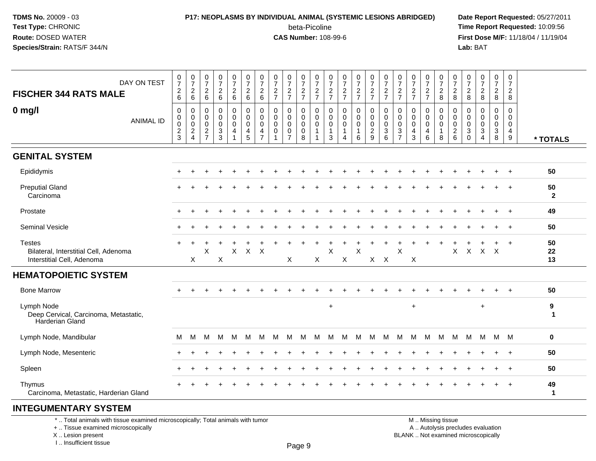# **P17: NEOPLASMS BY INDIVIDUAL ANIMAL (SYSTEMIC LESIONS ABRIDGED) Date Report Requested:** 05/27/2011

beta-Picoline<br>CAS Number: 108-99-6

 **Time Report Requested:** 10:09:56 **First Dose M/F:** 11/18/04 / 11/19/04<br>**Lab:** BAT **Lab:** BAT

| DAY ON TEST<br><b>FISCHER 344 RATS MALE</b>                                          | 0<br>$\boldsymbol{7}$<br>$\overline{c}$<br>6          | $\frac{0}{7}$<br>$^2$ 6                                          | $\begin{smallmatrix}0\\7\end{smallmatrix}$<br>$\overline{c}$<br>$6\phantom{1}$ | $\frac{0}{7}$<br>$\overline{c}$<br>$\,6\,$                    | $\frac{0}{7}$<br>$\overline{c}$<br>$\,6\,$ | $\frac{0}{7}$<br>$\overline{c}$<br>$\,6\,$                       | 0<br>$\overline{7}$<br>$\overline{c}$<br>6             | 0<br>$\overline{7}$<br>$\overline{2}$<br>$\overline{7}$ | $\frac{0}{7}$<br>$\overline{c}$<br>$\overline{7}$ | 0<br>$\boldsymbol{7}$<br>$\frac{2}{7}$              | 0<br>$\overline{7}$<br>$\frac{2}{7}$                                      | 0<br>$\overline{7}$<br>$\boldsymbol{2}$<br>$\overline{7}$ | $\frac{0}{7}$<br>$\frac{2}{7}$                         | $\frac{0}{7}$<br>$\frac{2}{7}$           | $\begin{smallmatrix}0\\7\end{smallmatrix}$<br>$\overline{c}$<br>$\overline{7}$ | $\frac{0}{7}$<br>$\frac{2}{7}$                                 | 0<br>$\overline{7}$<br>$\overline{c}$<br>$\overline{7}$           | 0<br>$\overline{\mathcal{I}}$<br>$\boldsymbol{2}$<br>$\overline{7}$ | 0<br>$\overline{7}$<br>$\frac{2}{7}$ | $\frac{0}{7}$<br>$_{8}^{\rm 2}$                    | 0<br>$\overline{7}$<br>$\boldsymbol{2}$<br>$\,8\,$                    | 0<br>$\overline{7}$<br>$\overline{c}$<br>$\,8\,$ | $\frac{0}{7}$<br>$\overline{c}$<br>8                        | 0<br>$\overline{7}$<br>$\overline{c}$<br>8           | 0<br>$\overline{7}$<br>$\overline{c}$<br>$\bf 8$ |                    |
|--------------------------------------------------------------------------------------|-------------------------------------------------------|------------------------------------------------------------------|--------------------------------------------------------------------------------|---------------------------------------------------------------|--------------------------------------------|------------------------------------------------------------------|--------------------------------------------------------|---------------------------------------------------------|---------------------------------------------------|-----------------------------------------------------|---------------------------------------------------------------------------|-----------------------------------------------------------|--------------------------------------------------------|------------------------------------------|--------------------------------------------------------------------------------|----------------------------------------------------------------|-------------------------------------------------------------------|---------------------------------------------------------------------|--------------------------------------|----------------------------------------------------|-----------------------------------------------------------------------|--------------------------------------------------|-------------------------------------------------------------|------------------------------------------------------|--------------------------------------------------|--------------------|
| $0$ mg/l<br><b>ANIMAL ID</b>                                                         | 0<br>0<br>$\mathbf 0$<br>$\overline{\mathbf{c}}$<br>3 | 0<br>0<br>$\pmb{0}$<br>$\overline{\mathbf{c}}$<br>$\overline{4}$ | 0<br>0<br>$\mathbf 0$<br>$rac{2}{7}$                                           | $\pmb{0}$<br>0<br>$\pmb{0}$<br>$\ensuremath{\mathsf{3}}$<br>3 | 0<br>0<br>$\mathbf 0$<br>$\overline{4}$    | $\mathbf 0$<br>$\mathbf 0$<br>$\mathbf 0$<br>$\overline{a}$<br>5 | 0<br>$\mathbf 0$<br>$\mathbf 0$<br>4<br>$\overline{7}$ | $\mathbf 0$<br>$\mathbf 0$<br>$\mathbf 0$<br>0          | 0<br>$\mathbf 0$<br>$\mathbf 0$<br>0              | 0<br>$\mathbf 0$<br>$\mathbf 0$<br>$\mathbf 0$<br>8 | $\mathbf 0$<br>$\mathbf 0$<br>$\mathbf 0$<br>$\mathbf{1}$<br>$\mathbf{1}$ | $\mathbf 0$<br>0<br>$\mathbf 0$<br>-1<br>3                | $\mathbf 0$<br>0<br>$\mathbf 0$<br>1<br>$\overline{4}$ | $\pmb{0}$<br>0<br>0<br>$\mathbf{1}$<br>6 | 0<br>0<br>0<br>$\overline{c}$<br>9                                             | $\mathbf 0$<br>$\mathbf 0$<br>$\mathbf 0$<br>$\mathbf{3}$<br>6 | 0<br>$\mathbf 0$<br>$\mathbf 0$<br>$\mathbf{3}$<br>$\overline{7}$ | 0<br>$\mathbf 0$<br>$\mathbf 0$<br>4<br>3                           | 0<br>0<br>$\mathbf 0$<br>4<br>6      | 0<br>$\pmb{0}$<br>$\mathbf 0$<br>$\mathbf{1}$<br>8 | 0<br>$\mathbf 0$<br>$\mathbf 0$<br>$\overline{\mathbf{c}}$<br>$\,6\,$ | 0<br>$\Omega$<br>$\Omega$<br>3<br>$\mathbf 0$    | 0<br>$\Omega$<br>$\Omega$<br>$\mathbf{3}$<br>$\overline{4}$ | 0<br>$\mathbf 0$<br>$\mathbf 0$<br>$\mathbf{3}$<br>8 | $\mathbf 0$<br>$\mathbf 0$<br>0<br>4<br>9        | * TOTALS           |
| <b>GENITAL SYSTEM</b>                                                                |                                                       |                                                                  |                                                                                |                                                               |                                            |                                                                  |                                                        |                                                         |                                                   |                                                     |                                                                           |                                                           |                                                        |                                          |                                                                                |                                                                |                                                                   |                                                                     |                                      |                                                    |                                                                       |                                                  |                                                             |                                                      |                                                  |                    |
| Epididymis                                                                           |                                                       |                                                                  |                                                                                |                                                               |                                            |                                                                  |                                                        |                                                         |                                                   |                                                     |                                                                           |                                                           |                                                        |                                          |                                                                                |                                                                |                                                                   |                                                                     |                                      |                                                    |                                                                       |                                                  |                                                             |                                                      |                                                  | 50                 |
| <b>Preputial Gland</b><br>Carcinoma                                                  |                                                       |                                                                  |                                                                                |                                                               |                                            |                                                                  |                                                        |                                                         |                                                   |                                                     |                                                                           |                                                           |                                                        |                                          |                                                                                |                                                                |                                                                   |                                                                     |                                      |                                                    |                                                                       |                                                  |                                                             |                                                      | $\overline{+}$                                   | 50<br>$\mathbf{2}$ |
| Prostate                                                                             |                                                       |                                                                  |                                                                                |                                                               |                                            |                                                                  |                                                        |                                                         |                                                   |                                                     |                                                                           |                                                           |                                                        |                                          |                                                                                |                                                                |                                                                   |                                                                     |                                      |                                                    |                                                                       |                                                  |                                                             |                                                      | $\overline{ }$                                   | 49                 |
| <b>Seminal Vesicle</b>                                                               |                                                       |                                                                  |                                                                                |                                                               |                                            |                                                                  |                                                        |                                                         |                                                   |                                                     |                                                                           |                                                           |                                                        |                                          |                                                                                |                                                                |                                                                   |                                                                     |                                      |                                                    |                                                                       |                                                  |                                                             |                                                      | $^{+}$                                           | 50                 |
| <b>Testes</b><br>Bilateral, Interstitial Cell, Adenoma<br>Interstitial Cell, Adenoma |                                                       | X                                                                | X                                                                              | X                                                             | $\pmb{\times}$                             |                                                                  | $X$ $X$                                                |                                                         | X                                                 |                                                     | X                                                                         | X                                                         | X                                                      | X                                        |                                                                                | $X$ $X$                                                        | X                                                                 | X                                                                   |                                      |                                                    | X                                                                     | $\mathsf{X}$                                     | $X$ $X$                                                     |                                                      | $\ddot{}$                                        | 50<br>22<br>13     |
| <b>HEMATOPOIETIC SYSTEM</b>                                                          |                                                       |                                                                  |                                                                                |                                                               |                                            |                                                                  |                                                        |                                                         |                                                   |                                                     |                                                                           |                                                           |                                                        |                                          |                                                                                |                                                                |                                                                   |                                                                     |                                      |                                                    |                                                                       |                                                  |                                                             |                                                      |                                                  |                    |
| <b>Bone Marrow</b>                                                                   |                                                       |                                                                  |                                                                                |                                                               |                                            |                                                                  |                                                        |                                                         |                                                   |                                                     |                                                                           |                                                           |                                                        |                                          |                                                                                |                                                                |                                                                   |                                                                     |                                      |                                                    |                                                                       |                                                  |                                                             |                                                      |                                                  | 50                 |
| Lymph Node<br>Deep Cervical, Carcinoma, Metastatic,<br><b>Harderian Gland</b>        |                                                       |                                                                  |                                                                                |                                                               |                                            |                                                                  |                                                        |                                                         |                                                   |                                                     |                                                                           | $\ddot{}$                                                 |                                                        |                                          |                                                                                |                                                                |                                                                   | $\ddot{}$                                                           |                                      |                                                    |                                                                       |                                                  | $\ddot{}$                                                   |                                                      |                                                  | 9<br>$\mathbf 1$   |
| Lymph Node, Mandibular                                                               | M                                                     | M                                                                | M                                                                              | M                                                             | м                                          | M                                                                | M                                                      | м                                                       | M                                                 | м                                                   | м                                                                         | М                                                         | м                                                      | M                                        | M                                                                              | м                                                              | M                                                                 | M                                                                   | M                                    | M                                                  | M                                                                     | м                                                | M                                                           |                                                      | M M                                              | $\mathbf 0$        |
| Lymph Node, Mesenteric                                                               |                                                       |                                                                  |                                                                                |                                                               |                                            |                                                                  |                                                        |                                                         |                                                   |                                                     |                                                                           |                                                           |                                                        |                                          |                                                                                |                                                                |                                                                   |                                                                     |                                      |                                                    |                                                                       |                                                  |                                                             |                                                      | $\ddot{}$                                        | 50                 |
| Spleen                                                                               |                                                       |                                                                  |                                                                                |                                                               |                                            |                                                                  |                                                        |                                                         |                                                   |                                                     |                                                                           |                                                           |                                                        |                                          |                                                                                |                                                                |                                                                   |                                                                     |                                      |                                                    |                                                                       |                                                  |                                                             |                                                      |                                                  | 50                 |
| Thymus<br>Carcinoma, Metastatic, Harderian Gland                                     |                                                       |                                                                  |                                                                                |                                                               |                                            |                                                                  |                                                        |                                                         |                                                   |                                                     |                                                                           |                                                           |                                                        |                                          |                                                                                |                                                                |                                                                   |                                                                     |                                      |                                                    |                                                                       |                                                  |                                                             |                                                      | $\overline{+}$                                   | 49<br>$\mathbf{1}$ |
|                                                                                      |                                                       |                                                                  |                                                                                |                                                               |                                            |                                                                  |                                                        |                                                         |                                                   |                                                     |                                                                           |                                                           |                                                        |                                          |                                                                                |                                                                |                                                                   |                                                                     |                                      |                                                    |                                                                       |                                                  |                                                             |                                                      |                                                  |                    |

#### **INTEGUMENTARY SYSTEM**

\* .. Total animals with tissue examined microscopically; Total animals with tumor

+ .. Tissue examined microscopically

X .. Lesion present

I .. Insufficient tissue

M .. Missing tissue

y the contract of the contract of the contract of the contract of the contract of  $\mathsf A$  . Autolysis precludes evaluation

Lesion present BLANK .. Not examined microscopically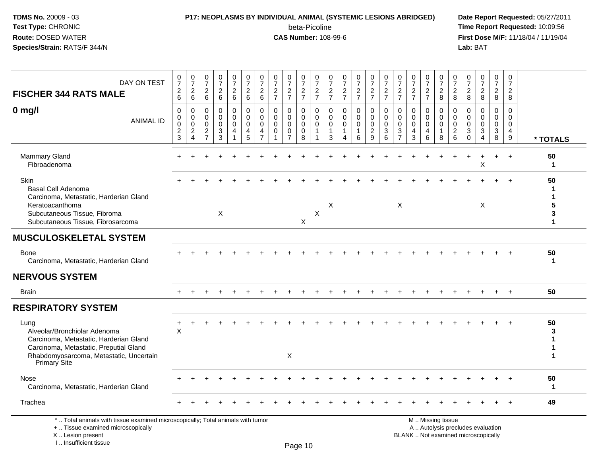# **P17: NEOPLASMS BY INDIVIDUAL ANIMAL (SYSTEMIC LESIONS ABRIDGED) Date Report Requested:** 05/27/2011

beta-Picoline<br>CAS Number: 108-99-6

 **Time Report Requested:** 10:09:56 **First Dose M/F:** 11/18/04 / 11/19/04<br>**Lab:** BAT **Lab:** BAT

| DAY ON TEST<br><b>FISCHER 344 RATS MALE</b>                                                                                                                                         | $\frac{0}{7}$<br>$\boldsymbol{2}$<br>6        | $\frac{0}{7}$<br>$\boldsymbol{2}$<br>6                              | $\frac{0}{7}$<br>$\sqrt{2}$<br>6                     | $\begin{array}{c} 0 \\ 7 \end{array}$<br>$\sqrt{2}$<br>$6\phantom{1}$ | $\begin{smallmatrix}0\\7\end{smallmatrix}$<br>$\begin{array}{c} 2 \\ 6 \end{array}$ | $\frac{0}{7}$<br>$\sqrt{2}$<br>6                           | $\frac{0}{7}$<br>$\mathbf 2$<br>6                       | $\frac{0}{7}$<br>$\frac{2}{7}$                        | $\frac{0}{7}$<br>$\frac{2}{7}$                                    | $\frac{0}{7}$<br>$\frac{2}{7}$                    | $\frac{0}{7}$<br>$\frac{2}{7}$                           | 0<br>$\overline{7}$<br>$\frac{2}{7}$               | $\frac{0}{7}$<br>$\frac{2}{7}$                                  | $\frac{0}{7}$<br>$\frac{2}{7}$    | $\frac{0}{7}$<br>$\frac{2}{7}$                                | $\frac{0}{7}$<br>$\frac{2}{7}$                  | $\frac{0}{7}$<br>$\frac{2}{7}$                    | $\frac{0}{7}$<br>$\frac{2}{7}$                                 | $\frac{0}{7}$<br>$\frac{2}{7}$                   | $\frac{0}{7}$<br>$_{8}^2$                            | 0<br>$\overline{7}$<br>$\overline{a}$<br>8    | 0<br>$\overline{7}$<br>$_{\rm 8}^2$                         | $\begin{smallmatrix}0\\7\end{smallmatrix}$<br>$\frac{2}{8}$              | 0<br>$\frac{5}{7}$<br>$\overline{c}$<br>8 | $\mathbf 0$<br>$\overline{7}$<br>$\sqrt{2}$<br>8                  |                    |
|-------------------------------------------------------------------------------------------------------------------------------------------------------------------------------------|-----------------------------------------------|---------------------------------------------------------------------|------------------------------------------------------|-----------------------------------------------------------------------|-------------------------------------------------------------------------------------|------------------------------------------------------------|---------------------------------------------------------|-------------------------------------------------------|-------------------------------------------------------------------|---------------------------------------------------|----------------------------------------------------------|----------------------------------------------------|-----------------------------------------------------------------|-----------------------------------|---------------------------------------------------------------|-------------------------------------------------|---------------------------------------------------|----------------------------------------------------------------|--------------------------------------------------|------------------------------------------------------|-----------------------------------------------|-------------------------------------------------------------|--------------------------------------------------------------------------|-------------------------------------------|-------------------------------------------------------------------|--------------------|
| $0$ mg/l<br><b>ANIMAL ID</b>                                                                                                                                                        | $\Omega$<br>$\mathbf 0$<br>0<br>$\frac{2}{3}$ | 0<br>0<br>$\mathsf{O}\xspace$<br>$\boldsymbol{2}$<br>$\overline{4}$ | $\Omega$<br>$\mathbf 0$<br>$\Omega$<br>$\frac{2}{7}$ | 0<br>$\mathbf 0$<br>0<br>$\frac{3}{3}$                                | 0<br>$\mathsf{O}\xspace$<br>$\mathsf{O}\xspace$<br>$\overline{a}$                   | $\mathbf 0$<br>$\mathbf 0$<br>$\mathbf 0$<br>$\frac{4}{5}$ | $\Omega$<br>$\Omega$<br>$\Omega$<br>4<br>$\overline{7}$ | $\Omega$<br>$\mathbf 0$<br>$\mathbf 0$<br>$\mathbf 0$ | $\mathbf{0}$<br>$\mathbf 0$<br>0<br>$\mathbf 0$<br>$\overline{7}$ | $\Omega$<br>0<br>$\mathbf 0$<br>$\mathsf{O}$<br>8 | $\Omega$<br>$\mathbf 0$<br>$\mathbf 0$<br>$\overline{1}$ | $\Omega$<br>$\mathbf{0}$<br>0<br>$\mathbf{1}$<br>3 | $\Omega$<br>$\Omega$<br>$\Omega$<br>1<br>$\boldsymbol{\Lambda}$ | $\Omega$<br>$\mathbf 0$<br>0<br>6 | $\Omega$<br>$\mathbf 0$<br>$\mathbf 0$<br>$\overline{c}$<br>9 | $\Omega$<br>$\mathbf 0$<br>0<br>$\sqrt{3}$<br>6 | $\mathbf{0}$<br>$\mathbf 0$<br>0<br>$\frac{3}{7}$ | $\Omega$<br>$\mathbf{0}$<br>$\mathbf 0$<br>$\overline{4}$<br>3 | $\Omega$<br>$\mathbf 0$<br>$\mathbf 0$<br>4<br>6 | 0<br>$\mathbf 0$<br>$\mathbf 0$<br>$\mathbf{1}$<br>8 | $\Omega$<br>0<br>$\mathbf 0$<br>$\frac{2}{6}$ | $\Omega$<br>0<br>0<br>$\ensuremath{\mathsf{3}}$<br>$\Omega$ | $\Omega$<br>$\Omega$<br>0<br>$\ensuremath{\mathsf{3}}$<br>$\overline{4}$ | 0<br>$\mathbf 0$<br>0<br>$\sqrt{3}$<br>8  | $\Omega$<br>$\mathbf 0$<br>$\mathbf 0$<br>$\overline{4}$<br>$9\,$ | * TOTALS           |
| Mammary Gland<br>Fibroadenoma                                                                                                                                                       |                                               |                                                                     |                                                      |                                                                       |                                                                                     |                                                            |                                                         |                                                       |                                                                   |                                                   |                                                          |                                                    |                                                                 |                                   |                                                               |                                                 |                                                   |                                                                |                                                  |                                                      |                                               |                                                             | X                                                                        |                                           | $\overline{+}$                                                    | 50<br>1            |
| Skin<br><b>Basal Cell Adenoma</b><br>Carcinoma, Metastatic, Harderian Gland<br>Keratoacanthoma<br>Subcutaneous Tissue, Fibroma<br>Subcutaneous Tissue, Fibrosarcoma                 |                                               |                                                                     |                                                      | $\times$                                                              |                                                                                     |                                                            |                                                         |                                                       |                                                                   | X                                                 | X                                                        | X                                                  |                                                                 |                                   |                                                               |                                                 | X                                                 |                                                                |                                                  |                                                      |                                               |                                                             | X                                                                        |                                           |                                                                   | 50<br>5<br>3<br>1  |
| <b>MUSCULOSKELETAL SYSTEM</b>                                                                                                                                                       |                                               |                                                                     |                                                      |                                                                       |                                                                                     |                                                            |                                                         |                                                       |                                                                   |                                                   |                                                          |                                                    |                                                                 |                                   |                                                               |                                                 |                                                   |                                                                |                                                  |                                                      |                                               |                                                             |                                                                          |                                           |                                                                   |                    |
| <b>Bone</b><br>Carcinoma, Metastatic, Harderian Gland                                                                                                                               |                                               |                                                                     |                                                      |                                                                       |                                                                                     |                                                            |                                                         |                                                       |                                                                   |                                                   |                                                          |                                                    |                                                                 |                                   |                                                               |                                                 |                                                   |                                                                |                                                  |                                                      |                                               |                                                             |                                                                          |                                           |                                                                   | 50<br>$\mathbf{1}$ |
| <b>NERVOUS SYSTEM</b>                                                                                                                                                               |                                               |                                                                     |                                                      |                                                                       |                                                                                     |                                                            |                                                         |                                                       |                                                                   |                                                   |                                                          |                                                    |                                                                 |                                   |                                                               |                                                 |                                                   |                                                                |                                                  |                                                      |                                               |                                                             |                                                                          |                                           |                                                                   |                    |
| <b>Brain</b>                                                                                                                                                                        |                                               |                                                                     |                                                      |                                                                       |                                                                                     |                                                            |                                                         |                                                       |                                                                   |                                                   |                                                          |                                                    |                                                                 |                                   |                                                               |                                                 |                                                   |                                                                |                                                  |                                                      |                                               |                                                             |                                                                          |                                           |                                                                   | 50                 |
| <b>RESPIRATORY SYSTEM</b>                                                                                                                                                           |                                               |                                                                     |                                                      |                                                                       |                                                                                     |                                                            |                                                         |                                                       |                                                                   |                                                   |                                                          |                                                    |                                                                 |                                   |                                                               |                                                 |                                                   |                                                                |                                                  |                                                      |                                               |                                                             |                                                                          |                                           |                                                                   |                    |
| Lung<br>Alveolar/Bronchiolar Adenoma<br>Carcinoma, Metastatic, Harderian Gland<br>Carcinoma, Metastatic, Preputial Gland<br>Rhabdomyosarcoma, Metastatic, Uncertain<br>Primary Site | $\sf X$                                       |                                                                     |                                                      |                                                                       |                                                                                     |                                                            |                                                         |                                                       | X                                                                 |                                                   |                                                          |                                                    |                                                                 |                                   |                                                               |                                                 |                                                   |                                                                |                                                  |                                                      |                                               |                                                             |                                                                          |                                           |                                                                   | 50<br>3            |
| <b>Nose</b><br>Carcinoma, Metastatic, Harderian Gland                                                                                                                               |                                               |                                                                     |                                                      |                                                                       |                                                                                     |                                                            |                                                         |                                                       |                                                                   |                                                   |                                                          |                                                    |                                                                 |                                   |                                                               |                                                 |                                                   |                                                                |                                                  |                                                      |                                               |                                                             |                                                                          |                                           |                                                                   | 50<br>$\mathbf 1$  |
| Trachea                                                                                                                                                                             |                                               |                                                                     |                                                      |                                                                       |                                                                                     |                                                            |                                                         |                                                       |                                                                   |                                                   |                                                          |                                                    |                                                                 |                                   |                                                               |                                                 |                                                   |                                                                |                                                  |                                                      |                                               |                                                             |                                                                          |                                           |                                                                   | 49                 |
| *  Total animals with tissue examined microscopically; Total animals with tumor<br>+  Tissue examined microscopically                                                               |                                               |                                                                     |                                                      |                                                                       |                                                                                     |                                                            |                                                         |                                                       |                                                                   |                                                   |                                                          |                                                    |                                                                 |                                   |                                                               |                                                 |                                                   |                                                                |                                                  | M  Missing tissue                                    |                                               |                                                             | A  Autolysis precludes evaluation                                        |                                           |                                                                   |                    |

X .. Lesion present

I .. Insufficient tissue

Lesion present BLANK .. Not examined microscopically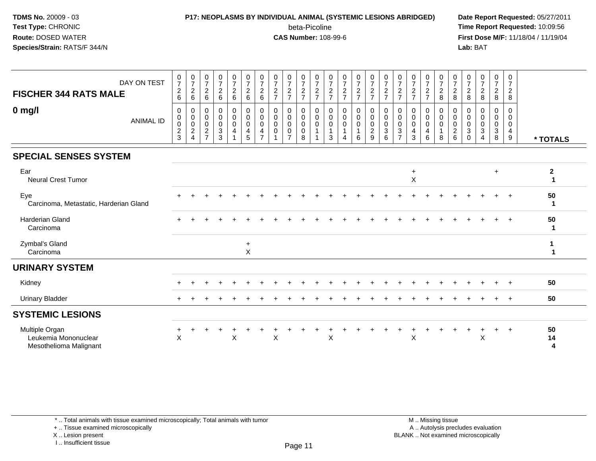#### **P17: NEOPLASMS BY INDIVIDUAL ANIMAL (SYSTEMIC LESIONS ABRIDGED) Date Report Requested:** 05/27/2011

beta-Picoline<br>CAS Number: 108-99-6

 **Time Report Requested:** 10:09:56 **First Dose M/F:** 11/18/04 / 11/19/04<br>**Lab:** BAT **Lab:** BAT

| DAY ON TEST<br><b>FISCHER 344 RATS MALE</b>                      | $\frac{0}{7}$<br>$\sqrt{2}$<br>$6\phantom{1}$                                       | $\frac{0}{7}$<br>$\overline{2}$<br>6 | $\frac{0}{7}$<br>$\sqrt{2}$<br>6                          | $\frac{0}{7}$<br>$\overline{a}$<br>$\,6\,$                  | $\frac{0}{7}$<br>$\overline{2}$<br>$\,6\,$                      | $\frac{0}{7}$<br>$\sqrt{2}$<br>6                    | $\frac{0}{7}$<br>$\overline{2}$<br>6                | $\frac{0}{7}$<br>$\sqrt{2}$<br>$\overline{7}$ | $\frac{0}{7}$<br>$\overline{c}$<br>$\overline{7}$ | $\frac{0}{7}$<br>$\overline{c}$<br>$\overline{7}$ | $\frac{0}{7}$<br>$\sqrt{2}$<br>$\overline{7}$ | $\frac{0}{7}$<br>$\frac{2}{7}$ | $\frac{0}{7}$<br>$\boldsymbol{2}$<br>$\overline{7}$          | $\frac{0}{7}$<br>$\frac{2}{7}$       | $\frac{0}{7}$<br>$rac{2}{7}$                           | $\frac{0}{7}$<br>$\overline{c}$<br>$\overline{7}$ | $\frac{0}{7}$<br>$\frac{2}{7}$                        | $\frac{0}{7}$<br>$\sqrt{2}$<br>$\overline{7}$ | $\frac{0}{7}$<br>$\overline{c}$<br>$\overline{7}$ | $\frac{0}{7}$<br>$\boldsymbol{2}$<br>8 | $\frac{0}{7}$<br>$\overline{c}$<br>8                                     | 0<br>$\overline{7}$<br>$\overline{2}$<br>8 | $\frac{0}{7}$<br>$\boldsymbol{2}$<br>8                          | $\frac{0}{7}$<br>$\overline{a}$<br>8 | 0<br>$\overline{7}$<br>$\overline{a}$<br>8 |                                     |
|------------------------------------------------------------------|-------------------------------------------------------------------------------------|--------------------------------------|-----------------------------------------------------------|-------------------------------------------------------------|-----------------------------------------------------------------|-----------------------------------------------------|-----------------------------------------------------|-----------------------------------------------|---------------------------------------------------|---------------------------------------------------|-----------------------------------------------|--------------------------------|--------------------------------------------------------------|--------------------------------------|--------------------------------------------------------|---------------------------------------------------|-------------------------------------------------------|-----------------------------------------------|---------------------------------------------------|----------------------------------------|--------------------------------------------------------------------------|--------------------------------------------|-----------------------------------------------------------------|--------------------------------------|--------------------------------------------|-------------------------------------|
| $0$ mg/l<br><b>ANIMAL ID</b>                                     | $\mathbf 0$<br>$\mathsf{O}\xspace$<br>$\,0\,$<br>$\boldsymbol{2}$<br>$\overline{3}$ | 0<br>0<br>0<br>$\sqrt{2}$<br>4       | 0<br>0<br>$\mathbf 0$<br>$\overline{c}$<br>$\overline{7}$ | 0<br>$\boldsymbol{0}$<br>$\mathbf 0$<br>3<br>$\overline{3}$ | 0<br>$\mathbf 0$<br>$\mathbf 0$<br>4<br>$\overline{\mathbf{A}}$ | $\mathbf 0$<br>$\mathbf 0$<br>$\mathbf 0$<br>4<br>5 | 0<br>$\mathbf 0$<br>$\Omega$<br>4<br>$\overline{z}$ | 0<br>$\mathbf 0$<br>$\mathbf 0$<br>0          | 0<br>0<br>0<br>0<br>$\overline{ }$                | 0<br>$\pmb{0}$<br>$\pmb{0}$<br>0<br>8             | 0<br>$\mathsf 0$<br>$\mathsf 0$               | 0<br>0<br>0<br>-1<br>3         | 0<br>$\pmb{0}$<br>$\mathbf 0$<br>1<br>$\boldsymbol{\Lambda}$ | 0<br>$\mathbf 0$<br>$\mathbf 0$<br>6 | 0<br>$\mathbf 0$<br>$\mathbf 0$<br>$\overline{c}$<br>9 | 0<br>$\pmb{0}$<br>$\pmb{0}$<br>$\sqrt{3}$<br>6    | 0<br>$\mathbf 0$<br>0<br>$\sqrt{3}$<br>$\overline{7}$ | 0<br>$\mathbf 0$<br>$\mathbf 0$<br>4<br>3     | 0<br>$\mathbf 0$<br>0<br>4<br>6                   | 0<br>$\mathbf 0$<br>$\mathbf 0$<br>8   | 0<br>$\boldsymbol{0}$<br>$\mathbf 0$<br>$\overline{c}$<br>$6\phantom{a}$ | 0<br>0<br>0<br>$\sqrt{3}$<br>$\Omega$      | $\mathbf 0$<br>$\mathbf 0$<br>0<br>$\sqrt{3}$<br>$\overline{4}$ | 0<br>0<br>$\mathbf 0$<br>3<br>8      | 0<br>$\mathbf 0$<br>0<br>4<br>$9\,$        | * TOTALS                            |
| <b>SPECIAL SENSES SYSTEM</b>                                     |                                                                                     |                                      |                                                           |                                                             |                                                                 |                                                     |                                                     |                                               |                                                   |                                                   |                                               |                                |                                                              |                                      |                                                        |                                                   |                                                       |                                               |                                                   |                                        |                                                                          |                                            |                                                                 |                                      |                                            |                                     |
| Ear<br><b>Neural Crest Tumor</b>                                 |                                                                                     |                                      |                                                           |                                                             |                                                                 |                                                     |                                                     |                                               |                                                   |                                                   |                                               |                                |                                                              |                                      |                                                        |                                                   |                                                       | $\ddot{}$<br>$\mathsf X$                      |                                                   |                                        |                                                                          |                                            |                                                                 | $\ddot{}$                            |                                            | $\boldsymbol{2}$                    |
| Eye<br>Carcinoma, Metastatic, Harderian Gland                    |                                                                                     |                                      |                                                           |                                                             |                                                                 |                                                     |                                                     |                                               |                                                   |                                                   |                                               |                                |                                                              |                                      |                                                        |                                                   |                                                       |                                               |                                                   |                                        |                                                                          |                                            |                                                                 |                                      |                                            | 50<br>-1                            |
| <b>Harderian Gland</b><br>Carcinoma                              |                                                                                     |                                      |                                                           |                                                             |                                                                 |                                                     |                                                     |                                               |                                                   |                                                   |                                               |                                |                                                              |                                      |                                                        |                                                   |                                                       |                                               |                                                   |                                        |                                                                          |                                            |                                                                 |                                      |                                            | 50<br>-1                            |
| Zymbal's Gland<br>Carcinoma                                      |                                                                                     |                                      |                                                           |                                                             |                                                                 | $\ddot{}$<br>$\pmb{\times}$                         |                                                     |                                               |                                                   |                                                   |                                               |                                |                                                              |                                      |                                                        |                                                   |                                                       |                                               |                                                   |                                        |                                                                          |                                            |                                                                 |                                      |                                            |                                     |
| <b>URINARY SYSTEM</b>                                            |                                                                                     |                                      |                                                           |                                                             |                                                                 |                                                     |                                                     |                                               |                                                   |                                                   |                                               |                                |                                                              |                                      |                                                        |                                                   |                                                       |                                               |                                                   |                                        |                                                                          |                                            |                                                                 |                                      |                                            |                                     |
| Kidney                                                           |                                                                                     |                                      |                                                           |                                                             |                                                                 |                                                     |                                                     |                                               |                                                   |                                                   |                                               |                                |                                                              |                                      |                                                        |                                                   |                                                       |                                               |                                                   |                                        |                                                                          |                                            |                                                                 |                                      | $+$                                        | 50                                  |
| <b>Urinary Bladder</b>                                           |                                                                                     |                                      |                                                           |                                                             |                                                                 |                                                     |                                                     |                                               |                                                   |                                                   |                                               |                                |                                                              |                                      |                                                        |                                                   |                                                       |                                               |                                                   |                                        |                                                                          |                                            |                                                                 |                                      |                                            | 50                                  |
| <b>SYSTEMIC LESIONS</b>                                          |                                                                                     |                                      |                                                           |                                                             |                                                                 |                                                     |                                                     |                                               |                                                   |                                                   |                                               |                                |                                                              |                                      |                                                        |                                                   |                                                       |                                               |                                                   |                                        |                                                                          |                                            |                                                                 |                                      |                                            |                                     |
| Multiple Organ<br>Leukemia Mononuclear<br>Mesothelioma Malignant | $\mathsf X$                                                                         |                                      |                                                           |                                                             | X                                                               |                                                     |                                                     | X                                             |                                                   |                                                   |                                               | X                              |                                                              |                                      |                                                        |                                                   |                                                       | X                                             |                                                   |                                        |                                                                          |                                            | X                                                               | $\ddot{}$                            | $\overline{+}$                             | 50<br>14<br>$\overline{\mathbf{4}}$ |

\* .. Total animals with tissue examined microscopically; Total animals with tumor

+ .. Tissue examined microscopically

X .. Lesion present

I .. Insufficient tissue

M .. Missing tissue y the contract of the contract of the contract of the contract of the contract of  $\mathsf A$  . Autolysis precludes evaluation Lesion present BLANK .. Not examined microscopically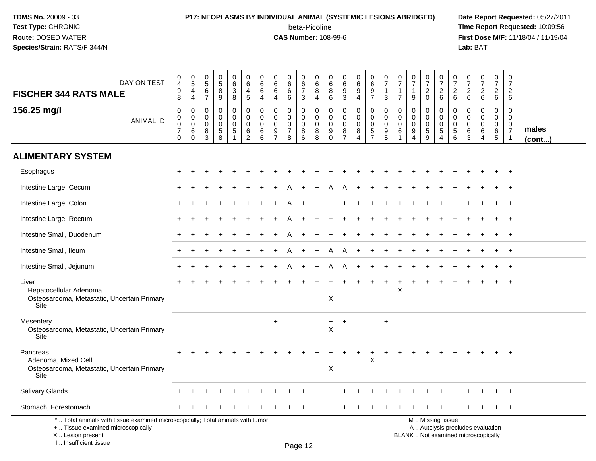### **P17: NEOPLASMS BY INDIVIDUAL ANIMAL (SYSTEMIC LESIONS ABRIDGED) Date Report Requested:** 05/27/2011 beta-Picoline<br>CAS Number: 108-99-6

 **Time Report Requested:** 10:09:56 **First Dose M/F:** 11/18/04 / 11/19/04<br>**Lab:** BAT **Lab:** BAT

| DAY ON TEST<br><b>FISCHER 344 RATS MALE</b>                                                                                                | 0<br>$\overline{4}$<br>$\boldsymbol{9}$<br>8                              | $\pmb{0}$<br>$\overline{5}$<br>$\overline{4}$<br>$\overline{a}$             | 0<br>$\sqrt{5}$<br>6<br>$\overline{7}$ | $\begin{array}{c} 0 \\ 5 \end{array}$<br>8<br>9  | $\pmb{0}$<br>$\,6\,$<br>3<br>8                          | $\mathbf 0$<br>6<br>$\overline{4}$<br>$\overline{5}$         | 0<br>$\,6\,$<br>6<br>4                            | $\Omega$<br>6<br>6<br>4                                 | 0<br>$\begin{matrix} 6 \\ 6 \end{matrix}$<br>6                | 0<br>$\,6$<br>$\overline{7}$<br>3         | $\mathbf 0$<br>$\,6\,$<br>8<br>$\overline{4}$             | 0<br>$\,6\,$<br>8<br>6                              | $\pmb{0}$<br>$\,6\,$<br>9<br>$\mathbf{3}$                     | $\pmb{0}$<br>$\frac{6}{9}$<br>4                                  | $\pmb{0}$<br>$\,6\,$<br>9<br>$\overline{7}$                      | $\pmb{0}$<br>$\overline{7}$<br>$\mathbf 1$<br>$\mathbf{3}$                    | 0<br>$\overline{7}$<br>$\overline{1}$<br>$\overline{7}$ | 0<br>$\overline{7}$<br>$\mathbf 1$<br>9                 | $\pmb{0}$<br>$\overline{7}$<br>$\overline{c}$<br>$\mathbf{0}$ | 0<br>$\overline{7}$<br>$\overline{2}$<br>$6\phantom{1}$       | 0<br>$\overline{7}$<br>$\overline{a}$<br>6 | 0<br>$\overline{7}$<br>$\overline{2}$<br>$\,6\,$ | $\begin{array}{c} 0 \\ 7 \end{array}$<br>$\overline{c}$<br>$\,6\,$       | $\pmb{0}$<br>$\overline{7}$<br>$\overline{2}$<br>6                 | $\mathbf 0$<br>$\overline{7}$<br>$\overline{2}$<br>$6\phantom{1}$    |                       |
|--------------------------------------------------------------------------------------------------------------------------------------------|---------------------------------------------------------------------------|-----------------------------------------------------------------------------|----------------------------------------|--------------------------------------------------|---------------------------------------------------------|--------------------------------------------------------------|---------------------------------------------------|---------------------------------------------------------|---------------------------------------------------------------|-------------------------------------------|-----------------------------------------------------------|-----------------------------------------------------|---------------------------------------------------------------|------------------------------------------------------------------|------------------------------------------------------------------|-------------------------------------------------------------------------------|---------------------------------------------------------|---------------------------------------------------------|---------------------------------------------------------------|---------------------------------------------------------------|--------------------------------------------|--------------------------------------------------|--------------------------------------------------------------------------|--------------------------------------------------------------------|----------------------------------------------------------------------|-----------------------|
| 156.25 mg/l<br><b>ANIMAL ID</b>                                                                                                            | $\mathbf 0$<br>$\mathbf 0$<br>$\pmb{0}$<br>$\overline{7}$<br>$\mathbf{0}$ | $\overline{0}$<br>$\mathbf 0$<br>$\mathbf 0$<br>$6\phantom{1}6$<br>$\Omega$ | 0<br>0<br>$\mathbf 0$<br>8<br>3        | $\Omega$<br>$\mathbf 0$<br>$\mathbf 0$<br>5<br>8 | $\mathbf 0$<br>$\mathbf 0$<br>$\mathbf 0$<br>$\sqrt{5}$ | $\mathbf 0$<br>$\mathbf 0$<br>0<br>$\,6\,$<br>$\overline{2}$ | $\Omega$<br>$\mathbf{0}$<br>$\mathbf 0$<br>6<br>6 | $\Omega$<br>$\Omega$<br>$\Omega$<br>9<br>$\overline{7}$ | $\Omega$<br>$\mathbf 0$<br>$\mathbf 0$<br>$\overline{7}$<br>8 | 0<br>$\mathbf 0$<br>$\mathbf 0$<br>8<br>6 | $\mathbf 0$<br>$\mathbf 0$<br>$\mathbf 0$<br>$\bf 8$<br>8 | $\mathbf 0$<br>$\mathbf 0$<br>0<br>9<br>$\mathbf 0$ | $\Omega$<br>$\mathbf 0$<br>$\mathbf 0$<br>8<br>$\overline{7}$ | $\mathbf 0$<br>$\mathbf 0$<br>$\mathbf 0$<br>8<br>$\overline{A}$ | $\mathbf 0$<br>$\mathbf 0$<br>$\mathbf 0$<br>5<br>$\overline{7}$ | $\mathbf 0$<br>$\mathbf 0$<br>$\pmb{0}$<br>$\boldsymbol{9}$<br>$\overline{5}$ | $\mathbf{0}$<br>$\mathbf{0}$<br>$\mathbf 0$<br>6        | $\Omega$<br>$\Omega$<br>$\mathbf 0$<br>9<br>$\mathbf 4$ | $\Omega$<br>$\mathbf 0$<br>$\mathbf 0$<br>$\overline{5}$<br>9 | $\mathbf 0$<br>$\mathbf 0$<br>$\mathbf 0$<br>$\,$ 5 $\,$<br>4 | $\Omega$<br>0<br>0<br>5<br>6               | $\Omega$<br>$\Omega$<br>$\mathbf 0$<br>6<br>3    | $\mathbf 0$<br>$\mathbf 0$<br>$\pmb{0}$<br>$\,6\,$<br>4                  | $\mathbf{0}$<br>$\mathbf 0$<br>$\mathbf 0$<br>6<br>$5\phantom{.0}$ | $\Omega$<br>$\Omega$<br>$\Omega$<br>$\overline{7}$<br>$\overline{1}$ | males<br>$($ cont $)$ |
| <b>ALIMENTARY SYSTEM</b>                                                                                                                   |                                                                           |                                                                             |                                        |                                                  |                                                         |                                                              |                                                   |                                                         |                                                               |                                           |                                                           |                                                     |                                                               |                                                                  |                                                                  |                                                                               |                                                         |                                                         |                                                               |                                                               |                                            |                                                  |                                                                          |                                                                    |                                                                      |                       |
| Esophagus                                                                                                                                  |                                                                           |                                                                             |                                        |                                                  |                                                         |                                                              |                                                   |                                                         |                                                               |                                           |                                                           |                                                     |                                                               |                                                                  |                                                                  |                                                                               |                                                         |                                                         |                                                               |                                                               |                                            |                                                  |                                                                          |                                                                    | $^{+}$                                                               |                       |
| Intestine Large, Cecum                                                                                                                     |                                                                           |                                                                             |                                        |                                                  |                                                         |                                                              |                                                   |                                                         |                                                               |                                           |                                                           |                                                     |                                                               |                                                                  |                                                                  |                                                                               |                                                         |                                                         |                                                               |                                                               |                                            |                                                  |                                                                          |                                                                    | $^{+}$                                                               |                       |
| Intestine Large, Colon                                                                                                                     |                                                                           |                                                                             |                                        |                                                  |                                                         |                                                              |                                                   |                                                         |                                                               |                                           |                                                           |                                                     |                                                               |                                                                  |                                                                  |                                                                               |                                                         |                                                         |                                                               |                                                               |                                            |                                                  |                                                                          |                                                                    | $\ddot{}$                                                            |                       |
| Intestine Large, Rectum                                                                                                                    |                                                                           |                                                                             |                                        |                                                  |                                                         |                                                              |                                                   |                                                         |                                                               |                                           |                                                           |                                                     |                                                               |                                                                  |                                                                  |                                                                               |                                                         |                                                         |                                                               |                                                               |                                            |                                                  |                                                                          |                                                                    |                                                                      |                       |
| Intestine Small, Duodenum                                                                                                                  |                                                                           |                                                                             |                                        |                                                  |                                                         |                                                              |                                                   |                                                         |                                                               |                                           |                                                           |                                                     |                                                               |                                                                  |                                                                  |                                                                               |                                                         |                                                         |                                                               |                                                               |                                            |                                                  |                                                                          |                                                                    |                                                                      |                       |
| Intestine Small, Ileum                                                                                                                     |                                                                           |                                                                             |                                        |                                                  |                                                         |                                                              |                                                   |                                                         |                                                               |                                           |                                                           | А                                                   |                                                               |                                                                  |                                                                  |                                                                               |                                                         |                                                         |                                                               |                                                               |                                            |                                                  |                                                                          |                                                                    | $\ddot{}$                                                            |                       |
| Intestine Small, Jejunum                                                                                                                   |                                                                           |                                                                             |                                        |                                                  |                                                         |                                                              |                                                   |                                                         |                                                               |                                           |                                                           | A                                                   |                                                               |                                                                  |                                                                  |                                                                               |                                                         |                                                         |                                                               |                                                               |                                            |                                                  |                                                                          |                                                                    | $^{+}$                                                               |                       |
| Liver<br>Hepatocellular Adenoma<br>Osteosarcoma, Metastatic, Uncertain Primary<br><b>Site</b>                                              |                                                                           |                                                                             |                                        |                                                  |                                                         |                                                              |                                                   |                                                         |                                                               |                                           |                                                           | X                                                   |                                                               |                                                                  |                                                                  |                                                                               | X                                                       |                                                         |                                                               |                                                               |                                            |                                                  |                                                                          |                                                                    | $+$                                                                  |                       |
| Mesentery<br>Osteosarcoma, Metastatic, Uncertain Primary<br><b>Site</b>                                                                    |                                                                           |                                                                             |                                        |                                                  |                                                         |                                                              |                                                   | $\ddot{}$                                               |                                                               |                                           |                                                           | $+$<br>$\boldsymbol{\mathsf{X}}$                    | $+$                                                           |                                                                  |                                                                  | $\ddot{}$                                                                     |                                                         |                                                         |                                                               |                                                               |                                            |                                                  |                                                                          |                                                                    |                                                                      |                       |
| Pancreas<br>Adenoma, Mixed Cell<br>Osteosarcoma, Metastatic, Uncertain Primary<br>Site                                                     |                                                                           |                                                                             |                                        |                                                  |                                                         |                                                              |                                                   |                                                         |                                                               |                                           |                                                           | X                                                   |                                                               |                                                                  | X                                                                |                                                                               |                                                         |                                                         |                                                               |                                                               |                                            |                                                  |                                                                          |                                                                    |                                                                      |                       |
| <b>Salivary Glands</b>                                                                                                                     |                                                                           |                                                                             |                                        |                                                  |                                                         |                                                              |                                                   |                                                         |                                                               |                                           |                                                           |                                                     |                                                               |                                                                  |                                                                  |                                                                               |                                                         |                                                         |                                                               |                                                               |                                            |                                                  |                                                                          |                                                                    |                                                                      |                       |
| Stomach, Forestomach                                                                                                                       |                                                                           |                                                                             |                                        |                                                  |                                                         |                                                              |                                                   |                                                         |                                                               |                                           |                                                           |                                                     |                                                               |                                                                  |                                                                  |                                                                               |                                                         |                                                         |                                                               |                                                               |                                            |                                                  |                                                                          |                                                                    | $+$                                                                  |                       |
| *  Total animals with tissue examined microscopically; Total animals with tumor<br>+  Tissue examined microscopically<br>X  Lesion present |                                                                           |                                                                             |                                        |                                                  |                                                         |                                                              |                                                   |                                                         |                                                               |                                           |                                                           |                                                     |                                                               |                                                                  |                                                                  |                                                                               |                                                         |                                                         |                                                               | M  Missing tissue                                             |                                            |                                                  | A  Autolysis precludes evaluation<br>BLANK  Not examined microscopically |                                                                    |                                                                      |                       |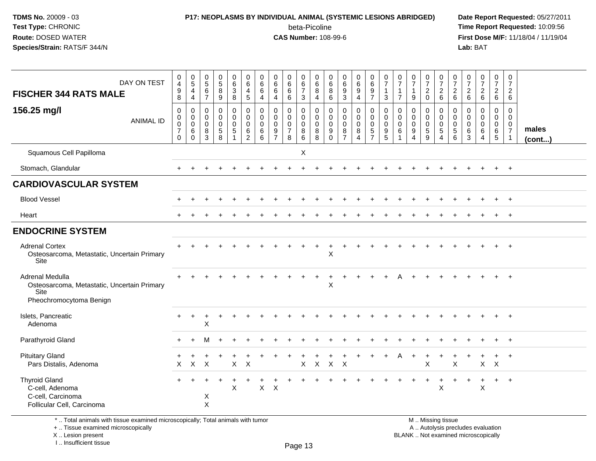# **P17: NEOPLASMS BY INDIVIDUAL ANIMAL (SYSTEMIC LESIONS ABRIDGED) Date Report Requested:** 05/27/2011

beta-Picoline<br>CAS Number: 108-99-6

 **Time Report Requested:** 10:09:56 **First Dose M/F:** 11/18/04 / 11/19/04<br>**Lab:** BAT **Lab:** BAT

| DAY ON TEST<br><b>FISCHER 344 RATS MALE</b>                                                       | 0<br>$\overline{4}$<br>$\boldsymbol{9}$<br>8                | 0<br>$\sqrt{5}$<br>$\overline{4}$<br>$\overline{4}$    | 0<br>$\overline{5}$<br>$\,6$<br>$\overline{7}$ | $\begin{array}{c} 0 \\ 5 \\ 8 \end{array}$<br>$\boldsymbol{9}$ | $\pmb{0}$<br>6<br>$\mathbf{3}$<br>8      | $\mathbf 0$<br>$\,6\,$<br>4<br>$\overline{5}$                          | 0<br>6<br>6<br>4                          | 0<br>$6\phantom{1}6$<br>6<br>$\overline{4}$                                     | 0<br>$\overline{6}$<br>6<br>6                | $\begin{array}{c} 0 \\ 6 \\ 7 \end{array}$<br>$\mathbf{3}$ | $\mathbf 0$<br>6<br>8<br>4                      | 0<br>6<br>8<br>6                              | 0<br>6<br>9<br>3                                              | $\begin{array}{c} 0 \\ 6 \end{array}$<br>$\boldsymbol{9}$<br>$\overline{4}$ | $\begin{array}{c} 0 \\ 6 \\ 9 \end{array}$<br>$\overline{7}$ | $\frac{0}{7}$<br>$\mathbf{1}$<br>3                               | 0<br>$\overline{7}$<br>$\mathbf{1}$<br>$\overline{7}$ | 0<br>$\overline{7}$<br>$\mathbf{1}$<br>9         | $\begin{array}{c} 0 \\ 7 \end{array}$<br>$\overline{2}$<br>$\mathbf 0$ | $\frac{0}{7}$<br>$\frac{2}{6}$           | $\frac{0}{7}$<br>$^2$ 6                                          | $\frac{0}{7}$<br>$\frac{2}{6}$                     | $\begin{array}{c} 0 \\ 7 \end{array}$<br>$\overline{c}$<br>$6\,$ | $\frac{0}{7}$<br>$\overline{c}$<br>$\,6\,$          | $\frac{0}{7}$<br>$\overline{a}$<br>$6\phantom{a}$         |                       |
|---------------------------------------------------------------------------------------------------|-------------------------------------------------------------|--------------------------------------------------------|------------------------------------------------|----------------------------------------------------------------|------------------------------------------|------------------------------------------------------------------------|-------------------------------------------|---------------------------------------------------------------------------------|----------------------------------------------|------------------------------------------------------------|-------------------------------------------------|-----------------------------------------------|---------------------------------------------------------------|-----------------------------------------------------------------------------|--------------------------------------------------------------|------------------------------------------------------------------|-------------------------------------------------------|--------------------------------------------------|------------------------------------------------------------------------|------------------------------------------|------------------------------------------------------------------|----------------------------------------------------|------------------------------------------------------------------|-----------------------------------------------------|-----------------------------------------------------------|-----------------------|
| 156.25 mg/l<br><b>ANIMAL ID</b>                                                                   | 0<br>$\mathbf 0$<br>$\pmb{0}$<br>$\overline{7}$<br>$\Omega$ | 0<br>$\mathbf 0$<br>$\mathbf 0$<br>$\,6\,$<br>$\Omega$ | 0<br>0<br>$\mathbf 0$<br>8<br>3                | 0<br>0<br>0<br>$\sqrt{5}$<br>8                                 | $\mathbf 0$<br>$\mathbf 0$<br>0<br>$5\,$ | $\mathbf 0$<br>$\mathbf 0$<br>$\mathbf 0$<br>$\,6\,$<br>$\overline{2}$ | 0<br>$\mathbf 0$<br>$\mathbf 0$<br>6<br>6 | $\mathbf 0$<br>$\mathbf 0$<br>$\mathbf 0$<br>$\boldsymbol{9}$<br>$\overline{7}$ | 0<br>$\mathbf 0$<br>0<br>$\overline{7}$<br>8 | 0<br>0<br>0<br>8<br>$\,6\,$                                | 0<br>$\mathbf 0$<br>$\mathsf 0$<br>$\bf 8$<br>8 | 0<br>$\mathbf 0$<br>$\Omega$<br>9<br>$\Omega$ | $\mathbf 0$<br>$\mathbf 0$<br>$\Omega$<br>8<br>$\overline{7}$ | 0<br>$\mathbf 0$<br>0<br>$\bf 8$<br>4                                       | $\pmb{0}$<br>$\mathbf 0$<br>$\mathbf 0$<br>$\frac{5}{7}$     | $\pmb{0}$<br>$\mathbf 0$<br>$\mathbf 0$<br>$\boldsymbol{9}$<br>5 | 0<br>$\Omega$<br>$\mathbf{0}$<br>6                    | $\mathbf 0$<br>$\mathbf 0$<br>$\Omega$<br>9<br>Δ | 0<br>$\mathbf 0$<br>$\mathbf 0$<br>$\sqrt{5}$<br>9                     | 0<br>0<br>$\mathbf 0$<br>$\sqrt{5}$<br>4 | 0<br>$\mathbf 0$<br>$\mathsf 0$<br>$\,$ 5 $\,$<br>$6\phantom{1}$ | 0<br>$\mathbf{0}$<br>$\Omega$<br>6<br>$\mathbf{3}$ | $\mathbf 0$<br>$\mathbf 0$<br>$\Omega$<br>6<br>$\overline{4}$    | 0<br>$\mathbf 0$<br>0<br>$\,6\,$<br>$5\phantom{.0}$ | 0<br>0<br>$\mathbf 0$<br>$\overline{7}$<br>$\overline{1}$ | males<br>$($ cont $)$ |
| Squamous Cell Papilloma                                                                           |                                                             |                                                        |                                                |                                                                |                                          |                                                                        |                                           |                                                                                 |                                              | X                                                          |                                                 |                                               |                                                               |                                                                             |                                                              |                                                                  |                                                       |                                                  |                                                                        |                                          |                                                                  |                                                    |                                                                  |                                                     |                                                           |                       |
| Stomach, Glandular                                                                                |                                                             |                                                        |                                                |                                                                |                                          |                                                                        |                                           |                                                                                 |                                              |                                                            |                                                 |                                               |                                                               |                                                                             |                                                              |                                                                  |                                                       |                                                  |                                                                        |                                          |                                                                  |                                                    |                                                                  | $\pm$                                               | $+$                                                       |                       |
| <b>CARDIOVASCULAR SYSTEM</b>                                                                      |                                                             |                                                        |                                                |                                                                |                                          |                                                                        |                                           |                                                                                 |                                              |                                                            |                                                 |                                               |                                                               |                                                                             |                                                              |                                                                  |                                                       |                                                  |                                                                        |                                          |                                                                  |                                                    |                                                                  |                                                     |                                                           |                       |
| <b>Blood Vessel</b>                                                                               |                                                             |                                                        |                                                |                                                                |                                          |                                                                        |                                           |                                                                                 |                                              |                                                            |                                                 |                                               |                                                               |                                                                             |                                                              |                                                                  |                                                       |                                                  |                                                                        |                                          |                                                                  |                                                    |                                                                  |                                                     | $\div$                                                    |                       |
| Heart                                                                                             |                                                             |                                                        |                                                |                                                                |                                          |                                                                        |                                           |                                                                                 |                                              |                                                            |                                                 |                                               |                                                               |                                                                             |                                                              |                                                                  |                                                       |                                                  |                                                                        |                                          |                                                                  |                                                    |                                                                  |                                                     | $^{+}$                                                    |                       |
| <b>ENDOCRINE SYSTEM</b>                                                                           |                                                             |                                                        |                                                |                                                                |                                          |                                                                        |                                           |                                                                                 |                                              |                                                            |                                                 |                                               |                                                               |                                                                             |                                                              |                                                                  |                                                       |                                                  |                                                                        |                                          |                                                                  |                                                    |                                                                  |                                                     |                                                           |                       |
| <b>Adrenal Cortex</b><br>Osteosarcoma, Metastatic, Uncertain Primary<br>Site                      |                                                             |                                                        |                                                |                                                                |                                          |                                                                        |                                           |                                                                                 |                                              |                                                            |                                                 | X                                             |                                                               |                                                                             |                                                              |                                                                  |                                                       |                                                  |                                                                        |                                          |                                                                  |                                                    |                                                                  |                                                     |                                                           |                       |
| Adrenal Medulla<br>Osteosarcoma, Metastatic, Uncertain Primary<br>Site<br>Pheochromocytoma Benign |                                                             |                                                        |                                                |                                                                |                                          |                                                                        |                                           |                                                                                 |                                              |                                                            |                                                 | X                                             |                                                               |                                                                             |                                                              |                                                                  |                                                       |                                                  |                                                                        |                                          |                                                                  |                                                    |                                                                  |                                                     | $\ddot{}$                                                 |                       |
| Islets, Pancreatic<br>Adenoma                                                                     |                                                             | $\ddot{}$                                              | X                                              |                                                                |                                          |                                                                        |                                           |                                                                                 |                                              |                                                            |                                                 |                                               |                                                               |                                                                             |                                                              |                                                                  |                                                       |                                                  |                                                                        |                                          |                                                                  |                                                    |                                                                  |                                                     |                                                           |                       |
| Parathyroid Gland                                                                                 |                                                             |                                                        | M                                              |                                                                |                                          |                                                                        |                                           |                                                                                 |                                              |                                                            |                                                 |                                               |                                                               |                                                                             |                                                              |                                                                  |                                                       |                                                  |                                                                        |                                          |                                                                  |                                                    |                                                                  |                                                     | $\ddot{}$                                                 |                       |
| <b>Pituitary Gland</b><br>Pars Distalis, Adenoma                                                  | X                                                           | $\sf X$                                                | $\times$                                       |                                                                | X                                        | $\mathsf{X}$                                                           |                                           |                                                                                 |                                              | $\mathsf{X}$                                               | $\mathsf{X}$                                    | $X -$                                         | $\mathsf{X}$                                                  |                                                                             |                                                              |                                                                  |                                                       |                                                  | X                                                                      |                                          | X                                                                |                                                    | $\mathsf{X}$                                                     | $\boldsymbol{\mathsf{X}}$                           |                                                           |                       |
| <b>Thyroid Gland</b><br>C-cell, Adenoma<br>C-cell, Carcinoma<br>Follicular Cell, Carcinoma        |                                                             |                                                        | X<br>X                                         | $\ddot{}$                                                      | X                                        |                                                                        | $X$ $X$                                   |                                                                                 |                                              |                                                            |                                                 |                                               |                                                               |                                                                             |                                                              |                                                                  |                                                       |                                                  |                                                                        | +<br>$\mathsf{X}$                        |                                                                  |                                                    | X                                                                | $\ddot{}$                                           | $+$                                                       |                       |

\* .. Total animals with tissue examined microscopically; Total animals with tumor

+ .. Tissue examined microscopically

 Lesion present BLANK .. Not examined microscopicallyX .. Lesion present

I .. Insufficient tissue

M .. Missing tissue y the contract of the contract of the contract of the contract of the contract of  $\mathsf A$  . Autolysis precludes evaluation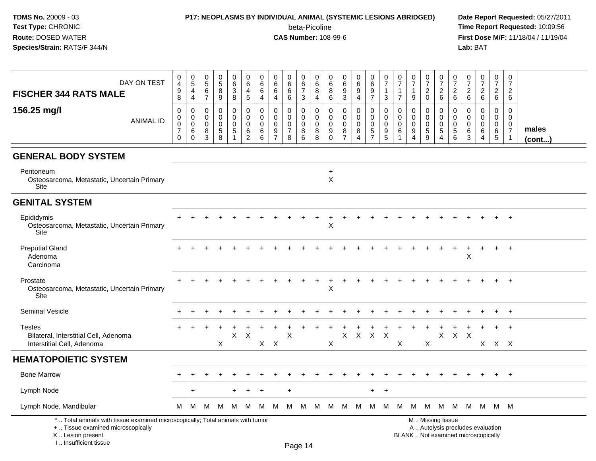#### **P17: NEOPLASMS BY INDIVIDUAL ANIMAL (SYSTEMIC LESIONS ABRIDGED) Date Report Requested:** 05/27/2011

beta-Picoline<br>CAS Number: 108-99-6

 **Time Report Requested:** 10:09:56 **First Dose M/F:** 11/18/04 / 11/19/04<br>**Lab:** BAT **Lab:** BAT

| DAY ON TEST<br><b>FISCHER 344 RATS MALE</b>                                                                                                | 0<br>$\overline{4}$<br>9<br>8                                  | $\mathbf 0$<br>$\sqrt{5}$<br>$\overline{4}$<br>$\overline{4}$     | 0<br>$\overline{5}$<br>6<br>$\overline{7}$       | $\pmb{0}$<br>$\sqrt{5}$<br>8<br>9                            | $\mathbf 0$<br>6<br>$\mathbf{3}$<br>8                         | 0<br>$\,6\,$<br>$\overline{4}$<br>5                          | $\mathbf 0$<br>6<br>6<br>$\overline{4}$    | $\mathbf 0$<br>6<br>6<br>4                                       | $\mathbf 0$<br>$\,6\,$<br>6<br>6                                 | 0<br>6<br>$\overline{7}$<br>3                    | 0<br>6<br>8<br>4      | 0<br>6<br>8<br>$\,6$                      | $\pmb{0}$<br>$\,6\,$<br>$\boldsymbol{9}$<br>$\mathfrak{Z}$           | $\pmb{0}$<br>$\,6\,$<br>9<br>$\overline{4}$                         | 0<br>6<br>9<br>$\overline{7}$                              | 0<br>$\overline{7}$<br>-1<br>3         | 0<br>$\overline{7}$<br>$\mathbf{1}$<br>$\overline{7}$                  | $\frac{0}{7}$<br>1<br>9             | 0<br>$\overline{7}$<br>$\overline{c}$<br>$\mathbf 0$ | $\mathbf 0$<br>$\overline{7}$<br>$\overline{2}$<br>6                         | 0<br>$\overline{7}$<br>$\overline{2}$<br>$\,6\,$ | 0<br>$\overline{7}$<br>$\overline{2}$<br>$6\phantom{1}6$ | $\pmb{0}$<br>$\overline{7}$<br>$\overline{2}$<br>6 | $\mathbf 0$<br>$\overline{7}$<br>$\overline{2}$<br>6    | 0<br>$\overline{7}$<br>$\overline{2}$<br>6        |                       |
|--------------------------------------------------------------------------------------------------------------------------------------------|----------------------------------------------------------------|-------------------------------------------------------------------|--------------------------------------------------|--------------------------------------------------------------|---------------------------------------------------------------|--------------------------------------------------------------|--------------------------------------------|------------------------------------------------------------------|------------------------------------------------------------------|--------------------------------------------------|-----------------------|-------------------------------------------|----------------------------------------------------------------------|---------------------------------------------------------------------|------------------------------------------------------------|----------------------------------------|------------------------------------------------------------------------|-------------------------------------|------------------------------------------------------|------------------------------------------------------------------------------|--------------------------------------------------|----------------------------------------------------------|----------------------------------------------------|---------------------------------------------------------|---------------------------------------------------|-----------------------|
| 156.25 mg/l<br><b>ANIMAL ID</b>                                                                                                            | 0<br>$\mathsf 0$<br>$\pmb{0}$<br>$\overline{7}$<br>$\mathbf 0$ | $\mathbf 0$<br>$\mathbf 0$<br>$\mathbf 0$<br>$\,6$<br>$\mathbf 0$ | $\Omega$<br>$\mathbf 0$<br>$\mathbf 0$<br>8<br>3 | $\mathbf 0$<br>$\mathbf 0$<br>$\mathbf 0$<br>$\sqrt{5}$<br>8 | 0<br>$\pmb{0}$<br>$\mathbf 0$<br>$\sqrt{5}$<br>$\overline{1}$ | $\mathbf 0$<br>$\pmb{0}$<br>$\pmb{0}$<br>6<br>$\overline{c}$ | $\mathbf{0}$<br>$\mathbf 0$<br>0<br>6<br>6 | $\mathbf 0$<br>$\mathbf 0$<br>$\mathbf 0$<br>9<br>$\overline{7}$ | $\mathbf 0$<br>$\mathbf 0$<br>$\mathbf 0$<br>$\overline{7}$<br>8 | $\Omega$<br>$\mathbf 0$<br>$\mathbf 0$<br>8<br>6 | 0<br>0<br>0<br>8<br>8 | 0<br>$\mathbf 0$<br>0<br>9<br>$\mathbf 0$ | $\mathbf 0$<br>$\mathbf 0$<br>$\pmb{0}$<br>$\bf 8$<br>$\overline{7}$ | 0<br>$\mathsf{O}\xspace$<br>$\mathbf 0$<br>$\bf8$<br>$\overline{4}$ | $\mathbf 0$<br>$\mathsf 0$<br>$\mathbf 0$<br>$\frac{5}{7}$ | $\Omega$<br>0<br>$\mathbf 0$<br>9<br>5 | $\mathbf 0$<br>$\mathbf 0$<br>$\mathbf 0$<br>$\,6\,$<br>$\overline{1}$ | $\Omega$<br>0<br>0<br>9<br>4        | 0<br>$\mathbf 0$<br>$\mathbf 0$<br>$\sqrt{5}$<br>9   | $\mathbf 0$<br>$\boldsymbol{0}$<br>$\pmb{0}$<br>$\sqrt{5}$<br>$\overline{4}$ | $\Omega$<br>0<br>$\mathbf 0$<br>$\sqrt{5}$<br>6  | $\Omega$<br>$\Omega$<br>$\Omega$<br>6<br>3               | 0<br>0<br>0<br>6<br>4                              | $\mathbf 0$<br>$\mathbf 0$<br>0<br>6<br>$5\phantom{.0}$ | $\mathbf 0$<br>$\mathbf 0$<br>0<br>$\overline{7}$ | males<br>$($ cont $)$ |
| <b>GENERAL BODY SYSTEM</b>                                                                                                                 |                                                                |                                                                   |                                                  |                                                              |                                                               |                                                              |                                            |                                                                  |                                                                  |                                                  |                       |                                           |                                                                      |                                                                     |                                                            |                                        |                                                                        |                                     |                                                      |                                                                              |                                                  |                                                          |                                                    |                                                         |                                                   |                       |
| Peritoneum<br>Osteosarcoma, Metastatic, Uncertain Primary<br>Site                                                                          |                                                                |                                                                   |                                                  |                                                              |                                                               |                                                              |                                            |                                                                  |                                                                  |                                                  |                       | $\ddot{}$<br>$\boldsymbol{\mathsf{X}}$    |                                                                      |                                                                     |                                                            |                                        |                                                                        |                                     |                                                      |                                                                              |                                                  |                                                          |                                                    |                                                         |                                                   |                       |
| <b>GENITAL SYSTEM</b>                                                                                                                      |                                                                |                                                                   |                                                  |                                                              |                                                               |                                                              |                                            |                                                                  |                                                                  |                                                  |                       |                                           |                                                                      |                                                                     |                                                            |                                        |                                                                        |                                     |                                                      |                                                                              |                                                  |                                                          |                                                    |                                                         |                                                   |                       |
| Epididymis<br>Osteosarcoma, Metastatic, Uncertain Primary<br>Site                                                                          |                                                                |                                                                   |                                                  |                                                              |                                                               |                                                              |                                            |                                                                  |                                                                  |                                                  |                       | X                                         |                                                                      |                                                                     |                                                            |                                        |                                                                        |                                     |                                                      |                                                                              |                                                  |                                                          |                                                    |                                                         | $+$                                               |                       |
| <b>Preputial Gland</b><br>Adenoma<br>Carcinoma                                                                                             |                                                                |                                                                   |                                                  |                                                              |                                                               |                                                              |                                            |                                                                  |                                                                  |                                                  |                       |                                           |                                                                      |                                                                     |                                                            |                                        |                                                                        |                                     |                                                      |                                                                              |                                                  | X                                                        |                                                    | $+$                                                     | $+$                                               |                       |
| Prostate<br>Osteosarcoma, Metastatic, Uncertain Primary<br>Site                                                                            |                                                                |                                                                   |                                                  |                                                              |                                                               |                                                              |                                            |                                                                  |                                                                  |                                                  |                       | Χ                                         |                                                                      |                                                                     |                                                            |                                        |                                                                        |                                     |                                                      |                                                                              |                                                  |                                                          |                                                    | $\ddot{}$                                               | $+$                                               |                       |
| Seminal Vesicle                                                                                                                            |                                                                |                                                                   |                                                  |                                                              |                                                               |                                                              |                                            |                                                                  |                                                                  |                                                  |                       |                                           |                                                                      |                                                                     |                                                            |                                        |                                                                        |                                     |                                                      |                                                                              |                                                  |                                                          |                                                    |                                                         | $+$                                               |                       |
| <b>Testes</b><br>Bilateral, Interstitial Cell, Adenoma<br>Interstitial Cell, Adenoma                                                       |                                                                |                                                                   |                                                  | X                                                            | X                                                             | $\boldsymbol{\mathsf{X}}$                                    | $X$ $X$                                    |                                                                  | $\mathsf X$                                                      |                                                  |                       | X                                         | X                                                                    | $\mathsf{X}$                                                        | $\mathsf{X}$                                               | $\times$                               | X                                                                      |                                     | X                                                    | X                                                                            | $\mathsf{X}$                                     | $\mathsf{X}$                                             |                                                    | X X X                                                   |                                                   |                       |
| <b>HEMATOPOIETIC SYSTEM</b>                                                                                                                |                                                                |                                                                   |                                                  |                                                              |                                                               |                                                              |                                            |                                                                  |                                                                  |                                                  |                       |                                           |                                                                      |                                                                     |                                                            |                                        |                                                                        |                                     |                                                      |                                                                              |                                                  |                                                          |                                                    |                                                         |                                                   |                       |
| <b>Bone Marrow</b>                                                                                                                         |                                                                |                                                                   |                                                  |                                                              |                                                               |                                                              |                                            |                                                                  |                                                                  |                                                  |                       |                                           |                                                                      |                                                                     |                                                            |                                        |                                                                        |                                     |                                                      |                                                                              |                                                  |                                                          |                                                    | $\pm$                                                   | $+$                                               |                       |
| Lymph Node                                                                                                                                 |                                                                | $\pm$                                                             |                                                  |                                                              |                                                               |                                                              |                                            |                                                                  |                                                                  |                                                  |                       |                                           |                                                                      |                                                                     | $+$                                                        | $\ddot{}$                              |                                                                        |                                     |                                                      |                                                                              |                                                  |                                                          |                                                    |                                                         |                                                   |                       |
| Lymph Node, Mandibular                                                                                                                     | м                                                              | M                                                                 | M                                                | M                                                            | M                                                             | M                                                            | M                                          | M                                                                | M                                                                |                                                  |                       |                                           | M M M M M M M M M M M M M M M                                        |                                                                     |                                                            |                                        |                                                                        |                                     |                                                      |                                                                              |                                                  |                                                          |                                                    |                                                         |                                                   |                       |
| *  Total animals with tissue examined microscopically; Total animals with tumor<br>+  Tissue examined microscopically<br>X  Lesion present |                                                                |                                                                   |                                                  |                                                              |                                                               |                                                              |                                            |                                                                  |                                                                  |                                                  |                       |                                           |                                                                      |                                                                     |                                                            |                                        |                                                                        | BLANK  Not examined microscopically |                                                      | M  Missing tissue                                                            |                                                  |                                                          | A  Autolysis precludes evaluation                  |                                                         |                                                   |                       |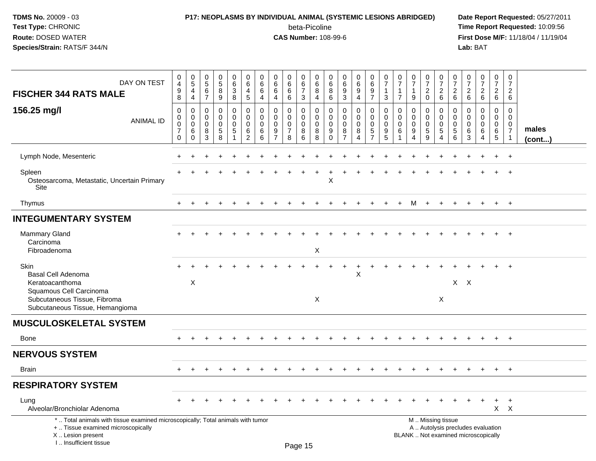# **P17: NEOPLASMS BY INDIVIDUAL ANIMAL (SYSTEMIC LESIONS ABRIDGED) Date Report Requested:** 05/27/2011

beta-Picoline<br>CAS Number: 108-99-6

| DAY ON TEST<br><b>FISCHER 344 RATS MALE</b>                                                                                                                         | $_4^{\rm 0}$<br>9<br>8                                                  | $\begin{array}{c} 0 \\ 5 \end{array}$<br>$\overline{a}$<br>$\overline{4}$ | $\begin{array}{c} 0 \\ 5 \end{array}$<br>6<br>$\overline{7}$ | 0<br>$\overline{5}$<br>8<br>$\boldsymbol{9}$                 | 0<br>$6\overline{6}$<br>3<br>8                   | $\pmb{0}$<br>6<br>4<br>$5\phantom{.0}$                           | 0<br>6<br>6<br>4                       | 0<br>6<br>6<br>$\overline{4}$               | 0<br>$\,6\,$<br>6<br>$\,6\,$                           | 0<br>$\,6\,$<br>$\overline{7}$<br>3       | 0<br>6<br>8<br>4                       | 0<br>6<br>8<br>6                       | $\pmb{0}$<br>$6\overline{6}$<br>9<br>$\mathfrak{Z}$            | 0<br>$6\phantom{a}$<br>9<br>$\overline{4}$ | $\pmb{0}$<br>$\,6\,$<br>9<br>$\overline{7}$                               | 0<br>$\overline{7}$<br>1<br>3   | 0<br>$\overline{7}$<br>-1<br>$\overline{7}$ | $\frac{0}{7}$<br>9                                       | 0<br>$\overline{7}$<br>$^2_{\rm 0}$                          | 0<br>$\overline{7}$<br>$\overline{c}$<br>6      | 0<br>$\overline{7}$<br>$\overline{c}$<br>$\,6\,$ | 0<br>$\overline{7}$<br>$\overline{c}$<br>$6\phantom{1}$ | $\frac{0}{7}$<br>$\overline{c}$<br>$6\phantom{a}$ | 0<br>$\overline{7}$<br>$\overline{c}$<br>$6\overline{6}$ | $\boldsymbol{0}$<br>$\overline{7}$<br>$\overline{c}$<br>6                      |                 |
|---------------------------------------------------------------------------------------------------------------------------------------------------------------------|-------------------------------------------------------------------------|---------------------------------------------------------------------------|--------------------------------------------------------------|--------------------------------------------------------------|--------------------------------------------------|------------------------------------------------------------------|----------------------------------------|---------------------------------------------|--------------------------------------------------------|-------------------------------------------|----------------------------------------|----------------------------------------|----------------------------------------------------------------|--------------------------------------------|---------------------------------------------------------------------------|---------------------------------|---------------------------------------------|----------------------------------------------------------|--------------------------------------------------------------|-------------------------------------------------|--------------------------------------------------|---------------------------------------------------------|---------------------------------------------------|----------------------------------------------------------|--------------------------------------------------------------------------------|-----------------|
| 156.25 mg/l<br><b>ANIMAL ID</b>                                                                                                                                     | $\mathbf 0$<br>$\mathbf 0$<br>$\mathbf 0$<br>$\overline{7}$<br>$\Omega$ | $\mathbf 0$<br>$\mathbf 0$<br>$\mathbf 0$<br>6<br>$\mathbf 0$             | $\mathbf 0$<br>$\Omega$<br>$\mathbf 0$<br>8<br>3             | $\mathbf 0$<br>$\mathbf 0$<br>$\mathbf 0$<br>$\sqrt{5}$<br>8 | 0<br>0<br>$\pmb{0}$<br>$\sqrt{5}$<br>$\mathbf 1$ | $\mathbf 0$<br>$\mathbf 0$<br>$\mathbf 0$<br>6<br>$\overline{c}$ | 0<br>$\Omega$<br>$\mathbf 0$<br>6<br>6 | $\mathbf 0$<br>$\Omega$<br>$\mathbf 0$<br>9 | 0<br>$\mathbf 0$<br>$\mathbf 0$<br>$\overline{7}$<br>8 | $\mathbf 0$<br>$\mathbf 0$<br>0<br>8<br>6 | 0<br>$\Omega$<br>$\mathbf 0$<br>8<br>8 | 0<br>$\mathbf 0$<br>0<br>9<br>$\Omega$ | $\mathbf 0$<br>$\mathbf 0$<br>$\pmb{0}$<br>8<br>$\overline{7}$ | 0<br>$\mathbf 0$<br>0<br>8<br>4            | $\mathbf 0$<br>$\mathbf 0$<br>$\mathbf 0$<br>$\sqrt{5}$<br>$\overline{7}$ | 0<br>0<br>$\mathbf 0$<br>9<br>5 | 0<br>$\Omega$<br>$\mathbf 0$<br>6           | $\Omega$<br>$\Omega$<br>0<br>9<br>$\Lambda$              | $\mathbf 0$<br>$\mathbf 0$<br>$\mathbf 0$<br>$\sqrt{5}$<br>9 | 0<br>$\Omega$<br>$\mathbf 0$<br>$\sqrt{5}$<br>4 | 0<br>$\Omega$<br>$\mathbf 0$<br>5<br>6           | 0<br>$\Omega$<br>$\mathbf 0$<br>6<br>3                  | $\mathbf 0$<br>$\Omega$<br>$\mathbf 0$<br>6<br>4  | 0<br>$\overline{0}$<br>0<br>6<br>5                       | $\mathbf 0$<br>$\mathbf{0}$<br>$\mathbf 0$<br>$\overline{7}$<br>$\overline{1}$ | males<br>(cont) |
| Lymph Node, Mesenteric                                                                                                                                              |                                                                         |                                                                           |                                                              |                                                              |                                                  |                                                                  |                                        |                                             |                                                        |                                           |                                        |                                        |                                                                |                                            |                                                                           |                                 |                                             |                                                          |                                                              |                                                 |                                                  |                                                         |                                                   |                                                          | $\ddot{}$                                                                      |                 |
| Spleen<br>Osteosarcoma, Metastatic, Uncertain Primary<br>Site                                                                                                       |                                                                         |                                                                           |                                                              |                                                              |                                                  |                                                                  |                                        |                                             |                                                        |                                           |                                        | Х                                      |                                                                |                                            |                                                                           |                                 |                                             |                                                          |                                                              |                                                 |                                                  |                                                         |                                                   | $\ddot{}$                                                | $+$                                                                            |                 |
| Thymus                                                                                                                                                              | $+$                                                                     | $+$                                                                       | $\div$                                                       | $\ddot{}$                                                    |                                                  | $\ddot{}$                                                        |                                        |                                             | $\ddot{}$                                              |                                           |                                        |                                        | $\overline{1}$                                                 | $+$                                        | $+$                                                                       | $\ddot{}$                       | $+$                                         | M                                                        | $+$                                                          | $+$                                             | $\ddot{}$                                        | $+$                                                     | $\ddot{}$                                         | $+$                                                      | $+$                                                                            |                 |
| <b>INTEGUMENTARY SYSTEM</b>                                                                                                                                         |                                                                         |                                                                           |                                                              |                                                              |                                                  |                                                                  |                                        |                                             |                                                        |                                           |                                        |                                        |                                                                |                                            |                                                                           |                                 |                                             |                                                          |                                                              |                                                 |                                                  |                                                         |                                                   |                                                          |                                                                                |                 |
| <b>Mammary Gland</b><br>Carcinoma<br>Fibroadenoma                                                                                                                   |                                                                         |                                                                           |                                                              |                                                              |                                                  |                                                                  |                                        |                                             |                                                        |                                           | X                                      |                                        |                                                                |                                            |                                                                           |                                 |                                             |                                                          |                                                              |                                                 |                                                  |                                                         |                                                   |                                                          | $+$                                                                            |                 |
| <b>Skin</b><br>Basal Cell Adenoma<br>Keratoacanthoma<br>Squamous Cell Carcinoma<br>Subcutaneous Tissue, Fibroma<br>Subcutaneous Tissue, Hemangioma                  |                                                                         | $\boldsymbol{\mathsf{X}}$                                                 |                                                              |                                                              |                                                  |                                                                  |                                        |                                             |                                                        |                                           | $\boldsymbol{\mathsf{X}}$              |                                        |                                                                | $\times$                                   |                                                                           |                                 |                                             |                                                          |                                                              | $\times$                                        | $X$ $X$                                          |                                                         |                                                   |                                                          |                                                                                |                 |
| <b>MUSCULOSKELETAL SYSTEM</b>                                                                                                                                       |                                                                         |                                                                           |                                                              |                                                              |                                                  |                                                                  |                                        |                                             |                                                        |                                           |                                        |                                        |                                                                |                                            |                                                                           |                                 |                                             |                                                          |                                                              |                                                 |                                                  |                                                         |                                                   |                                                          |                                                                                |                 |
| <b>Bone</b>                                                                                                                                                         | $+$                                                                     |                                                                           |                                                              |                                                              |                                                  |                                                                  |                                        |                                             |                                                        |                                           |                                        |                                        |                                                                |                                            |                                                                           |                                 |                                             |                                                          |                                                              |                                                 |                                                  |                                                         | $+$                                               | $+$                                                      | $+$                                                                            |                 |
| <b>NERVOUS SYSTEM</b>                                                                                                                                               |                                                                         |                                                                           |                                                              |                                                              |                                                  |                                                                  |                                        |                                             |                                                        |                                           |                                        |                                        |                                                                |                                            |                                                                           |                                 |                                             |                                                          |                                                              |                                                 |                                                  |                                                         |                                                   |                                                          |                                                                                |                 |
| <b>Brain</b>                                                                                                                                                        | $+$                                                                     | $\pm$                                                                     |                                                              |                                                              |                                                  |                                                                  |                                        |                                             |                                                        |                                           |                                        |                                        |                                                                |                                            |                                                                           |                                 |                                             |                                                          | $\pm$                                                        |                                                 |                                                  |                                                         | $\pm$                                             | $+$                                                      | $+$                                                                            |                 |
| <b>RESPIRATORY SYSTEM</b>                                                                                                                                           |                                                                         |                                                                           |                                                              |                                                              |                                                  |                                                                  |                                        |                                             |                                                        |                                           |                                        |                                        |                                                                |                                            |                                                                           |                                 |                                             |                                                          |                                                              |                                                 |                                                  |                                                         |                                                   |                                                          |                                                                                |                 |
| Lung<br>Alveolar/Bronchiolar Adenoma                                                                                                                                |                                                                         |                                                                           |                                                              |                                                              |                                                  |                                                                  |                                        |                                             |                                                        |                                           |                                        |                                        |                                                                |                                            |                                                                           |                                 |                                             |                                                          |                                                              |                                                 |                                                  |                                                         |                                                   | $\ddot{}$                                                | $+$<br>$X$ $X$                                                                 |                 |
| *  Total animals with tissue examined microscopically; Total animals with tumor<br>+  Tissue examined microscopically<br>X  Lesion present<br>I Insufficient tissue |                                                                         |                                                                           |                                                              |                                                              |                                                  |                                                                  |                                        |                                             |                                                        | $D_{200}$ $4F$                            |                                        |                                        |                                                                |                                            |                                                                           |                                 |                                             | M  Missing tissue<br>BLANK  Not examined microscopically |                                                              |                                                 |                                                  |                                                         | A  Autolysis precludes evaluation                 |                                                          |                                                                                |                 |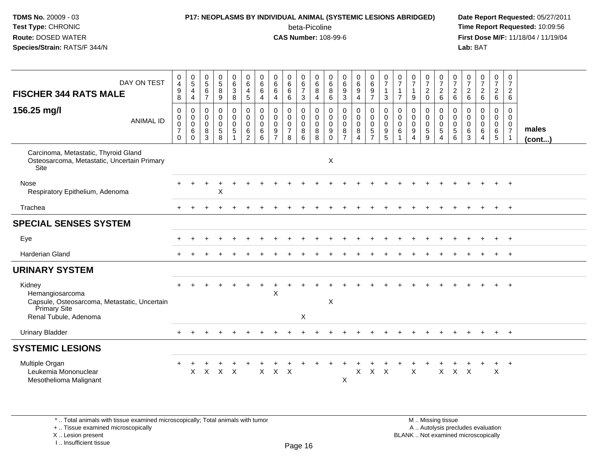#### **P17: NEOPLASMS BY INDIVIDUAL ANIMAL (SYSTEMIC LESIONS ABRIDGED) Date Report Requested:** 05/27/2011 beta-Picoline<br>CAS Number: 108-99-6

 **Time Report Requested:** 10:09:56 **First Dose M/F:** 11/18/04 / 11/19/04<br>**Lab:** BAT **Lab:** BAT

| DAY ON TEST<br><b>FISCHER 344 RATS MALE</b><br>156.25 mg/l<br><b>ANIMAL ID</b>                                     | $\pmb{0}$<br>$\overline{\mathbf{4}}$<br>$\boldsymbol{9}$<br>8<br>$\mathbf 0$<br>$\mathbf 0$<br>$\pmb{0}$<br>$\overline{7}$<br>$\mathbf 0$ | $\begin{array}{c} 0 \\ 5 \end{array}$<br>$\overline{4}$<br>4<br>0<br>$\mathbf 0$<br>$\mathbf 0$<br>$\,6\,$<br>$\Omega$ | $\begin{array}{c} 0 \\ 5 \end{array}$<br>$\,6\,$<br>$\overline{7}$<br>$\pmb{0}$<br>$\mathbf 0$<br>$\mathbf 0$<br>8<br>3 | $\begin{smallmatrix} 0\\5 \end{smallmatrix}$<br>$\bf 8$<br>$\boldsymbol{9}$<br>$\pmb{0}$<br>$\mathbf 0$<br>$\pmb{0}$<br>$\sqrt{5}$<br>8 | $\begin{array}{c} 0 \\ 6 \end{array}$<br>$\ensuremath{\mathsf{3}}$<br>$\bf 8$<br>$\mathbf 0$<br>$\ddot{\mathbf{0}}$<br>$\mathbf 0$<br>$\sqrt{5}$ | $\begin{array}{c} 0 \\ 6 \end{array}$<br>$\overline{4}$<br>$\overline{5}$<br>$\pmb{0}$<br>$\overline{0}$<br>$\mathbf 0$<br>6<br>$\overline{2}$ | $\begin{array}{c} 0 \\ 6 \end{array}$<br>6<br>4<br>0<br>$\mathbf 0$<br>$\mathbf 0$<br>6<br>6 | $_{6}^{\rm 0}$<br>$\,6\,$<br>4<br>$\pmb{0}$<br>$\ddot{\mathbf{0}}$<br>$\mathbf 0$<br>$\boldsymbol{9}$<br>$\overline{7}$ | $_{6}^{\rm 0}$<br>$\,6\,$<br>6<br>$\mathsf{O}\xspace$<br>$\bar{0}$<br>$\mathsf{O}$<br>$\overline{7}$<br>8 | $\begin{array}{c} 0 \\ 6 \\ 7 \end{array}$<br>$\ensuremath{\mathsf{3}}$<br>$\mathsf{O}$<br>$\ddot{\mathbf{0}}$<br>$\mathbf 0$<br>8<br>$6\phantom{a}$ | $\begin{array}{c} 0 \\ 6 \end{array}$<br>$\bf 8$<br>$\overline{4}$<br>$\mathbf 0$<br>$\ddot{\mathbf{0}}$<br>$\mathsf{O}$<br>8<br>8 | 0<br>$\,6\,$<br>8<br>6<br>0<br>$\mathbf 0$<br>$\mathbf 0$<br>9<br>$\Omega$ | 0<br>6<br>$\boldsymbol{9}$<br>$\mathbf{3}$<br>$\pmb{0}$<br>$\mathbf 0$<br>$\mathbf 0$<br>8<br>$\overline{7}$ | $_{6}^{\rm 0}$<br>$\boldsymbol{9}$<br>4<br>$\mathbf 0$<br>$\overline{0}$<br>$\mathbf 0$<br>8<br>$\boldsymbol{\Lambda}$ | $\begin{array}{c} 0 \\ 6 \\ 9 \end{array}$<br>$\overline{7}$<br>$\pmb{0}$<br>$\overline{0}$<br>$\mathbf 0$<br>$\sqrt{5}$<br>$\overline{7}$ | $\frac{0}{7}$<br>$\mathbf{1}$<br>$\mathbf{3}$<br>$\pmb{0}$<br>$\ddot{\mathbf{0}}$<br>$\mathbf 0$<br>$\boldsymbol{9}$<br>5 | $\begin{array}{c} 0 \\ 7 \end{array}$<br>$\mathbf{1}$<br>$\overline{7}$<br>$\mathbf 0$<br>$\ddot{\mathbf{0}}$<br>$\mathbf 0$<br>6 | $\frac{0}{7}$<br>$\mathbf{1}$<br>9<br>$\mathbf 0$<br>$\mathbf 0$<br>$\mathbf 0$<br>9<br>$\boldsymbol{\Delta}$ | $\frac{0}{7}$<br>$\overline{c}$<br>$\mathbf 0$<br>0<br>$\mathbf{0}$<br>$\mathbf 0$<br>5<br>9 | $\frac{0}{7}$<br>6<br>$\begin{smallmatrix}0\\0\\0\\0\end{smallmatrix}$<br>5<br>$\overline{4}$ | $\frac{0}{7}$<br>$^2\phantom{1}6$<br>$\pmb{0}$<br>$\mathsf{O}\xspace$<br>$\mathbf 0$<br>5<br>$6\phantom{a}$ | $\frac{0}{7}$<br>$^2\phantom{1}6$<br>0<br>0<br>$\mathbf 0$<br>6<br>3 | 0726<br>$\mathbf 0$<br>$\ddot{\mathbf{0}}$<br>$\mathbf 0$<br>6<br>$\boldsymbol{\Lambda}$ | $\begin{smallmatrix}0\\7\end{smallmatrix}$<br>$\frac{2}{6}$<br>0<br>$\mathbf 0$<br>$\overline{0}$<br>$6\phantom{1}6$<br>$5\phantom{.0}$ | $\mathbf 0$<br>$\overline{7}$<br>$\overline{2}$<br>$\,6\,$<br>0<br>$\mathbf 0$<br>$\mathbf 0$<br>$\overline{7}$<br>-1 | males<br>$($ cont $)$ |
|--------------------------------------------------------------------------------------------------------------------|-------------------------------------------------------------------------------------------------------------------------------------------|------------------------------------------------------------------------------------------------------------------------|-------------------------------------------------------------------------------------------------------------------------|-----------------------------------------------------------------------------------------------------------------------------------------|--------------------------------------------------------------------------------------------------------------------------------------------------|------------------------------------------------------------------------------------------------------------------------------------------------|----------------------------------------------------------------------------------------------|-------------------------------------------------------------------------------------------------------------------------|-----------------------------------------------------------------------------------------------------------|------------------------------------------------------------------------------------------------------------------------------------------------------|------------------------------------------------------------------------------------------------------------------------------------|----------------------------------------------------------------------------|--------------------------------------------------------------------------------------------------------------|------------------------------------------------------------------------------------------------------------------------|--------------------------------------------------------------------------------------------------------------------------------------------|---------------------------------------------------------------------------------------------------------------------------|-----------------------------------------------------------------------------------------------------------------------------------|---------------------------------------------------------------------------------------------------------------|----------------------------------------------------------------------------------------------|-----------------------------------------------------------------------------------------------|-------------------------------------------------------------------------------------------------------------|----------------------------------------------------------------------|------------------------------------------------------------------------------------------|-----------------------------------------------------------------------------------------------------------------------------------------|-----------------------------------------------------------------------------------------------------------------------|-----------------------|
| Carcinoma, Metastatic, Thyroid Gland<br>Osteosarcoma, Metastatic, Uncertain Primary<br>Site                        |                                                                                                                                           |                                                                                                                        |                                                                                                                         |                                                                                                                                         |                                                                                                                                                  |                                                                                                                                                |                                                                                              |                                                                                                                         |                                                                                                           |                                                                                                                                                      |                                                                                                                                    | $\boldsymbol{\mathsf{X}}$                                                  |                                                                                                              |                                                                                                                        |                                                                                                                                            |                                                                                                                           |                                                                                                                                   |                                                                                                               |                                                                                              |                                                                                               |                                                                                                             |                                                                      |                                                                                          |                                                                                                                                         |                                                                                                                       |                       |
| Nose<br>Respiratory Epithelium, Adenoma                                                                            |                                                                                                                                           |                                                                                                                        |                                                                                                                         | X                                                                                                                                       |                                                                                                                                                  |                                                                                                                                                |                                                                                              |                                                                                                                         |                                                                                                           |                                                                                                                                                      |                                                                                                                                    |                                                                            |                                                                                                              |                                                                                                                        |                                                                                                                                            |                                                                                                                           |                                                                                                                                   |                                                                                                               |                                                                                              |                                                                                               |                                                                                                             |                                                                      |                                                                                          |                                                                                                                                         |                                                                                                                       |                       |
| Trachea                                                                                                            |                                                                                                                                           |                                                                                                                        |                                                                                                                         |                                                                                                                                         |                                                                                                                                                  |                                                                                                                                                |                                                                                              |                                                                                                                         |                                                                                                           |                                                                                                                                                      |                                                                                                                                    |                                                                            |                                                                                                              |                                                                                                                        |                                                                                                                                            |                                                                                                                           |                                                                                                                                   |                                                                                                               |                                                                                              |                                                                                               |                                                                                                             |                                                                      |                                                                                          |                                                                                                                                         | $+$                                                                                                                   |                       |
| <b>SPECIAL SENSES SYSTEM</b>                                                                                       |                                                                                                                                           |                                                                                                                        |                                                                                                                         |                                                                                                                                         |                                                                                                                                                  |                                                                                                                                                |                                                                                              |                                                                                                                         |                                                                                                           |                                                                                                                                                      |                                                                                                                                    |                                                                            |                                                                                                              |                                                                                                                        |                                                                                                                                            |                                                                                                                           |                                                                                                                                   |                                                                                                               |                                                                                              |                                                                                               |                                                                                                             |                                                                      |                                                                                          |                                                                                                                                         |                                                                                                                       |                       |
| Eye                                                                                                                |                                                                                                                                           |                                                                                                                        |                                                                                                                         |                                                                                                                                         |                                                                                                                                                  |                                                                                                                                                |                                                                                              |                                                                                                                         |                                                                                                           |                                                                                                                                                      |                                                                                                                                    |                                                                            |                                                                                                              |                                                                                                                        |                                                                                                                                            |                                                                                                                           |                                                                                                                                   |                                                                                                               |                                                                                              |                                                                                               |                                                                                                             |                                                                      |                                                                                          |                                                                                                                                         | $^{+}$                                                                                                                |                       |
| <b>Harderian Gland</b>                                                                                             |                                                                                                                                           |                                                                                                                        |                                                                                                                         |                                                                                                                                         |                                                                                                                                                  |                                                                                                                                                |                                                                                              |                                                                                                                         |                                                                                                           |                                                                                                                                                      |                                                                                                                                    |                                                                            |                                                                                                              |                                                                                                                        |                                                                                                                                            |                                                                                                                           |                                                                                                                                   |                                                                                                               |                                                                                              |                                                                                               |                                                                                                             |                                                                      |                                                                                          |                                                                                                                                         |                                                                                                                       |                       |
| <b>URINARY SYSTEM</b>                                                                                              |                                                                                                                                           |                                                                                                                        |                                                                                                                         |                                                                                                                                         |                                                                                                                                                  |                                                                                                                                                |                                                                                              |                                                                                                                         |                                                                                                           |                                                                                                                                                      |                                                                                                                                    |                                                                            |                                                                                                              |                                                                                                                        |                                                                                                                                            |                                                                                                                           |                                                                                                                                   |                                                                                                               |                                                                                              |                                                                                               |                                                                                                             |                                                                      |                                                                                          |                                                                                                                                         |                                                                                                                       |                       |
| Kidney<br>Hemangiosarcoma<br>Capsule, Osteosarcoma, Metastatic, Uncertain<br>Primary Site<br>Renal Tubule, Adenoma |                                                                                                                                           |                                                                                                                        |                                                                                                                         |                                                                                                                                         |                                                                                                                                                  |                                                                                                                                                |                                                                                              | X                                                                                                                       |                                                                                                           | X                                                                                                                                                    |                                                                                                                                    | X                                                                          |                                                                                                              |                                                                                                                        |                                                                                                                                            |                                                                                                                           |                                                                                                                                   |                                                                                                               |                                                                                              |                                                                                               |                                                                                                             |                                                                      |                                                                                          |                                                                                                                                         |                                                                                                                       |                       |
| <b>Urinary Bladder</b>                                                                                             |                                                                                                                                           |                                                                                                                        |                                                                                                                         |                                                                                                                                         |                                                                                                                                                  |                                                                                                                                                |                                                                                              |                                                                                                                         |                                                                                                           |                                                                                                                                                      |                                                                                                                                    |                                                                            |                                                                                                              |                                                                                                                        |                                                                                                                                            |                                                                                                                           |                                                                                                                                   |                                                                                                               |                                                                                              |                                                                                               |                                                                                                             |                                                                      |                                                                                          | $\pm$                                                                                                                                   | $+$                                                                                                                   |                       |
| <b>SYSTEMIC LESIONS</b>                                                                                            |                                                                                                                                           |                                                                                                                        |                                                                                                                         |                                                                                                                                         |                                                                                                                                                  |                                                                                                                                                |                                                                                              |                                                                                                                         |                                                                                                           |                                                                                                                                                      |                                                                                                                                    |                                                                            |                                                                                                              |                                                                                                                        |                                                                                                                                            |                                                                                                                           |                                                                                                                                   |                                                                                                               |                                                                                              |                                                                                               |                                                                                                             |                                                                      |                                                                                          |                                                                                                                                         |                                                                                                                       |                       |
| Multiple Organ<br>Leukemia Mononuclear<br>Mesothelioma Malignant                                                   |                                                                                                                                           | X                                                                                                                      |                                                                                                                         | $X$ $X$ $X$                                                                                                                             |                                                                                                                                                  |                                                                                                                                                | X                                                                                            | $X$ $X$                                                                                                                 |                                                                                                           |                                                                                                                                                      |                                                                                                                                    |                                                                            | X                                                                                                            | X                                                                                                                      | $\mathsf{X}$                                                                                                                               | $\mathsf{X}$                                                                                                              |                                                                                                                                   | X                                                                                                             |                                                                                              | $\mathsf{X}$                                                                                  | $X$ $X$                                                                                                     |                                                                      |                                                                                          | +<br>$\sf X$                                                                                                                            | $^{+}$                                                                                                                |                       |

\* .. Total animals with tissue examined microscopically; Total animals with tumor

+ .. Tissue examined microscopically

X .. Lesion present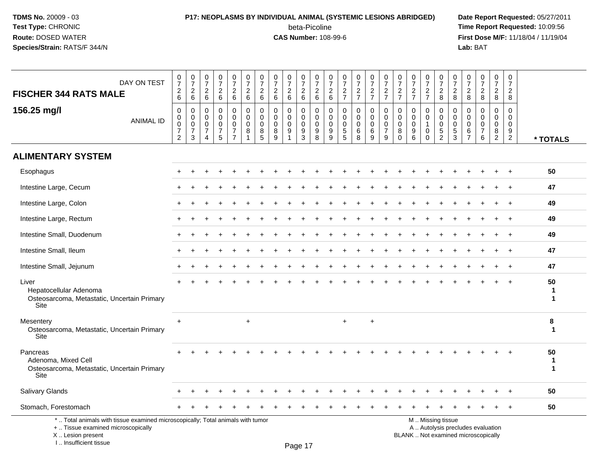I .. Insufficient tissue

### **P17: NEOPLASMS BY INDIVIDUAL ANIMAL (SYSTEMIC LESIONS ABRIDGED) Date Report Requested:** 05/27/2011 beta-Picoline<br>CAS Number: 108-99-6

| DAY ON TEST<br><b>FISCHER 344 RATS MALE</b>                                                                                                | $\frac{0}{7}$<br>$\overline{c}$<br>6                      | $\frac{0}{7}$<br>$\overline{c}$<br>$\,6\,$          | $\frac{0}{7}$<br>$\overline{c}$<br>$\,6\,$                              | 0<br>$\overline{7}$<br>$\overline{2}$<br>$6\phantom{1}$ | 0<br>$\overline{7}$<br>$\overline{c}$<br>6                                    | $\pmb{0}$<br>$\overline{7}$<br>$\overline{2}$<br>$\,6\,$ | 0<br>$\overline{7}$<br>$\overline{2}$<br>$6\phantom{1}6$ | $\frac{0}{7}$<br>$\overline{c}$<br>6      | 0<br>$\overline{7}$<br>$\overline{c}$<br>$6\phantom{1}$ | $\frac{0}{7}$<br>$\overline{c}$<br>$6\phantom{a}$          | 0<br>$\overline{7}$<br>$\overline{2}$<br>$6\phantom{1}$          | $\begin{smallmatrix}0\\7\end{smallmatrix}$<br>$\begin{array}{c} 2 \\ 6 \end{array}$ | $\frac{0}{7}$<br>$rac{2}{7}$                                             | $\frac{0}{7}$<br>$\frac{2}{7}$                                   | $\frac{0}{7}$<br>$\overline{c}$<br>$\overline{7}$ | 0<br>$\overline{7}$<br>$rac{2}{7}$                                | $\frac{0}{7}$<br>$rac{2}{7}$                      | $\frac{0}{7}$<br>$\frac{2}{7}$                                           | $\mathbf 0$<br>$\overline{7}$<br>$\frac{2}{7}$                   | $\frac{0}{7}$<br>$_{\rm 8}^2$                              | $\frac{0}{7}$<br>$\overline{c}$<br>8                           | $\frac{0}{7}$<br>$\overline{c}$<br>8                                     | $\frac{0}{7}$<br>$\overline{2}$<br>8                             | $\frac{0}{7}$<br>$\overline{2}$<br>8                             | 0<br>$\overline{7}$<br>$\overline{2}$<br>8                 |                                  |
|--------------------------------------------------------------------------------------------------------------------------------------------|-----------------------------------------------------------|-----------------------------------------------------|-------------------------------------------------------------------------|---------------------------------------------------------|-------------------------------------------------------------------------------|----------------------------------------------------------|----------------------------------------------------------|-------------------------------------------|---------------------------------------------------------|------------------------------------------------------------|------------------------------------------------------------------|-------------------------------------------------------------------------------------|--------------------------------------------------------------------------|------------------------------------------------------------------|---------------------------------------------------|-------------------------------------------------------------------|---------------------------------------------------|--------------------------------------------------------------------------|------------------------------------------------------------------|------------------------------------------------------------|----------------------------------------------------------------|--------------------------------------------------------------------------|------------------------------------------------------------------|------------------------------------------------------------------|------------------------------------------------------------|----------------------------------|
| 156.25 mg/l<br><b>ANIMAL ID</b>                                                                                                            | $\mathbf 0$<br>0<br>0<br>$\overline{7}$<br>$\overline{2}$ | $\mathbf 0$<br>$\mathbf 0$<br>$\mathbf 0$<br>7<br>3 | $\mathbf 0$<br>$\mathbf 0$<br>$\mathbf 0$<br>$\overline{7}$<br>$\Delta$ | 0<br>$\mathbf 0$<br>$\mathbf 0$<br>7<br>5               | $\mathbf 0$<br>$\mathbf 0$<br>$\mathbf 0$<br>$\overline{7}$<br>$\overline{7}$ | $\mathbf 0$<br>$\Omega$<br>$\Omega$<br>8<br>1            | $\mathbf 0$<br>$\Omega$<br>$\mathbf 0$<br>8<br>5         | 0<br>$\mathbf 0$<br>$\mathbf 0$<br>8<br>9 | $\mathbf 0$<br>$\mathbf 0$<br>$\mathbf 0$<br>9          | $\mathbf 0$<br>$\mathbf 0$<br>$\mathbf 0$<br>$\frac{9}{3}$ | $\mathbf 0$<br>$\mathbf 0$<br>$\mathbf 0$<br>9<br>$\overline{8}$ | $\mathbf 0$<br>$\mathbf 0$<br>$\mathbf 0$<br>$\frac{9}{9}$                          | 0<br>$\mathbf 0$<br>$\mathbf 0$<br>$\begin{array}{c} 5 \\ 5 \end{array}$ | $\mathbf 0$<br>$\mathbf 0$<br>$\mathbf 0$<br>6<br>$\overline{8}$ | $\mathbf 0$<br>$\Omega$<br>$\mathbf 0$<br>6<br>9  | $\mathbf 0$<br>$\mathbf{0}$<br>$\mathbf 0$<br>$\overline{7}$<br>9 | $\Omega$<br>$\Omega$<br>$\Omega$<br>8<br>$\Omega$ | $\mathbf 0$<br>0<br>$\mathbf 0$<br>$\begin{array}{c} 9 \\ 6 \end{array}$ | $\mathbf 0$<br>$\mathbf 0$<br>$\overline{1}$<br>0<br>$\mathbf 0$ | $\mathbf 0$<br>$\mathbf 0$<br>$\mathbf 0$<br>$\frac{5}{2}$ | $\mathbf 0$<br>$\Omega$<br>$\mathbf{0}$<br>5<br>$\overline{3}$ | $\mathbf 0$<br>$\mathbf 0$<br>$\mathbf 0$<br>$\,6\,$<br>$\overline{7}$   | $\mathbf 0$<br>$\mathbf 0$<br>$\mathbf 0$<br>$\overline{7}$<br>6 | $\mathbf 0$<br>$\mathbf 0$<br>$\mathbf 0$<br>8<br>$\overline{2}$ | $\mathbf 0$<br>$\Omega$<br>$\Omega$<br>9<br>$\overline{2}$ | * TOTALS                         |
| <b>ALIMENTARY SYSTEM</b>                                                                                                                   |                                                           |                                                     |                                                                         |                                                         |                                                                               |                                                          |                                                          |                                           |                                                         |                                                            |                                                                  |                                                                                     |                                                                          |                                                                  |                                                   |                                                                   |                                                   |                                                                          |                                                                  |                                                            |                                                                |                                                                          |                                                                  |                                                                  |                                                            |                                  |
| Esophagus                                                                                                                                  |                                                           |                                                     |                                                                         |                                                         |                                                                               |                                                          |                                                          |                                           |                                                         |                                                            |                                                                  |                                                                                     |                                                                          |                                                                  |                                                   |                                                                   |                                                   |                                                                          |                                                                  |                                                            |                                                                |                                                                          |                                                                  |                                                                  |                                                            | 50                               |
| Intestine Large, Cecum                                                                                                                     |                                                           |                                                     |                                                                         |                                                         |                                                                               |                                                          |                                                          |                                           |                                                         |                                                            |                                                                  |                                                                                     |                                                                          |                                                                  |                                                   |                                                                   |                                                   |                                                                          |                                                                  |                                                            |                                                                |                                                                          |                                                                  |                                                                  |                                                            | 47                               |
| Intestine Large, Colon                                                                                                                     |                                                           |                                                     |                                                                         |                                                         |                                                                               |                                                          |                                                          |                                           |                                                         |                                                            |                                                                  |                                                                                     |                                                                          |                                                                  |                                                   |                                                                   |                                                   |                                                                          |                                                                  |                                                            |                                                                |                                                                          |                                                                  |                                                                  |                                                            | 49                               |
| Intestine Large, Rectum                                                                                                                    |                                                           |                                                     |                                                                         |                                                         |                                                                               |                                                          |                                                          |                                           |                                                         |                                                            |                                                                  |                                                                                     |                                                                          |                                                                  |                                                   |                                                                   |                                                   |                                                                          |                                                                  |                                                            |                                                                |                                                                          |                                                                  |                                                                  | $\ddot{}$                                                  | 49                               |
| Intestine Small, Duodenum                                                                                                                  |                                                           |                                                     |                                                                         |                                                         |                                                                               |                                                          |                                                          |                                           |                                                         |                                                            |                                                                  |                                                                                     |                                                                          |                                                                  |                                                   |                                                                   |                                                   |                                                                          |                                                                  |                                                            |                                                                |                                                                          |                                                                  |                                                                  |                                                            | 49                               |
| Intestine Small, Ileum                                                                                                                     |                                                           |                                                     |                                                                         |                                                         |                                                                               |                                                          |                                                          |                                           |                                                         |                                                            |                                                                  |                                                                                     |                                                                          |                                                                  |                                                   |                                                                   |                                                   |                                                                          |                                                                  |                                                            |                                                                |                                                                          |                                                                  |                                                                  | $\div$                                                     | 47                               |
| Intestine Small, Jejunum                                                                                                                   |                                                           |                                                     |                                                                         |                                                         |                                                                               |                                                          |                                                          |                                           |                                                         |                                                            |                                                                  |                                                                                     |                                                                          |                                                                  |                                                   |                                                                   |                                                   |                                                                          |                                                                  |                                                            |                                                                |                                                                          |                                                                  |                                                                  |                                                            | 47                               |
| Liver<br>Hepatocellular Adenoma<br>Osteosarcoma, Metastatic, Uncertain Primary<br>Site                                                     |                                                           |                                                     |                                                                         |                                                         |                                                                               |                                                          |                                                          |                                           |                                                         |                                                            |                                                                  |                                                                                     |                                                                          |                                                                  |                                                   |                                                                   |                                                   |                                                                          |                                                                  |                                                            |                                                                |                                                                          |                                                                  |                                                                  |                                                            | 50<br>1<br>1                     |
| Mesentery<br>Osteosarcoma, Metastatic, Uncertain Primary<br><b>Site</b>                                                                    | $\ddot{}$                                                 |                                                     |                                                                         |                                                         |                                                                               | $+$                                                      |                                                          |                                           |                                                         |                                                            |                                                                  |                                                                                     | $+$                                                                      |                                                                  | $\ddot{}$                                         |                                                                   |                                                   |                                                                          |                                                                  |                                                            |                                                                |                                                                          |                                                                  |                                                                  |                                                            | 8<br>$\mathbf 1$                 |
| Pancreas<br>Adenoma, Mixed Cell<br>Osteosarcoma, Metastatic, Uncertain Primary<br>Site                                                     |                                                           |                                                     |                                                                         |                                                         |                                                                               |                                                          |                                                          |                                           |                                                         |                                                            |                                                                  |                                                                                     |                                                                          |                                                                  |                                                   |                                                                   |                                                   |                                                                          |                                                                  |                                                            |                                                                |                                                                          |                                                                  |                                                                  |                                                            | 50<br>$\mathbf 1$<br>$\mathbf 1$ |
| Salivary Glands                                                                                                                            |                                                           |                                                     |                                                                         |                                                         |                                                                               |                                                          |                                                          |                                           |                                                         |                                                            |                                                                  |                                                                                     |                                                                          |                                                                  |                                                   |                                                                   |                                                   |                                                                          |                                                                  |                                                            |                                                                |                                                                          |                                                                  |                                                                  |                                                            | 50                               |
| Stomach, Forestomach                                                                                                                       |                                                           |                                                     |                                                                         |                                                         |                                                                               |                                                          |                                                          |                                           |                                                         |                                                            |                                                                  |                                                                                     |                                                                          |                                                                  |                                                   |                                                                   |                                                   |                                                                          |                                                                  |                                                            |                                                                |                                                                          |                                                                  |                                                                  |                                                            | 50                               |
| *  Total animals with tissue examined microscopically; Total animals with tumor<br>+  Tissue examined microscopically<br>X  Lesion present |                                                           |                                                     |                                                                         |                                                         |                                                                               |                                                          |                                                          |                                           |                                                         |                                                            |                                                                  |                                                                                     |                                                                          |                                                                  |                                                   |                                                                   |                                                   |                                                                          |                                                                  | M  Missing tissue                                          |                                                                | A  Autolysis precludes evaluation<br>BLANK  Not examined microscopically |                                                                  |                                                                  |                                                            |                                  |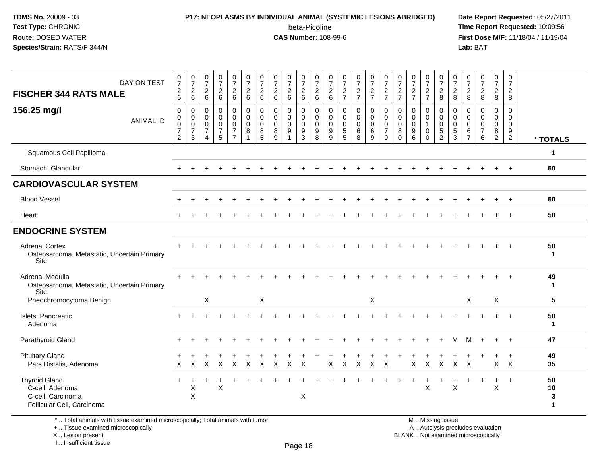# **P17: NEOPLASMS BY INDIVIDUAL ANIMAL (SYSTEMIC LESIONS ABRIDGED) Date Report Requested:** 05/27/2011

beta-Picoline<br>CAS Number: 108-99-6

 **Time Report Requested:** 10:09:56 **First Dose M/F:** 11/18/04 / 11/19/04<br>**Lab:** BAT **Lab:** BAT

| DAY ON TEST<br><b>FISCHER 344 RATS MALE</b><br>156.25 mg/l<br><b>ANIMAL ID</b>             | $\frac{0}{7}$<br>$\frac{2}{6}$<br>0<br>$\mathsf{O}$<br>$\mathbf 0$ | $\begin{smallmatrix}0\\7\end{smallmatrix}$<br>$\frac{2}{6}$<br>$\,0\,$<br>$\mathbf 0$<br>$\mathbf 0$ | $\frac{0}{7}$<br>$\begin{array}{c} 2 \\ 6 \end{array}$<br>$\mathbf 0$<br>$\mathbf 0$<br>$\mathbf 0$ | $\frac{0}{7}$<br>$\overline{c}$<br>6<br>$\mathbf 0$<br>$\mathbf 0$<br>$\mathbf 0$ | $\frac{0}{7}$<br>$\overline{a}$<br>$\,6\,$<br>0<br>$\mathbf 0$<br>$\mathbf 0$ | $\frac{0}{7}$<br>$\begin{array}{c} 2 \\ 6 \end{array}$<br>$\mathbf 0$<br>$\mathbf 0$<br>$\mathbf 0$ | $\frac{0}{7}$<br>$\overline{c}$<br>$6\phantom{1}$<br>$\mathbf 0$<br>$\mathbf 0$<br>$\mathbf 0$ | $\frac{0}{7}$<br>$\sqrt{2}$<br>$6\phantom{1}$<br>0<br>$\mathbf 0$<br>0 | $\frac{0}{7}$<br>$\frac{2}{6}$<br>0<br>$\mathbf 0$<br>$\mathbf 0$ | $\begin{smallmatrix}0\\7\end{smallmatrix}$<br>$\sqrt{2}$<br>$\,6\,$<br>0<br>$\mathbf 0$<br>$\mathbf 0$ | $\frac{0}{7}$<br>$\overline{a}$<br>$6\phantom{1}$<br>0<br>$\mathbf 0$<br>$\mathbf 0$ | $\frac{0}{7}$<br>$\begin{array}{c} 2 \\ 6 \end{array}$<br>0<br>$\mathbf 0$<br>$\mathbf 0$ | $\begin{smallmatrix}0\\7\end{smallmatrix}$<br>$rac{2}{7}$<br>0<br>0<br>$\mathbf 0$ | $\frac{0}{7}$<br>$\frac{2}{7}$<br>$\pmb{0}$<br>$\mathbf 0$<br>$\pmb{0}$ | $\frac{0}{7}$<br>$\frac{2}{7}$<br>0<br>0<br>$\pmb{0}$ | $\frac{0}{7}$<br>$rac{2}{7}$<br>$\mathbf 0$<br>$\overline{0}$<br>$\overline{0}$ | $\frac{0}{7}$<br>$\frac{2}{7}$<br>0<br>$\mathbf 0$<br>$\mathbf 0$ | $\frac{0}{7}$<br>$\frac{2}{7}$<br>$\mathbf 0$<br>$\mathbf 0$<br>$\mathbf 0$ | $\frac{0}{7}$<br>$\frac{2}{7}$<br>0<br>$\mathbf 0$ | $\begin{smallmatrix}0\\7\end{smallmatrix}$<br>$\frac{2}{8}$<br>0<br>$\mathbf 0$<br>$\mathbf 0$ | $\frac{0}{7}$<br>$\overline{c}$<br>8<br>0<br>$\mathbf 0$<br>$\mathbf 0$ | $\frac{0}{7}$<br>$\overline{c}$<br>8<br>0<br>$\mathbf 0$<br>$\mathbf 0$ | $\frac{0}{7}$<br>$\frac{2}{8}$<br>$\mathbf 0$<br>$\Omega$<br>$\mathbf 0$ | $\frac{0}{7}$<br>$\overline{c}$<br>8<br>0<br>$\mathbf 0$<br>$\mathbf 0$ | $\begin{smallmatrix}0\\7\end{smallmatrix}$<br>$\sqrt{2}$<br>8<br>$\mathbf 0$<br>$\mathbf 0$<br>$\mathbf 0$ |                               |
|--------------------------------------------------------------------------------------------|--------------------------------------------------------------------|------------------------------------------------------------------------------------------------------|-----------------------------------------------------------------------------------------------------|-----------------------------------------------------------------------------------|-------------------------------------------------------------------------------|-----------------------------------------------------------------------------------------------------|------------------------------------------------------------------------------------------------|------------------------------------------------------------------------|-------------------------------------------------------------------|--------------------------------------------------------------------------------------------------------|--------------------------------------------------------------------------------------|-------------------------------------------------------------------------------------------|------------------------------------------------------------------------------------|-------------------------------------------------------------------------|-------------------------------------------------------|---------------------------------------------------------------------------------|-------------------------------------------------------------------|-----------------------------------------------------------------------------|----------------------------------------------------|------------------------------------------------------------------------------------------------|-------------------------------------------------------------------------|-------------------------------------------------------------------------|--------------------------------------------------------------------------|-------------------------------------------------------------------------|------------------------------------------------------------------------------------------------------------|-------------------------------|
|                                                                                            | $\overline{7}$<br>$\overline{2}$                                   | $\overline{7}$<br>$\mathbf{3}$                                                                       | $\overline{7}$<br>$\overline{4}$                                                                    | $\overline{7}$<br>5                                                               | $\overline{7}$<br>$\overline{7}$                                              | 8<br>$\mathbf{1}$                                                                                   | 8<br>5                                                                                         | $\bf 8$<br>9                                                           | $9\,$<br>$\overline{\mathbf{1}}$                                  | $\boldsymbol{9}$<br>3                                                                                  | $\boldsymbol{9}$<br>8                                                                | $\boldsymbol{9}$<br>9                                                                     | $\frac{5}{5}$                                                                      | $\,6$<br>8                                                              | $\,6$<br>9                                            | $\overline{7}$<br>9                                                             | $\bf8$<br>$\mathbf 0$                                             | $\boldsymbol{9}$<br>6                                                       | 0<br>$\Omega$                                      | $\sqrt{5}$<br>2                                                                                | $\sqrt{5}$<br>3                                                         | $\,6\,$<br>$\overline{7}$                                               | $\boldsymbol{7}$<br>6                                                    | $\bf 8$<br>$\overline{2}$                                               | 9<br>$\overline{2}$                                                                                        | * TOTALS                      |
| Squamous Cell Papilloma                                                                    |                                                                    |                                                                                                      |                                                                                                     |                                                                                   |                                                                               |                                                                                                     |                                                                                                |                                                                        |                                                                   |                                                                                                        |                                                                                      |                                                                                           |                                                                                    |                                                                         |                                                       |                                                                                 |                                                                   |                                                                             |                                                    |                                                                                                |                                                                         |                                                                         |                                                                          |                                                                         |                                                                                                            | $\mathbf{1}$                  |
| Stomach, Glandular                                                                         | $+$                                                                |                                                                                                      |                                                                                                     |                                                                                   |                                                                               |                                                                                                     |                                                                                                |                                                                        |                                                                   |                                                                                                        |                                                                                      |                                                                                           |                                                                                    |                                                                         |                                                       |                                                                                 |                                                                   |                                                                             |                                                    |                                                                                                |                                                                         |                                                                         |                                                                          |                                                                         | $+$                                                                                                        | 50                            |
| <b>CARDIOVASCULAR SYSTEM</b>                                                               |                                                                    |                                                                                                      |                                                                                                     |                                                                                   |                                                                               |                                                                                                     |                                                                                                |                                                                        |                                                                   |                                                                                                        |                                                                                      |                                                                                           |                                                                                    |                                                                         |                                                       |                                                                                 |                                                                   |                                                                             |                                                    |                                                                                                |                                                                         |                                                                         |                                                                          |                                                                         |                                                                                                            |                               |
| <b>Blood Vessel</b>                                                                        |                                                                    |                                                                                                      |                                                                                                     |                                                                                   |                                                                               |                                                                                                     |                                                                                                |                                                                        |                                                                   |                                                                                                        |                                                                                      |                                                                                           |                                                                                    |                                                                         |                                                       |                                                                                 |                                                                   |                                                                             |                                                    |                                                                                                |                                                                         |                                                                         |                                                                          |                                                                         |                                                                                                            | 50                            |
| Heart                                                                                      |                                                                    |                                                                                                      |                                                                                                     |                                                                                   |                                                                               |                                                                                                     |                                                                                                |                                                                        |                                                                   |                                                                                                        |                                                                                      |                                                                                           |                                                                                    |                                                                         |                                                       |                                                                                 |                                                                   |                                                                             |                                                    |                                                                                                |                                                                         |                                                                         |                                                                          |                                                                         | $\ddot{}$                                                                                                  | 50                            |
| <b>ENDOCRINE SYSTEM</b>                                                                    |                                                                    |                                                                                                      |                                                                                                     |                                                                                   |                                                                               |                                                                                                     |                                                                                                |                                                                        |                                                                   |                                                                                                        |                                                                                      |                                                                                           |                                                                                    |                                                                         |                                                       |                                                                                 |                                                                   |                                                                             |                                                    |                                                                                                |                                                                         |                                                                         |                                                                          |                                                                         |                                                                                                            |                               |
| <b>Adrenal Cortex</b><br>Osteosarcoma, Metastatic, Uncertain Primary<br>Site               |                                                                    |                                                                                                      |                                                                                                     |                                                                                   |                                                                               |                                                                                                     |                                                                                                |                                                                        |                                                                   |                                                                                                        |                                                                                      |                                                                                           |                                                                                    |                                                                         |                                                       |                                                                                 |                                                                   |                                                                             |                                                    |                                                                                                |                                                                         |                                                                         |                                                                          |                                                                         |                                                                                                            | 50<br>$\mathbf 1$             |
| Adrenal Medulla<br>Osteosarcoma, Metastatic, Uncertain Primary<br>Site                     |                                                                    |                                                                                                      |                                                                                                     |                                                                                   |                                                                               |                                                                                                     |                                                                                                |                                                                        |                                                                   |                                                                                                        |                                                                                      |                                                                                           |                                                                                    |                                                                         |                                                       |                                                                                 |                                                                   |                                                                             |                                                    |                                                                                                |                                                                         |                                                                         |                                                                          |                                                                         |                                                                                                            | 49<br>$\mathbf 1$             |
| Pheochromocytoma Benign                                                                    |                                                                    |                                                                                                      | X                                                                                                   |                                                                                   |                                                                               |                                                                                                     | X                                                                                              |                                                                        |                                                                   |                                                                                                        |                                                                                      |                                                                                           |                                                                                    |                                                                         | X                                                     |                                                                                 |                                                                   |                                                                             |                                                    |                                                                                                |                                                                         | $\sf X$                                                                 |                                                                          | X                                                                       |                                                                                                            | 5                             |
| Islets, Pancreatic<br>Adenoma                                                              |                                                                    |                                                                                                      |                                                                                                     |                                                                                   |                                                                               |                                                                                                     |                                                                                                |                                                                        |                                                                   |                                                                                                        |                                                                                      |                                                                                           |                                                                                    |                                                                         |                                                       |                                                                                 |                                                                   |                                                                             |                                                    |                                                                                                |                                                                         |                                                                         |                                                                          |                                                                         |                                                                                                            | 50<br>$\mathbf 1$             |
| Parathyroid Gland                                                                          |                                                                    |                                                                                                      |                                                                                                     |                                                                                   |                                                                               |                                                                                                     |                                                                                                |                                                                        |                                                                   |                                                                                                        |                                                                                      |                                                                                           |                                                                                    |                                                                         |                                                       |                                                                                 |                                                                   |                                                                             |                                                    |                                                                                                | м                                                                       | м                                                                       |                                                                          |                                                                         |                                                                                                            | 47                            |
| <b>Pituitary Gland</b><br>Pars Distalis, Adenoma                                           | $\times$                                                           | $\mathsf{X}$                                                                                         | $\mathsf{X}$                                                                                        | $\mathsf{X}$                                                                      | $\boldsymbol{X}$                                                              | $\boldsymbol{\mathsf{X}}$                                                                           | $\mathsf{X}$                                                                                   | X                                                                      | $\times$                                                          | $\times$                                                                                               |                                                                                      | X                                                                                         | X                                                                                  | $\boldsymbol{\mathsf{X}}$                                               | $\mathsf{X}$                                          | $\mathsf{X}$                                                                    |                                                                   | X                                                                           | $\mathsf{X}$                                       | $\mathsf{X}$                                                                                   | $\mathsf{X}$                                                            | $\boldsymbol{\mathsf{X}}$                                               |                                                                          | $X$ $X$                                                                 |                                                                                                            | 49<br>35                      |
| <b>Thyroid Gland</b><br>C-cell, Adenoma<br>C-cell, Carcinoma<br>Follicular Cell, Carcinoma | $+$                                                                | X<br>X                                                                                               |                                                                                                     | Χ                                                                                 |                                                                               |                                                                                                     |                                                                                                |                                                                        |                                                                   | X                                                                                                      |                                                                                      |                                                                                           |                                                                                    |                                                                         |                                                       |                                                                                 |                                                                   |                                                                             | X                                                  |                                                                                                | $\times$                                                                |                                                                         |                                                                          | $\ddot{}$<br>X                                                          | $\ddot{}$                                                                                                  | 50<br>10<br>3<br>$\mathbf{1}$ |

\* .. Total animals with tissue examined microscopically; Total animals with tumor

+ .. Tissue examined microscopically

X .. Lesion present

I .. Insufficient tissue

 M .. Missing tissuey the contract of the contract of the contract of the contract of the contract of  $\mathsf A$  . Autolysis precludes evaluation

Lesion present BLANK .. Not examined microscopically

Page 18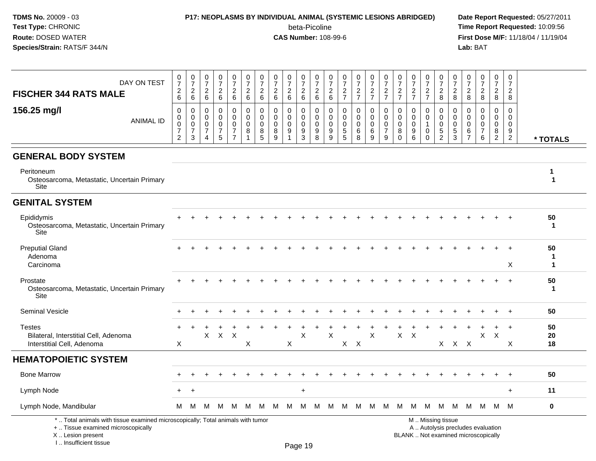### **P17: NEOPLASMS BY INDIVIDUAL ANIMAL (SYSTEMIC LESIONS ABRIDGED) Date Report Requested:** 05/27/2011

beta-Picoline<br>CAS Number: 108-99-6

 **Time Report Requested:** 10:09:56 **First Dose M/F:** 11/18/04 / 11/19/04<br>**Lab:** BAT **Lab:** BAT

| DAY ON TEST<br><b>FISCHER 344 RATS MALE</b>                                                                           | $\frac{0}{7}$<br>$\begin{array}{c} 2 \\ 6 \end{array}$              | $\frac{0}{7}$<br>$^2\phantom{0}6$                                | $\frac{0}{7}$<br>$\frac{2}{6}$                                                | $\frac{0}{7}$<br>$\frac{2}{6}$                         | 0<br>$\overline{7}$<br>$\frac{2}{6}$                      | $\begin{array}{c} 0 \\ 7 \end{array}$<br>$\overline{2}$<br>$\,6\,$ | 0<br>$\overline{7}$<br>$\overline{2}$<br>$\overline{6}$ | $\frac{0}{7}$<br>$\sqrt{2}$<br>$\overline{6}$    | $\frac{0}{7}$<br>$\frac{2}{6}$             | 0<br>$\overline{7}$<br>$\frac{2}{6}$           | 0<br>$\overline{7}$<br>$\frac{2}{6}$ | 0<br>$\overline{7}$<br>$^2\phantom{1}6$       | $\frac{0}{7}$<br>$\frac{2}{7}$               | $\frac{0}{7}$<br>$rac{2}{7}$    | $\begin{array}{c} 0 \\ 7 \end{array}$<br>$\frac{2}{7}$                 | $\frac{0}{7}$<br>$\frac{2}{7}$         | 0<br>$\overline{7}$<br>$\frac{2}{7}$                  | $\frac{0}{7}$<br>$\frac{2}{7}$                         | 0<br>$\overline{7}$<br>$rac{2}{7}$                   | 0<br>$\overline{7}$<br>$_{8}^2$           | 0<br>$\overline{7}$<br>$_{8}^{\rm 2}$                    | $\begin{array}{c} 0 \\ 7 \end{array}$<br>$_{\rm 8}^2$             | $\mathbf 0$<br>$\overline{7}$<br>$\frac{2}{8}$                    | $\pmb{0}$<br>$\overline{7}$<br>$\overline{2}$<br>8            | $\pmb{0}$<br>$\overline{7}$<br>$\overline{2}$<br>8         |                   |
|-----------------------------------------------------------------------------------------------------------------------|---------------------------------------------------------------------|------------------------------------------------------------------|-------------------------------------------------------------------------------|--------------------------------------------------------|-----------------------------------------------------------|--------------------------------------------------------------------|---------------------------------------------------------|--------------------------------------------------|--------------------------------------------|------------------------------------------------|--------------------------------------|-----------------------------------------------|----------------------------------------------|---------------------------------|------------------------------------------------------------------------|----------------------------------------|-------------------------------------------------------|--------------------------------------------------------|------------------------------------------------------|-------------------------------------------|----------------------------------------------------------|-------------------------------------------------------------------|-------------------------------------------------------------------|---------------------------------------------------------------|------------------------------------------------------------|-------------------|
| 156.25 mg/l<br><b>ANIMAL ID</b>                                                                                       | $\mathbf 0$<br>0<br>$\mathsf 0$<br>$\overline{7}$<br>$\overline{2}$ | $\mathbf 0$<br>$\mathbf 0$<br>$\mathbf 0$<br>$\overline{7}$<br>3 | $\mathbf 0$<br>$\mathbf 0$<br>$\mathbf 0$<br>$\overline{7}$<br>$\overline{4}$ | 0<br>$\mathbf 0$<br>$\mathbf 0$<br>$\overline{7}$<br>5 | 0<br>0<br>$\mathbf 0$<br>$\overline{7}$<br>$\overline{7}$ | $\mathbf 0$<br>$\Omega$<br>$\Omega$<br>8                           | $\mathbf 0$<br>$\Omega$<br>0<br>8<br>$\overline{5}$     | $\mathbf 0$<br>$\Omega$<br>$\mathbf 0$<br>8<br>9 | 0<br>$\mathbf 0$<br>$\mathbf 0$<br>9<br>-1 | 0<br>$\Omega$<br>$\Omega$<br>9<br>$\mathbf{3}$ | 0<br>$\Omega$<br>$\Omega$<br>9<br>8  | $\mathbf 0$<br>$\Omega$<br>$\Omega$<br>9<br>9 | 0<br>$\mathbf 0$<br>0<br>5<br>$\overline{5}$ | 0<br>0<br>$\mathbf 0$<br>6<br>8 | $\mathbf 0$<br>$\mathbf 0$<br>$\mathbf 0$<br>$\,6\,$<br>$\overline{9}$ | $\mathbf 0$<br>$\Omega$<br>0<br>7<br>9 | $\Omega$<br>$\mathbf{0}$<br>$\Omega$<br>8<br>$\Omega$ | 0<br>$\mathbf 0$<br>$\mathbf 0$<br>9<br>$6\phantom{1}$ | 0<br>$\mathbf 0$<br>$\mathbf{1}$<br>0<br>$\mathbf 0$ | 0<br>$\Omega$<br>0<br>5<br>$\overline{2}$ | $\mathbf 0$<br>$\Omega$<br>$\Omega$<br>5<br>$\mathbf{3}$ | $\mathbf 0$<br>$\Omega$<br>$\mathbf 0$<br>$\,6$<br>$\overline{7}$ | $\mathbf 0$<br>$\mathbf{0}$<br>$\mathbf 0$<br>$\overline{7}$<br>6 | $\mathbf 0$<br>$\Omega$<br>$\mathbf 0$<br>8<br>$\overline{2}$ | $\mathbf 0$<br>$\Omega$<br>$\Omega$<br>9<br>$\overline{2}$ | * TOTALS          |
| <b>GENERAL BODY SYSTEM</b>                                                                                            |                                                                     |                                                                  |                                                                               |                                                        |                                                           |                                                                    |                                                         |                                                  |                                            |                                                |                                      |                                               |                                              |                                 |                                                                        |                                        |                                                       |                                                        |                                                      |                                           |                                                          |                                                                   |                                                                   |                                                               |                                                            |                   |
| Peritoneum<br>Osteosarcoma, Metastatic, Uncertain Primary<br>Site                                                     |                                                                     |                                                                  |                                                                               |                                                        |                                                           |                                                                    |                                                         |                                                  |                                            |                                                |                                      |                                               |                                              |                                 |                                                                        |                                        |                                                       |                                                        |                                                      |                                           |                                                          |                                                                   |                                                                   |                                                               |                                                            | 1<br>$\mathbf{1}$ |
| <b>GENITAL SYSTEM</b>                                                                                                 |                                                                     |                                                                  |                                                                               |                                                        |                                                           |                                                                    |                                                         |                                                  |                                            |                                                |                                      |                                               |                                              |                                 |                                                                        |                                        |                                                       |                                                        |                                                      |                                           |                                                          |                                                                   |                                                                   |                                                               |                                                            |                   |
| Epididymis<br>Osteosarcoma, Metastatic, Uncertain Primary<br>Site                                                     |                                                                     |                                                                  |                                                                               |                                                        |                                                           |                                                                    |                                                         |                                                  |                                            |                                                |                                      |                                               |                                              |                                 |                                                                        |                                        |                                                       |                                                        |                                                      |                                           |                                                          |                                                                   |                                                                   |                                                               |                                                            | 50<br>1           |
| <b>Preputial Gland</b><br>Adenoma<br>Carcinoma                                                                        |                                                                     |                                                                  |                                                                               |                                                        |                                                           |                                                                    |                                                         |                                                  |                                            |                                                |                                      |                                               |                                              |                                 |                                                                        |                                        |                                                       |                                                        |                                                      |                                           |                                                          |                                                                   |                                                                   |                                                               | X                                                          | 50<br>1<br>1      |
| Prostate<br>Osteosarcoma, Metastatic, Uncertain Primary<br>Site                                                       |                                                                     |                                                                  |                                                                               |                                                        |                                                           |                                                                    |                                                         |                                                  |                                            |                                                |                                      |                                               |                                              |                                 |                                                                        |                                        |                                                       |                                                        |                                                      |                                           |                                                          |                                                                   |                                                                   |                                                               | $\ddot{}$                                                  | 50<br>$\mathbf 1$ |
| <b>Seminal Vesicle</b>                                                                                                |                                                                     |                                                                  |                                                                               |                                                        |                                                           |                                                                    |                                                         |                                                  |                                            |                                                |                                      |                                               |                                              |                                 |                                                                        |                                        |                                                       |                                                        |                                                      |                                           |                                                          |                                                                   |                                                                   |                                                               |                                                            | 50                |
| <b>Testes</b><br>Bilateral, Interstitial Cell, Adenoma<br>Interstitial Cell, Adenoma                                  | X                                                                   |                                                                  | X                                                                             | $\mathsf X$                                            | $\times$                                                  | $\boldsymbol{\mathsf{X}}$                                          |                                                         |                                                  | $\boldsymbol{\mathsf{X}}$                  | X                                              |                                      | X                                             | X                                            | $\mathsf{X}$                    | $\sf X$                                                                |                                        | $\mathsf{X}$                                          | $\times$                                               |                                                      | X                                         |                                                          | X X                                                               | $\pmb{\times}$                                                    | $\boldsymbol{\mathsf{X}}$                                     | $+$<br>X                                                   | 50<br>20<br>18    |
| <b>HEMATOPOIETIC SYSTEM</b>                                                                                           |                                                                     |                                                                  |                                                                               |                                                        |                                                           |                                                                    |                                                         |                                                  |                                            |                                                |                                      |                                               |                                              |                                 |                                                                        |                                        |                                                       |                                                        |                                                      |                                           |                                                          |                                                                   |                                                                   |                                                               |                                                            |                   |
| <b>Bone Marrow</b>                                                                                                    |                                                                     |                                                                  |                                                                               |                                                        |                                                           |                                                                    |                                                         |                                                  |                                            |                                                |                                      |                                               |                                              |                                 |                                                                        |                                        |                                                       |                                                        |                                                      |                                           |                                                          |                                                                   |                                                                   |                                                               |                                                            | 50                |
| Lymph Node                                                                                                            | $\div$                                                              | $+$                                                              |                                                                               |                                                        |                                                           |                                                                    |                                                         |                                                  |                                            | $\ddot{}$                                      |                                      |                                               |                                              |                                 |                                                                        |                                        |                                                       |                                                        |                                                      |                                           |                                                          |                                                                   |                                                                   |                                                               | $\ddot{}$                                                  | 11                |
| Lymph Node, Mandibular                                                                                                | М                                                                   | м                                                                | м                                                                             | м                                                      | M                                                         | м                                                                  | M                                                       | м                                                | м                                          | М                                              | M                                    | M                                             | M                                            | M                               | M                                                                      | M                                      | м                                                     | м                                                      | M                                                    | M                                         | M                                                        |                                                                   | M M                                                               | M                                                             | M                                                          | $\mathbf 0$       |
| *  Total animals with tissue examined microscopically; Total animals with tumor<br>+  Tissue examined microscopically |                                                                     |                                                                  |                                                                               |                                                        |                                                           |                                                                    |                                                         |                                                  |                                            |                                                |                                      |                                               |                                              |                                 |                                                                        |                                        |                                                       |                                                        | M  Missing tissue                                    |                                           |                                                          |                                                                   |                                                                   | A  Autolysis precludes evaluation                             |                                                            |                   |

 Lesion present BLANK .. Not examined microscopicallyX .. Lesion present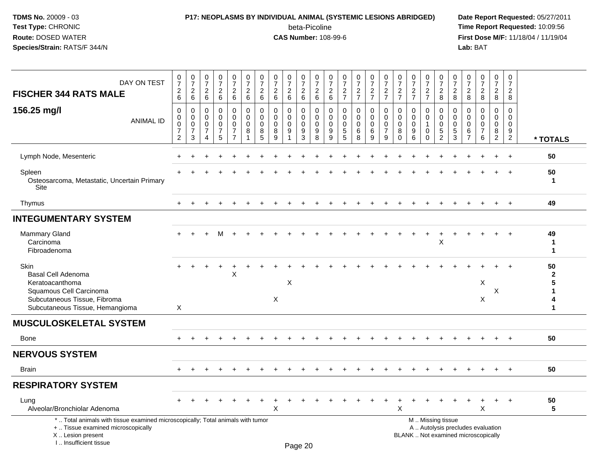# **P17: NEOPLASMS BY INDIVIDUAL ANIMAL (SYSTEMIC LESIONS ABRIDGED) Date Report Requested:** 05/27/2011

beta-Picoline<br>CAS Number: 108-99-6

| DAY ON TEST<br><b>FISCHER 344 RATS MALE</b>                                                                                                                           | $\begin{smallmatrix}0\\7\end{smallmatrix}$<br>$\boldsymbol{2}$<br>6         | $\frac{0}{7}$<br>$\overline{c}$<br>6                       | $\begin{array}{c} 0 \\ 7 \end{array}$<br>$\sqrt{2}$<br>6 | $\frac{0}{7}$<br>$\frac{2}{6}$                      | $\begin{smallmatrix}0\\7\end{smallmatrix}$<br>$\overline{c}$<br>$\,6\,$       | $\frac{0}{7}$<br>$\boldsymbol{2}$<br>$6\phantom{1}6$    | $\pmb{0}$<br>$\overline{7}$<br>$\boldsymbol{2}$<br>6 | $\begin{array}{c} 0 \\ 7 \end{array}$<br>$\sqrt{2}$<br>6 | $\frac{0}{7}$<br>$\overline{c}$<br>6                    | $\begin{smallmatrix} 0\\7 \end{smallmatrix}$<br>$\frac{2}{6}$ | $\begin{array}{c} 0 \\ 7 \end{array}$<br>$\frac{2}{6}$          | $\pmb{0}$<br>$\overline{7}$<br>$\begin{array}{c} 2 \\ 6 \end{array}$ | $\frac{0}{7}$<br>$\frac{2}{7}$                                      | $\frac{0}{7}$<br>$\frac{2}{7}$                   | $\begin{smallmatrix}0\\7\end{smallmatrix}$<br>$\frac{2}{7}$ | $\begin{array}{c} 0 \\ 7 \end{array}$<br>$\frac{2}{7}$        | $\frac{0}{7}$<br>$\frac{2}{7}$                                  | $\begin{array}{c} 0 \\ 7 \end{array}$<br>$\frac{2}{7}$          | $\frac{0}{7}$<br>$\frac{2}{7}$                                     | $\frac{0}{7}$<br>$\overline{c}$<br>8                            | $\frac{0}{7}$<br>$\overline{c}$<br>8                  | $\begin{array}{c} 0 \\ 7 \end{array}$<br>$\frac{2}{8}$           | $\begin{array}{c} 0 \\ 7 \end{array}$<br>$\overline{c}$<br>8             | $\frac{0}{7}$<br>$\overline{a}$<br>8                          | $\frac{0}{7}$<br>$\overline{a}$<br>8                                            |                                        |
|-----------------------------------------------------------------------------------------------------------------------------------------------------------------------|-----------------------------------------------------------------------------|------------------------------------------------------------|----------------------------------------------------------|-----------------------------------------------------|-------------------------------------------------------------------------------|---------------------------------------------------------|------------------------------------------------------|----------------------------------------------------------|---------------------------------------------------------|---------------------------------------------------------------|-----------------------------------------------------------------|----------------------------------------------------------------------|---------------------------------------------------------------------|--------------------------------------------------|-------------------------------------------------------------|---------------------------------------------------------------|-----------------------------------------------------------------|-----------------------------------------------------------------|--------------------------------------------------------------------|-----------------------------------------------------------------|-------------------------------------------------------|------------------------------------------------------------------|--------------------------------------------------------------------------|---------------------------------------------------------------|---------------------------------------------------------------------------------|----------------------------------------|
| 156.25 mg/l<br><b>ANIMAL ID</b>                                                                                                                                       | $\pmb{0}$<br>$\mathbf 0$<br>$\mathbf 0$<br>$\overline{7}$<br>$\overline{c}$ | $\Omega$<br>$\mathbf 0$<br>$\Omega$<br>$\overline{7}$<br>3 | $\Omega$<br>$\Omega$<br>$\Omega$<br>7<br>Δ               | 0<br>$\Omega$<br>$\mathbf 0$<br>$\overline{7}$<br>5 | $\mathsf 0$<br>$\mathbf 0$<br>$\mathbf 0$<br>$\overline{7}$<br>$\overline{7}$ | $\pmb{0}$<br>$\mathbf 0$<br>$\mathbf 0$<br>$\,8\,$<br>1 | $\Omega$<br>$\Omega$<br>$\mathbf 0$<br>8<br>5        | $\Omega$<br>$\Omega$<br>$\Omega$<br>8<br>$\mathbf{Q}$    | $\Omega$<br>$\Omega$<br>$\mathbf 0$<br>$\boldsymbol{9}$ | 0<br>$\mathbf 0$<br>$\mathbf 0$<br>$\boldsymbol{9}$<br>3      | $\Omega$<br>$\mathbf 0$<br>$\mathbf 0$<br>$\boldsymbol{9}$<br>8 | $\Omega$<br>$\mathbf 0$<br>$\mathbf 0$<br>9<br>9                     | $\Omega$<br>$\mathbf 0$<br>$\Omega$<br>$\sqrt{5}$<br>$\overline{5}$ | $\Omega$<br>$\mathbf 0$<br>$\mathbf 0$<br>6<br>8 | $\mathsf 0$<br>$\mathbf 0$<br>$\mathbf 0$<br>6<br>9         | $\Omega$<br>$\mathbf 0$<br>$\mathbf 0$<br>$\overline{7}$<br>9 | $\mathbf 0$<br>$\mathbf 0$<br>$\mathbf 0$<br>$\bf8$<br>$\Omega$ | $\Omega$<br>$\mathbf 0$<br>$\mathbf 0$<br>$\boldsymbol{9}$<br>6 | $\Omega$<br>$\mathbf 0$<br>$\mathbf{1}$<br>$\mathbf 0$<br>$\Omega$ | 0<br>$\mathbf 0$<br>$\mathbf 0$<br>$\sqrt{5}$<br>$\overline{2}$ | $\pmb{0}$<br>$\mathbf 0$<br>$\mathbf 0$<br>$5\,$<br>3 | $\Omega$<br>$\Omega$<br>$\mathbf 0$<br>$\,6\,$<br>$\overline{7}$ | $\Omega$<br>$\Omega$<br>$\Omega$<br>$\overline{7}$<br>6                  | $\Omega$<br>$\mathbf 0$<br>$\mathbf 0$<br>8<br>$\overline{2}$ | $\mathbf 0$<br>$\mathbf 0$<br>$\mathbf 0$<br>$\boldsymbol{9}$<br>$\overline{2}$ | * TOTALS                               |
| Lymph Node, Mesenteric                                                                                                                                                |                                                                             |                                                            |                                                          |                                                     |                                                                               |                                                         |                                                      |                                                          |                                                         |                                                               |                                                                 |                                                                      |                                                                     |                                                  |                                                             |                                                               |                                                                 |                                                                 |                                                                    |                                                                 |                                                       |                                                                  |                                                                          |                                                               |                                                                                 | 50                                     |
| Spleen<br>Osteosarcoma, Metastatic, Uncertain Primary<br>Site                                                                                                         |                                                                             |                                                            |                                                          |                                                     |                                                                               |                                                         |                                                      |                                                          |                                                         |                                                               |                                                                 |                                                                      |                                                                     |                                                  |                                                             |                                                               |                                                                 |                                                                 |                                                                    |                                                                 |                                                       |                                                                  |                                                                          |                                                               | $\ddot{}$                                                                       | 50<br>$\mathbf 1$                      |
| Thymus                                                                                                                                                                | $\div$                                                                      | $\div$                                                     |                                                          |                                                     | $\ddot{}$                                                                     |                                                         |                                                      |                                                          | $\ddot{}$                                               | $+$                                                           | $\ddot{}$                                                       | $\pm$                                                                | $\ddot{}$                                                           | $\overline{+}$                                   | $+$                                                         | $\ddot{}$                                                     | $\pm$                                                           | $\ddot{}$                                                       | $\overline{+}$                                                     | $\pm$                                                           | $\pm$                                                 |                                                                  | $\ddot{}$                                                                | $+$                                                           | $+$                                                                             | 49                                     |
| <b>INTEGUMENTARY SYSTEM</b>                                                                                                                                           |                                                                             |                                                            |                                                          |                                                     |                                                                               |                                                         |                                                      |                                                          |                                                         |                                                               |                                                                 |                                                                      |                                                                     |                                                  |                                                             |                                                               |                                                                 |                                                                 |                                                                    |                                                                 |                                                       |                                                                  |                                                                          |                                                               |                                                                                 |                                        |
| Mammary Gland<br>Carcinoma<br>Fibroadenoma                                                                                                                            |                                                                             |                                                            |                                                          | м                                                   |                                                                               |                                                         |                                                      |                                                          |                                                         |                                                               |                                                                 |                                                                      |                                                                     |                                                  |                                                             |                                                               |                                                                 |                                                                 |                                                                    | $\mathsf X$                                                     |                                                       |                                                                  |                                                                          |                                                               | $\div$                                                                          | 49<br>-1<br>1                          |
| Skin<br>Basal Cell Adenoma<br>Keratoacanthoma<br>Squamous Cell Carcinoma<br>Subcutaneous Tissue, Fibroma<br>Subcutaneous Tissue, Hemangioma                           | X                                                                           |                                                            |                                                          |                                                     | X                                                                             |                                                         |                                                      | $\mathsf{X}$                                             | X                                                       |                                                               |                                                                 |                                                                      |                                                                     |                                                  |                                                             |                                                               |                                                                 |                                                                 |                                                                    |                                                                 |                                                       |                                                                  | X<br>X                                                                   | X                                                             |                                                                                 | 50<br>$\mathbf{2}$<br>5<br>1<br>4<br>1 |
| <b>MUSCULOSKELETAL SYSTEM</b>                                                                                                                                         |                                                                             |                                                            |                                                          |                                                     |                                                                               |                                                         |                                                      |                                                          |                                                         |                                                               |                                                                 |                                                                      |                                                                     |                                                  |                                                             |                                                               |                                                                 |                                                                 |                                                                    |                                                                 |                                                       |                                                                  |                                                                          |                                                               |                                                                                 |                                        |
| Bone                                                                                                                                                                  |                                                                             |                                                            |                                                          |                                                     |                                                                               |                                                         |                                                      |                                                          |                                                         |                                                               |                                                                 |                                                                      |                                                                     |                                                  |                                                             |                                                               |                                                                 |                                                                 |                                                                    |                                                                 |                                                       |                                                                  |                                                                          |                                                               |                                                                                 | 50                                     |
| <b>NERVOUS SYSTEM</b>                                                                                                                                                 |                                                                             |                                                            |                                                          |                                                     |                                                                               |                                                         |                                                      |                                                          |                                                         |                                                               |                                                                 |                                                                      |                                                                     |                                                  |                                                             |                                                               |                                                                 |                                                                 |                                                                    |                                                                 |                                                       |                                                                  |                                                                          |                                                               |                                                                                 |                                        |
| <b>Brain</b>                                                                                                                                                          |                                                                             |                                                            |                                                          |                                                     |                                                                               |                                                         |                                                      |                                                          |                                                         |                                                               |                                                                 |                                                                      |                                                                     |                                                  |                                                             |                                                               |                                                                 |                                                                 |                                                                    |                                                                 |                                                       |                                                                  |                                                                          |                                                               |                                                                                 | 50                                     |
| <b>RESPIRATORY SYSTEM</b>                                                                                                                                             |                                                                             |                                                            |                                                          |                                                     |                                                                               |                                                         |                                                      |                                                          |                                                         |                                                               |                                                                 |                                                                      |                                                                     |                                                  |                                                             |                                                               |                                                                 |                                                                 |                                                                    |                                                                 |                                                       |                                                                  |                                                                          |                                                               |                                                                                 |                                        |
| Lung<br>Alveolar/Bronchiolar Adenoma                                                                                                                                  |                                                                             |                                                            |                                                          |                                                     |                                                                               |                                                         |                                                      | X                                                        |                                                         |                                                               |                                                                 |                                                                      |                                                                     |                                                  |                                                             |                                                               | X                                                               |                                                                 |                                                                    |                                                                 |                                                       |                                                                  | $\boldsymbol{\mathsf{X}}$                                                | $\ddot{}$                                                     | $+$                                                                             | 50<br>$5\phantom{1}$                   |
| *  Total animals with tissue examined microscopically; Total animals with tumor<br>+  Tissue examined microscopically<br>X  Lesion present<br>I., Insufficient tissue |                                                                             |                                                            |                                                          |                                                     |                                                                               |                                                         |                                                      |                                                          |                                                         | Page 20                                                       |                                                                 |                                                                      |                                                                     |                                                  |                                                             |                                                               |                                                                 | M  Missing tissue                                               |                                                                    |                                                                 |                                                       |                                                                  | A  Autolysis precludes evaluation<br>BLANK  Not examined microscopically |                                                               |                                                                                 |                                        |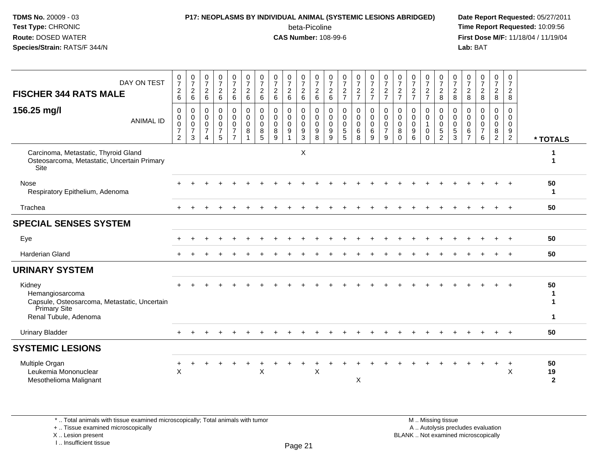# **P17: NEOPLASMS BY INDIVIDUAL ANIMAL (SYSTEMIC LESIONS ABRIDGED) Date Report Requested:** 05/27/2011

beta-Picoline<br>CAS Number: 108-99-6

 **Time Report Requested:** 10:09:56 **First Dose M/F:** 11/18/04 / 11/19/04<br>**Lab:** BAT **Lab:** BAT

| DAY ON TEST<br><b>FISCHER 344 RATS MALE</b>                                                                        | $\frac{0}{7}$<br>$\boldsymbol{2}$<br>$6\phantom{1}$  | $\frac{0}{7}$<br>$\boldsymbol{2}$<br>$\,6\,$        | $\frac{0}{7}$<br>$\frac{2}{6}$                                                | $\frac{0}{7}$<br>$\overline{c}$<br>$6\phantom{1}$ | $\frac{0}{7}$<br>$\begin{array}{c} 2 \\ 6 \end{array}$    | $\frac{0}{7}$<br>$\overline{2}$<br>$6\phantom{1}6$  | $\frac{0}{7}$<br>$\overline{2}$<br>$6\phantom{1}$   | $\frac{0}{7}$<br>$^2\phantom{1}6$                   | $\frac{0}{7}$<br>$\overline{c}$<br>$6\phantom{1}$ | $\frac{0}{7}$<br>$^2\phantom{1}6$                      | $\frac{0}{7}$<br>$^2\phantom{1}6$                   | $\frac{0}{7}$<br>$\begin{array}{c} 2 \\ 6 \end{array}$ | $\frac{0}{7}$<br>$\frac{2}{7}$                               | $\frac{0}{7}$<br>$\frac{2}{7}$            | $\frac{0}{7}$<br>$rac{2}{7}$                      | $\frac{0}{7}$<br>$\frac{2}{7}$                       | $\frac{0}{7}$<br>$\frac{2}{7}$                 | $\frac{0}{7}$<br>$\frac{2}{7}$                      | $\frac{0}{7}$<br>$\frac{2}{7}$                              | $\frac{0}{7}$<br>$\frac{2}{8}$                                         | $\frac{0}{7}$<br>$\overline{c}$<br>8      | 0<br>$\overline{7}$<br>$_{8}^2$                            | $\frac{0}{7}$<br>$\frac{2}{8}$                                   | $\begin{array}{c} 0 \\ 7 \end{array}$<br>$\overline{c}$<br>8 | 0<br>$\overline{7}$<br>$\overline{c}$<br>8                    |                              |
|--------------------------------------------------------------------------------------------------------------------|------------------------------------------------------|-----------------------------------------------------|-------------------------------------------------------------------------------|---------------------------------------------------|-----------------------------------------------------------|-----------------------------------------------------|-----------------------------------------------------|-----------------------------------------------------|---------------------------------------------------|--------------------------------------------------------|-----------------------------------------------------|--------------------------------------------------------|--------------------------------------------------------------|-------------------------------------------|---------------------------------------------------|------------------------------------------------------|------------------------------------------------|-----------------------------------------------------|-------------------------------------------------------------|------------------------------------------------------------------------|-------------------------------------------|------------------------------------------------------------|------------------------------------------------------------------|--------------------------------------------------------------|---------------------------------------------------------------|------------------------------|
| 156.25 mg/l<br><b>ANIMAL ID</b>                                                                                    | $\mathbf 0$<br>0<br>$\pmb{0}$<br>$\overline{7}$<br>2 | $\mathbf 0$<br>$\mathbf 0$<br>$\mathsf 0$<br>7<br>3 | $\mathbf 0$<br>$\mathbf 0$<br>$\mathbf 0$<br>$\overline{7}$<br>$\overline{4}$ | 0<br>0<br>$\mathbf 0$<br>$\overline{7}$<br>5      | 0<br>$\mathbf 0$<br>0<br>$\overline{7}$<br>$\overline{7}$ | $\mathbf 0$<br>$\mathbf 0$<br>$\mathbf 0$<br>8<br>1 | $\mathbf 0$<br>$\mathbf 0$<br>$\mathbf 0$<br>8<br>5 | $\mathbf 0$<br>$\mathbf 0$<br>$\mathbf 0$<br>8<br>9 | 0<br>$\Omega$<br>$\mathbf 0$<br>9                 | 0<br>$\mathsf{O}\xspace$<br>$\pmb{0}$<br>$\frac{9}{3}$ | $\mathbf 0$<br>$\mathbf 0$<br>$\mathsf 0$<br>9<br>8 | 0<br>$\mathbf 0$<br>$\mathbf 0$<br>9<br>9              | $\mathbf 0$<br>$\mathbf 0$<br>$\mathbf 0$<br>$\sqrt{5}$<br>5 | 0<br>$\mathbf 0$<br>$\mathbf 0$<br>6<br>8 | 0<br>$\mathbf 0$<br>$\mathsf{O}\xspace$<br>6<br>9 | 0<br>$\pmb{0}$<br>$\mathbf 0$<br>$\overline{7}$<br>9 | $\mathbf 0$<br>$\pmb{0}$<br>0<br>8<br>$\Omega$ | $\mathbf 0$<br>$\mathbf 0$<br>$\mathbf 0$<br>9<br>6 | 0<br>$\mathbf 0$<br>$\mathbf{1}$<br>$\mathbf 0$<br>$\Omega$ | 0<br>$\pmb{0}$<br>$\mathsf{O}\xspace$<br>$\,$ 5 $\,$<br>$\overline{2}$ | 0<br>$\mathbf 0$<br>$\mathbf 0$<br>5<br>3 | $\Omega$<br>$\Omega$<br>$\mathbf 0$<br>6<br>$\overline{7}$ | $\mathbf 0$<br>$\mathbf 0$<br>$\mathbf 0$<br>$\overline{7}$<br>6 | 0<br>$\mathbf 0$<br>$\mathbf 0$<br>$\frac{8}{2}$             | $\mathbf 0$<br>$\Omega$<br>$\mathbf 0$<br>9<br>$\overline{2}$ | * TOTALS                     |
| Carcinoma, Metastatic, Thyroid Gland<br>Osteosarcoma, Metastatic, Uncertain Primary<br>Site                        |                                                      |                                                     |                                                                               |                                                   |                                                           |                                                     |                                                     |                                                     |                                                   | Χ                                                      |                                                     |                                                        |                                                              |                                           |                                                   |                                                      |                                                |                                                     |                                                             |                                                                        |                                           |                                                            |                                                                  |                                                              |                                                               | 1                            |
| <b>Nose</b><br>Respiratory Epithelium, Adenoma                                                                     |                                                      |                                                     |                                                                               |                                                   |                                                           |                                                     |                                                     |                                                     |                                                   |                                                        |                                                     |                                                        |                                                              |                                           |                                                   |                                                      |                                                |                                                     |                                                             |                                                                        |                                           |                                                            |                                                                  |                                                              |                                                               | 50<br>-1                     |
| Trachea                                                                                                            |                                                      |                                                     |                                                                               |                                                   |                                                           |                                                     |                                                     |                                                     |                                                   |                                                        |                                                     |                                                        |                                                              |                                           |                                                   |                                                      |                                                |                                                     |                                                             |                                                                        |                                           |                                                            |                                                                  |                                                              | $\ddot{}$                                                     | 50                           |
| <b>SPECIAL SENSES SYSTEM</b>                                                                                       |                                                      |                                                     |                                                                               |                                                   |                                                           |                                                     |                                                     |                                                     |                                                   |                                                        |                                                     |                                                        |                                                              |                                           |                                                   |                                                      |                                                |                                                     |                                                             |                                                                        |                                           |                                                            |                                                                  |                                                              |                                                               |                              |
| Eye                                                                                                                |                                                      |                                                     |                                                                               |                                                   |                                                           |                                                     |                                                     |                                                     |                                                   |                                                        |                                                     |                                                        |                                                              |                                           |                                                   |                                                      |                                                |                                                     |                                                             |                                                                        |                                           |                                                            |                                                                  |                                                              |                                                               | 50                           |
| <b>Harderian Gland</b>                                                                                             |                                                      |                                                     |                                                                               |                                                   |                                                           |                                                     |                                                     |                                                     |                                                   |                                                        |                                                     |                                                        |                                                              |                                           |                                                   |                                                      |                                                |                                                     |                                                             |                                                                        |                                           |                                                            |                                                                  |                                                              |                                                               | 50                           |
| <b>URINARY SYSTEM</b>                                                                                              |                                                      |                                                     |                                                                               |                                                   |                                                           |                                                     |                                                     |                                                     |                                                   |                                                        |                                                     |                                                        |                                                              |                                           |                                                   |                                                      |                                                |                                                     |                                                             |                                                                        |                                           |                                                            |                                                                  |                                                              |                                                               |                              |
| Kidney<br>Hemangiosarcoma<br>Capsule, Osteosarcoma, Metastatic, Uncertain<br>Primary Site<br>Renal Tubule, Adenoma |                                                      |                                                     |                                                                               |                                                   |                                                           |                                                     |                                                     |                                                     |                                                   |                                                        |                                                     |                                                        |                                                              |                                           |                                                   |                                                      |                                                |                                                     |                                                             |                                                                        |                                           |                                                            |                                                                  |                                                              |                                                               | 50<br>-1<br>1<br>$\mathbf 1$ |
| <b>Urinary Bladder</b>                                                                                             |                                                      |                                                     |                                                                               |                                                   |                                                           |                                                     |                                                     |                                                     |                                                   |                                                        |                                                     |                                                        |                                                              |                                           |                                                   |                                                      |                                                |                                                     |                                                             |                                                                        |                                           |                                                            |                                                                  |                                                              |                                                               | 50                           |
| <b>SYSTEMIC LESIONS</b>                                                                                            |                                                      |                                                     |                                                                               |                                                   |                                                           |                                                     |                                                     |                                                     |                                                   |                                                        |                                                     |                                                        |                                                              |                                           |                                                   |                                                      |                                                |                                                     |                                                             |                                                                        |                                           |                                                            |                                                                  |                                                              |                                                               |                              |
| Multiple Organ<br>Leukemia Mononuclear<br>Mesothelioma Malignant                                                   | $\times$                                             |                                                     |                                                                               |                                                   |                                                           |                                                     | $\pmb{\times}$                                      |                                                     |                                                   |                                                        | X                                                   |                                                        |                                                              | X                                         |                                                   |                                                      |                                                |                                                     |                                                             |                                                                        |                                           |                                                            |                                                                  |                                                              | $\ddot{}$<br>X                                                | 50<br>19<br>$\mathbf{2}$     |

\* .. Total animals with tissue examined microscopically; Total animals with tumor

+ .. Tissue examined microscopically

X .. Lesion present

I .. Insufficient tissue

 M .. Missing tissuey the contract of the contract of the contract of the contract of the contract of  $\mathsf A$  . Autolysis precludes evaluation Lesion present BLANK .. Not examined microscopically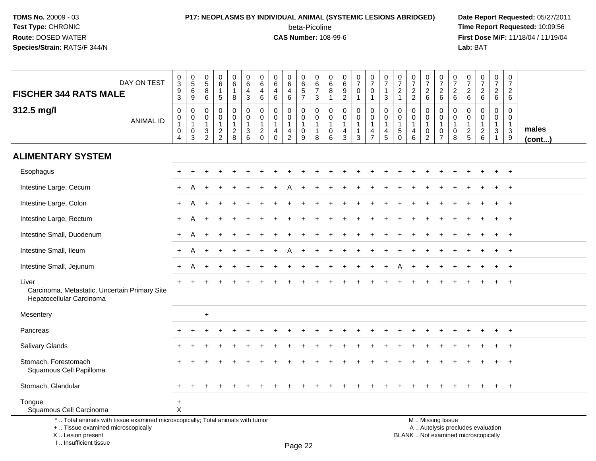I .. Insufficient tissue

### **P17: NEOPLASMS BY INDIVIDUAL ANIMAL (SYSTEMIC LESIONS ABRIDGED) Date Report Requested:** 05/27/2011 beta-Picoline<br>CAS Number: 108-99-6

| DAY ON TEST<br><b>FISCHER 344 RATS MALE</b>                                                                                                | $\pmb{0}$<br>$\sqrt{3}$<br>9<br>$\overline{3}$                                                             | $\pmb{0}$<br>$\sqrt{5}$<br>6<br>9                                         | 0<br>$\sqrt{5}$<br>8<br>6                  | 0<br>$\,6\,$<br>$\mathbf{1}$<br>5                 | $\mathbf 0$<br>$6\phantom{1}$<br>$\mathbf{1}$<br>8                | 0<br>$\,6\,$<br>$\overline{4}$<br>$\mathbf{3}$              | 0<br>6<br>$\overline{4}$<br>$6\phantom{1}$                                  | 0<br>6<br>$\overline{4}$<br>$6\phantom{1}$               | 0<br>6<br>$\overline{4}$<br>$\,6\,$           | 0<br>$\,6\,$<br>5<br>$\overline{7}$                  | 0<br>$\,6$<br>$\overline{7}$<br>3                               | 0<br>$\,6\,$<br>8<br>$\overline{1}$                              | $\mathbf 0$<br>$\,6\,$<br>9<br>$\overline{2}$                                | $\begin{smallmatrix}0\\7\end{smallmatrix}$<br>$\mathbf 0$<br>$\mathbf{1}$ | $\pmb{0}$<br>$\overline{7}$<br>0<br>$\mathbf{1}$        | $\frac{0}{7}$<br>$\mathbf{1}$<br>$\mathfrak{S}$    | 0<br>$\overline{7}$<br>$\overline{2}$<br>$\overline{1}$               | $\pmb{0}$<br>$\overline{7}$<br>$\overline{2}$<br>$\overline{2}$ | $\begin{array}{c} 0 \\ 7 \end{array}$<br>$\overline{2}$<br>$\,6\,$     | $\pmb{0}$<br>$\overline{7}$<br>$\overline{2}$<br>$\,6\,$          | $\frac{0}{7}$<br>$\overline{2}$<br>6    | $\pmb{0}$<br>$\overline{7}$<br>$\overline{2}$<br>$\,6\,$ | $\begin{smallmatrix}0\\7\end{smallmatrix}$<br>$\overline{2}$<br>$6\phantom{a}$      | $\pmb{0}$<br>$\overline{7}$<br>$\overline{2}$<br>$6\phantom{1}$     | $\mathbf 0$<br>$\overline{7}$<br>$\overline{2}$<br>$6\phantom{1}$ |                       |
|--------------------------------------------------------------------------------------------------------------------------------------------|------------------------------------------------------------------------------------------------------------|---------------------------------------------------------------------------|--------------------------------------------|---------------------------------------------------|-------------------------------------------------------------------|-------------------------------------------------------------|-----------------------------------------------------------------------------|----------------------------------------------------------|-----------------------------------------------|------------------------------------------------------|-----------------------------------------------------------------|------------------------------------------------------------------|------------------------------------------------------------------------------|---------------------------------------------------------------------------|---------------------------------------------------------|----------------------------------------------------|-----------------------------------------------------------------------|-----------------------------------------------------------------|------------------------------------------------------------------------|-------------------------------------------------------------------|-----------------------------------------|----------------------------------------------------------|-------------------------------------------------------------------------------------|---------------------------------------------------------------------|-------------------------------------------------------------------|-----------------------|
| 312.5 mg/l<br><b>ANIMAL ID</b>                                                                                                             | $\mathsf{O}\xspace$<br>$\begin{smallmatrix}0\\1\end{smallmatrix}$<br>$\mathsf{O}\xspace$<br>$\overline{4}$ | $\mathbf 0$<br>$\mathbf 0$<br>$\mathbf{1}$<br>$\mathbf 0$<br>$\mathbf{3}$ | $\mathbf 0$<br>0<br>$\mathbf{1}$<br>3<br>2 | 0<br>$\mathbf 0$<br>$\mathbf{1}$<br>$\frac{2}{2}$ | $\pmb{0}$<br>$\mathsf{O}\xspace$<br>$\mathbf{1}$<br>$\frac{2}{8}$ | $\mathbf 0$<br>$\pmb{0}$<br>$\mathbf{1}$<br>$\sqrt{3}$<br>6 | $\mathbf{0}$<br>$\mathbf 0$<br>$\overline{1}$<br>$\overline{2}$<br>$\Omega$ | $\Omega$<br>$\mathbf 0$<br>$\mathbf{1}$<br>4<br>$\Omega$ | 0<br>0<br>$\mathbf{1}$<br>4<br>$\overline{2}$ | 0<br>$\mathbf 0$<br>$\mathbf{1}$<br>$\mathbf 0$<br>9 | $\mathbf 0$<br>$\mathsf 0$<br>$\mathbf{1}$<br>$\mathbf{1}$<br>8 | $\mathbf 0$<br>$\mathbf 0$<br>$\overline{1}$<br>$\mathbf 0$<br>6 | $\mathbf 0$<br>$\mathbf 0$<br>$\mathbf{1}$<br>$\overline{4}$<br>$\mathbf{3}$ | 0<br>$\mathbf 0$<br>1<br>1<br>$\mathbf{3}$                                | 0<br>$\mathbf 0$<br>$\mathbf{1}$<br>4<br>$\overline{7}$ | $\mathbf 0$<br>$\pmb{0}$<br>$\mathbf{1}$<br>4<br>5 | $\mathbf{0}$<br>$\mathbf 0$<br>$\mathbf{1}$<br>$\sqrt{5}$<br>$\Omega$ | $\mathbf 0$<br>$\mathsf{O}\xspace$<br>$\mathbf{1}$<br>4<br>6    | $\mathbf 0$<br>0<br>$\mathbf{1}$<br>$\boldsymbol{0}$<br>$\overline{2}$ | 0<br>$\mathbf 0$<br>$\mathbf{1}$<br>$\mathsf 0$<br>$\overline{7}$ | $\Omega$<br>0<br>$\mathbf{1}$<br>0<br>8 | $\Omega$<br>$\mathbf 0$<br>$\mathbf{1}$<br>$\frac{2}{5}$ | $\mathbf 0$<br>$\mathbf 0$<br>$\mathbf{1}$<br>$\begin{array}{c} 2 \\ 6 \end{array}$ | $\mathbf 0$<br>$\mathbf 0$<br>$\overline{1}$<br>3<br>$\overline{1}$ | $\mathbf 0$<br>$\mathbf 0$<br>$\overline{1}$<br>$\mathbf{3}$<br>9 | males<br>$($ cont $)$ |
| <b>ALIMENTARY SYSTEM</b>                                                                                                                   |                                                                                                            |                                                                           |                                            |                                                   |                                                                   |                                                             |                                                                             |                                                          |                                               |                                                      |                                                                 |                                                                  |                                                                              |                                                                           |                                                         |                                                    |                                                                       |                                                                 |                                                                        |                                                                   |                                         |                                                          |                                                                                     |                                                                     |                                                                   |                       |
| Esophagus                                                                                                                                  |                                                                                                            |                                                                           |                                            |                                                   |                                                                   |                                                             |                                                                             |                                                          |                                               |                                                      |                                                                 |                                                                  |                                                                              |                                                                           |                                                         |                                                    |                                                                       |                                                                 |                                                                        |                                                                   |                                         |                                                          |                                                                                     | $\ddot{}$                                                           | $^{+}$                                                            |                       |
| Intestine Large, Cecum                                                                                                                     |                                                                                                            |                                                                           |                                            |                                                   |                                                                   |                                                             |                                                                             |                                                          |                                               |                                                      |                                                                 |                                                                  |                                                                              |                                                                           |                                                         |                                                    |                                                                       |                                                                 |                                                                        |                                                                   |                                         |                                                          |                                                                                     |                                                                     | $+$                                                               |                       |
| Intestine Large, Colon                                                                                                                     |                                                                                                            |                                                                           |                                            |                                                   |                                                                   |                                                             |                                                                             |                                                          |                                               |                                                      |                                                                 |                                                                  |                                                                              |                                                                           |                                                         |                                                    |                                                                       |                                                                 |                                                                        |                                                                   |                                         |                                                          |                                                                                     |                                                                     |                                                                   |                       |
| Intestine Large, Rectum                                                                                                                    |                                                                                                            |                                                                           |                                            |                                                   |                                                                   |                                                             |                                                                             |                                                          |                                               |                                                      |                                                                 |                                                                  |                                                                              |                                                                           |                                                         |                                                    |                                                                       |                                                                 |                                                                        |                                                                   |                                         |                                                          |                                                                                     |                                                                     | $\ddot{}$                                                         |                       |
| Intestine Small, Duodenum                                                                                                                  | ÷                                                                                                          | А                                                                         |                                            |                                                   |                                                                   |                                                             |                                                                             |                                                          |                                               |                                                      |                                                                 |                                                                  |                                                                              |                                                                           |                                                         |                                                    |                                                                       |                                                                 |                                                                        |                                                                   |                                         |                                                          |                                                                                     |                                                                     | $+$                                                               |                       |
| Intestine Small, Ileum                                                                                                                     | $\ddot{}$                                                                                                  | A                                                                         |                                            | $\div$                                            |                                                                   |                                                             |                                                                             |                                                          |                                               |                                                      |                                                                 |                                                                  |                                                                              |                                                                           |                                                         |                                                    |                                                                       |                                                                 |                                                                        |                                                                   |                                         |                                                          |                                                                                     | $\ddot{}$                                                           | $^{+}$                                                            |                       |
| Intestine Small, Jejunum                                                                                                                   |                                                                                                            | Α                                                                         |                                            |                                                   |                                                                   |                                                             |                                                                             |                                                          |                                               |                                                      |                                                                 |                                                                  |                                                                              |                                                                           |                                                         |                                                    |                                                                       |                                                                 |                                                                        |                                                                   |                                         |                                                          |                                                                                     |                                                                     | $^+$                                                              |                       |
| Liver<br>Carcinoma, Metastatic, Uncertain Primary Site<br>Hepatocellular Carcinoma                                                         |                                                                                                            |                                                                           |                                            |                                                   |                                                                   |                                                             |                                                                             |                                                          |                                               |                                                      |                                                                 |                                                                  |                                                                              |                                                                           |                                                         |                                                    |                                                                       |                                                                 |                                                                        |                                                                   |                                         |                                                          |                                                                                     |                                                                     |                                                                   |                       |
| Mesentery                                                                                                                                  |                                                                                                            |                                                                           | $\ddot{}$                                  |                                                   |                                                                   |                                                             |                                                                             |                                                          |                                               |                                                      |                                                                 |                                                                  |                                                                              |                                                                           |                                                         |                                                    |                                                                       |                                                                 |                                                                        |                                                                   |                                         |                                                          |                                                                                     |                                                                     |                                                                   |                       |
| Pancreas                                                                                                                                   |                                                                                                            |                                                                           |                                            |                                                   |                                                                   |                                                             |                                                                             |                                                          |                                               |                                                      |                                                                 |                                                                  |                                                                              |                                                                           |                                                         |                                                    |                                                                       |                                                                 |                                                                        |                                                                   |                                         |                                                          |                                                                                     |                                                                     | $+$                                                               |                       |
| Salivary Glands                                                                                                                            |                                                                                                            |                                                                           |                                            |                                                   |                                                                   |                                                             |                                                                             |                                                          |                                               |                                                      |                                                                 |                                                                  |                                                                              |                                                                           |                                                         |                                                    |                                                                       |                                                                 |                                                                        |                                                                   |                                         |                                                          |                                                                                     |                                                                     |                                                                   |                       |
| Stomach, Forestomach<br>Squamous Cell Papilloma                                                                                            |                                                                                                            |                                                                           |                                            |                                                   |                                                                   |                                                             |                                                                             |                                                          |                                               |                                                      |                                                                 |                                                                  |                                                                              |                                                                           |                                                         |                                                    |                                                                       |                                                                 |                                                                        |                                                                   |                                         |                                                          |                                                                                     |                                                                     |                                                                   |                       |
| Stomach, Glandular                                                                                                                         |                                                                                                            |                                                                           |                                            |                                                   |                                                                   |                                                             |                                                                             |                                                          |                                               |                                                      |                                                                 |                                                                  |                                                                              |                                                                           |                                                         |                                                    |                                                                       |                                                                 |                                                                        |                                                                   |                                         |                                                          |                                                                                     |                                                                     | $\ddot{}$                                                         |                       |
| Tongue<br>Squamous Cell Carcinoma                                                                                                          | $\ddot{}$<br>$\sf X$                                                                                       |                                                                           |                                            |                                                   |                                                                   |                                                             |                                                                             |                                                          |                                               |                                                      |                                                                 |                                                                  |                                                                              |                                                                           |                                                         |                                                    |                                                                       |                                                                 |                                                                        |                                                                   |                                         |                                                          |                                                                                     |                                                                     |                                                                   |                       |
| *  Total animals with tissue examined microscopically; Total animals with tumor<br>+  Tissue examined microscopically<br>X  Lesion present |                                                                                                            |                                                                           |                                            |                                                   |                                                                   |                                                             |                                                                             |                                                          |                                               |                                                      |                                                                 |                                                                  |                                                                              |                                                                           |                                                         |                                                    |                                                                       |                                                                 |                                                                        | M  Missing tissue                                                 |                                         |                                                          | A  Autolysis precludes evaluation<br>BLANK  Not examined microscopically            |                                                                     |                                                                   |                       |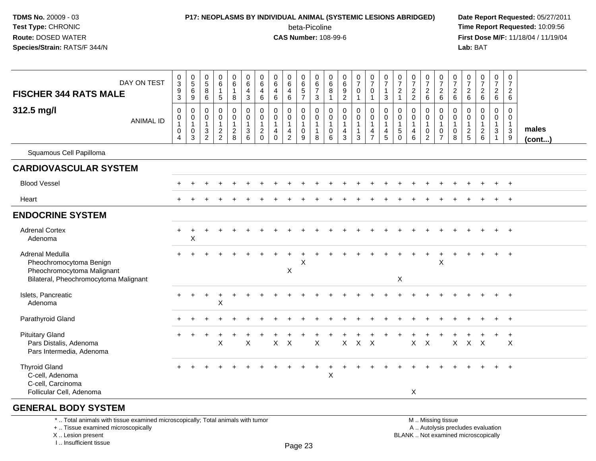### **P17: NEOPLASMS BY INDIVIDUAL ANIMAL (SYSTEMIC LESIONS ABRIDGED) Date Report Requested:** 05/27/2011

beta-Picoline<br>CAS Number: 108-99-6

 **Time Report Requested:** 10:09:56 **First Dose M/F:** 11/18/04 / 11/19/04<br>**Lab:** BAT **Lab:** BAT

| <b>FISCHER 344 RATS MALE</b>                                                                                      | DAY ON TEST      | $_{3}^{\rm 0}$<br>$\frac{9}{3}$                                         | $\begin{array}{c} 0 \\ 5 \end{array}$<br>6<br>9      | 0<br>$\,$ 5 $\,$<br>$\bf 8$<br>$6\phantom{1}$                         | $\begin{array}{c} 0 \\ 6 \end{array}$<br>$\mathbf{1}$<br>$\sqrt{5}$ | $\begin{array}{c} 0 \\ 6 \end{array}$<br>$\mathbf{1}$<br>8    | $\begin{array}{c} 0 \\ 6 \end{array}$<br>$\frac{4}{3}$                      | 0<br>6<br>4<br>$\,6\,$                                             | 0<br>$\,6\,$<br>$\overline{\mathbf{4}}$<br>$\,6\,$                 | $_6^0$<br>$\overline{4}$<br>6                                        | 0<br>$\frac{6}{5}$                       | 0<br>$\,6\,$<br>$\overline{7}$<br>$\mathbf{3}$        | 0<br>$\,6$<br>8<br>$\overline{1}$            | $\pmb{0}$<br>$\,6\,$<br>$\boldsymbol{9}$<br>$\overline{2}$        | $\frac{0}{7}$<br>$\mathbf 0$<br>$\mathbf{1}$ | $\frac{0}{7}$<br>$\mathsf{O}\xspace$<br>$\mathbf{1}$                         | $\begin{array}{c} 0 \\ 7 \end{array}$<br>$\mathbf{1}$<br>$\mathbf{3}$    | $\frac{0}{7}$<br>$\overline{c}$<br>$\mathbf{1}$  | $\frac{0}{7}$<br>$\frac{2}{2}$                          | $\frac{0}{7}$<br>$\boldsymbol{2}$<br>$\,6\,$            | $\frac{0}{7}$<br>$\overline{c}$<br>$6\phantom{1}6$                        | 0<br>$\overline{7}$<br>$\overline{c}$<br>$\,6\,$ | $\begin{smallmatrix}0\\7\end{smallmatrix}$<br>$^2\phantom{1}6$ | $\frac{0}{7}$<br>$\overline{c}$<br>6                            | $\begin{array}{c} 0 \\ 7 \end{array}$<br>$\frac{2}{6}$ | $\mathbf 0$<br>$\overline{7}$<br>$\overline{c}$<br>6       |                       |
|-------------------------------------------------------------------------------------------------------------------|------------------|-------------------------------------------------------------------------|------------------------------------------------------|-----------------------------------------------------------------------|---------------------------------------------------------------------|---------------------------------------------------------------|-----------------------------------------------------------------------------|--------------------------------------------------------------------|--------------------------------------------------------------------|----------------------------------------------------------------------|------------------------------------------|-------------------------------------------------------|----------------------------------------------|-------------------------------------------------------------------|----------------------------------------------|------------------------------------------------------------------------------|--------------------------------------------------------------------------|--------------------------------------------------|---------------------------------------------------------|---------------------------------------------------------|---------------------------------------------------------------------------|--------------------------------------------------|----------------------------------------------------------------|-----------------------------------------------------------------|--------------------------------------------------------|------------------------------------------------------------|-----------------------|
| 312.5 mg/l                                                                                                        | <b>ANIMAL ID</b> | $\pmb{0}$<br>$\mathbf 0$<br>$\mathbf{1}$<br>$\pmb{0}$<br>$\overline{4}$ | $\mathbf 0$<br>$\mathbf 0$<br>$\mathbf{1}$<br>0<br>3 | 0<br>0<br>$\mathbf{1}$<br>$\ensuremath{\mathsf{3}}$<br>$\overline{2}$ | $\mathbf 0$<br>$\pmb{0}$<br>$\mathbf{1}$<br>$\frac{2}{2}$           | $\mathbf 0$<br>$\mathbf 0$<br>$\overline{1}$<br>$\frac{2}{8}$ | $\pmb{0}$<br>$\mathbf 0$<br>$\mathbf{1}$<br>$\mathbf{3}$<br>$6\phantom{1}6$ | 0<br>$\mathbf 0$<br>$\mathbf{1}$<br>$\overline{c}$<br>$\mathbf{0}$ | 0<br>$\mathbf 0$<br>$\mathbf{1}$<br>$\overline{4}$<br>$\mathbf{0}$ | 0<br>$\mathsf 0$<br>$\mathbf{1}$<br>$\overline{4}$<br>$\overline{2}$ | 0<br>0<br>$\mathbf{1}$<br>$\pmb{0}$<br>9 | 0<br>$\pmb{0}$<br>$\overline{1}$<br>$\mathbf{1}$<br>8 | 0<br>$\mathbf 0$<br>$\overline{1}$<br>0<br>6 | $\mathbf 0$<br>$\mathbf 0$<br>$\mathbf{1}$<br>$\overline{4}$<br>3 | 0<br>$\mathbf 0$<br>$\mathbf{1}$<br>3        | $\pmb{0}$<br>$\mathbf 0$<br>$\mathbf{1}$<br>$\overline{4}$<br>$\overline{7}$ | $\pmb{0}$<br>$\mathbf 0$<br>$\mathbf{1}$<br>$\overline{\mathbf{4}}$<br>5 | 0<br>0<br>$\mathbf{1}$<br>$\sqrt{5}$<br>$\Omega$ | 0<br>$\mathbf 0$<br>$\mathbf{1}$<br>$\overline{4}$<br>6 | 0<br>$\mathbf 0$<br>$\mathbf{1}$<br>0<br>$\overline{2}$ | $\pmb{0}$<br>$\mathbf 0$<br>$\mathbf{1}$<br>$\mathbf 0$<br>$\overline{7}$ | 0<br>$\mathbf 0$<br>$\mathbf{1}$<br>0<br>8       | 0<br>$\mathbf 0$<br>$\mathbf{1}$<br>$\frac{2}{5}$              | $\pmb{0}$<br>$\mathsf 0$<br>$\mathbf{1}$<br>$\overline{c}$<br>6 | 0<br>$\mathbf 0$<br>$\mathbf{1}$<br>3<br>$\mathbf{1}$  | 0<br>0<br>$\overline{1}$<br>$\ensuremath{\mathsf{3}}$<br>9 | males<br>$($ cont $)$ |
| Squamous Cell Papilloma                                                                                           |                  |                                                                         |                                                      |                                                                       |                                                                     |                                                               |                                                                             |                                                                    |                                                                    |                                                                      |                                          |                                                       |                                              |                                                                   |                                              |                                                                              |                                                                          |                                                  |                                                         |                                                         |                                                                           |                                                  |                                                                |                                                                 |                                                        |                                                            |                       |
| <b>CARDIOVASCULAR SYSTEM</b>                                                                                      |                  |                                                                         |                                                      |                                                                       |                                                                     |                                                               |                                                                             |                                                                    |                                                                    |                                                                      |                                          |                                                       |                                              |                                                                   |                                              |                                                                              |                                                                          |                                                  |                                                         |                                                         |                                                                           |                                                  |                                                                |                                                                 |                                                        |                                                            |                       |
| <b>Blood Vessel</b>                                                                                               |                  |                                                                         |                                                      |                                                                       |                                                                     |                                                               |                                                                             |                                                                    |                                                                    |                                                                      |                                          |                                                       |                                              |                                                                   |                                              |                                                                              |                                                                          |                                                  |                                                         |                                                         |                                                                           |                                                  |                                                                |                                                                 |                                                        | $+$                                                        |                       |
| Heart                                                                                                             |                  |                                                                         |                                                      |                                                                       |                                                                     |                                                               |                                                                             |                                                                    |                                                                    |                                                                      |                                          |                                                       |                                              |                                                                   |                                              |                                                                              |                                                                          |                                                  |                                                         |                                                         |                                                                           |                                                  |                                                                |                                                                 |                                                        | $+$                                                        |                       |
| <b>ENDOCRINE SYSTEM</b>                                                                                           |                  |                                                                         |                                                      |                                                                       |                                                                     |                                                               |                                                                             |                                                                    |                                                                    |                                                                      |                                          |                                                       |                                              |                                                                   |                                              |                                                                              |                                                                          |                                                  |                                                         |                                                         |                                                                           |                                                  |                                                                |                                                                 |                                                        |                                                            |                       |
| <b>Adrenal Cortex</b><br>Adenoma                                                                                  |                  | $+$                                                                     | $\ddot{}$<br>X                                       |                                                                       |                                                                     |                                                               |                                                                             |                                                                    |                                                                    |                                                                      |                                          |                                                       |                                              |                                                                   |                                              |                                                                              |                                                                          |                                                  |                                                         |                                                         |                                                                           |                                                  |                                                                |                                                                 |                                                        | $+$                                                        |                       |
| Adrenal Medulla<br>Pheochromocytoma Benign<br>Pheochromocytoma Malignant<br>Bilateral, Pheochromocytoma Malignant |                  |                                                                         |                                                      |                                                                       |                                                                     |                                                               |                                                                             |                                                                    |                                                                    | X                                                                    | X                                        |                                                       |                                              |                                                                   |                                              |                                                                              |                                                                          | X                                                |                                                         |                                                         | $\boldsymbol{\mathsf{X}}$                                                 |                                                  |                                                                |                                                                 |                                                        | $+$                                                        |                       |
| Islets, Pancreatic<br>Adenoma                                                                                     |                  |                                                                         | $\ddot{}$                                            | $\ddot{}$                                                             | $\overline{1}$<br>X                                                 |                                                               |                                                                             |                                                                    |                                                                    |                                                                      |                                          |                                                       |                                              |                                                                   |                                              |                                                                              |                                                                          |                                                  |                                                         |                                                         |                                                                           |                                                  |                                                                |                                                                 |                                                        |                                                            |                       |
| Parathyroid Gland                                                                                                 |                  |                                                                         |                                                      |                                                                       |                                                                     |                                                               |                                                                             |                                                                    |                                                                    |                                                                      |                                          |                                                       |                                              |                                                                   |                                              |                                                                              |                                                                          |                                                  |                                                         |                                                         |                                                                           |                                                  |                                                                |                                                                 |                                                        | $+$                                                        |                       |
| <b>Pituitary Gland</b><br>Pars Distalis, Adenoma<br>Pars Intermedia, Adenoma                                      |                  |                                                                         |                                                      |                                                                       | X                                                                   |                                                               | $\times$                                                                    |                                                                    | X                                                                  | $\times$                                                             |                                          | X                                                     |                                              | X                                                                 | $\mathsf{X}$                                 | $\mathsf{X}$                                                                 |                                                                          |                                                  | X                                                       | $\times$                                                |                                                                           | X                                                | X                                                              | $\boldsymbol{\mathsf{X}}$                                       |                                                        | $\ddot{}$<br>X                                             |                       |
| <b>Thyroid Gland</b><br>C-cell, Adenoma<br>C-cell, Carcinoma<br>Follicular Cell, Adenoma                          |                  |                                                                         |                                                      |                                                                       |                                                                     |                                                               |                                                                             |                                                                    |                                                                    |                                                                      |                                          | $\pm$                                                 | $\ddot{}$<br>$\mathsf{X}$                    |                                                                   |                                              |                                                                              |                                                                          |                                                  | X                                                       |                                                         |                                                                           |                                                  |                                                                |                                                                 |                                                        | $+$                                                        |                       |
| <b>GENERAL BODY SYSTEM</b>                                                                                        |                  |                                                                         |                                                      |                                                                       |                                                                     |                                                               |                                                                             |                                                                    |                                                                    |                                                                      |                                          |                                                       |                                              |                                                                   |                                              |                                                                              |                                                                          |                                                  |                                                         |                                                         |                                                                           |                                                  |                                                                |                                                                 |                                                        |                                                            |                       |

\* .. Total animals with tissue examined microscopically; Total animals with tumor

+ .. Tissue examined microscopically

X .. Lesion present

I .. Insufficient tissue

 M .. Missing tissuey the contract of the contract of the contract of the contract of the contract of  $\mathsf A$  . Autolysis precludes evaluation

Lesion present BLANK .. Not examined microscopically

Page 23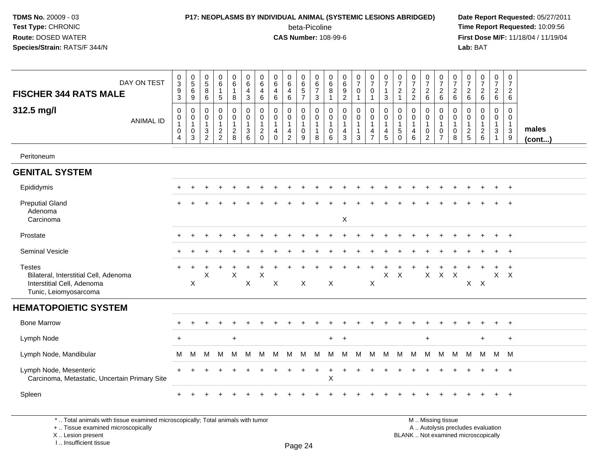#### **P17: NEOPLASMS BY INDIVIDUAL ANIMAL (SYSTEMIC LESIONS ABRIDGED) Date Report Requested:** 05/27/2011

beta-Picoline<br>CAS Number: 108-99-6

 **Time Report Requested:** 10:09:56 **First Dose M/F:** 11/18/04 / 11/19/04<br>**Lab:** BAT **Lab:** BAT

| DAY ON TEST<br><b>FISCHER 344 RATS MALE</b>                                                                   | $_{3}^{\rm 0}$<br>$\overline{9}$<br>$\mathbf{3}$              | $\begin{array}{c} 0 \\ 5 \end{array}$<br>$\,6\,$<br>$\boldsymbol{9}$ | $\pmb{0}$<br>$5\phantom{.0}$<br>8<br>6                           | $\,0\,$<br>$6\overline{6}$<br>5 | 0<br>$6^{\circ}$<br>$\mathbf{1}$<br>8               | $\begin{array}{c} 0 \\ 6 \end{array}$<br>$\overline{4}$<br>$\mathbf{3}$    | $\mathbf 0$<br>6<br>$\overline{4}$<br>$\,6\,$           | $\pmb{0}$<br>6<br>$\overline{4}$<br>$6\phantom{1}6$                      | $\pmb{0}$<br>$6\phantom{a}$<br>$\overline{4}$<br>$\,6\,$             | 0<br>$\,6$<br>5<br>$\overline{7}$                                 | 0<br>6<br>$\overline{7}$<br>3               | $\pmb{0}$<br>6<br>$\overline{8}$<br>$\mathbf{1}$   | $_{6}^{\rm 0}$<br>$\overline{9}$<br>$\boldsymbol{2}$ | $\begin{array}{c} 0 \\ 7 \end{array}$<br>$\mathbf 0$<br>$\overline{1}$ | $\begin{array}{c} 0 \\ 7 \end{array}$<br>$\mathbf 0$<br>$\mathbf{1}$           | 0<br>$\overline{7}$<br>$\mathbf{3}$                | $\begin{array}{c} 0 \\ 7 \end{array}$<br>$\boldsymbol{2}$<br>$\mathbf{1}$ | $\frac{0}{7}$<br>$\overline{c}$<br>$\overline{2}$ | $\frac{0}{7}$<br>$\overline{c}$<br>6            | $\frac{0}{7}$<br>$\overline{c}$<br>$\,6\,$                                | 0<br>$\overline{7}$<br>$\overline{c}$<br>$\,6\,$ | $\,0\,$<br>$\overline{7}$<br>$\sqrt{2}$<br>6                                | $\frac{0}{7}$<br>$\overline{a}$<br>6 | $\begin{smallmatrix}0\\7\end{smallmatrix}$<br>$\overline{2}$<br>6 | $\pmb{0}$<br>$\overline{7}$<br>$\boldsymbol{2}$<br>$\,6\,$          |                 |
|---------------------------------------------------------------------------------------------------------------|---------------------------------------------------------------|----------------------------------------------------------------------|------------------------------------------------------------------|---------------------------------|-----------------------------------------------------|----------------------------------------------------------------------------|---------------------------------------------------------|--------------------------------------------------------------------------|----------------------------------------------------------------------|-------------------------------------------------------------------|---------------------------------------------|----------------------------------------------------|------------------------------------------------------|------------------------------------------------------------------------|--------------------------------------------------------------------------------|----------------------------------------------------|---------------------------------------------------------------------------|---------------------------------------------------|-------------------------------------------------|---------------------------------------------------------------------------|--------------------------------------------------|-----------------------------------------------------------------------------|--------------------------------------|-------------------------------------------------------------------|---------------------------------------------------------------------|-----------------|
| 312.5 mg/l<br><b>ANIMAL ID</b>                                                                                | 0<br>$\pmb{0}$<br>$\mathbf{1}$<br>$\pmb{0}$<br>$\overline{4}$ | $\mathbf 0$<br>0<br>$\mathbf{1}$<br>$\mathbf 0$<br>3                 | $\mathbf 0$<br>0<br>$\mathbf{1}$<br>$\sqrt{3}$<br>$\overline{2}$ | 0<br>0<br>$\frac{2}{2}$         | 0<br>$\mathbf 0$<br>$\mathbf{1}$<br>$\sqrt{2}$<br>8 | $\mathbf 0$<br>$\pmb{0}$<br>$\mathbf{1}$<br>$\ensuremath{\mathsf{3}}$<br>6 | $\mathbf 0$<br>$\mathbf 0$<br>$\sqrt{2}$<br>$\mathbf 0$ | $\mathbf 0$<br>$\mathbf 0$<br>$\mathbf{1}$<br>$\overline{4}$<br>$\Omega$ | 0<br>$\mathbf 0$<br>$\mathbf{1}$<br>$\overline{4}$<br>$\overline{2}$ | $\mathbf 0$<br>0<br>$\mathbf{1}$<br>$\pmb{0}$<br>$\boldsymbol{9}$ | 0<br>0<br>$\mathbf{1}$<br>$\mathbf{1}$<br>8 | $\mathbf 0$<br>0<br>$\mathbf{1}$<br>$\pmb{0}$<br>6 | 0<br>0<br>$\overline{4}$<br>$\mathbf{3}$             | $\mathbf 0$<br>$\pmb{0}$<br>$\overline{1}$<br>$\mathbf{1}$<br>3        | $\mathbf 0$<br>$\mathbf 0$<br>$\mathbf{1}$<br>$\overline{4}$<br>$\overline{7}$ | $\mathbf 0$<br>$\mathbf 0$<br>4<br>$5\phantom{.0}$ | $\mathbf 0$<br>0<br>$\mathbf{1}$<br>$\sqrt{5}$<br>$\mathbf 0$             | 0<br>0<br>$\mathbf{1}$<br>$\overline{4}$<br>6     | 0<br>$\mathbf 0$<br>$\pmb{0}$<br>$\overline{2}$ | $\mathbf 0$<br>$\pmb{0}$<br>$\mathbf{1}$<br>$\mathbf 0$<br>$\overline{7}$ | 0<br>$\mathbf 0$<br>$\mathbf{1}$<br>0<br>8       | $\mathbf 0$<br>$\mathbf 0$<br>$\mathbf 1$<br>$\boldsymbol{2}$<br>$\sqrt{5}$ | 0<br>0<br>$\frac{2}{6}$              | 0<br>0<br>$\mathbf{1}$<br>$\mathbf{3}$<br>$\mathbf{1}$            | $\mathbf 0$<br>0<br>$\mathbf{1}$<br>$\mathbf 3$<br>$\boldsymbol{9}$ | males<br>(cont) |
| Peritoneum                                                                                                    |                                                               |                                                                      |                                                                  |                                 |                                                     |                                                                            |                                                         |                                                                          |                                                                      |                                                                   |                                             |                                                    |                                                      |                                                                        |                                                                                |                                                    |                                                                           |                                                   |                                                 |                                                                           |                                                  |                                                                             |                                      |                                                                   |                                                                     |                 |
| <b>GENITAL SYSTEM</b>                                                                                         |                                                               |                                                                      |                                                                  |                                 |                                                     |                                                                            |                                                         |                                                                          |                                                                      |                                                                   |                                             |                                                    |                                                      |                                                                        |                                                                                |                                                    |                                                                           |                                                   |                                                 |                                                                           |                                                  |                                                                             |                                      |                                                                   |                                                                     |                 |
| Epididymis                                                                                                    |                                                               |                                                                      |                                                                  |                                 |                                                     |                                                                            |                                                         |                                                                          |                                                                      |                                                                   |                                             |                                                    |                                                      |                                                                        |                                                                                |                                                    |                                                                           |                                                   |                                                 |                                                                           |                                                  |                                                                             |                                      | $\ddot{}$                                                         | $+$                                                                 |                 |
| <b>Preputial Gland</b><br>Adenoma<br>Carcinoma                                                                |                                                               |                                                                      |                                                                  |                                 |                                                     |                                                                            |                                                         |                                                                          |                                                                      |                                                                   |                                             |                                                    | X                                                    |                                                                        |                                                                                |                                                    |                                                                           |                                                   |                                                 |                                                                           |                                                  |                                                                             |                                      |                                                                   | $\ddot{}$                                                           |                 |
| Prostate                                                                                                      |                                                               |                                                                      |                                                                  |                                 |                                                     |                                                                            |                                                         |                                                                          |                                                                      |                                                                   |                                             |                                                    |                                                      |                                                                        |                                                                                |                                                    |                                                                           |                                                   |                                                 |                                                                           |                                                  |                                                                             |                                      |                                                                   | $+$                                                                 |                 |
| Seminal Vesicle                                                                                               |                                                               |                                                                      |                                                                  |                                 |                                                     |                                                                            |                                                         |                                                                          |                                                                      |                                                                   |                                             |                                                    |                                                      |                                                                        |                                                                                |                                                    |                                                                           |                                                   |                                                 |                                                                           |                                                  |                                                                             |                                      | $\ddot{}$                                                         | $+$                                                                 |                 |
| <b>Testes</b><br>Bilateral, Interstitial Cell, Adenoma<br>Interstitial Cell, Adenoma<br>Tunic, Leiomyosarcoma | $+$                                                           | $\pm$<br>$\mathsf X$                                                 | X                                                                |                                 | $\mathsf X$                                         | X                                                                          | Χ                                                       | X                                                                        |                                                                      | $\boldsymbol{\mathsf{X}}$                                         |                                             | $\boldsymbol{X}$                                   |                                                      |                                                                        | X                                                                              | Χ                                                  | X                                                                         |                                                   | $\pm$<br>X                                      | X                                                                         | $\boldsymbol{\mathsf{X}}$                        |                                                                             | $X$ $X$                              | $+$<br>X                                                          | $+$<br>$\mathsf{X}$                                                 |                 |
| <b>HEMATOPOIETIC SYSTEM</b>                                                                                   |                                                               |                                                                      |                                                                  |                                 |                                                     |                                                                            |                                                         |                                                                          |                                                                      |                                                                   |                                             |                                                    |                                                      |                                                                        |                                                                                |                                                    |                                                                           |                                                   |                                                 |                                                                           |                                                  |                                                                             |                                      |                                                                   |                                                                     |                 |
| <b>Bone Marrow</b>                                                                                            |                                                               |                                                                      |                                                                  |                                 |                                                     |                                                                            |                                                         |                                                                          |                                                                      |                                                                   |                                             |                                                    |                                                      |                                                                        |                                                                                |                                                    |                                                                           |                                                   |                                                 |                                                                           |                                                  |                                                                             |                                      |                                                                   | $+$                                                                 |                 |
| Lymph Node                                                                                                    | $\ddot{}$                                                     |                                                                      |                                                                  |                                 | $+$                                                 |                                                                            |                                                         |                                                                          |                                                                      |                                                                   |                                             | $+$                                                | $+$                                                  |                                                                        |                                                                                |                                                    |                                                                           |                                                   | $+$                                             |                                                                           |                                                  |                                                                             | $+$                                  |                                                                   | $\ddot{}$                                                           |                 |
| Lymph Node, Mandibular                                                                                        | м                                                             | м                                                                    | M                                                                | M                               | M                                                   | M                                                                          | м                                                       | M                                                                        | M                                                                    | M                                                                 | M                                           | M                                                  | м                                                    | м                                                                      | м                                                                              | M                                                  | M                                                                         | M                                                 | М                                               | M                                                                         | M                                                | M                                                                           | M                                    | M M                                                               |                                                                     |                 |
| Lymph Node, Mesenteric<br>Carcinoma, Metastatic, Uncertain Primary Site                                       |                                                               |                                                                      |                                                                  |                                 |                                                     |                                                                            |                                                         |                                                                          |                                                                      |                                                                   | $\ddot{}$                                   | $\ddot{}$<br>X                                     |                                                      |                                                                        |                                                                                |                                                    |                                                                           |                                                   |                                                 |                                                                           |                                                  |                                                                             |                                      | $+$                                                               | $+$                                                                 |                 |
| Spleen                                                                                                        | $\ddot{}$                                                     |                                                                      |                                                                  |                                 |                                                     |                                                                            |                                                         |                                                                          |                                                                      |                                                                   |                                             |                                                    |                                                      |                                                                        |                                                                                |                                                    |                                                                           |                                                   |                                                 |                                                                           |                                                  |                                                                             |                                      | $\ddot{}$                                                         | $+$                                                                 |                 |
| *  Total animals with tissue examined microscopically; Total animals with tumor                               |                                                               |                                                                      |                                                                  |                                 |                                                     |                                                                            |                                                         |                                                                          |                                                                      |                                                                   |                                             |                                                    |                                                      |                                                                        |                                                                                |                                                    |                                                                           |                                                   |                                                 | M  Missing tissue                                                         |                                                  |                                                                             |                                      |                                                                   |                                                                     |                 |

+ .. Tissue examined microscopically

X .. Lesion present

I .. Insufficient tissue

 M .. Missing tissuey the contract of the contract of the contract of the contract of the contract of  $\mathsf A$  . Autolysis precludes evaluation Lesion present BLANK .. Not examined microscopically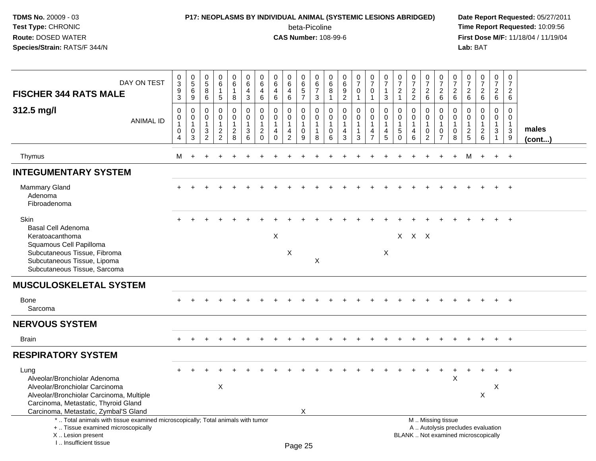# **P17: NEOPLASMS BY INDIVIDUAL ANIMAL (SYSTEMIC LESIONS ABRIDGED) Date Report Requested:** 05/27/2011

beta-Picoline<br>CAS Number: 108-99-6

| DAY ON TEST<br><b>FISCHER 344 RATS MALE</b>                                                                                                                                                         | $\pmb{0}$<br>3<br>$\boldsymbol{9}$<br>$\mathbf{3}$      | $\pmb{0}$<br>$\sqrt{5}$<br>6<br>9                            | $\pmb{0}$<br>$\,$ 5 $\,$<br>8<br>6                            | $\mathbf 0$<br>$\,6\,$<br>$\mathbf{1}$<br>5                                    | $\boldsymbol{0}$<br>6<br>$\overline{1}$<br>8        | $\pmb{0}$<br>$\,6\,$<br>$\overline{4}$<br>$\sqrt{3}$        | $\mathbf 0$<br>$\,6\,$<br>$\overline{4}$<br>$\,6\,$                | $\mathbf 0$<br>6<br>$\overline{4}$<br>6                               | 0<br>6<br>$\overline{4}$<br>6                           | $\pmb{0}$<br>$\,6\,$<br>$\overline{5}$<br>$\overline{7}$       | $\Omega$<br>6<br>$\overline{7}$<br>3               | $\pmb{0}$<br>6<br>$\overline{8}$<br>$\mathbf 1$      | $_{6}^{\rm 0}$<br>$\overline{9}$<br>$\overline{2}$ | $\pmb{0}$<br>$\overline{7}$<br>$\mathsf{O}\xspace$<br>$\mathbf{1}$ | $\pmb{0}$<br>$\overline{7}$<br>$\mathbf 0$<br>$\mathbf{1}$                       | 0<br>$\overline{7}$<br>1<br>3          | 0<br>$\overline{7}$<br>$\overline{2}$<br>$\mathbf{1}$                 | $\pmb{0}$<br>$\overline{7}$<br>$\overline{2}$<br>$\overline{2}$ | $\pmb{0}$<br>$\overline{7}$<br>$\mathbf 2$<br>$\,6\,$                   | $\pmb{0}$<br>$\overline{7}$<br>$\boldsymbol{2}$<br>$\,6\,$                                    | $\boldsymbol{0}$<br>$\overline{7}$<br>$\boldsymbol{2}$<br>6 | $\,0\,$<br>$\overline{7}$<br>$\overline{2}$<br>6                   | $\pmb{0}$<br>$\overline{7}$<br>$\overline{2}$<br>$\,6\,$ | $\pmb{0}$<br>$\overline{7}$<br>$\begin{array}{c} 2 \\ 6 \end{array}$ | $\mathbf 0$<br>$\overline{7}$<br>$\overline{2}$<br>6 |                       |
|-----------------------------------------------------------------------------------------------------------------------------------------------------------------------------------------------------|---------------------------------------------------------|--------------------------------------------------------------|---------------------------------------------------------------|--------------------------------------------------------------------------------|-----------------------------------------------------|-------------------------------------------------------------|--------------------------------------------------------------------|-----------------------------------------------------------------------|---------------------------------------------------------|----------------------------------------------------------------|----------------------------------------------------|------------------------------------------------------|----------------------------------------------------|--------------------------------------------------------------------|----------------------------------------------------------------------------------|----------------------------------------|-----------------------------------------------------------------------|-----------------------------------------------------------------|-------------------------------------------------------------------------|-----------------------------------------------------------------------------------------------|-------------------------------------------------------------|--------------------------------------------------------------------|----------------------------------------------------------|----------------------------------------------------------------------|------------------------------------------------------|-----------------------|
| 312.5 mg/l<br><b>ANIMAL ID</b>                                                                                                                                                                      | $\mathbf 0$<br>0<br>$\mathbf{1}$<br>0<br>$\overline{4}$ | $\boldsymbol{0}$<br>$\overline{0}$<br>$\mathbf{1}$<br>0<br>3 | $\mathbf 0$<br>$\mathbf 0$<br>$\mathbf{1}$<br>$\sqrt{3}$<br>2 | $\mathbf 0$<br>$\mathbf 0$<br>$\mathbf{1}$<br>$\overline{a}$<br>$\overline{c}$ | 0<br>$\mathbf 0$<br>$\mathbf{1}$<br>$\sqrt{2}$<br>8 | $\pmb{0}$<br>$\mathbf 0$<br>$\mathbf{1}$<br>$\sqrt{3}$<br>6 | 0<br>$\mathbf 0$<br>$\mathbf{1}$<br>$\overline{c}$<br>$\mathbf{0}$ | $\mathbf 0$<br>$\Omega$<br>$\mathbf{1}$<br>$\overline{4}$<br>$\Omega$ | 0<br>$\mathbf 0$<br>$\mathbf{1}$<br>4<br>$\overline{c}$ | $\mathbf 0$<br>$\mathbf 0$<br>$\mathbf{1}$<br>$\mathbf 0$<br>9 | 0<br>$\Omega$<br>$\mathbf{1}$<br>$\mathbf{1}$<br>8 | $\mathbf 0$<br>$\pmb{0}$<br>$\overline{1}$<br>0<br>6 | $\pmb{0}$<br>$\mathbf 0$<br>1<br>4<br>3            | 0<br>$\pmb{0}$<br>$\overline{1}$<br>$\mathbf{1}$<br>3              | $\mathbf 0$<br>$\mathbf 0$<br>$\overline{1}$<br>$\overline{4}$<br>$\overline{7}$ | $\mathbf 0$<br>$\Omega$<br>1<br>4<br>5 | $\mathbf 0$<br>$\mathbf 0$<br>$\mathbf{1}$<br>$\,$ 5 $\,$<br>$\Omega$ | $\mathbf 0$<br>$\Omega$<br>$\mathbf{1}$<br>$\overline{4}$<br>6  | $\mathbf 0$<br>$\pmb{0}$<br>$\mathbf{1}$<br>$\pmb{0}$<br>$\overline{c}$ | $\mathbf 0$<br>$\Omega$<br>$\overline{1}$<br>0<br>$\overline{7}$                              | $\mathbf 0$<br>$\mathbf 0$<br>$\overline{1}$<br>0<br>8      | $\mathbf 0$<br>$\mathbf{0}$<br>$\mathbf{1}$<br>$\overline{c}$<br>5 | 0<br>$\mathbf 0$<br>$\mathbf{1}$<br>$\sqrt{2}$<br>6      | 0<br>$\mathsf 0$<br>$\mathbf{1}$<br>$\mathbf{3}$<br>$\mathbf{1}$     | $\mathbf 0$<br>$\Omega$<br>$\mathbf{1}$<br>3<br>9    | males<br>$($ cont $)$ |
| Thymus                                                                                                                                                                                              | M                                                       | $+$                                                          | ÷                                                             | $\div$                                                                         |                                                     |                                                             |                                                                    |                                                                       |                                                         |                                                                |                                                    |                                                      |                                                    |                                                                    |                                                                                  |                                        |                                                                       | $\div$                                                          | $\pm$                                                                   | $\ddot{}$                                                                                     | $+$                                                         | M                                                                  | $+$                                                      | $+$                                                                  | $+$                                                  |                       |
| <b>INTEGUMENTARY SYSTEM</b>                                                                                                                                                                         |                                                         |                                                              |                                                               |                                                                                |                                                     |                                                             |                                                                    |                                                                       |                                                         |                                                                |                                                    |                                                      |                                                    |                                                                    |                                                                                  |                                        |                                                                       |                                                                 |                                                                         |                                                                                               |                                                             |                                                                    |                                                          |                                                                      |                                                      |                       |
| <b>Mammary Gland</b><br>Adenoma<br>Fibroadenoma                                                                                                                                                     |                                                         |                                                              |                                                               |                                                                                |                                                     |                                                             |                                                                    |                                                                       |                                                         |                                                                |                                                    |                                                      |                                                    |                                                                    |                                                                                  |                                        |                                                                       |                                                                 |                                                                         |                                                                                               |                                                             |                                                                    |                                                          |                                                                      | $+$                                                  |                       |
| <b>Skin</b><br><b>Basal Cell Adenoma</b><br>Keratoacanthoma                                                                                                                                         |                                                         |                                                              |                                                               |                                                                                |                                                     |                                                             |                                                                    | $\pmb{\times}$                                                        |                                                         |                                                                |                                                    |                                                      |                                                    |                                                                    |                                                                                  |                                        |                                                                       | X X X                                                           |                                                                         |                                                                                               |                                                             |                                                                    |                                                          |                                                                      | $\overline{1}$                                       |                       |
| Squamous Cell Papilloma<br>Subcutaneous Tissue, Fibroma<br>Subcutaneous Tissue, Lipoma<br>Subcutaneous Tissue, Sarcoma                                                                              |                                                         |                                                              |                                                               |                                                                                |                                                     |                                                             |                                                                    |                                                                       | X                                                       |                                                                | X                                                  |                                                      |                                                    |                                                                    |                                                                                  | X                                      |                                                                       |                                                                 |                                                                         |                                                                                               |                                                             |                                                                    |                                                          |                                                                      |                                                      |                       |
| <b>MUSCULOSKELETAL SYSTEM</b>                                                                                                                                                                       |                                                         |                                                              |                                                               |                                                                                |                                                     |                                                             |                                                                    |                                                                       |                                                         |                                                                |                                                    |                                                      |                                                    |                                                                    |                                                                                  |                                        |                                                                       |                                                                 |                                                                         |                                                                                               |                                                             |                                                                    |                                                          |                                                                      |                                                      |                       |
| <b>Bone</b><br>Sarcoma                                                                                                                                                                              |                                                         |                                                              |                                                               |                                                                                |                                                     |                                                             |                                                                    |                                                                       |                                                         |                                                                |                                                    |                                                      |                                                    |                                                                    |                                                                                  |                                        |                                                                       |                                                                 |                                                                         |                                                                                               |                                                             |                                                                    |                                                          |                                                                      |                                                      |                       |
| <b>NERVOUS SYSTEM</b>                                                                                                                                                                               |                                                         |                                                              |                                                               |                                                                                |                                                     |                                                             |                                                                    |                                                                       |                                                         |                                                                |                                                    |                                                      |                                                    |                                                                    |                                                                                  |                                        |                                                                       |                                                                 |                                                                         |                                                                                               |                                                             |                                                                    |                                                          |                                                                      |                                                      |                       |
| <b>Brain</b>                                                                                                                                                                                        |                                                         |                                                              |                                                               |                                                                                |                                                     |                                                             |                                                                    |                                                                       |                                                         |                                                                |                                                    |                                                      |                                                    |                                                                    |                                                                                  |                                        |                                                                       |                                                                 |                                                                         |                                                                                               |                                                             |                                                                    | $\div$                                                   | $+$                                                                  | $+$                                                  |                       |
| <b>RESPIRATORY SYSTEM</b>                                                                                                                                                                           |                                                         |                                                              |                                                               |                                                                                |                                                     |                                                             |                                                                    |                                                                       |                                                         |                                                                |                                                    |                                                      |                                                    |                                                                    |                                                                                  |                                        |                                                                       |                                                                 |                                                                         |                                                                                               |                                                             |                                                                    |                                                          |                                                                      |                                                      |                       |
| Lung<br>Alveolar/Bronchiolar Adenoma<br>Alveolar/Bronchiolar Carcinoma<br>Alveolar/Bronchiolar Carcinoma, Multiple<br>Carcinoma, Metastatic, Thyroid Gland<br>Carcinoma, Metastatic, Zymbal'S Gland |                                                         |                                                              |                                                               | $\mathsf X$                                                                    |                                                     |                                                             |                                                                    |                                                                       |                                                         | X                                                              |                                                    |                                                      |                                                    |                                                                    |                                                                                  |                                        |                                                                       |                                                                 |                                                                         |                                                                                               | X                                                           |                                                                    | $\pmb{\times}$                                           | X                                                                    | $+$                                                  |                       |
| *  Total animals with tissue examined microscopically; Total animals with tumor<br>+  Tissue examined microscopically<br>X  Lesion present<br>I Insufficient tissue                                 |                                                         |                                                              |                                                               |                                                                                |                                                     |                                                             |                                                                    |                                                                       |                                                         | Page 25                                                        |                                                    |                                                      |                                                    |                                                                    |                                                                                  |                                        |                                                                       |                                                                 |                                                                         | M  Missing tissue<br>A  Autolysis precludes evaluation<br>BLANK  Not examined microscopically |                                                             |                                                                    |                                                          |                                                                      |                                                      |                       |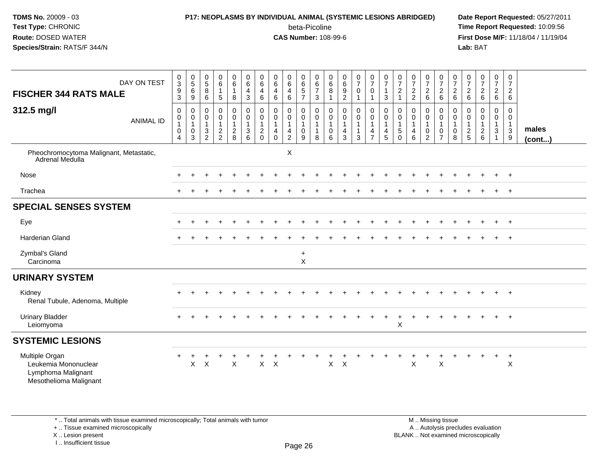#### **P17: NEOPLASMS BY INDIVIDUAL ANIMAL (SYSTEMIC LESIONS ABRIDGED) Date Report Requested:** 05/27/2011

beta-Picoline<br>CAS Number: 108-99-6

 **Time Report Requested:** 10:09:56 **First Dose M/F:** 11/18/04 / 11/19/04<br>**Lab:** BAT **Lab:** BAT

| DAY ON TEST<br><b>FISCHER 344 RATS MALE</b><br>312.5 mg/l<br><b>ANIMAL ID</b>          | $_{3}^{\rm 0}$<br>$\boldsymbol{9}$<br>3<br>$\mathbf 0$<br>0<br>$\mathbf{1}$<br>$\pmb{0}$<br>$\overline{4}$ | $\begin{array}{c} 0 \\ 5 \end{array}$<br>$6\phantom{a}$<br>9<br>0<br>$\pmb{0}$<br>$\mathbf{1}$<br>$\mathbf 0$<br>3 | $\begin{array}{c} 0 \\ 5 \end{array}$<br>$\overline{8}$<br>6<br>0<br>$\pmb{0}$<br>$\overline{1}$<br>$\ensuremath{\mathsf{3}}$<br>$\overline{2}$ | $_{6}^{\rm 0}$<br>$\mathbf{1}$<br>5<br>0<br>$\mathbf 0$<br>$\mathbf{1}$<br>$\frac{2}{2}$ | $0\over 6$<br>8<br>0<br>0<br>$\mathbf{1}$<br>$\frac{2}{8}$ | $\begin{array}{c} 0 \\ 6 \end{array}$<br>$\overline{4}$<br>$\sqrt{3}$<br>$\pmb{0}$<br>$\pmb{0}$<br>$\mathbf{1}$<br>$\sqrt{3}$<br>$\,6\,$ | $\pmb{0}$<br>$\,6\,$<br>$\overline{4}$<br>$\,6$<br>0<br>$\mathbf 0$<br>$\mathbf{1}$<br>$\sqrt{2}$<br>$\mathbf{0}$ | $\pmb{0}$<br>$\,6\,$<br>4<br>6<br>$\mathbf 0$<br>$\mathbf 0$<br>$\mathbf{1}$<br>$\overline{4}$<br>$\mathbf 0$ | 0<br>$\,6\,$<br>4<br>$\,6\,$<br>0<br>0<br>$\mathbf{1}$<br>4<br>$\overline{2}$ | $\begin{array}{c} 0 \\ 6 \\ 5 \end{array}$<br>$\overline{7}$<br>0<br>0<br>$\mathbf{1}$<br>$\mathbf 0$<br>9 | $\pmb{0}$<br>$\frac{6}{7}$<br>$\mathbf{3}$<br>0<br>$\pmb{0}$<br>$\mathbf{1}$<br>8 | $\begin{matrix} 0 \\ 6 \\ 8 \end{matrix}$<br>$\mathbf{1}$<br>$\mathbf 0$<br>$\pmb{0}$<br>$\overline{1}$<br>$\mathbf 0$<br>$6\phantom{1}6$ | $\begin{array}{c} 0 \\ 6 \end{array}$<br>$\boldsymbol{9}$<br>$\overline{2}$<br>$\pmb{0}$<br>$\mathbf 0$<br>$\mathbf{1}$<br>$\overline{4}$<br>$\mathbf{3}$ | $\frac{0}{7}$<br>$\mathbf 0$<br>$\mathbf{1}$<br>0<br>$\mathsf{O}\xspace$<br>$\mathbf{1}$<br>1<br>3 | $\frac{0}{7}$<br>$\mathbf 0$<br>$\mathbf{1}$<br>$\mathbf 0$<br>$\mathsf 0$<br>$\mathbf{1}$<br>$\frac{4}{7}$ | $\frac{0}{7}$<br>$\mathbf{1}$<br>3<br>$\mathbf 0$<br>$\mathbf 0$<br>$\mathbf{1}$<br>$\overline{4}$<br>5 | $\frac{0}{7}$<br>$\overline{c}$<br>$\mathbf{1}$<br>0<br>0<br>$\mathbf{1}$<br>$\sqrt{5}$<br>$\Omega$ | $\frac{0}{7}$<br>$\frac{2}{2}$<br>$\mathbf 0$<br>$\pmb{0}$<br>$\mathbf{1}$<br>$\overline{4}$<br>6 | $\frac{0}{7}$<br>$\sqrt{2}$<br>$\,6\,$<br>0<br>0<br>$\mathbf{1}$<br>$\pmb{0}$<br>$\overline{2}$ | $\frac{0}{7}$<br>$\sqrt{2}$<br>6<br>$\pmb{0}$<br>$\mathbf 0$<br>$\overline{1}$<br>$\boldsymbol{0}$<br>$\overline{7}$ | 0<br>$\overline{7}$<br>$\overline{c}$<br>6<br>0<br>$\mathbf 0$<br>$\mathbf{1}$<br>$\mathbf 0$<br>8 | $\frac{0}{7}$<br>$\boldsymbol{2}$<br>$\,6\,$<br>0<br>0<br>$\mathbf{1}$<br>$\frac{2}{5}$ | $\frac{0}{7}$<br>$\boldsymbol{2}$<br>6<br>$\pmb{0}$<br>$\pmb{0}$<br>$\mathbf{1}$<br>$\boldsymbol{2}$<br>$6\phantom{a}$ | $\mathbf 0$<br>$\overline{7}$<br>$\begin{array}{c} 2 \\ 6 \end{array}$<br>0<br>$\mathbf 0$<br>$\mathbf{1}$<br>$\mathsf 3$<br>$\overline{1}$ | 0<br>$\overline{7}$<br>$\overline{c}$<br>6<br>$\mathbf 0$<br>$\mathbf 0$<br>$\mathbf{1}$<br>$\sqrt{3}$<br>9 | males<br>$($ cont $)$ |
|----------------------------------------------------------------------------------------|------------------------------------------------------------------------------------------------------------|--------------------------------------------------------------------------------------------------------------------|-------------------------------------------------------------------------------------------------------------------------------------------------|------------------------------------------------------------------------------------------|------------------------------------------------------------|------------------------------------------------------------------------------------------------------------------------------------------|-------------------------------------------------------------------------------------------------------------------|---------------------------------------------------------------------------------------------------------------|-------------------------------------------------------------------------------|------------------------------------------------------------------------------------------------------------|-----------------------------------------------------------------------------------|-------------------------------------------------------------------------------------------------------------------------------------------|-----------------------------------------------------------------------------------------------------------------------------------------------------------|----------------------------------------------------------------------------------------------------|-------------------------------------------------------------------------------------------------------------|---------------------------------------------------------------------------------------------------------|-----------------------------------------------------------------------------------------------------|---------------------------------------------------------------------------------------------------|-------------------------------------------------------------------------------------------------|----------------------------------------------------------------------------------------------------------------------|----------------------------------------------------------------------------------------------------|-----------------------------------------------------------------------------------------|------------------------------------------------------------------------------------------------------------------------|---------------------------------------------------------------------------------------------------------------------------------------------|-------------------------------------------------------------------------------------------------------------|-----------------------|
| Pheochromocytoma Malignant, Metastatic,<br>Adrenal Medulla                             |                                                                                                            |                                                                                                                    |                                                                                                                                                 |                                                                                          |                                                            |                                                                                                                                          |                                                                                                                   |                                                                                                               | X                                                                             |                                                                                                            |                                                                                   |                                                                                                                                           |                                                                                                                                                           |                                                                                                    |                                                                                                             |                                                                                                         |                                                                                                     |                                                                                                   |                                                                                                 |                                                                                                                      |                                                                                                    |                                                                                         |                                                                                                                        |                                                                                                                                             |                                                                                                             |                       |
| Nose                                                                                   |                                                                                                            |                                                                                                                    |                                                                                                                                                 |                                                                                          |                                                            |                                                                                                                                          |                                                                                                                   |                                                                                                               |                                                                               |                                                                                                            |                                                                                   |                                                                                                                                           |                                                                                                                                                           |                                                                                                    |                                                                                                             |                                                                                                         |                                                                                                     |                                                                                                   |                                                                                                 |                                                                                                                      |                                                                                                    |                                                                                         |                                                                                                                        | $\div$                                                                                                                                      | $+$                                                                                                         |                       |
| Trachea                                                                                |                                                                                                            |                                                                                                                    |                                                                                                                                                 |                                                                                          |                                                            |                                                                                                                                          |                                                                                                                   |                                                                                                               |                                                                               |                                                                                                            |                                                                                   |                                                                                                                                           |                                                                                                                                                           |                                                                                                    |                                                                                                             |                                                                                                         |                                                                                                     |                                                                                                   |                                                                                                 |                                                                                                                      |                                                                                                    |                                                                                         |                                                                                                                        |                                                                                                                                             | $+$                                                                                                         |                       |
| <b>SPECIAL SENSES SYSTEM</b>                                                           |                                                                                                            |                                                                                                                    |                                                                                                                                                 |                                                                                          |                                                            |                                                                                                                                          |                                                                                                                   |                                                                                                               |                                                                               |                                                                                                            |                                                                                   |                                                                                                                                           |                                                                                                                                                           |                                                                                                    |                                                                                                             |                                                                                                         |                                                                                                     |                                                                                                   |                                                                                                 |                                                                                                                      |                                                                                                    |                                                                                         |                                                                                                                        |                                                                                                                                             |                                                                                                             |                       |
| Eye                                                                                    |                                                                                                            |                                                                                                                    |                                                                                                                                                 |                                                                                          |                                                            |                                                                                                                                          |                                                                                                                   |                                                                                                               |                                                                               |                                                                                                            |                                                                                   |                                                                                                                                           |                                                                                                                                                           |                                                                                                    |                                                                                                             |                                                                                                         |                                                                                                     |                                                                                                   |                                                                                                 |                                                                                                                      |                                                                                                    |                                                                                         |                                                                                                                        | $\ddot{}$                                                                                                                                   | $+$                                                                                                         |                       |
| <b>Harderian Gland</b>                                                                 |                                                                                                            |                                                                                                                    |                                                                                                                                                 |                                                                                          |                                                            |                                                                                                                                          |                                                                                                                   |                                                                                                               |                                                                               |                                                                                                            |                                                                                   |                                                                                                                                           |                                                                                                                                                           |                                                                                                    |                                                                                                             |                                                                                                         |                                                                                                     |                                                                                                   |                                                                                                 |                                                                                                                      |                                                                                                    |                                                                                         |                                                                                                                        | $\ddot{}$                                                                                                                                   | $+$                                                                                                         |                       |
| Zymbal's Gland<br>Carcinoma                                                            |                                                                                                            |                                                                                                                    |                                                                                                                                                 |                                                                                          |                                                            |                                                                                                                                          |                                                                                                                   |                                                                                                               |                                                                               | $\ddot{}$<br>X                                                                                             |                                                                                   |                                                                                                                                           |                                                                                                                                                           |                                                                                                    |                                                                                                             |                                                                                                         |                                                                                                     |                                                                                                   |                                                                                                 |                                                                                                                      |                                                                                                    |                                                                                         |                                                                                                                        |                                                                                                                                             |                                                                                                             |                       |
| <b>URINARY SYSTEM</b>                                                                  |                                                                                                            |                                                                                                                    |                                                                                                                                                 |                                                                                          |                                                            |                                                                                                                                          |                                                                                                                   |                                                                                                               |                                                                               |                                                                                                            |                                                                                   |                                                                                                                                           |                                                                                                                                                           |                                                                                                    |                                                                                                             |                                                                                                         |                                                                                                     |                                                                                                   |                                                                                                 |                                                                                                                      |                                                                                                    |                                                                                         |                                                                                                                        |                                                                                                                                             |                                                                                                             |                       |
| Kidney<br>Renal Tubule, Adenoma, Multiple                                              |                                                                                                            |                                                                                                                    |                                                                                                                                                 |                                                                                          |                                                            |                                                                                                                                          |                                                                                                                   |                                                                                                               |                                                                               |                                                                                                            |                                                                                   |                                                                                                                                           |                                                                                                                                                           |                                                                                                    |                                                                                                             |                                                                                                         |                                                                                                     |                                                                                                   |                                                                                                 |                                                                                                                      |                                                                                                    |                                                                                         |                                                                                                                        |                                                                                                                                             | $+$                                                                                                         |                       |
| <b>Urinary Bladder</b><br>Leiomyoma                                                    |                                                                                                            |                                                                                                                    |                                                                                                                                                 |                                                                                          |                                                            |                                                                                                                                          |                                                                                                                   |                                                                                                               |                                                                               |                                                                                                            |                                                                                   |                                                                                                                                           |                                                                                                                                                           |                                                                                                    |                                                                                                             |                                                                                                         | X                                                                                                   |                                                                                                   |                                                                                                 |                                                                                                                      |                                                                                                    |                                                                                         |                                                                                                                        |                                                                                                                                             | $+$                                                                                                         |                       |
| <b>SYSTEMIC LESIONS</b>                                                                |                                                                                                            |                                                                                                                    |                                                                                                                                                 |                                                                                          |                                                            |                                                                                                                                          |                                                                                                                   |                                                                                                               |                                                                               |                                                                                                            |                                                                                   |                                                                                                                                           |                                                                                                                                                           |                                                                                                    |                                                                                                             |                                                                                                         |                                                                                                     |                                                                                                   |                                                                                                 |                                                                                                                      |                                                                                                    |                                                                                         |                                                                                                                        |                                                                                                                                             |                                                                                                             |                       |
| Multiple Organ<br>Leukemia Mononuclear<br>Lymphoma Malignant<br>Mesothelioma Malignant | $\ddot{}$                                                                                                  | Χ                                                                                                                  | $\times$                                                                                                                                        |                                                                                          | $\mathsf{X}$                                               |                                                                                                                                          | $\mathsf X$                                                                                                       | $\times$                                                                                                      |                                                                               |                                                                                                            |                                                                                   | X                                                                                                                                         | $\boldsymbol{\mathsf{X}}$                                                                                                                                 |                                                                                                    |                                                                                                             |                                                                                                         |                                                                                                     | X                                                                                                 | +                                                                                               | $\sf X$                                                                                                              |                                                                                                    |                                                                                         | $\ddot{}$                                                                                                              | $\ddot{}$                                                                                                                                   | $+$<br>$\boldsymbol{\mathsf{X}}$                                                                            |                       |

\* .. Total animals with tissue examined microscopically; Total animals with tumor

+ .. Tissue examined microscopically

X .. Lesion present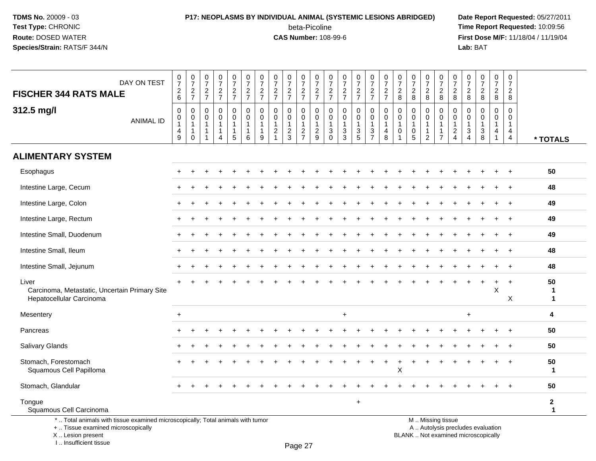# **P17: NEOPLASMS BY INDIVIDUAL ANIMAL (SYSTEMIC LESIONS ABRIDGED) Date Report Requested:** 05/27/2011

beta-Picoline<br>CAS Number: 108-99-6

 **Time Report Requested:** 10:09:56 **First Dose M/F:** 11/18/04 / 11/19/04<br>**Lab:** BAT **Lab:** BAT

| DAY ON TEST<br><b>FISCHER 344 RATS MALE</b>                                                                           | $\frac{0}{7}$<br>$\sqrt{2}$<br>6                                                    | $\begin{array}{c} 0 \\ 7 \end{array}$<br>$\frac{2}{7}$ | $\frac{0}{7}$<br>$\frac{2}{7}$                                  | $\frac{0}{7}$<br>$\frac{2}{7}$            | $\frac{0}{7}$<br>$\frac{2}{7}$                                 | $\begin{array}{c} 0 \\ 7 \end{array}$<br>$\frac{2}{7}$              | $\begin{array}{c} 0 \\ 7 \end{array}$<br>$\frac{2}{7}$ | $\frac{0}{7}$<br>$\frac{2}{7}$                                                        | $\frac{0}{7}$<br>$\frac{2}{7}$                              | $\frac{0}{7}$<br>$\frac{2}{7}$                           | $\frac{0}{7}$<br>$\frac{2}{7}$                                | $\frac{0}{7}$<br>$\frac{2}{7}$                                                      | $\frac{0}{7}$<br>$\frac{2}{7}$                   | $\frac{0}{7}$<br>$\frac{2}{7}$                    | $\begin{array}{c} 0 \\ 7 \end{array}$<br>$\frac{2}{7}$      | $\frac{0}{7}$<br>$\frac{2}{7}$                                | $\frac{0}{7}$<br>$\sqrt{2}$<br>8                         | $\frac{0}{7}$<br>$\overline{c}$<br>8                                             | $\frac{0}{7}$<br>$\overline{\mathbf{c}}$<br>8 | $\frac{0}{7}$<br>$\overline{c}$<br>8                               | $\frac{0}{7}$<br>$\sqrt{2}$<br>$\,8\,$                    | $\frac{0}{7}$<br>$\frac{2}{8}$                                                              | $\begin{array}{c} 0 \\ 7 \end{array}$<br>$\frac{2}{8}$   | $\frac{0}{7}$<br>$_{\rm 8}^2$ | $\begin{smallmatrix}0\\7\end{smallmatrix}$<br>$\overline{a}$<br>8           |                             |
|-----------------------------------------------------------------------------------------------------------------------|-------------------------------------------------------------------------------------|--------------------------------------------------------|-----------------------------------------------------------------|-------------------------------------------|----------------------------------------------------------------|---------------------------------------------------------------------|--------------------------------------------------------|---------------------------------------------------------------------------------------|-------------------------------------------------------------|----------------------------------------------------------|---------------------------------------------------------------|-------------------------------------------------------------------------------------|--------------------------------------------------|---------------------------------------------------|-------------------------------------------------------------|---------------------------------------------------------------|----------------------------------------------------------|----------------------------------------------------------------------------------|-----------------------------------------------|--------------------------------------------------------------------|-----------------------------------------------------------|---------------------------------------------------------------------------------------------|----------------------------------------------------------|-------------------------------|-----------------------------------------------------------------------------|-----------------------------|
| 312.5 mg/l<br><b>ANIMAL ID</b>                                                                                        | $\mathbf 0$<br>$\mathbf 0$<br>$\mathbf{1}$<br>$\begin{array}{c} 4 \\ 9 \end{array}$ | $\mathbf 0$<br>$\pmb{0}$<br>$\mathbf 0$                | $\mathbf 0$<br>$\Omega$<br>$\mathbf{1}$<br>-1<br>$\overline{1}$ | $\mathsf 0$<br>$\mathbf 0$<br>1<br>1<br>4 | 0<br>$\mathbf 0$<br>$\mathbf{1}$<br>$\mathbf{1}$<br>$\sqrt{5}$ | $\mathbf 0$<br>$\mathbf 0$<br>$\overline{1}$<br>$\overline{1}$<br>6 | 0<br>$\mathbf 0$<br>$\mathbf{1}$<br>1<br>9             | $\pmb{0}$<br>$\mathbf 0$<br>$\mathbf{1}$<br>$\overline{\mathbf{c}}$<br>$\overline{1}$ | $\mathbf 0$<br>$\mathbf 0$<br>$\mathbf{1}$<br>$\frac{2}{3}$ | 0<br>$\mathsf{O}\xspace$<br>$\mathbf 1$<br>$\frac{2}{7}$ | $\mathbf 0$<br>$\mathbf 0$<br>$\overline{1}$<br>$\frac{2}{9}$ | $\mathbf 0$<br>$\mathbf 0$<br>$\mathbf{1}$<br>$\ensuremath{\mathsf{3}}$<br>$\Omega$ | $\mathbf 0$<br>$\mathbf 0$<br>1<br>$\frac{3}{3}$ | 0<br>$\mathbf 0$<br>$\mathbf{1}$<br>$\frac{3}{5}$ | $\pmb{0}$<br>$\mathbf 0$<br>$\overline{1}$<br>$\frac{3}{7}$ | $\pmb{0}$<br>$\pmb{0}$<br>$\mathbf{1}$<br>4<br>$\overline{8}$ | $\mathbf 0$<br>$\Omega$<br>$\overline{1}$<br>$\mathbf 0$ | $\mathbf 0$<br>$\mathbf 0$<br>$\mathbf{1}$<br>$\boldsymbol{0}$<br>$\overline{5}$ | 0<br>$\Omega$<br>1<br>2                       | 0<br>$\mathbf 0$<br>$\mathbf{1}$<br>$\mathbf{1}$<br>$\overline{7}$ | $\mathbf 0$<br>$\pmb{0}$<br>$\mathbf{1}$<br>$\frac{2}{4}$ | $\mathbf 0$<br>$\mathbf 0$<br>$\overline{1}$<br>$\ensuremath{\mathsf{3}}$<br>$\overline{4}$ | $\mathbf 0$<br>$\Omega$<br>$\mathbf{1}$<br>$\frac{3}{8}$ | $\mathbf 0$<br>$\Omega$<br>4  | $\mathbf 0$<br>$\Omega$<br>$\mathbf{1}$<br>$\overline{4}$<br>$\overline{4}$ | * TOTALS                    |
| <b>ALIMENTARY SYSTEM</b>                                                                                              |                                                                                     |                                                        |                                                                 |                                           |                                                                |                                                                     |                                                        |                                                                                       |                                                             |                                                          |                                                               |                                                                                     |                                                  |                                                   |                                                             |                                                               |                                                          |                                                                                  |                                               |                                                                    |                                                           |                                                                                             |                                                          |                               |                                                                             |                             |
| Esophagus                                                                                                             |                                                                                     |                                                        |                                                                 |                                           |                                                                |                                                                     |                                                        |                                                                                       |                                                             |                                                          |                                                               |                                                                                     |                                                  |                                                   |                                                             |                                                               |                                                          |                                                                                  |                                               |                                                                    |                                                           |                                                                                             |                                                          |                               |                                                                             | 50                          |
| Intestine Large, Cecum                                                                                                |                                                                                     |                                                        |                                                                 |                                           |                                                                |                                                                     |                                                        |                                                                                       |                                                             |                                                          |                                                               |                                                                                     |                                                  |                                                   |                                                             |                                                               |                                                          |                                                                                  |                                               |                                                                    |                                                           |                                                                                             |                                                          |                               |                                                                             | 48                          |
| Intestine Large, Colon                                                                                                |                                                                                     |                                                        |                                                                 |                                           |                                                                |                                                                     |                                                        |                                                                                       |                                                             |                                                          |                                                               |                                                                                     |                                                  |                                                   |                                                             |                                                               |                                                          |                                                                                  |                                               |                                                                    |                                                           |                                                                                             |                                                          |                               |                                                                             | 49                          |
| Intestine Large, Rectum                                                                                               |                                                                                     |                                                        |                                                                 |                                           |                                                                |                                                                     |                                                        |                                                                                       |                                                             |                                                          |                                                               |                                                                                     |                                                  |                                                   |                                                             |                                                               |                                                          |                                                                                  |                                               |                                                                    |                                                           |                                                                                             |                                                          |                               |                                                                             | 49                          |
| Intestine Small, Duodenum                                                                                             |                                                                                     |                                                        |                                                                 |                                           |                                                                |                                                                     |                                                        |                                                                                       |                                                             |                                                          |                                                               |                                                                                     |                                                  |                                                   |                                                             |                                                               |                                                          |                                                                                  |                                               |                                                                    |                                                           |                                                                                             |                                                          |                               |                                                                             | 49                          |
| Intestine Small, Ileum                                                                                                |                                                                                     |                                                        |                                                                 |                                           |                                                                |                                                                     |                                                        |                                                                                       |                                                             |                                                          |                                                               |                                                                                     |                                                  |                                                   |                                                             |                                                               |                                                          |                                                                                  |                                               |                                                                    |                                                           |                                                                                             |                                                          |                               |                                                                             | 48                          |
| Intestine Small, Jejunum                                                                                              |                                                                                     |                                                        |                                                                 |                                           |                                                                |                                                                     |                                                        |                                                                                       |                                                             |                                                          |                                                               |                                                                                     |                                                  |                                                   |                                                             |                                                               |                                                          |                                                                                  |                                               |                                                                    |                                                           |                                                                                             |                                                          |                               | $\ddot{}$                                                                   | 48                          |
| Liver<br>Carcinoma, Metastatic, Uncertain Primary Site<br>Hepatocellular Carcinoma                                    |                                                                                     |                                                        |                                                                 |                                           |                                                                |                                                                     |                                                        |                                                                                       |                                                             |                                                          |                                                               |                                                                                     |                                                  |                                                   |                                                             |                                                               |                                                          |                                                                                  |                                               |                                                                    |                                                           |                                                                                             |                                                          | X                             | $\ddot{}$<br>$\times$                                                       | 50<br>-1<br>$\mathbf 1$     |
| Mesentery                                                                                                             | $+$                                                                                 |                                                        |                                                                 |                                           |                                                                |                                                                     |                                                        |                                                                                       |                                                             |                                                          |                                                               |                                                                                     | $\ddot{}$                                        |                                                   |                                                             |                                                               |                                                          |                                                                                  |                                               |                                                                    |                                                           | $\ddot{}$                                                                                   |                                                          |                               |                                                                             | 4                           |
| Pancreas                                                                                                              |                                                                                     |                                                        |                                                                 |                                           |                                                                |                                                                     |                                                        |                                                                                       |                                                             |                                                          |                                                               |                                                                                     |                                                  |                                                   |                                                             |                                                               |                                                          |                                                                                  |                                               |                                                                    |                                                           |                                                                                             |                                                          |                               |                                                                             | 50                          |
| Salivary Glands                                                                                                       |                                                                                     |                                                        |                                                                 |                                           |                                                                |                                                                     |                                                        |                                                                                       |                                                             |                                                          |                                                               |                                                                                     |                                                  |                                                   |                                                             |                                                               |                                                          |                                                                                  |                                               |                                                                    |                                                           |                                                                                             |                                                          |                               |                                                                             | 50                          |
| Stomach, Forestomach<br>Squamous Cell Papilloma                                                                       |                                                                                     |                                                        |                                                                 |                                           |                                                                |                                                                     |                                                        |                                                                                       |                                                             |                                                          |                                                               |                                                                                     |                                                  |                                                   |                                                             |                                                               | $\mathsf{X}$                                             |                                                                                  |                                               |                                                                    |                                                           |                                                                                             |                                                          |                               |                                                                             | 50<br>$\mathbf{1}$          |
| Stomach, Glandular                                                                                                    |                                                                                     |                                                        |                                                                 |                                           |                                                                |                                                                     |                                                        |                                                                                       |                                                             |                                                          |                                                               |                                                                                     |                                                  |                                                   |                                                             |                                                               |                                                          |                                                                                  |                                               |                                                                    |                                                           |                                                                                             |                                                          |                               |                                                                             | 50                          |
| Tongue<br>Squamous Cell Carcinoma                                                                                     |                                                                                     |                                                        |                                                                 |                                           |                                                                |                                                                     |                                                        |                                                                                       |                                                             |                                                          |                                                               |                                                                                     |                                                  | $\ddot{}$                                         |                                                             |                                                               |                                                          |                                                                                  |                                               |                                                                    |                                                           |                                                                                             |                                                          |                               |                                                                             | $\mathbf{2}$<br>$\mathbf 1$ |
| *  Total animals with tissue examined microscopically; Total animals with tumor<br>+  Tissue examined microscopically |                                                                                     |                                                        |                                                                 |                                           |                                                                |                                                                     |                                                        |                                                                                       |                                                             |                                                          |                                                               |                                                                                     |                                                  |                                                   |                                                             |                                                               |                                                          |                                                                                  |                                               | M  Missing tissue                                                  |                                                           |                                                                                             | A  Autolysis precludes evaluation                        |                               |                                                                             |                             |

 Lesion present BLANK .. Not examined microscopicallyX .. Lesion present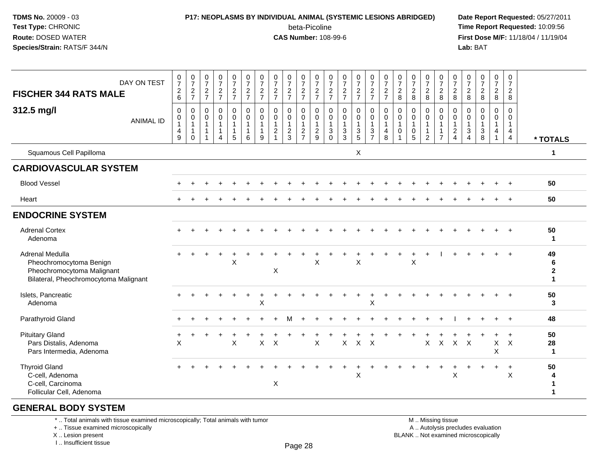## **P17: NEOPLASMS BY INDIVIDUAL ANIMAL (SYSTEMIC LESIONS ABRIDGED) Date Report Requested:** 05/27/2011

beta-Picoline<br>CAS Number: 108-99-6

 **Time Report Requested:** 10:09:56 **First Dose M/F:** 11/18/04 / 11/19/04<br>**Lab: BAT Lab:** BAT

| DAY ON TEST<br><b>FISCHER 344 RATS MALE</b><br>312.5 mg/l<br><b>ANIMAL ID</b>                                     | $\frac{0}{7}$<br>$^2\phantom{1}6$<br>$\pmb{0}$<br>$\pmb{0}$<br>$\mathbf{1}$<br>4<br>9 | $\frac{0}{7}$<br>$\frac{2}{7}$<br>$\mathbf 0$<br>$\pmb{0}$<br>$\mathbf{1}$<br>$\mathbf{1}$<br>$\mathbf 0$ | $\begin{smallmatrix}0\\7\end{smallmatrix}$<br>$\frac{2}{7}$<br>$\mathbf 0$<br>0<br>$\overline{1}$<br>$\overline{1}$<br>$\overline{1}$ | $\begin{array}{c} 0 \\ 7 \end{array}$<br>$\frac{2}{7}$<br>$\pmb{0}$<br>$\mathbf 0$<br>$\mathbf{1}$<br>$\mathbf{1}$<br>$\overline{4}$ | $\frac{0}{7}$<br>$\frac{2}{7}$<br>0<br>0<br>1<br>$\mathbf{1}$<br>5 | $\frac{0}{7}$<br>$\frac{2}{7}$<br>$_{\rm 0}^{\rm 0}$<br>$\mathbf{1}$<br>$\mathbf{1}$<br>6 | $\begin{array}{c} 0 \\ 7 \end{array}$<br>$\frac{2}{7}$<br>$\mathsf 0$<br>$\mathbf 0$<br>$\mathbf{1}$<br>$\mathbf{1}$<br>9 | $\frac{0}{7}$<br>$\overline{a}$<br>$\overline{7}$<br>0<br>0<br>$\mathbf{1}$<br>$\overline{2}$ | $\frac{0}{7}$<br>$\frac{2}{7}$<br>$\mathbf 0$<br>$\mathbf 0$<br>$\mathbf{1}$<br>$\boldsymbol{2}$<br>$\mathbf{3}$ | $\frac{0}{7}$<br>$\frac{2}{7}$<br>0<br>$\mathbf 0$<br>$\overline{1}$<br>$\sqrt{2}$<br>$\overline{7}$ | $\frac{0}{7}$<br>$\frac{2}{7}$<br>$\boldsymbol{0}$<br>$\mathbf 0$<br>$\mathbf{1}$<br>$\overline{2}$<br>$\overline{9}$ | $\frac{0}{7}$<br>$\boldsymbol{2}$<br>$\overline{7}$<br>$\mathbf 0$<br>0<br>$\mathbf{1}$<br>3<br>$\Omega$ | $\frac{0}{7}$<br>$\frac{2}{7}$<br>$\mathbf 0$<br>$\mathbf 0$<br>$\mathbf{1}$<br>$\sqrt{3}$<br>3 | $\frac{0}{7}$<br>$\frac{2}{7}$<br>$\mathbf 0$<br>0<br>$\mathbf{1}$<br>$\frac{3}{5}$ | $\frac{0}{7}$<br>$\overline{c}$<br>$\overline{7}$<br>0<br>$\mathbf 0$<br>$\mathbf{1}$<br>$\mathbf{3}$<br>$\overline{7}$ | $\frac{0}{7}$<br>$\frac{2}{7}$<br>$\mathbf 0$<br>$\mathbf 0$<br>$\overline{1}$<br>$\overline{4}$<br>8 | $\frac{0}{7}$<br>$\overline{c}$<br>8<br>$\mathbf 0$<br>$\mathbf 0$<br>$\mathbf{1}$<br>$\mathbf 0$<br>$\overline{1}$ | $\begin{array}{c} 0 \\ 7 \end{array}$<br>$\sqrt{2}$<br>8<br>$\mathbf 0$<br>$\mathbf 0$<br>$\mathbf{1}$<br>$\boldsymbol{0}$<br>5 | $\frac{0}{7}$<br>$_{8}^{2}$<br>0<br>$\mathbf 0$<br>1<br>$\overline{2}$ | $\begin{smallmatrix}0\\7\end{smallmatrix}$<br>$\overline{2}$<br>8<br>0<br>$\mathbf 0$<br>$\mathbf{1}$<br>$\mathbf{1}$<br>$\overline{7}$ | $\frac{0}{7}$<br>$\boldsymbol{2}$<br>8<br>$\mathbf 0$<br>$\mathbf 0$<br>$\mathbf{1}$<br>$\sqrt{2}$<br>$\overline{4}$ | $\frac{0}{7}$<br>$\frac{2}{8}$<br>$\mathbf 0$<br>0<br>$\overline{1}$<br>3<br>$\boldsymbol{\Lambda}$ | $\frac{0}{7}$<br>$\overline{c}$<br>8<br>0<br>$\mathbf 0$<br>$\mathbf{1}$<br>$\mathbf{3}$<br>8 | $\frac{0}{7}$<br>$\frac{2}{8}$<br>0<br>$\mathbf 0$<br>$\mathbf{1}$<br>$\overline{4}$<br>$\mathbf{1}$ | $\begin{smallmatrix} 0\\7 \end{smallmatrix}$<br>$\overline{2}$<br>8<br>$\mathbf 0$<br>$\mathbf 0$<br>$\mathbf{1}$<br>$\overline{4}$<br>$\overline{4}$ |                                              |
|-------------------------------------------------------------------------------------------------------------------|---------------------------------------------------------------------------------------|-----------------------------------------------------------------------------------------------------------|---------------------------------------------------------------------------------------------------------------------------------------|--------------------------------------------------------------------------------------------------------------------------------------|--------------------------------------------------------------------|-------------------------------------------------------------------------------------------|---------------------------------------------------------------------------------------------------------------------------|-----------------------------------------------------------------------------------------------|------------------------------------------------------------------------------------------------------------------|------------------------------------------------------------------------------------------------------|-----------------------------------------------------------------------------------------------------------------------|----------------------------------------------------------------------------------------------------------|-------------------------------------------------------------------------------------------------|-------------------------------------------------------------------------------------|-------------------------------------------------------------------------------------------------------------------------|-------------------------------------------------------------------------------------------------------|---------------------------------------------------------------------------------------------------------------------|---------------------------------------------------------------------------------------------------------------------------------|------------------------------------------------------------------------|-----------------------------------------------------------------------------------------------------------------------------------------|----------------------------------------------------------------------------------------------------------------------|-----------------------------------------------------------------------------------------------------|-----------------------------------------------------------------------------------------------|------------------------------------------------------------------------------------------------------|-------------------------------------------------------------------------------------------------------------------------------------------------------|----------------------------------------------|
| Squamous Cell Papilloma                                                                                           |                                                                                       |                                                                                                           |                                                                                                                                       |                                                                                                                                      |                                                                    |                                                                                           |                                                                                                                           |                                                                                               |                                                                                                                  |                                                                                                      |                                                                                                                       |                                                                                                          |                                                                                                 | X                                                                                   |                                                                                                                         |                                                                                                       |                                                                                                                     |                                                                                                                                 |                                                                        |                                                                                                                                         |                                                                                                                      |                                                                                                     |                                                                                               |                                                                                                      |                                                                                                                                                       | * TOTALS<br>$\mathbf 1$                      |
| <b>CARDIOVASCULAR SYSTEM</b>                                                                                      |                                                                                       |                                                                                                           |                                                                                                                                       |                                                                                                                                      |                                                                    |                                                                                           |                                                                                                                           |                                                                                               |                                                                                                                  |                                                                                                      |                                                                                                                       |                                                                                                          |                                                                                                 |                                                                                     |                                                                                                                         |                                                                                                       |                                                                                                                     |                                                                                                                                 |                                                                        |                                                                                                                                         |                                                                                                                      |                                                                                                     |                                                                                               |                                                                                                      |                                                                                                                                                       |                                              |
| <b>Blood Vessel</b>                                                                                               |                                                                                       |                                                                                                           |                                                                                                                                       |                                                                                                                                      |                                                                    |                                                                                           |                                                                                                                           |                                                                                               |                                                                                                                  |                                                                                                      |                                                                                                                       |                                                                                                          |                                                                                                 |                                                                                     |                                                                                                                         |                                                                                                       |                                                                                                                     |                                                                                                                                 |                                                                        |                                                                                                                                         |                                                                                                                      |                                                                                                     |                                                                                               |                                                                                                      |                                                                                                                                                       | 50                                           |
| Heart                                                                                                             |                                                                                       |                                                                                                           |                                                                                                                                       |                                                                                                                                      |                                                                    |                                                                                           |                                                                                                                           |                                                                                               |                                                                                                                  |                                                                                                      |                                                                                                                       |                                                                                                          |                                                                                                 |                                                                                     |                                                                                                                         |                                                                                                       |                                                                                                                     |                                                                                                                                 |                                                                        |                                                                                                                                         |                                                                                                                      |                                                                                                     |                                                                                               |                                                                                                      |                                                                                                                                                       | 50                                           |
| <b>ENDOCRINE SYSTEM</b>                                                                                           |                                                                                       |                                                                                                           |                                                                                                                                       |                                                                                                                                      |                                                                    |                                                                                           |                                                                                                                           |                                                                                               |                                                                                                                  |                                                                                                      |                                                                                                                       |                                                                                                          |                                                                                                 |                                                                                     |                                                                                                                         |                                                                                                       |                                                                                                                     |                                                                                                                                 |                                                                        |                                                                                                                                         |                                                                                                                      |                                                                                                     |                                                                                               |                                                                                                      |                                                                                                                                                       |                                              |
| <b>Adrenal Cortex</b><br>Adenoma                                                                                  |                                                                                       |                                                                                                           |                                                                                                                                       |                                                                                                                                      |                                                                    |                                                                                           |                                                                                                                           |                                                                                               |                                                                                                                  |                                                                                                      |                                                                                                                       |                                                                                                          |                                                                                                 |                                                                                     |                                                                                                                         |                                                                                                       |                                                                                                                     |                                                                                                                                 |                                                                        |                                                                                                                                         |                                                                                                                      |                                                                                                     |                                                                                               |                                                                                                      |                                                                                                                                                       | 50<br>$\mathbf 1$                            |
| Adrenal Medulla<br>Pheochromocytoma Benign<br>Pheochromocytoma Malignant<br>Bilateral, Pheochromocytoma Malignant |                                                                                       |                                                                                                           |                                                                                                                                       |                                                                                                                                      | X                                                                  |                                                                                           |                                                                                                                           | X                                                                                             |                                                                                                                  |                                                                                                      | X                                                                                                                     |                                                                                                          |                                                                                                 | X                                                                                   |                                                                                                                         |                                                                                                       |                                                                                                                     | X                                                                                                                               |                                                                        |                                                                                                                                         |                                                                                                                      |                                                                                                     |                                                                                               |                                                                                                      |                                                                                                                                                       | 49<br>$\bf 6$<br>$\mathbf{2}$<br>$\mathbf 1$ |
| Islets, Pancreatic<br>Adenoma                                                                                     |                                                                                       |                                                                                                           |                                                                                                                                       |                                                                                                                                      |                                                                    |                                                                                           | X                                                                                                                         |                                                                                               |                                                                                                                  |                                                                                                      |                                                                                                                       |                                                                                                          |                                                                                                 |                                                                                     | X                                                                                                                       |                                                                                                       |                                                                                                                     |                                                                                                                                 |                                                                        |                                                                                                                                         |                                                                                                                      |                                                                                                     |                                                                                               |                                                                                                      |                                                                                                                                                       | 50<br>3                                      |
| Parathyroid Gland                                                                                                 |                                                                                       |                                                                                                           |                                                                                                                                       |                                                                                                                                      |                                                                    |                                                                                           |                                                                                                                           |                                                                                               |                                                                                                                  |                                                                                                      |                                                                                                                       |                                                                                                          |                                                                                                 |                                                                                     |                                                                                                                         |                                                                                                       |                                                                                                                     |                                                                                                                                 |                                                                        |                                                                                                                                         |                                                                                                                      |                                                                                                     |                                                                                               |                                                                                                      |                                                                                                                                                       | 48                                           |
| <b>Pituitary Gland</b><br>Pars Distalis, Adenoma<br>Pars Intermedia, Adenoma                                      | X                                                                                     |                                                                                                           |                                                                                                                                       |                                                                                                                                      | $\pmb{\times}$                                                     |                                                                                           | $\mathsf X$                                                                                                               | $\pmb{\times}$                                                                                |                                                                                                                  |                                                                                                      | $\boldsymbol{\mathsf{X}}$                                                                                             |                                                                                                          | X                                                                                               | $\mathsf{X}$                                                                        | $\mathsf{X}$                                                                                                            |                                                                                                       |                                                                                                                     |                                                                                                                                 | $\mathsf X$                                                            | $\boldsymbol{X}$                                                                                                                        | $\mathsf{X}$                                                                                                         | $\boldsymbol{\mathsf{X}}$                                                                           |                                                                                               | X<br>$\sf X$                                                                                         | $\boldsymbol{\mathsf{X}}$                                                                                                                             | 50<br>28<br>$\mathbf{1}$                     |
| <b>Thyroid Gland</b><br>C-cell, Adenoma<br>C-cell, Carcinoma<br>Follicular Cell, Adenoma                          |                                                                                       |                                                                                                           |                                                                                                                                       |                                                                                                                                      |                                                                    |                                                                                           |                                                                                                                           | X                                                                                             |                                                                                                                  |                                                                                                      |                                                                                                                       |                                                                                                          |                                                                                                 | X                                                                                   |                                                                                                                         |                                                                                                       |                                                                                                                     |                                                                                                                                 |                                                                        | $\ddot{}$                                                                                                                               | $\mathsf X$                                                                                                          |                                                                                                     |                                                                                               | $+$                                                                                                  | $\ddot{}$<br>$\sf X$                                                                                                                                  | 50                                           |

#### **GENERAL BODY SYSTEM**

\* .. Total animals with tissue examined microscopically; Total animals with tumor

+ .. Tissue examined microscopically

X .. Lesion present

I .. Insufficient tissue

M .. Missing tissue

y the contract of the contract of the contract of the contract of the contract of  $\mathsf A$  . Autolysis precludes evaluation Lesion present BLANK .. Not examined microscopically

Page 28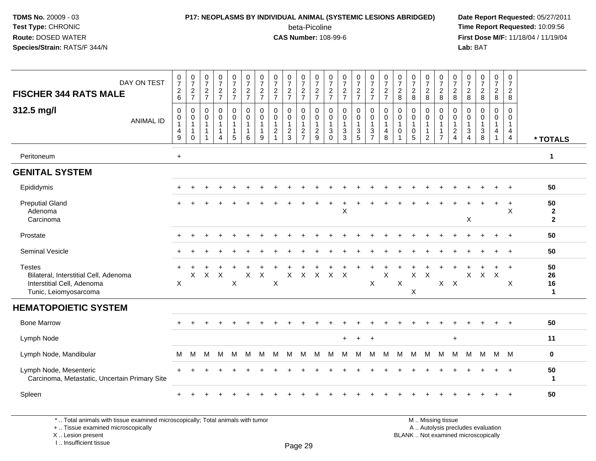#### **P17: NEOPLASMS BY INDIVIDUAL ANIMAL (SYSTEMIC LESIONS ABRIDGED) Date Report Requested:** 05/27/2011

beta-Picoline<br>CAS Number: 108-99-6

 **Time Report Requested:** 10:09:56 **First Dose M/F:** 11/18/04 / 11/19/04<br>**Lab:** BAT **Lab:** BAT

| DAY ON TEST<br><b>FISCHER 344 RATS MALE</b>                                                                   | $\frac{0}{7}$<br>$\frac{2}{6}$                          | $\frac{0}{7}$<br>$\frac{2}{7}$                                         | $\begin{array}{c} 0 \\ 7 \end{array}$<br>$\frac{2}{7}$ | $\frac{0}{7}$<br>$\frac{2}{7}$              | $\frac{0}{7}$<br>$\frac{2}{7}$                                    | $\frac{0}{7}$<br>$\frac{2}{7}$                                  | $\frac{0}{7}$<br>$\frac{2}{7}$                                      | $\frac{0}{7}$<br>$rac{2}{7}$                                        | $\frac{0}{7}$<br>$\frac{2}{7}$                    | $\frac{0}{7}$<br>$\frac{2}{7}$          | $\frac{0}{7}$<br>$\frac{2}{7}$          | $\frac{0}{7}$<br>$\frac{2}{7}$                                | $\frac{0}{7}$<br>$rac{2}{7}$                      | $\frac{0}{7}$<br>$\frac{2}{7}$                             | $\frac{0}{7}$<br>$\frac{2}{7}$                    | $\frac{0}{7}$<br>$\frac{2}{7}$                     | $\frac{0}{7}$<br>$\frac{2}{8}$        | $\frac{0}{7}$<br>$\overline{c}$<br>8       | $\frac{0}{7}$<br>$_{8}^{\rm 2}$                                    | $\frac{0}{7}$<br>$_{8}^2$                                | 0<br>$\overline{7}$<br>$\overline{a}$<br>8                 | $\frac{0}{7}$<br>$\overline{a}$<br>8                                  | $\begin{smallmatrix} 0\\7 \end{smallmatrix}$<br>$\frac{2}{8}$ | $\frac{0}{7}$<br>$_{\rm 8}^2$                         | 0<br>$\overline{7}$<br>$\overline{2}$<br>8                                     |                                      |
|---------------------------------------------------------------------------------------------------------------|---------------------------------------------------------|------------------------------------------------------------------------|--------------------------------------------------------|---------------------------------------------|-------------------------------------------------------------------|-----------------------------------------------------------------|---------------------------------------------------------------------|---------------------------------------------------------------------|---------------------------------------------------|-----------------------------------------|-----------------------------------------|---------------------------------------------------------------|---------------------------------------------------|------------------------------------------------------------|---------------------------------------------------|----------------------------------------------------|---------------------------------------|--------------------------------------------|--------------------------------------------------------------------|----------------------------------------------------------|------------------------------------------------------------|-----------------------------------------------------------------------|---------------------------------------------------------------|-------------------------------------------------------|--------------------------------------------------------------------------------|--------------------------------------|
| 312.5 mg/l<br><b>ANIMAL ID</b>                                                                                | $\mathbf 0$<br>0<br>$\mathbf{1}$<br>$\overline{4}$<br>9 | $\mathbf 0$<br>$\mathbf 0$<br>$\mathbf{1}$<br>$\mathbf{1}$<br>$\Omega$ | 0<br>$\mathbf 0$<br>$\mathbf{1}$<br>$\mathbf{1}$<br>1  | 0<br>0<br>$\mathbf{1}$<br>$\mathbf{1}$<br>4 | 0<br>$\mathbf 0$<br>$\mathbf{1}$<br>$\mathbf 1$<br>$\overline{5}$ | $\mathbf 0$<br>$\mathbf 0$<br>$\mathbf{1}$<br>$\mathbf{1}$<br>6 | $\mathbf 0$<br>$\mathbf 0$<br>$\overline{1}$<br>$\overline{1}$<br>9 | $\mathbf 0$<br>$\mathbf 0$<br>$\overline{1}$<br>$\overline{2}$<br>1 | 0<br>$\mathbf 0$<br>$\mathbf{1}$<br>$\frac{2}{3}$ | 0<br>0<br>$\mathbf{1}$<br>$\frac{2}{7}$ | 0<br>0<br>$\mathbf{1}$<br>$\frac{2}{9}$ | $\mathbf 0$<br>$\mathbf 0$<br>$\overline{1}$<br>$\frac{3}{0}$ | 0<br>$\mathbf 0$<br>$\mathbf{1}$<br>$\frac{3}{3}$ | 0<br>0<br>1<br>$\ensuremath{\mathsf{3}}$<br>$\overline{5}$ | $\mathbf 0$<br>0<br>$\mathbf{1}$<br>$\frac{3}{7}$ | $\mathbf 0$<br>$\pmb{0}$<br>$\mathbf{1}$<br>4<br>8 | $\mathbf 0$<br>0<br>$\mathbf{1}$<br>0 | 0<br>$\mathbf 0$<br>$\mathbf{1}$<br>0<br>5 | 0<br>$\mathbf 0$<br>$\mathbf{1}$<br>$\mathbf{1}$<br>$\overline{c}$ | 0<br>0<br>$\mathbf{1}$<br>$\mathbf{1}$<br>$\overline{7}$ | 0<br>0<br>$\mathbf{1}$<br>$\overline{c}$<br>$\overline{4}$ | 0<br>0<br>$\mathbf{1}$<br>$\ensuremath{\mathsf{3}}$<br>$\overline{4}$ | $\mathbf 0$<br>$\mathbf 0$<br>$\mathbf{1}$<br>$\frac{3}{8}$   | 0<br>$\mathbf 0$<br>$\mathbf{1}$<br>4<br>$\mathbf{1}$ | $\mathbf 0$<br>$\mathbf 0$<br>$\mathbf{1}$<br>$\overline{4}$<br>$\overline{4}$ | * TOTALS                             |
| Peritoneum                                                                                                    | $+$                                                     |                                                                        |                                                        |                                             |                                                                   |                                                                 |                                                                     |                                                                     |                                                   |                                         |                                         |                                                               |                                                   |                                                            |                                                   |                                                    |                                       |                                            |                                                                    |                                                          |                                                            |                                                                       |                                                               |                                                       |                                                                                | $\mathbf{1}$                         |
| <b>GENITAL SYSTEM</b>                                                                                         |                                                         |                                                                        |                                                        |                                             |                                                                   |                                                                 |                                                                     |                                                                     |                                                   |                                         |                                         |                                                               |                                                   |                                                            |                                                   |                                                    |                                       |                                            |                                                                    |                                                          |                                                            |                                                                       |                                                               |                                                       |                                                                                |                                      |
| Epididymis                                                                                                    |                                                         |                                                                        |                                                        |                                             |                                                                   |                                                                 |                                                                     |                                                                     |                                                   |                                         |                                         |                                                               |                                                   |                                                            |                                                   |                                                    |                                       |                                            |                                                                    |                                                          |                                                            |                                                                       |                                                               |                                                       |                                                                                | 50                                   |
| <b>Preputial Gland</b><br>Adenoma<br>Carcinoma                                                                |                                                         |                                                                        |                                                        |                                             |                                                                   |                                                                 |                                                                     |                                                                     |                                                   |                                         |                                         |                                                               | X                                                 |                                                            |                                                   |                                                    |                                       |                                            |                                                                    |                                                          |                                                            | X                                                                     |                                                               | $\ddot{}$                                             | $\ddot{}$<br>X                                                                 | 50<br>$\mathbf{2}$<br>$\overline{2}$ |
| Prostate                                                                                                      |                                                         |                                                                        |                                                        |                                             |                                                                   |                                                                 |                                                                     |                                                                     |                                                   |                                         |                                         |                                                               |                                                   |                                                            |                                                   |                                                    |                                       |                                            |                                                                    |                                                          |                                                            |                                                                       |                                                               | $\div$                                                | $\ddot{}$                                                                      | 50                                   |
| Seminal Vesicle                                                                                               |                                                         |                                                                        |                                                        |                                             |                                                                   |                                                                 |                                                                     |                                                                     |                                                   |                                         |                                         |                                                               |                                                   |                                                            |                                                   |                                                    |                                       |                                            |                                                                    |                                                          |                                                            |                                                                       |                                                               |                                                       | $\ddot{}$                                                                      | 50                                   |
| <b>Testes</b><br>Bilateral, Interstitial Cell, Adenoma<br>Interstitial Cell, Adenoma<br>Tunic, Leiomyosarcoma | $\overline{ }$<br>X                                     | X                                                                      | $\times$                                               | $\boldsymbol{\mathsf{X}}$                   | X                                                                 | X                                                               | $\mathsf X$                                                         | X                                                                   | X                                                 | $\mathsf X$                             | $\mathsf{X}$                            | X                                                             | $\times$                                          |                                                            | $\boldsymbol{\mathsf{X}}$                         | $\sf X$                                            | X                                     | $\times$<br>X                              | $\boldsymbol{\mathsf{X}}$                                          | $\sf X$                                                  | $\mathsf{X}$                                               | X                                                                     | $\mathsf{X}$                                                  | $\times$                                              | $\ddot{}$<br>X                                                                 | 50<br>26<br>16<br>$\mathbf{1}$       |
| <b>HEMATOPOIETIC SYSTEM</b>                                                                                   |                                                         |                                                                        |                                                        |                                             |                                                                   |                                                                 |                                                                     |                                                                     |                                                   |                                         |                                         |                                                               |                                                   |                                                            |                                                   |                                                    |                                       |                                            |                                                                    |                                                          |                                                            |                                                                       |                                                               |                                                       |                                                                                |                                      |
| <b>Bone Marrow</b>                                                                                            |                                                         |                                                                        |                                                        |                                             |                                                                   |                                                                 |                                                                     |                                                                     |                                                   |                                         |                                         |                                                               |                                                   |                                                            |                                                   |                                                    |                                       |                                            |                                                                    |                                                          |                                                            |                                                                       |                                                               |                                                       |                                                                                | 50                                   |
| Lymph Node                                                                                                    |                                                         |                                                                        |                                                        |                                             |                                                                   |                                                                 |                                                                     |                                                                     |                                                   |                                         |                                         |                                                               |                                                   | $\overline{1}$                                             | $\ddot{}$                                         |                                                    |                                       |                                            |                                                                    |                                                          | $\ddot{}$                                                  |                                                                       |                                                               |                                                       |                                                                                | 11                                   |
| Lymph Node, Mandibular                                                                                        | м                                                       | М                                                                      | M                                                      | M                                           | M                                                                 | м                                                               | M                                                                   | M                                                                   | M                                                 | M                                       | М                                       | м                                                             | м                                                 | м                                                          | M                                                 | M                                                  | м                                     | M                                          | M                                                                  | M                                                        | м                                                          | M                                                                     | M                                                             | M M                                                   |                                                                                | $\mathbf 0$                          |
| Lymph Node, Mesenteric<br>Carcinoma, Metastatic, Uncertain Primary Site                                       |                                                         |                                                                        |                                                        |                                             |                                                                   |                                                                 |                                                                     |                                                                     |                                                   |                                         |                                         |                                                               |                                                   |                                                            |                                                   |                                                    |                                       |                                            |                                                                    |                                                          |                                                            |                                                                       |                                                               |                                                       | $\ddot{}$                                                                      | 50<br>$\mathbf{1}$                   |
| Spleen                                                                                                        |                                                         |                                                                        |                                                        |                                             |                                                                   |                                                                 |                                                                     |                                                                     |                                                   |                                         |                                         |                                                               |                                                   |                                                            |                                                   |                                                    |                                       |                                            |                                                                    |                                                          |                                                            |                                                                       |                                                               |                                                       |                                                                                | 50                                   |

\* .. Total animals with tissue examined microscopically; Total animals with tumor

+ .. Tissue examined microscopically

X .. Lesion present

I .. Insufficient tissue

 M .. Missing tissuey the contract of the contract of the contract of the contract of the contract of  $\mathsf A$  . Autolysis precludes evaluation Lesion present BLANK .. Not examined microscopically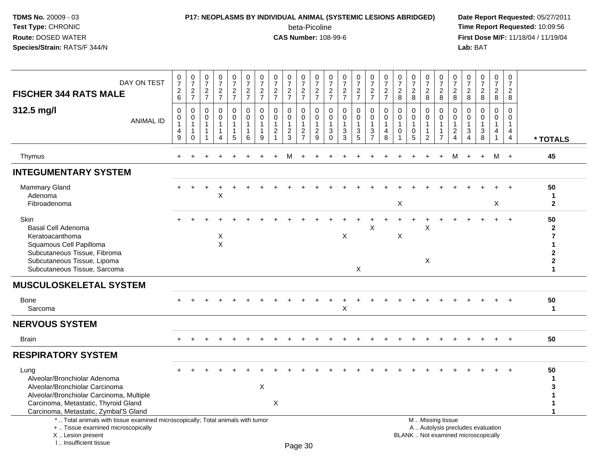#### **P17: NEOPLASMS BY INDIVIDUAL ANIMAL (SYSTEMIC LESIONS ABRIDGED) Date Report Requested:** 05/27/2011

beta-Picoline<br>CAS Number: 108-99-6

| DAY ON TEST<br><b>FISCHER 344 RATS MALE</b>                                                                                                                                                         | $\frac{0}{7}$<br>$\sqrt{2}$<br>$6\phantom{a}$ | $\frac{0}{7}$<br>$\overline{2}$<br>$\overline{7}$     | $\begin{smallmatrix} 0\\7 \end{smallmatrix}$<br>$\frac{2}{7}$ | $\frac{0}{7}$<br>$\frac{2}{7}$                         | $\begin{array}{c} 0 \\ 7 \end{array}$<br>$\frac{2}{7}$            | $\frac{0}{7}$<br>$rac{2}{7}$                          | 0<br>$\overline{7}$<br>$\overline{c}$<br>$\overline{7}$ | $\begin{array}{c} 0 \\ 7 \end{array}$<br>$\overline{c}$<br>$\overline{7}$      | $\frac{0}{7}$<br>$\frac{2}{7}$                                    | $\frac{0}{7}$<br>$\frac{2}{7}$                                       | $\frac{0}{7}$<br>$\frac{2}{7}$                                     | 0<br>$\overline{7}$<br>$\frac{2}{7}$                     | 0<br>$\overline{7}$<br>$\frac{2}{7}$              | $\frac{0}{7}$<br>$\frac{2}{7}$                     | $\begin{smallmatrix}0\\7\end{smallmatrix}$<br>$rac{2}{7}$                    | $\begin{array}{c} 0 \\ 7 \end{array}$<br>$\frac{2}{7}$ | $\frac{0}{7}$<br>$\sqrt{2}$<br>8                                    | $\frac{0}{7}$<br>$\sqrt{2}$<br>8           | $\frac{0}{7}$<br>$\overline{c}$<br>8 | $\frac{0}{7}$<br>$\overline{c}$<br>8                                         | $\frac{0}{7}$<br>$\overline{2}$<br>8                              | 0<br>$\overline{7}$<br>$\overline{2}$<br>$\bf 8$ | $\begin{array}{c} 0 \\ 7 \end{array}$<br>$\sqrt{2}$<br>$\bf 8$           | $\mathbf 0$<br>$\overline{7}$<br>$\overline{2}$<br>$\bf{8}$ | 0<br>$\overline{7}$<br>$\overline{2}$<br>8                                  |                                                                                      |
|-----------------------------------------------------------------------------------------------------------------------------------------------------------------------------------------------------|-----------------------------------------------|-------------------------------------------------------|---------------------------------------------------------------|--------------------------------------------------------|-------------------------------------------------------------------|-------------------------------------------------------|---------------------------------------------------------|--------------------------------------------------------------------------------|-------------------------------------------------------------------|----------------------------------------------------------------------|--------------------------------------------------------------------|----------------------------------------------------------|---------------------------------------------------|----------------------------------------------------|------------------------------------------------------------------------------|--------------------------------------------------------|---------------------------------------------------------------------|--------------------------------------------|--------------------------------------|------------------------------------------------------------------------------|-------------------------------------------------------------------|--------------------------------------------------|--------------------------------------------------------------------------|-------------------------------------------------------------|-----------------------------------------------------------------------------|--------------------------------------------------------------------------------------|
| 312.5 mg/l<br><b>ANIMAL ID</b>                                                                                                                                                                      | $\mathbf 0$<br>0<br>$\mathbf{1}$<br>4<br>9    | 0<br>0<br>$\mathbf{1}$<br>$\mathbf{1}$<br>$\mathbf 0$ | 0<br>0<br>$\mathbf{1}$<br>$\mathbf{1}$                        | $\mathbf 0$<br>$\mathbf 0$<br>1<br>1<br>$\overline{A}$ | $\mathbf 0$<br>$\mathbf 0$<br>$\overline{1}$<br>$\mathbf{1}$<br>5 | $\mathbf 0$<br>0<br>$\mathbf{1}$<br>$\mathbf{1}$<br>6 | $\mathbf 0$<br>0<br>$\mathbf{1}$<br>1<br>9              | $\mathbf 0$<br>$\mathbf 0$<br>$\mathbf{1}$<br>$\boldsymbol{2}$<br>$\mathbf{1}$ | $\mathbf{0}$<br>0<br>$\mathbf{1}$<br>$\overline{\mathbf{c}}$<br>3 | 0<br>$\mathbf 0$<br>$\mathbf{1}$<br>$\overline{c}$<br>$\overline{7}$ | $\Omega$<br>$\mathbf 0$<br>$\overline{1}$<br>$\boldsymbol{2}$<br>9 | $\Omega$<br>$\mathbf 0$<br>$\mathbf{1}$<br>3<br>$\Omega$ | $\Omega$<br>$\mathbf 0$<br>$\mathbf{1}$<br>3<br>3 | $\mathbf 0$<br>0<br>$\mathbf 1$<br>$\sqrt{3}$<br>5 | $\mathbf 0$<br>$\mathbf 0$<br>$\mathbf{1}$<br>$\mathbf{3}$<br>$\overline{7}$ | $\Omega$<br>0<br>1<br>4<br>8                           | $\mathbf 0$<br>0<br>$\overline{1}$<br>$\mathbf 0$<br>$\overline{1}$ | 0<br>0<br>$\mathbf{1}$<br>$\mathbf 0$<br>5 | 0<br>0<br>1<br>$\overline{c}$        | $\mathbf 0$<br>$\mathbf 0$<br>$\mathbf{1}$<br>$\mathbf{1}$<br>$\overline{7}$ | $\Omega$<br>0<br>$\mathbf{1}$<br>$\overline{2}$<br>$\overline{4}$ | $\Omega$<br>0<br>3<br>$\overline{4}$             | $\mathbf 0$<br>$\mathbf 0$<br>$\mathbf{1}$<br>$\sqrt{3}$<br>8            | 0<br>0<br>$\mathbf{1}$<br>4<br>$\mathbf{1}$                 | $\Omega$<br>$\mathbf 0$<br>$\mathbf{1}$<br>$\overline{4}$<br>$\overline{4}$ | * TOTALS                                                                             |
| Thymus                                                                                                                                                                                              | $+$                                           |                                                       |                                                               |                                                        |                                                                   |                                                       |                                                         |                                                                                | M                                                                 | $\div$                                                               |                                                                    |                                                          |                                                   |                                                    |                                                                              |                                                        |                                                                     |                                            |                                      |                                                                              | м                                                                 | $+$                                              | $+$                                                                      | M +                                                         |                                                                             | 45                                                                                   |
| <b>INTEGUMENTARY SYSTEM</b>                                                                                                                                                                         |                                               |                                                       |                                                               |                                                        |                                                                   |                                                       |                                                         |                                                                                |                                                                   |                                                                      |                                                                    |                                                          |                                                   |                                                    |                                                                              |                                                        |                                                                     |                                            |                                      |                                                                              |                                                                   |                                                  |                                                                          |                                                             |                                                                             |                                                                                      |
| <b>Mammary Gland</b><br>Adenoma<br>Fibroadenoma                                                                                                                                                     |                                               |                                                       |                                                               | ٠<br>X                                                 |                                                                   |                                                       |                                                         |                                                                                |                                                                   |                                                                      |                                                                    |                                                          |                                                   |                                                    |                                                                              |                                                        | X                                                                   |                                            |                                      |                                                                              |                                                                   |                                                  |                                                                          | X                                                           |                                                                             | 50<br>1<br>$\mathbf{2}$                                                              |
| Skin<br><b>Basal Cell Adenoma</b><br>Keratoacanthoma<br>Squamous Cell Papilloma<br>Subcutaneous Tissue, Fibroma<br>Subcutaneous Tissue, Lipoma<br>Subcutaneous Tissue, Sarcoma                      |                                               |                                                       |                                                               | X<br>$\times$                                          |                                                                   |                                                       |                                                         |                                                                                |                                                                   |                                                                      |                                                                    |                                                          | X                                                 | X                                                  | X                                                                            |                                                        | X                                                                   |                                            | х<br>X                               |                                                                              |                                                                   |                                                  |                                                                          |                                                             |                                                                             | 50<br>$\mathbf{2}$<br>$\overline{7}$<br>$\mathbf{2}$<br>$\mathbf{2}$<br>$\mathbf{1}$ |
| <b>MUSCULOSKELETAL SYSTEM</b>                                                                                                                                                                       |                                               |                                                       |                                                               |                                                        |                                                                   |                                                       |                                                         |                                                                                |                                                                   |                                                                      |                                                                    |                                                          |                                                   |                                                    |                                                                              |                                                        |                                                                     |                                            |                                      |                                                                              |                                                                   |                                                  |                                                                          |                                                             |                                                                             |                                                                                      |
| Bone<br>Sarcoma                                                                                                                                                                                     |                                               |                                                       |                                                               |                                                        |                                                                   |                                                       |                                                         |                                                                                |                                                                   |                                                                      |                                                                    |                                                          | Х                                                 |                                                    |                                                                              |                                                        |                                                                     |                                            |                                      |                                                                              |                                                                   |                                                  |                                                                          |                                                             |                                                                             | 50<br>$\mathbf{1}$                                                                   |
| <b>NERVOUS SYSTEM</b>                                                                                                                                                                               |                                               |                                                       |                                                               |                                                        |                                                                   |                                                       |                                                         |                                                                                |                                                                   |                                                                      |                                                                    |                                                          |                                                   |                                                    |                                                                              |                                                        |                                                                     |                                            |                                      |                                                                              |                                                                   |                                                  |                                                                          |                                                             |                                                                             |                                                                                      |
| <b>Brain</b>                                                                                                                                                                                        |                                               |                                                       |                                                               |                                                        |                                                                   |                                                       |                                                         |                                                                                |                                                                   |                                                                      |                                                                    |                                                          |                                                   |                                                    |                                                                              |                                                        |                                                                     |                                            |                                      |                                                                              | ÷                                                                 |                                                  |                                                                          | $\ddot{}$                                                   | $+$                                                                         | 50                                                                                   |
| <b>RESPIRATORY SYSTEM</b>                                                                                                                                                                           |                                               |                                                       |                                                               |                                                        |                                                                   |                                                       |                                                         |                                                                                |                                                                   |                                                                      |                                                                    |                                                          |                                                   |                                                    |                                                                              |                                                        |                                                                     |                                            |                                      |                                                                              |                                                                   |                                                  |                                                                          |                                                             |                                                                             |                                                                                      |
| Lung<br>Alveolar/Bronchiolar Adenoma<br>Alveolar/Bronchiolar Carcinoma<br>Alveolar/Bronchiolar Carcinoma, Multiple<br>Carcinoma, Metastatic, Thyroid Gland<br>Carcinoma, Metastatic, Zymbal'S Gland |                                               |                                                       |                                                               |                                                        |                                                                   |                                                       | X                                                       | X                                                                              |                                                                   |                                                                      |                                                                    |                                                          |                                                   |                                                    |                                                                              |                                                        |                                                                     |                                            |                                      |                                                                              |                                                                   |                                                  |                                                                          |                                                             |                                                                             | 50<br>1<br>3                                                                         |
| *  Total animals with tissue examined microscopically; Total animals with tumor<br>+  Tissue examined microscopically<br>X  Lesion present<br>I., Insufficient tissue                               |                                               |                                                       |                                                               |                                                        |                                                                   |                                                       |                                                         |                                                                                |                                                                   | $D_{200}$ 30                                                         |                                                                    |                                                          |                                                   |                                                    |                                                                              |                                                        |                                                                     |                                            |                                      | M  Missing tissue                                                            |                                                                   |                                                  | A  Autolysis precludes evaluation<br>BLANK  Not examined microscopically |                                                             |                                                                             |                                                                                      |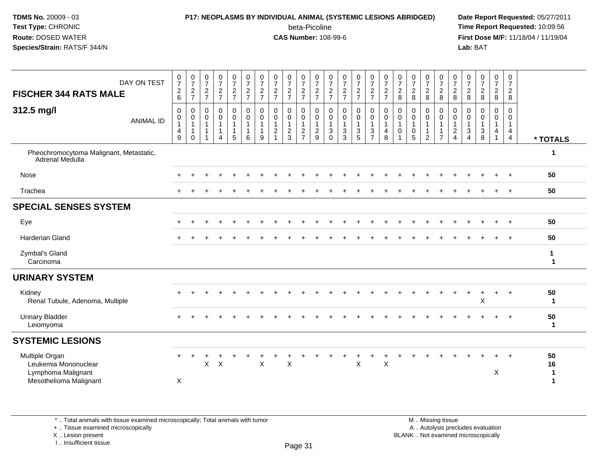## **P17: NEOPLASMS BY INDIVIDUAL ANIMAL (SYSTEMIC LESIONS ABRIDGED) Date Report Requested:** 05/27/2011

beta-Picoline<br>CAS Number: 108-99-6

 **Time Report Requested:** 10:09:56 **First Dose M/F:** 11/18/04 / 11/19/04<br>**Lab:** BAT **Lab:** BAT

| DAY ON TEST<br><b>FISCHER 344 RATS MALE</b><br>312.5 mg/l                              |                  | $\frac{0}{7}$<br>$\overline{c}$<br>6<br>0<br>0 | $\frac{0}{7}$<br>$\frac{2}{7}$<br>0<br>$\pmb{0}$ | $\frac{0}{7}$<br>$\frac{2}{7}$<br>$\mathbf 0$<br>$\pmb{0}$ | $\frac{0}{7}$<br>$\frac{2}{7}$<br>0<br>$\pmb{0}$ | $\frac{0}{7}$<br>$\frac{2}{7}$<br>0<br>$\pmb{0}$ | $\frac{0}{7}$<br>$\frac{2}{7}$<br>$\mathbf 0$<br>$\mathbf 0$ | $\frac{0}{7}$<br>$\frac{2}{7}$<br>0<br>$\mathbf 0$ | $\frac{0}{7}$<br>$\frac{2}{7}$<br>0<br>$\mathbf 0$ | $\frac{0}{7}$<br>$\frac{2}{7}$<br>$\mathbf 0$<br>$\mathbf 0$ | $\frac{0}{7}$<br>$\frac{2}{7}$<br>0<br>$\mathbf 0$ | $\frac{0}{7}$<br>$\frac{2}{7}$<br>0<br>$\mathsf{O}\xspace$ | $\frac{0}{7}$<br>$\frac{2}{7}$<br>0<br>$\mathbf 0$ | $\frac{0}{7}$<br>$\frac{2}{7}$<br>$\pmb{0}$<br>$\pmb{0}$ | $\frac{0}{7}$<br>$\frac{2}{7}$<br>$\mathbf 0$<br>$\mathsf{O}$ | $\frac{0}{7}$<br>$\frac{2}{7}$<br>0<br>0 | $\frac{0}{7}$<br>$\frac{2}{7}$<br>$\pmb{0}$<br>$\pmb{0}$ | 0<br>$\overline{7}$<br>$\overline{c}$<br>8<br>0<br>0 | $\begin{array}{c} 0 \\ 7 \end{array}$<br>$\sqrt{2}$<br>8<br>$\mathbf 0$<br>$\mathbf 0$ | 0<br>$\overline{7}$<br>$\overline{c}$<br>8<br>0<br>$\mathbf 0$ | $\begin{array}{c} 0 \\ 7 \\ 2 \end{array}$<br>8<br>0<br>$\mathsf{O}\xspace$ | $\frac{0}{7}$<br>$\overline{c}$<br>8<br>0<br>$\pmb{0}$ | 0<br>$\overline{7}$<br>$\overline{a}$<br>8<br>0<br>$\mathbf 0$ | $\begin{smallmatrix}0\\7\end{smallmatrix}$<br>$\sqrt{2}$<br>$\, 8$<br>0<br>$\mathbf 0$ | 0<br>$\overline{7}$<br>$\sqrt{2}$<br>8<br>0<br>$\mathbf 0$ | 0<br>$\overline{7}$<br>$\overline{2}$<br>8<br>$\mathbf 0$<br>$\mathbf 0$ |                                         |
|----------------------------------------------------------------------------------------|------------------|------------------------------------------------|--------------------------------------------------|------------------------------------------------------------|--------------------------------------------------|--------------------------------------------------|--------------------------------------------------------------|----------------------------------------------------|----------------------------------------------------|--------------------------------------------------------------|----------------------------------------------------|------------------------------------------------------------|----------------------------------------------------|----------------------------------------------------------|---------------------------------------------------------------|------------------------------------------|----------------------------------------------------------|------------------------------------------------------|----------------------------------------------------------------------------------------|----------------------------------------------------------------|-----------------------------------------------------------------------------|--------------------------------------------------------|----------------------------------------------------------------|----------------------------------------------------------------------------------------|------------------------------------------------------------|--------------------------------------------------------------------------|-----------------------------------------|
|                                                                                        | <b>ANIMAL ID</b> | $\mathbf{1}$<br>4<br>9                         | $\mathbf{1}$<br>$\mathbf 0$                      | $\overline{1}$<br>$\overline{\mathbf{1}}$                  | $\overline{1}$<br>$\mathbf{1}$<br>$\Delta$       | $\mathbf{1}$<br>1<br>5                           | $\mathbf{1}$<br>$\mathbf{1}$<br>6                            | $\mathbf{1}$<br>9                                  | $\mathbf{1}$<br>$\boldsymbol{2}$<br>$\overline{1}$ | $\mathbf{1}$<br>$\frac{2}{3}$                                | $\overline{1}$<br>$\frac{2}{7}$                    | $\mathbf{1}$<br>$\frac{2}{9}$                              | $\mathbf{1}$<br>3<br>$\Omega$                      | $\mathbf{1}$<br>$\frac{3}{3}$                            | $\mathbf{1}$<br>$\frac{3}{5}$                                 | $\mathbf{1}$<br>$\frac{3}{7}$            | $\mathbf{1}$<br>$\overline{4}$<br>8                      | $\overline{1}$<br>$\Omega$                           | $\mathbf{1}$<br>$\pmb{0}$<br>5                                                         | $\mathbf{1}$<br>$\overline{2}$                                 | $\mathbf{1}$<br>$\mathbf{1}$<br>$\overline{7}$                              | $\mathbf{1}$<br>$\overline{c}$<br>$\overline{4}$       | $\mathbf{1}$<br>$\mathbf{3}$<br>$\boldsymbol{\Lambda}$         | $\mathbf{1}$<br>$_{\rm 8}^3$                                                           | $\mathbf{1}$<br>4<br>$\overline{1}$                        | $\mathbf{1}$<br>4<br>$\overline{4}$                                      | * TOTALS                                |
| Pheochromocytoma Malignant, Metastatic,<br>Adrenal Medulla                             |                  |                                                |                                                  |                                                            |                                                  |                                                  |                                                              |                                                    |                                                    |                                                              |                                                    |                                                            |                                                    |                                                          |                                                               |                                          |                                                          |                                                      |                                                                                        |                                                                |                                                                             |                                                        |                                                                |                                                                                        |                                                            |                                                                          | 1                                       |
| Nose                                                                                   |                  |                                                |                                                  |                                                            |                                                  |                                                  |                                                              |                                                    |                                                    |                                                              |                                                    |                                                            |                                                    |                                                          |                                                               |                                          |                                                          |                                                      |                                                                                        |                                                                |                                                                             |                                                        |                                                                |                                                                                        |                                                            | $\ddot{}$                                                                | 50                                      |
| Trachea                                                                                |                  |                                                |                                                  |                                                            |                                                  |                                                  |                                                              |                                                    |                                                    |                                                              |                                                    |                                                            |                                                    |                                                          |                                                               |                                          |                                                          |                                                      |                                                                                        |                                                                |                                                                             |                                                        |                                                                |                                                                                        | $\ddot{}$                                                  | $+$                                                                      | 50                                      |
| <b>SPECIAL SENSES SYSTEM</b>                                                           |                  |                                                |                                                  |                                                            |                                                  |                                                  |                                                              |                                                    |                                                    |                                                              |                                                    |                                                            |                                                    |                                                          |                                                               |                                          |                                                          |                                                      |                                                                                        |                                                                |                                                                             |                                                        |                                                                |                                                                                        |                                                            |                                                                          |                                         |
| Eye                                                                                    |                  | $\ddot{}$                                      |                                                  |                                                            |                                                  |                                                  |                                                              |                                                    |                                                    |                                                              |                                                    |                                                            |                                                    |                                                          |                                                               |                                          |                                                          |                                                      |                                                                                        |                                                                |                                                                             |                                                        |                                                                |                                                                                        |                                                            | $\ddot{+}$                                                               | 50                                      |
| Harderian Gland                                                                        |                  |                                                |                                                  |                                                            |                                                  |                                                  |                                                              |                                                    |                                                    |                                                              |                                                    |                                                            |                                                    |                                                          |                                                               |                                          |                                                          |                                                      |                                                                                        |                                                                |                                                                             |                                                        |                                                                |                                                                                        |                                                            |                                                                          | 50                                      |
| Zymbal's Gland<br>Carcinoma                                                            |                  |                                                |                                                  |                                                            |                                                  |                                                  |                                                              |                                                    |                                                    |                                                              |                                                    |                                                            |                                                    |                                                          |                                                               |                                          |                                                          |                                                      |                                                                                        |                                                                |                                                                             |                                                        |                                                                |                                                                                        |                                                            |                                                                          | $\mathbf{1}$<br>$\mathbf 1$             |
| <b>URINARY SYSTEM</b>                                                                  |                  |                                                |                                                  |                                                            |                                                  |                                                  |                                                              |                                                    |                                                    |                                                              |                                                    |                                                            |                                                    |                                                          |                                                               |                                          |                                                          |                                                      |                                                                                        |                                                                |                                                                             |                                                        |                                                                |                                                                                        |                                                            |                                                                          |                                         |
| Kidney<br>Renal Tubule, Adenoma, Multiple                                              |                  |                                                |                                                  |                                                            |                                                  |                                                  |                                                              |                                                    |                                                    |                                                              |                                                    |                                                            |                                                    |                                                          |                                                               |                                          |                                                          |                                                      |                                                                                        |                                                                |                                                                             |                                                        |                                                                | $\sf X$                                                                                | +                                                          | $\div$                                                                   | 50<br>$\mathbf 1$                       |
| <b>Urinary Bladder</b><br>Leiomyoma                                                    |                  |                                                |                                                  |                                                            |                                                  |                                                  |                                                              |                                                    |                                                    |                                                              |                                                    |                                                            |                                                    |                                                          |                                                               |                                          |                                                          |                                                      |                                                                                        |                                                                |                                                                             |                                                        |                                                                |                                                                                        |                                                            |                                                                          | 50<br>$\mathbf{1}$                      |
| <b>SYSTEMIC LESIONS</b>                                                                |                  |                                                |                                                  |                                                            |                                                  |                                                  |                                                              |                                                    |                                                    |                                                              |                                                    |                                                            |                                                    |                                                          |                                                               |                                          |                                                          |                                                      |                                                                                        |                                                                |                                                                             |                                                        |                                                                |                                                                                        |                                                            |                                                                          |                                         |
| Multiple Organ<br>Leukemia Mononuclear<br>Lymphoma Malignant<br>Mesothelioma Malignant |                  | $\pm$<br>X                                     |                                                  | X                                                          | $\boldsymbol{\mathsf{X}}$                        |                                                  |                                                              | $\boldsymbol{\mathsf{X}}$                          |                                                    | $\times$                                                     |                                                    |                                                            |                                                    |                                                          | X                                                             |                                          | X                                                        |                                                      |                                                                                        |                                                                |                                                                             |                                                        |                                                                |                                                                                        | X                                                          | $\ddot{}$                                                                | 50<br>16<br>$\mathbf{1}$<br>$\mathbf 1$ |

\* .. Total animals with tissue examined microscopically; Total animals with tumor

+ .. Tissue examined microscopically

X .. Lesion present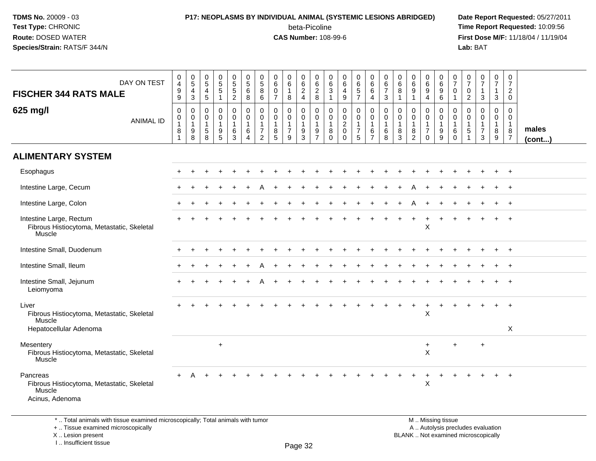### **P17: NEOPLASMS BY INDIVIDUAL ANIMAL (SYSTEMIC LESIONS ABRIDGED) Date Report Requested:** 05/27/2011 beta-Picoline<br>CAS Number: 108-99-6

 **Time Report Requested:** 10:09:56 **First Dose M/F:** 11/18/04 / 11/19/04<br>**Lab:** BAT **Lab:** BAT

|                                                                                     | $\pmb{0}$                                                 |                                                         |                                                     |                                                          | 0                                                | $\pmb{0}$                                                                 | 0                                                                              | 0                                                                  | 0                                                       | 0                                               | 0                                                         | $\overline{0}$                                                   | 0                                                                          | 0                                                         | 0                                                       | 0                                          | 0                                                    | $\boldsymbol{0}$                                              | 0                                                        | 0                                                        | 0                                                   | 0                                                    |                                                         | $\mathbf 0$                                             | 0                                                                        |                       |
|-------------------------------------------------------------------------------------|-----------------------------------------------------------|---------------------------------------------------------|-----------------------------------------------------|----------------------------------------------------------|--------------------------------------------------|---------------------------------------------------------------------------|--------------------------------------------------------------------------------|--------------------------------------------------------------------|---------------------------------------------------------|-------------------------------------------------|-----------------------------------------------------------|------------------------------------------------------------------|----------------------------------------------------------------------------|-----------------------------------------------------------|---------------------------------------------------------|--------------------------------------------|------------------------------------------------------|---------------------------------------------------------------|----------------------------------------------------------|----------------------------------------------------------|-----------------------------------------------------|------------------------------------------------------|---------------------------------------------------------|---------------------------------------------------------|--------------------------------------------------------------------------|-----------------------|
| DAY ON TEST                                                                         | $\overline{4}$<br>9                                       | $\begin{array}{c} 0 \\ 5 \end{array}$<br>$\overline{4}$ | $\frac{0}{5}$                                       | $\begin{array}{c} 0 \\ 5 \\ 5 \end{array}$               | $\sqrt{5}$<br>$\sqrt{5}$                         | $\sqrt{5}$<br>$\,6$                                                       | $\sqrt{5}$<br>8                                                                | 6<br>0                                                             | $\,6\,$<br>$\mathbf{1}$                                 | $\,6\,$<br>$\overline{c}$                       | $\,6\,$<br>$\boldsymbol{2}$                               | $\,6$<br>3                                                       | 6<br>4                                                                     | 6<br>$\sqrt{5}$                                           | 6<br>6                                                  | 6<br>$\overline{7}$                        | 6<br>8                                               | $\,6\,$<br>$9\,$                                              | $\,6\,$<br>9                                             | $\,6\,$<br>$9\,$                                         | $\overline{7}$<br>0                                 | $\overline{7}$<br>0                                  | $\frac{0}{7}$<br>$\mathbf{1}$                           | $\overline{7}$<br>$\mathbf{1}$                          | $\overline{7}$<br>$\overline{2}$                                         |                       |
| <b>FISCHER 344 RATS MALE</b>                                                        | $\boldsymbol{9}$                                          | 3                                                       | $\frac{4}{5}$                                       | $\mathbf{1}$                                             | $\overline{2}$                                   | 8                                                                         | 6                                                                              | $\overline{7}$                                                     | 8                                                       | $\overline{4}$                                  | $\,8\,$                                                   | $\overline{1}$                                                   | 9                                                                          | $\overline{7}$                                            | 4                                                       | $\mathbf{3}$                               | $\overline{1}$                                       | $\overline{1}$                                                | 4                                                        | $\,6\,$                                                  | $\mathbf{1}$                                        | $\overline{2}$                                       | $\sqrt{3}$                                              | $\mathbf{3}$                                            | $\mathbf 0$                                                              |                       |
| 625 mg/l<br><b>ANIMAL ID</b>                                                        | $\mathbf 0$<br>$\mathbf 0$<br>$\mathbf{1}$<br>$\, 8$<br>1 | 0<br>$\mathbf 0$<br>$\mathbf{1}$<br>9<br>8              | $\mathbf 0$<br>0<br>$\mathbf 1$<br>$\,$ 5 $\,$<br>8 | 0<br>$\mathsf 0$<br>$\mathbf{1}$<br>9<br>$5\phantom{.0}$ | 0<br>$\mathbf 0$<br>$\mathbf{1}$<br>$\,6\,$<br>3 | $\mathbf 0$<br>$\mathbf 0$<br>$\overline{1}$<br>$\,6\,$<br>$\overline{4}$ | $\mathbf 0$<br>$\mathbf 0$<br>$\mathbf{1}$<br>$\overline{7}$<br>$\overline{2}$ | $\mathbf 0$<br>$\mathbf 0$<br>$\mathbf 1$<br>$\bf 8$<br>$\sqrt{5}$ | 0<br>$\mathbf 0$<br>$\mathbf{1}$<br>$\overline{7}$<br>9 | 0<br>0<br>$\mathbf{1}$<br>$\boldsymbol{9}$<br>3 | 0<br>$\mathsf 0$<br>$\overline{1}$<br>9<br>$\overline{7}$ | $\mathbf 0$<br>$\mathbf 0$<br>$\overline{1}$<br>8<br>$\mathbf 0$ | $\pmb{0}$<br>$\mathbf 0$<br>$\boldsymbol{2}$<br>$\mathbf 0$<br>$\mathbf 0$ | 0<br>$\mathbf 0$<br>$\mathbf{1}$<br>$\boldsymbol{7}$<br>5 | 0<br>$\mathbf 0$<br>$\mathbf{1}$<br>6<br>$\overline{7}$ | 0<br>$\mathbf 0$<br>$\mathbf{1}$<br>6<br>8 | 0<br>$\mathbf 0$<br>$\mathbf 1$<br>8<br>$\mathbf{3}$ | 0<br>$\mathbf 0$<br>$\mathbf{1}$<br>$\bf 8$<br>$\overline{2}$ | 0<br>$\mathbf{0}$<br>$\mathbf{1}$<br>$\overline{7}$<br>0 | $\mathbf 0$<br>$\mathbf 0$<br>$\mathbf{1}$<br>$9\,$<br>9 | $\mathbf 0$<br>$\mathbf 0$<br>1<br>6<br>$\mathbf 0$ | 0<br>$\mathbf 0$<br>$\mathbf{1}$<br>$\sqrt{5}$<br>-1 | 0<br>$\mathbf 0$<br>$\mathbf{1}$<br>$\overline{7}$<br>3 | $\mathbf 0$<br>$\mathbf{0}$<br>$\overline{1}$<br>8<br>9 | $\mathbf 0$<br>$\mathbf{0}$<br>$\mathbf{1}$<br>$\bf 8$<br>$\overline{7}$ | males<br>$($ cont $)$ |
| <b>ALIMENTARY SYSTEM</b>                                                            |                                                           |                                                         |                                                     |                                                          |                                                  |                                                                           |                                                                                |                                                                    |                                                         |                                                 |                                                           |                                                                  |                                                                            |                                                           |                                                         |                                            |                                                      |                                                               |                                                          |                                                          |                                                     |                                                      |                                                         |                                                         |                                                                          |                       |
| Esophagus                                                                           |                                                           | ÷                                                       |                                                     | $\overline{ }$                                           |                                                  |                                                                           |                                                                                |                                                                    |                                                         |                                                 |                                                           |                                                                  |                                                                            |                                                           |                                                         |                                            |                                                      |                                                               |                                                          |                                                          |                                                     |                                                      | $\ddot{}$                                               | $\ddot{}$                                               | $+$                                                                      |                       |
| Intestine Large, Cecum                                                              |                                                           |                                                         |                                                     |                                                          |                                                  |                                                                           |                                                                                |                                                                    |                                                         |                                                 |                                                           |                                                                  |                                                                            |                                                           |                                                         |                                            |                                                      |                                                               |                                                          |                                                          |                                                     |                                                      |                                                         |                                                         |                                                                          |                       |
| Intestine Large, Colon                                                              |                                                           |                                                         |                                                     |                                                          |                                                  |                                                                           |                                                                                |                                                                    |                                                         |                                                 |                                                           |                                                                  |                                                                            |                                                           |                                                         |                                            |                                                      |                                                               |                                                          |                                                          |                                                     |                                                      |                                                         |                                                         | $^{+}$                                                                   |                       |
| Intestine Large, Rectum<br>Fibrous Histiocytoma, Metastatic, Skeletal<br>Muscle     |                                                           |                                                         |                                                     |                                                          |                                                  |                                                                           |                                                                                |                                                                    |                                                         |                                                 |                                                           |                                                                  |                                                                            |                                                           |                                                         | ÷                                          | $\pm$                                                | $\overline{+}$                                                | $\ddot{}$<br>$\mathsf X$                                 | $\div$                                                   | $\div$                                              |                                                      |                                                         | $\pm$                                                   | $+$                                                                      |                       |
| Intestine Small, Duodenum                                                           |                                                           |                                                         |                                                     |                                                          |                                                  |                                                                           |                                                                                |                                                                    |                                                         |                                                 |                                                           |                                                                  |                                                                            |                                                           |                                                         |                                            |                                                      |                                                               |                                                          |                                                          |                                                     |                                                      |                                                         | +                                                       | $+$                                                                      |                       |
| Intestine Small, Ileum                                                              |                                                           |                                                         |                                                     |                                                          |                                                  |                                                                           |                                                                                |                                                                    |                                                         |                                                 |                                                           |                                                                  |                                                                            |                                                           |                                                         |                                            |                                                      |                                                               |                                                          |                                                          |                                                     |                                                      |                                                         |                                                         | $\overline{ }$                                                           |                       |
| Intestine Small, Jejunum<br>Leiomyoma                                               |                                                           |                                                         |                                                     |                                                          |                                                  |                                                                           |                                                                                |                                                                    |                                                         |                                                 |                                                           |                                                                  |                                                                            |                                                           |                                                         |                                            |                                                      |                                                               |                                                          |                                                          |                                                     |                                                      |                                                         |                                                         | $^{+}$                                                                   |                       |
| Liver<br>Fibrous Histiocytoma, Metastatic, Skeletal<br>Muscle                       |                                                           |                                                         |                                                     |                                                          |                                                  |                                                                           |                                                                                |                                                                    |                                                         |                                                 |                                                           |                                                                  |                                                                            |                                                           |                                                         |                                            |                                                      |                                                               | $\pmb{\mathsf{X}}$                                       |                                                          |                                                     |                                                      |                                                         |                                                         | $\ddot{}$                                                                |                       |
| Hepatocellular Adenoma                                                              |                                                           |                                                         |                                                     |                                                          |                                                  |                                                                           |                                                                                |                                                                    |                                                         |                                                 |                                                           |                                                                  |                                                                            |                                                           |                                                         |                                            |                                                      |                                                               |                                                          |                                                          |                                                     |                                                      |                                                         |                                                         | X                                                                        |                       |
| Mesentery<br>Fibrous Histiocytoma, Metastatic, Skeletal<br>Muscle                   |                                                           |                                                         |                                                     | $\ddot{}$                                                |                                                  |                                                                           |                                                                                |                                                                    |                                                         |                                                 |                                                           |                                                                  |                                                                            |                                                           |                                                         |                                            |                                                      |                                                               | $\ddot{}$<br>X                                           |                                                          | +                                                   |                                                      | $\ddot{}$                                               |                                                         |                                                                          |                       |
| Pancreas<br>Fibrous Histiocytoma, Metastatic, Skeletal<br>Muscle<br>Acinus, Adenoma |                                                           | А                                                       |                                                     |                                                          |                                                  |                                                                           |                                                                                |                                                                    |                                                         |                                                 |                                                           |                                                                  |                                                                            |                                                           |                                                         |                                            |                                                      |                                                               | $\ddot{}$<br>$\times$                                    |                                                          |                                                     |                                                      |                                                         | $+$                                                     | $+$                                                                      |                       |
| *  Total animals with tissue examined microscopically; Total animals with tumor     |                                                           |                                                         |                                                     |                                                          |                                                  |                                                                           |                                                                                |                                                                    |                                                         |                                                 |                                                           |                                                                  |                                                                            |                                                           |                                                         |                                            |                                                      |                                                               |                                                          | M  Missing tissue                                        |                                                     |                                                      |                                                         |                                                         |                                                                          |                       |

+ .. Tissue examined microscopically

X .. Lesion present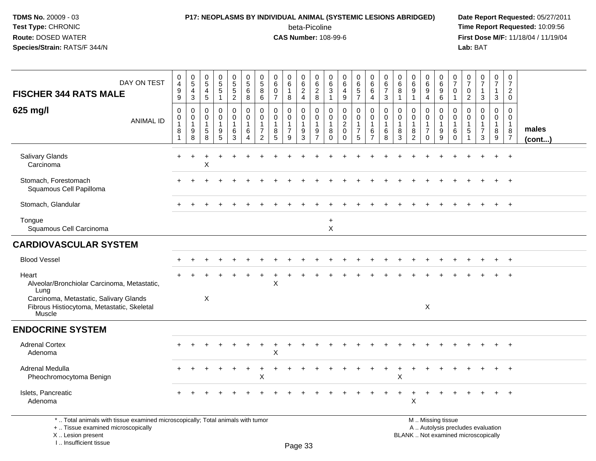### **P17: NEOPLASMS BY INDIVIDUAL ANIMAL (SYSTEMIC LESIONS ABRIDGED) Date Report Requested:** 05/27/2011

beta-Picoline<br>CAS Number: 108-99-6

| DAY ON TEST<br><b>FISCHER 344 RATS MALE</b>                                                                                                                         | $\pmb{0}$<br>$\overline{4}$<br>$9\,$<br>9          | $\pmb{0}$<br>$\overline{5}$<br>$\overline{4}$<br>$\mathbf{3}$ | $\mathbf 0$<br>$\sqrt{5}$<br>4<br>5     | 0<br>$\overline{5}$<br>1        | $\pmb{0}$<br>$\overline{5}$<br>$\overline{2}$              | $\pmb{0}$<br>$\overline{5}$<br>6<br>8     | $\pmb{0}$<br>$\overline{5}$<br>$\bf 8$<br>6                                    | 0<br>$\,6\,$<br>$\mathbf 0$<br>$\overline{7}$           | 0<br>$\,6\,$<br>$\mathbf{1}$<br>8                       | $\pmb{0}$<br>$\,6\,$<br>$\overline{c}$<br>$\overline{4}$ | 0<br>6<br>$\overline{2}$<br>8                           | 0<br>6<br>3<br>-1                              | $\pmb{0}$<br>$6\phantom{a}$<br>4<br>9                               | $\pmb{0}$<br>$6\phantom{a}$<br>$\sqrt{5}$<br>$\overline{7}$ | $\mathbf 0$<br>$\,6\,$<br>6<br>$\overline{4}$                           | $\mathbf 0$<br>$\,6\,$<br>$\overline{7}$<br>$\mathbf{3}$ | 0<br>6<br>8<br>1                          | $\pmb{0}$<br>$6\phantom{a}$<br>$\boldsymbol{9}$<br>1                    | $\pmb{0}$<br>$6\overline{6}$<br>9<br>4                             | $\mathbf 0$<br>$\,6\,$<br>$9\,$<br>6                 | $\mathbf 0$<br>$\overline{7}$<br>$\Omega$<br>-1 | 0<br>$\overline{7}$<br>$\mathbf 0$<br>$\overline{c}$ | 0<br>$\overline{7}$<br>$\mathbf 1$<br>3                | 0<br>$\overline{7}$<br>$\mathbf{1}$<br>$\mathbf{3}$ | 0<br>$\overline{7}$<br>$\overline{2}$<br>$\mathbf 0$              |                 |
|---------------------------------------------------------------------------------------------------------------------------------------------------------------------|----------------------------------------------------|---------------------------------------------------------------|-----------------------------------------|---------------------------------|------------------------------------------------------------|-------------------------------------------|--------------------------------------------------------------------------------|---------------------------------------------------------|---------------------------------------------------------|----------------------------------------------------------|---------------------------------------------------------|------------------------------------------------|---------------------------------------------------------------------|-------------------------------------------------------------|-------------------------------------------------------------------------|----------------------------------------------------------|-------------------------------------------|-------------------------------------------------------------------------|--------------------------------------------------------------------|------------------------------------------------------|-------------------------------------------------|------------------------------------------------------|--------------------------------------------------------|-----------------------------------------------------|-------------------------------------------------------------------|-----------------|
| 625 mg/l<br><b>ANIMAL ID</b>                                                                                                                                        | $\mathbf 0$<br>$\pmb{0}$<br>$\mathbf{1}$<br>8<br>1 | 0<br>$\mathbf 0$<br>$\mathbf{1}$<br>9<br>8                    | 0<br>$\Omega$<br>$\mathbf{1}$<br>5<br>8 | 0<br>$\mathbf 0$<br>1<br>9<br>5 | $\mathsf 0$<br>$\mathbf 0$<br>$\mathbf{1}$<br>$\,6\,$<br>3 | $\mathbf 0$<br>$\mathbf 0$<br>1<br>6<br>4 | $\mathbf 0$<br>$\mathbf 0$<br>$\mathbf{1}$<br>$\overline{7}$<br>$\overline{2}$ | $\mathbf 0$<br>0<br>$\mathbf{1}$<br>8<br>$\overline{5}$ | 0<br>$\mathbf 0$<br>$\mathbf{1}$<br>$\overline{7}$<br>9 | 0<br>0<br>$\mathbf{1}$<br>$\boldsymbol{9}$<br>3          | 0<br>$\mathbf 0$<br>$\mathbf{1}$<br>9<br>$\overline{7}$ | 0<br>$\Omega$<br>$\mathbf{1}$<br>8<br>$\Omega$ | $\mathbf 0$<br>$\mathbf 0$<br>$\sqrt{2}$<br>$\mathsf 0$<br>$\Omega$ | 0<br>$\mathbf 0$<br>$\mathbf{1}$<br>$\overline{7}$<br>5     | $\mathbf 0$<br>$\mathbf 0$<br>$\mathbf{1}$<br>$\,6\,$<br>$\overline{7}$ | 0<br>0<br>1<br>6<br>8                                    | 0<br>$\Omega$<br>$\overline{1}$<br>8<br>3 | $\mathbf 0$<br>$\mathbf 0$<br>$\mathbf{1}$<br>$\,8\,$<br>$\overline{2}$ | 0<br>$\mathbf 0$<br>$\mathbf{1}$<br>$\overline{7}$<br>$\mathbf{0}$ | $\mathbf 0$<br>$\mathbf 0$<br>$\mathbf{1}$<br>9<br>9 | 0<br>$\Omega$<br>$\mathbf{1}$<br>6<br>$\Omega$  | 0<br>$\Omega$<br>$\mathbf 1$<br>5                    | 0<br>$\mathbf 0$<br>$\mathbf 1$<br>$\overline{7}$<br>3 | 0<br>$\mathbf{0}$<br>$\mathbf{1}$<br>8<br>9         | $\mathbf 0$<br>$\mathbf 0$<br>$\mathbf{1}$<br>8<br>$\overline{7}$ | males<br>(cont) |
| <b>Salivary Glands</b><br>Carcinoma                                                                                                                                 | $\ddot{}$                                          | $\ddot{}$                                                     | X                                       |                                 |                                                            |                                           |                                                                                |                                                         |                                                         |                                                          |                                                         |                                                |                                                                     |                                                             |                                                                         |                                                          |                                           |                                                                         |                                                                    |                                                      |                                                 |                                                      |                                                        |                                                     | $+$                                                               |                 |
| Stomach, Forestomach<br>Squamous Cell Papilloma                                                                                                                     |                                                    |                                                               |                                         |                                 |                                                            |                                           |                                                                                |                                                         |                                                         |                                                          |                                                         |                                                |                                                                     |                                                             |                                                                         |                                                          |                                           |                                                                         |                                                                    |                                                      |                                                 |                                                      |                                                        |                                                     |                                                                   |                 |
| Stomach, Glandular                                                                                                                                                  |                                                    |                                                               |                                         |                                 |                                                            |                                           |                                                                                |                                                         |                                                         |                                                          |                                                         |                                                |                                                                     |                                                             |                                                                         |                                                          |                                           |                                                                         |                                                                    |                                                      |                                                 |                                                      |                                                        |                                                     | $+$                                                               |                 |
| Tongue<br>Squamous Cell Carcinoma                                                                                                                                   |                                                    |                                                               |                                         |                                 |                                                            |                                           |                                                                                |                                                         |                                                         |                                                          |                                                         | $\ddot{}$<br>X                                 |                                                                     |                                                             |                                                                         |                                                          |                                           |                                                                         |                                                                    |                                                      |                                                 |                                                      |                                                        |                                                     |                                                                   |                 |
| <b>CARDIOVASCULAR SYSTEM</b>                                                                                                                                        |                                                    |                                                               |                                         |                                 |                                                            |                                           |                                                                                |                                                         |                                                         |                                                          |                                                         |                                                |                                                                     |                                                             |                                                                         |                                                          |                                           |                                                                         |                                                                    |                                                      |                                                 |                                                      |                                                        |                                                     |                                                                   |                 |
| <b>Blood Vessel</b>                                                                                                                                                 |                                                    |                                                               |                                         |                                 |                                                            |                                           |                                                                                |                                                         |                                                         |                                                          |                                                         |                                                |                                                                     |                                                             |                                                                         |                                                          |                                           |                                                                         |                                                                    |                                                      |                                                 |                                                      |                                                        |                                                     | $\ddot{}$                                                         |                 |
| Heart<br>Alveolar/Bronchiolar Carcinoma, Metastatic,<br>Lung                                                                                                        |                                                    |                                                               |                                         |                                 |                                                            |                                           |                                                                                | X                                                       |                                                         |                                                          |                                                         |                                                |                                                                     |                                                             |                                                                         |                                                          |                                           |                                                                         |                                                                    |                                                      |                                                 |                                                      |                                                        |                                                     |                                                                   |                 |
| Carcinoma, Metastatic, Salivary Glands<br>Fibrous Histiocytoma, Metastatic, Skeletal<br>Muscle                                                                      |                                                    |                                                               | X                                       |                                 |                                                            |                                           |                                                                                |                                                         |                                                         |                                                          |                                                         |                                                |                                                                     |                                                             |                                                                         |                                                          |                                           |                                                                         | X                                                                  |                                                      |                                                 |                                                      |                                                        |                                                     |                                                                   |                 |
| <b>ENDOCRINE SYSTEM</b>                                                                                                                                             |                                                    |                                                               |                                         |                                 |                                                            |                                           |                                                                                |                                                         |                                                         |                                                          |                                                         |                                                |                                                                     |                                                             |                                                                         |                                                          |                                           |                                                                         |                                                                    |                                                      |                                                 |                                                      |                                                        |                                                     |                                                                   |                 |
| <b>Adrenal Cortex</b><br>Adenoma                                                                                                                                    |                                                    |                                                               |                                         |                                 |                                                            |                                           |                                                                                | X                                                       |                                                         |                                                          |                                                         |                                                |                                                                     |                                                             |                                                                         |                                                          |                                           |                                                                         |                                                                    |                                                      |                                                 |                                                      |                                                        | $\ddot{}$                                           | $+$                                                               |                 |
| Adrenal Medulla<br>Pheochromocytoma Benign                                                                                                                          |                                                    |                                                               |                                         |                                 |                                                            |                                           | х                                                                              |                                                         |                                                         |                                                          |                                                         |                                                |                                                                     |                                                             |                                                                         |                                                          | Χ                                         |                                                                         |                                                                    |                                                      |                                                 |                                                      |                                                        |                                                     | $\overline{+}$                                                    |                 |
| Islets, Pancreatic<br>Adenoma                                                                                                                                       |                                                    |                                                               |                                         |                                 |                                                            |                                           |                                                                                |                                                         |                                                         |                                                          |                                                         |                                                |                                                                     |                                                             |                                                                         |                                                          |                                           | $\sf X$                                                                 |                                                                    |                                                      |                                                 |                                                      |                                                        |                                                     |                                                                   |                 |
| *  Total animals with tissue examined microscopically; Total animals with tumor<br>+  Tissue examined microscopically<br>X  Lesion present<br>I Insufficient tissue |                                                    |                                                               |                                         |                                 |                                                            |                                           |                                                                                |                                                         | D <sub>22</sub> 22                                      |                                                          |                                                         |                                                |                                                                     |                                                             |                                                                         |                                                          |                                           | M  Missing tissue<br>BLANK  Not examined microscopically                |                                                                    | A  Autolysis precludes evaluation                    |                                                 |                                                      |                                                        |                                                     |                                                                   |                 |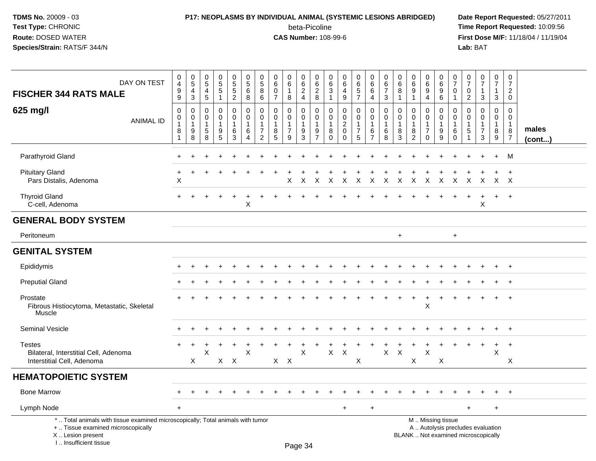I .. Insufficient tissue

# **P17: NEOPLASMS BY INDIVIDUAL ANIMAL (SYSTEMIC LESIONS ABRIDGED) Date Report Requested:** 05/27/2011

beta-Picoline<br>CAS Number: 108-99-6

| DAY ON TEST<br><b>FISCHER 344 RATS MALE</b>                                                                                                | $\,0\,$<br>$\overline{\mathbf{4}}$<br>$\boldsymbol{9}$<br>9 | $\pmb{0}$<br>$5\,$<br>4<br>3     | 0<br>$\overline{5}$<br>4<br>$\sqrt{5}$ | $\begin{array}{c} 0 \\ 5 \\ 5 \end{array}$<br>$\mathbf{1}$ | $\begin{array}{c} 0 \\ 5 \\ 5 \end{array}$<br>$\overline{2}$          | $\begin{array}{c} 0 \\ 5 \end{array}$<br>6<br>8                                   | $\mathbf 0$<br>$\sqrt{5}$<br>8<br>6                                  | $\mathbf 0$<br>$\,6$<br>$\Omega$<br>$\overline{7}$ | 0<br>6<br>$\mathbf{1}$<br>8                  | $\begin{array}{c} 0 \\ 6 \end{array}$<br>$\overline{2}$<br>$\overline{4}$ | $\pmb{0}$<br>$\,6\,$<br>$\overline{2}$<br>$\,8\,$           | $\boldsymbol{0}$<br>$\,6\,$<br>$\mathbf{3}$<br>$\overline{1}$ | $\pmb{0}$<br>$\,6\,$<br>4<br>9                            | 0<br>$\frac{6}{5}$<br>$\overline{7}$                              | $\pmb{0}$<br>6<br>6<br>4                                          | $\pmb{0}$<br>$\,6\,$<br>$\overline{7}$<br>$\mathbf{3}$ | $\pmb{0}$<br>$\,6$<br>8<br>$\mathbf{1}$ | $\begin{array}{c} 0 \\ 6 \end{array}$<br>$9\,$<br>1    | $\begin{array}{c} 0 \\ 6 \end{array}$<br>$9\,$<br>$\overline{4}$  | $\,0\,$<br>$6\phantom{1}6$<br>$\boldsymbol{9}$<br>$6\phantom{1}6$   | 0<br>$\overline{7}$<br>$\mathbf 0$<br>$\mathbf{1}$ | $\frac{0}{7}$<br>$\mathbf 0$<br>$\overline{c}$                    | $\frac{0}{7}$<br>1<br>$\mathbf{3}$                                            | $\frac{0}{7}$<br>1<br>$\mathbf{3}$                      | $\mathbf 0$<br>$\overline{7}$<br>$\overline{c}$<br>$\mathbf 0$ |                       |
|--------------------------------------------------------------------------------------------------------------------------------------------|-------------------------------------------------------------|----------------------------------|----------------------------------------|------------------------------------------------------------|-----------------------------------------------------------------------|-----------------------------------------------------------------------------------|----------------------------------------------------------------------|----------------------------------------------------|----------------------------------------------|---------------------------------------------------------------------------|-------------------------------------------------------------|---------------------------------------------------------------|-----------------------------------------------------------|-------------------------------------------------------------------|-------------------------------------------------------------------|--------------------------------------------------------|-----------------------------------------|--------------------------------------------------------|-------------------------------------------------------------------|---------------------------------------------------------------------|----------------------------------------------------|-------------------------------------------------------------------|-------------------------------------------------------------------------------|---------------------------------------------------------|----------------------------------------------------------------|-----------------------|
| 625 mg/l<br><b>ANIMAL ID</b>                                                                                                               | $\mathbf 0$<br>0<br>$\mathbf{1}$<br>8<br>$\mathbf{1}$       | 0<br>0<br>$\mathbf{1}$<br>9<br>8 | 0<br>0<br>$\overline{1}$<br>5<br>8     | $\mathbf 0$<br>$\mathsf 0$<br>$\mathbf{1}$<br>9<br>5       | $\mathbf 0$<br>$\mathbf 0$<br>$\mathbf{1}$<br>$\,6\,$<br>$\mathbf{3}$ | $\mathbf 0$<br>$\mathbf 0$<br>$\overline{1}$<br>$6\phantom{1}6$<br>$\overline{4}$ | $\mathbf 0$<br>0<br>$\mathbf{1}$<br>$\overline{7}$<br>$\overline{2}$ | $\mathbf 0$<br>0<br>$\mathbf{1}$<br>8<br>5         | 0<br>0<br>$\mathbf 1$<br>$\overline{7}$<br>9 | $\mathbf 0$<br>$\mathbf 0$<br>$\mathbf{1}$<br>9<br>3                      | $\mathbf 0$<br>$\mathsf 0$<br>$\mathbf{1}$<br>$\frac{9}{7}$ | 0<br>0<br>$\overline{1}$<br>8<br>$\Omega$                     | $\mathbf 0$<br>0<br>$\sqrt{2}$<br>$\mathbf 0$<br>$\Omega$ | $\mathbf 0$<br>$\mathbf 0$<br>$\mathbf{1}$<br>$\overline{7}$<br>5 | $\mathbf 0$<br>$\mathbf 0$<br>$\mathbf{1}$<br>6<br>$\overline{7}$ | 0<br>0<br>$\mathbf{1}$<br>6<br>8                       | 0<br>0<br>$\overline{1}$<br>8<br>3      | $\mathbf 0$<br>$\mathbf 0$<br>$\overline{1}$<br>8<br>2 | 0<br>0<br>$\overline{1}$<br>$\overline{7}$<br>$\mathsf{O}\xspace$ | $\mathbf 0$<br>$\mathbf 0$<br>$\mathbf{1}$<br>$\boldsymbol{9}$<br>9 | 0<br>$\mathbf 0$<br>$\mathbf{1}$<br>6<br>$\Omega$  | 0<br>$\mathbf 0$<br>$\mathbf{1}$<br>$\,$ 5 $\,$<br>$\overline{1}$ | $\mathbf 0$<br>$\mathsf{O}$<br>$\mathbf{1}$<br>$\overline{7}$<br>$\mathbf{3}$ | $\mathbf 0$<br>$\overline{0}$<br>$\mathbf{1}$<br>8<br>9 | $\mathbf 0$<br>0<br>$\mathbf 1$<br>8<br>$\overline{7}$         | males<br>$($ cont $)$ |
| Parathyroid Gland                                                                                                                          |                                                             |                                  |                                        |                                                            |                                                                       |                                                                                   |                                                                      |                                                    |                                              |                                                                           |                                                             |                                                               |                                                           |                                                                   |                                                                   |                                                        |                                         |                                                        |                                                                   |                                                                     |                                                    |                                                                   |                                                                               |                                                         | M                                                              |                       |
| <b>Pituitary Gland</b><br>Pars Distalis, Adenoma                                                                                           | X                                                           |                                  |                                        |                                                            |                                                                       |                                                                                   |                                                                      |                                                    | X                                            | $\times$                                                                  | $\mathsf{X}$                                                | $\sf X$                                                       | $\mathsf{X}$                                              | $\mathsf{X}$                                                      | $\mathsf{X}$                                                      |                                                        | X X X                                   |                                                        | $\mathsf{X}$                                                      | $\mathsf{X}$                                                        | $\mathsf{X}$                                       | $\mathsf{X}$                                                      | X X X                                                                         |                                                         | $\overline{+}$                                                 |                       |
| <b>Thyroid Gland</b><br>C-cell, Adenoma                                                                                                    | $+$                                                         |                                  |                                        |                                                            | $\ddot{}$                                                             | X                                                                                 |                                                                      |                                                    |                                              |                                                                           |                                                             |                                                               |                                                           |                                                                   |                                                                   |                                                        |                                         |                                                        |                                                                   |                                                                     |                                                    | $\ddot{}$                                                         | $\overline{+}$<br>X                                                           | $+$                                                     | $+$                                                            |                       |
| <b>GENERAL BODY SYSTEM</b>                                                                                                                 |                                                             |                                  |                                        |                                                            |                                                                       |                                                                                   |                                                                      |                                                    |                                              |                                                                           |                                                             |                                                               |                                                           |                                                                   |                                                                   |                                                        |                                         |                                                        |                                                                   |                                                                     |                                                    |                                                                   |                                                                               |                                                         |                                                                |                       |
| Peritoneum                                                                                                                                 |                                                             |                                  |                                        |                                                            |                                                                       |                                                                                   |                                                                      |                                                    |                                              |                                                                           |                                                             |                                                               |                                                           |                                                                   |                                                                   |                                                        | $+$                                     |                                                        |                                                                   |                                                                     | $\ddot{}$                                          |                                                                   |                                                                               |                                                         |                                                                |                       |
| <b>GENITAL SYSTEM</b>                                                                                                                      |                                                             |                                  |                                        |                                                            |                                                                       |                                                                                   |                                                                      |                                                    |                                              |                                                                           |                                                             |                                                               |                                                           |                                                                   |                                                                   |                                                        |                                         |                                                        |                                                                   |                                                                     |                                                    |                                                                   |                                                                               |                                                         |                                                                |                       |
| Epididymis                                                                                                                                 |                                                             |                                  |                                        |                                                            |                                                                       |                                                                                   |                                                                      |                                                    |                                              |                                                                           |                                                             |                                                               |                                                           |                                                                   |                                                                   |                                                        |                                         |                                                        |                                                                   |                                                                     |                                                    |                                                                   |                                                                               |                                                         |                                                                |                       |
| <b>Preputial Gland</b>                                                                                                                     |                                                             |                                  |                                        |                                                            |                                                                       |                                                                                   |                                                                      |                                                    |                                              |                                                                           |                                                             |                                                               |                                                           |                                                                   |                                                                   |                                                        |                                         |                                                        |                                                                   |                                                                     |                                                    |                                                                   |                                                                               |                                                         |                                                                |                       |
| Prostate<br>Fibrous Histiocytoma, Metastatic, Skeletal<br>Muscle                                                                           |                                                             |                                  |                                        |                                                            |                                                                       |                                                                                   |                                                                      |                                                    |                                              |                                                                           |                                                             |                                                               |                                                           |                                                                   |                                                                   |                                                        |                                         |                                                        | $\boldsymbol{\mathsf{X}}$                                         |                                                                     |                                                    |                                                                   |                                                                               | $\ddot{}$                                               | $\overline{+}$                                                 |                       |
| Seminal Vesicle                                                                                                                            |                                                             |                                  |                                        |                                                            |                                                                       |                                                                                   |                                                                      |                                                    |                                              |                                                                           |                                                             |                                                               |                                                           |                                                                   |                                                                   |                                                        |                                         |                                                        |                                                                   |                                                                     |                                                    |                                                                   |                                                                               | $\ddot{}$                                               | $+$                                                            |                       |
| <b>Testes</b><br>Bilateral, Interstitial Cell, Adenoma<br>Interstitial Cell, Adenoma                                                       |                                                             | X                                | X                                      |                                                            | $X$ $X$                                                               | $\times$                                                                          |                                                                      | $X$ $X$                                            |                                              | $\pmb{\times}$                                                            |                                                             | $\mathsf{X}$                                                  | $\times$                                                  | X                                                                 |                                                                   | $\mathsf X$                                            | X                                       | X                                                      | $\boldsymbol{\mathsf{X}}$                                         | X                                                                   |                                                    |                                                                   | $\ddot{}$                                                                     | $\ddot{}$<br>$\pmb{\times}$                             | $+$<br>X                                                       |                       |
| <b>HEMATOPOIETIC SYSTEM</b>                                                                                                                |                                                             |                                  |                                        |                                                            |                                                                       |                                                                                   |                                                                      |                                                    |                                              |                                                                           |                                                             |                                                               |                                                           |                                                                   |                                                                   |                                                        |                                         |                                                        |                                                                   |                                                                     |                                                    |                                                                   |                                                                               |                                                         |                                                                |                       |
| <b>Bone Marrow</b>                                                                                                                         |                                                             |                                  |                                        |                                                            |                                                                       |                                                                                   |                                                                      |                                                    |                                              |                                                                           |                                                             |                                                               |                                                           |                                                                   |                                                                   |                                                        |                                         |                                                        |                                                                   |                                                                     |                                                    |                                                                   |                                                                               |                                                         | $\overline{+}$                                                 |                       |
| Lymph Node                                                                                                                                 | $+$                                                         |                                  |                                        |                                                            |                                                                       |                                                                                   |                                                                      |                                                    |                                              |                                                                           |                                                             |                                                               | $\ddot{}$                                                 |                                                                   | $\ddot{}$                                                         |                                                        |                                         |                                                        |                                                                   |                                                                     |                                                    | $+$                                                               |                                                                               | $\ddot{}$                                               |                                                                |                       |
| *  Total animals with tissue examined microscopically; Total animals with tumor<br>+  Tissue examined microscopically<br>X  Lesion present |                                                             |                                  |                                        |                                                            |                                                                       |                                                                                   |                                                                      |                                                    |                                              |                                                                           |                                                             |                                                               |                                                           |                                                                   |                                                                   |                                                        |                                         |                                                        |                                                                   | M  Missing tissue                                                   |                                                    |                                                                   | A  Autolysis precludes evaluation<br>BLANK  Not examined microscopically      |                                                         |                                                                |                       |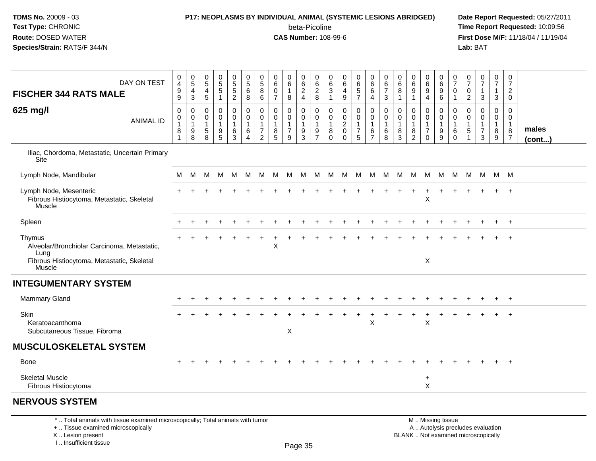## **P17: NEOPLASMS BY INDIVIDUAL ANIMAL (SYSTEMIC LESIONS ABRIDGED) Date Report Requested:** 05/27/2011

beta-Picoline<br>CAS Number: 108-99-6

 **Time Report Requested:** 10:09:56 **First Dose M/F:** 11/18/04 / 11/19/04<br>Lab: BAT **Lab:** BAT

| DAY ON TEST<br><b>FISCHER 344 RATS MALE</b>                                                                           | $\pmb{0}$<br>$\overline{4}$<br>$\boldsymbol{9}$<br>$9\,$ | $\pmb{0}$<br>$\overline{5}$<br>4<br>$\ensuremath{\mathsf{3}}$ | $\mathbf 0$<br>$\overline{5}$<br>4<br>5 | $\begin{array}{c} 0 \\ 5 \end{array}$<br>$\overline{5}$<br>$\mathbf{1}$ | $\begin{array}{c} 0 \\ 5 \\ 5 \end{array}$<br>$\overline{2}$ | $\begin{array}{c} 0 \\ 5 \end{array}$<br>$\,6$<br>8 | $\mathbf 0$<br>$\overline{5}$<br>$\overline{8}$<br>$\,6\,$ | 0<br>$\,6\,$<br>0<br>$\overline{7}$ | 0<br>$\,6\,$<br>$\mathbf{1}$<br>8             | $\pmb{0}$<br>$6\overline{6}$<br>$\frac{2}{4}$                        | 0<br>6<br>$\frac{2}{8}$                       | 0<br>6<br>$\ensuremath{\mathsf{3}}$<br>$\mathbf{1}$ | $\pmb{0}$<br>$\overline{6}$<br>4<br>$\boldsymbol{9}$               | $\pmb{0}$<br>6<br>$\frac{5}{7}$                        | $\mathbf 0$<br>6<br>6<br>$\overline{a}$                     | 0<br>6<br>$\overline{7}$<br>3    | 0<br>$\,6\,$<br>8<br>$\overline{1}$ | 0<br>$6\phantom{a}$<br>$\overline{9}$<br>$\mathbf 1$ | 0<br>6<br>$\boldsymbol{9}$<br>$\overline{4}$                      | $\mathbf 0$<br>6<br>$\boldsymbol{9}$<br>6        | 0<br>$\overline{7}$<br>0<br>$\mathbf{1}$                 | 0<br>$\overline{7}$<br>0<br>$\overline{c}$   | $\frac{0}{7}$<br>1<br>$\mathbf{3}$ | $\begin{smallmatrix}0\\7\end{smallmatrix}$<br>$\mathbf{1}$<br>$\mathbf{3}$ | $\pmb{0}$<br>$\overline{7}$<br>$\overline{2}$<br>$\mathbf 0$ |                       |
|-----------------------------------------------------------------------------------------------------------------------|----------------------------------------------------------|---------------------------------------------------------------|-----------------------------------------|-------------------------------------------------------------------------|--------------------------------------------------------------|-----------------------------------------------------|------------------------------------------------------------|-------------------------------------|-----------------------------------------------|----------------------------------------------------------------------|-----------------------------------------------|-----------------------------------------------------|--------------------------------------------------------------------|--------------------------------------------------------|-------------------------------------------------------------|----------------------------------|-------------------------------------|------------------------------------------------------|-------------------------------------------------------------------|--------------------------------------------------|----------------------------------------------------------|----------------------------------------------|------------------------------------|----------------------------------------------------------------------------|--------------------------------------------------------------|-----------------------|
| 625 mg/l<br><b>ANIMAL ID</b>                                                                                          | $\pmb{0}$<br>0<br>$\overline{1}$<br>8<br>1               | 0<br>0<br>$\mathbf{1}$<br>9<br>8                              | 0<br>0<br>1<br>$\sqrt{5}$<br>8          | 0<br>0<br>1<br>9<br>5                                                   | 0<br>0<br>$\mathbf{1}$<br>$\,6\,$<br>$\mathbf{3}$            | 0<br>$\mathbf 0$<br>1<br>$\,6\,$<br>$\overline{4}$  | 0<br>0<br>$\mathbf{1}$<br>$\overline{7}$<br>$\overline{2}$ | 0<br>0<br>$\mathbf{1}$<br>8<br>5    | 0<br>0<br>$\mathbf{1}$<br>$\overline{7}$<br>9 | 0<br>$\mathbf 0$<br>$\mathbf{1}$<br>$\boldsymbol{9}$<br>$\mathbf{3}$ | 0<br>0<br>$\mathbf{1}$<br>9<br>$\overline{7}$ | 0<br>0<br>$\mathbf 1$<br>8<br>$\mathbf 0$           | 0<br>$\mathsf{O}\xspace$<br>$\sqrt{2}$<br>$\pmb{0}$<br>$\mathbf 0$ | 0<br>0<br>$\mathbf{1}$<br>$\overline{7}$<br>$\sqrt{5}$ | 0<br>$\mathbf 0$<br>$\mathbf{1}$<br>$\,6$<br>$\overline{7}$ | 0<br>0<br>$\mathbf{1}$<br>6<br>8 | 0<br>0<br>$\mathbf{1}$<br>8<br>3    | 0<br>0<br>$\mathbf{1}$<br>8<br>$\overline{c}$        | 0<br>$\mathbf 0$<br>$\mathbf{1}$<br>$\overline{7}$<br>$\mathbf 0$ | 0<br>$\mathbf 0$<br>$\overline{1}$<br>$9\,$<br>9 | 0<br>$\mathbf 0$<br>$\mathbf{1}$<br>$\,6$<br>$\mathbf 0$ | 0<br>$\mathbf 0$<br>1<br>5<br>$\overline{1}$ | 0<br>0<br>1<br>$\overline{7}$<br>3 | 0<br>$\mathbf 0$<br>$\mathbf{1}$<br>8<br>9                                 | 0<br>0<br>$\mathbf{1}$<br>8<br>$\overline{7}$                | males<br>$($ cont $)$ |
| Iliac, Chordoma, Metastatic, Uncertain Primary<br>Site                                                                |                                                          |                                                               |                                         |                                                                         |                                                              |                                                     |                                                            |                                     |                                               |                                                                      |                                               |                                                     |                                                                    |                                                        |                                                             |                                  |                                     |                                                      |                                                                   |                                                  |                                                          |                                              |                                    |                                                                            |                                                              |                       |
| Lymph Node, Mandibular                                                                                                | M                                                        | M                                                             | M                                       | - M                                                                     | M                                                            | M                                                   | M                                                          | M                                   | - M                                           | - M                                                                  | M                                             |                                                     | M M M                                                              |                                                        | M M                                                         |                                  |                                     | M M M                                                |                                                                   | M N                                              | M                                                        |                                              | M M                                | M M                                                                        |                                                              |                       |
| Lymph Node, Mesenteric<br>Fibrous Histiocytoma, Metastatic, Skeletal<br>Muscle                                        |                                                          |                                                               |                                         |                                                                         |                                                              |                                                     |                                                            |                                     |                                               |                                                                      |                                               |                                                     |                                                                    |                                                        |                                                             |                                  |                                     |                                                      | ÷<br>$\mathsf X$                                                  |                                                  |                                                          |                                              |                                    | $+$                                                                        | $^{+}$                                                       |                       |
| Spleen                                                                                                                |                                                          |                                                               |                                         |                                                                         |                                                              |                                                     |                                                            |                                     |                                               |                                                                      |                                               |                                                     |                                                                    |                                                        |                                                             |                                  |                                     |                                                      |                                                                   |                                                  |                                                          |                                              |                                    |                                                                            | $^{+}$                                                       |                       |
| Thymus<br>Alveolar/Bronchiolar Carcinoma, Metastatic,<br>Lung<br>Fibrous Histiocytoma, Metastatic, Skeletal<br>Muscle |                                                          |                                                               |                                         |                                                                         |                                                              |                                                     |                                                            | X                                   |                                               |                                                                      |                                               |                                                     |                                                                    |                                                        |                                                             |                                  |                                     |                                                      | X                                                                 |                                                  |                                                          |                                              |                                    |                                                                            | $\overline{1}$                                               |                       |
| <b>INTEGUMENTARY SYSTEM</b>                                                                                           |                                                          |                                                               |                                         |                                                                         |                                                              |                                                     |                                                            |                                     |                                               |                                                                      |                                               |                                                     |                                                                    |                                                        |                                                             |                                  |                                     |                                                      |                                                                   |                                                  |                                                          |                                              |                                    |                                                                            |                                                              |                       |
| <b>Mammary Gland</b>                                                                                                  |                                                          |                                                               |                                         |                                                                         |                                                              |                                                     |                                                            |                                     |                                               |                                                                      |                                               |                                                     |                                                                    |                                                        |                                                             |                                  |                                     |                                                      |                                                                   |                                                  |                                                          |                                              |                                    |                                                                            | $\ddot{}$                                                    |                       |
| Skin<br>Keratoacanthoma<br>Subcutaneous Tissue, Fibroma                                                               |                                                          |                                                               |                                         |                                                                         |                                                              |                                                     |                                                            |                                     | X                                             |                                                                      |                                               |                                                     |                                                                    |                                                        | X                                                           |                                  |                                     |                                                      | X                                                                 |                                                  |                                                          |                                              |                                    |                                                                            | $\overline{1}$                                               |                       |
| <b>MUSCULOSKELETAL SYSTEM</b>                                                                                         |                                                          |                                                               |                                         |                                                                         |                                                              |                                                     |                                                            |                                     |                                               |                                                                      |                                               |                                                     |                                                                    |                                                        |                                                             |                                  |                                     |                                                      |                                                                   |                                                  |                                                          |                                              |                                    |                                                                            |                                                              |                       |
| <b>Bone</b>                                                                                                           |                                                          |                                                               |                                         |                                                                         |                                                              |                                                     |                                                            |                                     |                                               |                                                                      |                                               |                                                     |                                                                    |                                                        |                                                             |                                  |                                     |                                                      |                                                                   |                                                  |                                                          |                                              |                                    | $\pm$                                                                      | $^{+}$                                                       |                       |
| <b>Skeletal Muscle</b><br>Fibrous Histiocytoma                                                                        |                                                          |                                                               |                                         |                                                                         |                                                              |                                                     |                                                            |                                     |                                               |                                                                      |                                               |                                                     |                                                                    |                                                        |                                                             |                                  |                                     |                                                      | $\ddot{}$<br>X                                                    |                                                  |                                                          |                                              |                                    |                                                                            |                                                              |                       |
| <b>NERVOUS SYSTEM</b>                                                                                                 |                                                          |                                                               |                                         |                                                                         |                                                              |                                                     |                                                            |                                     |                                               |                                                                      |                                               |                                                     |                                                                    |                                                        |                                                             |                                  |                                     |                                                      |                                                                   |                                                  |                                                          |                                              |                                    |                                                                            |                                                              |                       |
| *  Total animals with tissue examined microscopically; Total animals with tumor                                       |                                                          |                                                               |                                         |                                                                         |                                                              |                                                     |                                                            |                                     |                                               |                                                                      |                                               |                                                     |                                                                    |                                                        |                                                             |                                  |                                     |                                                      |                                                                   | M  Missing tissue                                |                                                          |                                              |                                    |                                                                            |                                                              |                       |

+ .. Tissue examined microscopically

X .. Lesion present

I .. Insufficient tissue

M .. Missing tissue

y the contract of the contract of the contract of the contract of the contract of  $\mathsf A$  . Autolysis precludes evaluation Lesion present BLANK .. Not examined microscopically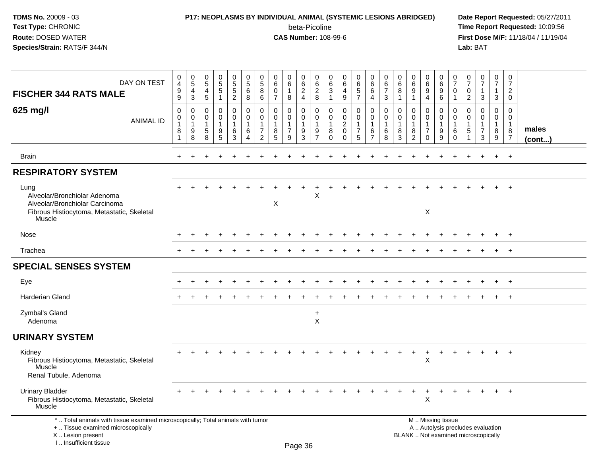# **P17: NEOPLASMS BY INDIVIDUAL ANIMAL (SYSTEMIC LESIONS ABRIDGED) Date Report Requested:** 05/27/2011

beta-Picoline<br>CAS Number: 108-99-6

| DAY ON TEST<br><b>FISCHER 344 RATS MALE</b>                                                                                                                         | $\mathbf 0$<br>$\overline{4}$<br>$9\,$<br>9  | 0<br>$\overline{5}$<br>$\overline{4}$<br>$\sqrt{3}$ | 0<br>$\overline{5}$<br>$\overline{4}$<br>5 | $\begin{array}{c} 0 \\ 5 \end{array}$<br>5<br>$\mathbf{1}$ | $\pmb{0}$<br>$\overline{5}$<br>$\sqrt{5}$<br>$\overline{2}$                   | $\mathbf 0$<br>$\overline{5}$<br>$\,6\,$<br>8 | $\mathbf 0$<br>$\,$ 5 $\,$<br>8<br>6                      | $\mathbf 0$<br>6<br>$\mathbf 0$<br>$\overline{7}$ | 0<br>6<br>1<br>8                                         | $\mathbf 0$<br>$\overline{6}$<br>$\overline{c}$<br>$\overline{4}$    | 0<br>$6\phantom{a}$<br>$\overline{c}$<br>8              | 0<br>6<br>3<br>1                                             | $\mathbf 0$<br>$\,6$<br>$\overline{4}$<br>$\boldsymbol{9}$              | 0<br>$6\phantom{1}$<br>$\sqrt{5}$<br>$\overline{7}$ | $\mathbf 0$<br>6<br>6<br>4                              | 0<br>$\overline{6}$<br>$\overline{7}$<br>3 | 0<br>$\,6$<br>$\bf8$<br>$\mathbf{1}$    | $\pmb{0}$<br>$6\phantom{a}$<br>9<br>1                   | 0<br>$6\phantom{a}$<br>9<br>$\overline{4}$                          | $\mathbf 0$<br>$\,6$<br>$\boldsymbol{9}$<br>$\,6\,$ | 0<br>$\overline{7}$<br>$\mathbf 0$<br>1   | 0<br>$\overline{7}$<br>$\mathbf 0$<br>$\overline{2}$ | $\frac{0}{7}$<br>$\mathbf{1}$<br>3                                       | $\mathbf 0$<br>$\overline{7}$<br>$\mathbf{1}$<br>3 | $\mathbf 0$<br>$\overline{7}$<br>$\overline{2}$<br>$\Omega$               |                       |
|---------------------------------------------------------------------------------------------------------------------------------------------------------------------|----------------------------------------------|-----------------------------------------------------|--------------------------------------------|------------------------------------------------------------|-------------------------------------------------------------------------------|-----------------------------------------------|-----------------------------------------------------------|---------------------------------------------------|----------------------------------------------------------|----------------------------------------------------------------------|---------------------------------------------------------|--------------------------------------------------------------|-------------------------------------------------------------------------|-----------------------------------------------------|---------------------------------------------------------|--------------------------------------------|-----------------------------------------|---------------------------------------------------------|---------------------------------------------------------------------|-----------------------------------------------------|-------------------------------------------|------------------------------------------------------|--------------------------------------------------------------------------|----------------------------------------------------|---------------------------------------------------------------------------|-----------------------|
| 625 mg/l<br><b>ANIMAL ID</b>                                                                                                                                        | $\mathbf 0$<br>0<br>$\overline{1}$<br>8<br>1 | $\mathbf 0$<br>0<br>$\mathbf{1}$<br>9<br>8          | 0<br>$\Omega$<br>$\mathbf{1}$<br>5<br>8    | 0<br>$\Omega$<br>$\mathbf 1$<br>9<br>5                     | $\mathbf 0$<br>$\mathbf 0$<br>$\mathbf{1}$<br>$6\phantom{1}6$<br>$\mathbf{3}$ | $\mathbf 0$<br>$\pmb{0}$<br>1<br>6<br>4       | $\mathbf 0$<br>0<br>$\overline{1}$<br>$\overline{7}$<br>2 | $\mathbf 0$<br>0<br>$\mathbf{1}$<br>8<br>5        | 0<br>$\mathbf{0}$<br>$\mathbf{1}$<br>$\overline{7}$<br>9 | 0<br>$\mathbf 0$<br>$\mathbf{1}$<br>$\boldsymbol{9}$<br>$\mathbf{3}$ | $\mathbf 0$<br>0<br>$\mathbf{1}$<br>9<br>$\overline{7}$ | $\mathbf 0$<br>$\mathbf{0}$<br>$\mathbf{1}$<br>8<br>$\Omega$ | $\mathbf 0$<br>$\mathbf 0$<br>$\overline{2}$<br>$\mathbf 0$<br>$\Omega$ | 0<br>0<br>$\mathbf{1}$<br>$\overline{7}$<br>5       | $\mathbf 0$<br>0<br>$\mathbf{1}$<br>6<br>$\overline{7}$ | $\mathbf 0$<br>0<br>$\mathbf{1}$<br>6<br>8 | $\Omega$<br>0<br>$\mathbf{1}$<br>8<br>3 | $\mathbf 0$<br>0<br>$\mathbf{1}$<br>8<br>$\overline{2}$ | $\mathbf 0$<br>0<br>$\overline{1}$<br>$\overline{7}$<br>$\mathbf 0$ | $\mathbf 0$<br>0<br>$\overline{1}$<br>9<br>9        | 0<br>0<br>$\mathbf 1$<br>6<br>$\mathbf 0$ | $\Omega$<br>$\Omega$<br>$\mathbf{1}$<br>5            | $\mathbf 0$<br>0<br>$\mathbf{1}$<br>$\overline{7}$<br>3                  | $\mathbf 0$<br>0<br>$\mathbf{1}$<br>8<br>9         | $\mathbf 0$<br>$\mathbf 0$<br>$\overline{1}$<br>$\bf 8$<br>$\overline{7}$ | males<br>$($ cont $)$ |
| <b>Brain</b>                                                                                                                                                        |                                              |                                                     |                                            |                                                            |                                                                               |                                               |                                                           |                                                   |                                                          |                                                                      |                                                         |                                                              |                                                                         |                                                     |                                                         |                                            |                                         |                                                         |                                                                     |                                                     |                                           |                                                      |                                                                          | $\ddot{}$                                          | $+$                                                                       |                       |
| <b>RESPIRATORY SYSTEM</b>                                                                                                                                           |                                              |                                                     |                                            |                                                            |                                                                               |                                               |                                                           |                                                   |                                                          |                                                                      |                                                         |                                                              |                                                                         |                                                     |                                                         |                                            |                                         |                                                         |                                                                     |                                                     |                                           |                                                      |                                                                          |                                                    |                                                                           |                       |
| Lung<br>Alveolar/Bronchiolar Adenoma<br>Alveolar/Bronchiolar Carcinoma<br>Fibrous Histiocytoma, Metastatic, Skeletal<br>Muscle                                      |                                              |                                                     |                                            |                                                            |                                                                               |                                               |                                                           | X                                                 |                                                          |                                                                      | X                                                       |                                                              |                                                                         |                                                     |                                                         |                                            |                                         |                                                         | $\mathsf{X}$                                                        |                                                     |                                           |                                                      |                                                                          |                                                    |                                                                           |                       |
| Nose                                                                                                                                                                |                                              |                                                     |                                            |                                                            |                                                                               |                                               |                                                           |                                                   |                                                          |                                                                      |                                                         |                                                              |                                                                         |                                                     |                                                         |                                            |                                         |                                                         |                                                                     |                                                     |                                           |                                                      |                                                                          |                                                    | $+$                                                                       |                       |
| Trachea                                                                                                                                                             |                                              |                                                     |                                            |                                                            |                                                                               |                                               |                                                           |                                                   |                                                          |                                                                      |                                                         |                                                              |                                                                         |                                                     |                                                         |                                            |                                         |                                                         |                                                                     |                                                     |                                           |                                                      |                                                                          | $\ddot{}$                                          | $+$                                                                       |                       |
| <b>SPECIAL SENSES SYSTEM</b>                                                                                                                                        |                                              |                                                     |                                            |                                                            |                                                                               |                                               |                                                           |                                                   |                                                          |                                                                      |                                                         |                                                              |                                                                         |                                                     |                                                         |                                            |                                         |                                                         |                                                                     |                                                     |                                           |                                                      |                                                                          |                                                    |                                                                           |                       |
| Eye                                                                                                                                                                 |                                              |                                                     |                                            |                                                            |                                                                               |                                               |                                                           |                                                   |                                                          |                                                                      |                                                         |                                                              |                                                                         |                                                     |                                                         |                                            |                                         |                                                         |                                                                     |                                                     |                                           |                                                      |                                                                          |                                                    |                                                                           |                       |
| Harderian Gland                                                                                                                                                     |                                              |                                                     |                                            |                                                            |                                                                               |                                               |                                                           |                                                   |                                                          |                                                                      |                                                         |                                                              |                                                                         |                                                     |                                                         |                                            |                                         |                                                         |                                                                     |                                                     |                                           |                                                      |                                                                          |                                                    | $\overline{+}$                                                            |                       |
| Zymbal's Gland<br>Adenoma                                                                                                                                           |                                              |                                                     |                                            |                                                            |                                                                               |                                               |                                                           |                                                   |                                                          |                                                                      | $\ddot{}$<br>$\sf X$                                    |                                                              |                                                                         |                                                     |                                                         |                                            |                                         |                                                         |                                                                     |                                                     |                                           |                                                      |                                                                          |                                                    |                                                                           |                       |
| <b>URINARY SYSTEM</b>                                                                                                                                               |                                              |                                                     |                                            |                                                            |                                                                               |                                               |                                                           |                                                   |                                                          |                                                                      |                                                         |                                                              |                                                                         |                                                     |                                                         |                                            |                                         |                                                         |                                                                     |                                                     |                                           |                                                      |                                                                          |                                                    |                                                                           |                       |
| Kidney<br>Fibrous Histiocytoma, Metastatic, Skeletal<br>Muscle<br>Renal Tubule, Adenoma                                                                             |                                              |                                                     |                                            |                                                            |                                                                               |                                               |                                                           |                                                   |                                                          |                                                                      |                                                         |                                                              |                                                                         |                                                     |                                                         |                                            |                                         |                                                         | $\boldsymbol{\mathsf{X}}$                                           |                                                     |                                           |                                                      |                                                                          |                                                    | $+$                                                                       |                       |
| <b>Urinary Bladder</b><br>Fibrous Histiocytoma, Metastatic, Skeletal<br>Muscle                                                                                      |                                              |                                                     |                                            |                                                            |                                                                               |                                               |                                                           |                                                   |                                                          |                                                                      |                                                         |                                                              |                                                                         |                                                     |                                                         |                                            |                                         |                                                         | $\boldsymbol{\mathsf{X}}$                                           |                                                     |                                           |                                                      |                                                                          |                                                    |                                                                           |                       |
| *  Total animals with tissue examined microscopically; Total animals with tumor<br>+  Tissue examined microscopically<br>X  Lesion present<br>I Insufficient tissue |                                              |                                                     |                                            |                                                            |                                                                               |                                               |                                                           |                                                   |                                                          | $D_{200}$ 26                                                         |                                                         |                                                              |                                                                         |                                                     |                                                         |                                            |                                         | M  Missing tissue                                       |                                                                     |                                                     |                                           |                                                      | A  Autolysis precludes evaluation<br>BLANK  Not examined microscopically |                                                    |                                                                           |                       |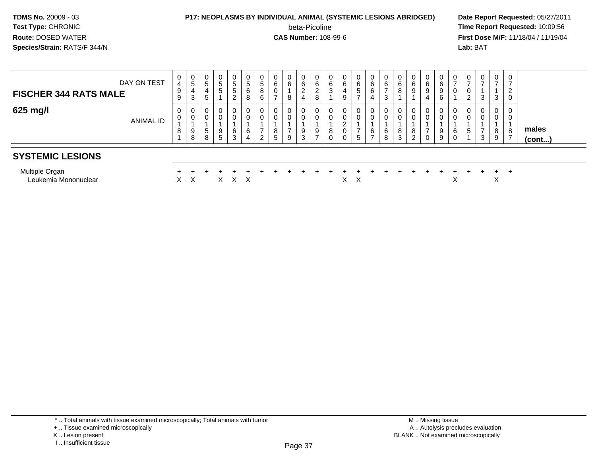# **P17: NEOPLASMS BY INDIVIDUAL ANIMAL (SYSTEMIC LESIONS ABRIDGED) Date Report Requested:** 05/27/2011

beta-Picoline

**beta-Picoline**<br> **CAS Number:** 108-99-6<br> **CAS Number:** 108-99-6<br> **CAS Number:** 108-99-6 **First Dose M/F:** 11/18/04 / 11/19/04<br>**Lab:** BAT **Lab:** BAT

| DAY ON TEST<br><b>FISCHER 344 RATS MALE</b> | 0<br>4<br>9<br>9      | $\mathbf 0$<br>$\sqrt{5}$<br>$\overline{4}$<br>3 | 0<br>5<br>4<br>5 | 0<br>5<br>5                | 5<br>5<br>ົ      | 5<br>6<br>8      | 0<br>5<br>8<br>6 | U<br>6<br>0 | 0<br>$\,6\,$<br>8             | 0<br>6<br>2<br>4 | 0<br>6<br>$\overline{2}$<br>8 | 6<br>◠<br>ۍ | $\,6\,$<br>4<br>9 | 0<br>6<br>5<br>– | 0<br>6<br>6<br>4         | 0<br>$\,6$<br>$\overline{ }$<br>-3 | U<br>6<br>8      | 0<br>$\,6$<br>9            | 6<br>9<br>4             | 6<br>9<br>6      | 0<br>$\rightarrow$<br>0     | U<br>∠ | $\mathbf{0}$<br>$\rightarrow$<br>3 | $\mathbf{0}$<br>$\overline{ }$<br>3 | $\mathbf 0$<br>$\overline{ }$<br>$\overline{2}$<br>0 |                 |  |
|---------------------------------------------|-----------------------|--------------------------------------------------|------------------|----------------------------|------------------|------------------|------------------|-------------|-------------------------------|------------------|-------------------------------|-------------|-------------------|------------------|--------------------------|------------------------------------|------------------|----------------------------|-------------------------|------------------|-----------------------------|--------|------------------------------------|-------------------------------------|------------------------------------------------------|-----------------|--|
| 625 mg/l<br><b>ANIMAL ID</b>                | 0<br>$\mathbf 0$<br>8 | 0<br>$\mathbf 0$<br>9<br>8                       | 0<br>0<br>5<br>8 | 0<br>$\mathbf 0$<br>9<br>5 | 0<br>∩<br>6<br>3 | 0<br>0<br>6<br>4 | 0<br>0<br>ົ<br>∠ | 8<br>5      | 0<br>0<br>$\overline{ }$<br>9 | 0<br>0<br>9<br>3 | 0<br>0<br>9<br>$\overline{ }$ | 8           | 0<br>0<br>0       | 0<br>0<br>5      | 0<br>6<br>$\overline{ }$ | 0<br>0<br>6<br>8                   | 0<br>0<br>8<br>3 | 0<br>$\mathbf 0$<br>8<br>2 | $\mathbf 0$<br>$\Omega$ | 0<br>0<br>9<br>9 | $\mathbf{0}$<br>0<br>6<br>0 | 0<br>5 | $\mathbf 0$<br>0<br>3              | $\mathbf{0}$<br>0<br>8<br>9         | 0<br>0<br>8<br>$\overline{ }$                        | males<br>(cont) |  |
| <b>SYSTEMIC LESIONS</b>                     |                       |                                                  |                  |                            |                  |                  |                  |             |                               |                  |                               |             |                   |                  |                          |                                    |                  |                            |                         |                  |                             |        |                                    |                                     |                                                      |                 |  |
| Multiple Organ<br>Leukemia Mononuclear      | $\times$              | X                                                |                  | X                          |                  | $X \times$       |                  |             |                               |                  |                               |             | X.                | X                |                          |                                    |                  |                            |                         |                  | ⌒                           |        |                                    | $+$<br>⋏                            | $+$                                                  |                 |  |

<sup>+ ..</sup> Tissue examined microscopically

X .. Lesion present

I .. Insufficient tissue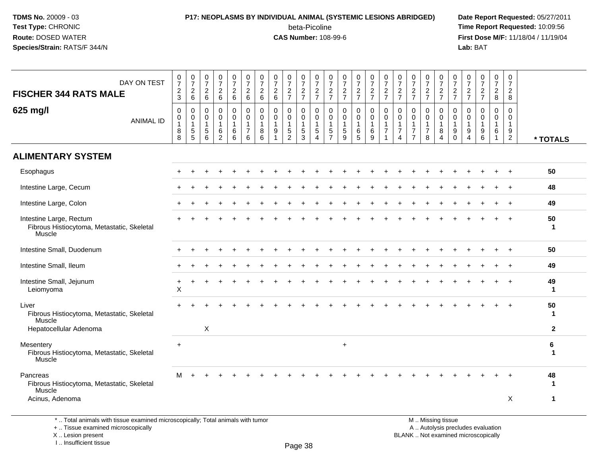## **P17: NEOPLASMS BY INDIVIDUAL ANIMAL (SYSTEMIC LESIONS ABRIDGED) Date Report Requested:** 05/27/2011

beta-Picoline<br>CAS Number: 108-99-6

 **Time Report Requested:** 10:09:56 **First Dose M/F:** 11/18/04 / 11/19/04<br>**Lab:** BAT **Lab:** BAT

| DAY ON TEST<br><b>FISCHER 344 RATS MALE</b>                                     | $\frac{0}{7}$<br>$\boldsymbol{2}$<br>3           | $\frac{0}{7}$<br>$\overline{c}$<br>6                          | $\frac{0}{7}$<br>$\overline{c}$<br>6                            | $\frac{0}{7}$<br>$\sqrt{2}$<br>6                 | 0<br>$\overline{7}$<br>$\overline{2}$<br>$6\phantom{1}$ | $\frac{0}{7}$<br>$\overline{a}$<br>6                            | 0<br>$\overline{7}$<br>$\boldsymbol{2}$<br>6                 | $\frac{0}{7}$<br>$\sqrt{2}$<br>6                  | 0<br>$\overline{7}$<br>$\sqrt{2}$<br>$\overline{7}$  | $\frac{0}{7}$<br>$\frac{2}{7}$                                | 0<br>$\overline{7}$<br>$\sqrt{2}$<br>$\overline{7}$ | $\frac{0}{7}$<br>$\frac{2}{7}$                                                | $\frac{0}{7}$<br>$\frac{2}{7}$                              | 0<br>$\overline{7}$<br>$\sqrt{2}$<br>$\overline{7}$ | $\frac{0}{7}$<br>$\frac{2}{7}$                           | $\mathbf 0$<br>$\overline{7}$<br>$\overline{c}$<br>$\overline{7}$             | 0<br>$\overline{7}$<br>$\frac{2}{7}$                                                 | $\frac{0}{7}$<br>$\frac{2}{7}$                                       | 0<br>$\overline{7}$<br>$\sqrt{2}$<br>$\overline{7}$                     | $\frac{0}{7}$<br>$\frac{2}{7}$                                  | $\frac{0}{7}$<br>$\frac{2}{7}$                                                       | $\frac{0}{7}$<br>$\frac{2}{7}$                                    | $\frac{0}{7}$<br>$\overline{a}$<br>$\overline{7}$ | 0<br>$\overline{7}$<br>$\overline{2}$<br>8                          | $\mathbf 0$<br>$\overline{7}$<br>$\overline{c}$<br>8           |                    |
|---------------------------------------------------------------------------------|--------------------------------------------------|---------------------------------------------------------------|-----------------------------------------------------------------|--------------------------------------------------|---------------------------------------------------------|-----------------------------------------------------------------|--------------------------------------------------------------|---------------------------------------------------|------------------------------------------------------|---------------------------------------------------------------|-----------------------------------------------------|-------------------------------------------------------------------------------|-------------------------------------------------------------|-----------------------------------------------------|----------------------------------------------------------|-------------------------------------------------------------------------------|--------------------------------------------------------------------------------------|----------------------------------------------------------------------|-------------------------------------------------------------------------|-----------------------------------------------------------------|--------------------------------------------------------------------------------------|-------------------------------------------------------------------|---------------------------------------------------|---------------------------------------------------------------------|----------------------------------------------------------------|--------------------|
| 625 mg/l<br><b>ANIMAL ID</b>                                                    | $\pmb{0}$<br>$\pmb{0}$<br>$\mathbf{1}$<br>8<br>8 | 0<br>$\mathsf{O}\xspace$<br>$\overline{1}$<br>$\sqrt{5}$<br>5 | $\mathbf 0$<br>$\mathbf 0$<br>$\overline{1}$<br>$\sqrt{5}$<br>6 | 0<br>$\mathbf 0$<br>1<br>$\,6$<br>$\overline{2}$ | 0<br>$\mathsf 0$<br>$\mathbf{1}$<br>6<br>6              | $\Omega$<br>$\mathsf{O}$<br>$\mathbf{1}$<br>$\overline{7}$<br>6 | $\mathbf 0$<br>$\mathsf{O}\xspace$<br>$\mathbf{1}$<br>8<br>6 | $\mathbf 0$<br>$\pmb{0}$<br>$\mathbf{1}$<br>$9\,$ | 0<br>$\pmb{0}$<br>-1<br>$\sqrt{5}$<br>$\overline{2}$ | $\mathbf 0$<br>$\mathbf 0$<br>$\mathbf{1}$<br>$\sqrt{5}$<br>3 | $\mathbf 0$<br>0<br>1<br>5<br>4                     | $\mathbf 0$<br>$\mathsf 0$<br>$\overline{1}$<br>$\,$ 5 $\,$<br>$\overline{7}$ | $\mathbf 0$<br>$\pmb{0}$<br>$\mathbf{1}$<br>$\sqrt{5}$<br>9 | 0<br>$\mathbf 0$<br>$\mathbf{1}$<br>$\,6\,$<br>5    | $\pmb{0}$<br>$\pmb{0}$<br>$\overline{1}$<br>$\,6\,$<br>9 | $\mathbf 0$<br>$\mathbf 0$<br>$\overline{1}$<br>$\overline{7}$<br>$\mathbf 1$ | $\mathbf 0$<br>$\pmb{0}$<br>$\mathbf{1}$<br>$\overline{7}$<br>$\boldsymbol{\Lambda}$ | 0<br>$\mathbf 0$<br>$\mathbf{1}$<br>$\overline{7}$<br>$\overline{7}$ | $\pmb{0}$<br>$\mathsf{O}\xspace$<br>$\mathbf{1}$<br>$\overline{7}$<br>8 | $\mathbf 0$<br>$\pmb{0}$<br>$\mathbf{1}$<br>8<br>$\overline{4}$ | $\mathbf 0$<br>$\boldsymbol{0}$<br>$\overline{1}$<br>$\boldsymbol{9}$<br>$\mathbf 0$ | $\mathbf 0$<br>$\mathbf 0$<br>$\mathbf{1}$<br>9<br>$\overline{4}$ | $\mathbf 0$<br>0<br>1<br>9<br>6                   | $\mathbf 0$<br>$\pmb{0}$<br>$\mathbf{1}$<br>$\,6\,$<br>$\mathbf{1}$ | $\Omega$<br>$\mathbf 0$<br>$\mathbf{1}$<br>9<br>$\overline{2}$ | * TOTALS           |
| <b>ALIMENTARY SYSTEM</b>                                                        |                                                  |                                                               |                                                                 |                                                  |                                                         |                                                                 |                                                              |                                                   |                                                      |                                                               |                                                     |                                                                               |                                                             |                                                     |                                                          |                                                                               |                                                                                      |                                                                      |                                                                         |                                                                 |                                                                                      |                                                                   |                                                   |                                                                     |                                                                |                    |
| Esophagus                                                                       |                                                  |                                                               |                                                                 |                                                  |                                                         |                                                                 |                                                              |                                                   |                                                      |                                                               |                                                     |                                                                               |                                                             |                                                     |                                                          |                                                                               |                                                                                      |                                                                      |                                                                         |                                                                 |                                                                                      |                                                                   |                                                   |                                                                     | $\overline{ }$                                                 | 50                 |
| Intestine Large, Cecum                                                          |                                                  |                                                               |                                                                 |                                                  |                                                         |                                                                 |                                                              |                                                   |                                                      |                                                               |                                                     |                                                                               |                                                             |                                                     |                                                          |                                                                               |                                                                                      |                                                                      |                                                                         |                                                                 |                                                                                      |                                                                   |                                                   |                                                                     | $+$                                                            | 48                 |
| Intestine Large, Colon                                                          |                                                  |                                                               |                                                                 |                                                  |                                                         |                                                                 |                                                              |                                                   |                                                      |                                                               |                                                     |                                                                               |                                                             |                                                     |                                                          |                                                                               |                                                                                      |                                                                      |                                                                         |                                                                 |                                                                                      |                                                                   |                                                   |                                                                     | $\overline{ }$                                                 | 49                 |
| Intestine Large, Rectum<br>Fibrous Histiocytoma, Metastatic, Skeletal<br>Muscle |                                                  |                                                               |                                                                 |                                                  |                                                         |                                                                 |                                                              |                                                   |                                                      |                                                               |                                                     |                                                                               |                                                             |                                                     |                                                          |                                                                               |                                                                                      |                                                                      |                                                                         |                                                                 |                                                                                      |                                                                   |                                                   |                                                                     | $\overline{+}$                                                 | 50<br>1            |
| Intestine Small, Duodenum                                                       |                                                  |                                                               |                                                                 |                                                  |                                                         |                                                                 |                                                              |                                                   |                                                      |                                                               |                                                     |                                                                               |                                                             |                                                     |                                                          |                                                                               |                                                                                      |                                                                      |                                                                         |                                                                 |                                                                                      |                                                                   |                                                   |                                                                     |                                                                | 50                 |
| Intestine Small, Ileum                                                          |                                                  |                                                               |                                                                 |                                                  |                                                         |                                                                 |                                                              |                                                   |                                                      |                                                               |                                                     |                                                                               |                                                             |                                                     |                                                          |                                                                               |                                                                                      |                                                                      |                                                                         |                                                                 |                                                                                      |                                                                   |                                                   |                                                                     |                                                                | 49                 |
| Intestine Small, Jejunum<br>Leiomyoma                                           | ÷<br>$\boldsymbol{\mathsf{X}}$                   |                                                               |                                                                 |                                                  |                                                         |                                                                 |                                                              |                                                   |                                                      |                                                               |                                                     |                                                                               |                                                             |                                                     |                                                          |                                                                               |                                                                                      |                                                                      |                                                                         |                                                                 |                                                                                      |                                                                   |                                                   |                                                                     |                                                                | 49<br>$\mathbf 1$  |
| Liver<br>Fibrous Histiocytoma, Metastatic, Skeletal<br>Muscle                   |                                                  |                                                               |                                                                 |                                                  |                                                         |                                                                 |                                                              |                                                   |                                                      |                                                               |                                                     |                                                                               |                                                             |                                                     |                                                          |                                                                               |                                                                                      |                                                                      |                                                                         |                                                                 |                                                                                      |                                                                   |                                                   |                                                                     |                                                                | 50<br>$\mathbf{1}$ |
| Hepatocellular Adenoma                                                          |                                                  |                                                               | X                                                               |                                                  |                                                         |                                                                 |                                                              |                                                   |                                                      |                                                               |                                                     |                                                                               |                                                             |                                                     |                                                          |                                                                               |                                                                                      |                                                                      |                                                                         |                                                                 |                                                                                      |                                                                   |                                                   |                                                                     |                                                                | $\overline{2}$     |
| Mesentery<br>Fibrous Histiocytoma, Metastatic, Skeletal<br>Muscle               | $\ddot{}$                                        |                                                               |                                                                 |                                                  |                                                         |                                                                 |                                                              |                                                   |                                                      |                                                               |                                                     |                                                                               | $\ddot{}$                                                   |                                                     |                                                          |                                                                               |                                                                                      |                                                                      |                                                                         |                                                                 |                                                                                      |                                                                   |                                                   |                                                                     |                                                                | 6<br>1             |
| Pancreas<br>Fibrous Histiocytoma, Metastatic, Skeletal<br>Muscle                | м                                                |                                                               |                                                                 |                                                  |                                                         |                                                                 |                                                              |                                                   |                                                      |                                                               |                                                     |                                                                               |                                                             |                                                     |                                                          |                                                                               |                                                                                      |                                                                      |                                                                         |                                                                 |                                                                                      |                                                                   |                                                   |                                                                     |                                                                | 48<br>$\mathbf 1$  |
| Acinus, Adenoma                                                                 |                                                  |                                                               |                                                                 |                                                  |                                                         |                                                                 |                                                              |                                                   |                                                      |                                                               |                                                     |                                                                               |                                                             |                                                     |                                                          |                                                                               |                                                                                      |                                                                      |                                                                         |                                                                 |                                                                                      |                                                                   |                                                   |                                                                     | X                                                              | 1                  |

\* .. Total animals with tissue examined microscopically; Total animals with tumor

+ .. Tissue examined microscopically

X .. Lesion present

I .. Insufficient tissue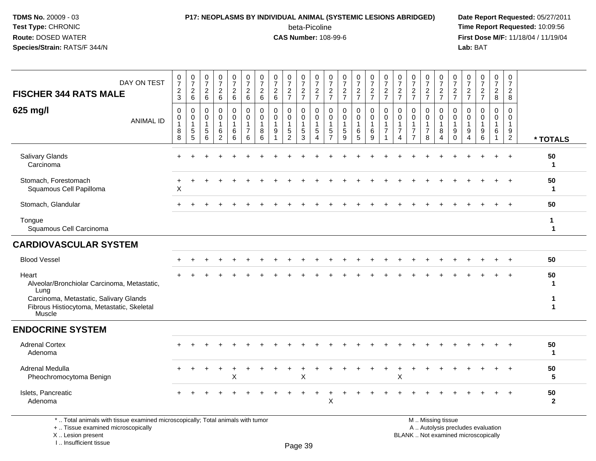#### **P17: NEOPLASMS BY INDIVIDUAL ANIMAL (SYSTEMIC LESIONS ABRIDGED) Date Report Requested:** 05/27/2011

beta-Picoline<br>CAS Number: 108-99-6

 **Time Report Requested:** 10:09:56 **First Dose M/F:** 11/18/04 / 11/19/04<br>**Lab:** BAT **Lab:** BAT

| DAY ON TEST<br><b>FISCHER 344 RATS MALE</b>                                                                                                          | 0<br>$\overline{7}$<br>$\boldsymbol{2}$<br>3 | $\frac{0}{7}$<br>$\overline{c}$<br>6                                      | 0<br>$\overline{7}$<br>$\sqrt{2}$<br>6                                    | $\frac{0}{7}$<br>$\sqrt{2}$<br>$\,6\,$       | $\boldsymbol{0}$<br>$\overline{7}$<br>$\frac{2}{6}$      | $\frac{0}{7}$<br>$\sqrt{2}$<br>6                                              | $\frac{0}{7}$<br>$\overline{\mathbf{c}}$<br>6 | $\frac{0}{7}$<br>$\begin{array}{c} 2 \\ 6 \end{array}$                 | $\frac{0}{7}$<br>$\overline{\mathbf{c}}$<br>$\overline{7}$ | 0<br>$\boldsymbol{7}$<br>$\frac{2}{7}$  | $\overline{0}$<br>$\overline{7}$<br>$\frac{2}{7}$                            | 0<br>$\overline{7}$<br>$\frac{2}{7}$                   | 0<br>$\overline{7}$<br>$\frac{2}{7}$                 | $\frac{0}{7}$<br>$\frac{2}{7}$ | 0<br>$\overline{7}$<br>$\frac{2}{7}$                                  | $\frac{0}{7}$<br>$\frac{2}{7}$                               | $\frac{0}{7}$<br>$rac{2}{7}$                                                 | $\frac{0}{7}$<br>$\frac{2}{7}$                                                 | $\frac{0}{7}$<br>$\frac{2}{7}$               | 0<br>$\overline{7}$<br>$\frac{2}{7}$          | 0<br>$\overline{7}$<br>$\overline{c}$<br>$\overline{7}$                  | 0<br>$\boldsymbol{7}$<br>$\frac{2}{7}$                            | $\frac{0}{7}$<br>$\frac{2}{7}$                          | 0<br>$\boldsymbol{7}$<br>$\overline{a}$<br>8            | 0<br>$\boldsymbol{7}$<br>$\sqrt{2}$<br>8                                         |                                      |
|------------------------------------------------------------------------------------------------------------------------------------------------------|----------------------------------------------|---------------------------------------------------------------------------|---------------------------------------------------------------------------|----------------------------------------------|----------------------------------------------------------|-------------------------------------------------------------------------------|-----------------------------------------------|------------------------------------------------------------------------|------------------------------------------------------------|-----------------------------------------|------------------------------------------------------------------------------|--------------------------------------------------------|------------------------------------------------------|--------------------------------|-----------------------------------------------------------------------|--------------------------------------------------------------|------------------------------------------------------------------------------|--------------------------------------------------------------------------------|----------------------------------------------|-----------------------------------------------|--------------------------------------------------------------------------|-------------------------------------------------------------------|---------------------------------------------------------|---------------------------------------------------------|----------------------------------------------------------------------------------|--------------------------------------|
| 625 mg/l<br><b>ANIMAL ID</b>                                                                                                                         | $\mathbf 0$<br>0<br>$\mathbf{1}$<br>8<br>8   | $\mathbf 0$<br>$\pmb{0}$<br>$\mathbf{1}$<br>$\mathbf 5$<br>$\overline{5}$ | $\pmb{0}$<br>$\mathbf 0$<br>$\mathbf{1}$<br>$\mathbf 5$<br>$6\phantom{1}$ | $\mathbf 0$<br>0<br>1<br>6<br>$\overline{2}$ | $\mathbf 0$<br>$\pmb{0}$<br>$\overline{1}$<br>$\,6$<br>6 | $\pmb{0}$<br>$\mathbf 0$<br>$\mathbf{1}$<br>$\overline{7}$<br>$6\phantom{1}6$ | 0<br>$\mathbf 0$<br>$\mathbf 1$<br>8<br>6     | 0<br>$\mathbf 0$<br>$\mathbf{1}$<br>$\boldsymbol{9}$<br>$\overline{1}$ | 0<br>0<br>$\mathbf{1}$<br>$\frac{5}{2}$                    | 0<br>0<br>$\mathbf{1}$<br>$\frac{5}{3}$ | $\mathbf 0$<br>$\mathbf 0$<br>$\overline{1}$<br>$\sqrt{5}$<br>$\overline{4}$ | 0<br>$\mathbf 0$<br>$\mathbf 1$<br>5<br>$\overline{7}$ | $\mathbf 0$<br>$\mathbf 0$<br>$\mathbf{1}$<br>5<br>9 | 0<br>$\mathbf 0$<br>6<br>5     | $\mathbf 0$<br>$\mathbf 0$<br>$\mathbf{1}$<br>$\,6$<br>$\overline{9}$ | $\mathbf 0$<br>$\mathbf 0$<br>$\mathbf{1}$<br>$\overline{7}$ | $\mathbf 0$<br>0<br>$\mathbf{1}$<br>$\overline{7}$<br>$\boldsymbol{\Lambda}$ | $\mathbf 0$<br>$\mathbf 0$<br>$\mathbf{1}$<br>$\overline{7}$<br>$\overline{7}$ | 0<br>$\mathbf 0$<br>1<br>$\overline{7}$<br>8 | 0<br>0<br>$\mathbf{1}$<br>8<br>$\overline{4}$ | 0<br>$\mathbf 0$<br>$\mathbf{1}$<br>9<br>$\mathbf 0$                     | $\mathbf 0$<br>$\mathbf 0$<br>$\mathbf{1}$<br>9<br>$\overline{4}$ | $\mathbf 0$<br>0<br>$\mathbf{1}$<br>9<br>$6\phantom{1}$ | 0<br>$\mathbf 0$<br>$\mathbf{1}$<br>6<br>$\overline{1}$ | $\mathbf 0$<br>$\mathbf 0$<br>$\mathbf{1}$<br>$\boldsymbol{9}$<br>$\overline{2}$ | * TOTALS                             |
| <b>Salivary Glands</b><br>Carcinoma                                                                                                                  |                                              |                                                                           |                                                                           |                                              |                                                          |                                                                               |                                               |                                                                        |                                                            |                                         |                                                                              |                                                        |                                                      |                                |                                                                       |                                                              |                                                                              |                                                                                |                                              |                                               |                                                                          |                                                                   |                                                         |                                                         |                                                                                  | 50<br>$\mathbf 1$                    |
| Stomach, Forestomach<br>Squamous Cell Papilloma                                                                                                      | X                                            |                                                                           |                                                                           |                                              |                                                          |                                                                               |                                               |                                                                        |                                                            |                                         |                                                                              |                                                        |                                                      |                                |                                                                       |                                                              |                                                                              |                                                                                |                                              |                                               |                                                                          |                                                                   |                                                         | $\div$                                                  | $+$                                                                              | 50<br>$\mathbf{1}$                   |
| Stomach, Glandular                                                                                                                                   |                                              |                                                                           |                                                                           |                                              |                                                          |                                                                               |                                               |                                                                        |                                                            |                                         |                                                                              |                                                        |                                                      |                                |                                                                       |                                                              |                                                                              |                                                                                |                                              |                                               |                                                                          |                                                                   |                                                         |                                                         |                                                                                  | 50                                   |
| Tongue<br>Squamous Cell Carcinoma                                                                                                                    |                                              |                                                                           |                                                                           |                                              |                                                          |                                                                               |                                               |                                                                        |                                                            |                                         |                                                                              |                                                        |                                                      |                                |                                                                       |                                                              |                                                                              |                                                                                |                                              |                                               |                                                                          |                                                                   |                                                         |                                                         |                                                                                  | $\mathbf{1}$<br>$\blacktriangleleft$ |
| <b>CARDIOVASCULAR SYSTEM</b>                                                                                                                         |                                              |                                                                           |                                                                           |                                              |                                                          |                                                                               |                                               |                                                                        |                                                            |                                         |                                                                              |                                                        |                                                      |                                |                                                                       |                                                              |                                                                              |                                                                                |                                              |                                               |                                                                          |                                                                   |                                                         |                                                         |                                                                                  |                                      |
| <b>Blood Vessel</b>                                                                                                                                  |                                              |                                                                           |                                                                           |                                              |                                                          |                                                                               |                                               |                                                                        |                                                            |                                         |                                                                              |                                                        |                                                      |                                |                                                                       |                                                              |                                                                              |                                                                                |                                              |                                               |                                                                          |                                                                   |                                                         |                                                         | $\overline{+}$                                                                   | 50                                   |
| Heart<br>Alveolar/Bronchiolar Carcinoma, Metastatic,<br>Lung<br>Carcinoma, Metastatic, Salivary Glands<br>Fibrous Histiocytoma, Metastatic, Skeletal |                                              |                                                                           |                                                                           |                                              |                                                          |                                                                               |                                               |                                                                        |                                                            |                                         |                                                                              |                                                        |                                                      |                                |                                                                       |                                                              |                                                                              |                                                                                |                                              |                                               |                                                                          |                                                                   |                                                         |                                                         |                                                                                  | 50<br>1                              |
| Muscle<br><b>ENDOCRINE SYSTEM</b>                                                                                                                    |                                              |                                                                           |                                                                           |                                              |                                                          |                                                                               |                                               |                                                                        |                                                            |                                         |                                                                              |                                                        |                                                      |                                |                                                                       |                                                              |                                                                              |                                                                                |                                              |                                               |                                                                          |                                                                   |                                                         |                                                         |                                                                                  |                                      |
| <b>Adrenal Cortex</b><br>Adenoma                                                                                                                     |                                              |                                                                           |                                                                           |                                              |                                                          |                                                                               |                                               |                                                                        |                                                            |                                         |                                                                              |                                                        |                                                      |                                |                                                                       |                                                              |                                                                              |                                                                                |                                              |                                               |                                                                          |                                                                   |                                                         |                                                         |                                                                                  | 50<br>$\mathbf{1}$                   |
| <b>Adrenal Medulla</b><br>Pheochromocytoma Benign                                                                                                    |                                              |                                                                           |                                                                           | $\div$                                       | $\ddot{}$<br>X                                           |                                                                               |                                               |                                                                        |                                                            | +<br>X                                  |                                                                              |                                                        |                                                      |                                |                                                                       |                                                              | ÷<br>X                                                                       |                                                                                |                                              |                                               |                                                                          |                                                                   |                                                         |                                                         | $+$                                                                              | 50<br>5                              |
| Islets, Pancreatic<br>Adenoma                                                                                                                        |                                              |                                                                           |                                                                           |                                              |                                                          |                                                                               |                                               |                                                                        |                                                            |                                         |                                                                              | X                                                      |                                                      |                                |                                                                       |                                                              |                                                                              |                                                                                |                                              |                                               |                                                                          |                                                                   |                                                         |                                                         |                                                                                  | 50<br>$\mathbf{2}$                   |
| *  Total animals with tissue examined microscopically; Total animals with tumor<br>+  Tissue examined microscopically<br>X  Lesion present           |                                              |                                                                           |                                                                           |                                              |                                                          |                                                                               |                                               |                                                                        |                                                            |                                         |                                                                              |                                                        |                                                      |                                |                                                                       |                                                              |                                                                              |                                                                                |                                              | M  Missing tissue                             | A  Autolysis precludes evaluation<br>BLANK  Not examined microscopically |                                                                   |                                                         |                                                         |                                                                                  |                                      |

I .. Insufficient tissue

Page 39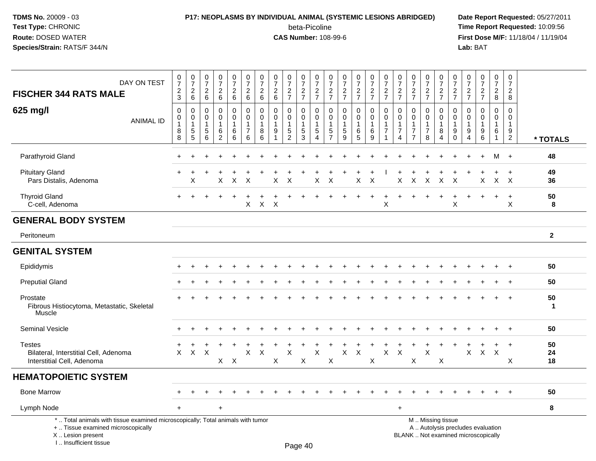I .. Insufficient tissue

## **P17: NEOPLASMS BY INDIVIDUAL ANIMAL (SYSTEMIC LESIONS ABRIDGED) Date Report Requested:** 05/27/2011

beta-Picoline<br>CAS Number: 108-99-6

| DAY ON TEST<br><b>FISCHER 344 RATS MALE</b>                                                                                                | $\frac{0}{7}$<br>$\frac{2}{3}$            | $\frac{0}{7}$<br>$^2\phantom{1}6$               | $\frac{0}{7}$<br>$^2\phantom{1}6$                   | $\begin{array}{c} 0 \\ 7 \end{array}$<br>$\frac{2}{6}$ | $\begin{smallmatrix} 0\\7 \end{smallmatrix}$<br>$\frac{2}{6}$ | $\frac{0}{7}$<br>$\frac{2}{6}$                                 | $\frac{0}{7}$<br>$^2\phantom{1}6$      | $\begin{array}{c} 0 \\ 7 \end{array}$<br>$^2\phantom{1}6$            | $\frac{0}{7}$<br>$\frac{2}{7}$                    | $\frac{0}{7}$<br>$\frac{2}{7}$                 | $\frac{0}{7}$<br>$\frac{2}{7}$                                               | $\begin{array}{c} 0 \\ 7 \end{array}$<br>$\frac{2}{7}$ | $\frac{0}{7}$<br>$\frac{2}{7}$                           | $\frac{0}{7}$<br>$\frac{2}{7}$                   | $\begin{array}{c} 0 \\ 7 \end{array}$<br>$rac{2}{7}$                 | $\begin{array}{c} 0 \\ 7 \end{array}$<br>$\frac{2}{7}$ | $\frac{0}{7}$<br>$\frac{2}{7}$                                       | $\begin{array}{c} 0 \\ 7 \end{array}$<br>$\frac{2}{7}$                      | $\frac{0}{7}$<br>$\frac{2}{7}$                               | $\frac{0}{7}$<br>$\frac{2}{7}$                      | $\frac{0}{7}$<br>$\frac{2}{7}$          | $\frac{0}{7}$<br>$\frac{2}{7}$                               | $\frac{0}{7}$<br>$\frac{2}{7}$                                                      | $\frac{0}{7}$<br>$\frac{2}{8}$                                       | $\pmb{0}$<br>$\overline{7}$<br>$\overline{c}$<br>$\, 8$        |                    |
|--------------------------------------------------------------------------------------------------------------------------------------------|-------------------------------------------|-------------------------------------------------|-----------------------------------------------------|--------------------------------------------------------|---------------------------------------------------------------|----------------------------------------------------------------|----------------------------------------|----------------------------------------------------------------------|---------------------------------------------------|------------------------------------------------|------------------------------------------------------------------------------|--------------------------------------------------------|----------------------------------------------------------|--------------------------------------------------|----------------------------------------------------------------------|--------------------------------------------------------|----------------------------------------------------------------------|-----------------------------------------------------------------------------|--------------------------------------------------------------|-----------------------------------------------------|-----------------------------------------|--------------------------------------------------------------|-------------------------------------------------------------------------------------|----------------------------------------------------------------------|----------------------------------------------------------------|--------------------|
| 625 mg/l<br><b>ANIMAL ID</b>                                                                                                               | $\Omega$<br>0<br>$\overline{1}$<br>8<br>8 | 0<br>$\pmb{0}$<br>$\mathbf{1}$<br>$\frac{5}{5}$ | 0<br>$\mathbf 0$<br>$\mathbf{1}$<br>$\sqrt{5}$<br>6 | 0<br>$\pmb{0}$<br>1<br>$\,6\,$<br>$\overline{2}$       | $\mathbf 0$<br>$\mathsf{O}\xspace$<br>$\mathbf 1$<br>$^6_6$   | $\Omega$<br>$\mathbf 0$<br>$\mathbf{1}$<br>$\overline{7}$<br>6 | $\Omega$<br>0<br>$\mathbf 1$<br>8<br>6 | 0<br>$\pmb{0}$<br>$\mathbf{1}$<br>$\boldsymbol{9}$<br>$\overline{1}$ | 0<br>$\mathbf 0$<br>$\mathbf{1}$<br>$\frac{5}{2}$ | $\Omega$<br>0<br>$\mathbf{1}$<br>$\frac{5}{3}$ | $\mathbf 0$<br>$\mathbf 0$<br>$\overline{1}$<br>$\sqrt{5}$<br>$\overline{4}$ | $\Omega$<br>0<br>$\mathbf{1}$<br>$\frac{5}{7}$         | $\Omega$<br>$\pmb{0}$<br>$\mathbf{1}$<br>$\sqrt{5}$<br>9 | 0<br>$\mathsf 0$<br>1<br>$\,6$<br>$\overline{5}$ | $\Omega$<br>$\mathbf 0$<br>$\mathbf{1}$<br>$\,6\,$<br>$\overline{9}$ | $\Omega$<br>$\pmb{0}$<br>1<br>$\overline{7}$           | 0<br>$\mathbf 0$<br>$\mathbf{1}$<br>$\overline{7}$<br>$\overline{4}$ | $\Omega$<br>$\mathbf 0$<br>$\mathbf{1}$<br>$\overline{7}$<br>$\overline{7}$ | $\Omega$<br>$\pmb{0}$<br>$\mathbf{1}$<br>$\overline{7}$<br>8 | 0<br>0<br>$\mathbf{1}$<br>$\bf 8$<br>$\overline{4}$ | 0<br>0<br>$\mathbf{1}$<br>9<br>$\Omega$ | 0<br>0<br>$\mathbf{1}$<br>$\boldsymbol{9}$<br>$\overline{4}$ | $\mathbf 0$<br>$\mathbf 0$<br>$\mathbf{1}$<br>$\begin{array}{c} 9 \\ 6 \end{array}$ | $\Omega$<br>$\mathbf 0$<br>$\mathbf{1}$<br>$\,6\,$<br>$\overline{1}$ | $\Omega$<br>$\mathbf 0$<br>$\mathbf{1}$<br>9<br>$\overline{2}$ | * TOTALS           |
| Parathyroid Gland                                                                                                                          |                                           |                                                 |                                                     |                                                        |                                                               |                                                                |                                        |                                                                      |                                                   |                                                |                                                                              |                                                        |                                                          |                                                  |                                                                      |                                                        |                                                                      |                                                                             |                                                              |                                                     |                                         |                                                              | $\overline{1}$                                                                      | M                                                                    | $+$                                                            | 48                 |
| <b>Pituitary Gland</b><br>Pars Distalis, Adenoma                                                                                           |                                           | X                                               |                                                     | X                                                      | X                                                             | $\times$                                                       |                                        | X                                                                    | X                                                 |                                                | X                                                                            | X                                                      |                                                          | X                                                | $\boldsymbol{\mathsf{X}}$                                            |                                                        | $\sf X$                                                              | $\mathsf{X}$                                                                | $\sf X$                                                      | $\mathsf{X}$                                        | $\times$                                |                                                              | X                                                                                   | +                                                                    | $\overline{+}$<br>$X$ $X$                                      | 49<br>36           |
| <b>Thyroid Gland</b><br>C-cell, Adenoma                                                                                                    |                                           |                                                 |                                                     |                                                        | $+$                                                           | $\ddot{}$<br>$\mathsf{X}$                                      | $\div$<br>$\mathsf{X}$                 | $\boldsymbol{\mathsf{X}}$                                            |                                                   |                                                |                                                                              |                                                        |                                                          |                                                  | $\ddot{}$                                                            | $\ddot{}$<br>X                                         |                                                                      |                                                                             |                                                              | $\ddot{}$                                           | $\ddot{}$<br>$\mathsf X$                | $\ddot{}$                                                    | $\overline{1}$                                                                      | $\ddot{}$                                                            | $\ddot{}$<br>X                                                 | 50<br>8            |
| <b>GENERAL BODY SYSTEM</b>                                                                                                                 |                                           |                                                 |                                                     |                                                        |                                                               |                                                                |                                        |                                                                      |                                                   |                                                |                                                                              |                                                        |                                                          |                                                  |                                                                      |                                                        |                                                                      |                                                                             |                                                              |                                                     |                                         |                                                              |                                                                                     |                                                                      |                                                                |                    |
| Peritoneum                                                                                                                                 |                                           |                                                 |                                                     |                                                        |                                                               |                                                                |                                        |                                                                      |                                                   |                                                |                                                                              |                                                        |                                                          |                                                  |                                                                      |                                                        |                                                                      |                                                                             |                                                              |                                                     |                                         |                                                              |                                                                                     |                                                                      |                                                                | $\mathbf{2}$       |
| <b>GENITAL SYSTEM</b>                                                                                                                      |                                           |                                                 |                                                     |                                                        |                                                               |                                                                |                                        |                                                                      |                                                   |                                                |                                                                              |                                                        |                                                          |                                                  |                                                                      |                                                        |                                                                      |                                                                             |                                                              |                                                     |                                         |                                                              |                                                                                     |                                                                      |                                                                |                    |
| Epididymis                                                                                                                                 |                                           |                                                 |                                                     |                                                        |                                                               |                                                                |                                        |                                                                      |                                                   |                                                |                                                                              |                                                        |                                                          |                                                  |                                                                      |                                                        |                                                                      |                                                                             |                                                              |                                                     |                                         |                                                              |                                                                                     |                                                                      |                                                                | 50                 |
| <b>Preputial Gland</b>                                                                                                                     |                                           |                                                 |                                                     |                                                        |                                                               |                                                                |                                        |                                                                      |                                                   |                                                |                                                                              |                                                        |                                                          |                                                  |                                                                      |                                                        |                                                                      |                                                                             |                                                              |                                                     |                                         |                                                              |                                                                                     |                                                                      |                                                                | 50                 |
| Prostate<br>Fibrous Histiocytoma, Metastatic, Skeletal<br>Muscle                                                                           |                                           |                                                 |                                                     |                                                        |                                                               |                                                                |                                        |                                                                      |                                                   |                                                |                                                                              |                                                        |                                                          |                                                  |                                                                      |                                                        |                                                                      |                                                                             |                                                              |                                                     |                                         |                                                              |                                                                                     |                                                                      |                                                                | 50<br>$\mathbf{1}$ |
| Seminal Vesicle                                                                                                                            |                                           |                                                 |                                                     |                                                        |                                                               |                                                                |                                        |                                                                      |                                                   |                                                |                                                                              |                                                        |                                                          |                                                  |                                                                      |                                                        |                                                                      |                                                                             |                                                              |                                                     |                                         |                                                              |                                                                                     |                                                                      | $\overline{+}$                                                 | 50                 |
| <b>Testes</b><br>Bilateral, Interstitial Cell, Adenoma<br>Interstitial Cell, Adenoma                                                       | $\times$                                  | $\sf X$                                         | X                                                   | X                                                      | $\boldsymbol{\mathsf{X}}$                                     | $\mathsf X$                                                    | $\pmb{\times}$                         | X                                                                    | $\mathsf X$                                       | Χ                                              | $\boldsymbol{\mathsf{X}}$                                                    | X                                                      | X                                                        | $\times$                                         | Χ                                                                    | $\mathsf{X}$                                           | X                                                                    | X                                                                           | X                                                            | X                                                   |                                         | X                                                            | $\mathsf{X}$                                                                        | +<br>$\mathsf{X}$                                                    | $\ddot{}$<br>X                                                 | 50<br>24<br>18     |
| <b>HEMATOPOIETIC SYSTEM</b>                                                                                                                |                                           |                                                 |                                                     |                                                        |                                                               |                                                                |                                        |                                                                      |                                                   |                                                |                                                                              |                                                        |                                                          |                                                  |                                                                      |                                                        |                                                                      |                                                                             |                                                              |                                                     |                                         |                                                              |                                                                                     |                                                                      |                                                                |                    |
| <b>Bone Marrow</b>                                                                                                                         |                                           |                                                 |                                                     |                                                        |                                                               |                                                                |                                        |                                                                      |                                                   |                                                |                                                                              |                                                        |                                                          |                                                  |                                                                      |                                                        |                                                                      |                                                                             |                                                              |                                                     |                                         |                                                              |                                                                                     |                                                                      |                                                                | 50                 |
| Lymph Node                                                                                                                                 | $\ddot{}$                                 |                                                 |                                                     | $\ddot{}$                                              |                                                               |                                                                |                                        |                                                                      |                                                   |                                                |                                                                              |                                                        |                                                          |                                                  |                                                                      |                                                        | $\ddot{}$                                                            |                                                                             |                                                              |                                                     |                                         |                                                              |                                                                                     |                                                                      |                                                                | 8                  |
| *  Total animals with tissue examined microscopically; Total animals with tumor<br>+  Tissue examined microscopically<br>X  Lesion present |                                           |                                                 |                                                     |                                                        |                                                               |                                                                |                                        |                                                                      |                                                   |                                                |                                                                              |                                                        |                                                          |                                                  |                                                                      |                                                        |                                                                      |                                                                             |                                                              | M  Missing tissue                                   |                                         |                                                              | A  Autolysis precludes evaluation<br>BLANK  Not examined microscopically            |                                                                      |                                                                |                    |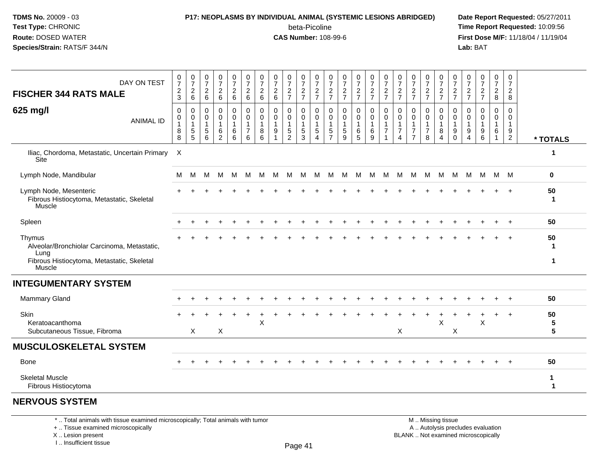### **P17: NEOPLASMS BY INDIVIDUAL ANIMAL (SYSTEMIC LESIONS ABRIDGED) Date Report Requested:** 05/27/2011 beta-Picoline<br>CAS Number: 108-99-6

 **Time Report Requested:** 10:09:56 **First Dose M/F:** 11/18/04 / 11/19/04<br>**Lab:** BAT **Lab:** BAT

| DAY ON TEST<br><b>FISCHER 344 RATS MALE</b>                                                                           | 0<br>$\overline{7}$<br>$\overline{c}$<br>$\mathbf{3}$ | $\frac{0}{7}$<br>$\frac{2}{6}$   | $\pmb{0}$<br>$\overline{7}$<br>$^2\phantom{1}6$ | $\frac{0}{7}$<br>$^2$ 6                                       | $\frac{0}{7}$<br>$\frac{2}{6}$               | $\frac{0}{7}$<br>$\frac{2}{6}$                                        | 0<br>$\overline{7}$<br>$\overline{c}$<br>6 | $\frac{0}{7}$<br>$^2$ 6                         | $\frac{0}{7}$<br>$\frac{2}{7}$                                    | 0<br>$\boldsymbol{7}$<br>$\frac{2}{7}$                                     | 0<br>$\boldsymbol{7}$<br>$\frac{2}{7}$              | $\frac{0}{7}$<br>$\frac{2}{7}$                          | $\frac{0}{7}$<br>$\frac{2}{7}$                     | $\frac{0}{7}$<br>$\frac{2}{7}$                                   | 0<br>$\overline{7}$<br>$\frac{2}{7}$      | $\frac{0}{7}$<br>$\frac{2}{7}$                                  | 0<br>$\overline{7}$<br>$\frac{2}{7}$                                 | $\frac{0}{7}$<br>$\frac{2}{7}$                                                 | $\frac{0}{7}$<br>$\frac{2}{7}$                                    | $\frac{0}{7}$<br>$\frac{2}{7}$                        | 0<br>$\overline{7}$<br>$\frac{2}{7}$ | $\frac{0}{7}$<br>$\frac{2}{7}$                  | $\frac{0}{7}$<br>$\frac{2}{7}$                    | 0<br>$\overline{7}$<br>$\frac{2}{8}$            | 0<br>$\overline{7}$<br>$_{\rm 8}^2$                                           |                                     |
|-----------------------------------------------------------------------------------------------------------------------|-------------------------------------------------------|----------------------------------|-------------------------------------------------|---------------------------------------------------------------|----------------------------------------------|-----------------------------------------------------------------------|--------------------------------------------|-------------------------------------------------|-------------------------------------------------------------------|----------------------------------------------------------------------------|-----------------------------------------------------|---------------------------------------------------------|----------------------------------------------------|------------------------------------------------------------------|-------------------------------------------|-----------------------------------------------------------------|----------------------------------------------------------------------|--------------------------------------------------------------------------------|-------------------------------------------------------------------|-------------------------------------------------------|--------------------------------------|-------------------------------------------------|---------------------------------------------------|-------------------------------------------------|-------------------------------------------------------------------------------|-------------------------------------|
| 625 mg/l<br><b>ANIMAL ID</b>                                                                                          | $\mathbf 0$<br>0<br>$\mathbf{1}$<br>8<br>8            | 0<br>0<br>$\mathbf{1}$<br>5<br>5 | 0<br>0<br>$\mathbf{1}$<br>$\mathbf 5$<br>6      | $\pmb{0}$<br>$\pmb{0}$<br>$\mathbf{1}$<br>6<br>$\overline{c}$ | 0<br>0<br>$\mathbf{1}$<br>$\,6\,$<br>$\,6\,$ | $\mathbf 0$<br>$\pmb{0}$<br>$\mathbf{1}$<br>$\overline{7}$<br>$\,6\,$ | 0<br>0<br>$\mathbf{1}$<br>8<br>6           | $\mathbf 0$<br>$\mathbf 0$<br>$\mathbf{1}$<br>9 | $\mathbf 0$<br>0<br>$\mathbf{1}$<br>$\mathbf 5$<br>$\overline{2}$ | $\mathbf 0$<br>$\mathbf 0$<br>$\mathbf{1}$<br>$\sqrt{5}$<br>$\overline{3}$ | 0<br>$\mathbf 0$<br>$\mathbf{1}$<br>$\sqrt{5}$<br>4 | 0<br>$\mathbf 0$<br>$\mathbf{1}$<br>5<br>$\overline{7}$ | $\mathbf 0$<br>$\pmb{0}$<br>$\mathbf{1}$<br>5<br>9 | $\pmb{0}$<br>$\mathsf{O}$<br>$\mathbf{1}$<br>6<br>$\overline{5}$ | 0<br>$\mathbf 0$<br>1<br>$\,6\,$<br>$9\,$ | $\mathbf 0$<br>$\pmb{0}$<br>$\mathbf{1}$<br>$\overline{7}$<br>1 | 0<br>$\mathbf 0$<br>$\mathbf{1}$<br>$\overline{7}$<br>$\overline{4}$ | $\mathbf 0$<br>$\mathbf 0$<br>$\mathbf{1}$<br>$\overline{7}$<br>$\overline{7}$ | $\mathbf 0$<br>$\mathbf 0$<br>$\mathbf{1}$<br>$\overline{7}$<br>8 | $\pmb{0}$<br>0<br>$\mathbf{1}$<br>8<br>$\overline{4}$ | 0<br>0<br>$\mathbf{1}$<br>9<br>0     | 0<br>0<br>$\overline{1}$<br>9<br>$\overline{4}$ | $\mathbf 0$<br>$\Omega$<br>$\mathbf{1}$<br>9<br>6 | $\mathbf 0$<br>$\mathbf 0$<br>$\mathbf{1}$<br>6 | $\mathbf 0$<br>$\Omega$<br>$\mathbf{1}$<br>$\boldsymbol{9}$<br>$\overline{2}$ | * TOTALS                            |
| Iliac, Chordoma, Metastatic, Uncertain Primary<br>Site                                                                | $\mathsf{X}$                                          |                                  |                                                 |                                                               |                                              |                                                                       |                                            |                                                 |                                                                   |                                                                            |                                                     |                                                         |                                                    |                                                                  |                                           |                                                                 |                                                                      |                                                                                |                                                                   |                                                       |                                      |                                                 |                                                   |                                                 |                                                                               | 1                                   |
| Lymph Node, Mandibular                                                                                                | М                                                     | M                                | M                                               | M                                                             | M                                            | М                                                                     | M                                          | М                                               | M                                                                 | M                                                                          | М                                                   | M                                                       | M                                                  | M                                                                | M                                         | M                                                               | M                                                                    | M                                                                              | $M_{\odot}$                                                       | M                                                     | M                                    | м                                               |                                                   | M M M                                           |                                                                               | $\mathbf 0$                         |
| Lymph Node, Mesenteric<br>Fibrous Histiocytoma, Metastatic, Skeletal<br>Muscle                                        |                                                       |                                  |                                                 |                                                               |                                              |                                                                       |                                            |                                                 |                                                                   |                                                                            |                                                     |                                                         |                                                    |                                                                  |                                           |                                                                 |                                                                      |                                                                                |                                                                   |                                                       |                                      |                                                 |                                                   |                                                 |                                                                               | 50<br>$\mathbf 1$                   |
| Spleen                                                                                                                |                                                       |                                  |                                                 |                                                               |                                              |                                                                       |                                            |                                                 |                                                                   |                                                                            |                                                     |                                                         |                                                    |                                                                  |                                           |                                                                 |                                                                      |                                                                                |                                                                   |                                                       |                                      |                                                 |                                                   |                                                 |                                                                               | 50                                  |
| Thymus<br>Alveolar/Bronchiolar Carcinoma, Metastatic,<br>Lung<br>Fibrous Histiocytoma, Metastatic, Skeletal<br>Muscle |                                                       |                                  |                                                 |                                                               |                                              |                                                                       |                                            |                                                 |                                                                   |                                                                            |                                                     |                                                         |                                                    |                                                                  |                                           |                                                                 |                                                                      |                                                                                |                                                                   |                                                       |                                      |                                                 |                                                   |                                                 | $\overline{1}$                                                                | 50<br>$\mathbf 1$                   |
| <b>INTEGUMENTARY SYSTEM</b>                                                                                           |                                                       |                                  |                                                 |                                                               |                                              |                                                                       |                                            |                                                 |                                                                   |                                                                            |                                                     |                                                         |                                                    |                                                                  |                                           |                                                                 |                                                                      |                                                                                |                                                                   |                                                       |                                      |                                                 |                                                   |                                                 |                                                                               |                                     |
| <b>Mammary Gland</b>                                                                                                  |                                                       |                                  |                                                 |                                                               |                                              |                                                                       |                                            |                                                 |                                                                   |                                                                            |                                                     |                                                         |                                                    |                                                                  |                                           |                                                                 |                                                                      |                                                                                |                                                                   |                                                       |                                      |                                                 |                                                   |                                                 | $\ddot{}$                                                                     | 50                                  |
| Skin<br>Keratoacanthoma<br>Subcutaneous Tissue, Fibroma                                                               |                                                       | X                                |                                                 | X                                                             |                                              |                                                                       | X                                          |                                                 |                                                                   |                                                                            |                                                     |                                                         |                                                    |                                                                  |                                           |                                                                 | $\pmb{\times}$                                                       |                                                                                |                                                                   | X                                                     | X                                    |                                                 | X                                                 |                                                 | $\overline{+}$                                                                | 50<br>$\sqrt{5}$<br>$5\phantom{.0}$ |
| <b>MUSCULOSKELETAL SYSTEM</b>                                                                                         |                                                       |                                  |                                                 |                                                               |                                              |                                                                       |                                            |                                                 |                                                                   |                                                                            |                                                     |                                                         |                                                    |                                                                  |                                           |                                                                 |                                                                      |                                                                                |                                                                   |                                                       |                                      |                                                 |                                                   |                                                 |                                                                               |                                     |
| <b>Bone</b>                                                                                                           |                                                       |                                  |                                                 |                                                               |                                              |                                                                       |                                            |                                                 |                                                                   |                                                                            |                                                     |                                                         |                                                    |                                                                  |                                           |                                                                 |                                                                      |                                                                                |                                                                   |                                                       |                                      |                                                 |                                                   |                                                 | $\ddot{}$                                                                     | 50                                  |
| <b>Skeletal Muscle</b><br>Fibrous Histiocytoma                                                                        |                                                       |                                  |                                                 |                                                               |                                              |                                                                       |                                            |                                                 |                                                                   |                                                                            |                                                     |                                                         |                                                    |                                                                  |                                           |                                                                 |                                                                      |                                                                                |                                                                   |                                                       |                                      |                                                 |                                                   |                                                 |                                                                               | 1<br>1                              |
|                                                                                                                       |                                                       |                                  |                                                 |                                                               |                                              |                                                                       |                                            |                                                 |                                                                   |                                                                            |                                                     |                                                         |                                                    |                                                                  |                                           |                                                                 |                                                                      |                                                                                |                                                                   |                                                       |                                      |                                                 |                                                   |                                                 |                                                                               |                                     |

#### **NERVOUS SYSTEM**

\* .. Total animals with tissue examined microscopically; Total animals with tumor

+ .. Tissue examined microscopically

X .. Lesion present

I .. Insufficient tissue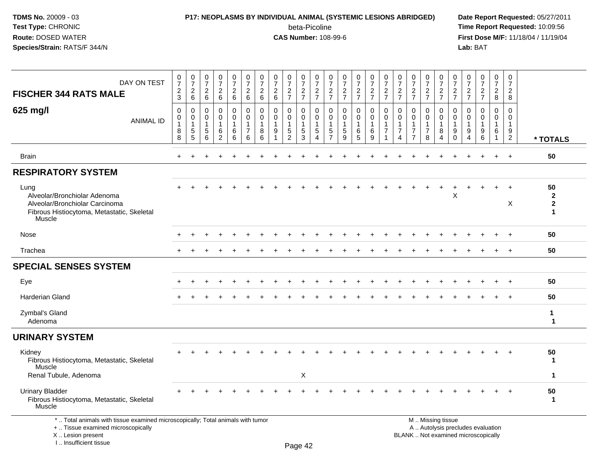### **P17: NEOPLASMS BY INDIVIDUAL ANIMAL (SYSTEMIC LESIONS ABRIDGED) Date Report Requested:** 05/27/2011

beta-Picoline<br>CAS Number: 108-99-6

| DAY ON TEST<br><b>FISCHER 344 RATS MALE</b>                                                                                                                         | $\begin{smallmatrix}0\\7\end{smallmatrix}$<br>$\sqrt{2}$<br>$\mathbf{3}$ | $\frac{0}{7}$<br>$\sqrt{2}$<br>6                                | $\frac{0}{7}$<br>$\sqrt{2}$<br>6                    | 0<br>$\overline{7}$<br>$\overline{c}$<br>6          | $\frac{0}{7}$<br>$\overline{2}$<br>6                 | $\pmb{0}$<br>$\overline{7}$<br>$\boldsymbol{2}$<br>6           | $\frac{0}{7}$<br>$\sqrt{2}$<br>6                     | $\frac{0}{7}$<br>$\sqrt{2}$<br>6                 | $\begin{array}{c} 0 \\ 7 \end{array}$<br>$\overline{2}$<br>$\overline{7}$ | $\frac{0}{7}$<br>$\frac{2}{7}$                                | 0<br>$\overline{7}$<br>$\frac{2}{7}$                            | 0<br>$\overline{7}$<br>$\sqrt{2}$<br>$\overline{7}$                         | $\begin{array}{c} 0 \\ 7 \end{array}$<br>$\boldsymbol{2}$<br>$\overline{7}$ | 0<br>$\overline{7}$<br>$\sqrt{2}$<br>$\overline{7}$         | $\frac{0}{7}$<br>$\frac{2}{7}$                                     | 0<br>$\overline{7}$<br>$\frac{2}{7}$                | 0<br>$\overline{7}$<br>$\boldsymbol{2}$<br>$\overline{7}$                 | $\begin{array}{c} 0 \\ 7 \end{array}$<br>$\frac{2}{7}$        | 0<br>$\overline{7}$<br>$\sqrt{2}$<br>$\overline{7}$            | $\pmb{0}$<br>$\overline{7}$<br>$\frac{2}{7}$                                | 0<br>$\overline{7}$<br>$\overline{c}$<br>$\overline{7}$ | 0<br>$\overline{7}$<br>$\frac{2}{7}$                  | $\frac{0}{7}$<br>$\boldsymbol{2}$<br>$\overline{7}$                      | $\frac{0}{7}$<br>$\boldsymbol{2}$<br>8                            | $\mathbf 0$<br>$\overline{7}$<br>$\overline{2}$<br>8           |                                        |
|---------------------------------------------------------------------------------------------------------------------------------------------------------------------|--------------------------------------------------------------------------|-----------------------------------------------------------------|-----------------------------------------------------|-----------------------------------------------------|------------------------------------------------------|----------------------------------------------------------------|------------------------------------------------------|--------------------------------------------------|---------------------------------------------------------------------------|---------------------------------------------------------------|-----------------------------------------------------------------|-----------------------------------------------------------------------------|-----------------------------------------------------------------------------|-------------------------------------------------------------|--------------------------------------------------------------------|-----------------------------------------------------|---------------------------------------------------------------------------|---------------------------------------------------------------|----------------------------------------------------------------|-----------------------------------------------------------------------------|---------------------------------------------------------|-------------------------------------------------------|--------------------------------------------------------------------------|-------------------------------------------------------------------|----------------------------------------------------------------|----------------------------------------|
| 625 mg/l<br><b>ANIMAL ID</b>                                                                                                                                        | 0<br>$\mathsf 0$<br>$\mathbf{1}$<br>8<br>8                               | $\mathbf 0$<br>$\mathbf 0$<br>$\overline{1}$<br>$\sqrt{5}$<br>5 | $\Omega$<br>$\mathbf 0$<br>$\overline{1}$<br>5<br>6 | $\Omega$<br>$\mathbf 0$<br>1<br>6<br>$\overline{2}$ | $\mathbf 0$<br>$\mathbf 0$<br>$\mathbf{1}$<br>6<br>6 | $\Omega$<br>$\mathbf 0$<br>$\mathbf{1}$<br>$\overline{7}$<br>6 | $\mathbf 0$<br>$\mathbf 0$<br>$\mathbf{1}$<br>8<br>6 | $\mathbf{0}$<br>$\mathbf 0$<br>$\mathbf{1}$<br>9 | $\mathbf{0}$<br>$\mathbf 0$<br>1<br>$\sqrt{5}$<br>$\overline{2}$          | $\mathbf 0$<br>$\mathbf 0$<br>$\mathbf{1}$<br>$\sqrt{5}$<br>3 | 0<br>$\mathsf{O}\xspace$<br>$\mathbf{1}$<br>5<br>$\overline{4}$ | $\Omega$<br>$\mathbf 0$<br>$\mathbf{1}$<br>$\overline{5}$<br>$\overline{7}$ | $\Omega$<br>$\mathbf 0$<br>$\mathbf{1}$<br>$\sqrt{5}$<br>9                  | 0<br>$\mathbf 0$<br>$\mathbf{1}$<br>$\,6$<br>$5\phantom{1}$ | $\mathbf 0$<br>$\mathbf 0$<br>$\mathbf{1}$<br>$6\phantom{1}6$<br>9 | $\Omega$<br>0<br>$\mathbf 1$<br>$\overline{7}$<br>1 | $\Omega$<br>$\mathbf 0$<br>-1<br>$\overline{7}$<br>$\boldsymbol{\Lambda}$ | $\mathbf{0}$<br>$\mathbf 0$<br>$\mathbf{1}$<br>$\overline{7}$ | $\Omega$<br>$\mathbf 0$<br>$\mathbf{1}$<br>$\overline{7}$<br>8 | $\Omega$<br>$\overline{0}$<br>$\overline{1}$<br>8<br>$\boldsymbol{\Lambda}$ | $\Omega$<br>0<br>$\mathbf{1}$<br>9<br>$\Omega$          | $\Omega$<br>$\Omega$<br>$\mathbf{1}$<br>9<br>$\Delta$ | $\Omega$<br>$\mathbf 0$<br>1<br>9<br>6                                   | $\mathbf 0$<br>$\mathbf 0$<br>$\mathbf{1}$<br>6<br>$\overline{1}$ | $\Omega$<br>$\mathbf 0$<br>$\mathbf{1}$<br>9<br>$\overline{2}$ | * TOTALS                               |
| <b>Brain</b>                                                                                                                                                        | $\ddot{}$                                                                |                                                                 |                                                     |                                                     |                                                      |                                                                |                                                      |                                                  |                                                                           |                                                               |                                                                 |                                                                             |                                                                             |                                                             |                                                                    |                                                     |                                                                           |                                                               |                                                                |                                                                             |                                                         |                                                       | +                                                                        | $\ddot{}$                                                         | $+$                                                            | 50                                     |
| <b>RESPIRATORY SYSTEM</b>                                                                                                                                           |                                                                          |                                                                 |                                                     |                                                     |                                                      |                                                                |                                                      |                                                  |                                                                           |                                                               |                                                                 |                                                                             |                                                                             |                                                             |                                                                    |                                                     |                                                                           |                                                               |                                                                |                                                                             |                                                         |                                                       |                                                                          |                                                                   |                                                                |                                        |
| Lung<br>Alveolar/Bronchiolar Adenoma<br>Alveolar/Bronchiolar Carcinoma<br>Fibrous Histiocytoma, Metastatic, Skeletal<br>Muscle                                      |                                                                          |                                                                 |                                                     |                                                     |                                                      |                                                                |                                                      |                                                  |                                                                           |                                                               |                                                                 |                                                                             |                                                                             |                                                             |                                                                    |                                                     |                                                                           |                                                               |                                                                | $\ddot{}$                                                                   | X                                                       |                                                       |                                                                          |                                                                   | $\overline{+}$<br>X                                            | 50<br>$\mathbf{2}$<br>$\mathbf 2$<br>1 |
| Nose                                                                                                                                                                |                                                                          |                                                                 |                                                     |                                                     |                                                      |                                                                |                                                      |                                                  |                                                                           |                                                               |                                                                 |                                                                             |                                                                             |                                                             |                                                                    |                                                     |                                                                           |                                                               |                                                                |                                                                             |                                                         |                                                       |                                                                          |                                                                   |                                                                | 50                                     |
| Trachea                                                                                                                                                             |                                                                          |                                                                 |                                                     |                                                     |                                                      |                                                                |                                                      |                                                  |                                                                           |                                                               |                                                                 |                                                                             |                                                                             |                                                             |                                                                    |                                                     |                                                                           |                                                               |                                                                |                                                                             |                                                         |                                                       |                                                                          |                                                                   |                                                                | 50                                     |
| <b>SPECIAL SENSES SYSTEM</b>                                                                                                                                        |                                                                          |                                                                 |                                                     |                                                     |                                                      |                                                                |                                                      |                                                  |                                                                           |                                                               |                                                                 |                                                                             |                                                                             |                                                             |                                                                    |                                                     |                                                                           |                                                               |                                                                |                                                                             |                                                         |                                                       |                                                                          |                                                                   |                                                                |                                        |
| Eye                                                                                                                                                                 |                                                                          |                                                                 |                                                     |                                                     |                                                      |                                                                |                                                      |                                                  |                                                                           |                                                               |                                                                 |                                                                             |                                                                             |                                                             |                                                                    |                                                     |                                                                           |                                                               |                                                                |                                                                             |                                                         |                                                       |                                                                          |                                                                   |                                                                | 50                                     |
| Harderian Gland                                                                                                                                                     |                                                                          |                                                                 |                                                     |                                                     |                                                      |                                                                |                                                      |                                                  |                                                                           |                                                               |                                                                 |                                                                             |                                                                             |                                                             |                                                                    |                                                     |                                                                           |                                                               |                                                                |                                                                             |                                                         |                                                       |                                                                          |                                                                   |                                                                | 50                                     |
| Zymbal's Gland<br>Adenoma                                                                                                                                           |                                                                          |                                                                 |                                                     |                                                     |                                                      |                                                                |                                                      |                                                  |                                                                           |                                                               |                                                                 |                                                                             |                                                                             |                                                             |                                                                    |                                                     |                                                                           |                                                               |                                                                |                                                                             |                                                         |                                                       |                                                                          |                                                                   |                                                                | $\mathbf{1}$<br>1                      |
| <b>URINARY SYSTEM</b>                                                                                                                                               |                                                                          |                                                                 |                                                     |                                                     |                                                      |                                                                |                                                      |                                                  |                                                                           |                                                               |                                                                 |                                                                             |                                                                             |                                                             |                                                                    |                                                     |                                                                           |                                                               |                                                                |                                                                             |                                                         |                                                       |                                                                          |                                                                   |                                                                |                                        |
| Kidney<br>Fibrous Histiocytoma, Metastatic, Skeletal<br>Muscle                                                                                                      |                                                                          |                                                                 |                                                     |                                                     |                                                      |                                                                |                                                      |                                                  |                                                                           |                                                               |                                                                 |                                                                             |                                                                             |                                                             |                                                                    |                                                     |                                                                           |                                                               |                                                                |                                                                             |                                                         |                                                       |                                                                          |                                                                   |                                                                | 50<br>$\mathbf 1$                      |
| Renal Tubule, Adenoma                                                                                                                                               |                                                                          |                                                                 |                                                     |                                                     |                                                      |                                                                |                                                      |                                                  |                                                                           | X                                                             |                                                                 |                                                                             |                                                                             |                                                             |                                                                    |                                                     |                                                                           |                                                               |                                                                |                                                                             |                                                         |                                                       |                                                                          |                                                                   |                                                                | $\mathbf 1$                            |
| <b>Urinary Bladder</b><br>Fibrous Histiocytoma, Metastatic, Skeletal<br>Muscle                                                                                      |                                                                          |                                                                 |                                                     |                                                     |                                                      |                                                                |                                                      |                                                  |                                                                           |                                                               |                                                                 |                                                                             |                                                                             |                                                             |                                                                    |                                                     |                                                                           |                                                               |                                                                |                                                                             |                                                         |                                                       |                                                                          |                                                                   |                                                                | 50<br>1                                |
| *  Total animals with tissue examined microscopically; Total animals with tumor<br>+  Tissue examined microscopically<br>X  Lesion present<br>I Insufficient tissue |                                                                          |                                                                 |                                                     |                                                     |                                                      |                                                                |                                                      |                                                  |                                                                           | $D_{200}$ $A2$                                                |                                                                 |                                                                             |                                                                             |                                                             |                                                                    |                                                     |                                                                           | M  Missing tissue                                             |                                                                |                                                                             |                                                         |                                                       | A  Autolysis precludes evaluation<br>BLANK  Not examined microscopically |                                                                   |                                                                |                                        |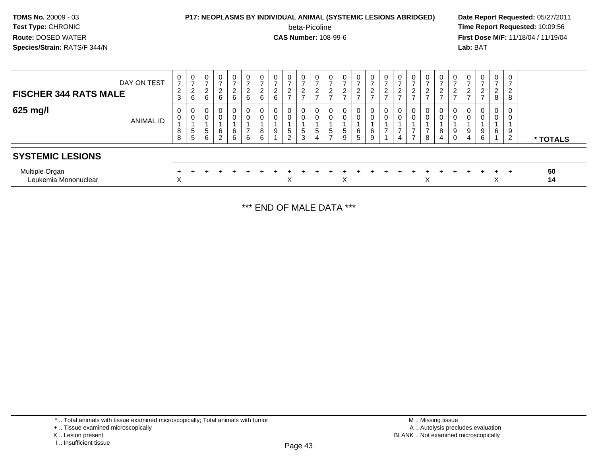### **P17: NEOPLASMS BY INDIVIDUAL ANIMAL (SYSTEMIC LESIONS ABRIDGED) Date Report Requested:** 05/27/2011 beta-Picoline<br>CAS Number: 108-99-6

 **Time Report Requested:** 10:09:56 **First Dose M/F:** 11/18/04 / 11/19/04<br>**Lab:** BAT **Lab:** BAT

| DAY ON TEST<br><b>FISCHER 344 RATS MALE</b> | $\mathbf{0}$<br>$\overline{ }$<br>$\overline{2}$<br>$\mathbf{3}$ | $\mathbf 0$<br>$\overline{ }$<br>$\overline{2}$<br>6 | $\mathbf 0$<br>$\rightarrow$<br>$\mathcal{D}$<br>∠<br>6 | $\mathbf 0$<br>っ<br>6                 | –<br>$\sim$<br>6 | $\sim$<br>6   | $\mathbf 0$<br>$\sim$<br>▃<br>6 | $\sim$<br>6 | 0<br>-<br>$\Omega$<br>$\rightarrow$      | 0<br>$\overline{ }$<br>$\Omega$<br>∠<br>$\overline{\phantom{0}}$ | $\pmb{0}$<br>$\overline{ }$<br>2<br>$\overline{ }$ | 0<br>$\sim$ | 0<br>$\overline{2}$<br>$\overline{ }$ | 0<br>⇁<br>$\Omega$<br>$\frac{2}{7}$ | 0<br>$\overline{ }$<br>$\frac{2}{7}$ | U<br>$\sim$<br><u>_</u><br>- | 0<br>$\mathcal{D}$<br>∠ | 0<br>$\overline{ }$<br>$\overline{2}$<br>$\overline{ }$ | 0<br>$\overline{c}$<br>$\rightarrow$ | $\mathbf 0$<br>$\overline{2}$<br>$\rightarrow$ | $\sim$      | -      | $\mathbf 0$<br>–<br>ົ<br>$\rightarrow$ | $\mathbf{0}$<br>$\overline{2}$<br>8 | 0<br>ົາ<br>∼<br>8                       |          |
|---------------------------------------------|------------------------------------------------------------------|------------------------------------------------------|---------------------------------------------------------|---------------------------------------|------------------|---------------|---------------------------------|-------------|------------------------------------------|------------------------------------------------------------------|----------------------------------------------------|-------------|---------------------------------------|-------------------------------------|--------------------------------------|------------------------------|-------------------------|---------------------------------------------------------|--------------------------------------|------------------------------------------------|-------------|--------|----------------------------------------|-------------------------------------|-----------------------------------------|----------|
| 625 mg/l<br><b>ANIMAL ID</b>                | 0<br>0<br>8<br>8                                                 | 0<br>0<br>$\mathbf{p}$<br>5                          | 0<br>0<br>5<br>6                                        | $\overline{0}$<br>6<br>$\overline{2}$ | ⌒<br>6<br>6      | $\Omega$<br>6 | 0<br>0<br>8<br>6                | 9           | 0<br>$\mathbf 0$<br>$5\phantom{.0}$<br>2 | 0<br>0<br>$5\overline{)}$<br>3                                   | 0<br>$\pmb{0}$<br>$\sqrt{5}$<br>$\overline{4}$     | 0<br>5<br>- | $\overline{0}$<br>5<br>9              | 0<br>0<br>6<br>5                    | 0<br>0<br>6<br>9                     | U<br>0                       | 0<br>0<br>4             | 0<br>$\overline{ }$<br>$\overline{ }$                   | 0<br>0<br>8                          | 0<br>$\mathbf 0$<br>8<br>$\overline{4}$        | 9<br>$\sim$ | 9<br>4 | 0<br>0<br>9<br>6                       | 0<br>0<br>6                         | $\mathbf 0$<br>0<br>9<br>$\overline{2}$ | * TOTALS |
| <b>SYSTEMIC LESIONS</b>                     |                                                                  |                                                      |                                                         |                                       |                  |               |                                 |             |                                          |                                                                  |                                                    |             |                                       |                                     |                                      |                              |                         |                                                         |                                      |                                                |             |        |                                        |                                     |                                         |          |
| Multiple Organ<br>Leukemia Mononuclear      | X                                                                |                                                      |                                                         |                                       |                  |               |                                 |             | X                                        |                                                                  |                                                    |             | X                                     |                                     |                                      |                              |                         |                                                         | $\checkmark$<br>ㅅ                    |                                                |             |        |                                        | $+$<br>⌒                            |                                         | 50<br>14 |

\*\*\* END OF MALE DATA \*\*\*

\* .. Total animals with tissue examined microscopically; Total animals with tumor

X .. Lesion present

I .. Insufficient tissue

<sup>+ ..</sup> Tissue examined microscopically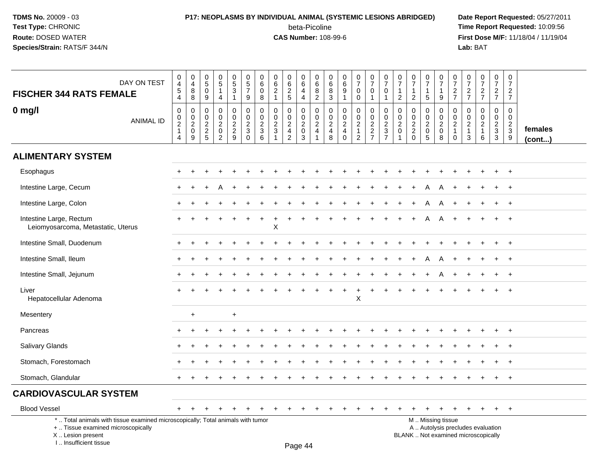### **P17: NEOPLASMS BY INDIVIDUAL ANIMAL (SYSTEMIC LESIONS ABRIDGED) Date Report Requested:** 05/27/2011 beta-Picoline<br>CAS Number: 108-99-6

| DAY ON TEST<br><b>FISCHER 344 RATS FEMALE</b>                                                                                                                       | $\,0\,$<br>$\overline{4}$<br>$\,$ 5 $\,$<br>4                  | $\pmb{0}$<br>$\overline{4}$<br>$\bf 8$<br>8         | 0<br>$\sqrt{5}$<br>$\mathbf 0$<br>9                    | 0<br>$\sqrt{5}$<br>$\mathbf{1}$<br>$\overline{4}$                              | $\begin{array}{c} 0 \\ 5 \end{array}$<br>$\mathbf{3}$<br>$\mathbf{1}$ | $\begin{array}{c} 0 \\ 5 \end{array}$<br>$\overline{7}$<br>9 | $\pmb{0}$<br>$\overline{6}$<br>$\pmb{0}$<br>8 | $\mathbf 0$<br>6<br>$\overline{2}$<br>$\overline{1}$ | $\mathbf 0$<br>$\frac{6}{2}$<br>$\overline{5}$                | 0<br>$6\phantom{a}$<br>$\overline{4}$<br>$\overline{4}$ | $\mathbf 0$<br>$\,6\,$<br>8<br>$\sqrt{2}$                            | $\mathbf 0$<br>6<br>8<br>$\mathfrak{S}$                     | 0<br>$\,6$<br>$\boldsymbol{9}$<br>$\mathbf{1}$                  | $\begin{array}{c} 0 \\ 7 \end{array}$<br>$\mathbf 0$<br>$\pmb{0}$        | $\begin{array}{c} 0 \\ 7 \end{array}$<br>$\mathbf 0$<br>$\mathbf{1}$ | 0<br>$\overline{7}$<br>$\mathbf 0$<br>$\overline{1}$          | $\mathbf 0$<br>$\overline{7}$<br>$\overline{1}$<br>$\overline{2}$ | $\pmb{0}$<br>$\overline{7}$<br>$\mathbf{1}$<br>$\overline{2}$ | $\frac{0}{7}$<br>$\mathbf{1}$<br>5    | $\frac{0}{7}$<br>$\mathbf{1}$<br>$\mathsf g$             | $\mathbf 0$<br>$\overline{7}$<br>$\overline{2}$<br>$\overline{7}$           | $\begin{smallmatrix}0\\7\end{smallmatrix}$<br>$\frac{2}{7}$          | $\begin{array}{c} 0 \\ 7 \end{array}$<br>$rac{2}{7}$                     | $\begin{smallmatrix}0\\7\end{smallmatrix}$<br>$\overline{2}$<br>$\overline{7}$ | $\mathsf 0$<br>$\overline{7}$<br>$\overline{2}$<br>$\overline{7}$ |                         |
|---------------------------------------------------------------------------------------------------------------------------------------------------------------------|----------------------------------------------------------------|-----------------------------------------------------|--------------------------------------------------------|--------------------------------------------------------------------------------|-----------------------------------------------------------------------|--------------------------------------------------------------|-----------------------------------------------|------------------------------------------------------|---------------------------------------------------------------|---------------------------------------------------------|----------------------------------------------------------------------|-------------------------------------------------------------|-----------------------------------------------------------------|--------------------------------------------------------------------------|----------------------------------------------------------------------|---------------------------------------------------------------|-------------------------------------------------------------------|---------------------------------------------------------------|---------------------------------------|----------------------------------------------------------|-----------------------------------------------------------------------------|----------------------------------------------------------------------|--------------------------------------------------------------------------|--------------------------------------------------------------------------------|-------------------------------------------------------------------|-------------------------|
| $0$ mg/l<br><b>ANIMAL ID</b>                                                                                                                                        | 0<br>$\pmb{0}$<br>$\sqrt{2}$<br>$\mathbf{1}$<br>$\overline{4}$ | $\pmb{0}$<br>$\frac{0}{2}$<br>$\boldsymbol{0}$<br>9 | 0<br>0<br>$\boldsymbol{2}$<br>$\sqrt{2}$<br>$\sqrt{5}$ | $\mathbf 0$<br>$\Omega$<br>$\sqrt{2}$<br>$\mathsf{O}\xspace$<br>$\overline{2}$ | $\mathbf 0$<br>0<br>$\frac{2}{2}$<br>9                                | 0<br>$\mathsf{O}\xspace$<br>$\frac{2}{3}$<br>$\Omega$        | $\pmb{0}$<br>$\pmb{0}$<br>$\frac{2}{3}$<br>6  | $\mathbf 0$<br>0<br>$\sqrt{2}$<br>$\mathbf{3}$       | $\mathbf 0$<br>$\mathbf 0$<br>$\frac{2}{4}$<br>$\overline{2}$ | 0<br>0<br>$\frac{2}{0}$<br>$\mathbf{3}$                 | $\mathbf 0$<br>$\boldsymbol{0}$<br>$\sqrt{2}$<br>$\overline{4}$<br>1 | $\mathbf 0$<br>0<br>$\boldsymbol{2}$<br>$\overline{4}$<br>8 | $\Omega$<br>0<br>$\boldsymbol{2}$<br>$\overline{4}$<br>$\Omega$ | $\mathbf 0$<br>$\pmb{0}$<br>$\sqrt{2}$<br>$\mathbf{1}$<br>$\overline{c}$ | $\mathbf 0$<br>$\mathbf 0$<br>$\frac{2}{2}$<br>$\overline{7}$        | $\mathbf 0$<br>$\mathbf 0$<br>$\frac{2}{3}$<br>$\overline{7}$ | $\mathbf 0$<br>0<br>$\overline{c}$<br>$\mathbf 0$<br>1            | $\mathbf 0$<br>0<br>$\frac{2}{2}$<br>$\mathbf 0$              | 0<br>0<br>$\frac{2}{0}$<br>$\sqrt{5}$ | $\mathbf 0$<br>$\mathsf{O}\xspace$<br>$\frac{2}{0}$<br>8 | $\mathbf 0$<br>$\pmb{0}$<br>$\boldsymbol{2}$<br>$\mathbf{1}$<br>$\mathbf 0$ | $\mathbf 0$<br>0<br>$\overline{c}$<br>$\overline{1}$<br>$\mathbf{3}$ | $\mathbf 0$<br>0<br>$\boldsymbol{2}$<br>$\mathbf{1}$<br>6                | $\mathbf 0$<br>$\mathbf 0$<br>$\frac{2}{3}$<br>3                               | $\mathbf 0$<br>$\mathbf 0$<br>$\frac{2}{3}$<br>9                  | females<br>$($ cont $)$ |
| <b>ALIMENTARY SYSTEM</b>                                                                                                                                            |                                                                |                                                     |                                                        |                                                                                |                                                                       |                                                              |                                               |                                                      |                                                               |                                                         |                                                                      |                                                             |                                                                 |                                                                          |                                                                      |                                                               |                                                                   |                                                               |                                       |                                                          |                                                                             |                                                                      |                                                                          |                                                                                |                                                                   |                         |
| Esophagus                                                                                                                                                           |                                                                |                                                     |                                                        |                                                                                |                                                                       |                                                              |                                               |                                                      |                                                               |                                                         |                                                                      |                                                             |                                                                 |                                                                          |                                                                      |                                                               |                                                                   |                                                               |                                       |                                                          |                                                                             |                                                                      |                                                                          |                                                                                |                                                                   |                         |
| Intestine Large, Cecum                                                                                                                                              |                                                                |                                                     |                                                        |                                                                                |                                                                       |                                                              |                                               |                                                      |                                                               |                                                         |                                                                      |                                                             |                                                                 |                                                                          |                                                                      |                                                               |                                                                   |                                                               |                                       |                                                          |                                                                             |                                                                      |                                                                          |                                                                                | $\overline{ }$                                                    |                         |
| Intestine Large, Colon                                                                                                                                              | $+$                                                            |                                                     |                                                        |                                                                                |                                                                       |                                                              |                                               |                                                      |                                                               |                                                         |                                                                      |                                                             |                                                                 |                                                                          |                                                                      |                                                               |                                                                   |                                                               | A                                     | A                                                        | $\div$                                                                      |                                                                      |                                                                          | $\ddot{}$                                                                      | $+$                                                               |                         |
| Intestine Large, Rectum<br>Leiomyosarcoma, Metastatic, Uterus                                                                                                       |                                                                |                                                     |                                                        |                                                                                |                                                                       |                                                              | $\ddot{}$                                     | Х                                                    |                                                               |                                                         |                                                                      |                                                             |                                                                 |                                                                          |                                                                      |                                                               |                                                                   |                                                               |                                       |                                                          |                                                                             |                                                                      |                                                                          |                                                                                | $\overline{+}$                                                    |                         |
| Intestine Small, Duodenum                                                                                                                                           | ÷                                                              |                                                     |                                                        |                                                                                |                                                                       |                                                              |                                               |                                                      |                                                               |                                                         |                                                                      |                                                             |                                                                 |                                                                          |                                                                      |                                                               |                                                                   |                                                               |                                       |                                                          |                                                                             |                                                                      |                                                                          | $\ddot{}$                                                                      | $+$                                                               |                         |
| Intestine Small, Ileum                                                                                                                                              |                                                                |                                                     |                                                        |                                                                                |                                                                       |                                                              |                                               |                                                      |                                                               |                                                         |                                                                      |                                                             |                                                                 |                                                                          |                                                                      |                                                               |                                                                   |                                                               |                                       |                                                          |                                                                             |                                                                      |                                                                          |                                                                                | $+$                                                               |                         |
| Intestine Small, Jejunum                                                                                                                                            | $\ddot{}$                                                      |                                                     |                                                        |                                                                                |                                                                       |                                                              |                                               |                                                      |                                                               |                                                         |                                                                      |                                                             |                                                                 |                                                                          |                                                                      |                                                               |                                                                   |                                                               |                                       |                                                          |                                                                             |                                                                      |                                                                          | $\ddot{}$                                                                      | $+$                                                               |                         |
| Liver<br>Hepatocellular Adenoma                                                                                                                                     |                                                                |                                                     |                                                        |                                                                                |                                                                       |                                                              |                                               |                                                      |                                                               |                                                         |                                                                      |                                                             |                                                                 | X                                                                        |                                                                      |                                                               |                                                                   |                                                               |                                       |                                                          |                                                                             |                                                                      |                                                                          |                                                                                |                                                                   |                         |
| Mesentery                                                                                                                                                           |                                                                | $\ddot{}$                                           |                                                        |                                                                                | $\ddot{}$                                                             |                                                              |                                               |                                                      |                                                               |                                                         |                                                                      |                                                             |                                                                 |                                                                          |                                                                      |                                                               |                                                                   |                                                               |                                       |                                                          |                                                                             |                                                                      |                                                                          |                                                                                |                                                                   |                         |
| Pancreas                                                                                                                                                            |                                                                |                                                     |                                                        |                                                                                |                                                                       |                                                              |                                               |                                                      |                                                               |                                                         |                                                                      |                                                             |                                                                 |                                                                          |                                                                      |                                                               |                                                                   |                                                               |                                       |                                                          |                                                                             |                                                                      |                                                                          |                                                                                |                                                                   |                         |
| <b>Salivary Glands</b>                                                                                                                                              |                                                                |                                                     |                                                        |                                                                                |                                                                       |                                                              |                                               |                                                      |                                                               |                                                         |                                                                      |                                                             |                                                                 |                                                                          |                                                                      |                                                               |                                                                   |                                                               |                                       |                                                          |                                                                             |                                                                      |                                                                          |                                                                                |                                                                   |                         |
| Stomach, Forestomach                                                                                                                                                |                                                                |                                                     |                                                        |                                                                                |                                                                       |                                                              |                                               |                                                      |                                                               |                                                         |                                                                      |                                                             |                                                                 |                                                                          |                                                                      |                                                               |                                                                   |                                                               |                                       |                                                          |                                                                             |                                                                      |                                                                          |                                                                                |                                                                   |                         |
| Stomach, Glandular                                                                                                                                                  |                                                                |                                                     |                                                        |                                                                                |                                                                       |                                                              |                                               |                                                      |                                                               |                                                         |                                                                      |                                                             |                                                                 |                                                                          |                                                                      |                                                               |                                                                   |                                                               |                                       |                                                          |                                                                             |                                                                      |                                                                          |                                                                                | $+$                                                               |                         |
| <b>CARDIOVASCULAR SYSTEM</b>                                                                                                                                        |                                                                |                                                     |                                                        |                                                                                |                                                                       |                                                              |                                               |                                                      |                                                               |                                                         |                                                                      |                                                             |                                                                 |                                                                          |                                                                      |                                                               |                                                                   |                                                               |                                       |                                                          |                                                                             |                                                                      |                                                                          |                                                                                |                                                                   |                         |
| <b>Blood Vessel</b>                                                                                                                                                 | $+$                                                            | $\overline{+}$                                      |                                                        |                                                                                |                                                                       |                                                              |                                               |                                                      |                                                               | $\div$                                                  |                                                                      |                                                             |                                                                 |                                                                          |                                                                      |                                                               |                                                                   |                                                               | $\ddot{}$                             | $\pm$                                                    | $\overline{+}$                                                              | $\pm$                                                                | $+$                                                                      | $+$                                                                            | $+$                                                               |                         |
| *  Total animals with tissue examined microscopically; Total animals with tumor<br>+  Tissue examined microscopically<br>X  Lesion present<br>I Insufficient tissue |                                                                |                                                     |                                                        |                                                                                |                                                                       |                                                              |                                               |                                                      |                                                               | $D_{200}$ $\Lambda$                                     |                                                                      |                                                             |                                                                 |                                                                          |                                                                      |                                                               |                                                                   |                                                               |                                       | M  Missing tissue                                        |                                                                             |                                                                      | A  Autolysis precludes evaluation<br>BLANK  Not examined microscopically |                                                                                |                                                                   |                         |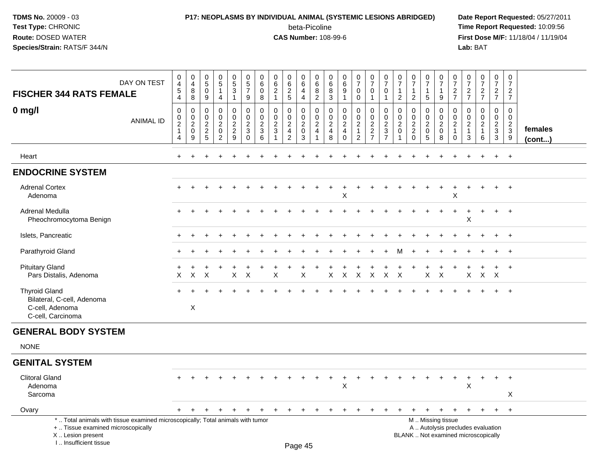### **P17: NEOPLASMS BY INDIVIDUAL ANIMAL (SYSTEMIC LESIONS ABRIDGED) Date Report Requested:** 05/27/2011

beta-Picoline<br>CAS Number: 108-99-6

| DAY ON TEST<br><b>FISCHER 344 RATS FEMALE</b>                                                                                                                       | $\pmb{0}$<br>$\overline{4}$<br>$\overline{5}$<br>$\overline{4}$ | 0<br>4<br>8<br>8                             | 0<br>$\sqrt{5}$<br>$\mathbf 0$<br>9                    | 0<br>5<br>$\mathbf 1$<br>$\overline{4}$                             | $\begin{matrix} 0 \\ 5 \end{matrix}$<br>3<br>$\mathbf{1}$       | $\pmb{0}$<br>$\,$ 5 $\,$<br>$\overline{7}$<br>9                          | $\mathbf 0$<br>6<br>$\mathbf 0$<br>8                           | $\pmb{0}$<br>$6\phantom{1}$<br>$\overline{2}$<br>$\mathbf{1}$ | 0<br>$\,6\,$<br>$\overline{2}$<br>5                          | $\pmb{0}$<br>$\,6\,$<br>$\overline{4}$<br>$\overline{4}$          | 0<br>$\,6\,$<br>$\, 8$<br>$\sqrt{2}$                             | 0<br>6<br>$\bf 8$<br>3                                          | $\pmb{0}$<br>$\,6\,$<br>9<br>$\overline{1}$                         | $\frac{0}{7}$<br>$\mathbf 0$<br>$\mathbf 0$                                    | $\begin{smallmatrix}0\\7\end{smallmatrix}$<br>$\mathbf 0$<br>$\mathbf{1}$ | $\pmb{0}$<br>$\overline{7}$<br>$\mathbf 0$<br>$\mathbf{1}$                  | 0<br>$\overline{7}$<br>$\overline{1}$<br>$\overline{2}$ | $\begin{array}{c} 0 \\ 7 \end{array}$<br>$\overline{2}$                         | $\frac{0}{7}$<br>-1<br>$\sqrt{5}$                         | $\frac{0}{7}$<br>$\mathbf{1}$<br>9                               | 0<br>$\overline{7}$<br>$\frac{2}{7}$                           | $\begin{smallmatrix}0\\7\end{smallmatrix}$<br>$\frac{2}{7}$ | $\frac{0}{7}$<br>$\frac{2}{7}$                                           | $\pmb{0}$<br>$\overline{7}$<br>$\frac{2}{7}$                      | $\pmb{0}$<br>$\overline{7}$<br>$\frac{2}{7}$                  |                   |
|---------------------------------------------------------------------------------------------------------------------------------------------------------------------|-----------------------------------------------------------------|----------------------------------------------|--------------------------------------------------------|---------------------------------------------------------------------|-----------------------------------------------------------------|--------------------------------------------------------------------------|----------------------------------------------------------------|---------------------------------------------------------------|--------------------------------------------------------------|-------------------------------------------------------------------|------------------------------------------------------------------|-----------------------------------------------------------------|---------------------------------------------------------------------|--------------------------------------------------------------------------------|---------------------------------------------------------------------------|-----------------------------------------------------------------------------|---------------------------------------------------------|---------------------------------------------------------------------------------|-----------------------------------------------------------|------------------------------------------------------------------|----------------------------------------------------------------|-------------------------------------------------------------|--------------------------------------------------------------------------|-------------------------------------------------------------------|---------------------------------------------------------------|-------------------|
| $0$ mg/l<br><b>ANIMAL ID</b>                                                                                                                                        | 0<br>$\pmb{0}$<br>$\overline{2}$<br>$\mathbf{1}$<br>4           | 0<br>0<br>$\overline{c}$<br>$\mathbf 0$<br>9 | $\Omega$<br>0<br>$\overline{c}$<br>$\overline{2}$<br>5 | 0<br>$\mathsf 0$<br>$\overline{c}$<br>$\mathsf 0$<br>$\overline{2}$ | $\mathbf 0$<br>$\mathbf 0$<br>$\sqrt{2}$<br>$\overline{2}$<br>9 | $\mathbf 0$<br>$\mathbf 0$<br>$\overline{c}$<br>$\mathbf{3}$<br>$\Omega$ | $\Omega$<br>$\mathbf 0$<br>$\overline{2}$<br>$\mathbf{3}$<br>6 | $\Omega$<br>0<br>$\boldsymbol{2}$<br>$\mathbf{3}$             | 0<br>0<br>$\overline{2}$<br>$\overline{4}$<br>$\overline{2}$ | 0<br>$\mathbf 0$<br>$\overline{2}$<br>$\mathbf 0$<br>$\mathbf{3}$ | $\mathbf 0$<br>$\mathsf 0$<br>$\boldsymbol{2}$<br>$\overline{4}$ | $\mathbf 0$<br>$\mathbf 0$<br>$\sqrt{2}$<br>$\overline{4}$<br>8 | $\Omega$<br>$\mathbf 0$<br>$\sqrt{2}$<br>$\overline{4}$<br>$\Omega$ | $\mathbf 0$<br>$\mathbf 0$<br>$\overline{2}$<br>$\mathbf{1}$<br>$\overline{2}$ | 0<br>$\mathbf 0$<br>$\overline{2}$<br>$\overline{2}$<br>$\overline{7}$    | $\Omega$<br>$\mathbf 0$<br>$\overline{2}$<br>$\mathbf{3}$<br>$\overline{7}$ | $\mathbf{0}$<br>0<br>$\overline{c}$<br>0                | $\mathbf{0}$<br>$\mathbf 0$<br>$\overline{2}$<br>$\overline{2}$<br>$\mathbf{0}$ | 0<br>$\pmb{0}$<br>$\sqrt{2}$<br>$\mathbf 0$<br>$\sqrt{5}$ | $\mathbf 0$<br>$\mathsf 0$<br>$\overline{2}$<br>$\mathsf 0$<br>8 | 0<br>$\mathbf 0$<br>$\overline{c}$<br>$\mathbf{1}$<br>$\Omega$ | $\Omega$<br>0<br>$\overline{c}$<br>$\overline{1}$<br>3      | $\mathbf 0$<br>$\mathbf 0$<br>$\overline{2}$<br>$\mathbf{1}$<br>6        | $\mathbf 0$<br>$\mathbf 0$<br>$\overline{2}$<br>$\mathbf{3}$<br>3 | $\mathbf 0$<br>$\mathbf 0$<br>$\frac{2}{3}$<br>$\overline{9}$ | females<br>(cont) |
| Heart                                                                                                                                                               | $\pm$                                                           |                                              |                                                        |                                                                     |                                                                 |                                                                          |                                                                |                                                               |                                                              |                                                                   |                                                                  |                                                                 |                                                                     |                                                                                |                                                                           |                                                                             |                                                         |                                                                                 |                                                           |                                                                  |                                                                |                                                             |                                                                          | $\ddot{}$                                                         | $+$                                                           |                   |
| <b>ENDOCRINE SYSTEM</b>                                                                                                                                             |                                                                 |                                              |                                                        |                                                                     |                                                                 |                                                                          |                                                                |                                                               |                                                              |                                                                   |                                                                  |                                                                 |                                                                     |                                                                                |                                                                           |                                                                             |                                                         |                                                                                 |                                                           |                                                                  |                                                                |                                                             |                                                                          |                                                                   |                                                               |                   |
| <b>Adrenal Cortex</b><br>Adenoma                                                                                                                                    |                                                                 |                                              |                                                        |                                                                     |                                                                 |                                                                          |                                                                |                                                               |                                                              |                                                                   |                                                                  |                                                                 | $\ddot{}$<br>X                                                      |                                                                                |                                                                           |                                                                             |                                                         |                                                                                 |                                                           | $\ddot{}$                                                        | ÷<br>X                                                         |                                                             | $\overline{ }$                                                           | $+$                                                               | $+$                                                           |                   |
| <b>Adrenal Medulla</b><br>Pheochromocytoma Benign                                                                                                                   |                                                                 |                                              |                                                        |                                                                     |                                                                 |                                                                          |                                                                |                                                               |                                                              |                                                                   |                                                                  |                                                                 |                                                                     |                                                                                |                                                                           |                                                                             |                                                         |                                                                                 |                                                           |                                                                  |                                                                | X                                                           |                                                                          | $+$                                                               | $+$                                                           |                   |
| Islets, Pancreatic                                                                                                                                                  |                                                                 |                                              |                                                        |                                                                     |                                                                 |                                                                          |                                                                |                                                               |                                                              |                                                                   |                                                                  |                                                                 |                                                                     |                                                                                |                                                                           |                                                                             |                                                         |                                                                                 |                                                           |                                                                  |                                                                |                                                             |                                                                          |                                                                   | $+$                                                           |                   |
| Parathyroid Gland                                                                                                                                                   |                                                                 |                                              |                                                        |                                                                     |                                                                 |                                                                          |                                                                |                                                               |                                                              |                                                                   |                                                                  |                                                                 |                                                                     |                                                                                |                                                                           |                                                                             |                                                         |                                                                                 |                                                           |                                                                  |                                                                |                                                             |                                                                          |                                                                   | $\overline{ }$                                                |                   |
| <b>Pituitary Gland</b><br>Pars Distalis, Adenoma                                                                                                                    | X                                                               | $\mathsf{X}$                                 | X                                                      |                                                                     | X                                                               | $\times$                                                                 |                                                                | X                                                             |                                                              | X                                                                 |                                                                  | X                                                               | X                                                                   | $\boldsymbol{\mathsf{X}}$                                                      | X                                                                         | X                                                                           | X                                                       |                                                                                 | X                                                         | $\times$                                                         |                                                                | X                                                           | $\div$<br>$\mathsf{X}$                                                   | $\ddot{}$<br>$\mathsf{X}$                                         | $+$                                                           |                   |
| <b>Thyroid Gland</b><br>Bilateral, C-cell, Adenoma<br>C-cell, Adenoma<br>C-cell, Carcinoma                                                                          |                                                                 | $\mathsf{X}$                                 |                                                        |                                                                     |                                                                 |                                                                          |                                                                |                                                               |                                                              |                                                                   |                                                                  |                                                                 |                                                                     |                                                                                |                                                                           |                                                                             |                                                         |                                                                                 |                                                           |                                                                  |                                                                |                                                             |                                                                          |                                                                   | $+$                                                           |                   |
| <b>GENERAL BODY SYSTEM</b>                                                                                                                                          |                                                                 |                                              |                                                        |                                                                     |                                                                 |                                                                          |                                                                |                                                               |                                                              |                                                                   |                                                                  |                                                                 |                                                                     |                                                                                |                                                                           |                                                                             |                                                         |                                                                                 |                                                           |                                                                  |                                                                |                                                             |                                                                          |                                                                   |                                                               |                   |
| <b>NONE</b>                                                                                                                                                         |                                                                 |                                              |                                                        |                                                                     |                                                                 |                                                                          |                                                                |                                                               |                                                              |                                                                   |                                                                  |                                                                 |                                                                     |                                                                                |                                                                           |                                                                             |                                                         |                                                                                 |                                                           |                                                                  |                                                                |                                                             |                                                                          |                                                                   |                                                               |                   |
| <b>GENITAL SYSTEM</b>                                                                                                                                               |                                                                 |                                              |                                                        |                                                                     |                                                                 |                                                                          |                                                                |                                                               |                                                              |                                                                   |                                                                  |                                                                 |                                                                     |                                                                                |                                                                           |                                                                             |                                                         |                                                                                 |                                                           |                                                                  |                                                                |                                                             |                                                                          |                                                                   |                                                               |                   |
| <b>Clitoral Gland</b><br>Adenoma<br>Sarcoma                                                                                                                         |                                                                 |                                              |                                                        |                                                                     |                                                                 |                                                                          |                                                                |                                                               |                                                              |                                                                   |                                                                  |                                                                 | $\ddot{}$<br>$\times$                                               |                                                                                |                                                                           |                                                                             |                                                         |                                                                                 |                                                           |                                                                  |                                                                | +<br>X                                                      | $\div$                                                                   | $+$                                                               | $+$<br>X                                                      |                   |
| Ovary                                                                                                                                                               | $+$                                                             | $\ddot{}$                                    | $\ddot{}$                                              | $\ddot{}$                                                           | $\ddot{}$                                                       |                                                                          | $\ddot{}$                                                      |                                                               | $\ddot{}$                                                    | $\ddot{}$                                                         |                                                                  |                                                                 |                                                                     |                                                                                |                                                                           |                                                                             |                                                         |                                                                                 | $+$                                                       | $\ddot{}$                                                        | $\ddot{}$                                                      | $+$                                                         | $+$                                                                      | $+$                                                               | $+$                                                           |                   |
| *  Total animals with tissue examined microscopically; Total animals with tumor<br>+  Tissue examined microscopically<br>X  Lesion present<br>I Insufficient tissue |                                                                 |                                              |                                                        |                                                                     |                                                                 |                                                                          |                                                                |                                                               |                                                              | $D_{200}$ $AE$                                                    |                                                                  |                                                                 |                                                                     |                                                                                |                                                                           |                                                                             |                                                         |                                                                                 |                                                           | M  Missing tissue                                                |                                                                |                                                             | A  Autolysis precludes evaluation<br>BLANK  Not examined microscopically |                                                                   |                                                               |                   |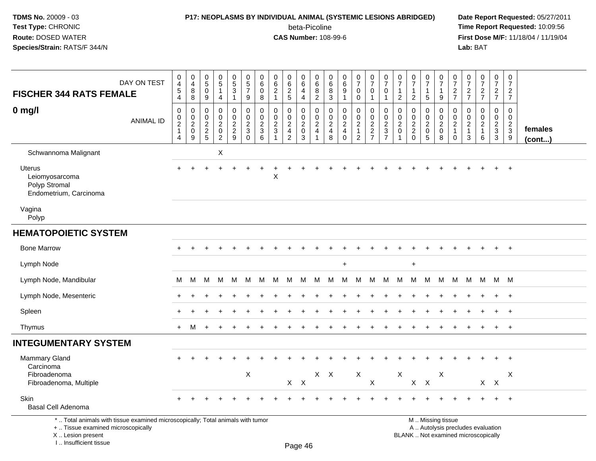#### **P17: NEOPLASMS BY INDIVIDUAL ANIMAL (SYSTEMIC LESIONS ABRIDGED) Date Report Requested:** 05/27/2011

beta-Picoline<br>CAS Number: 108-99-6

 **Time Report Requested:** 10:09:56 **First Dose M/F:** 11/18/04 / 11/19/04<br>**Lab:** BAT **Lab:** BAT

| DAY ON TEST<br><b>FISCHER 344 RATS FEMALE</b>                                                                               | $\pmb{0}$<br>$\overline{4}$<br>$\sqrt{5}$<br>$\overline{4}$ | 0<br>$\overline{4}$<br>8<br>8                   | $\begin{array}{c} 0 \\ 5 \end{array}$<br>0<br>$9\,$                      | $\frac{0}{5}$<br>$\mathbf{1}$<br>$\overline{4}$                                       | $\begin{matrix} 0 \\ 5 \end{matrix}$<br>3<br>$\mathbf{1}$ | $\begin{array}{c} 0 \\ 5 \end{array}$<br>$\overline{7}$<br>9 | 0<br>$\,6\,$<br>$\mathbf 0$<br>8                               | 0<br>$\,6\,$<br>$\overline{2}$<br>$\mathbf{1}$                                      | 0<br>6<br>$rac{2}{5}$                               | 0<br>$\,6\,$<br>4<br>$\overline{4}$                                           | $\begin{array}{c} 0 \\ 6 \end{array}$<br>$\frac{8}{2}$                                  | 0<br>$\,6\,$<br>8<br>3                                                       | $\begin{array}{c} 0 \\ 6 \end{array}$<br>$9\,$<br>$\overline{1}$                    | $\frac{0}{7}$<br>$\mathbf 0$<br>$\mathbf 0$                          | $\frac{0}{7}$<br>0<br>$\mathbf{1}$                                       | $\frac{0}{7}$<br>$\mathbf 0$<br>$\mathbf{1}$                  | $\frac{0}{7}$<br>$\mathbf{1}$<br>$\overline{2}$                                    | $\frac{0}{7}$<br>$\mathbf{1}$<br>$\overline{2}$                                 | $\begin{array}{c} 0 \\ 7 \end{array}$<br>$\begin{array}{c} 1 \\ 5 \end{array}$ | 0<br>$\overline{7}$<br>$\mathbf{1}$<br>9                    | $\frac{0}{7}$<br>$\frac{2}{7}$                                                 | $\frac{0}{7}$<br>$\frac{2}{7}$                                 | $\frac{0}{7}$<br>$\frac{2}{7}$                                    | $\frac{0}{7}$<br>$\frac{2}{7}$                                            | $\mathbf 0$<br>$\overline{7}$<br>$\frac{2}{7}$                  |                         |
|-----------------------------------------------------------------------------------------------------------------------------|-------------------------------------------------------------|-------------------------------------------------|--------------------------------------------------------------------------|---------------------------------------------------------------------------------------|-----------------------------------------------------------|--------------------------------------------------------------|----------------------------------------------------------------|-------------------------------------------------------------------------------------|-----------------------------------------------------|-------------------------------------------------------------------------------|-----------------------------------------------------------------------------------------|------------------------------------------------------------------------------|-------------------------------------------------------------------------------------|----------------------------------------------------------------------|--------------------------------------------------------------------------|---------------------------------------------------------------|------------------------------------------------------------------------------------|---------------------------------------------------------------------------------|--------------------------------------------------------------------------------|-------------------------------------------------------------|--------------------------------------------------------------------------------|----------------------------------------------------------------|-------------------------------------------------------------------|---------------------------------------------------------------------------|-----------------------------------------------------------------|-------------------------|
| $0$ mg/l<br><b>ANIMAL ID</b>                                                                                                | $\pmb{0}$<br>$\mathbf 0$<br>$\frac{2}{1}$<br>$\overline{4}$ | $\mathbf 0$<br>$\mathbf 0$<br>$^2_{\rm 0}$<br>9 | $\mathbf 0$<br>$\mathbf 0$<br>$\begin{array}{c} 2 \\ 2 \\ 5 \end{array}$ | $\mathsf 0$<br>$\mathbf 0$<br>$\overline{c}$<br>$\mathsf{O}\xspace$<br>$\overline{c}$ | 0<br>$\mathbf 0$<br>$\frac{2}{2}$<br>9                    | $\mathbf 0$<br>$\mathbf 0$<br>$\frac{2}{3}$                  | $\mathbf 0$<br>$\Omega$<br>$\overline{c}$<br>$\mathbf{3}$<br>6 | $\Omega$<br>$\Omega$<br>$\boldsymbol{2}$<br>$\mathbf{3}$<br>$\overline{\mathbf{1}}$ | 0<br>$\mathbf 0$<br>$\frac{2}{4}$<br>$\overline{2}$ | $\mathbf 0$<br>$\mathbf 0$<br>$\boldsymbol{2}$<br>$\mathbf 0$<br>$\mathbf{3}$ | $\mathbf 0$<br>$\mathbf 0$<br>$\overline{c}$<br>$\overline{\mathbf{4}}$<br>$\mathbf{1}$ | $\mathbf 0$<br>$\mathbf 0$<br>$\overline{c}$<br>$\overline{\mathbf{4}}$<br>8 | $\mathbf 0$<br>$\mathbf 0$<br>$\overline{2}$<br>$\overline{\mathbf{4}}$<br>$\Omega$ | 0<br>$\mathbf 0$<br>$\overline{2}$<br>$\mathbf{1}$<br>$\overline{2}$ | $\mathbf 0$<br>$\mathbf 0$<br>$\begin{array}{c} 2 \\ 2 \\ 7 \end{array}$ | $\mathbf 0$<br>$\mathbf 0$<br>$\frac{2}{3}$<br>$\overline{7}$ | $\Omega$<br>$\mathbf 0$<br>$\overline{c}$<br>$\mathsf{O}\xspace$<br>$\overline{1}$ | $\mathbf 0$<br>$\mathbf 0$<br>$\overline{c}$<br>$\boldsymbol{2}$<br>$\mathbf 0$ | 0<br>$\mathbf 0$<br>$^2_{\rm 0}$<br>$\sqrt{5}$                                 | $\mathbf 0$<br>$\Omega$<br>$\overline{2}$<br>$\pmb{0}$<br>8 | $\mathbf 0$<br>$\overline{0}$<br>$\overline{c}$<br>$\mathbf{1}$<br>$\mathbf 0$ | $\mathbf 0$<br>$\Omega$<br>$\overline{c}$<br>1<br>$\mathbf{3}$ | $\mathbf 0$<br>$\mathbf 0$<br>$\overline{a}$<br>$\mathbf{1}$<br>6 | $\mathbf 0$<br>$\mathbf 0$<br>$\begin{smallmatrix}2\3\3\end{smallmatrix}$ | $\mathbf 0$<br>$\mathbf 0$<br>$\frac{2}{3}$<br>$\boldsymbol{9}$ | females<br>$($ cont $)$ |
| Schwannoma Malignant                                                                                                        |                                                             |                                                 |                                                                          | $\boldsymbol{\mathsf{X}}$                                                             |                                                           |                                                              |                                                                |                                                                                     |                                                     |                                                                               |                                                                                         |                                                                              |                                                                                     |                                                                      |                                                                          |                                                               |                                                                                    |                                                                                 |                                                                                |                                                             |                                                                                |                                                                |                                                                   |                                                                           |                                                                 |                         |
| Uterus<br>Leiomyosarcoma<br>Polyp Stromal<br>Endometrium, Carcinoma                                                         |                                                             |                                                 |                                                                          |                                                                                       |                                                           |                                                              |                                                                | X                                                                                   |                                                     |                                                                               |                                                                                         |                                                                              |                                                                                     |                                                                      |                                                                          |                                                               |                                                                                    |                                                                                 |                                                                                |                                                             |                                                                                |                                                                |                                                                   |                                                                           | $+$                                                             |                         |
| Vagina<br>Polyp                                                                                                             |                                                             |                                                 |                                                                          |                                                                                       |                                                           |                                                              |                                                                |                                                                                     |                                                     |                                                                               |                                                                                         |                                                                              |                                                                                     |                                                                      |                                                                          |                                                               |                                                                                    |                                                                                 |                                                                                |                                                             |                                                                                |                                                                |                                                                   |                                                                           |                                                                 |                         |
| <b>HEMATOPOIETIC SYSTEM</b>                                                                                                 |                                                             |                                                 |                                                                          |                                                                                       |                                                           |                                                              |                                                                |                                                                                     |                                                     |                                                                               |                                                                                         |                                                                              |                                                                                     |                                                                      |                                                                          |                                                               |                                                                                    |                                                                                 |                                                                                |                                                             |                                                                                |                                                                |                                                                   |                                                                           |                                                                 |                         |
| <b>Bone Marrow</b>                                                                                                          |                                                             |                                                 |                                                                          |                                                                                       |                                                           |                                                              |                                                                |                                                                                     |                                                     |                                                                               |                                                                                         |                                                                              |                                                                                     |                                                                      |                                                                          |                                                               |                                                                                    |                                                                                 |                                                                                |                                                             |                                                                                |                                                                |                                                                   |                                                                           | $+$                                                             |                         |
| Lymph Node                                                                                                                  |                                                             |                                                 |                                                                          |                                                                                       |                                                           |                                                              |                                                                |                                                                                     |                                                     |                                                                               |                                                                                         |                                                                              | $\ddot{}$                                                                           |                                                                      |                                                                          |                                                               |                                                                                    | $+$                                                                             |                                                                                |                                                             |                                                                                |                                                                |                                                                   |                                                                           |                                                                 |                         |
| Lymph Node, Mandibular                                                                                                      | М                                                           | M                                               | М                                                                        | M                                                                                     | M                                                         | м                                                            | M                                                              | M                                                                                   | M                                                   | M                                                                             | M                                                                                       | M                                                                            | M                                                                                   | М                                                                    | М                                                                        | M                                                             | M                                                                                  | M                                                                               | M                                                                              | М                                                           | M                                                                              | M                                                              | M                                                                 |                                                                           | M M                                                             |                         |
| Lymph Node, Mesenteric                                                                                                      |                                                             |                                                 |                                                                          |                                                                                       |                                                           |                                                              |                                                                |                                                                                     |                                                     |                                                                               |                                                                                         |                                                                              |                                                                                     |                                                                      |                                                                          |                                                               |                                                                                    |                                                                                 |                                                                                |                                                             |                                                                                |                                                                |                                                                   |                                                                           | $+$                                                             |                         |
| Spleen                                                                                                                      |                                                             |                                                 |                                                                          |                                                                                       |                                                           |                                                              |                                                                |                                                                                     |                                                     |                                                                               |                                                                                         |                                                                              |                                                                                     |                                                                      |                                                                          |                                                               |                                                                                    |                                                                                 |                                                                                |                                                             |                                                                                |                                                                |                                                                   |                                                                           | $\overline{ }$                                                  |                         |
| Thymus                                                                                                                      | $+$                                                         | M                                               |                                                                          |                                                                                       |                                                           |                                                              |                                                                |                                                                                     |                                                     |                                                                               |                                                                                         |                                                                              |                                                                                     |                                                                      |                                                                          |                                                               |                                                                                    |                                                                                 |                                                                                |                                                             |                                                                                |                                                                |                                                                   | $+$                                                                       | $+$                                                             |                         |
| <b>INTEGUMENTARY SYSTEM</b>                                                                                                 |                                                             |                                                 |                                                                          |                                                                                       |                                                           |                                                              |                                                                |                                                                                     |                                                     |                                                                               |                                                                                         |                                                                              |                                                                                     |                                                                      |                                                                          |                                                               |                                                                                    |                                                                                 |                                                                                |                                                             |                                                                                |                                                                |                                                                   |                                                                           |                                                                 |                         |
| <b>Mammary Gland</b><br>Carcinoma<br>Fibroadenoma<br>Fibroadenoma, Multiple                                                 |                                                             |                                                 |                                                                          |                                                                                       |                                                           | $\times$                                                     |                                                                |                                                                                     | $X$ $X$                                             |                                                                               | $X$ $X$                                                                                 |                                                                              |                                                                                     | X                                                                    | $\sf X$                                                                  |                                                               | $\boldsymbol{\mathsf{X}}$                                                          | $X$ $X$                                                                         |                                                                                | X                                                           |                                                                                |                                                                |                                                                   | $X$ $X$                                                                   | $\overline{1}$<br>X                                             |                         |
| <b>Skin</b><br><b>Basal Cell Adenoma</b><br>*  Total animals with tissue examined microscopically; Total animals with tumor |                                                             |                                                 |                                                                          |                                                                                       |                                                           |                                                              |                                                                |                                                                                     |                                                     |                                                                               |                                                                                         |                                                                              |                                                                                     |                                                                      |                                                                          |                                                               |                                                                                    |                                                                                 |                                                                                | M  Missing tissue                                           |                                                                                |                                                                |                                                                   |                                                                           | $\overline{1}$                                                  |                         |

+ .. Tissue examined microscopically

 Lesion present BLANK .. Not examined microscopicallyX .. Lesion present

I .. Insufficient tissue

Page 46

y the contract of the contract of the contract of the contract of the contract of  $\mathsf A$  . Autolysis precludes evaluation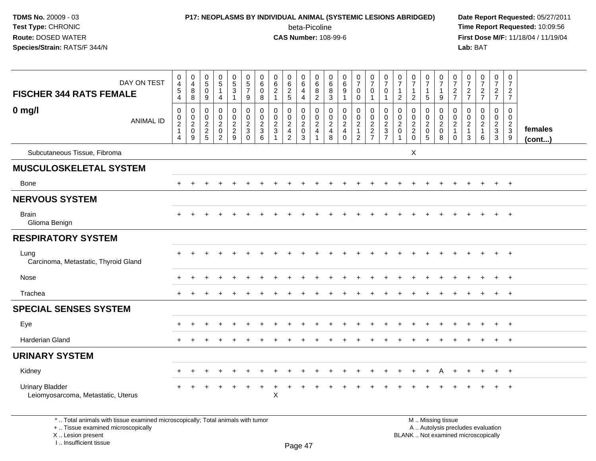I .. Insufficient tissue

### **P17: NEOPLASMS BY INDIVIDUAL ANIMAL (SYSTEMIC LESIONS ABRIDGED) Date Report Requested:** 05/27/2011 beta-Picoline<br>CAS Number: 108-99-6

| DAY ON TEST<br><b>FISCHER 344 RATS FEMALE</b>                                                                                              | $\pmb{0}$<br>$\overline{4}$<br>$\sqrt{5}$<br>$\overline{4}$                    | $\mathbf 0$<br>$\overline{4}$<br>$\bf 8$<br>8                    | $\pmb{0}$<br>$5\phantom{.0}$<br>$\mathbf 0$<br>$\boldsymbol{9}$ | $\begin{matrix}0\\5\end{matrix}$<br>$\mathbf 1$<br>4                 | $\begin{array}{c} 0 \\ 5 \\ 3 \end{array}$<br>$\mathbf{1}$    | $\begin{array}{c} 0 \\ 5 \\ 7 \end{array}$<br>9               | 0<br>$\,6\,$<br>$\mathbf 0$<br>8 | $\pmb{0}$<br>$\,6\,$<br>$\overline{2}$<br>$\mathbf{1}$              | 0<br>$\,6\,$<br>$\overline{2}$<br>$\overline{5}$                       | $\begin{array}{c} 0 \\ 6 \end{array}$<br>$\overline{4}$<br>$\overline{4}$ | $\,0\,$<br>$\frac{6}{8}$<br>$\overline{2}$                          | $\mathbf 0$<br>6<br>8<br>$\mathbf{3}$              | $\boldsymbol{0}$<br>6<br>9<br>$\overline{1}$                               | $\frac{0}{7}$<br>$\mathbf 0$<br>$\pmb{0}$                                      | $\begin{array}{c} 0 \\ 7 \end{array}$<br>$\mathsf 0$<br>$\mathbf{1}$ | $\frac{0}{7}$<br>$\mathbf 0$<br>$\mathbf{1}$ | 0<br>$\overline{7}$<br>$\mathbf{1}$<br>$\overline{2}$     | $\begin{array}{c} 0 \\ 7 \end{array}$<br>$\mathbf{1}$<br>$\overline{2}$ | $\frac{0}{7}$<br>1<br>$\sqrt{5}$                                    | $\begin{matrix} 0 \\ 7 \end{matrix}$<br>$\overline{1}$<br>9      | 0<br>$\overline{7}$<br>$\boldsymbol{2}$<br>$\overline{7}$               | $\frac{0}{7}$<br>$\overline{a}$<br>$\overline{7}$       | $\frac{0}{7}$<br>$\frac{2}{7}$                                           | $\begin{array}{c} 0 \\ 7 \end{array}$<br>$\overline{c}$<br>$\overline{7}$    | $\pmb{0}$<br>$\overline{7}$<br>$\boldsymbol{2}$<br>$\overline{7}$ |                   |
|--------------------------------------------------------------------------------------------------------------------------------------------|--------------------------------------------------------------------------------|------------------------------------------------------------------|-----------------------------------------------------------------|----------------------------------------------------------------------|---------------------------------------------------------------|---------------------------------------------------------------|----------------------------------|---------------------------------------------------------------------|------------------------------------------------------------------------|---------------------------------------------------------------------------|---------------------------------------------------------------------|----------------------------------------------------|----------------------------------------------------------------------------|--------------------------------------------------------------------------------|----------------------------------------------------------------------|----------------------------------------------|-----------------------------------------------------------|-------------------------------------------------------------------------|---------------------------------------------------------------------|------------------------------------------------------------------|-------------------------------------------------------------------------|---------------------------------------------------------|--------------------------------------------------------------------------|------------------------------------------------------------------------------|-------------------------------------------------------------------|-------------------|
| $0$ mg/l<br><b>ANIMAL ID</b>                                                                                                               | $\mathbf 0$<br>$\mathbf 0$<br>$\overline{2}$<br>$\mathbf{1}$<br>$\overline{4}$ | $\mathbf 0$<br>$\mathbf 0$<br>$\overline{2}$<br>$\mathbf 0$<br>9 | $\mathbf 0$<br>$\mathbf 0$<br>$\sqrt{2}$<br>$rac{2}{5}$         | 0<br>$\mathsf{O}$<br>$\overline{a}$<br>$\mathbf 0$<br>$\overline{2}$ | $\mathbf 0$<br>$\mathbf 0$<br>$\overline{2}$<br>$\frac{2}{9}$ | $\mathbf 0$<br>$\mathbf 0$<br>$\frac{2}{3}$<br>$\overline{0}$ | 0<br>0<br>$\sqrt{2}$<br>3<br>6   | $\mathbf 0$<br>$\mathbf 0$<br>$\overline{2}$<br>3<br>$\overline{1}$ | 0<br>$\mathbf 0$<br>$\overline{2}$<br>$\overline{4}$<br>$\overline{2}$ | $\mathbf 0$<br>$\mathbf 0$<br>$\overline{2}$<br>0<br>$\overline{3}$       | $\mathbf 0$<br>$\mathbf 0$<br>$\overline{2}$<br>$\overline{4}$<br>1 | $\mathbf 0$<br>$\mathbf 0$<br>$\sqrt{2}$<br>4<br>8 | $\mathbf 0$<br>$\mathbf 0$<br>$\overline{2}$<br>$\overline{4}$<br>$\Omega$ | $\mathbf 0$<br>$\mathbf 0$<br>$\overline{2}$<br>$\mathbf{1}$<br>$\overline{2}$ | $\mathbf 0$<br>$\mathbf 0$<br>$\frac{2}{7}$                          | 0<br>0<br>$\overline{2}$<br>$\frac{3}{7}$    | $\mathbf 0$<br>0<br>$\boldsymbol{2}$<br>$\mathbf 0$<br>-1 | $\mathbf 0$<br>$\mathbf 0$<br>$\frac{2}{2}$<br>0                        | 0<br>$\mathbf 0$<br>$\overline{2}$<br>$\mathbf 0$<br>$\overline{5}$ | $\mathbf 0$<br>$\mathbf 0$<br>$\overline{2}$<br>$\mathbf 0$<br>8 | $\mathbf 0$<br>$\mathbf 0$<br>$\sqrt{2}$<br>$\mathbf{1}$<br>$\mathbf 0$ | 0<br>$\mathbf 0$<br>$\overline{c}$<br>$\mathbf{1}$<br>3 | $\mathbf 0$<br>$\pmb{0}$<br>$\overline{2}$<br>$\mathbf{1}$<br>6          | $\mathbf 0$<br>$\overline{0}$<br>$\sqrt{2}$<br>$\mathsf 3$<br>$\overline{3}$ | $\mathbf 0$<br>$\mathbf 0$<br>$\overline{c}$<br>3<br>9            | females<br>(cont) |
| Subcutaneous Tissue, Fibroma                                                                                                               |                                                                                |                                                                  |                                                                 |                                                                      |                                                               |                                                               |                                  |                                                                     |                                                                        |                                                                           |                                                                     |                                                    |                                                                            |                                                                                |                                                                      |                                              |                                                           | X                                                                       |                                                                     |                                                                  |                                                                         |                                                         |                                                                          |                                                                              |                                                                   |                   |
| <b>MUSCULOSKELETAL SYSTEM</b>                                                                                                              |                                                                                |                                                                  |                                                                 |                                                                      |                                                               |                                                               |                                  |                                                                     |                                                                        |                                                                           |                                                                     |                                                    |                                                                            |                                                                                |                                                                      |                                              |                                                           |                                                                         |                                                                     |                                                                  |                                                                         |                                                         |                                                                          |                                                                              |                                                                   |                   |
| Bone                                                                                                                                       |                                                                                |                                                                  |                                                                 |                                                                      |                                                               |                                                               |                                  |                                                                     |                                                                        |                                                                           |                                                                     |                                                    |                                                                            |                                                                                |                                                                      |                                              |                                                           |                                                                         |                                                                     |                                                                  |                                                                         |                                                         |                                                                          |                                                                              | $+$                                                               |                   |
| <b>NERVOUS SYSTEM</b>                                                                                                                      |                                                                                |                                                                  |                                                                 |                                                                      |                                                               |                                                               |                                  |                                                                     |                                                                        |                                                                           |                                                                     |                                                    |                                                                            |                                                                                |                                                                      |                                              |                                                           |                                                                         |                                                                     |                                                                  |                                                                         |                                                         |                                                                          |                                                                              |                                                                   |                   |
| <b>Brain</b><br>Glioma Benign                                                                                                              |                                                                                |                                                                  |                                                                 |                                                                      |                                                               |                                                               |                                  |                                                                     |                                                                        |                                                                           |                                                                     |                                                    |                                                                            |                                                                                |                                                                      |                                              |                                                           |                                                                         |                                                                     |                                                                  |                                                                         |                                                         |                                                                          |                                                                              |                                                                   |                   |
| <b>RESPIRATORY SYSTEM</b>                                                                                                                  |                                                                                |                                                                  |                                                                 |                                                                      |                                                               |                                                               |                                  |                                                                     |                                                                        |                                                                           |                                                                     |                                                    |                                                                            |                                                                                |                                                                      |                                              |                                                           |                                                                         |                                                                     |                                                                  |                                                                         |                                                         |                                                                          |                                                                              |                                                                   |                   |
| Lung<br>Carcinoma, Metastatic, Thyroid Gland                                                                                               |                                                                                |                                                                  |                                                                 |                                                                      |                                                               |                                                               |                                  |                                                                     |                                                                        |                                                                           |                                                                     |                                                    |                                                                            |                                                                                |                                                                      |                                              |                                                           |                                                                         |                                                                     |                                                                  |                                                                         |                                                         |                                                                          |                                                                              | $^{+}$                                                            |                   |
| Nose                                                                                                                                       |                                                                                |                                                                  |                                                                 |                                                                      |                                                               |                                                               |                                  |                                                                     |                                                                        |                                                                           |                                                                     |                                                    |                                                                            |                                                                                |                                                                      |                                              |                                                           |                                                                         |                                                                     |                                                                  |                                                                         |                                                         |                                                                          |                                                                              |                                                                   |                   |
| Trachea                                                                                                                                    |                                                                                |                                                                  |                                                                 |                                                                      |                                                               |                                                               |                                  |                                                                     |                                                                        |                                                                           |                                                                     |                                                    |                                                                            |                                                                                |                                                                      |                                              |                                                           |                                                                         |                                                                     |                                                                  |                                                                         |                                                         |                                                                          |                                                                              | $\overline{ }$                                                    |                   |
| <b>SPECIAL SENSES SYSTEM</b>                                                                                                               |                                                                                |                                                                  |                                                                 |                                                                      |                                                               |                                                               |                                  |                                                                     |                                                                        |                                                                           |                                                                     |                                                    |                                                                            |                                                                                |                                                                      |                                              |                                                           |                                                                         |                                                                     |                                                                  |                                                                         |                                                         |                                                                          |                                                                              |                                                                   |                   |
| Eye                                                                                                                                        |                                                                                |                                                                  |                                                                 |                                                                      |                                                               |                                                               |                                  |                                                                     |                                                                        |                                                                           |                                                                     |                                                    |                                                                            |                                                                                |                                                                      |                                              |                                                           |                                                                         |                                                                     |                                                                  |                                                                         |                                                         |                                                                          |                                                                              | $+$                                                               |                   |
| <b>Harderian Gland</b>                                                                                                                     |                                                                                |                                                                  |                                                                 |                                                                      |                                                               |                                                               |                                  |                                                                     |                                                                        |                                                                           |                                                                     |                                                    |                                                                            |                                                                                |                                                                      |                                              |                                                           |                                                                         |                                                                     |                                                                  |                                                                         |                                                         |                                                                          | $\ddot{}$                                                                    | $+$                                                               |                   |
| <b>URINARY SYSTEM</b>                                                                                                                      |                                                                                |                                                                  |                                                                 |                                                                      |                                                               |                                                               |                                  |                                                                     |                                                                        |                                                                           |                                                                     |                                                    |                                                                            |                                                                                |                                                                      |                                              |                                                           |                                                                         |                                                                     |                                                                  |                                                                         |                                                         |                                                                          |                                                                              |                                                                   |                   |
| Kidney                                                                                                                                     |                                                                                |                                                                  |                                                                 |                                                                      |                                                               |                                                               |                                  |                                                                     |                                                                        |                                                                           |                                                                     |                                                    |                                                                            |                                                                                |                                                                      |                                              |                                                           |                                                                         |                                                                     |                                                                  |                                                                         |                                                         |                                                                          |                                                                              |                                                                   |                   |
| <b>Urinary Bladder</b><br>Leiomyosarcoma, Metastatic, Uterus                                                                               |                                                                                |                                                                  |                                                                 |                                                                      |                                                               |                                                               |                                  | $\mathsf{X}$                                                        |                                                                        |                                                                           |                                                                     |                                                    |                                                                            |                                                                                |                                                                      |                                              |                                                           |                                                                         |                                                                     |                                                                  |                                                                         |                                                         |                                                                          |                                                                              | $^{+}$                                                            |                   |
| *  Total animals with tissue examined microscopically; Total animals with tumor<br>+  Tissue examined microscopically<br>X  Lesion present |                                                                                |                                                                  |                                                                 |                                                                      |                                                               |                                                               |                                  |                                                                     |                                                                        |                                                                           |                                                                     |                                                    |                                                                            |                                                                                |                                                                      |                                              |                                                           |                                                                         |                                                                     | M  Missing tissue                                                |                                                                         |                                                         | A  Autolysis precludes evaluation<br>BLANK  Not examined microscopically |                                                                              |                                                                   |                   |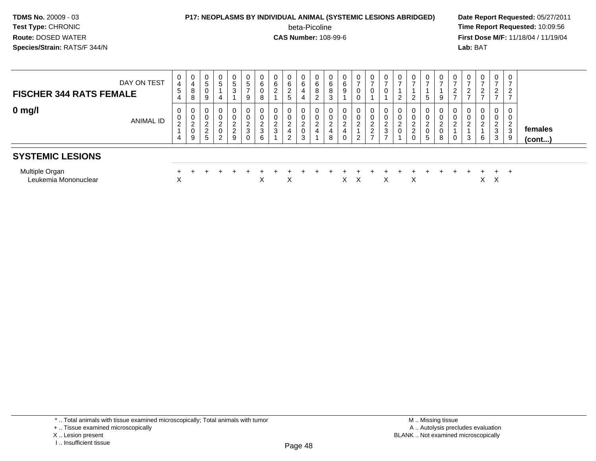#### **P17: NEOPLASMS BY INDIVIDUAL ANIMAL (SYSTEMIC LESIONS ABRIDGED) Date Report Requested:** 05/27/2011

beta-Picoline<br>CAS Number: 108-99-6

| DAY ON TEST<br><b>FISCHER 344 RATS FEMALE</b> | 0<br>4<br>5<br>4            | $\mathbf 0$<br>$\overline{4}$<br>8<br>8              | 0<br>5<br>U<br>9                    | 0<br>$\sqrt{5}$                    | 0<br>5<br>3                                                        | 0<br>5<br>$\rightarrow$<br>9                 | $\mathbf 0$<br>$\,6\,$<br>$\mathbf 0$<br>8     | 0<br>6<br>$\overline{c}$   | 0<br>$\,6\,$<br>$\overline{2}$<br>5             | 0<br>6<br>4<br>4                               | 6<br>8<br>2 | 0<br>6<br>8<br>3                             | 0<br>6<br>9      | $\mathbf 0$<br>$\rightarrow$<br>0<br>0 | 0<br>$\rightarrow$<br>0                                        | $\mathbf 0$<br>$\overline{ }$<br>0                        | 0<br><u>_</u> | $\overline{ }$<br>2 | 0<br>$\rightarrow$<br>5                                | 0 <sup>1</sup><br>$\rightarrow$<br>9    | 0<br>$\epsilon$ | 0<br>$\rightarrow$<br>ົ<br>$\epsilon$ | 0<br>$\overline{ }$<br>$\overline{2}$<br>$\overline{ }$ | 0<br>$\rightarrow$<br>ົ<br>$\epsilon$<br>$\rightarrow$ | ⇁<br>$\sim$<br>∠<br>$\overline{ }$ |                   |
|-----------------------------------------------|-----------------------------|------------------------------------------------------|-------------------------------------|------------------------------------|--------------------------------------------------------------------|----------------------------------------------|------------------------------------------------|----------------------------|-------------------------------------------------|------------------------------------------------|-------------|----------------------------------------------|------------------|----------------------------------------|----------------------------------------------------------------|-----------------------------------------------------------|---------------|---------------------|--------------------------------------------------------|-----------------------------------------|-----------------|---------------------------------------|---------------------------------------------------------|--------------------------------------------------------|------------------------------------|-------------------|
| $0 \text{ mg/l}$<br>ANIMAL ID                 | 0<br>0<br>$\mathbf{2}$<br>4 | 0<br>$\pmb{0}$<br>$\overline{c}$<br>$\mathbf 0$<br>9 | 0<br>∼<br>$\sim$<br>$\epsilon$<br>5 | $\overline{0}$<br>$\mathbf 0$<br>2 | $\overline{0}$<br>0<br>$\sim$<br>$\epsilon$<br>$\overline{2}$<br>9 | 0<br>0<br>⌒<br><u>L</u><br>$\mathbf{3}$<br>0 | $\mathbf 0$<br>0<br>$\boldsymbol{2}$<br>3<br>6 | 0<br>0<br>$\sim$<br>L<br>3 | 0<br>0<br>$\overline{2}$<br>$\overline{4}$<br>2 | $\mathbf 0$<br>$\sim$<br>$\sim$<br>$\sim$<br>3 | ∠<br>4      | $\overline{0}$<br>0<br>$\sim$<br>∠<br>4<br>8 | U<br>$\sim$<br>0 | $\mathbf 0$<br>0<br>$\sim$<br>2        | $\mathbf{0}$<br>0<br>ົ<br>∠<br>$\overline{c}$<br>$\rightarrow$ | 0<br>$\mathbf 0$<br>$\overline{c}$<br>3<br>$\overline{ }$ | 0<br>U        | ∠<br>2              | 0<br>0<br>$\sim$<br>$\epsilon$<br>0<br>$5\phantom{.0}$ | 0 <sup>1</sup><br>0<br>C<br>ے<br>υ<br>8 | 0<br>0<br>0     | 0<br>0<br>C<br>3                      | 0<br>0<br>$\overline{2}$<br>6                           | 0<br>0<br>$\sim$<br>3<br>3                             | ∠<br>3<br>9                        | females<br>(cont) |
| <b>SYSTEMIC LESIONS</b>                       |                             |                                                      |                                     |                                    |                                                                    |                                              |                                                |                            |                                                 |                                                |             |                                              |                  |                                        |                                                                |                                                           |               |                     |                                                        |                                         |                 |                                       |                                                         |                                                        |                                    |                   |
| Multiple Organ<br>Leukemia Mononuclear        | X                           |                                                      |                                     |                                    |                                                                    |                                              | ㅅ                                              |                            | X                                               |                                                |             |                                              | X                | Х                                      |                                                                | X                                                         |               | X                   |                                                        |                                         |                 |                                       | X.                                                      | $\div$<br>Χ                                            | +                                  |                   |

<sup>+ ..</sup> Tissue examined microscopically

X .. Lesion present

I .. Insufficient tissue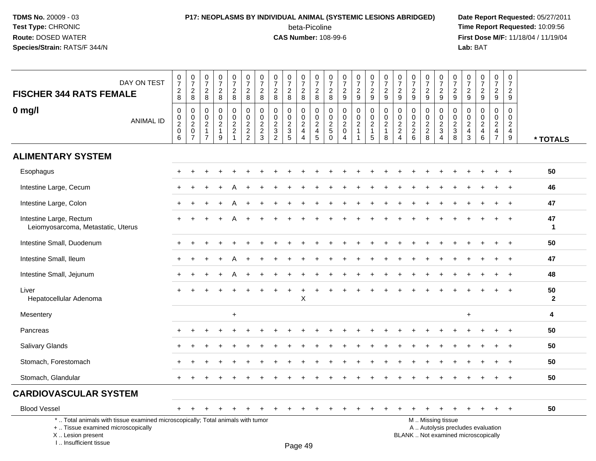### **P17: NEOPLASMS BY INDIVIDUAL ANIMAL (SYSTEMIC LESIONS ABRIDGED) Date Report Requested:** 05/27/2011 beta-Picoline<br>CAS Number: 108-99-6

 **Time Report Requested:** 10:09:56 **First Dose M/F:** 11/18/04 / 11/19/04<br>**Lab:** BAT **Lab:** BAT

| DAY ON TEST<br><b>FISCHER 344 RATS FEMALE</b>                                                                                             | $\begin{smallmatrix}0\\7\end{smallmatrix}$<br>$_{\rm 8}^2$ | $\frac{0}{7}$<br>$\frac{2}{8}$                               | $\frac{0}{7}$<br>$\overline{c}$<br>8                                 | $\begin{array}{c} 0 \\ 7 \end{array}$<br>$\overline{c}$<br>8 | $\begin{array}{c} 0 \\ 7 \end{array}$<br>$\boldsymbol{2}$<br>8           | $\begin{array}{c} 0 \\ 7 \end{array}$<br>$\frac{2}{8}$ | $\frac{0}{7}$<br>$\frac{2}{8}$                            | $\frac{0}{7}$<br>$\overline{c}$<br>8                                | $\begin{array}{c} 0 \\ 7 \end{array}$<br>$\overline{2}$<br>$\bf 8$ | $\frac{0}{7}$<br>$\overline{a}$<br>8                    | $\frac{0}{7}$<br>$\frac{2}{8}$                             | $\frac{0}{7}$<br>$_{\rm 8}^2$                                                 | $\frac{0}{7}$<br>$\frac{2}{9}$                   | $\frac{0}{7}$<br>$\frac{2}{9}$                                                 | $\frac{0}{7}$<br>$\overline{c}$<br>9                    | $\frac{0}{7}$<br>$\overline{a}$<br>9                    | $\frac{0}{7}$<br>$\boldsymbol{2}$<br>$\boldsymbol{9}$                          | $\frac{0}{7}$<br>$\boldsymbol{2}$<br>9                                            | $\begin{array}{c} 0 \\ 7 \end{array}$<br>$\overline{c}$<br>9    | $\frac{0}{7}$<br>$\frac{2}{9}$                                 | $\frac{0}{7}$<br>$\overline{c}$<br>9                                          | 0<br>$\overline{7}$<br>$\overline{c}$<br>9 | $\begin{array}{c} 0 \\ 7 \end{array}$<br>$rac{2}{9}$                     | $\frac{0}{7}$<br>$\boldsymbol{2}$<br>9                                 | $\begin{array}{c} 0 \\ 7 \end{array}$<br>$\frac{2}{9}$                         |                               |
|-------------------------------------------------------------------------------------------------------------------------------------------|------------------------------------------------------------|--------------------------------------------------------------|----------------------------------------------------------------------|--------------------------------------------------------------|--------------------------------------------------------------------------|--------------------------------------------------------|-----------------------------------------------------------|---------------------------------------------------------------------|--------------------------------------------------------------------|---------------------------------------------------------|------------------------------------------------------------|-------------------------------------------------------------------------------|--------------------------------------------------|--------------------------------------------------------------------------------|---------------------------------------------------------|---------------------------------------------------------|--------------------------------------------------------------------------------|-----------------------------------------------------------------------------------|-----------------------------------------------------------------|----------------------------------------------------------------|-------------------------------------------------------------------------------|--------------------------------------------|--------------------------------------------------------------------------|------------------------------------------------------------------------|--------------------------------------------------------------------------------|-------------------------------|
| $0$ mg/l<br><b>ANIMAL ID</b>                                                                                                              | 0<br>$\mathbf 0$<br>$\overline{2}$<br>$\pmb{0}$<br>6       | $\mathbf 0$<br>$_{2}^{\rm 0}$<br>$\pmb{0}$<br>$\overline{7}$ | $\mathbf 0$<br>0<br>$\overline{c}$<br>$\mathbf{1}$<br>$\overline{7}$ | $\mathbf 0$<br>0<br>$\overline{2}$<br>$\mathbf{1}$<br>9      | 0<br>$\mathbf 0$<br>$\overline{2}$<br>$\boldsymbol{2}$<br>$\overline{1}$ | 0<br>$\mathbf 0$<br>$\frac{2}{2}$                      | $\mathbf 0$<br>$\mathbf 0$<br>$\sqrt{2}$<br>$\frac{2}{3}$ | $\mathbf 0$<br>$\mathbf 0$<br>$\overline{2}$<br>3<br>$\overline{2}$ | 0<br>$\pmb{0}$<br>$rac{2}{3}$                                      | 0<br>0<br>$\overline{c}$<br>4<br>$\boldsymbol{\Lambda}$ | 0<br>$\mathsf{O}$<br>$\overline{2}$<br>$\overline{4}$<br>5 | $\mathbf 0$<br>$\mathbf 0$<br>$\overline{2}$<br>$\mathbf 5$<br>$\overline{0}$ | 0<br>$\mathbf 0$<br>$\sqrt{2}$<br>$\pmb{0}$<br>4 | $\mathbf 0$<br>$\mathbf 0$<br>$\overline{c}$<br>$\mathbf{1}$<br>$\overline{1}$ | 0<br>$\mathbf 0$<br>$\overline{c}$<br>$\mathbf{1}$<br>5 | 0<br>$\mathbf 0$<br>$\overline{2}$<br>$\mathbf{1}$<br>8 | $\mathbf 0$<br>$\pmb{0}$<br>$\overline{2}$<br>$\overline{c}$<br>$\overline{4}$ | $\mathbf 0$<br>$\mathbf 0$<br>$\sqrt{2}$<br>$\begin{array}{c} 2 \\ 6 \end{array}$ | $\mathbf 0$<br>$\mathbf 0$<br>$\overline{2}$<br>$\sqrt{2}$<br>8 | 0<br>$\mathbf 0$<br>$\sqrt{2}$<br>$\sqrt{3}$<br>$\overline{4}$ | 0<br>$\mathbf 0$<br>$\sqrt{2}$<br>$\ensuremath{\mathsf{3}}$<br>$\overline{8}$ | 0<br>0<br>$\overline{c}$<br>4<br>3         | $\mathbf 0$<br>0<br>$\overline{c}$<br>$\overline{4}$<br>$\,6\,$          | $\mathbf 0$<br>0<br>$\overline{a}$<br>$\overline{4}$<br>$\overline{7}$ | $\mathbf 0$<br>$\mathbf 0$<br>$\sqrt{2}$<br>$\overline{4}$<br>$\boldsymbol{9}$ | * TOTALS                      |
| <b>ALIMENTARY SYSTEM</b>                                                                                                                  |                                                            |                                                              |                                                                      |                                                              |                                                                          |                                                        |                                                           |                                                                     |                                                                    |                                                         |                                                            |                                                                               |                                                  |                                                                                |                                                         |                                                         |                                                                                |                                                                                   |                                                                 |                                                                |                                                                               |                                            |                                                                          |                                                                        |                                                                                |                               |
| Esophagus                                                                                                                                 |                                                            |                                                              |                                                                      |                                                              |                                                                          |                                                        |                                                           |                                                                     |                                                                    |                                                         |                                                            |                                                                               |                                                  |                                                                                |                                                         |                                                         |                                                                                |                                                                                   |                                                                 |                                                                |                                                                               |                                            |                                                                          |                                                                        |                                                                                | 50                            |
| Intestine Large, Cecum                                                                                                                    |                                                            |                                                              |                                                                      |                                                              |                                                                          |                                                        |                                                           |                                                                     |                                                                    |                                                         |                                                            |                                                                               |                                                  |                                                                                |                                                         |                                                         |                                                                                |                                                                                   |                                                                 |                                                                |                                                                               |                                            |                                                                          |                                                                        |                                                                                | 46                            |
| Intestine Large, Colon                                                                                                                    |                                                            |                                                              |                                                                      |                                                              |                                                                          |                                                        |                                                           |                                                                     |                                                                    |                                                         |                                                            |                                                                               |                                                  |                                                                                |                                                         |                                                         |                                                                                |                                                                                   |                                                                 |                                                                |                                                                               |                                            |                                                                          |                                                                        |                                                                                | 47                            |
| Intestine Large, Rectum<br>Leiomyosarcoma, Metastatic, Uterus                                                                             |                                                            |                                                              |                                                                      |                                                              |                                                                          |                                                        |                                                           |                                                                     |                                                                    |                                                         |                                                            |                                                                               |                                                  |                                                                                |                                                         |                                                         |                                                                                |                                                                                   |                                                                 |                                                                |                                                                               |                                            |                                                                          |                                                                        |                                                                                | 47<br>$\mathbf{1}$            |
| Intestine Small, Duodenum                                                                                                                 |                                                            |                                                              |                                                                      |                                                              |                                                                          |                                                        |                                                           |                                                                     |                                                                    |                                                         |                                                            |                                                                               |                                                  |                                                                                |                                                         |                                                         |                                                                                |                                                                                   |                                                                 |                                                                |                                                                               |                                            |                                                                          |                                                                        |                                                                                | 50                            |
| Intestine Small, Ileum                                                                                                                    | $\ddot{}$                                                  |                                                              |                                                                      |                                                              |                                                                          |                                                        |                                                           |                                                                     |                                                                    |                                                         |                                                            |                                                                               |                                                  |                                                                                |                                                         |                                                         |                                                                                |                                                                                   |                                                                 |                                                                |                                                                               |                                            |                                                                          |                                                                        | $\ddot{}$                                                                      | 47                            |
| Intestine Small, Jejunum                                                                                                                  |                                                            |                                                              |                                                                      |                                                              |                                                                          |                                                        |                                                           |                                                                     |                                                                    |                                                         |                                                            |                                                                               |                                                  |                                                                                |                                                         |                                                         |                                                                                |                                                                                   |                                                                 |                                                                |                                                                               |                                            |                                                                          |                                                                        |                                                                                | 48                            |
| Liver<br>Hepatocellular Adenoma                                                                                                           |                                                            |                                                              |                                                                      |                                                              |                                                                          |                                                        |                                                           |                                                                     |                                                                    | $\mathsf X$                                             |                                                            |                                                                               |                                                  |                                                                                |                                                         |                                                         |                                                                                |                                                                                   |                                                                 |                                                                |                                                                               |                                            |                                                                          |                                                                        |                                                                                | 50<br>$\overline{\mathbf{2}}$ |
| Mesentery                                                                                                                                 |                                                            |                                                              |                                                                      |                                                              | $\ddot{}$                                                                |                                                        |                                                           |                                                                     |                                                                    |                                                         |                                                            |                                                                               |                                                  |                                                                                |                                                         |                                                         |                                                                                |                                                                                   |                                                                 |                                                                |                                                                               | $\ddot{}$                                  |                                                                          |                                                                        |                                                                                | 4                             |
| Pancreas                                                                                                                                  |                                                            |                                                              |                                                                      |                                                              |                                                                          |                                                        |                                                           |                                                                     |                                                                    |                                                         |                                                            |                                                                               |                                                  |                                                                                |                                                         |                                                         |                                                                                |                                                                                   |                                                                 |                                                                |                                                                               |                                            |                                                                          |                                                                        |                                                                                | 50                            |
| Salivary Glands                                                                                                                           |                                                            |                                                              |                                                                      |                                                              |                                                                          |                                                        |                                                           |                                                                     |                                                                    |                                                         |                                                            |                                                                               |                                                  |                                                                                |                                                         |                                                         |                                                                                |                                                                                   |                                                                 |                                                                |                                                                               |                                            |                                                                          |                                                                        |                                                                                | 50                            |
| Stomach, Forestomach                                                                                                                      |                                                            |                                                              |                                                                      |                                                              |                                                                          |                                                        |                                                           |                                                                     |                                                                    |                                                         |                                                            |                                                                               |                                                  |                                                                                |                                                         |                                                         |                                                                                |                                                                                   |                                                                 |                                                                |                                                                               |                                            |                                                                          |                                                                        |                                                                                | 50                            |
| Stomach, Glandular                                                                                                                        |                                                            |                                                              |                                                                      |                                                              |                                                                          |                                                        |                                                           |                                                                     |                                                                    |                                                         |                                                            |                                                                               |                                                  |                                                                                |                                                         |                                                         |                                                                                |                                                                                   |                                                                 |                                                                |                                                                               |                                            |                                                                          |                                                                        | $+$                                                                            | 50                            |
| <b>CARDIOVASCULAR SYSTEM</b>                                                                                                              |                                                            |                                                              |                                                                      |                                                              |                                                                          |                                                        |                                                           |                                                                     |                                                                    |                                                         |                                                            |                                                                               |                                                  |                                                                                |                                                         |                                                         |                                                                                |                                                                                   |                                                                 |                                                                |                                                                               |                                            |                                                                          |                                                                        |                                                                                |                               |
| <b>Blood Vessel</b>                                                                                                                       |                                                            |                                                              |                                                                      |                                                              |                                                                          |                                                        |                                                           |                                                                     |                                                                    |                                                         |                                                            |                                                                               |                                                  |                                                                                |                                                         |                                                         |                                                                                |                                                                                   |                                                                 |                                                                |                                                                               |                                            |                                                                          | $\ddot{}$                                                              | $+$                                                                            | 50                            |
| *  Total animals with tissue examined microscopically; Total animals with tumor<br>+  Tissue examined microscopically<br>X Lesion present |                                                            |                                                              |                                                                      |                                                              |                                                                          |                                                        |                                                           |                                                                     |                                                                    |                                                         |                                                            |                                                                               |                                                  |                                                                                |                                                         |                                                         |                                                                                |                                                                                   |                                                                 | M  Missing tissue                                              |                                                                               |                                            | A  Autolysis precludes evaluation<br>BLANK  Not examined microscopically |                                                                        |                                                                                |                               |

I .. Insufficient tissue

Page 49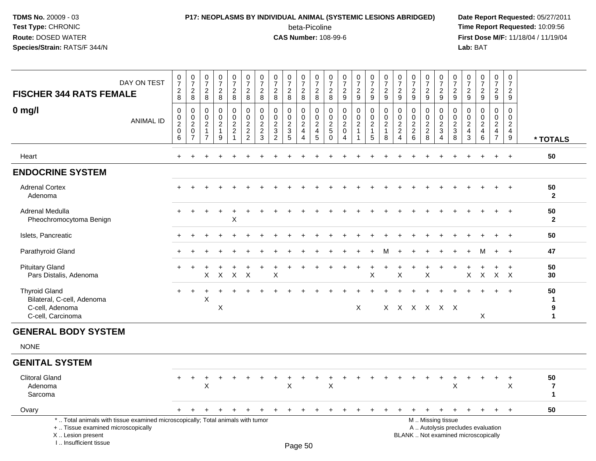I .. Insufficient tissue

## **P17: NEOPLASMS BY INDIVIDUAL ANIMAL (SYSTEMIC LESIONS ABRIDGED) Date Report Requested:** 05/27/2011

beta-Picoline<br>CAS Number: 108-99-6

| <b>FISCHER 344 RATS FEMALE</b>                                                                                                            | DAY ON TEST | $\frac{0}{7}$<br>$\frac{2}{8}$                 | $\begin{smallmatrix} 0\\7 \end{smallmatrix}$<br>$_{\rm 8}^2$                | $\pmb{0}$<br>$\overline{7}$<br>$\sqrt{2}$<br>8                       | $\frac{0}{7}$<br>$\frac{2}{8}$                      | $\frac{0}{7}$<br>$\frac{2}{8}$                                     | $\frac{0}{7}$<br>$_{\rm 8}^2$                       | $\frac{0}{7}$<br>$_{\rm 8}^2$                                               | $\begin{array}{c} 0 \\ 7 \end{array}$<br>$\overline{2}$<br>8       | $\begin{array}{c} 0 \\ 7 \end{array}$<br>$\frac{2}{8}$ | 0<br>$\overline{7}$<br>$\frac{2}{8}$                               | $\frac{0}{7}$<br>$\frac{2}{8}$                                       | 0<br>$\overline{7}$<br>$\frac{2}{8}$                      | $\frac{0}{7}$<br>$\frac{2}{9}$                                                | $\begin{array}{c} 0 \\ 7 \end{array}$<br>$\frac{2}{9}$ | $\frac{0}{7}$<br>$\frac{2}{9}$                                           | $\begin{array}{c} 0 \\ 7 \end{array}$<br>$\frac{2}{9}$      | $\pmb{0}$<br>$\overline{7}$<br>$\frac{2}{9}$                                     | $\begin{array}{c} 0 \\ 7 \end{array}$<br>$\overline{2}$<br>$\overline{9}$ | $\frac{0}{7}$<br>$\frac{2}{9}$                        | $\begin{smallmatrix} 0\\7 \end{smallmatrix}$<br>$\frac{2}{9}$ | 0<br>$\overline{7}$<br>$\frac{2}{9}$                            | 0<br>$\overline{7}$<br>$\frac{2}{9}$ | $\begin{array}{c} 0 \\ 7 \end{array}$<br>$\frac{2}{9}$                                | $\frac{0}{7}$<br>$\frac{2}{9}$                                                            | $\mathbf 0$<br>$\overline{7}$<br>$\frac{2}{9}$                  |                                      |
|-------------------------------------------------------------------------------------------------------------------------------------------|-------------|------------------------------------------------|-----------------------------------------------------------------------------|----------------------------------------------------------------------|-----------------------------------------------------|--------------------------------------------------------------------|-----------------------------------------------------|-----------------------------------------------------------------------------|--------------------------------------------------------------------|--------------------------------------------------------|--------------------------------------------------------------------|----------------------------------------------------------------------|-----------------------------------------------------------|-------------------------------------------------------------------------------|--------------------------------------------------------|--------------------------------------------------------------------------|-------------------------------------------------------------|----------------------------------------------------------------------------------|---------------------------------------------------------------------------|-------------------------------------------------------|---------------------------------------------------------------|-----------------------------------------------------------------|--------------------------------------|---------------------------------------------------------------------------------------|-------------------------------------------------------------------------------------------|-----------------------------------------------------------------|--------------------------------------|
| $0$ mg/l                                                                                                                                  | ANIMAL ID   | $\mathbf 0$<br>$\pmb{0}$<br>$\frac{2}{0}$<br>6 | 0<br>$\mathsf{O}\xspace$<br>$\overline{c}$<br>$\mathsf 0$<br>$\overline{7}$ | $\mathbf 0$<br>$\mathbf{0}$<br>$\overline{2}$<br>1<br>$\overline{7}$ | $\mathbf 0$<br>$\mathbf 0$<br>$\sqrt{2}$<br>-1<br>9 | 0<br>$\mathbf 0$<br>$\sqrt{2}$<br>$\boldsymbol{2}$<br>$\mathbf{1}$ | $\mathbf 0$<br>0<br>$\overline{c}$<br>$\frac{2}{2}$ | $\mathbf 0$<br>$\mathsf{O}\xspace$<br>$\overline{c}$<br>$\overline{c}$<br>3 | $\mathbf 0$<br>0<br>$\overline{2}$<br>$\sqrt{3}$<br>$\overline{2}$ | $\mathbf 0$<br>$\mathbf 0$<br>$\frac{2}{3}$<br>5       | $\mathbf 0$<br>0<br>$\sqrt{2}$<br>$\overline{4}$<br>$\overline{4}$ | $\mathbf 0$<br>$\boldsymbol{0}$<br>$\sqrt{2}$<br>$\overline{4}$<br>5 | 0<br>0<br>$\overline{c}$<br>$\overline{5}$<br>$\mathbf 0$ | $\mathbf 0$<br>$\mathbf 0$<br>$\overline{c}$<br>$\mathbf 0$<br>$\overline{4}$ | $\mathbf 0$<br>$\mathbf 0$<br>$\boldsymbol{2}$         | $\mathbf 0$<br>$\pmb{0}$<br>$\overline{2}$<br>$\mathbf{1}$<br>$\sqrt{5}$ | $\mathbf 0$<br>$\pmb{0}$<br>$\sqrt{2}$<br>$\mathbf{1}$<br>8 | $\mathbf 0$<br>$\mathbf 0$<br>$\overline{2}$<br>$\overline{c}$<br>$\overline{4}$ | 0<br>$\mathbf 0$<br>$\overline{2}$<br>$\boldsymbol{2}$<br>6               | $\mathbf 0$<br>0<br>$\overline{c}$<br>$\sqrt{2}$<br>8 | $\mathbf 0$<br>0<br>$\frac{2}{3}$<br>$\overline{4}$           | $\mathbf 0$<br>$\mathbf 0$<br>$\overline{2}$<br>$\sqrt{3}$<br>8 | 0<br>0<br>$\overline{2}$<br>4<br>3   | $\mathbf 0$<br>$\mathbf 0$<br>$\overline{c}$<br>$\begin{array}{c} 4 \\ 6 \end{array}$ | $\mathbf 0$<br>$\mathbf 0$<br>$\overline{a}$<br>$\overline{\mathbf{4}}$<br>$\overline{7}$ | $\mathbf 0$<br>$\mathbf 0$<br>$\frac{2}{4}$<br>$\boldsymbol{9}$ | * TOTALS                             |
| Heart                                                                                                                                     |             | $\pm$                                          |                                                                             |                                                                      |                                                     |                                                                    |                                                     |                                                                             |                                                                    |                                                        |                                                                    |                                                                      |                                                           |                                                                               |                                                        |                                                                          |                                                             |                                                                                  |                                                                           |                                                       |                                                               |                                                                 |                                      |                                                                                       | $\ddot{}$                                                                                 | $\ddot{}$                                                       | 50                                   |
| <b>ENDOCRINE SYSTEM</b>                                                                                                                   |             |                                                |                                                                             |                                                                      |                                                     |                                                                    |                                                     |                                                                             |                                                                    |                                                        |                                                                    |                                                                      |                                                           |                                                                               |                                                        |                                                                          |                                                             |                                                                                  |                                                                           |                                                       |                                                               |                                                                 |                                      |                                                                                       |                                                                                           |                                                                 |                                      |
| <b>Adrenal Cortex</b><br>Adenoma                                                                                                          |             |                                                |                                                                             |                                                                      |                                                     |                                                                    |                                                     |                                                                             |                                                                    |                                                        |                                                                    |                                                                      |                                                           |                                                                               |                                                        |                                                                          |                                                             |                                                                                  |                                                                           |                                                       |                                                               |                                                                 |                                      |                                                                                       |                                                                                           |                                                                 | 50<br>$\overline{2}$                 |
| Adrenal Medulla<br>Pheochromocytoma Benign                                                                                                |             |                                                |                                                                             |                                                                      |                                                     | $\sf X$                                                            |                                                     |                                                                             |                                                                    |                                                        |                                                                    |                                                                      |                                                           |                                                                               |                                                        |                                                                          |                                                             |                                                                                  |                                                                           |                                                       |                                                               |                                                                 |                                      |                                                                                       |                                                                                           |                                                                 | 50<br>$\mathbf{2}$                   |
| Islets, Pancreatic                                                                                                                        |             |                                                |                                                                             |                                                                      |                                                     |                                                                    |                                                     |                                                                             |                                                                    |                                                        |                                                                    |                                                                      |                                                           |                                                                               |                                                        |                                                                          |                                                             |                                                                                  |                                                                           |                                                       |                                                               |                                                                 |                                      |                                                                                       |                                                                                           | $\ddot{}$                                                       | 50                                   |
| Parathyroid Gland                                                                                                                         |             |                                                |                                                                             |                                                                      |                                                     |                                                                    |                                                     |                                                                             |                                                                    |                                                        |                                                                    |                                                                      |                                                           |                                                                               |                                                        |                                                                          | м                                                           |                                                                                  |                                                                           |                                                       |                                                               |                                                                 |                                      |                                                                                       | $\ddot{}$                                                                                 | $+$                                                             | 47                                   |
| <b>Pituitary Gland</b><br>Pars Distalis, Adenoma                                                                                          |             |                                                |                                                                             | X                                                                    | $\times$                                            | $\boldsymbol{\mathsf{X}}$                                          | $\times$                                            |                                                                             | X                                                                  |                                                        |                                                                    |                                                                      |                                                           |                                                                               |                                                        | $\sf X$                                                                  |                                                             | X                                                                                |                                                                           | X                                                     |                                                               |                                                                 | X                                    | $\boldsymbol{X}$                                                                      | $\boldsymbol{X}$                                                                          | $\ddot{}$<br>$\mathsf{X}$                                       | 50<br>30                             |
| <b>Thyroid Gland</b><br>Bilateral, C-cell, Adenoma<br>C-cell, Adenoma<br>C-cell, Carcinoma                                                |             |                                                | $\ddot{}$                                                                   | X                                                                    | X                                                   |                                                                    |                                                     |                                                                             |                                                                    |                                                        |                                                                    |                                                                      |                                                           |                                                                               | X                                                      |                                                                          |                                                             |                                                                                  |                                                                           |                                                       | X X X X X X                                                   |                                                                 |                                      | X                                                                                     |                                                                                           | $\overline{+}$                                                  | 50<br>$\mathbf{1}$<br>9<br>1         |
| <b>GENERAL BODY SYSTEM</b>                                                                                                                |             |                                                |                                                                             |                                                                      |                                                     |                                                                    |                                                     |                                                                             |                                                                    |                                                        |                                                                    |                                                                      |                                                           |                                                                               |                                                        |                                                                          |                                                             |                                                                                  |                                                                           |                                                       |                                                               |                                                                 |                                      |                                                                                       |                                                                                           |                                                                 |                                      |
| <b>NONE</b>                                                                                                                               |             |                                                |                                                                             |                                                                      |                                                     |                                                                    |                                                     |                                                                             |                                                                    |                                                        |                                                                    |                                                                      |                                                           |                                                                               |                                                        |                                                                          |                                                             |                                                                                  |                                                                           |                                                       |                                                               |                                                                 |                                      |                                                                                       |                                                                                           |                                                                 |                                      |
| <b>GENITAL SYSTEM</b>                                                                                                                     |             |                                                |                                                                             |                                                                      |                                                     |                                                                    |                                                     |                                                                             |                                                                    |                                                        |                                                                    |                                                                      |                                                           |                                                                               |                                                        |                                                                          |                                                             |                                                                                  |                                                                           |                                                       |                                                               |                                                                 |                                      |                                                                                       |                                                                                           |                                                                 |                                      |
| <b>Clitoral Gland</b><br>Adenoma<br>Sarcoma                                                                                               |             | $+$                                            | $\ddot{}$                                                                   | +<br>X                                                               |                                                     |                                                                    |                                                     |                                                                             |                                                                    | X                                                      |                                                                    |                                                                      | X                                                         |                                                                               |                                                        |                                                                          |                                                             |                                                                                  |                                                                           |                                                       |                                                               | +<br>X                                                          |                                      |                                                                                       | $\ddot{}$                                                                                 | $\ddot{}$<br>X                                                  | 50<br>$\overline{7}$<br>$\mathbf{1}$ |
| Ovary                                                                                                                                     |             |                                                |                                                                             |                                                                      |                                                     |                                                                    |                                                     |                                                                             |                                                                    |                                                        |                                                                    |                                                                      |                                                           |                                                                               |                                                        |                                                                          |                                                             |                                                                                  |                                                                           | $\ddot{}$                                             |                                                               | $\ddot{}$                                                       |                                      |                                                                                       | $+$                                                                                       | $\ddot{}$                                                       | 50                                   |
| *  Total animals with tissue examined microscopically; Total animals with tumor<br>+  Tissue examined microscopically<br>X Lesion present |             |                                                |                                                                             |                                                                      |                                                     |                                                                    |                                                     |                                                                             |                                                                    |                                                        |                                                                    |                                                                      |                                                           |                                                                               |                                                        |                                                                          |                                                             |                                                                                  |                                                                           |                                                       | M  Missing tissue                                             |                                                                 |                                      | A  Autolysis precludes evaluation<br>BLANK  Not examined microscopically              |                                                                                           |                                                                 |                                      |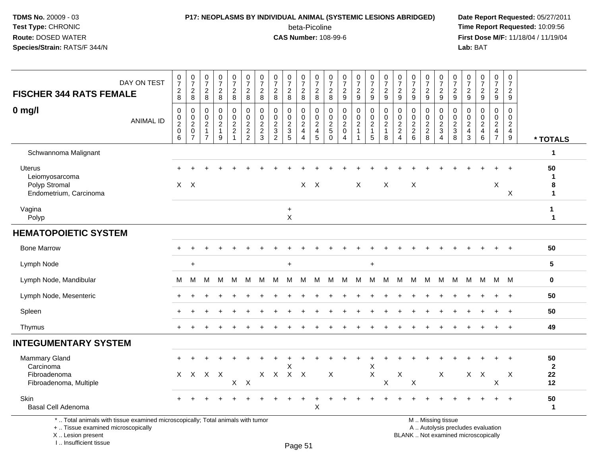## **P17: NEOPLASMS BY INDIVIDUAL ANIMAL (SYSTEMIC LESIONS ABRIDGED) Date Report Requested:** 05/27/2011

beta-Picoline<br>CAS Number: 108-99-6

 **Time Report Requested:** 10:09:56 **First Dose M/F:** 11/18/04 / 11/19/04<br>**Lab:** BAT **Lab:** BAT

| <b>FISCHER 344 RATS FEMALE</b>                                                                                        | DAY ON TEST      | $\begin{array}{c} 0 \\ 7 \end{array}$<br>$_{\rm 8}^2$ | $\frac{0}{7}$<br>$_{\rm 8}^2$                               | $\frac{0}{7}$<br>$_{8}^{\rm 2}$                                            | $\frac{0}{7}$<br>$\frac{2}{8}$                                | $\frac{0}{7}$<br>$\frac{2}{8}$                              | $\frac{0}{7}$<br>$\frac{2}{8}$                      | $\frac{0}{7}$<br>$_{8}^2$                             | $\frac{0}{7}$<br>$_{\rm 8}^2$         | $\frac{0}{7}$<br>$\frac{2}{8}$                      | $\frac{0}{7}$<br>$\frac{2}{8}$              | $\frac{0}{7}$<br>$\frac{2}{8}$                                                       | $\frac{0}{7}$<br>$_{8}^{\rm 2}$             | $\frac{0}{7}$<br>$\frac{2}{9}$                                | $\begin{array}{c} 0 \\ 7 \end{array}$<br>$\frac{2}{9}$   | $\begin{array}{c} 0 \\ 7 \end{array}$<br>$\frac{2}{9}$                     | $\frac{0}{7}$<br>$\frac{2}{9}$                                              | $\frac{0}{7}$<br>$\frac{2}{9}$                                                  | $\frac{0}{7}$<br>$\frac{2}{9}$                   | $\frac{0}{7}$<br>$\frac{2}{9}$    | $\frac{0}{7}$<br>$\frac{2}{9}$                                       | $\frac{0}{7}$<br>$\frac{2}{9}$                      | $\begin{array}{c} 0 \\ 7 \end{array}$<br>$\frac{2}{9}$ | $\frac{0}{7}$<br>$\frac{2}{9}$                                              | $\frac{0}{7}$<br>$\frac{2}{9}$                                         | $\begin{array}{c} 0 \\ 7 \end{array}$<br>$\frac{2}{9}$                    |                                 |
|-----------------------------------------------------------------------------------------------------------------------|------------------|-------------------------------------------------------|-------------------------------------------------------------|----------------------------------------------------------------------------|---------------------------------------------------------------|-------------------------------------------------------------|-----------------------------------------------------|-------------------------------------------------------|---------------------------------------|-----------------------------------------------------|---------------------------------------------|--------------------------------------------------------------------------------------|---------------------------------------------|---------------------------------------------------------------|----------------------------------------------------------|----------------------------------------------------------------------------|-----------------------------------------------------------------------------|---------------------------------------------------------------------------------|--------------------------------------------------|-----------------------------------|----------------------------------------------------------------------|-----------------------------------------------------|--------------------------------------------------------|-----------------------------------------------------------------------------|------------------------------------------------------------------------|---------------------------------------------------------------------------|---------------------------------|
| $0$ mg/l                                                                                                              | <b>ANIMAL ID</b> | 0<br>$_2^0$<br>$\mathsf 0$<br>$6\phantom{1}$          | $\mathbf 0$<br>$\frac{0}{2}$<br>$\pmb{0}$<br>$\overline{7}$ | $\mathbf 0$<br>$\mathbf 0$<br>$\sqrt{2}$<br>$\mathbf{1}$<br>$\overline{7}$ | $\mathbf 0$<br>$\mathbf 0$<br>$\sqrt{2}$<br>$\mathbf{1}$<br>9 | $\mathbf 0$<br>$\mathbf 0$<br>$\frac{2}{2}$<br>$\mathbf{1}$ | $\mathbf 0$<br>$\ddot{\mathbf{0}}$<br>$\frac{2}{2}$ | 0<br>$\mathbf 0$<br>$\boldsymbol{2}$<br>$\frac{2}{3}$ | 0<br>0<br>$\sqrt{2}$<br>$\frac{3}{2}$ | $\mathbf 0$<br>$\ddot{\mathbf{0}}$<br>$\frac{2}{3}$ | 0<br>0<br>$\sqrt{2}$<br>4<br>$\overline{4}$ | $\mathbf 0$<br>$\ddot{\mathbf{0}}$<br>$\sqrt{2}$<br>$\overline{4}$<br>$\overline{5}$ | 0<br>$\mathbf 0$<br>$rac{2}{5}$<br>$\Omega$ | 0<br>$\pmb{0}$<br>$\sqrt{2}$<br>$\mathbf 0$<br>$\overline{4}$ | 0<br>$\mathbf 0$<br>$\overline{c}$<br>$\mathbf{1}$<br>-1 | $\mathbf 0$<br>$\mathbf 0$<br>$\sqrt{2}$<br>$\mathbf{1}$<br>$\overline{5}$ | $\mathbf 0$<br>$\mathsf{O}\xspace$<br>$\boldsymbol{2}$<br>$\mathbf{1}$<br>8 | 0<br>$\mathbf 0$<br>$\overline{\mathbf{c}}$<br>$\overline{2}$<br>$\overline{4}$ | $\mathbf 0$<br>$\mathbf 0$<br>$\frac{2}{2}$<br>6 | 0<br>$\mathbf 0$<br>$\frac{2}{8}$ | 0<br>$\mathsf{O}\xspace$<br>$\overline{\mathbf{c}}$<br>$\frac{3}{4}$ | $\mathbf 0$<br>$\mathsf{O}\xspace$<br>$\frac{2}{3}$ | 0<br>$\Omega$<br>$\overline{c}$<br>4<br>3              | $\mathbf 0$<br>$\mathbf 0$<br>$\boldsymbol{2}$<br>$\overline{4}$<br>$\,6\,$ | 0<br>$\mathbf 0$<br>$\overline{c}$<br>$\overline{4}$<br>$\overline{7}$ | $\mathbf 0$<br>$\mathbf 0$<br>$\sqrt{2}$<br>$\overline{4}$<br>$\mathsf g$ | * TOTALS                        |
| Schwannoma Malignant                                                                                                  |                  |                                                       |                                                             |                                                                            |                                                               |                                                             |                                                     |                                                       |                                       |                                                     |                                             |                                                                                      |                                             |                                                               |                                                          |                                                                            |                                                                             |                                                                                 |                                                  |                                   |                                                                      |                                                     |                                                        |                                                                             |                                                                        |                                                                           | 1                               |
| <b>Uterus</b><br>Leiomyosarcoma<br>Polyp Stromal<br>Endometrium, Carcinoma                                            |                  |                                                       | $X$ $X$                                                     |                                                                            |                                                               |                                                             |                                                     |                                                       |                                       |                                                     |                                             | $X$ $X$                                                                              |                                             |                                                               | X                                                        |                                                                            | X                                                                           |                                                                                 | $\times$                                         |                                   |                                                                      |                                                     |                                                        |                                                                             | X                                                                      | $\ddot{}$<br>X                                                            | 50<br>8<br>$\blacktriangleleft$ |
| Vagina<br>Polyp                                                                                                       |                  |                                                       |                                                             |                                                                            |                                                               |                                                             |                                                     |                                                       |                                       | $\ddot{}$<br>X                                      |                                             |                                                                                      |                                             |                                                               |                                                          |                                                                            |                                                                             |                                                                                 |                                                  |                                   |                                                                      |                                                     |                                                        |                                                                             |                                                                        |                                                                           | $\mathbf{1}$<br>1               |
| <b>HEMATOPOIETIC SYSTEM</b>                                                                                           |                  |                                                       |                                                             |                                                                            |                                                               |                                                             |                                                     |                                                       |                                       |                                                     |                                             |                                                                                      |                                             |                                                               |                                                          |                                                                            |                                                                             |                                                                                 |                                                  |                                   |                                                                      |                                                     |                                                        |                                                                             |                                                                        |                                                                           |                                 |
| <b>Bone Marrow</b>                                                                                                    |                  |                                                       |                                                             |                                                                            |                                                               |                                                             |                                                     |                                                       |                                       |                                                     |                                             |                                                                                      |                                             |                                                               |                                                          |                                                                            |                                                                             |                                                                                 |                                                  |                                   |                                                                      |                                                     |                                                        |                                                                             |                                                                        |                                                                           | 50                              |
| Lymph Node                                                                                                            |                  |                                                       | $\ddot{}$                                                   |                                                                            |                                                               |                                                             |                                                     |                                                       |                                       | $\ddot{}$                                           |                                             |                                                                                      |                                             |                                                               |                                                          | $\ddot{}$                                                                  |                                                                             |                                                                                 |                                                  |                                   |                                                                      |                                                     |                                                        |                                                                             |                                                                        |                                                                           | $5\phantom{.0}$                 |
| Lymph Node, Mandibular                                                                                                |                  | M                                                     | М                                                           | м                                                                          | м                                                             | м                                                           | M                                                   | м                                                     | м                                     | м                                                   | M                                           | M                                                                                    | М                                           | м                                                             | M                                                        | м                                                                          | м                                                                           | М                                                                               | М                                                | M                                 | M                                                                    | м                                                   | M                                                      | M                                                                           |                                                                        | M M                                                                       | $\mathbf 0$                     |
| Lymph Node, Mesenteric                                                                                                |                  |                                                       |                                                             |                                                                            |                                                               |                                                             |                                                     |                                                       |                                       |                                                     |                                             |                                                                                      |                                             |                                                               |                                                          |                                                                            |                                                                             |                                                                                 |                                                  |                                   |                                                                      |                                                     |                                                        |                                                                             |                                                                        | $\overline{+}$                                                            | 50                              |
| Spleen                                                                                                                |                  |                                                       |                                                             |                                                                            |                                                               |                                                             |                                                     |                                                       |                                       |                                                     |                                             |                                                                                      |                                             |                                                               |                                                          |                                                                            |                                                                             |                                                                                 |                                                  |                                   |                                                                      |                                                     |                                                        |                                                                             |                                                                        |                                                                           | 50                              |
| Thymus                                                                                                                |                  |                                                       |                                                             |                                                                            |                                                               |                                                             |                                                     |                                                       |                                       |                                                     |                                             |                                                                                      |                                             |                                                               |                                                          |                                                                            |                                                                             |                                                                                 |                                                  |                                   |                                                                      |                                                     |                                                        |                                                                             |                                                                        | $\overline{+}$                                                            | 49                              |
| <b>INTEGUMENTARY SYSTEM</b>                                                                                           |                  |                                                       |                                                             |                                                                            |                                                               |                                                             |                                                     |                                                       |                                       |                                                     |                                             |                                                                                      |                                             |                                                               |                                                          |                                                                            |                                                                             |                                                                                 |                                                  |                                   |                                                                      |                                                     |                                                        |                                                                             |                                                                        |                                                                           |                                 |
| <b>Mammary Gland</b><br>Carcinoma<br>Fibroadenoma<br>Fibroadenoma, Multiple                                           |                  |                                                       | X X X X                                                     |                                                                            |                                                               | $\boldsymbol{\mathsf{X}}$                                   | $\mathsf{X}$                                        |                                                       |                                       | X<br>X X X X                                        |                                             |                                                                                      | $\boldsymbol{\mathsf{X}}$                   |                                                               |                                                          | X<br>$\pmb{\times}$                                                        | X                                                                           | X                                                                               | $\boldsymbol{\mathsf{X}}$                        |                                   | X                                                                    |                                                     |                                                        | $X$ $X$                                                                     | X                                                                      | $\mathsf{X}$                                                              | 50<br>$\mathbf{2}$<br>22<br>12  |
| Skin<br>Basal Cell Adenoma                                                                                            |                  |                                                       |                                                             |                                                                            |                                                               |                                                             |                                                     |                                                       |                                       |                                                     |                                             | $\boldsymbol{\mathsf{X}}$                                                            |                                             |                                                               |                                                          |                                                                            |                                                                             |                                                                                 |                                                  |                                   |                                                                      |                                                     |                                                        |                                                                             |                                                                        |                                                                           | 50<br>$\mathbf{1}$              |
| *  Total animals with tissue examined microscopically; Total animals with tumor<br>+  Tissue examined microscopically |                  |                                                       |                                                             |                                                                            |                                                               |                                                             |                                                     |                                                       |                                       |                                                     |                                             |                                                                                      |                                             |                                                               |                                                          |                                                                            |                                                                             |                                                                                 |                                                  |                                   | M  Missing tissue                                                    |                                                     |                                                        | A  Autolysis precludes evaluation                                           |                                                                        |                                                                           |                                 |

X .. Lesion present

I .. Insufficient tissue

Lesion present BLANK .. Not examined microscopically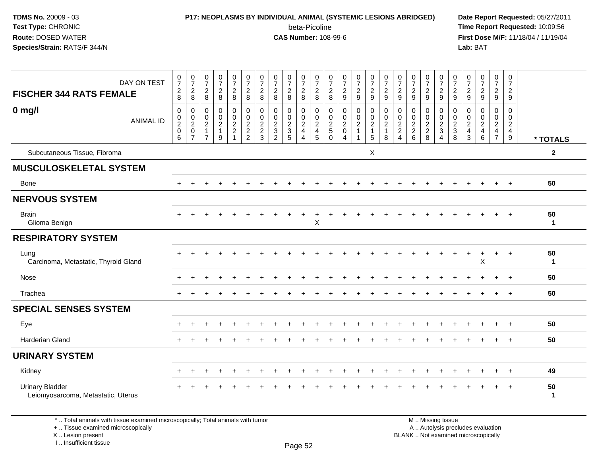### **P17: NEOPLASMS BY INDIVIDUAL ANIMAL (SYSTEMIC LESIONS ABRIDGED) Date Report Requested:** 05/27/2011 beta-Picoline<br>CAS Number: 108-99-6

 **Time Report Requested:** 10:09:56 **First Dose M/F:** 11/18/04 / 11/19/04 Lab: BAT **Lab:** BAT

| DAY ON TEST<br><b>FISCHER 344 RATS FEMALE</b>                | 0<br>$\overline{7}$<br>$_{8}^2$        | $\begin{smallmatrix}0\\7\end{smallmatrix}$<br>$\overline{c}$<br>8            | 0<br>$\overline{7}$<br>$\overline{2}$<br>8                             | $\frac{0}{7}$<br>$\sqrt{2}$<br>8                       | 0<br>$\overline{7}$<br>$\sqrt{2}$<br>8              | 0<br>$\overline{7}$<br>$\overline{2}$<br>8  | $\frac{0}{7}$<br>$\overline{c}$<br>8                                   | 0<br>$\overline{7}$<br>$\overline{2}$<br>8 | $\frac{0}{7}$<br>$\frac{2}{8}$                                | 0<br>$\overline{7}$<br>$\begin{array}{c} 2 \\ 8 \end{array}$ | $\frac{0}{7}$<br>$\overline{c}$<br>8                          | 0<br>$\overline{7}$<br>$\overline{c}$<br>8 | 0<br>$\boldsymbol{7}$<br>$\sqrt{2}$<br>9                     | $\frac{0}{7}$<br>$\overline{c}$<br>9                            | 0<br>$\overline{7}$<br>$\frac{2}{9}$                          | $\frac{0}{7}$<br>$\sqrt{2}$<br>9                 | 0<br>$\overline{7}$<br>$\overline{2}$<br>9 | 0<br>$\boldsymbol{7}$<br>$\sqrt{2}$<br>9                               | $\frac{0}{7}$<br>$\overline{c}$<br>9 | 0<br>$\boldsymbol{7}$<br>$\frac{2}{9}$ | 0<br>$\overline{7}$<br>$\frac{2}{9}$       | 0<br>$\overline{7}$<br>$\overline{2}$<br>9 | 0<br>$\boldsymbol{7}$<br>$\sqrt{2}$<br>9                          | 0<br>$\overline{7}$<br>$\overline{c}$<br>9                             | 0<br>$\overline{7}$<br>$\overline{2}$<br>9                    |                    |
|--------------------------------------------------------------|----------------------------------------|------------------------------------------------------------------------------|------------------------------------------------------------------------|--------------------------------------------------------|-----------------------------------------------------|---------------------------------------------|------------------------------------------------------------------------|--------------------------------------------|---------------------------------------------------------------|--------------------------------------------------------------|---------------------------------------------------------------|--------------------------------------------|--------------------------------------------------------------|-----------------------------------------------------------------|---------------------------------------------------------------|--------------------------------------------------|--------------------------------------------|------------------------------------------------------------------------|--------------------------------------|----------------------------------------|--------------------------------------------|--------------------------------------------|-------------------------------------------------------------------|------------------------------------------------------------------------|---------------------------------------------------------------|--------------------|
| $0$ mg/l<br><b>ANIMAL ID</b>                                 | $\boldsymbol{0}$<br>$\frac{0}{2}$<br>6 | 0<br>$\mathbf 0$<br>$\overline{\mathbf{c}}$<br>$\mathbf 0$<br>$\overline{7}$ | $\mathbf 0$<br>0<br>$\overline{c}$<br>$\overline{1}$<br>$\overline{7}$ | $\mathbf 0$<br>$^{\rm 0}_{\rm 2}$<br>$\mathbf{1}$<br>9 | 0<br>$\mathbf 0$<br>$\frac{2}{2}$<br>$\overline{ }$ | $\mathbf 0$<br>$\mathbf 0$<br>$\frac{2}{2}$ | $\mathbf 0$<br>$\pmb{0}$<br>$\begin{array}{c} 2 \\ 2 \\ 3 \end{array}$ | 0<br>0<br>$\frac{2}{3}$<br>$\overline{2}$  | $\mathbf 0$<br>$\mathbf 0$<br>$\frac{2}{3}$<br>$\overline{5}$ | 0<br>$\frac{0}{2}$<br>$\overline{4}$                         | $\mathbf 0$<br>$\mathbf 0$<br>$\frac{2}{4}$<br>$\overline{5}$ | 0<br>0<br>$\frac{2}{5}$<br>0               | $\mathbf 0$<br>$\mathbf 0$<br>$^2_{\rm 0}$<br>$\overline{4}$ | $\mathbf 0$<br>$\pmb{0}$<br>$\overline{c}$<br>$\mathbf{1}$<br>1 | $\mathbf 0$<br>$\mathsf 0$<br>$\sqrt{2}$<br>$\mathbf{1}$<br>5 | $\mathbf 0$<br>$\mathbf 0$<br>$\frac{2}{1}$<br>8 | $\mathbf 0$<br>0<br>$\frac{2}{2}$<br>4     | $\mathbf 0$<br>$\pmb{0}$<br>$\begin{array}{c} 2 \\ 2 \\ 6 \end{array}$ | $\mathbf 0$<br>0<br>$\frac{2}{8}$    | 0<br>$\frac{0}{2}$<br>$\overline{4}$   | 0<br>$\pmb{0}$<br>$\frac{2}{3}$<br>$\,8\,$ | 0<br>0<br>$\overline{c}$<br>4<br>3         | $\Omega$<br>$\mathbf 0$<br>$\overline{c}$<br>4<br>$6\phantom{1}6$ | $\mathbf 0$<br>0<br>$\overline{a}$<br>$\overline{4}$<br>$\overline{7}$ | $\mathbf 0$<br>0<br>$\overline{c}$<br>$\overline{4}$<br>$9\,$ | * TOTALS           |
| Subcutaneous Tissue, Fibroma                                 |                                        |                                                                              |                                                                        |                                                        |                                                     |                                             |                                                                        |                                            |                                                               |                                                              |                                                               |                                            |                                                              |                                                                 | X                                                             |                                                  |                                            |                                                                        |                                      |                                        |                                            |                                            |                                                                   |                                                                        |                                                               | $\mathbf{2}$       |
| <b>MUSCULOSKELETAL SYSTEM</b>                                |                                        |                                                                              |                                                                        |                                                        |                                                     |                                             |                                                                        |                                            |                                                               |                                                              |                                                               |                                            |                                                              |                                                                 |                                                               |                                                  |                                            |                                                                        |                                      |                                        |                                            |                                            |                                                                   |                                                                        |                                                               |                    |
| Bone                                                         |                                        |                                                                              |                                                                        |                                                        |                                                     |                                             |                                                                        |                                            |                                                               |                                                              |                                                               |                                            |                                                              |                                                                 |                                                               |                                                  |                                            |                                                                        |                                      |                                        |                                            |                                            |                                                                   |                                                                        | $\ddot{}$                                                     | 50                 |
| <b>NERVOUS SYSTEM</b>                                        |                                        |                                                                              |                                                                        |                                                        |                                                     |                                             |                                                                        |                                            |                                                               |                                                              |                                                               |                                            |                                                              |                                                                 |                                                               |                                                  |                                            |                                                                        |                                      |                                        |                                            |                                            |                                                                   |                                                                        |                                                               |                    |
| <b>Brain</b><br>Glioma Benign                                |                                        |                                                                              |                                                                        |                                                        |                                                     |                                             |                                                                        |                                            |                                                               | +                                                            | $\ddot{}$<br>X                                                |                                            |                                                              |                                                                 |                                                               |                                                  |                                            |                                                                        |                                      |                                        |                                            |                                            |                                                                   |                                                                        | $\div$                                                        | 50<br>$\mathbf{1}$ |
| <b>RESPIRATORY SYSTEM</b>                                    |                                        |                                                                              |                                                                        |                                                        |                                                     |                                             |                                                                        |                                            |                                                               |                                                              |                                                               |                                            |                                                              |                                                                 |                                                               |                                                  |                                            |                                                                        |                                      |                                        |                                            |                                            |                                                                   |                                                                        |                                                               |                    |
| Lung<br>Carcinoma, Metastatic, Thyroid Gland                 |                                        |                                                                              |                                                                        |                                                        |                                                     |                                             |                                                                        |                                            |                                                               |                                                              |                                                               |                                            |                                                              |                                                                 |                                                               |                                                  |                                            |                                                                        |                                      |                                        |                                            |                                            | X                                                                 | $\ddot{}$                                                              | $+$                                                           | 50<br>$\mathbf{1}$ |
| Nose                                                         |                                        | $\div$                                                                       |                                                                        |                                                        |                                                     |                                             |                                                                        |                                            |                                                               |                                                              |                                                               |                                            |                                                              |                                                                 |                                                               |                                                  |                                            |                                                                        |                                      |                                        |                                            |                                            |                                                                   |                                                                        | $+$                                                           | 50                 |
| Trachea                                                      |                                        |                                                                              |                                                                        |                                                        |                                                     |                                             |                                                                        |                                            |                                                               |                                                              |                                                               |                                            |                                                              |                                                                 |                                                               |                                                  |                                            |                                                                        |                                      |                                        |                                            |                                            |                                                                   |                                                                        | $\ddot{}$                                                     | 50                 |
| <b>SPECIAL SENSES SYSTEM</b>                                 |                                        |                                                                              |                                                                        |                                                        |                                                     |                                             |                                                                        |                                            |                                                               |                                                              |                                                               |                                            |                                                              |                                                                 |                                                               |                                                  |                                            |                                                                        |                                      |                                        |                                            |                                            |                                                                   |                                                                        |                                                               |                    |
| Eye                                                          |                                        | ÷                                                                            |                                                                        |                                                        |                                                     |                                             |                                                                        |                                            |                                                               |                                                              |                                                               |                                            |                                                              |                                                                 |                                                               |                                                  |                                            |                                                                        |                                      |                                        |                                            |                                            |                                                                   |                                                                        | $\ddot{}$                                                     | 50                 |
| <b>Harderian Gland</b>                                       |                                        |                                                                              |                                                                        |                                                        |                                                     |                                             |                                                                        |                                            |                                                               |                                                              |                                                               |                                            |                                                              |                                                                 |                                                               |                                                  |                                            |                                                                        |                                      |                                        |                                            |                                            |                                                                   |                                                                        |                                                               | 50                 |
| <b>URINARY SYSTEM</b>                                        |                                        |                                                                              |                                                                        |                                                        |                                                     |                                             |                                                                        |                                            |                                                               |                                                              |                                                               |                                            |                                                              |                                                                 |                                                               |                                                  |                                            |                                                                        |                                      |                                        |                                            |                                            |                                                                   |                                                                        |                                                               |                    |
| Kidney                                                       | $\pm$                                  | $\ddot{}$                                                                    |                                                                        |                                                        |                                                     |                                             |                                                                        |                                            |                                                               |                                                              |                                                               |                                            |                                                              |                                                                 |                                                               |                                                  |                                            |                                                                        |                                      |                                        |                                            |                                            |                                                                   | +                                                                      | $\ddot{}$                                                     | 49                 |
| <b>Urinary Bladder</b><br>Leiomyosarcoma, Metastatic, Uterus |                                        |                                                                              |                                                                        |                                                        |                                                     |                                             |                                                                        |                                            |                                                               |                                                              |                                                               |                                            |                                                              |                                                                 |                                                               |                                                  |                                            |                                                                        |                                      |                                        |                                            |                                            |                                                                   | ÷                                                                      | $\ddot{}$                                                     | 50<br>$\mathbf 1$  |

\* .. Total animals with tissue examined microscopically; Total animals with tumor

+ .. Tissue examined microscopically

X .. Lesion present

I .. Insufficient tissue

M .. Missing tissue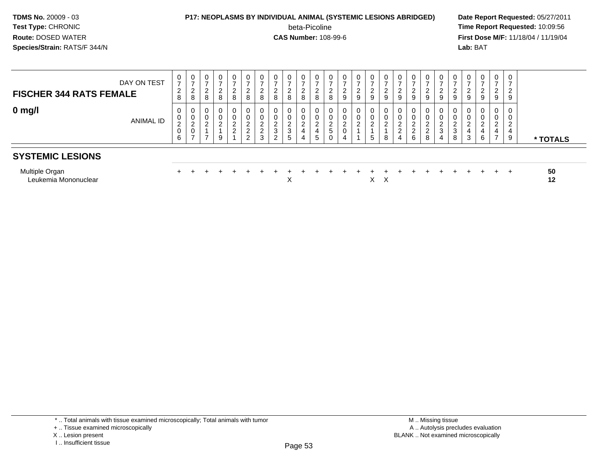### **P17: NEOPLASMS BY INDIVIDUAL ANIMAL (SYSTEMIC LESIONS ABRIDGED) Date Report Requested:** 05/27/2011

beta-Picoline<br>CAS Number: 108-99-6

 **Time Report Requested:** 10:09:56 **First Dose M/F:** 11/18/04 / 11/19/04 Lab: BAT **Lab:** BAT

|                                               | 0                                  | $\mathbf 0$                               |                       |             | 0                                          | $\mathbf{0}$                                    | $\mathbf 0$                                                          | 0                              | 0                                     | $\mathbf 0$                  |                          | 0                                     |                              | $\mathbf{0}$                      | 0                                    | 0                                     | 0                                                   |                         |                                     |                       | $\mathbf{0}$               |        | $\mathbf{0}$                       | $\mathbf 0$                                                         | 0                                     |          |
|-----------------------------------------------|------------------------------------|-------------------------------------------|-----------------------|-------------|--------------------------------------------|-------------------------------------------------|----------------------------------------------------------------------|--------------------------------|---------------------------------------|------------------------------|--------------------------|---------------------------------------|------------------------------|-----------------------------------|--------------------------------------|---------------------------------------|-----------------------------------------------------|-------------------------|-------------------------------------|-----------------------|----------------------------|--------|------------------------------------|---------------------------------------------------------------------|---------------------------------------|----------|
| DAY ON TEST<br><b>FISCHER 344 RATS FEMALE</b> | $\overline{ }$<br>2<br>8           | $\overline{ }$<br>$\overline{2}$<br>8     | ⇁<br>$\sim$<br>∼<br>8 | $\sim$<br>8 | -<br>$\sim$<br>∠<br>8                      | ົ<br>∠<br>8                                     | $\overline{ }$<br>$\overline{2}$<br>8                                | $\overline{ }$<br>ົ<br>∼<br>8  | $\overline{ }$<br>$\overline{2}$<br>8 | $\sim$<br>8                  | $\overline{ }$<br>2<br>8 | $\rightarrow$<br>$\sim$<br>∠<br>8     | $\sim$<br>∠<br>9             | ົ<br>$\epsilon$<br>$\overline{9}$ | $\rightarrow$<br>$\overline{2}$<br>9 | $\overline{ }$<br>$\overline{2}$<br>9 | $\overline{ }$<br>$\Omega$<br>∼<br>$\boldsymbol{9}$ | $\sim$<br>9             | $\sim$<br>9                         | ⇁<br>$\sim$<br>∠<br>9 | $\sim$<br>ے<br>9           | 9      | -<br>2<br>$\mathsf g$              | $\overline{ }$<br>2<br>9                                            | $\overline{ }$<br>$\overline{2}$<br>9 |          |
| $0$ mg/l<br>ANIMAL ID                         | 0<br>0<br>$\overline{c}$<br>0<br>6 | $\overline{2}$<br>$\sim$<br>$\rightarrow$ | $\sim$<br>∠<br>-      | $\sim$      | 0<br>$\Omega$<br>$\epsilon$<br>$\sim$<br>∠ | 0<br>ົ<br>$\epsilon$<br>ົ<br>∼<br>$\mathcal{D}$ | 0<br>$\mathbf 0$<br>$\overline{2}$<br>$\overline{2}$<br>$\mathbf{3}$ | 0<br>C<br>$\epsilon$<br>3<br>2 | 0<br>0<br>$\overline{2}$<br>3<br>5    | $\sim$<br><u>_</u><br>4<br>4 | 2<br>4<br>5              | 0<br>$\Omega$<br>$\epsilon$<br>5<br>0 | 0<br>$\Omega$<br>∠<br>0<br>4 | U<br>0<br>ົ<br>∠                  | 0<br>0<br>$\overline{2}$<br>5        | 0<br>0<br>$\overline{2}$<br>8         | 0<br>0<br>$\overline{2}$<br>$\overline{2}$<br>4     | $\mathcal{D}$<br>2<br>6 | $\sim$<br>$\sim$<br>$\epsilon$<br>8 | $\sim$<br>∠<br>3<br>4 | 0<br>$\sim$<br>▵<br>3<br>8 | 4<br>3 | 0<br>0<br>$\overline{2}$<br>4<br>6 | $\mathbf 0$<br>0<br>$\overline{2}$<br>4<br>$\overline{\phantom{0}}$ | 0<br>0<br>$\overline{2}$<br>4<br>9    | * TOTALS |
| <b>SYSTEMIC LESIONS</b>                       |                                    |                                           |                       |             |                                            |                                                 |                                                                      |                                |                                       |                              |                          |                                       |                              |                                   |                                      |                                       |                                                     |                         |                                     |                       |                            |        |                                    |                                                                     |                                       |          |
| Multiple Organ<br>Leukemia Mononuclear        |                                    |                                           |                       |             |                                            |                                                 |                                                                      |                                | X                                     |                              |                          |                                       |                              |                                   |                                      | $X \times$                            |                                                     |                         |                                     |                       |                            |        |                                    | $+$                                                                 | $+$                                   | 50<br>12 |

\* .. Total animals with tissue examined microscopically; Total animals with tumor

X .. Lesion present

I .. Insufficient tissue

<sup>+ ..</sup> Tissue examined microscopically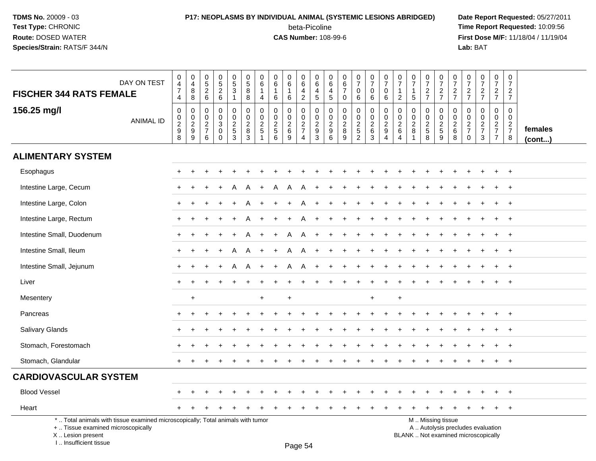I .. Insufficient tissue

### **P17: NEOPLASMS BY INDIVIDUAL ANIMAL (SYSTEMIC LESIONS ABRIDGED) Date Report Requested:** 05/27/2011 beta-Picoline<br>CAS Number: 108-99-6

 **Time Report Requested:** 10:09:56 **First Dose M/F:** 11/18/04 / 11/19/04<br>**Lab:** BAT **Lab:** BAT

| <b>FISCHER 344 RATS FEMALE</b>                                                                                                             | DAY ON TEST      | $\begin{smallmatrix}0\0\4\end{smallmatrix}$<br>$\boldsymbol{7}$<br>$\overline{4}$ | $\begin{smallmatrix}0\\4\end{smallmatrix}$<br>$\, 8$<br>8   | $\pmb{0}$<br>$\overline{5}$<br>$\sqrt{2}$<br>$\,6\,$             | 0<br>$\,$ 5 $\,$<br>$\boldsymbol{2}$<br>$\,6\,$            | $\begin{array}{c} 0 \\ 5 \end{array}$<br>3<br>$\mathbf{1}$ | $\begin{matrix}0\\5\end{matrix}$<br>8<br>8 | $\pmb{0}$<br>$\,6\,$<br>$\mathbf{1}$<br>4                   | $\pmb{0}$<br>6<br>$\mathbf{1}$<br>6    | $\pmb{0}$<br>$\,6\,$<br>$\mathbf{1}$<br>6     | $\begin{array}{c} 0 \\ 6 \end{array}$<br>$\overline{4}$<br>$\sqrt{2}$ | 0<br>$\overline{6}$<br>4<br>5                    | 0<br>$\,6\,$<br>$\begin{array}{c} 4 \\ 5 \end{array}$ | 0<br>6<br>$\overline{7}$<br>$\pmb{0}$   | $\begin{smallmatrix}0\\7\end{smallmatrix}$<br>$\mathbf 0$<br>6 | $\begin{array}{c} 0 \\ 7 \end{array}$<br>$\mathbf 0$<br>6     | $\begin{array}{c} 0 \\ 7 \end{array}$<br>$\boldsymbol{0}$<br>6 | $\frac{0}{7}$<br>$\mathbf{1}$<br>$\overline{c}$ | $\frac{0}{7}$<br>$\mathbf{1}$<br>$\sqrt{5}$         | $\frac{0}{7}$<br>$\frac{2}{7}$ | $\frac{0}{7}$<br>$\frac{2}{7}$          | $\frac{0}{7}$<br>$\frac{2}{7}$                   | $\frac{0}{7}$<br>$\frac{2}{7}$                | $\frac{0}{7}$<br>$\frac{2}{7}$                   | $\frac{0}{7}$<br>$\frac{2}{7}$                              | $\begin{smallmatrix}0\\7\end{smallmatrix}$<br>$\frac{2}{7}$ |                   |
|--------------------------------------------------------------------------------------------------------------------------------------------|------------------|-----------------------------------------------------------------------------------|-------------------------------------------------------------|------------------------------------------------------------------|------------------------------------------------------------|------------------------------------------------------------|--------------------------------------------|-------------------------------------------------------------|----------------------------------------|-----------------------------------------------|-----------------------------------------------------------------------|--------------------------------------------------|-------------------------------------------------------|-----------------------------------------|----------------------------------------------------------------|---------------------------------------------------------------|----------------------------------------------------------------|-------------------------------------------------|-----------------------------------------------------|--------------------------------|-----------------------------------------|--------------------------------------------------|-----------------------------------------------|--------------------------------------------------|-------------------------------------------------------------|-------------------------------------------------------------|-------------------|
| 156.25 mg/l                                                                                                                                | <b>ANIMAL ID</b> | 0<br>$\begin{smallmatrix} 0\\2\\9 \end{smallmatrix}$<br>8                         | $\mathbf 0$<br>$\begin{array}{c}\n0 \\ 2 \\ 9\n\end{array}$ | $\Omega$<br>$\mathbf 0$<br>$\overline{2}$<br>$\overline{7}$<br>6 | $\mathbf 0$<br>$\mathbf 0$<br>3<br>$\mathbf 0$<br>$\Omega$ | 0<br>$\mathbf 0$<br>$rac{2}{5}$<br>$\overline{3}$          | 0<br>0<br>$_{\rm 8}^2$<br>3                | $\mathbf 0$<br>$\pmb{0}$<br>$\frac{2}{5}$<br>$\overline{1}$ | $\mathbf 0$<br>0<br>$\frac{2}{5}$<br>6 | $\Omega$<br>$\mathbf 0$<br>$\frac{2}{6}$<br>9 | $\mathbf 0$<br>$\boldsymbol{0}$<br>$\frac{2}{7}$<br>4                 | $\mathbf 0$<br>$\mathbf 0$<br>$\frac{2}{9}$<br>3 | 0<br>0<br>$\frac{2}{9}$<br>6                          | 0<br>$\mathbf 0$<br>$_{8}^{\rm 2}$<br>9 | $\mathbf 0$<br>$\pmb{0}$<br>$\frac{2}{5}$<br>$\overline{2}$    | $\mathbf 0$<br>$\mathbf 0$<br>$\frac{2}{6}$<br>$\overline{3}$ | $\mathbf 0$<br>$\frac{0}{2}$<br>$\overline{4}$                 | 0<br>0<br>$^2\phantom{1}6$<br>$\overline{4}$    | 0<br>$\mathbf 0$<br>$\frac{2}{8}$<br>$\overline{1}$ | 0<br>0<br>$rac{2}{5}$<br>8     | 0<br>$\mathsf{O}$<br>$\frac{2}{5}$<br>9 | $\mathbf 0$<br>$\mathbf 0$<br>$\frac{2}{6}$<br>8 | $\Omega$<br>0<br>$\frac{2}{7}$<br>$\mathbf 0$ | $\mathbf 0$<br>$\mathbf 0$<br>$\frac{2}{7}$<br>3 | $\mathbf 0$<br>$\mathbf 0$<br>$rac{2}{7}$<br>$\overline{7}$ | 0<br>$\mathbf 0$<br>$\frac{2}{7}$<br>8                      | females<br>(cont) |
| <b>ALIMENTARY SYSTEM</b>                                                                                                                   |                  |                                                                                   |                                                             |                                                                  |                                                            |                                                            |                                            |                                                             |                                        |                                               |                                                                       |                                                  |                                                       |                                         |                                                                |                                                               |                                                                |                                                 |                                                     |                                |                                         |                                                  |                                               |                                                  |                                                             |                                                             |                   |
| Esophagus                                                                                                                                  |                  | $+$                                                                               |                                                             |                                                                  |                                                            |                                                            |                                            |                                                             |                                        |                                               |                                                                       |                                                  |                                                       |                                         |                                                                |                                                               |                                                                |                                                 |                                                     |                                |                                         |                                                  |                                               |                                                  |                                                             | $+$                                                         |                   |
| Intestine Large, Cecum                                                                                                                     |                  |                                                                                   |                                                             |                                                                  |                                                            |                                                            |                                            |                                                             |                                        |                                               |                                                                       |                                                  |                                                       |                                         |                                                                |                                                               |                                                                |                                                 |                                                     |                                |                                         |                                                  |                                               |                                                  |                                                             |                                                             |                   |
| Intestine Large, Colon                                                                                                                     |                  |                                                                                   |                                                             |                                                                  |                                                            |                                                            |                                            |                                                             |                                        |                                               |                                                                       |                                                  |                                                       |                                         |                                                                |                                                               |                                                                |                                                 |                                                     |                                |                                         |                                                  |                                               |                                                  |                                                             |                                                             |                   |
| Intestine Large, Rectum                                                                                                                    |                  |                                                                                   |                                                             |                                                                  |                                                            |                                                            |                                            |                                                             |                                        |                                               |                                                                       |                                                  |                                                       |                                         |                                                                |                                                               |                                                                |                                                 |                                                     |                                |                                         |                                                  |                                               |                                                  |                                                             |                                                             |                   |
| Intestine Small, Duodenum                                                                                                                  |                  | ÷                                                                                 |                                                             |                                                                  |                                                            |                                                            |                                            |                                                             |                                        |                                               | A                                                                     |                                                  |                                                       |                                         |                                                                |                                                               |                                                                |                                                 |                                                     |                                |                                         |                                                  |                                               |                                                  |                                                             | $\ddot{}$                                                   |                   |
| Intestine Small, Ileum                                                                                                                     |                  | $+$                                                                               |                                                             | +                                                                |                                                            | A                                                          | A                                          | $\ddot{}$                                                   | $\ddot{}$                              | A                                             | A                                                                     | $\ddot{}$                                        |                                                       |                                         |                                                                |                                                               |                                                                |                                                 |                                                     |                                |                                         |                                                  |                                               |                                                  | $\ddot{}$                                                   | $+$                                                         |                   |
| Intestine Small, Jejunum                                                                                                                   |                  |                                                                                   |                                                             |                                                                  |                                                            | А                                                          | А                                          |                                                             |                                        | А                                             | A                                                                     |                                                  |                                                       |                                         |                                                                |                                                               |                                                                |                                                 |                                                     |                                |                                         |                                                  |                                               |                                                  |                                                             | $\pm$                                                       |                   |
| Liver                                                                                                                                      |                  |                                                                                   |                                                             |                                                                  |                                                            |                                                            |                                            |                                                             |                                        |                                               |                                                                       |                                                  |                                                       |                                         |                                                                |                                                               |                                                                |                                                 |                                                     |                                |                                         |                                                  |                                               |                                                  |                                                             |                                                             |                   |
| Mesentery                                                                                                                                  |                  |                                                                                   | $\ddot{}$                                                   |                                                                  |                                                            |                                                            |                                            | $\ddot{}$                                                   |                                        | $\ddot{}$                                     |                                                                       |                                                  |                                                       |                                         |                                                                | $\ddot{}$                                                     |                                                                | $\ddot{}$                                       |                                                     |                                |                                         |                                                  |                                               |                                                  |                                                             |                                                             |                   |
| Pancreas                                                                                                                                   |                  |                                                                                   |                                                             |                                                                  |                                                            |                                                            |                                            |                                                             |                                        |                                               |                                                                       |                                                  |                                                       |                                         |                                                                |                                                               |                                                                |                                                 |                                                     |                                |                                         |                                                  |                                               |                                                  |                                                             | $\ddot{}$                                                   |                   |
| <b>Salivary Glands</b>                                                                                                                     |                  |                                                                                   |                                                             |                                                                  |                                                            |                                                            |                                            |                                                             |                                        |                                               |                                                                       |                                                  |                                                       |                                         |                                                                |                                                               |                                                                |                                                 |                                                     |                                |                                         |                                                  |                                               |                                                  | ÷                                                           | $\ddot{}$                                                   |                   |
| Stomach, Forestomach                                                                                                                       |                  |                                                                                   |                                                             |                                                                  |                                                            |                                                            |                                            |                                                             |                                        |                                               |                                                                       |                                                  |                                                       |                                         |                                                                |                                                               |                                                                |                                                 |                                                     |                                |                                         |                                                  |                                               |                                                  |                                                             | $\ddot{}$                                                   |                   |
| Stomach, Glandular                                                                                                                         |                  |                                                                                   |                                                             |                                                                  |                                                            |                                                            |                                            |                                                             |                                        |                                               |                                                                       |                                                  |                                                       |                                         |                                                                |                                                               |                                                                |                                                 |                                                     |                                |                                         |                                                  |                                               |                                                  |                                                             | $\ddot{}$                                                   |                   |
| <b>CARDIOVASCULAR SYSTEM</b>                                                                                                               |                  |                                                                                   |                                                             |                                                                  |                                                            |                                                            |                                            |                                                             |                                        |                                               |                                                                       |                                                  |                                                       |                                         |                                                                |                                                               |                                                                |                                                 |                                                     |                                |                                         |                                                  |                                               |                                                  |                                                             |                                                             |                   |
| <b>Blood Vessel</b>                                                                                                                        |                  |                                                                                   |                                                             |                                                                  |                                                            |                                                            |                                            |                                                             |                                        |                                               |                                                                       |                                                  |                                                       |                                         |                                                                |                                                               |                                                                |                                                 |                                                     |                                |                                         |                                                  |                                               |                                                  |                                                             | $\div$                                                      |                   |
| Heart                                                                                                                                      |                  |                                                                                   |                                                             |                                                                  |                                                            |                                                            |                                            |                                                             |                                        |                                               |                                                                       |                                                  |                                                       |                                         |                                                                |                                                               |                                                                |                                                 |                                                     |                                |                                         |                                                  |                                               |                                                  | $\overline{+}$                                              | $+$                                                         |                   |
| *  Total animals with tissue examined microscopically; Total animals with tumor<br>+  Tissue examined microscopically<br>X  Lesion present |                  |                                                                                   |                                                             |                                                                  |                                                            |                                                            |                                            |                                                             |                                        |                                               |                                                                       |                                                  |                                                       |                                         |                                                                |                                                               |                                                                |                                                 | BLANK  Not examined microscopically                 |                                | M  Missing tissue                       |                                                  |                                               | A  Autolysis precludes evaluation                |                                                             |                                                             |                   |

Page 54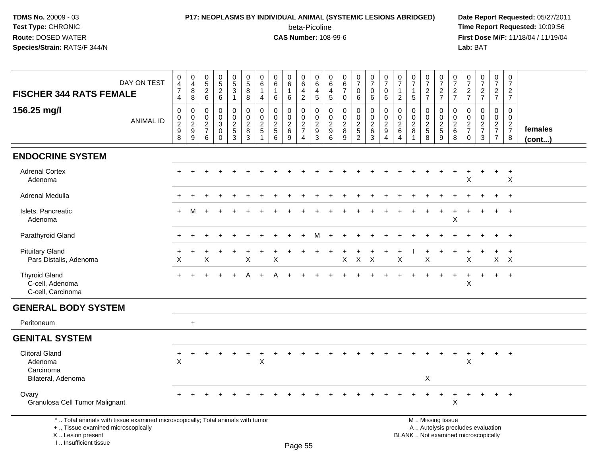# **P17: NEOPLASMS BY INDIVIDUAL ANIMAL (SYSTEMIC LESIONS ABRIDGED) Date Report Requested:** 05/27/2011

beta-Picoline<br>CAS Number: 108-99-6

| <b>FISCHER 344 RATS FEMALE</b>                                                                                                                                      | DAY ON TEST      | $\mathbf 0$<br>$\overline{4}$<br>$\overline{7}$<br>4        | $\begin{smallmatrix} 0\\4 \end{smallmatrix}$<br>8<br>$\,8\,$ | $\begin{array}{c} 0 \\ 5 \\ 2 \end{array}$<br>6                     | $\begin{array}{c} 0 \\ 5 \\ 2 \end{array}$<br>$6\phantom{a}$          | $\begin{array}{c} 0 \\ 5 \end{array}$<br>$\mathbf{3}$<br>$\mathbf{1}$ | $\begin{array}{c} 0 \\ 5 \end{array}$<br>8<br>8        | $\mathbf 0$<br>6<br>$\overline{4}$           | $\boldsymbol{0}$<br>6<br>1<br>$6\phantom{1}6$                   | 0<br>$\,6\,$<br>$\mathbf{1}$<br>$\,6\,$                                | 0<br>$\,6\,$<br>4<br>$\overline{2}$                            | 0<br>$6\phantom{1}$<br>$\overline{4}$<br>$5\phantom{.0}$ | 0<br>$\,6$<br>$\overline{4}$<br>$\overline{5}$         | $_{6}^{\rm 0}$<br>$\overline{7}$<br>$\mathbf 0$              | $\begin{array}{c} 0 \\ 7 \end{array}$<br>$\mathbf 0$<br>$\,6\,$ | $\begin{array}{c} 0 \\ 7 \end{array}$<br>$\mathbf 0$<br>6  | 0<br>$\overline{7}$<br>$\mathbf 0$<br>6      | $\begin{array}{c} 0 \\ 7 \end{array}$<br>$\mathbf{1}$<br>$\overline{2}$ | $\frac{0}{7}$<br>5                   | $\frac{0}{7}$<br>$\frac{2}{7}$                        | $\frac{0}{7}$<br>$\frac{2}{7}$                                                                | 0<br>$\overline{7}$<br>$\overline{c}$<br>$\overline{7}$ | $\frac{0}{7}$<br>$\frac{2}{7}$                                | $\frac{0}{7}$<br>$\frac{2}{7}$                                      | $\pmb{0}$<br>$\overline{7}$<br>$rac{2}{7}$                  | $\pmb{0}$<br>$\overline{7}$<br>$\overline{c}$<br>$\overline{7}$ |                   |
|---------------------------------------------------------------------------------------------------------------------------------------------------------------------|------------------|-------------------------------------------------------------|--------------------------------------------------------------|---------------------------------------------------------------------|-----------------------------------------------------------------------|-----------------------------------------------------------------------|--------------------------------------------------------|----------------------------------------------|-----------------------------------------------------------------|------------------------------------------------------------------------|----------------------------------------------------------------|----------------------------------------------------------|--------------------------------------------------------|--------------------------------------------------------------|-----------------------------------------------------------------|------------------------------------------------------------|----------------------------------------------|-------------------------------------------------------------------------|--------------------------------------|-------------------------------------------------------|-----------------------------------------------------------------------------------------------|---------------------------------------------------------|---------------------------------------------------------------|---------------------------------------------------------------------|-------------------------------------------------------------|-----------------------------------------------------------------|-------------------|
| 156.25 mg/l                                                                                                                                                         | <b>ANIMAL ID</b> | 0<br>$\pmb{0}$<br>$\boldsymbol{2}$<br>$\boldsymbol{9}$<br>8 | 0<br>$\pmb{0}$<br>$\overline{2}$<br>$\boldsymbol{9}$<br>9    | $\mathbf 0$<br>$\mathbf 0$<br>$\overline{2}$<br>$\overline{7}$<br>6 | $\mathbf 0$<br>$\mathbf 0$<br>$\mathbf{3}$<br>$\mathbf 0$<br>$\Omega$ | 0<br>$\mathbf 0$<br>$\boldsymbol{2}$<br>$5\phantom{.0}$<br>3          | $\mathbf 0$<br>$\mathsf 0$<br>$\overline{c}$<br>8<br>3 | $\mathbf 0$<br>$\mathbf{0}$<br>$\frac{2}{5}$ | $\mathbf 0$<br>$\mathbf 0$<br>$\overline{2}$<br>$\sqrt{5}$<br>6 | $\mathbf 0$<br>$\mathbf 0$<br>$\boldsymbol{2}$<br>$6\phantom{1}6$<br>9 | 0<br>0<br>$\boldsymbol{2}$<br>$\overline{7}$<br>$\overline{4}$ | 0<br>$\mathbf 0$<br>$\overline{c}$<br>9<br>3             | 0<br>$\mathbf 0$<br>$\overline{2}$<br>$\mathsf g$<br>6 | $\mathbf 0$<br>$\mathbf 0$<br>$\overline{2}$<br>$\,8\,$<br>9 | 0<br>$\pmb{0}$<br>$\frac{2}{5}$                                 | $\mathbf 0$<br>$\mathbf 0$<br>$\overline{2}$<br>$6\,$<br>3 | 0<br>$\mathbf 0$<br>$\overline{2}$<br>9<br>4 | 0<br>0<br>$\begin{array}{c} 2 \\ 6 \end{array}$<br>$\overline{4}$       | 0<br>$\Omega$<br>$\overline{a}$<br>8 | 0<br>$\mathbf 0$<br>$\overline{c}$<br>$\sqrt{5}$<br>8 | $\mathbf 0$<br>$\mathbf 0$<br>$rac{2}{9}$                                                     | $\Omega$<br>$\Omega$<br>$\overline{2}$<br>$\,6\,$<br>8  | 0<br>$\Omega$<br>$\overline{2}$<br>$\overline{7}$<br>$\Omega$ | $\mathbf 0$<br>$\mathbf 0$<br>$\overline{a}$<br>$\overline{7}$<br>3 | $\mathbf 0$<br>$\mathbf 0$<br>$rac{2}{7}$<br>$\overline{7}$ | $\mathbf 0$<br>$\mathbf 0$<br>$rac{2}{7}$<br>8                  | females<br>(cont) |
| <b>ENDOCRINE SYSTEM</b>                                                                                                                                             |                  |                                                             |                                                              |                                                                     |                                                                       |                                                                       |                                                        |                                              |                                                                 |                                                                        |                                                                |                                                          |                                                        |                                                              |                                                                 |                                                            |                                              |                                                                         |                                      |                                                       |                                                                                               |                                                         |                                                               |                                                                     |                                                             |                                                                 |                   |
| <b>Adrenal Cortex</b><br>Adenoma                                                                                                                                    |                  |                                                             |                                                              |                                                                     |                                                                       |                                                                       |                                                        |                                              |                                                                 |                                                                        |                                                                |                                                          |                                                        |                                                              |                                                                 |                                                            |                                              |                                                                         |                                      |                                                       |                                                                                               |                                                         | X                                                             |                                                                     |                                                             | $\overline{+}$<br>X                                             |                   |
| Adrenal Medulla                                                                                                                                                     |                  |                                                             |                                                              |                                                                     |                                                                       |                                                                       |                                                        |                                              |                                                                 |                                                                        |                                                                |                                                          |                                                        |                                                              |                                                                 |                                                            |                                              |                                                                         |                                      |                                                       |                                                                                               |                                                         |                                                               |                                                                     |                                                             | $\overline{+}$                                                  |                   |
| Islets, Pancreatic<br>Adenoma                                                                                                                                       |                  |                                                             |                                                              |                                                                     |                                                                       |                                                                       |                                                        |                                              |                                                                 |                                                                        |                                                                |                                                          |                                                        |                                                              |                                                                 |                                                            |                                              |                                                                         |                                      |                                                       |                                                                                               | $\mathsf X$                                             |                                                               |                                                                     | $\ddot{}$                                                   | $\overline{+}$                                                  |                   |
| Parathyroid Gland                                                                                                                                                   |                  |                                                             |                                                              |                                                                     |                                                                       |                                                                       |                                                        |                                              |                                                                 |                                                                        |                                                                |                                                          |                                                        |                                                              |                                                                 |                                                            |                                              |                                                                         |                                      |                                                       |                                                                                               |                                                         |                                                               |                                                                     |                                                             | $+$                                                             |                   |
| <b>Pituitary Gland</b><br>Pars Distalis, Adenoma                                                                                                                    |                  | X                                                           |                                                              | X                                                                   |                                                                       |                                                                       | Χ                                                      |                                              | X                                                               |                                                                        |                                                                |                                                          |                                                        | X                                                            | $\boldsymbol{\mathsf{X}}$                                       | $\times$                                                   |                                              | X                                                                       |                                      | Χ                                                     |                                                                                               |                                                         | X                                                             |                                                                     | X                                                           | $\ddot{}$<br>$\mathsf{X}$                                       |                   |
| <b>Thyroid Gland</b><br>C-cell, Adenoma<br>C-cell, Carcinoma                                                                                                        |                  |                                                             |                                                              |                                                                     |                                                                       |                                                                       |                                                        |                                              |                                                                 |                                                                        |                                                                |                                                          |                                                        |                                                              |                                                                 |                                                            |                                              |                                                                         |                                      |                                                       |                                                                                               |                                                         | X                                                             |                                                                     | $+$                                                         | $+$                                                             |                   |
| <b>GENERAL BODY SYSTEM</b>                                                                                                                                          |                  |                                                             |                                                              |                                                                     |                                                                       |                                                                       |                                                        |                                              |                                                                 |                                                                        |                                                                |                                                          |                                                        |                                                              |                                                                 |                                                            |                                              |                                                                         |                                      |                                                       |                                                                                               |                                                         |                                                               |                                                                     |                                                             |                                                                 |                   |
| Peritoneum                                                                                                                                                          |                  |                                                             | $\ddot{}$                                                    |                                                                     |                                                                       |                                                                       |                                                        |                                              |                                                                 |                                                                        |                                                                |                                                          |                                                        |                                                              |                                                                 |                                                            |                                              |                                                                         |                                      |                                                       |                                                                                               |                                                         |                                                               |                                                                     |                                                             |                                                                 |                   |
| <b>GENITAL SYSTEM</b>                                                                                                                                               |                  |                                                             |                                                              |                                                                     |                                                                       |                                                                       |                                                        |                                              |                                                                 |                                                                        |                                                                |                                                          |                                                        |                                                              |                                                                 |                                                            |                                              |                                                                         |                                      |                                                       |                                                                                               |                                                         |                                                               |                                                                     |                                                             |                                                                 |                   |
| <b>Clitoral Gland</b><br>Adenoma<br>Carcinoma<br>Bilateral, Adenoma                                                                                                 |                  | +<br>$\times$                                               |                                                              |                                                                     |                                                                       |                                                                       |                                                        | $\mathsf X$                                  |                                                                 |                                                                        |                                                                |                                                          |                                                        |                                                              |                                                                 |                                                            |                                              |                                                                         |                                      | X                                                     |                                                                                               |                                                         | X                                                             |                                                                     | $\ddot{}$                                                   | $+$                                                             |                   |
| Ovary<br>Granulosa Cell Tumor Malignant                                                                                                                             |                  |                                                             |                                                              |                                                                     |                                                                       |                                                                       |                                                        |                                              |                                                                 |                                                                        |                                                                |                                                          |                                                        |                                                              |                                                                 |                                                            |                                              |                                                                         |                                      | ÷                                                     |                                                                                               | $\mathsf X$                                             |                                                               |                                                                     | $\pm$                                                       | $+$                                                             |                   |
| *  Total animals with tissue examined microscopically; Total animals with tumor<br>+  Tissue examined microscopically<br>X  Lesion present<br>I Insufficient tissue |                  |                                                             |                                                              |                                                                     |                                                                       |                                                                       |                                                        |                                              |                                                                 |                                                                        | Doon EE                                                        |                                                          |                                                        |                                                              |                                                                 |                                                            |                                              |                                                                         |                                      |                                                       | M  Missing tissue<br>A  Autolysis precludes evaluation<br>BLANK  Not examined microscopically |                                                         |                                                               |                                                                     |                                                             |                                                                 |                   |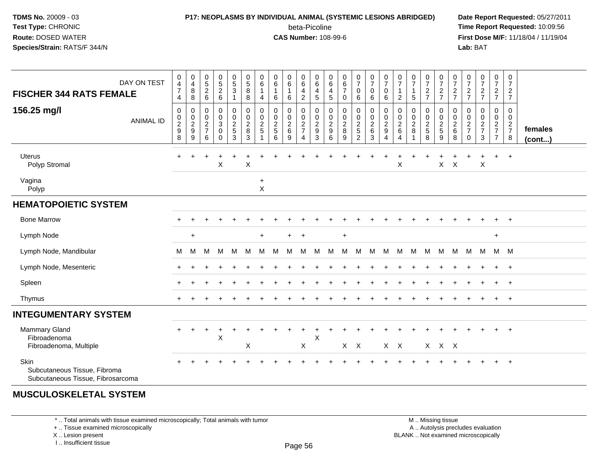## **P17: NEOPLASMS BY INDIVIDUAL ANIMAL (SYSTEMIC LESIONS ABRIDGED) Date Report Requested:** 05/27/2011

beta-Picoline<br>CAS Number: 108-99-6

 **Time Report Requested:** 10:09:56 **First Dose M/F:** 11/18/04 / 11/19/04 Lab: BAT **Lab:** BAT

| <b>FISCHER 344 RATS FEMALE</b>                                            | DAY ON TEST      | $\,0\,$<br>$\overline{\mathbf{4}}$<br>$\overline{7}$<br>4 | $\begin{array}{c} 0 \\ 4 \\ 8 \end{array}$<br>8 | $\begin{array}{c} 0 \\ 5 \\ 2 \end{array}$<br>$\,6\,$     | $0$<br>5<br>2<br>6                        | $\begin{array}{c} 0 \\ 5 \\ 3 \end{array}$<br>$\mathbf{1}$                      | $\begin{array}{c} 0 \\ 5 \\ 8 \end{array}$<br>8                        | 0<br>6<br>4                            | $\begin{array}{c} 0 \\ 6 \end{array}$<br>$\mathbf{1}$<br>6 | 0<br>$\,6\,$<br>$\mathbf{1}$<br>6          | $\,0\,$<br>$\,6\,$<br>$\frac{4}{2}$                   | 0<br>$\,6$<br>$\frac{4}{5}$                  | 0<br>$\,6\,$<br>$\begin{array}{c} 4 \\ 5 \end{array}$   | $\begin{array}{c} 0 \\ 6 \\ 7 \end{array}$<br>$\pmb{0}$ | $\begin{smallmatrix}0\\7\end{smallmatrix}$<br>$\mathbf 0$<br>6 | $\frac{0}{7}$<br>$\mathsf{O}\xspace$<br>$\,6\,$                         | $\frac{0}{7}$<br>$\mathbf 0$<br>6            | $\frac{0}{7}$<br>$\mathbf{1}$<br>$\overline{c}$             | $\frac{0}{7}$<br>$\mathbf{1}$<br>5      | $\frac{0}{7}$<br>$\frac{2}{7}$    | $\frac{0}{7}$<br>$\frac{2}{7}$                      | 0<br>$\overline{7}$<br>$\frac{2}{7}$         | $\frac{0}{7}$<br>$\frac{2}{7}$                   | $\frac{0}{7}$<br>$\frac{2}{7}$        | $\begin{array}{c} 0 \\ 7 \end{array}$<br>$\frac{2}{7}$ | $\pmb{0}$<br>$\overline{7}$<br>$\frac{2}{7}$          |                   |
|---------------------------------------------------------------------------|------------------|-----------------------------------------------------------|-------------------------------------------------|-----------------------------------------------------------|-------------------------------------------|---------------------------------------------------------------------------------|------------------------------------------------------------------------|----------------------------------------|------------------------------------------------------------|--------------------------------------------|-------------------------------------------------------|----------------------------------------------|---------------------------------------------------------|---------------------------------------------------------|----------------------------------------------------------------|-------------------------------------------------------------------------|----------------------------------------------|-------------------------------------------------------------|-----------------------------------------|-----------------------------------|-----------------------------------------------------|----------------------------------------------|--------------------------------------------------|---------------------------------------|--------------------------------------------------------|-------------------------------------------------------|-------------------|
| 156.25 mg/l                                                               | <b>ANIMAL ID</b> | 0<br>$\pmb{0}$<br>$\frac{2}{9}$<br>8                      | 0<br>$\begin{array}{c} 0 \\ 2 \\ 9 \end{array}$ | 0<br>$\mathbf 0$<br>$\overline{c}$<br>$\overline{7}$<br>6 | 0<br>$\mathbf 0$<br>3<br>0<br>$\mathbf 0$ | $\begin{smallmatrix} 0\\0 \end{smallmatrix}$<br>$\frac{2}{5}$<br>$\overline{3}$ | $\boldsymbol{0}$<br>$\mathbf 0$<br>$\overline{c}$<br>8<br>$\mathbf{3}$ | 0<br>0<br>$\overline{c}$<br>$\sqrt{5}$ | 0<br>$\pmb{0}$<br>$\frac{2}{5}$<br>6                       | 0<br>0<br>$\boldsymbol{2}$<br>$\,6\,$<br>9 | $\mathbf 0$<br>$\boldsymbol{0}$<br>$\frac{2}{7}$<br>4 | 0<br>$\mathbf 0$<br>$\overline{c}$<br>9<br>3 | 0<br>$\mathbf 0$<br>$\sqrt{2}$<br>$\boldsymbol{9}$<br>6 | 0<br>$\pmb{0}$<br>$\boldsymbol{2}$<br>$\,8\,$<br>9      | 0<br>$\mathbf 0$<br>$\frac{2}{5}$                              | 0<br>$\mathsf{O}\xspace$<br>$\overline{c}$<br>$\,6\,$<br>$\mathfrak{Z}$ | 0<br>$\mathbf 0$<br>$\overline{c}$<br>9<br>4 | $\mathbf 0$<br>$\pmb{0}$<br>$\frac{2}{6}$<br>$\overline{4}$ | 0<br>$\mathbf 0$<br>$\overline{c}$<br>8 | 0<br>$\mathbf 0$<br>$\frac{2}{5}$ | 0<br>$\mathbf 0$<br>$\frac{2}{5}$<br>$\overline{9}$ | 0<br>$\mathbf 0$<br>$\overline{2}$<br>6<br>8 | 0<br>$\mathbf 0$<br>$\frac{2}{7}$<br>$\mathbf 0$ | 0<br>0<br>$rac{2}{7}$<br>$\mathbf{3}$ | 0<br>0<br>$rac{2}{7}$<br>$\overline{7}$                | 0<br>0<br>$\overline{2}$<br>$\overline{7}$<br>$\bf 8$ | females<br>(cont) |
| <b>Uterus</b><br>Polyp Stromal                                            |                  | $\pm$                                                     |                                                 |                                                           | +<br>$\sf X$                              |                                                                                 | $\mathsf{X}$                                                           |                                        |                                                            |                                            |                                                       |                                              |                                                         |                                                         |                                                                |                                                                         |                                              | X                                                           |                                         |                                   | $\boldsymbol{\mathsf{X}}$                           | $\times$                                     |                                                  | $\ddot{}$<br>$\pmb{\times}$           | $+$                                                    | $+$                                                   |                   |
| Vagina<br>Polyp                                                           |                  |                                                           |                                                 |                                                           |                                           |                                                                                 |                                                                        | $+$<br>$\pmb{\times}$                  |                                                            |                                            |                                                       |                                              |                                                         |                                                         |                                                                |                                                                         |                                              |                                                             |                                         |                                   |                                                     |                                              |                                                  |                                       |                                                        |                                                       |                   |
| <b>HEMATOPOIETIC SYSTEM</b>                                               |                  |                                                           |                                                 |                                                           |                                           |                                                                                 |                                                                        |                                        |                                                            |                                            |                                                       |                                              |                                                         |                                                         |                                                                |                                                                         |                                              |                                                             |                                         |                                   |                                                     |                                              |                                                  |                                       |                                                        |                                                       |                   |
| <b>Bone Marrow</b>                                                        |                  |                                                           |                                                 |                                                           |                                           |                                                                                 |                                                                        |                                        |                                                            |                                            |                                                       |                                              |                                                         |                                                         |                                                                |                                                                         |                                              |                                                             |                                         |                                   |                                                     |                                              |                                                  |                                       |                                                        | $\ddot{+}$                                            |                   |
| Lymph Node                                                                |                  |                                                           | $\ddot{}$                                       |                                                           |                                           |                                                                                 |                                                                        | $\ddot{}$                              |                                                            | $+$                                        | $+$                                                   |                                              |                                                         | $+$                                                     |                                                                |                                                                         |                                              |                                                             |                                         |                                   |                                                     |                                              |                                                  |                                       | $+$                                                    |                                                       |                   |
| Lymph Node, Mandibular                                                    |                  | М                                                         | М                                               | M                                                         | M                                         | M                                                                               | M                                                                      | M                                      | M                                                          | м                                          | M                                                     | M                                            | M                                                       | M                                                       | M                                                              | M                                                                       | M                                            | M                                                           | M                                       | M                                 | M                                                   | M                                            |                                                  | M M                                   | M M                                                    |                                                       |                   |
| Lymph Node, Mesenteric                                                    |                  |                                                           |                                                 |                                                           |                                           |                                                                                 |                                                                        |                                        |                                                            |                                            |                                                       |                                              |                                                         |                                                         |                                                                |                                                                         |                                              |                                                             |                                         |                                   |                                                     |                                              |                                                  |                                       | $\ddot{}$                                              | $\ddot{}$                                             |                   |
| Spleen                                                                    |                  |                                                           |                                                 |                                                           |                                           |                                                                                 |                                                                        |                                        |                                                            |                                            |                                                       |                                              |                                                         |                                                         |                                                                |                                                                         |                                              |                                                             |                                         |                                   |                                                     |                                              |                                                  |                                       | $\pm$                                                  | $\overline{+}$                                        |                   |
| Thymus                                                                    |                  | $\pm$                                                     |                                                 |                                                           |                                           |                                                                                 |                                                                        |                                        |                                                            |                                            |                                                       |                                              |                                                         |                                                         |                                                                |                                                                         |                                              |                                                             |                                         |                                   |                                                     |                                              |                                                  |                                       | $+$                                                    | $+$                                                   |                   |
| <b>INTEGUMENTARY SYSTEM</b>                                               |                  |                                                           |                                                 |                                                           |                                           |                                                                                 |                                                                        |                                        |                                                            |                                            |                                                       |                                              |                                                         |                                                         |                                                                |                                                                         |                                              |                                                             |                                         |                                   |                                                     |                                              |                                                  |                                       |                                                        |                                                       |                   |
| <b>Mammary Gland</b><br>Fibroadenoma<br>Fibroadenoma, Multiple            |                  | $\pm$                                                     | $\div$                                          | $\ddot{}$                                                 | $\ddot{}$<br>X                            |                                                                                 | Χ                                                                      |                                        |                                                            |                                            | $\mathsf{X}$                                          | X                                            |                                                         | $X$ $X$                                                 |                                                                |                                                                         | $X$ $X$                                      |                                                             |                                         |                                   | $X$ $X$ $X$                                         |                                              |                                                  |                                       | $+$                                                    | $+$                                                   |                   |
| Skin<br>Subcutaneous Tissue, Fibroma<br>Subcutaneous Tissue, Fibrosarcoma |                  |                                                           |                                                 |                                                           |                                           |                                                                                 |                                                                        |                                        |                                                            |                                            |                                                       |                                              |                                                         |                                                         |                                                                |                                                                         |                                              |                                                             |                                         |                                   |                                                     |                                              |                                                  |                                       |                                                        | $\overline{+}$                                        |                   |
|                                                                           |                  |                                                           |                                                 |                                                           |                                           |                                                                                 |                                                                        |                                        |                                                            |                                            |                                                       |                                              |                                                         |                                                         |                                                                |                                                                         |                                              |                                                             |                                         |                                   |                                                     |                                              |                                                  |                                       |                                                        |                                                       |                   |

#### **MUSCULOSKELETAL SYSTEM**

\* .. Total animals with tissue examined microscopically; Total animals with tumor

+ .. Tissue examined microscopically

X .. Lesion present

I .. Insufficient tissue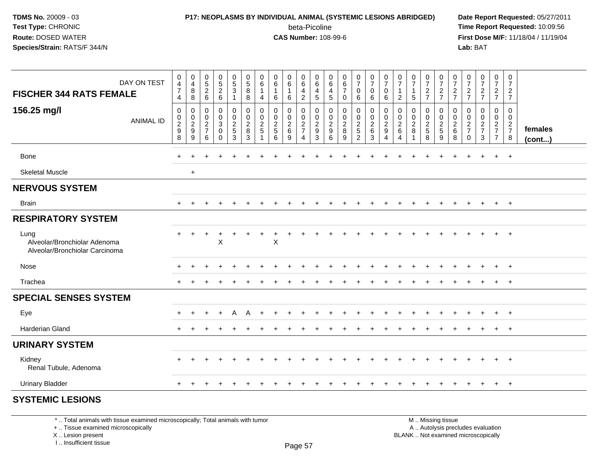## **P17: NEOPLASMS BY INDIVIDUAL ANIMAL (SYSTEMIC LESIONS ABRIDGED) Date Report Requested:** 05/27/2011

beta-Picoline<br>CAS Number: 108-99-6

 **Time Report Requested:** 10:09:56 **First Dose M/F:** 11/18/04 / 11/19/04<br>**Lab:** BAT **Lab:** BAT

| DAY ON TEST<br><b>FISCHER 344 RATS FEMALE</b><br>156.25 mg/l<br><b>ANIMAL ID</b> | 0<br>4<br>$\overline{7}$<br>4<br>$\mathbf 0$<br>0<br>$\frac{2}{9}$<br>8 | $\begin{array}{c} 0 \\ 4 \\ 8 \end{array}$<br>$\overline{8}$<br>$\pmb{0}$<br>$\frac{0}{2}$<br>$\boldsymbol{9}$ | $0$<br>$5$<br>$2$<br>$6$<br>$\mathbf 0$<br>$\frac{0}{2}$<br>6 | $0$<br>5<br>2<br>6<br>0<br>$\pmb{0}$<br>$\overline{3}$<br>0<br>$\Omega$ | $\begin{array}{c} 0 \\ 5 \\ 3 \end{array}$<br>$\mathbf{1}$<br>$\pmb{0}$<br>$\overline{0}$<br>$rac{2}{5}$<br>3 | 0<br>$\,$ 5 $\,$<br>$\bf 8$<br>8<br>$\mathbf 0$<br>$\mathbf 0$<br>$\overline{\mathbf{c}}$<br>8<br>3 | 0<br>$\,6\,$<br>$\overline{1}$<br>$\overline{4}$<br>$\mathbf 0$<br>$\mathbf 0$<br>$\frac{2}{5}$ | $\pmb{0}$<br>$\,6\,$<br>1<br>6<br>0<br>$\pmb{0}$<br>$\frac{2}{5}$<br>6 | $\begin{array}{c} 0 \\ 6 \end{array}$<br>$\overline{1}$<br>6<br>0<br>$\pmb{0}$<br>$\frac{2}{6}$<br>9 | 0<br>$\,6\,$<br>$\overline{4}$<br>$\overline{2}$<br>0<br>$\mathsf{O}\xspace$<br>$\frac{2}{7}$<br>$\overline{4}$ | 0<br>$\,6\,$<br>$\overline{4}$<br>5<br>0<br>$\mathbf 0$<br>$\boldsymbol{2}$<br>$\boldsymbol{9}$<br>3 | $_{6}^{\rm 0}$<br>$\overline{4}$<br>$\sqrt{5}$<br>$\mathbf 0$<br>$\mathsf{O}\xspace$<br>$\frac{2}{9}$<br>6 | $\begin{array}{c} 0 \\ 6 \\ 7 \end{array}$<br>0<br>$\pmb{0}$<br>$\bar{0}$<br>$\frac{2}{8}$<br>9 | $\frac{0}{7}$<br>$\overline{0}$<br>6<br>0<br>$\ddot{\mathbf{0}}$<br>$\frac{2}{5}$<br>$\overline{2}$ | $\frac{0}{7}$<br>$\pmb{0}$<br>$6\phantom{1}6$<br>00026<br>$\mathbf{3}$ | $\frac{0}{7}$<br>$\mathbf 0$<br>6<br>$\mathbf 0$<br>$\mathbf 0$<br>$\frac{2}{9}$<br>4 | $\frac{0}{7}$<br>$\mathbf{1}$<br>$\overline{c}$<br>$\mathbf 0$<br>$\pmb{0}$<br>$\boldsymbol{2}$<br>$\,6$<br>4 | $\frac{0}{7}$<br>$\mathbf{1}$<br>5<br>0<br>$\mathsf{O}\xspace$<br>$_{8}^2$ | $\frac{0}{7}$<br>$\frac{2}{7}$<br>$\begin{array}{c} 0 \\ 0 \\ 2 \\ 5 \end{array}$<br>8 | $\frac{0}{7}$<br>$\frac{2}{7}$<br>0<br>$\ddot{\mathbf{0}}$<br>$\frac{2}{5}$<br>$\boldsymbol{9}$ | $\frac{0}{7}$<br>$\frac{2}{7}$<br>0<br>$\pmb{0}$<br>$\frac{2}{6}$<br>8 | $\frac{0}{7}$<br>$\frac{2}{7}$<br>$\mathbf 0$<br>$\pmb{0}$<br>$\frac{2}{7}$<br>$\Omega$ | $\frac{0}{7}$<br>$\frac{2}{7}$<br>0<br>$\mathsf{O}\xspace$<br>$\frac{2}{7}$<br>3 | $\frac{0}{7}$<br>$\frac{2}{7}$<br>$\pmb{0}$<br>$\ddot{\mathbf{0}}$<br>$\frac{2}{7}$<br>$\overline{7}$ | $\pmb{0}$<br>$\overline{7}$<br>$\frac{2}{7}$<br>$\mathbf 0$<br>$\pmb{0}$<br>$\frac{2}{7}$<br>$\bf8$ | females<br>(cont) |
|----------------------------------------------------------------------------------|-------------------------------------------------------------------------|----------------------------------------------------------------------------------------------------------------|---------------------------------------------------------------|-------------------------------------------------------------------------|---------------------------------------------------------------------------------------------------------------|-----------------------------------------------------------------------------------------------------|-------------------------------------------------------------------------------------------------|------------------------------------------------------------------------|------------------------------------------------------------------------------------------------------|-----------------------------------------------------------------------------------------------------------------|------------------------------------------------------------------------------------------------------|------------------------------------------------------------------------------------------------------------|-------------------------------------------------------------------------------------------------|-----------------------------------------------------------------------------------------------------|------------------------------------------------------------------------|---------------------------------------------------------------------------------------|---------------------------------------------------------------------------------------------------------------|----------------------------------------------------------------------------|----------------------------------------------------------------------------------------|-------------------------------------------------------------------------------------------------|------------------------------------------------------------------------|-----------------------------------------------------------------------------------------|----------------------------------------------------------------------------------|-------------------------------------------------------------------------------------------------------|-----------------------------------------------------------------------------------------------------|-------------------|
| <b>Bone</b>                                                                      | $\ddot{}$                                                               | ÷                                                                                                              |                                                               | ÷                                                                       |                                                                                                               |                                                                                                     |                                                                                                 |                                                                        |                                                                                                      |                                                                                                                 |                                                                                                      |                                                                                                            |                                                                                                 |                                                                                                     |                                                                        |                                                                                       |                                                                                                               |                                                                            |                                                                                        |                                                                                                 |                                                                        |                                                                                         | ÷                                                                                | $+$                                                                                                   | $+$                                                                                                 |                   |
| <b>Skeletal Muscle</b>                                                           |                                                                         | $+$                                                                                                            |                                                               |                                                                         |                                                                                                               |                                                                                                     |                                                                                                 |                                                                        |                                                                                                      |                                                                                                                 |                                                                                                      |                                                                                                            |                                                                                                 |                                                                                                     |                                                                        |                                                                                       |                                                                                                               |                                                                            |                                                                                        |                                                                                                 |                                                                        |                                                                                         |                                                                                  |                                                                                                       |                                                                                                     |                   |
| <b>NERVOUS SYSTEM</b>                                                            |                                                                         |                                                                                                                |                                                               |                                                                         |                                                                                                               |                                                                                                     |                                                                                                 |                                                                        |                                                                                                      |                                                                                                                 |                                                                                                      |                                                                                                            |                                                                                                 |                                                                                                     |                                                                        |                                                                                       |                                                                                                               |                                                                            |                                                                                        |                                                                                                 |                                                                        |                                                                                         |                                                                                  |                                                                                                       |                                                                                                     |                   |
| <b>Brain</b>                                                                     | $\pm$                                                                   |                                                                                                                |                                                               |                                                                         |                                                                                                               |                                                                                                     |                                                                                                 |                                                                        |                                                                                                      |                                                                                                                 |                                                                                                      |                                                                                                            | $\div$                                                                                          | $\div$                                                                                              |                                                                        |                                                                                       |                                                                                                               |                                                                            | $\div$                                                                                 | $\div$                                                                                          |                                                                        |                                                                                         | $\div$                                                                           | $+$                                                                                                   | $+$                                                                                                 |                   |
| <b>RESPIRATORY SYSTEM</b>                                                        |                                                                         |                                                                                                                |                                                               |                                                                         |                                                                                                               |                                                                                                     |                                                                                                 |                                                                        |                                                                                                      |                                                                                                                 |                                                                                                      |                                                                                                            |                                                                                                 |                                                                                                     |                                                                        |                                                                                       |                                                                                                               |                                                                            |                                                                                        |                                                                                                 |                                                                        |                                                                                         |                                                                                  |                                                                                                       |                                                                                                     |                   |
| Lung<br>Alveolar/Bronchiolar Adenoma<br>Alveolar/Bronchiolar Carcinoma           | $\ddot{}$                                                               | ÷                                                                                                              |                                                               | +<br>$\pmb{\times}$                                                     |                                                                                                               |                                                                                                     |                                                                                                 | $\pmb{\times}$                                                         |                                                                                                      |                                                                                                                 |                                                                                                      |                                                                                                            |                                                                                                 |                                                                                                     |                                                                        |                                                                                       |                                                                                                               |                                                                            |                                                                                        |                                                                                                 |                                                                        |                                                                                         |                                                                                  |                                                                                                       | $+$                                                                                                 |                   |
| Nose                                                                             | $\ddot{}$                                                               | $\ddot{}$                                                                                                      |                                                               |                                                                         |                                                                                                               |                                                                                                     |                                                                                                 |                                                                        |                                                                                                      |                                                                                                                 |                                                                                                      |                                                                                                            |                                                                                                 |                                                                                                     |                                                                        |                                                                                       |                                                                                                               |                                                                            |                                                                                        |                                                                                                 |                                                                        |                                                                                         |                                                                                  | $+$                                                                                                   | $+$                                                                                                 |                   |
| Trachea                                                                          | $\pm$                                                                   |                                                                                                                |                                                               |                                                                         |                                                                                                               |                                                                                                     |                                                                                                 |                                                                        |                                                                                                      |                                                                                                                 |                                                                                                      |                                                                                                            |                                                                                                 |                                                                                                     |                                                                        |                                                                                       |                                                                                                               |                                                                            |                                                                                        |                                                                                                 |                                                                        |                                                                                         |                                                                                  | $+$                                                                                                   | $+$                                                                                                 |                   |
| <b>SPECIAL SENSES SYSTEM</b>                                                     |                                                                         |                                                                                                                |                                                               |                                                                         |                                                                                                               |                                                                                                     |                                                                                                 |                                                                        |                                                                                                      |                                                                                                                 |                                                                                                      |                                                                                                            |                                                                                                 |                                                                                                     |                                                                        |                                                                                       |                                                                                                               |                                                                            |                                                                                        |                                                                                                 |                                                                        |                                                                                         |                                                                                  |                                                                                                       |                                                                                                     |                   |
| Eye                                                                              | $\ddot{}$                                                               |                                                                                                                |                                                               | $\ddot{}$                                                               | A                                                                                                             | A                                                                                                   |                                                                                                 |                                                                        |                                                                                                      |                                                                                                                 |                                                                                                      |                                                                                                            |                                                                                                 |                                                                                                     |                                                                        |                                                                                       |                                                                                                               |                                                                            |                                                                                        |                                                                                                 |                                                                        |                                                                                         |                                                                                  | $+$                                                                                                   | $+$                                                                                                 |                   |
| <b>Harderian Gland</b>                                                           | $+$                                                                     |                                                                                                                |                                                               |                                                                         |                                                                                                               |                                                                                                     |                                                                                                 |                                                                        |                                                                                                      |                                                                                                                 |                                                                                                      |                                                                                                            |                                                                                                 |                                                                                                     |                                                                        |                                                                                       |                                                                                                               |                                                                            |                                                                                        |                                                                                                 |                                                                        |                                                                                         |                                                                                  | $\ddot{}$                                                                                             | $+$                                                                                                 |                   |
| <b>URINARY SYSTEM</b>                                                            |                                                                         |                                                                                                                |                                                               |                                                                         |                                                                                                               |                                                                                                     |                                                                                                 |                                                                        |                                                                                                      |                                                                                                                 |                                                                                                      |                                                                                                            |                                                                                                 |                                                                                                     |                                                                        |                                                                                       |                                                                                                               |                                                                            |                                                                                        |                                                                                                 |                                                                        |                                                                                         |                                                                                  |                                                                                                       |                                                                                                     |                   |
| Kidney<br>Renal Tubule, Adenoma                                                  |                                                                         |                                                                                                                |                                                               |                                                                         |                                                                                                               |                                                                                                     |                                                                                                 |                                                                        |                                                                                                      |                                                                                                                 |                                                                                                      |                                                                                                            |                                                                                                 |                                                                                                     |                                                                        |                                                                                       |                                                                                                               |                                                                            |                                                                                        |                                                                                                 |                                                                        |                                                                                         |                                                                                  | $+$                                                                                                   | $+$                                                                                                 |                   |
| <b>Urinary Bladder</b>                                                           | $\ddot{}$                                                               | $+$                                                                                                            | $\pm$                                                         | $\pm$                                                                   |                                                                                                               |                                                                                                     |                                                                                                 | ÷                                                                      | ÷                                                                                                    |                                                                                                                 |                                                                                                      |                                                                                                            | $\pm$                                                                                           | $\ddot{}$                                                                                           |                                                                        |                                                                                       |                                                                                                               | $\pm$                                                                      | $\pm$                                                                                  | $\pm$                                                                                           |                                                                        |                                                                                         | $\pm$                                                                            | $+$                                                                                                   | $+$                                                                                                 |                   |

#### **SYSTEMIC LESIONS**

\* .. Total animals with tissue examined microscopically; Total animals with tumor

+ .. Tissue examined microscopically

X .. Lesion present

I .. Insufficient tissue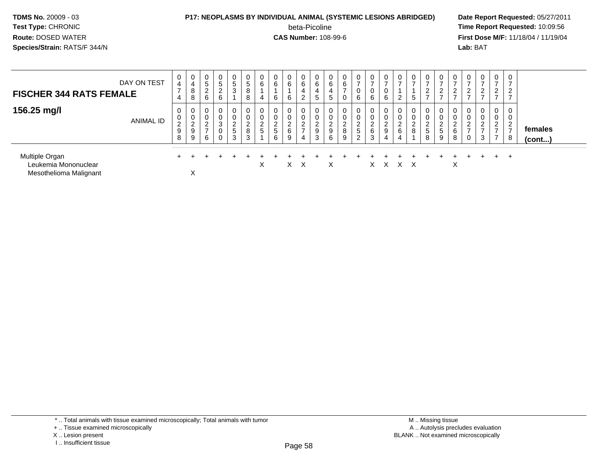#### **P17: NEOPLASMS BY INDIVIDUAL ANIMAL (SYSTEMIC LESIONS ABRIDGED) Date Report Requested:** 05/27/2011

beta-Picoline<br>CAS Number: 108-99-6

| <b>FISCHER 344 RATS FEMALE</b>                                   | DAY ON TEST | $\mathbf 0$<br>$\overline{4}$<br>7<br>4 | 0<br>4<br>8<br>8                    | 0<br>5<br>L<br>6                       | $\mathbf 0$<br>.5<br>$\overline{2}$<br>6 | 0<br>5<br>3                        | 5<br>8<br>8                   | 0<br>6<br>4                                  | 0<br>6<br>6                            | 0<br>6<br>6                        | 0<br>6<br>4<br>2                       | 0<br>6<br>4<br>5                             | 6<br>4<br>G           | $\mathbf 0$<br>6                           | 0<br>$\rightarrow$<br>0<br>6                                        | $\mathbf{0}$<br>$\overline{ }$<br>0<br>6             | $\mathbf 0$<br>$\overline{ }$<br>0<br>6                        | 0<br>$\epsilon$                  | $\mathbf 0$<br>$\overline{ }$<br>5      | 0<br>-<br>◠<br>$\epsilon$<br>-                       | 0<br>$\overline{ }$<br>$2^{\circ}$<br>$\overline{ }$ | 0<br>$\overline{ }$<br>2<br>$\overline{ }$ | 0<br><u>_</u>                                     | $\overline{0}$<br>$\overline{ }$<br>$\overline{c}$<br>$\overline{ }$ | $\mathbf{0}$<br>$\rightarrow$<br>$\overline{2}$<br>$\rightarrow$         | 0<br>⇁<br>$\overline{2}$<br>$\rightarrow$  |                         |
|------------------------------------------------------------------|-------------|-----------------------------------------|-------------------------------------|----------------------------------------|------------------------------------------|------------------------------------|-------------------------------|----------------------------------------------|----------------------------------------|------------------------------------|----------------------------------------|----------------------------------------------|-----------------------|--------------------------------------------|---------------------------------------------------------------------|------------------------------------------------------|----------------------------------------------------------------|----------------------------------|-----------------------------------------|------------------------------------------------------|------------------------------------------------------|--------------------------------------------|---------------------------------------------------|----------------------------------------------------------------------|--------------------------------------------------------------------------|--------------------------------------------|-------------------------|
| 156.25 mg/l                                                      | ANIMAL ID   | 0<br>0<br>2<br>$9\,$<br>8               | 0<br>0<br>ົ<br>$\epsilon$<br>9<br>9 | 0<br>0<br>$\sim$<br><u>_</u><br>-<br>6 | 0<br>0<br>3<br>0<br>0                    | 0<br>0<br>2<br>$\overline{5}$<br>3 | 0<br>$\overline{2}$<br>8<br>3 | $\overline{0}$<br>0<br>$\sim$<br>$rac{2}{5}$ | 0<br>0<br>$\sim$<br><u>.</u><br>5<br>6 | 0<br>0<br>$\overline{2}$<br>6<br>9 | 0<br>0<br>ົ<br>L<br>$\rightarrow$<br>4 | 0<br>$\mathbf 0$<br>$\overline{2}$<br>9<br>3 | $\sim$<br>∼<br>9<br>6 | 0<br>$\mathbf 0$<br>າ<br>∠<br>$\,8\,$<br>9 | 0<br>0<br>$\sim$<br>$\epsilon$<br>$5\phantom{.0}$<br>$\overline{2}$ | 0<br>0<br>$\begin{array}{c} 2 \\ 6 \end{array}$<br>3 | 0<br>0<br>$\overline{2}$<br>$\boldsymbol{9}$<br>$\overline{4}$ | 0<br>J.<br>$\sim$<br>∼<br>6<br>4 | $\mathbf 0$<br>0<br>$\overline{2}$<br>8 | 0<br>0<br>$\sim$<br><u>L</u><br>$5\phantom{.0}$<br>8 | 0<br>0<br>ົ<br>$\epsilon$<br>$\overline{5}$<br>9     | 0<br>0<br>$\overline{2}$<br>6<br>8         | $\mathbf{0}$<br>0<br>$\sim$<br><u>_</u><br>-<br>0 | $\overline{0}$<br>$\mathbf 0$<br>$\overline{2}$<br>3                 | 0<br>0<br>$\mathcal{L}$<br>$\epsilon$<br>$\rightarrow$<br>$\overline{ }$ | 0<br>0<br>$\mathcal{D}$<br>$\epsilon$<br>8 | females<br>$($ cont $)$ |
| Multiple Organ<br>Leukemia Mononuclear<br>Mesothelioma Malignant |             |                                         | $\boldsymbol{\mathsf{v}}$<br>⋏      |                                        |                                          |                                    |                               | X                                            |                                        | $\times$                           | X                                      |                                              | X                     |                                            |                                                                     | $X -$                                                | $\mathsf{X}$                                                   | X X                              |                                         |                                                      |                                                      | X                                          |                                                   |                                                                      | $+$                                                                      | +                                          |                         |

- X .. Lesion present
- I .. Insufficient tissue

<sup>+ ..</sup> Tissue examined microscopically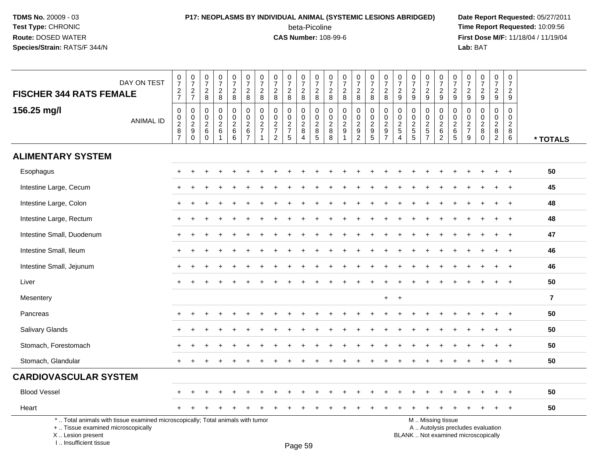I .. Insufficient tissue

### **P17: NEOPLASMS BY INDIVIDUAL ANIMAL (SYSTEMIC LESIONS ABRIDGED) Date Report Requested:** 05/27/2011 beta-Picoline<br>CAS Number: 108-99-6

 **Time Report Requested:** 10:09:56 **First Dose M/F:** 11/18/04 / 11/19/04<br>**Lab:** BAT **Lab:** BAT

|                                                                                                                                            | DAY ON TEST      | $\frac{0}{7}$                                           | $\frac{0}{7}$                                                          | $\frac{0}{7}$                                                   | $\frac{0}{7}$                                        | $\frac{0}{7}$                                          | $\frac{0}{7}$<br>$\overline{c}$                              | $\frac{0}{7}$                                                          | $\frac{0}{7}$                                                 | $\frac{0}{7}$                 | $\frac{0}{7}$                                                   | $\frac{0}{7}$                                             | $\frac{0}{7}$                                                     | $\frac{0}{7}$                           | $\frac{0}{7}$                                                | $\frac{0}{7}$                                             | $\begin{smallmatrix}0\\7\end{smallmatrix}$          | $\begin{array}{c} 0 \\ 7 \end{array}$               | $\frac{0}{7}$                                                   | $\frac{0}{7}$                           | $\frac{0}{7}$                               | $\frac{0}{7}$                                                   | $\frac{0}{7}$                               | $\frac{0}{7}$                                                            | $\frac{0}{7}$<br>$\overline{2}$                                     | 0<br>$\overline{7}$<br>$\overline{2}$              |                |
|--------------------------------------------------------------------------------------------------------------------------------------------|------------------|---------------------------------------------------------|------------------------------------------------------------------------|-----------------------------------------------------------------|------------------------------------------------------|--------------------------------------------------------|--------------------------------------------------------------|------------------------------------------------------------------------|---------------------------------------------------------------|-------------------------------|-----------------------------------------------------------------|-----------------------------------------------------------|-------------------------------------------------------------------|-----------------------------------------|--------------------------------------------------------------|-----------------------------------------------------------|-----------------------------------------------------|-----------------------------------------------------|-----------------------------------------------------------------|-----------------------------------------|---------------------------------------------|-----------------------------------------------------------------|---------------------------------------------|--------------------------------------------------------------------------|---------------------------------------------------------------------|----------------------------------------------------|----------------|
| <b>FISCHER 344 RATS FEMALE</b>                                                                                                             |                  | $rac{2}{7}$                                             | $\frac{2}{7}$                                                          | $\frac{2}{8}$                                                   | $\frac{2}{8}$                                        | $\frac{2}{8}$                                          | $\bf 8$                                                      | $_{\rm 8}^2$                                                           | $^2_8$                                                        | $\frac{2}{8}$                 | $\begin{array}{c} 2 \\ 8 \end{array}$                           | $_{8}^2$                                                  | $\frac{2}{8}$                                                     | $\frac{2}{8}$                           | $\frac{2}{8}$                                                | $\frac{2}{8}$                                             | $\frac{2}{8}$                                       | $\frac{2}{9}$                                       | $\frac{2}{9}$                                                   | $\frac{2}{9}$                           | $\frac{2}{9}$                               | $\frac{2}{9}$                                                   | $\frac{2}{9}$                               | $\frac{2}{9}$                                                            | 9                                                                   | 9                                                  |                |
| 156.25 mg/l                                                                                                                                | <b>ANIMAL ID</b> | $\mathsf 0$<br>$\pmb{0}$<br>$\sqrt{2}$<br>$\frac{8}{7}$ | $\mathbf 0$<br>$\pmb{0}$<br>$\sqrt{2}$<br>$\boldsymbol{9}$<br>$\Omega$ | $\mathbf 0$<br>$\mathbf 0$<br>$\sqrt{2}$<br>$\,6\,$<br>$\Omega$ | 0<br>$\mathbf 0$<br>$\overline{c}$<br>$6\phantom{a}$ | $\pmb{0}$<br>$\mathbf 0$<br>$\boldsymbol{2}$<br>6<br>6 | $\pmb{0}$<br>$\overline{0}$<br>$\overline{c}$<br>$rac{6}{7}$ | 0<br>$\mathbf 0$<br>$\overline{2}$<br>$\overline{7}$<br>$\overline{1}$ | $\mathbf 0$<br>$\mathbf 0$<br>$\frac{2}{7}$<br>$\overline{2}$ | 0<br>$\pmb{0}$<br>$rac{2}{7}$ | $\mathbf 0$<br>$\mathbf 0$<br>$\sqrt{2}$<br>8<br>$\overline{4}$ | $\mathbf 0$<br>$\Omega$<br>$\overline{2}$<br>$\bf 8$<br>5 | $\boldsymbol{0}$<br>$\mathbf 0$<br>$\overline{2}$<br>$\bf 8$<br>8 | 0<br>$\mathbf 0$<br>$\overline{c}$<br>9 | $\pmb{0}$<br>$\begin{array}{c} 0 \\ 2 \\ 9 \\ 2 \end{array}$ | 0<br>$\mathbf 0$<br>$\overline{2}$<br>$\overline{9}$<br>5 | 0<br>$\mathbf 0$<br>$\overline{2}$<br>$\frac{1}{7}$ | 0<br>$\mathbf 0$<br>$\frac{2}{5}$<br>$\overline{4}$ | $\mathbf 0$<br>$\mathbf 0$<br>$\sqrt{2}$<br>$\overline{5}$<br>5 | $\mathbf 0$<br>$0$<br>$2$<br>$5$<br>$7$ | $\mathbf 0$<br>$\mathbf 0$<br>$\frac{2}{6}$ | $\mathbf 0$<br>$\mathbf 0$<br>$\sqrt{2}$<br>$\overline{6}$<br>5 | $\mathbf 0$<br>$\mathbf 0$<br>$\frac{2}{7}$ | $\pmb{0}$<br>$\mathbf 0$<br>$\overline{c}$<br>8<br>$\mathbf 0$           | $\mathbf 0$<br>$\mathbf 0$<br>$\overline{c}$<br>8<br>$\overline{2}$ | $\Omega$<br>$\Omega$<br>$\boldsymbol{2}$<br>8<br>6 | * TOTALS       |
| <b>ALIMENTARY SYSTEM</b>                                                                                                                   |                  |                                                         |                                                                        |                                                                 |                                                      |                                                        |                                                              |                                                                        |                                                               |                               |                                                                 |                                                           |                                                                   |                                         |                                                              |                                                           |                                                     |                                                     |                                                                 |                                         |                                             |                                                                 |                                             |                                                                          |                                                                     |                                                    |                |
| Esophagus                                                                                                                                  |                  |                                                         |                                                                        |                                                                 |                                                      |                                                        |                                                              |                                                                        |                                                               |                               |                                                                 |                                                           |                                                                   |                                         |                                                              |                                                           |                                                     |                                                     |                                                                 |                                         |                                             |                                                                 |                                             |                                                                          |                                                                     |                                                    | 50             |
| Intestine Large, Cecum                                                                                                                     |                  |                                                         |                                                                        |                                                                 |                                                      |                                                        |                                                              |                                                                        |                                                               |                               |                                                                 |                                                           |                                                                   |                                         |                                                              |                                                           |                                                     |                                                     |                                                                 |                                         |                                             |                                                                 |                                             |                                                                          |                                                                     |                                                    | 45             |
| Intestine Large, Colon                                                                                                                     |                  |                                                         |                                                                        |                                                                 |                                                      |                                                        |                                                              |                                                                        |                                                               |                               |                                                                 |                                                           |                                                                   |                                         |                                                              |                                                           |                                                     |                                                     |                                                                 |                                         |                                             |                                                                 |                                             |                                                                          |                                                                     | $\pm$                                              | 48             |
| Intestine Large, Rectum                                                                                                                    |                  |                                                         |                                                                        |                                                                 |                                                      |                                                        |                                                              |                                                                        |                                                               |                               |                                                                 |                                                           |                                                                   |                                         |                                                              |                                                           |                                                     |                                                     |                                                                 |                                         |                                             |                                                                 |                                             |                                                                          |                                                                     | $\ddot{}$                                          | 48             |
| Intestine Small, Duodenum                                                                                                                  |                  |                                                         |                                                                        |                                                                 |                                                      |                                                        |                                                              |                                                                        |                                                               |                               |                                                                 |                                                           |                                                                   |                                         |                                                              |                                                           |                                                     |                                                     |                                                                 |                                         |                                             |                                                                 |                                             |                                                                          |                                                                     |                                                    | 47             |
| Intestine Small, Ileum                                                                                                                     |                  |                                                         |                                                                        |                                                                 |                                                      |                                                        |                                                              |                                                                        |                                                               |                               |                                                                 |                                                           |                                                                   |                                         |                                                              |                                                           |                                                     |                                                     |                                                                 |                                         |                                             |                                                                 |                                             |                                                                          |                                                                     |                                                    | 46             |
| Intestine Small, Jejunum                                                                                                                   |                  |                                                         |                                                                        |                                                                 |                                                      |                                                        |                                                              |                                                                        |                                                               |                               |                                                                 |                                                           |                                                                   |                                         |                                                              |                                                           |                                                     |                                                     |                                                                 |                                         |                                             |                                                                 |                                             |                                                                          |                                                                     |                                                    | 46             |
| Liver                                                                                                                                      |                  |                                                         |                                                                        |                                                                 |                                                      |                                                        |                                                              |                                                                        |                                                               |                               |                                                                 |                                                           |                                                                   |                                         |                                                              |                                                           |                                                     |                                                     |                                                                 |                                         |                                             |                                                                 |                                             |                                                                          |                                                                     |                                                    | 50             |
| Mesentery                                                                                                                                  |                  |                                                         |                                                                        |                                                                 |                                                      |                                                        |                                                              |                                                                        |                                                               |                               |                                                                 |                                                           |                                                                   |                                         |                                                              |                                                           | $+$                                                 | $+$                                                 |                                                                 |                                         |                                             |                                                                 |                                             |                                                                          |                                                                     |                                                    | $\overline{7}$ |
| Pancreas                                                                                                                                   |                  |                                                         |                                                                        |                                                                 |                                                      |                                                        |                                                              |                                                                        |                                                               |                               |                                                                 |                                                           |                                                                   |                                         |                                                              |                                                           |                                                     |                                                     |                                                                 |                                         |                                             |                                                                 |                                             |                                                                          |                                                                     |                                                    | 50             |
| <b>Salivary Glands</b>                                                                                                                     |                  |                                                         |                                                                        |                                                                 |                                                      |                                                        |                                                              |                                                                        |                                                               |                               |                                                                 |                                                           |                                                                   |                                         |                                                              |                                                           |                                                     |                                                     |                                                                 |                                         |                                             |                                                                 |                                             |                                                                          |                                                                     |                                                    | 50             |
| Stomach, Forestomach                                                                                                                       |                  |                                                         |                                                                        |                                                                 |                                                      |                                                        |                                                              |                                                                        |                                                               |                               |                                                                 |                                                           |                                                                   |                                         |                                                              |                                                           |                                                     |                                                     |                                                                 |                                         |                                             |                                                                 |                                             |                                                                          |                                                                     |                                                    | 50             |
| Stomach, Glandular                                                                                                                         |                  |                                                         |                                                                        |                                                                 |                                                      |                                                        |                                                              |                                                                        |                                                               |                               |                                                                 |                                                           |                                                                   |                                         |                                                              |                                                           |                                                     |                                                     |                                                                 |                                         |                                             |                                                                 |                                             |                                                                          |                                                                     |                                                    | 50             |
| <b>CARDIOVASCULAR SYSTEM</b>                                                                                                               |                  |                                                         |                                                                        |                                                                 |                                                      |                                                        |                                                              |                                                                        |                                                               |                               |                                                                 |                                                           |                                                                   |                                         |                                                              |                                                           |                                                     |                                                     |                                                                 |                                         |                                             |                                                                 |                                             |                                                                          |                                                                     |                                                    |                |
| <b>Blood Vessel</b>                                                                                                                        |                  |                                                         |                                                                        |                                                                 |                                                      |                                                        |                                                              |                                                                        |                                                               |                               |                                                                 |                                                           |                                                                   |                                         |                                                              |                                                           |                                                     |                                                     |                                                                 |                                         |                                             |                                                                 |                                             |                                                                          |                                                                     |                                                    | 50             |
| Heart                                                                                                                                      |                  |                                                         |                                                                        |                                                                 |                                                      |                                                        |                                                              |                                                                        |                                                               |                               |                                                                 |                                                           |                                                                   |                                         |                                                              |                                                           |                                                     |                                                     |                                                                 |                                         |                                             |                                                                 |                                             |                                                                          |                                                                     | $\ddot{+}$                                         | 50             |
| *  Total animals with tissue examined microscopically; Total animals with tumor<br>+  Tissue examined microscopically<br>X  Lesion present |                  |                                                         |                                                                        |                                                                 |                                                      |                                                        |                                                              |                                                                        |                                                               |                               |                                                                 |                                                           |                                                                   |                                         |                                                              |                                                           |                                                     |                                                     |                                                                 | M  Missing tissue                       |                                             |                                                                 |                                             | A  Autolysis precludes evaluation<br>BLANK  Not examined microscopically |                                                                     |                                                    |                |

Page 59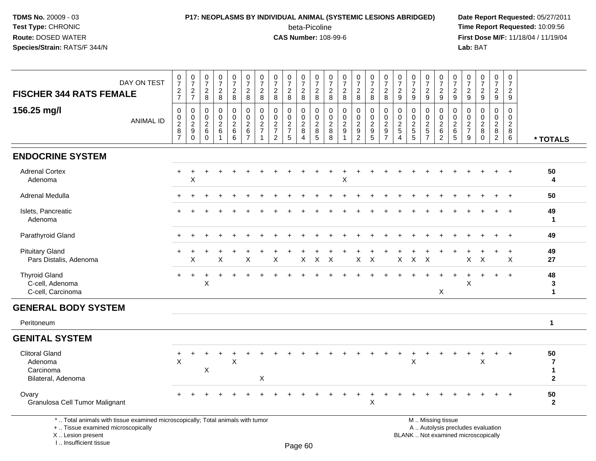### **P17: NEOPLASMS BY INDIVIDUAL ANIMAL (SYSTEMIC LESIONS ABRIDGED) Date Report Requested:** 05/27/2011 beta-Picoline<br>CAS Number: 108-99-6

| DAY ON TEST<br><b>FISCHER 344 RATS FEMALE</b>                                                                                                                         | $\begin{array}{c} 0 \\ 7 \end{array}$<br>$\frac{2}{7}$ | $\frac{0}{7}$<br>$\frac{2}{7}$                                   | $\begin{array}{c} 0 \\ 7 \end{array}$<br>$\frac{2}{8}$    | $\frac{0}{7}$<br>$\frac{2}{8}$                              | $\frac{0}{7}$<br>$\boldsymbol{2}$<br>$\overline{8}$               | $\frac{0}{7}$<br>$\boldsymbol{2}$<br>8                        | $\frac{0}{7}$<br>$\overline{2}$<br>$\overline{8}$    | $\begin{array}{c} 0 \\ 7 \end{array}$<br>$\overline{2}$<br>$\boldsymbol{8}$ | $\frac{0}{7}$<br>$\frac{2}{8}$                        | $\frac{0}{7}$<br>$\frac{2}{8}$                   | $\begin{array}{c} 0 \\ 7 \end{array}$<br>$_{\rm 8}^2$ | $\frac{0}{7}$<br>$_{\rm 8}^2$          | $\frac{0}{7}$<br>$\frac{2}{8}$                    | $\pmb{0}$<br>$\overline{7}$<br>$_{\rm 8}^2$                            | $\frac{0}{7}$<br>$\sqrt{2}$<br>$\overline{8}$  | $\begin{array}{c} 0 \\ 7 \end{array}$<br>$\frac{2}{8}$    | $\frac{0}{7}$<br>$\sqrt{2}$<br>$\boldsymbol{9}$                         | $\frac{0}{7}$<br>$\overline{2}$<br>$\overline{9}$ | 0<br>$\overline{7}$<br>$\frac{2}{9}$      | $\frac{0}{7}$<br>$\frac{2}{9}$                                                                | 0<br>$\overline{7}$<br>$\frac{2}{9}$                         | $\frac{0}{7}$<br>$\frac{2}{9}$                    | $\begin{smallmatrix}0\\7\end{smallmatrix}$<br>$\frac{2}{9}$    | $\pmb{0}$<br>$\overline{7}$<br>$\boldsymbol{2}$<br>$\overline{9}$ | 0<br>$\overline{7}$<br>$\overline{c}$<br>9 |                                                     |
|-----------------------------------------------------------------------------------------------------------------------------------------------------------------------|--------------------------------------------------------|------------------------------------------------------------------|-----------------------------------------------------------|-------------------------------------------------------------|-------------------------------------------------------------------|---------------------------------------------------------------|------------------------------------------------------|-----------------------------------------------------------------------------|-------------------------------------------------------|--------------------------------------------------|-------------------------------------------------------|----------------------------------------|---------------------------------------------------|------------------------------------------------------------------------|------------------------------------------------|-----------------------------------------------------------|-------------------------------------------------------------------------|---------------------------------------------------|-------------------------------------------|-----------------------------------------------------------------------------------------------|--------------------------------------------------------------|---------------------------------------------------|----------------------------------------------------------------|-------------------------------------------------------------------|--------------------------------------------|-----------------------------------------------------|
| 156.25 mg/l<br><b>ANIMAL ID</b>                                                                                                                                       | $\mathbf 0$<br>$\frac{0}{2}$<br>$\overline{7}$         | $\mathbf 0$<br>$\mathbf 0$<br>$\overline{c}$<br>9<br>$\mathbf 0$ | $\mathbf 0$<br>$\mathbf 0$<br>$\sqrt{2}$<br>6<br>$\Omega$ | 0<br>$\mathbf 0$<br>$\boldsymbol{2}$<br>$6\phantom{a}$<br>1 | 0<br>$\mathsf{O}\xspace$<br>$\overline{c}$<br>$6\phantom{a}$<br>6 | 0<br>$\pmb{0}$<br>$\overline{c}$<br>$\,6\,$<br>$\overline{7}$ | $\mathbf 0$<br>0<br>$\overline{c}$<br>$\overline{7}$ | $\mathbf 0$<br>$\mathbf 0$<br>$\frac{2}{7}$<br>2                            | 0<br>$\mathbf 0$<br>$\sqrt{2}$<br>$\overline{7}$<br>5 | $\mathbf 0$<br>$\mathbf 0$<br>$\frac{2}{8}$<br>4 | 0<br>0<br>$_{\rm 8}^2$<br>5                           | 0<br>$\mathbf 0$<br>$\frac{2}{8}$<br>8 | $\mathbf 0$<br>$\mathsf 0$<br>$\overline{c}$<br>9 | $\mathbf 0$<br>$\overline{0}$<br>$\overline{c}$<br>9<br>$\overline{2}$ | $\mathbf 0$<br>$\pmb{0}$<br>$\frac{2}{9}$<br>5 | 0<br>$\mathbf 0$<br>$\overline{c}$<br>9<br>$\overline{7}$ | $\mathbf 0$<br>$\mathbf 0$<br>$\sqrt{2}$<br>5<br>$\boldsymbol{\Lambda}$ | $\mathbf 0$<br>0<br>$\frac{2}{5}$<br>5            | 0<br>0<br>$\frac{2}{5}$<br>$\overline{7}$ | $\mathbf 0$<br>$\pmb{0}$<br>$\overline{c}$<br>$\,6$<br>$\overline{2}$                         | $\mathbf 0$<br>$\mathbf 0$<br>$^2\phantom{1}6$<br>$\sqrt{5}$ | $\mathbf 0$<br>$\mathsf{O}$<br>$\frac{2}{7}$<br>9 | 0<br>$\mathsf{O}$<br>$\overline{c}$<br>$\bf 8$<br>$\mathbf{0}$ | $\mathbf 0$<br>$\mathbf 0$<br>$\frac{2}{8}$<br>$\overline{2}$     | 0<br>0<br>$\overline{c}$<br>$\bf 8$<br>6   | * TOTALS                                            |
| <b>ENDOCRINE SYSTEM</b>                                                                                                                                               |                                                        |                                                                  |                                                           |                                                             |                                                                   |                                                               |                                                      |                                                                             |                                                       |                                                  |                                                       |                                        |                                                   |                                                                        |                                                |                                                           |                                                                         |                                                   |                                           |                                                                                               |                                                              |                                                   |                                                                |                                                                   |                                            |                                                     |
| <b>Adrenal Cortex</b><br>Adenoma                                                                                                                                      |                                                        | X                                                                |                                                           |                                                             |                                                                   |                                                               |                                                      |                                                                             |                                                       |                                                  |                                                       |                                        | X                                                 |                                                                        |                                                |                                                           |                                                                         |                                                   |                                           |                                                                                               |                                                              |                                                   |                                                                |                                                                   |                                            | 50<br>4                                             |
| Adrenal Medulla                                                                                                                                                       |                                                        |                                                                  |                                                           |                                                             |                                                                   |                                                               |                                                      |                                                                             |                                                       |                                                  |                                                       |                                        |                                                   |                                                                        |                                                |                                                           |                                                                         |                                                   |                                           |                                                                                               |                                                              |                                                   |                                                                |                                                                   |                                            | 50                                                  |
| Islets, Pancreatic<br>Adenoma                                                                                                                                         |                                                        |                                                                  |                                                           |                                                             |                                                                   |                                                               |                                                      |                                                                             |                                                       |                                                  |                                                       |                                        |                                                   |                                                                        |                                                |                                                           |                                                                         |                                                   |                                           |                                                                                               |                                                              |                                                   |                                                                |                                                                   |                                            | 49<br>$\mathbf{1}$                                  |
| Parathyroid Gland                                                                                                                                                     |                                                        |                                                                  |                                                           |                                                             |                                                                   |                                                               |                                                      |                                                                             |                                                       |                                                  |                                                       |                                        |                                                   |                                                                        |                                                |                                                           |                                                                         |                                                   |                                           |                                                                                               |                                                              |                                                   |                                                                |                                                                   | $\ddot{}$                                  | 49                                                  |
| <b>Pituitary Gland</b><br>Pars Distalis, Adenoma                                                                                                                      |                                                        | х                                                                |                                                           | X                                                           |                                                                   | X                                                             |                                                      | X                                                                           |                                                       | X                                                | $\pmb{\times}$                                        | X                                      |                                                   | X                                                                      | $\times$                                       |                                                           | X                                                                       | $\times$                                          | $\times$                                  |                                                                                               |                                                              | X                                                 | $\times$                                                       |                                                                   | $\ddot{}$<br>X                             | 49<br>27                                            |
| <b>Thyroid Gland</b><br>C-cell, Adenoma<br>C-cell, Carcinoma                                                                                                          | $+$                                                    | $\ddot{}$                                                        | X                                                         |                                                             |                                                                   |                                                               |                                                      |                                                                             |                                                       |                                                  |                                                       |                                        |                                                   |                                                                        |                                                |                                                           |                                                                         |                                                   |                                           | X                                                                                             |                                                              | $\boldsymbol{\mathsf{X}}$                         |                                                                | $+$                                                               | $\ddot{+}$                                 | 48<br>$\mathbf{3}$<br>$\mathbf 1$                   |
| <b>GENERAL BODY SYSTEM</b>                                                                                                                                            |                                                        |                                                                  |                                                           |                                                             |                                                                   |                                                               |                                                      |                                                                             |                                                       |                                                  |                                                       |                                        |                                                   |                                                                        |                                                |                                                           |                                                                         |                                                   |                                           |                                                                                               |                                                              |                                                   |                                                                |                                                                   |                                            |                                                     |
| Peritoneum                                                                                                                                                            |                                                        |                                                                  |                                                           |                                                             |                                                                   |                                                               |                                                      |                                                                             |                                                       |                                                  |                                                       |                                        |                                                   |                                                                        |                                                |                                                           |                                                                         |                                                   |                                           |                                                                                               |                                                              |                                                   |                                                                |                                                                   |                                            | $\mathbf{1}$                                        |
| <b>GENITAL SYSTEM</b>                                                                                                                                                 |                                                        |                                                                  |                                                           |                                                             |                                                                   |                                                               |                                                      |                                                                             |                                                       |                                                  |                                                       |                                        |                                                   |                                                                        |                                                |                                                           |                                                                         |                                                   |                                           |                                                                                               |                                                              |                                                   |                                                                |                                                                   |                                            |                                                     |
| <b>Clitoral Gland</b><br>Adenoma<br>Carcinoma<br>Bilateral, Adenoma                                                                                                   | $\boldsymbol{\mathsf{X}}$                              |                                                                  | X                                                         |                                                             | X                                                                 |                                                               | X                                                    |                                                                             |                                                       |                                                  |                                                       |                                        |                                                   |                                                                        |                                                |                                                           |                                                                         | Χ                                                 |                                           |                                                                                               |                                                              |                                                   | Χ                                                              |                                                                   |                                            | 50<br>$\overline{7}$<br>$\mathbf 1$<br>$\mathbf{2}$ |
| Ovary<br>Granulosa Cell Tumor Malignant                                                                                                                               |                                                        |                                                                  |                                                           |                                                             |                                                                   |                                                               |                                                      |                                                                             |                                                       |                                                  |                                                       |                                        |                                                   |                                                                        | $\mathsf X$                                    |                                                           |                                                                         |                                                   |                                           |                                                                                               |                                                              |                                                   |                                                                |                                                                   |                                            | 50<br>$\mathbf{2}$                                  |
| *  Total animals with tissue examined microscopically; Total animals with tumor<br>+  Tissue examined microscopically<br>X  Lesion present<br>I., Insufficient tissue |                                                        |                                                                  |                                                           |                                                             |                                                                   |                                                               |                                                      |                                                                             |                                                       | Page 60                                          |                                                       |                                        |                                                   |                                                                        |                                                |                                                           |                                                                         |                                                   |                                           | M  Missing tissue<br>A  Autolysis precludes evaluation<br>BLANK  Not examined microscopically |                                                              |                                                   |                                                                |                                                                   |                                            |                                                     |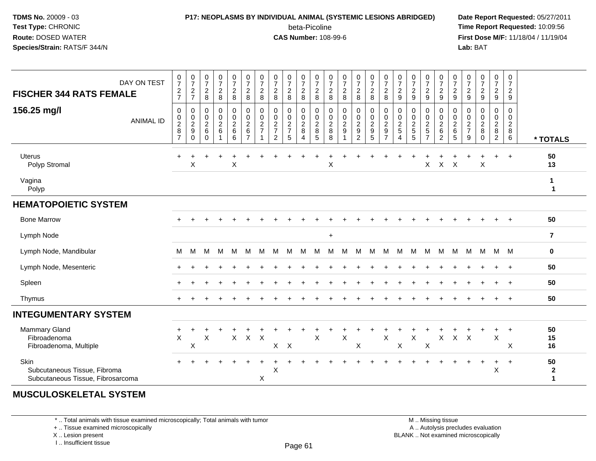## **P17: NEOPLASMS BY INDIVIDUAL ANIMAL (SYSTEMIC LESIONS ABRIDGED) Date Report Requested:** 05/27/2011

beta-Picoline<br>CAS Number: 108-99-6

 **Time Report Requested:** 10:09:56 **First Dose M/F:** 11/18/04 / 11/19/04 Lab: BAT **Lab:** BAT

| DAY ON TEST<br><b>FISCHER 344 RATS FEMALE</b><br>156.25 mg/l<br><b>ANIMAL ID</b> | $\begin{array}{c} 0 \\ 7 \end{array}$<br>$\frac{2}{7}$<br>$\mathbf 0$<br>$\begin{array}{c} 0 \\ 2 \\ 8 \end{array}$<br>$\overline{7}$ | $\frac{0}{7}$<br>$\sqrt{2}$<br>$\overline{7}$<br>0<br>$\mathbf 0$<br>$\overline{2}$<br>9<br>0 | $\begin{array}{c} 0 \\ 7 \end{array}$<br>$\overline{c}$<br>8<br>0<br>$\mathbf 0$<br>$\overline{2}$<br>6<br>$\Omega$ | $\frac{0}{7}$<br>$\frac{2}{8}$<br>0<br>$\pmb{0}$<br>$\frac{2}{6}$<br>$\overline{1}$ | $\begin{array}{c} 0 \\ 7 \end{array}$<br>$\frac{2}{8}$<br>$\pmb{0}$<br>$\pmb{0}$<br>$\frac{2}{6}$<br>$\overline{6}$ | $\frac{0}{7}$<br>$\sqrt{2}$<br>$\,8\,$<br>$\pmb{0}$<br>$\mathsf 0$<br>$\frac{2}{6}$<br>$\overline{7}$ | $\frac{0}{7}$<br>$\overline{2}$<br>8<br>$\mathbf 0$<br>$\mathbf 0$<br>$\boldsymbol{2}$<br>$\overline{7}$ | $\frac{0}{7}$<br>$\overline{2}$<br>8<br>0<br>$\pmb{0}$<br>$\frac{2}{7}$<br>$\overline{2}$ | $\frac{0}{7}$<br>$\overline{c}$<br>8<br>0<br>$\pmb{0}$<br>$\frac{2}{7}$<br>5 | $\frac{0}{7}$<br>$\sqrt{2}$<br>8<br>0<br>$\mathsf 0$<br>$\frac{2}{8}$<br>$\overline{4}$ | $\frac{0}{7}$<br>$\sqrt{2}$<br>8<br>0<br>$\mathbf 0$<br>$\begin{array}{c} 2 \\ 8 \\ 5 \end{array}$ | $\frac{0}{7}$<br>$\sqrt{2}$<br>8<br>0<br>$\pmb{0}$<br>$\frac{2}{8}$<br>8 | $\begin{array}{c} 0 \\ 7 \end{array}$<br>$\sqrt{2}$<br>8<br>$\pmb{0}$<br>$\pmb{0}$<br>$\overline{2}$<br>$\boldsymbol{9}$<br>$\overline{\mathbf{A}}$ | $\frac{0}{7}$<br>$\overline{a}$<br>8<br>0<br>$\pmb{0}$<br>$\frac{2}{9}$<br>$\overline{c}$ | $\frac{0}{7}$<br>$\overline{c}$<br>8<br>$\pmb{0}$<br>$\pmb{0}$<br>$\frac{2}{9}$ | $\begin{array}{c} 0 \\ 7 \end{array}$<br>$\overline{c}$<br>8<br>$\pmb{0}$<br>$\pmb{0}$<br>$\overline{2}$<br>$\boldsymbol{9}$<br>$\overline{7}$ | $\frac{0}{7}$<br>$\overline{c}$<br>9<br>0<br>$\mathbf 0$<br>$\frac{2}{5}$<br>$\overline{4}$ | $\begin{array}{c} 0 \\ 7 \end{array}$<br>$\sqrt{2}$<br>$9\,$<br>0<br>$\pmb{0}$<br>$\frac{2}{5}$<br>5 | $\begin{array}{c} 0 \\ 7 \end{array}$<br>$\frac{2}{9}$<br>0<br>$\pmb{0}$<br>$rac{2}{7}$ | 0<br>$\overline{7}$<br>$\overline{a}$<br>9<br>0<br>$\mathsf 0$<br>$\frac{2}{6}$<br>$\overline{2}$ | $\frac{0}{7}$<br>$\frac{2}{9}$<br>0<br>$\pmb{0}$<br>$\frac{2}{6}$<br>5 | $\frac{0}{7}$<br>$\frac{2}{9}$<br>0<br>0<br>$\frac{2}{7}$<br>$\boldsymbol{9}$ | $\begin{array}{c} 0 \\ 7 \end{array}$<br>$\frac{2}{9}$<br>$\pmb{0}$<br>$\pmb{0}$<br>$\frac{2}{8}$<br>$\mathbf 0$ | $\begin{array}{c} 0 \\ 7 \end{array}$<br>$\sqrt{2}$<br>$\boldsymbol{9}$<br>0<br>0<br>$\frac{2}{8}$ | 0<br>$\boldsymbol{7}$<br>$\overline{a}$<br>9<br>0<br>$\mathbf 0$<br>$\boldsymbol{2}$<br>8<br>$6\phantom{1}$ | * TOTALS                           |
|----------------------------------------------------------------------------------|---------------------------------------------------------------------------------------------------------------------------------------|-----------------------------------------------------------------------------------------------|---------------------------------------------------------------------------------------------------------------------|-------------------------------------------------------------------------------------|---------------------------------------------------------------------------------------------------------------------|-------------------------------------------------------------------------------------------------------|----------------------------------------------------------------------------------------------------------|-------------------------------------------------------------------------------------------|------------------------------------------------------------------------------|-----------------------------------------------------------------------------------------|----------------------------------------------------------------------------------------------------|--------------------------------------------------------------------------|-----------------------------------------------------------------------------------------------------------------------------------------------------|-------------------------------------------------------------------------------------------|---------------------------------------------------------------------------------|------------------------------------------------------------------------------------------------------------------------------------------------|---------------------------------------------------------------------------------------------|------------------------------------------------------------------------------------------------------|-----------------------------------------------------------------------------------------|---------------------------------------------------------------------------------------------------|------------------------------------------------------------------------|-------------------------------------------------------------------------------|------------------------------------------------------------------------------------------------------------------|----------------------------------------------------------------------------------------------------|-------------------------------------------------------------------------------------------------------------|------------------------------------|
| <b>Uterus</b><br>Polyp Stromal                                                   |                                                                                                                                       | $\mathsf X$                                                                                   |                                                                                                                     |                                                                                     | $\pmb{\times}$                                                                                                      |                                                                                                       |                                                                                                          |                                                                                           |                                                                              |                                                                                         |                                                                                                    | X                                                                        |                                                                                                                                                     |                                                                                           |                                                                                 |                                                                                                                                                |                                                                                             |                                                                                                      | X                                                                                       | $\mathsf X$                                                                                       | $\times$                                                               |                                                                               | $\sf X$                                                                                                          | $+$                                                                                                | $+$                                                                                                         | 50<br>13                           |
| Vagina<br>Polyp                                                                  |                                                                                                                                       |                                                                                               |                                                                                                                     |                                                                                     |                                                                                                                     |                                                                                                       |                                                                                                          |                                                                                           |                                                                              |                                                                                         |                                                                                                    |                                                                          |                                                                                                                                                     |                                                                                           |                                                                                 |                                                                                                                                                |                                                                                             |                                                                                                      |                                                                                         |                                                                                                   |                                                                        |                                                                               |                                                                                                                  |                                                                                                    |                                                                                                             | 1<br>$\mathbf{1}$                  |
| <b>HEMATOPOIETIC SYSTEM</b>                                                      |                                                                                                                                       |                                                                                               |                                                                                                                     |                                                                                     |                                                                                                                     |                                                                                                       |                                                                                                          |                                                                                           |                                                                              |                                                                                         |                                                                                                    |                                                                          |                                                                                                                                                     |                                                                                           |                                                                                 |                                                                                                                                                |                                                                                             |                                                                                                      |                                                                                         |                                                                                                   |                                                                        |                                                                               |                                                                                                                  |                                                                                                    |                                                                                                             |                                    |
| <b>Bone Marrow</b>                                                               |                                                                                                                                       |                                                                                               |                                                                                                                     |                                                                                     |                                                                                                                     |                                                                                                       |                                                                                                          |                                                                                           |                                                                              |                                                                                         |                                                                                                    |                                                                          |                                                                                                                                                     |                                                                                           |                                                                                 |                                                                                                                                                |                                                                                             |                                                                                                      |                                                                                         |                                                                                                   |                                                                        |                                                                               |                                                                                                                  | $\ddot{}$                                                                                          | $+$                                                                                                         | 50                                 |
| Lymph Node                                                                       |                                                                                                                                       |                                                                                               |                                                                                                                     |                                                                                     |                                                                                                                     |                                                                                                       |                                                                                                          |                                                                                           |                                                                              |                                                                                         |                                                                                                    | $\ddot{}$                                                                |                                                                                                                                                     |                                                                                           |                                                                                 |                                                                                                                                                |                                                                                             |                                                                                                      |                                                                                         |                                                                                                   |                                                                        |                                                                               |                                                                                                                  |                                                                                                    |                                                                                                             | $\overline{\mathbf{r}}$            |
| Lymph Node, Mandibular                                                           | М                                                                                                                                     | M                                                                                             | M                                                                                                                   | M                                                                                   | M                                                                                                                   | м                                                                                                     | M                                                                                                        | м                                                                                         | м                                                                            | М                                                                                       | м                                                                                                  | M                                                                        | м                                                                                                                                                   | м                                                                                         | M                                                                               | м                                                                                                                                              | м                                                                                           | м                                                                                                    | м                                                                                       | M                                                                                                 | М                                                                      | M                                                                             | M                                                                                                                | M                                                                                                  | M                                                                                                           | $\mathbf 0$                        |
| Lymph Node, Mesenteric                                                           |                                                                                                                                       |                                                                                               |                                                                                                                     |                                                                                     |                                                                                                                     |                                                                                                       |                                                                                                          |                                                                                           |                                                                              |                                                                                         |                                                                                                    |                                                                          |                                                                                                                                                     |                                                                                           |                                                                                 |                                                                                                                                                |                                                                                             |                                                                                                      |                                                                                         |                                                                                                   |                                                                        |                                                                               |                                                                                                                  | $\div$                                                                                             | $+$                                                                                                         | 50                                 |
| Spleen                                                                           |                                                                                                                                       |                                                                                               |                                                                                                                     |                                                                                     |                                                                                                                     |                                                                                                       |                                                                                                          |                                                                                           |                                                                              |                                                                                         |                                                                                                    |                                                                          |                                                                                                                                                     |                                                                                           |                                                                                 |                                                                                                                                                |                                                                                             |                                                                                                      |                                                                                         |                                                                                                   |                                                                        |                                                                               |                                                                                                                  |                                                                                                    | $+$                                                                                                         | 50                                 |
| Thymus                                                                           |                                                                                                                                       |                                                                                               |                                                                                                                     |                                                                                     |                                                                                                                     |                                                                                                       |                                                                                                          |                                                                                           |                                                                              |                                                                                         |                                                                                                    |                                                                          |                                                                                                                                                     |                                                                                           |                                                                                 |                                                                                                                                                |                                                                                             |                                                                                                      |                                                                                         |                                                                                                   |                                                                        |                                                                               |                                                                                                                  |                                                                                                    | $+$                                                                                                         | 50                                 |
| <b>INTEGUMENTARY SYSTEM</b>                                                      |                                                                                                                                       |                                                                                               |                                                                                                                     |                                                                                     |                                                                                                                     |                                                                                                       |                                                                                                          |                                                                                           |                                                                              |                                                                                         |                                                                                                    |                                                                          |                                                                                                                                                     |                                                                                           |                                                                                 |                                                                                                                                                |                                                                                             |                                                                                                      |                                                                                         |                                                                                                   |                                                                        |                                                                               |                                                                                                                  |                                                                                                    |                                                                                                             |                                    |
| Mammary Gland<br>Fibroadenoma<br>Fibroadenoma, Multiple                          | $\ddot{}$<br>$\pmb{\times}$                                                                                                           | Χ                                                                                             | $\mathsf{X}$                                                                                                        |                                                                                     | $\mathsf{X}$                                                                                                        | $\mathsf{X}$                                                                                          | $\boldsymbol{\mathsf{X}}$                                                                                | $\mathsf{X}$                                                                              | $\mathsf{X}$                                                                 |                                                                                         | $\boldsymbol{\mathsf{X}}$                                                                          |                                                                          | $\pmb{\times}$                                                                                                                                      | Χ                                                                                         |                                                                                 | $\sf X$                                                                                                                                        | X                                                                                           | $\sf X$                                                                                              | X                                                                                       | $\mathsf X$                                                                                       | $\pmb{\times}$                                                         | $\boldsymbol{\mathsf{X}}$                                                     |                                                                                                                  | ÷<br>$\mathsf X$                                                                                   | $\ddot{}$<br>X                                                                                              | 50<br>15<br>16                     |
| <b>Skin</b><br>Subcutaneous Tissue, Fibroma<br>Subcutaneous Tissue, Fibrosarcoma |                                                                                                                                       |                                                                                               |                                                                                                                     |                                                                                     |                                                                                                                     |                                                                                                       | $\pmb{\times}$                                                                                           | X                                                                                         |                                                                              |                                                                                         |                                                                                                    |                                                                          |                                                                                                                                                     |                                                                                           |                                                                                 |                                                                                                                                                |                                                                                             |                                                                                                      |                                                                                         |                                                                                                   |                                                                        |                                                                               |                                                                                                                  | $\ddot{}$<br>X                                                                                     | $+$                                                                                                         | 50<br>$\mathbf{2}$<br>$\mathbf{1}$ |

#### **MUSCULOSKELETAL SYSTEM**

\* .. Total animals with tissue examined microscopically; Total animals with tumor

+ .. Tissue examined microscopically

X .. Lesion present

I .. Insufficient tissue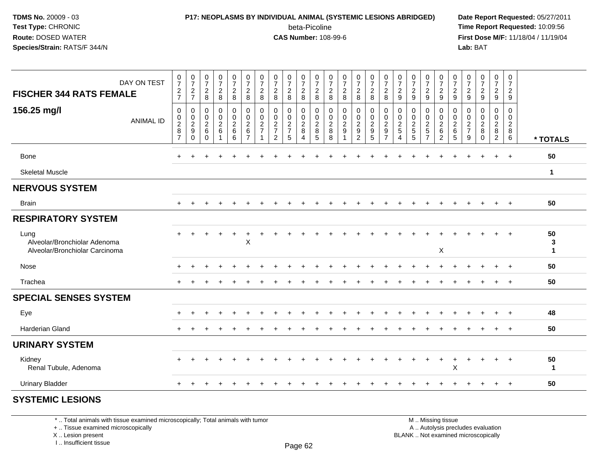## **P17: NEOPLASMS BY INDIVIDUAL ANIMAL (SYSTEMIC LESIONS ABRIDGED) Date Report Requested:** 05/27/2011

beta-Picoline<br>CAS Number: 108-99-6

 **Time Report Requested:** 10:09:56 **First Dose M/F:** 11/18/04 / 11/19/04<br>**Lab:** BAT **Lab:** BAT

| <b>FISCHER 344 RATS FEMALE</b>                                         | DAY ON TEST      | $\frac{0}{7}$<br>$\frac{2}{7}$                                              | $\frac{0}{7}$<br>$\frac{2}{7}$                                 | $\frac{0}{7}$<br>$\overline{c}$<br>$\,8\,$            | $\begin{array}{c} 0 \\ 7 \end{array}$<br>$\frac{2}{8}$ | $\frac{0}{7}$<br>$\frac{2}{8}$ | $\frac{0}{7}$<br>$\overline{c}$<br>$\,8\,$                                      | $\frac{0}{7}$<br>$\overline{c}$<br>8                | $\frac{0}{7}$<br>$_{8}^2$                         | $\pmb{0}$<br>$\overline{7}$<br>$\frac{2}{8}$ | $\begin{array}{c} 0 \\ 7 \end{array}$<br>$_{\rm 8}^2$ | $\frac{0}{7}$<br>$\frac{2}{8}$         | 0<br>$\overline{7}$<br>$\frac{2}{8}$             | $\frac{0}{7}$<br>$\frac{2}{8}$                                   | $\frac{0}{7}$<br>$\frac{2}{8}$            | $\frac{0}{7}$<br>$\frac{2}{8}$       | $\frac{0}{7}$<br>$\frac{2}{8}$                                         | $\frac{0}{7}$<br>$\sqrt{2}$<br>$9\,$ | $\frac{0}{7}$<br>$\overline{2}$<br>$\boldsymbol{9}$ | 0<br>$\overline{7}$<br>$\frac{2}{9}$      | $\frac{0}{7}$<br>$\frac{2}{9}$               | $\frac{0}{7}$<br>$\frac{2}{9}$                | $\frac{0}{7}$<br>$\frac{2}{9}$ | $\frac{0}{7}$<br>$\frac{2}{9}$                       | $\frac{0}{7}$<br>$\frac{2}{9}$                            | 0<br>$\boldsymbol{7}$<br>$\overline{2}$<br>9          |                                   |
|------------------------------------------------------------------------|------------------|-----------------------------------------------------------------------------|----------------------------------------------------------------|-------------------------------------------------------|--------------------------------------------------------|--------------------------------|---------------------------------------------------------------------------------|-----------------------------------------------------|---------------------------------------------------|----------------------------------------------|-------------------------------------------------------|----------------------------------------|--------------------------------------------------|------------------------------------------------------------------|-------------------------------------------|--------------------------------------|------------------------------------------------------------------------|--------------------------------------|-----------------------------------------------------|-------------------------------------------|----------------------------------------------|-----------------------------------------------|--------------------------------|------------------------------------------------------|-----------------------------------------------------------|-------------------------------------------------------|-----------------------------------|
| 156.25 mg/l                                                            | <b>ANIMAL ID</b> | $\mathbf 0$<br>$\begin{array}{c} 0 \\ 2 \\ 8 \end{array}$<br>$\overline{7}$ | 0<br>$\begin{array}{c} 0 \\ 2 \\ 9 \end{array}$<br>$\mathbf 0$ | 0<br>$\mathbf 0$<br>$\sqrt{2}$<br>$\,6\,$<br>$\Omega$ | $\pmb{0}$<br>$\pmb{0}$<br>$\boldsymbol{2}$<br>$\,6\,$  | 0<br>$\frac{0}{2}$ 6<br>6      | $\pmb{0}$<br>$\ddot{\mathbf{0}}$<br>$\overline{2}$<br>$\,6\,$<br>$\overline{7}$ | 0<br>0<br>$\overline{\mathbf{c}}$<br>$\overline{7}$ | 0<br>$\pmb{0}$<br>$\frac{2}{7}$<br>$\overline{2}$ | 0<br>$\pmb{0}$<br>$\frac{2}{7}$<br>5         | 0<br>$\mathbf 0$<br>$_{\rm 8}^2$<br>$\overline{4}$    | 0<br>$\mathbf 0$<br>$\frac{2}{8}$<br>5 | $\mathbf 0$<br>$\mathbf 0$<br>$\frac{2}{8}$<br>8 | $\mathbf 0$<br>$\pmb{0}$<br>$\boldsymbol{2}$<br>$\boldsymbol{9}$ | 0<br>0<br>$\frac{2}{9}$<br>$\overline{2}$ | 0<br>$\pmb{0}$<br>$\frac{2}{9}$<br>5 | 0<br>$\pmb{0}$<br>$\overline{2}$<br>$\boldsymbol{9}$<br>$\overline{7}$ | 0<br>0<br>$\frac{2}{5}$<br>4         | 0<br>0<br>$\boldsymbol{2}$<br>$\sqrt{5}$<br>5       | 0<br>0<br>$\frac{2}{5}$<br>$\overline{7}$ | $\pmb{0}$<br>$\frac{0}{2}$<br>$\overline{2}$ | 0<br>$\pmb{0}$<br>$\frac{2}{6}$<br>$\sqrt{5}$ | 0<br>0<br>$\frac{2}{7}$<br>9   | 0<br>$\mathbf 0$<br>$\sqrt{2}$<br>$\bf8$<br>$\Omega$ | 0<br>$\mathsf 0$<br>$\overline{c}$<br>8<br>$\overline{2}$ | 0<br>$\mathbf 0$<br>$\sqrt{2}$<br>8<br>$6\phantom{a}$ | * TOTALS                          |
| Bone                                                                   |                  |                                                                             |                                                                |                                                       |                                                        |                                |                                                                                 |                                                     |                                                   |                                              |                                                       |                                        |                                                  |                                                                  |                                           |                                      |                                                                        |                                      |                                                     |                                           |                                              |                                               |                                |                                                      |                                                           | $\ddot{}$                                             | 50                                |
| <b>Skeletal Muscle</b>                                                 |                  |                                                                             |                                                                |                                                       |                                                        |                                |                                                                                 |                                                     |                                                   |                                              |                                                       |                                        |                                                  |                                                                  |                                           |                                      |                                                                        |                                      |                                                     |                                           |                                              |                                               |                                |                                                      |                                                           |                                                       | $\mathbf{1}$                      |
| <b>NERVOUS SYSTEM</b>                                                  |                  |                                                                             |                                                                |                                                       |                                                        |                                |                                                                                 |                                                     |                                                   |                                              |                                                       |                                        |                                                  |                                                                  |                                           |                                      |                                                                        |                                      |                                                     |                                           |                                              |                                               |                                |                                                      |                                                           |                                                       |                                   |
| <b>Brain</b>                                                           |                  |                                                                             |                                                                |                                                       |                                                        |                                |                                                                                 |                                                     |                                                   |                                              |                                                       |                                        |                                                  |                                                                  |                                           |                                      |                                                                        |                                      |                                                     |                                           |                                              |                                               |                                |                                                      |                                                           | $\ddot{}$                                             | 50                                |
| <b>RESPIRATORY SYSTEM</b>                                              |                  |                                                                             |                                                                |                                                       |                                                        |                                |                                                                                 |                                                     |                                                   |                                              |                                                       |                                        |                                                  |                                                                  |                                           |                                      |                                                                        |                                      |                                                     |                                           |                                              |                                               |                                |                                                      |                                                           |                                                       |                                   |
| Lung<br>Alveolar/Bronchiolar Adenoma<br>Alveolar/Bronchiolar Carcinoma |                  |                                                                             |                                                                |                                                       |                                                        |                                | $\mathsf X$                                                                     |                                                     |                                                   |                                              |                                                       |                                        |                                                  |                                                                  |                                           |                                      |                                                                        |                                      |                                                     |                                           | $\boldsymbol{\mathsf{X}}$                    |                                               |                                |                                                      |                                                           |                                                       | 50<br>$\mathbf{3}$<br>$\mathbf 1$ |
| Nose                                                                   |                  | $\pm$                                                                       |                                                                |                                                       |                                                        |                                |                                                                                 |                                                     |                                                   |                                              |                                                       |                                        |                                                  |                                                                  |                                           |                                      |                                                                        |                                      |                                                     |                                           |                                              |                                               |                                |                                                      |                                                           | $\ddot{}$                                             | 50                                |
| Trachea                                                                |                  | $\pm$                                                                       |                                                                |                                                       |                                                        |                                |                                                                                 |                                                     |                                                   |                                              |                                                       |                                        |                                                  |                                                                  |                                           |                                      |                                                                        |                                      |                                                     |                                           |                                              |                                               |                                |                                                      |                                                           | $\ddot{}$                                             | 50                                |
| <b>SPECIAL SENSES SYSTEM</b>                                           |                  |                                                                             |                                                                |                                                       |                                                        |                                |                                                                                 |                                                     |                                                   |                                              |                                                       |                                        |                                                  |                                                                  |                                           |                                      |                                                                        |                                      |                                                     |                                           |                                              |                                               |                                |                                                      |                                                           |                                                       |                                   |
| Eye                                                                    |                  |                                                                             |                                                                |                                                       |                                                        |                                |                                                                                 |                                                     |                                                   |                                              |                                                       |                                        |                                                  |                                                                  |                                           |                                      |                                                                        |                                      |                                                     |                                           |                                              |                                               |                                |                                                      | ÷                                                         | $\ddot{}$                                             | 48                                |
| Harderian Gland                                                        |                  |                                                                             |                                                                |                                                       |                                                        |                                |                                                                                 |                                                     |                                                   |                                              |                                                       |                                        |                                                  |                                                                  |                                           |                                      |                                                                        |                                      |                                                     |                                           |                                              |                                               |                                |                                                      |                                                           | $\div$                                                | 50                                |
| <b>URINARY SYSTEM</b>                                                  |                  |                                                                             |                                                                |                                                       |                                                        |                                |                                                                                 |                                                     |                                                   |                                              |                                                       |                                        |                                                  |                                                                  |                                           |                                      |                                                                        |                                      |                                                     |                                           |                                              |                                               |                                |                                                      |                                                           |                                                       |                                   |
| Kidney<br>Renal Tubule, Adenoma                                        |                  |                                                                             |                                                                |                                                       |                                                        |                                |                                                                                 |                                                     |                                                   |                                              |                                                       |                                        |                                                  |                                                                  |                                           |                                      |                                                                        |                                      |                                                     |                                           | $\ddot{}$                                    | +<br>$\mathsf X$                              |                                |                                                      | $\ddot{}$                                                 | $\ddot{}$                                             | 50<br>1                           |
| <b>Urinary Bladder</b>                                                 |                  |                                                                             |                                                                |                                                       |                                                        |                                |                                                                                 |                                                     |                                                   |                                              |                                                       |                                        |                                                  |                                                                  |                                           |                                      |                                                                        |                                      |                                                     |                                           |                                              |                                               |                                |                                                      |                                                           | $+$                                                   | 50                                |
|                                                                        |                  |                                                                             |                                                                |                                                       |                                                        |                                |                                                                                 |                                                     |                                                   |                                              |                                                       |                                        |                                                  |                                                                  |                                           |                                      |                                                                        |                                      |                                                     |                                           |                                              |                                               |                                |                                                      |                                                           |                                                       |                                   |

#### **SYSTEMIC LESIONS**

\* .. Total animals with tissue examined microscopically; Total animals with tumor

+ .. Tissue examined microscopically

X .. Lesion present

I .. Insufficient tissue

 M .. Missing tissuey the contract of the contract of the contract of the contract of the contract of  $\mathsf A$  . Autolysis precludes evaluation

Lesion present BLANK .. Not examined microscopically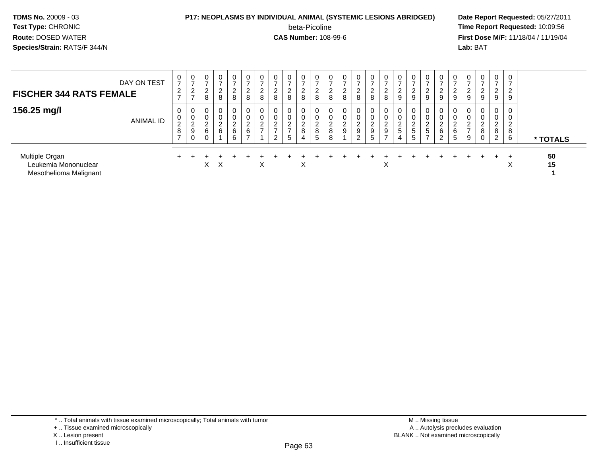#### **P17: NEOPLASMS BY INDIVIDUAL ANIMAL (SYSTEMIC LESIONS ABRIDGED) Date Report Requested:** 05/27/2011

beta-Picoline<br>CAS Number: 108-99-6

| DAY ON TEST<br><b>FISCHER 344 RATS FEMALE</b>                    | 0<br>$\overline{ }$<br>2<br>$\rightarrow$       | 0<br>$\rightarrow$<br>ົ<br>∼<br>$\rightarrow$ | $\mathbf 0$<br>$\overline{2}$<br>8   | 0<br>$\overline{ }$<br>ົ<br>$\epsilon$<br>8 | 0<br>$\rightarrow$<br>っ<br><u>L</u><br>8 | 0<br>$\overline{ }$<br>$\overline{2}$<br>8                        | 0<br>-<br>ົ<br>∼<br>8                      | $\mathbf 0$<br>⇁<br>2<br>8                                        | 0<br>$\rightarrow$<br>ົ<br>∠<br>8                         | 0<br>$\rightarrow$<br>ົ<br>∠<br>8 | 0<br>$\rightarrow$<br>2<br>8             | 0<br>ົ<br>∼<br>8           | 0<br>8                          | 0<br>-<br>ົ<br>$\epsilon$<br>8                     | $\mathbf{0}$<br>$\rightarrow$<br>2<br>8 | 0<br>$\overline{ }$<br>$\overline{2}$<br>8                     | $\mathbf 0$<br><u>_</u><br>9    | 9                                             | 0<br>∠<br>9                                                   | $\overline{0}$<br>$\rightarrow$<br>2<br>9             | $\mathbf 0$<br>2<br>9 | $\overline{0}$<br>9 | 0<br>9                                      | 0<br>-<br>C<br>$\epsilon$<br>9                   | $\mathbf 0$<br>$\rightarrow$<br>2<br>$\boldsymbol{9}$ |          |
|------------------------------------------------------------------|-------------------------------------------------|-----------------------------------------------|--------------------------------------|---------------------------------------------|------------------------------------------|-------------------------------------------------------------------|--------------------------------------------|-------------------------------------------------------------------|-----------------------------------------------------------|-----------------------------------|------------------------------------------|----------------------------|---------------------------------|----------------------------------------------------|-----------------------------------------|----------------------------------------------------------------|---------------------------------|-----------------------------------------------|---------------------------------------------------------------|-------------------------------------------------------|-----------------------|---------------------|---------------------------------------------|--------------------------------------------------|-------------------------------------------------------|----------|
| 156.25 mg/l<br><b>ANIMAL ID</b>                                  | 0<br>0<br>$\overline{c}$<br>8<br>$\overline{ }$ | 0<br>0<br>C<br>$\epsilon$<br>9<br>0           | $\mathbf 0$<br>0<br>$\sim$<br>z<br>6 | 0<br>0<br>ົ<br>$\epsilon$<br>6              | 0<br>0<br>ົ<br>$\epsilon$<br>6<br>6      | 0<br>0<br>$\begin{array}{c} 2 \\ 6 \end{array}$<br>$\overline{ }$ | 0<br>0<br>ົ<br>$\epsilon$<br>$\rightarrow$ | $\mathbf 0$<br>$\overline{c}$<br>$\overline{ }$<br>$\overline{2}$ | 0<br>0<br>ົ<br>$\epsilon$<br>$\rightarrow$<br>$5^{\circ}$ | 0<br>0<br>ົ<br><u>L</u><br>8<br>4 | 0<br>0<br>$\overline{c}$<br>$\,8\,$<br>5 | 0<br>0<br>ົ<br>L<br>8<br>8 | $\mathbf 0$<br>$\sim$<br>∠<br>9 | $\mathbf 0$<br>0<br>$\sim$<br>$\epsilon$<br>9<br>2 | 0<br>0<br>ົ<br>$\epsilon$<br>9<br>5     | 0<br>0<br>$\overline{2}$<br>$\boldsymbol{9}$<br>$\overline{z}$ | 0<br>0<br>$\sim$<br>L<br>5<br>4 | $\mathbf 0$<br>$\sim$<br>∠<br>$\sqrt{5}$<br>5 | 0<br>0<br>$\sim$<br>$\epsilon$<br>$\sqrt{5}$<br>$\rightarrow$ | $\mathbf{0}$<br>0<br>$\Omega$<br>$\epsilon$<br>6<br>2 | 0<br>0<br>2<br>6<br>5 | $\sim$<br>∼<br>9    | $\mathbf 0$<br>$\sim$<br>∠<br>8<br>$\Omega$ | 0<br>0<br>ົ<br>$\epsilon$<br>8<br>$\overline{2}$ | 0<br>0<br>$\overline{2}$<br>8<br>6                    | * TOTALS |
| Multiple Organ<br>Leukemia Mononuclear<br>Mesothelioma Malignant |                                                 |                                               | X                                    | X                                           |                                          |                                                                   | X                                          |                                                                   |                                                           | $\sim$                            |                                          |                            |                                 |                                                    |                                         | X                                                              |                                 |                                               |                                                               |                                                       |                       |                     |                                             |                                                  | $\checkmark$<br>⋏                                     | 50<br>15 |

- X .. Lesion present
- I .. Insufficient tissue

<sup>\* ..</sup> Total animals with tissue examined microscopically; Total animals with tumor

<sup>+ ..</sup> Tissue examined microscopically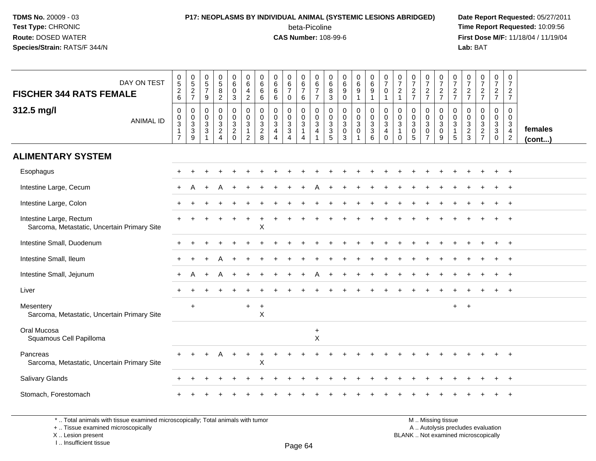### **P17: NEOPLASMS BY INDIVIDUAL ANIMAL (SYSTEMIC LESIONS ABRIDGED) Date Report Requested:** 05/27/2011 beta-Picoline<br>CAS Number: 108-99-6

 **Time Report Requested:** 10:09:56 **First Dose M/F:** 11/18/04 / 11/19/04 Lab: BAT **Lab:** BAT

| DAY ON TEST<br><b>FISCHER 344 RATS FEMALE</b>                          | $\begin{array}{c} 0 \\ 5 \end{array}$<br>$\frac{2}{6}$                         | $\begin{array}{c} 0 \\ 5 \end{array}$<br>$\overline{2}$<br>$\overline{7}$      | $\begin{array}{c} 0 \\ 5 \end{array}$<br>$\overline{7}$<br>9                       | $\begin{array}{c} 0 \\ 5 \end{array}$<br>$\overline{8}$<br>$\overline{2}$ | 0<br>$6^{\circ}$<br>$\mathbf 0$<br>3                             | 0<br>$\overline{6}$<br>$\overline{a}$<br>$\overline{2}$        | 0<br>6<br>$\,6\,$<br>6                                            | 0<br>$6\overline{6}$<br>$6\phantom{1}6$<br>6                      | 0<br>$6\phantom{a}$<br>$\overline{7}$<br>$\Omega$                   | 0<br>$6\overline{6}$<br>$\overline{7}$<br>6                          | $\begin{array}{c} 0 \\ 6 \end{array}$<br>$\overline{7}$<br>$\overline{7}$ | $\begin{array}{c} 0 \\ 6 \end{array}$<br>$\bf8$<br>$\mathbf{3}$ | $\begin{array}{c} 0 \\ 6 \end{array}$<br>$9\,$<br>$\mathbf 0$ | 0<br>$\overline{6}$<br>$\overline{9}$ | $\begin{array}{c} 0 \\ 6 \end{array}$<br>$\overline{9}$<br>$\mathbf{1}$ | $\begin{smallmatrix}0\\7\end{smallmatrix}$<br>$\mathbf 0$<br>$\mathbf{1}$ | $\frac{0}{7}$<br>$\overline{c}$<br>$\overline{1}$ | $\frac{0}{7}$<br>$\frac{2}{7}$                                   | 0<br>$\overline{7}$<br>$\frac{2}{7}$                                | 0<br>$\overline{7}$<br>$\frac{2}{7}$ | $\frac{0}{7}$<br>$\frac{2}{7}$                            | 0<br>$\overline{7}$<br>$\frac{2}{7}$                     | $\frac{0}{7}$<br>$\frac{2}{7}$      | $\begin{array}{c} 0 \\ 7 \end{array}$<br>$\frac{2}{7}$     | $\pmb{0}$<br>$\overline{7}$<br>$\overline{2}$<br>$\overline{7}$                |                   |
|------------------------------------------------------------------------|--------------------------------------------------------------------------------|--------------------------------------------------------------------------------|------------------------------------------------------------------------------------|---------------------------------------------------------------------------|------------------------------------------------------------------|----------------------------------------------------------------|-------------------------------------------------------------------|-------------------------------------------------------------------|---------------------------------------------------------------------|----------------------------------------------------------------------|---------------------------------------------------------------------------|-----------------------------------------------------------------|---------------------------------------------------------------|---------------------------------------|-------------------------------------------------------------------------|---------------------------------------------------------------------------|---------------------------------------------------|------------------------------------------------------------------|---------------------------------------------------------------------|--------------------------------------|-----------------------------------------------------------|----------------------------------------------------------|-------------------------------------|------------------------------------------------------------|--------------------------------------------------------------------------------|-------------------|
| 312.5 mg/l<br><b>ANIMAL ID</b>                                         | $\mathsf 0$<br>$\mathbf 0$<br>$\overline{3}$<br>$\mathbf{1}$<br>$\overline{7}$ | $\mathbf 0$<br>$\mathbf 0$<br>$\overline{3}$<br>$\ensuremath{\mathsf{3}}$<br>9 | $\mathbf 0$<br>$\boldsymbol{0}$<br>$\overline{3}$<br>$\mathsf 3$<br>$\overline{1}$ | 0<br>$\frac{0}{3}$<br>$\overline{4}$                                      | 0<br>$\mathbf 0$<br>$\overline{3}$<br>$\overline{c}$<br>$\Omega$ | $\mathbf 0$<br>$\frac{0}{3}$<br>$\mathbf{1}$<br>$\overline{2}$ | $\mathbf 0$<br>$\mathbf 0$<br>$\mathbf{3}$<br>$\overline{2}$<br>8 | $\mathbf 0$<br>$\mathbf 0$<br>$\mathbf{3}$<br>4<br>$\overline{4}$ | $\mathbf 0$<br>$\mathbf 0$<br>$\overline{3}$<br>3<br>$\overline{4}$ | 0<br>$\mathbf 0$<br>$\overline{3}$<br>$\mathbf{1}$<br>$\overline{4}$ | 0<br>$\mathbf 0$<br>$\overline{3}$<br>$\overline{a}$                      | $\mathbf 0$<br>$\mathbf 0$<br>$\overline{3}$<br>$\frac{3}{5}$   | $\mathbf 0$<br>0<br>$\overline{3}$<br>0<br>3                  | 0<br>$\mathbf 0$<br>3<br>0<br>1       | $\pmb{0}$<br>$\frac{0}{3}$<br>$\,6\,$                                   | $\mathbf 0$<br>$_{3}^{\rm 0}$<br>$\overline{4}$<br>$\mathbf 0$            | $\mathbf 0$<br>0<br>3<br>$\Omega$                 | $\mathbf 0$<br>$\mathbf 0$<br>$\overline{3}$<br>$\mathbf 0$<br>5 | 0<br>$\mathbf 0$<br>$\overline{3}$<br>$\mathbf 0$<br>$\overline{7}$ | 0<br>$\mathbf 0$<br>3<br>0<br>9      | 0<br>0<br>$\mathbf{3}$<br>$\mathbf{1}$<br>$5\phantom{.0}$ | 0<br>$\boldsymbol{0}$<br>$\overline{3}$<br>$\frac{2}{3}$ | 0<br>$\frac{0}{2}$<br>$\frac{3}{7}$ | $\mathbf 0$<br>$\mathbf 0$<br>$\frac{3}{3}$<br>$\mathbf 0$ | $\mathbf 0$<br>$\mathbf 0$<br>$\mathbf{3}$<br>$\overline{4}$<br>$\overline{2}$ | females<br>(cont) |
| <b>ALIMENTARY SYSTEM</b>                                               |                                                                                |                                                                                |                                                                                    |                                                                           |                                                                  |                                                                |                                                                   |                                                                   |                                                                     |                                                                      |                                                                           |                                                                 |                                                               |                                       |                                                                         |                                                                           |                                                   |                                                                  |                                                                     |                                      |                                                           |                                                          |                                     |                                                            |                                                                                |                   |
| Esophagus                                                              |                                                                                |                                                                                |                                                                                    |                                                                           |                                                                  |                                                                |                                                                   |                                                                   |                                                                     |                                                                      |                                                                           |                                                                 |                                                               |                                       |                                                                         |                                                                           |                                                   |                                                                  |                                                                     |                                      |                                                           |                                                          |                                     |                                                            | $\ddot{}$                                                                      |                   |
| Intestine Large, Cecum                                                 |                                                                                |                                                                                |                                                                                    |                                                                           |                                                                  |                                                                |                                                                   |                                                                   |                                                                     |                                                                      |                                                                           |                                                                 |                                                               |                                       |                                                                         |                                                                           |                                                   |                                                                  |                                                                     |                                      |                                                           |                                                          |                                     |                                                            |                                                                                |                   |
| Intestine Large, Colon                                                 |                                                                                |                                                                                |                                                                                    |                                                                           |                                                                  |                                                                |                                                                   |                                                                   |                                                                     |                                                                      |                                                                           |                                                                 |                                                               |                                       |                                                                         |                                                                           |                                                   |                                                                  |                                                                     |                                      |                                                           |                                                          |                                     |                                                            |                                                                                |                   |
| Intestine Large, Rectum<br>Sarcoma, Metastatic, Uncertain Primary Site |                                                                                |                                                                                |                                                                                    |                                                                           |                                                                  |                                                                | X                                                                 |                                                                   |                                                                     |                                                                      |                                                                           |                                                                 |                                                               |                                       |                                                                         |                                                                           |                                                   |                                                                  |                                                                     |                                      |                                                           |                                                          |                                     |                                                            |                                                                                |                   |
| Intestine Small, Duodenum                                              |                                                                                |                                                                                |                                                                                    |                                                                           |                                                                  |                                                                |                                                                   |                                                                   |                                                                     |                                                                      |                                                                           |                                                                 |                                                               |                                       |                                                                         |                                                                           |                                                   |                                                                  |                                                                     |                                      |                                                           |                                                          |                                     |                                                            | $+$                                                                            |                   |
| Intestine Small, Ileum                                                 |                                                                                |                                                                                |                                                                                    |                                                                           |                                                                  |                                                                |                                                                   |                                                                   |                                                                     |                                                                      |                                                                           |                                                                 |                                                               |                                       |                                                                         |                                                                           |                                                   |                                                                  |                                                                     |                                      |                                                           |                                                          |                                     |                                                            |                                                                                |                   |
| Intestine Small, Jejunum                                               | $+$                                                                            | A                                                                              |                                                                                    | А                                                                         |                                                                  |                                                                |                                                                   |                                                                   |                                                                     |                                                                      |                                                                           |                                                                 |                                                               |                                       |                                                                         |                                                                           |                                                   |                                                                  |                                                                     |                                      |                                                           |                                                          |                                     |                                                            |                                                                                |                   |
| Liver                                                                  |                                                                                |                                                                                |                                                                                    |                                                                           |                                                                  |                                                                |                                                                   |                                                                   |                                                                     |                                                                      |                                                                           |                                                                 |                                                               |                                       |                                                                         |                                                                           |                                                   |                                                                  |                                                                     |                                      |                                                           |                                                          |                                     |                                                            |                                                                                |                   |
| Mesentery<br>Sarcoma, Metastatic, Uncertain Primary Site               |                                                                                | $\ddot{}$                                                                      |                                                                                    |                                                                           |                                                                  |                                                                | $\ddot{}$<br>$\sf X$                                              |                                                                   |                                                                     |                                                                      |                                                                           |                                                                 |                                                               |                                       |                                                                         |                                                                           |                                                   |                                                                  |                                                                     |                                      | $+$                                                       | $\ddot{}$                                                |                                     |                                                            |                                                                                |                   |
| Oral Mucosa<br>Squamous Cell Papilloma                                 |                                                                                |                                                                                |                                                                                    |                                                                           |                                                                  |                                                                |                                                                   |                                                                   |                                                                     |                                                                      | $\ddot{}$<br>$\mathsf X$                                                  |                                                                 |                                                               |                                       |                                                                         |                                                                           |                                                   |                                                                  |                                                                     |                                      |                                                           |                                                          |                                     |                                                            |                                                                                |                   |
| Pancreas<br>Sarcoma, Metastatic, Uncertain Primary Site                |                                                                                |                                                                                |                                                                                    |                                                                           | $\ddot{}$                                                        | $\ddot{}$                                                      | $\ddot{}$<br>X                                                    |                                                                   |                                                                     |                                                                      |                                                                           |                                                                 |                                                               |                                       |                                                                         |                                                                           |                                                   |                                                                  |                                                                     |                                      |                                                           |                                                          |                                     |                                                            |                                                                                |                   |
| Salivary Glands                                                        |                                                                                |                                                                                |                                                                                    |                                                                           |                                                                  |                                                                |                                                                   |                                                                   |                                                                     |                                                                      |                                                                           |                                                                 |                                                               |                                       |                                                                         |                                                                           |                                                   |                                                                  |                                                                     |                                      |                                                           |                                                          |                                     |                                                            | $\overline{+}$                                                                 |                   |
| Stomach, Forestomach                                                   |                                                                                |                                                                                |                                                                                    |                                                                           |                                                                  |                                                                |                                                                   |                                                                   |                                                                     |                                                                      |                                                                           |                                                                 |                                                               |                                       |                                                                         |                                                                           |                                                   |                                                                  |                                                                     |                                      |                                                           |                                                          |                                     |                                                            |                                                                                |                   |

\* .. Total animals with tissue examined microscopically; Total animals with tumor

+ .. Tissue examined microscopically

X .. Lesion present

I .. Insufficient tissue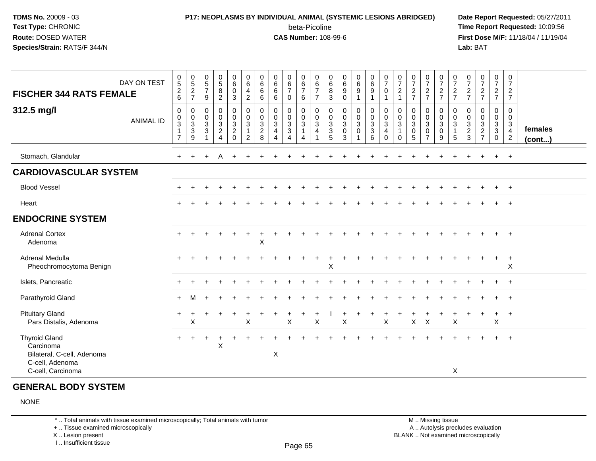### **P17: NEOPLASMS BY INDIVIDUAL ANIMAL (SYSTEMIC LESIONS ABRIDGED) Date Report Requested:** 05/27/2011 beta-Picoline<br>CAS Number: 108-99-6

 **Time Report Requested:** 10:09:56 **First Dose M/F:** 11/18/04 / 11/19/04<br>**Lab:** BAT **Lab:** BAT

| <b>FISCHER 344 RATS FEMALE</b>                                                                          | DAY ON TEST      | $\begin{array}{c} 0 \\ 5 \end{array}$<br>$\frac{2}{6}$               | $\begin{array}{c} 0 \\ 5 \end{array}$<br>$\frac{2}{7}$ | $0$<br>5<br>7<br>9                                                   | 0582                                                                           | $0\over 6$<br>$\overline{0}$<br>3                   | $\begin{array}{c} 0 \\ 6 \end{array}$<br>$\overline{\mathbf{4}}$<br>$\sqrt{2}$ | $\mathbf 0$<br>$6\phantom{1}6$<br>6<br>$\,6\,$          | $\begin{array}{c} 0 \\ 6 \end{array}$<br>$6\phantom{1}$<br>6                         | $\begin{array}{c} 0 \\ 6 \\ 7 \end{array}$<br>0       | $\begin{array}{c} 0 \\ 6 \\ 7 \end{array}$<br>6               | $\begin{array}{c} 0 \\ 6 \\ 7 \end{array}$<br>$\overline{7}$ | $\begin{matrix} 0 \\ 6 \\ 8 \end{matrix}$<br>$\mathbf{3}$ | $\begin{array}{c} 0 \\ 6 \end{array}$<br>$9\,$<br>$\mathbf 0$ | $_{6}^{\rm 0}$<br>9                             | $\begin{array}{c} 0 \\ 6 \\ 9 \end{array}$<br>1 | $\frac{0}{7}$<br>$\pmb{0}$<br>$\overline{ }$                                      | $\frac{0}{7}$<br>$\sqrt{2}$<br>$\mathbf{1}$                  | $\frac{0}{7}$<br>$\frac{2}{7}$                              | $\frac{0}{7}$<br>$\frac{2}{7}$                          | $\frac{0}{7}$<br>$\frac{2}{7}$                         | $\frac{0}{7}$<br>$rac{2}{7}$     | 0<br>$\overline{7}$<br>$\frac{2}{7}$  | $\begin{smallmatrix}0\\7\end{smallmatrix}$<br>$\frac{2}{7}$ | $\begin{smallmatrix}0\\7\end{smallmatrix}$<br>$rac{2}{7}$        | $\mathbf 0$<br>$\overline{7}$<br>$\frac{2}{7}$                                 |                         |
|---------------------------------------------------------------------------------------------------------|------------------|----------------------------------------------------------------------|--------------------------------------------------------|----------------------------------------------------------------------|--------------------------------------------------------------------------------|-----------------------------------------------------|--------------------------------------------------------------------------------|---------------------------------------------------------|--------------------------------------------------------------------------------------|-------------------------------------------------------|---------------------------------------------------------------|--------------------------------------------------------------|-----------------------------------------------------------|---------------------------------------------------------------|-------------------------------------------------|-------------------------------------------------|-----------------------------------------------------------------------------------|--------------------------------------------------------------|-------------------------------------------------------------|---------------------------------------------------------|--------------------------------------------------------|----------------------------------|---------------------------------------|-------------------------------------------------------------|------------------------------------------------------------------|--------------------------------------------------------------------------------|-------------------------|
| 312.5 mg/l                                                                                              | <b>ANIMAL ID</b> | $\mathbf 0$<br>0<br>$\overline{3}$<br>$\mathbf{1}$<br>$\overline{7}$ | $\mathbf 0$<br>$\mathbf 0$<br>3<br>3<br>9              | $\mathbf 0$<br>$\pmb{0}$<br>$\mathsf 3$<br>$\ensuremath{\mathsf{3}}$ | $\mathsf 0$<br>$\pmb{0}$<br>$\overline{3}$<br>$\overline{a}$<br>$\overline{4}$ | 0<br>$\mathbf 0$<br>3<br>$\overline{c}$<br>$\Omega$ | $\mathbf 0$<br>$\mathbf 0$<br>$\sqrt{3}$<br>$\mathbf{1}$<br>$\overline{2}$     | $\mathbf 0$<br>0<br>$\mathbf{3}$<br>$\overline{c}$<br>8 | $\mathbf 0$<br>$\pmb{0}$<br>$\mathbf{3}$<br>$\overline{4}$<br>$\boldsymbol{\Lambda}$ | 0<br>$\mathbf 0$<br>$\sqrt{3}$<br>3<br>$\overline{A}$ | $\pmb{0}$<br>$_{3}^{\rm 0}$<br>$\mathbf{1}$<br>$\overline{4}$ | $\pmb{0}$<br>$\pmb{0}$<br>$\overline{3}$<br>$\overline{4}$   | 0<br>0<br>$\mathsf 3$<br>$\frac{3}{5}$                    | $\mathbf 0$<br>$\pmb{0}$<br>$\mathbf{3}$<br>$\mathbf 0$<br>3  | 0<br>$\mathbf 0$<br>$\mathbf{3}$<br>$\mathbf 0$ | 0<br>$_3^0$<br>$\sqrt{3}$<br>6                  | $\pmb{0}$<br>$\pmb{0}$<br>$\ensuremath{\mathsf{3}}$<br>$\overline{4}$<br>$\Omega$ | 0<br>$\pmb{0}$<br>$\mathbf{3}$<br>$\overline{1}$<br>$\Omega$ | $\mathbf 0$<br>$\pmb{0}$<br>$\mathsf 3$<br>$\mathbf 0$<br>5 | 0<br>$\mathbf 0$<br>$\mathbf{3}$<br>0<br>$\overline{7}$ | 0<br>$\mathbf 0$<br>$\overline{3}$<br>$\mathsf 0$<br>9 | 0<br>0<br>3<br>$\mathbf{1}$<br>5 | 0<br>0<br>$\sqrt{3}$<br>$\frac{2}{3}$ | 0<br>$\mathbf 0$<br>$\overline{3}$<br>$\frac{2}{7}$         | 0<br>$\mathbf 0$<br>$\mathbf{3}$<br>$\mathbf{3}$<br>$\mathbf{0}$ | $\mathbf 0$<br>$\mathbf 0$<br>$\mathbf{3}$<br>$\overline{4}$<br>$\overline{2}$ | females<br>$($ cont $)$ |
| Stomach, Glandular                                                                                      |                  |                                                                      |                                                        |                                                                      | A                                                                              |                                                     |                                                                                |                                                         |                                                                                      |                                                       |                                                               |                                                              |                                                           |                                                               |                                                 |                                                 |                                                                                   |                                                              |                                                             |                                                         |                                                        |                                  |                                       |                                                             | $\ddot{}$                                                        | $+$                                                                            |                         |
| <b>CARDIOVASCULAR SYSTEM</b>                                                                            |                  |                                                                      |                                                        |                                                                      |                                                                                |                                                     |                                                                                |                                                         |                                                                                      |                                                       |                                                               |                                                              |                                                           |                                                               |                                                 |                                                 |                                                                                   |                                                              |                                                             |                                                         |                                                        |                                  |                                       |                                                             |                                                                  |                                                                                |                         |
| <b>Blood Vessel</b>                                                                                     |                  |                                                                      |                                                        |                                                                      |                                                                                |                                                     |                                                                                |                                                         |                                                                                      |                                                       |                                                               |                                                              |                                                           |                                                               |                                                 |                                                 |                                                                                   |                                                              |                                                             |                                                         |                                                        |                                  |                                       |                                                             | $\ddot{}$                                                        | $+$                                                                            |                         |
| Heart                                                                                                   |                  |                                                                      |                                                        |                                                                      |                                                                                |                                                     |                                                                                |                                                         |                                                                                      |                                                       |                                                               |                                                              |                                                           |                                                               |                                                 |                                                 |                                                                                   |                                                              |                                                             |                                                         |                                                        |                                  |                                       |                                                             |                                                                  | $^+$                                                                           |                         |
| <b>ENDOCRINE SYSTEM</b>                                                                                 |                  |                                                                      |                                                        |                                                                      |                                                                                |                                                     |                                                                                |                                                         |                                                                                      |                                                       |                                                               |                                                              |                                                           |                                                               |                                                 |                                                 |                                                                                   |                                                              |                                                             |                                                         |                                                        |                                  |                                       |                                                             |                                                                  |                                                                                |                         |
| <b>Adrenal Cortex</b><br>Adenoma                                                                        |                  |                                                                      |                                                        |                                                                      |                                                                                |                                                     |                                                                                | $\boldsymbol{\mathsf{X}}$                               |                                                                                      |                                                       |                                                               |                                                              |                                                           |                                                               |                                                 |                                                 |                                                                                   |                                                              |                                                             |                                                         |                                                        |                                  |                                       |                                                             |                                                                  |                                                                                |                         |
| Adrenal Medulla<br>Pheochromocytoma Benign                                                              |                  |                                                                      |                                                        |                                                                      |                                                                                |                                                     |                                                                                |                                                         |                                                                                      |                                                       |                                                               |                                                              | $\sf X$                                                   |                                                               |                                                 |                                                 |                                                                                   |                                                              |                                                             |                                                         |                                                        |                                  |                                       |                                                             | $\ddot{}$                                                        | $+$<br>X                                                                       |                         |
| Islets, Pancreatic                                                                                      |                  |                                                                      |                                                        |                                                                      |                                                                                |                                                     |                                                                                |                                                         |                                                                                      |                                                       |                                                               |                                                              |                                                           |                                                               |                                                 |                                                 |                                                                                   |                                                              |                                                             |                                                         |                                                        |                                  |                                       |                                                             |                                                                  | $^{+}$                                                                         |                         |
| Parathyroid Gland                                                                                       |                  | $\pm$                                                                | м                                                      |                                                                      |                                                                                |                                                     |                                                                                |                                                         |                                                                                      |                                                       |                                                               |                                                              |                                                           |                                                               |                                                 |                                                 |                                                                                   |                                                              |                                                             |                                                         |                                                        |                                  |                                       |                                                             |                                                                  | $^{+}$                                                                         |                         |
| <b>Pituitary Gland</b><br>Pars Distalis, Adenoma                                                        |                  | $\ddot{}$                                                            | X                                                      |                                                                      |                                                                                | $\ddot{}$                                           | $\pmb{\times}$                                                                 |                                                         |                                                                                      | $\mathsf X$                                           |                                                               | $\boldsymbol{\mathsf{X}}$                                    |                                                           | $\boldsymbol{\mathsf{X}}$                                     |                                                 |                                                 | $\sf X$                                                                           |                                                              | $\mathsf{X}$                                                | $\boldsymbol{\mathsf{X}}$                               |                                                        | $\boldsymbol{\mathsf{X}}$        |                                       |                                                             | $\ddot{}$<br>$\sf X$                                             | $+$                                                                            |                         |
| <b>Thyroid Gland</b><br>Carcinoma<br>Bilateral, C-cell, Adenoma<br>C-cell, Adenoma<br>C-cell, Carcinoma |                  | $\ddot{}$                                                            | $\ddot{}$                                              |                                                                      | $\cdot$<br>X                                                                   |                                                     |                                                                                |                                                         | $\mathsf X$                                                                          |                                                       |                                                               |                                                              |                                                           |                                                               |                                                 |                                                 |                                                                                   |                                                              |                                                             |                                                         |                                                        | X                                |                                       |                                                             |                                                                  | $\overline{+}$                                                                 |                         |

#### **GENERAL BODY SYSTEM**

NONE

\* .. Total animals with tissue examined microscopically; Total animals with tumor

+ .. Tissue examined microscopically

X .. Lesion present

I .. Insufficient tissue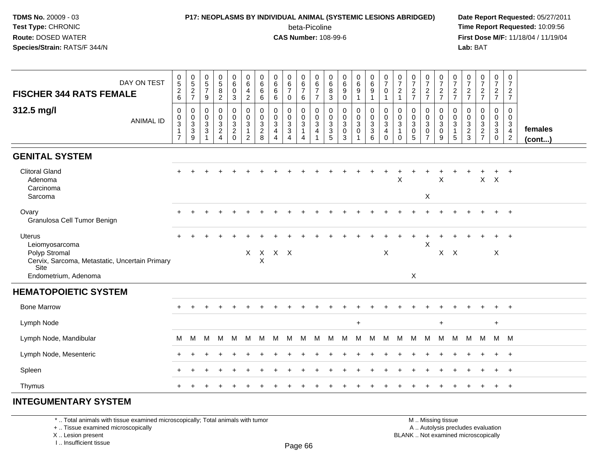# **P17: NEOPLASMS BY INDIVIDUAL ANIMAL (SYSTEMIC LESIONS ABRIDGED) Date Report Requested:** 05/27/2011

beta-Picoline<br>CAS Number: 108-99-6

 **Time Report Requested:** 10:09:56 **First Dose M/F:** 11/18/04 / 11/19/04 Lab: BAT **Lab:** BAT

| DAY ON TEST<br><b>FISCHER 344 RATS FEMALE</b>                                                      | $\begin{array}{c} 0 \\ 5 \end{array}$<br>$\frac{2}{6}$                     | $0$<br>5<br>2<br>7      | $\begin{array}{c} 0 \\ 5 \\ 7 \end{array}$<br>9       | $\begin{array}{c} 0 \\ 5 \end{array}$<br>8<br>$\overline{2}$                   | $\mathbf 0$<br>$\,6\,$<br>$\pmb{0}$<br>$\mathbf{3}$ | 0<br>6<br>$\overline{4}$<br>$\overline{2}$                                 | 0<br>$\,6$<br>$\,6$<br>6                                      | 0<br>6<br>6<br>6                                        | $\begin{array}{c} 0 \\ 6 \end{array}$<br>$\overline{7}$<br>$\mathbf 0$ | 0<br>$\,6\,$<br>$\overline{7}$<br>6                     | 0<br>$\,6\,$<br>$\overline{7}$<br>$\overline{7}$                           | 0<br>$\,6$<br>8<br>3                                             | 0<br>$\,6\,$<br>9<br>$\mathbf 0$           | $\begin{matrix} 0 \\ 6 \\ 9 \end{matrix}$ | $\begin{array}{c} 0 \\ 6 \end{array}$<br>9<br>$\overline{1}$                | $\frac{0}{7}$<br>$\mathbf 0$<br>$\overline{1}$                               | $\pmb{0}$<br>$\overline{7}$<br>$\overline{2}$<br>$\mathbf{1}$           | $\frac{0}{7}$<br>$\frac{2}{7}$                             | $\frac{0}{7}$<br>$\frac{2}{7}$                        | $\frac{0}{7}$<br>$\frac{2}{7}$                      | $\begin{array}{c} 0 \\ 7 \end{array}$<br>$\frac{2}{7}$               | $\frac{0}{7}$<br>$\frac{2}{7}$                  | $\begin{smallmatrix}0\\7\end{smallmatrix}$<br>$\frac{2}{7}$ | $\begin{array}{c} 0 \\ 7 \end{array}$<br>$\frac{2}{7}$ | $\mathbf 0$<br>$\overline{7}$<br>$rac{2}{7}$                         |                   |
|----------------------------------------------------------------------------------------------------|----------------------------------------------------------------------------|-------------------------|-------------------------------------------------------|--------------------------------------------------------------------------------|-----------------------------------------------------|----------------------------------------------------------------------------|---------------------------------------------------------------|---------------------------------------------------------|------------------------------------------------------------------------|---------------------------------------------------------|----------------------------------------------------------------------------|------------------------------------------------------------------|--------------------------------------------|-------------------------------------------|-----------------------------------------------------------------------------|------------------------------------------------------------------------------|-------------------------------------------------------------------------|------------------------------------------------------------|-------------------------------------------------------|-----------------------------------------------------|----------------------------------------------------------------------|-------------------------------------------------|-------------------------------------------------------------|--------------------------------------------------------|----------------------------------------------------------------------|-------------------|
| 312.5 mg/l<br><b>ANIMAL ID</b>                                                                     | $\mathbf 0$<br>$\mathbf 0$<br>$\sqrt{3}$<br>$\mathbf{1}$<br>$\overline{7}$ | 0<br>$\frac{0}{3}$<br>9 | 0<br>$\boldsymbol{0}$<br>$\mathbf{3}$<br>$\mathbf{3}$ | $\mathbf 0$<br>$\boldsymbol{0}$<br>$\mathbf 3$<br>$\sqrt{2}$<br>$\overline{4}$ | 0<br>$\pmb{0}$<br>$\sqrt{3}$<br>$\frac{2}{0}$       | $\pmb{0}$<br>$\mathsf 0$<br>$\mathbf{3}$<br>$\mathbf{1}$<br>$\overline{2}$ | $\mathbf 0$<br>$\pmb{0}$<br>$\sqrt{3}$<br>$\overline{2}$<br>8 | $\mathbf 0$<br>0<br>$\mathbf{3}$<br>4<br>$\overline{4}$ | $\mathbf 0$<br>$\pmb{0}$<br>$\sqrt{3}$<br>$\overline{3}$<br>4          | 0<br>$\mathbf 0$<br>$\mathbf{3}$<br>$\overline{1}$<br>4 | $\mathbf 0$<br>$\,0\,$<br>$\mathbf{3}$<br>$\overline{a}$<br>$\overline{1}$ | 0<br>$\pmb{0}$<br>$\mathbf{3}$<br>$\ensuremath{\mathsf{3}}$<br>5 | 0<br>$\mathbf 0$<br>$\mathbf{3}$<br>0<br>3 | 0<br>$_{3}^{\rm 0}$<br>$\mathbf 0$        | $\mathbf 0$<br>$\mathbf 0$<br>$\mathsf 3$<br>$\ensuremath{\mathsf{3}}$<br>6 | $\mathbf 0$<br>$\boldsymbol{0}$<br>$\mathbf 3$<br>$\overline{4}$<br>$\Omega$ | $\mathbf 0$<br>$\pmb{0}$<br>$\mathbf{3}$<br>$\mathbf{1}$<br>$\mathbf 0$ | $\mathbf 0$<br>$\mathbf 0$<br>$\sqrt{3}$<br>$\pmb{0}$<br>5 | $\mathbf{0}$<br>$\pmb{0}$<br>3<br>0<br>$\overline{7}$ | 0<br>$\mathbf 0$<br>$\mathsf 3$<br>$\mathsf 0$<br>9 | $\mathbf 0$<br>$\pmb{0}$<br>$\sqrt{3}$<br>$\mathbf{1}$<br>$\sqrt{5}$ | 0<br>$\mathbf 0$<br>$\sqrt{3}$<br>$\frac{2}{3}$ | $\mathbf 0$<br>$\mathbf 0$<br>$\sqrt{3}$<br>$\frac{2}{7}$   | 0<br>$\mathbf 0$<br>3<br>$\overline{3}$<br>$\mathbf 0$ | 0<br>$\mathbf 0$<br>$\mathbf{3}$<br>$\overline{4}$<br>$\overline{2}$ | females<br>(cont) |
| <b>GENITAL SYSTEM</b>                                                                              |                                                                            |                         |                                                       |                                                                                |                                                     |                                                                            |                                                               |                                                         |                                                                        |                                                         |                                                                            |                                                                  |                                            |                                           |                                                                             |                                                                              |                                                                         |                                                            |                                                       |                                                     |                                                                      |                                                 |                                                             |                                                        |                                                                      |                   |
| <b>Clitoral Gland</b><br>Adenoma<br>Carcinoma                                                      |                                                                            |                         |                                                       |                                                                                |                                                     |                                                                            |                                                               |                                                         |                                                                        |                                                         |                                                                            |                                                                  |                                            |                                           |                                                                             |                                                                              | $\mathsf{X}$                                                            |                                                            |                                                       | $\sf X$                                             |                                                                      |                                                 | $\mathsf{X}$                                                | $\mathsf{X}$                                           | $\ddot{}$                                                            |                   |
| Sarcoma                                                                                            |                                                                            |                         |                                                       |                                                                                |                                                     |                                                                            |                                                               |                                                         |                                                                        |                                                         |                                                                            |                                                                  |                                            |                                           |                                                                             |                                                                              |                                                                         |                                                            | X                                                     |                                                     |                                                                      |                                                 |                                                             |                                                        |                                                                      |                   |
| Ovary<br>Granulosa Cell Tumor Benign                                                               |                                                                            |                         |                                                       |                                                                                |                                                     |                                                                            |                                                               |                                                         |                                                                        |                                                         |                                                                            |                                                                  |                                            |                                           |                                                                             |                                                                              |                                                                         |                                                            |                                                       |                                                     |                                                                      |                                                 |                                                             |                                                        | $\div$                                                               |                   |
| <b>Uterus</b><br>Leiomyosarcoma<br>Polyp Stromal<br>Cervix, Sarcoma, Metastatic, Uncertain Primary |                                                                            |                         |                                                       |                                                                                |                                                     |                                                                            | X                                                             | X X X X                                                 |                                                                        |                                                         |                                                                            |                                                                  |                                            |                                           |                                                                             | X                                                                            |                                                                         |                                                            | X                                                     | $X$ $X$                                             |                                                                      |                                                 |                                                             | X                                                      |                                                                      |                   |
| Site<br>Endometrium, Adenoma                                                                       |                                                                            |                         |                                                       |                                                                                |                                                     |                                                                            |                                                               |                                                         |                                                                        |                                                         |                                                                            |                                                                  |                                            |                                           |                                                                             |                                                                              |                                                                         | $\mathsf X$                                                |                                                       |                                                     |                                                                      |                                                 |                                                             |                                                        |                                                                      |                   |
| <b>HEMATOPOIETIC SYSTEM</b>                                                                        |                                                                            |                         |                                                       |                                                                                |                                                     |                                                                            |                                                               |                                                         |                                                                        |                                                         |                                                                            |                                                                  |                                            |                                           |                                                                             |                                                                              |                                                                         |                                                            |                                                       |                                                     |                                                                      |                                                 |                                                             |                                                        |                                                                      |                   |
| <b>Bone Marrow</b>                                                                                 |                                                                            |                         |                                                       |                                                                                |                                                     |                                                                            |                                                               |                                                         |                                                                        |                                                         |                                                                            |                                                                  |                                            |                                           |                                                                             |                                                                              |                                                                         |                                                            |                                                       |                                                     |                                                                      |                                                 |                                                             |                                                        |                                                                      |                   |
| Lymph Node                                                                                         |                                                                            |                         |                                                       |                                                                                |                                                     |                                                                            |                                                               |                                                         |                                                                        |                                                         |                                                                            |                                                                  |                                            | $\ddot{}$                                 |                                                                             |                                                                              |                                                                         |                                                            |                                                       | $\ddot{}$                                           |                                                                      |                                                 |                                                             | $\ddot{}$                                              |                                                                      |                   |
| Lymph Node, Mandibular                                                                             | М                                                                          | м                       | м                                                     | м                                                                              | M                                                   | м                                                                          | м                                                             | м                                                       | м                                                                      | М                                                       | М                                                                          | M                                                                | м                                          | M                                         | м                                                                           | м                                                                            | M                                                                       | M                                                          | м                                                     | M                                                   | м                                                                    | м                                               | M                                                           |                                                        | M M                                                                  |                   |
| Lymph Node, Mesenteric                                                                             |                                                                            |                         |                                                       |                                                                                |                                                     |                                                                            |                                                               |                                                         |                                                                        |                                                         |                                                                            |                                                                  |                                            |                                           |                                                                             |                                                                              |                                                                         |                                                            |                                                       |                                                     |                                                                      |                                                 |                                                             |                                                        | $+$                                                                  |                   |
| Spleen                                                                                             |                                                                            |                         |                                                       |                                                                                |                                                     |                                                                            |                                                               |                                                         |                                                                        |                                                         |                                                                            |                                                                  |                                            |                                           |                                                                             |                                                                              |                                                                         |                                                            |                                                       |                                                     |                                                                      |                                                 |                                                             |                                                        | $+$                                                                  |                   |
| Thymus                                                                                             |                                                                            |                         |                                                       |                                                                                |                                                     |                                                                            |                                                               |                                                         |                                                                        |                                                         |                                                                            |                                                                  |                                            |                                           |                                                                             |                                                                              |                                                                         |                                                            |                                                       |                                                     |                                                                      |                                                 |                                                             | ÷                                                      | $+$                                                                  |                   |
| NITEAU MENIT A DV OVOTEM                                                                           |                                                                            |                         |                                                       |                                                                                |                                                     |                                                                            |                                                               |                                                         |                                                                        |                                                         |                                                                            |                                                                  |                                            |                                           |                                                                             |                                                                              |                                                                         |                                                            |                                                       |                                                     |                                                                      |                                                 |                                                             |                                                        |                                                                      |                   |

#### **INTEGUMENTARY SYSTEM**

\* .. Total animals with tissue examined microscopically; Total animals with tumor

+ .. Tissue examined microscopically

X .. Lesion present

I .. Insufficient tissue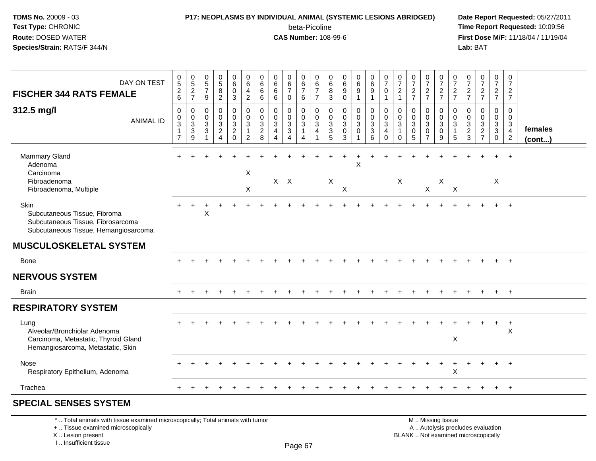## **P17: NEOPLASMS BY INDIVIDUAL ANIMAL (SYSTEMIC LESIONS ABRIDGED) Date Report Requested:** 05/27/2011

beta-Picoline<br>CAS Number: 108-99-6

 **Time Report Requested:** 10:09:56 **First Dose M/F:** 11/18/04 / 11/19/04 Lab: BAT **Lab:** BAT

| DAY ON TEST                                                                                                              | $\begin{array}{c} 0 \\ 5 \end{array}$              | $\frac{0}{5}$<br>$\frac{2}{7}$                            | $\begin{array}{c} 0 \\ 5 \end{array}$                                             | $\begin{array}{c} 0 \\ 5 \end{array}$             | $\begin{array}{c} 0 \\ 6 \end{array}$ | $\begin{array}{c} 0 \\ 6 \end{array}$                              | 0<br>6                                                     | $\begin{array}{c} 0 \\ 6 \end{array}$                             | $_{6}^{\rm 0}$                                                          | $\begin{matrix} 0 \\ 6 \end{matrix}$                                         | 0<br>6                                | $\begin{matrix} 0 \\ 6 \end{matrix}$                | $\begin{array}{c} 0 \\ 6 \\ 9 \end{array}$            | $0$<br>$6$<br>$9$                                                              | $\begin{array}{c} 0 \\ 6 \end{array}$           | $\frac{0}{7}$                           | $\frac{0}{7}$                                    | $\frac{0}{7}$                          | $\frac{0}{7}$                                                       | $\begin{array}{c} 0 \\ 7 \end{array}$                | $\frac{0}{7}$              | $\frac{0}{7}$                                               | $\frac{0}{7}$                                                  | 0<br>$\overline{7}$                                                             | 0<br>$\overline{7}$                                                  |                         |
|--------------------------------------------------------------------------------------------------------------------------|----------------------------------------------------|-----------------------------------------------------------|-----------------------------------------------------------------------------------|---------------------------------------------------|---------------------------------------|--------------------------------------------------------------------|------------------------------------------------------------|-------------------------------------------------------------------|-------------------------------------------------------------------------|------------------------------------------------------------------------------|---------------------------------------|-----------------------------------------------------|-------------------------------------------------------|--------------------------------------------------------------------------------|-------------------------------------------------|-----------------------------------------|--------------------------------------------------|----------------------------------------|---------------------------------------------------------------------|------------------------------------------------------|----------------------------|-------------------------------------------------------------|----------------------------------------------------------------|---------------------------------------------------------------------------------|----------------------------------------------------------------------|-------------------------|
| <b>FISCHER 344 RATS FEMALE</b>                                                                                           | $\begin{array}{c} 2 \\ 6 \end{array}$              |                                                           | $\overline{7}$<br>9                                                               | $\, 8$<br>$\overline{c}$                          | $\mathbf 0$<br>$\mathbf{3}$           | 4<br>$\overline{2}$                                                | 6<br>6                                                     | $\,6\,$<br>6                                                      | $\overline{7}$<br>$\mathbf 0$                                           | $\overline{7}$<br>6                                                          | $\overline{7}$<br>$\overline{7}$      | 8<br>3                                              | $\Omega$                                              | 1                                                                              | $\boldsymbol{9}$<br>$\overline{1}$              | 0<br>$\mathbf{1}$                       | $\overline{2}$<br>$\overline{1}$                 | $\frac{2}{7}$                          | $rac{2}{7}$                                                         | $\frac{2}{7}$                                        | $rac{2}{7}$                | $\frac{2}{7}$                                               | $\frac{2}{7}$                                                  | $\frac{2}{7}$                                                                   | $\overline{2}$<br>$\overline{7}$                                     |                         |
| 312.5 mg/l<br><b>ANIMAL ID</b>                                                                                           | 0<br>$\pmb{0}$<br>$\overline{3}$<br>$\overline{7}$ | $\mathbf 0$<br>$\begin{array}{c} 0 \\ 3 \\ 9 \end{array}$ | 0<br>$\mathbf 0$<br>$\overline{3}$<br>$\ensuremath{\mathsf{3}}$<br>$\overline{ }$ | 0<br>$\mathbf 0$<br>$\mathbf{3}$<br>$\frac{2}{4}$ | 0<br>$\frac{0}{3}$<br>$\frac{2}{0}$   | 0<br>$\mathbf 0$<br>$\mathbf{3}$<br>$\mathbf{1}$<br>$\overline{2}$ | 0<br>0<br>$\ensuremath{\mathsf{3}}$<br>$\overline{c}$<br>8 | 0<br>$\mathbf 0$<br>$\overline{3}$<br>4<br>$\boldsymbol{\Lambda}$ | 0<br>0<br>$\overline{3}$<br>$\ensuremath{\mathsf{3}}$<br>$\overline{4}$ | 0<br>$\mathsf{O}\xspace$<br>$\overline{3}$<br>$\mathbf{1}$<br>$\overline{4}$ | 0<br>$\mathbf 0$<br>$\mathbf{3}$<br>4 | 0<br>$\mathbf 0$<br>$\overline{3}$<br>$\frac{3}{5}$ | 0<br>$\mathsf{O}$<br>$\overline{3}$<br>$\pmb{0}$<br>3 | 0<br>$\overline{0}$<br>$\overline{3}$<br>$\mathsf{O}\xspace$<br>$\overline{ }$ | $\begin{array}{c} 0 \\ 0 \\ 3 \\ 6 \end{array}$ | 0<br>0<br>$\mathbf{3}$<br>4<br>$\Omega$ | 0<br>$\mathbf 0$<br>$\mathbf 3$<br>1<br>$\Omega$ | 0<br>0<br>$\sqrt{3}$<br>$\pmb{0}$<br>5 | 0<br>$\mathbf 0$<br>$\overline{3}$<br>$\mathbf 0$<br>$\overline{7}$ | 0<br>$\mathbf 0$<br>$\overline{3}$<br>$\pmb{0}$<br>9 | 0<br>0<br>$\mathsf 3$<br>5 | $\mathbf 0$<br>$\mathbf 0$<br>$\mathbf{3}$<br>$\frac{2}{3}$ | 0<br>$\mathbf 0$<br>$\ensuremath{\mathsf{3}}$<br>$\frac{2}{7}$ | 0<br>$\overline{0}$<br>$\mathbf{3}$<br>$\ensuremath{\mathsf{3}}$<br>$\mathbf 0$ | $\mathbf{0}$<br>$\mathbf 0$<br>3<br>$\overline{4}$<br>$\overline{2}$ | females<br>$($ cont $)$ |
| Mammary Gland<br>Adenoma<br>Carcinoma<br>Fibroadenoma<br>Fibroadenoma, Multiple                                          |                                                    |                                                           |                                                                                   |                                                   |                                       | $\boldsymbol{\mathsf{X}}$<br>X                                     |                                                            | $X$ $X$                                                           |                                                                         |                                                                              |                                       | $\boldsymbol{\mathsf{X}}$                           | X                                                     | $\sf X$                                                                        |                                                 |                                         | $\mathsf X$                                      |                                        | $\mathsf X$                                                         | X                                                    | X                          |                                                             |                                                                | X                                                                               | $\ddot{}$                                                            |                         |
| <b>Skin</b><br>Subcutaneous Tissue, Fibroma<br>Subcutaneous Tissue, Fibrosarcoma<br>Subcutaneous Tissue, Hemangiosarcoma |                                                    |                                                           | Χ                                                                                 |                                                   |                                       |                                                                    |                                                            |                                                                   |                                                                         |                                                                              |                                       |                                                     |                                                       |                                                                                |                                                 |                                         |                                                  |                                        |                                                                     |                                                      |                            |                                                             |                                                                |                                                                                 |                                                                      |                         |
| <b>MUSCULOSKELETAL SYSTEM</b>                                                                                            |                                                    |                                                           |                                                                                   |                                                   |                                       |                                                                    |                                                            |                                                                   |                                                                         |                                                                              |                                       |                                                     |                                                       |                                                                                |                                                 |                                         |                                                  |                                        |                                                                     |                                                      |                            |                                                             |                                                                |                                                                                 |                                                                      |                         |
| <b>Bone</b>                                                                                                              |                                                    |                                                           |                                                                                   |                                                   |                                       |                                                                    |                                                            |                                                                   |                                                                         |                                                                              |                                       |                                                     |                                                       |                                                                                |                                                 |                                         |                                                  |                                        |                                                                     |                                                      |                            |                                                             |                                                                |                                                                                 |                                                                      |                         |
| <b>NERVOUS SYSTEM</b>                                                                                                    |                                                    |                                                           |                                                                                   |                                                   |                                       |                                                                    |                                                            |                                                                   |                                                                         |                                                                              |                                       |                                                     |                                                       |                                                                                |                                                 |                                         |                                                  |                                        |                                                                     |                                                      |                            |                                                             |                                                                |                                                                                 |                                                                      |                         |
| <b>Brain</b>                                                                                                             |                                                    |                                                           |                                                                                   |                                                   |                                       |                                                                    |                                                            |                                                                   |                                                                         |                                                                              |                                       |                                                     |                                                       |                                                                                |                                                 |                                         |                                                  |                                        |                                                                     |                                                      |                            |                                                             |                                                                |                                                                                 | $+$                                                                  |                         |
| <b>RESPIRATORY SYSTEM</b>                                                                                                |                                                    |                                                           |                                                                                   |                                                   |                                       |                                                                    |                                                            |                                                                   |                                                                         |                                                                              |                                       |                                                     |                                                       |                                                                                |                                                 |                                         |                                                  |                                        |                                                                     |                                                      |                            |                                                             |                                                                |                                                                                 |                                                                      |                         |
| Lung<br>Alveolar/Bronchiolar Adenoma<br>Carcinoma, Metastatic, Thyroid Gland<br>Hemangiosarcoma, Metastatic, Skin        |                                                    |                                                           |                                                                                   |                                                   |                                       |                                                                    |                                                            |                                                                   |                                                                         |                                                                              |                                       |                                                     |                                                       |                                                                                |                                                 |                                         |                                                  |                                        |                                                                     |                                                      | X                          |                                                             |                                                                |                                                                                 | $\overline{1}$<br>$\times$                                           |                         |
| <b>Nose</b><br>Respiratory Epithelium, Adenoma                                                                           |                                                    |                                                           |                                                                                   |                                                   |                                       |                                                                    |                                                            |                                                                   |                                                                         |                                                                              |                                       |                                                     |                                                       |                                                                                |                                                 |                                         |                                                  |                                        |                                                                     |                                                      | $\mathsf X$                |                                                             |                                                                |                                                                                 | $\pm$                                                                |                         |
| Trachea                                                                                                                  | $\ddot{}$                                          |                                                           |                                                                                   |                                                   |                                       |                                                                    |                                                            |                                                                   |                                                                         |                                                                              |                                       |                                                     |                                                       |                                                                                |                                                 |                                         |                                                  |                                        |                                                                     |                                                      |                            |                                                             |                                                                |                                                                                 | $+$                                                                  |                         |
| <b>SPECIAL SENSES SYSTEM</b>                                                                                             |                                                    |                                                           |                                                                                   |                                                   |                                       |                                                                    |                                                            |                                                                   |                                                                         |                                                                              |                                       |                                                     |                                                       |                                                                                |                                                 |                                         |                                                  |                                        |                                                                     |                                                      |                            |                                                             |                                                                |                                                                                 |                                                                      |                         |

\* .. Total animals with tissue examined microscopically; Total animals with tumor

+ .. Tissue examined microscopically

X .. Lesion present

I .. Insufficient tissue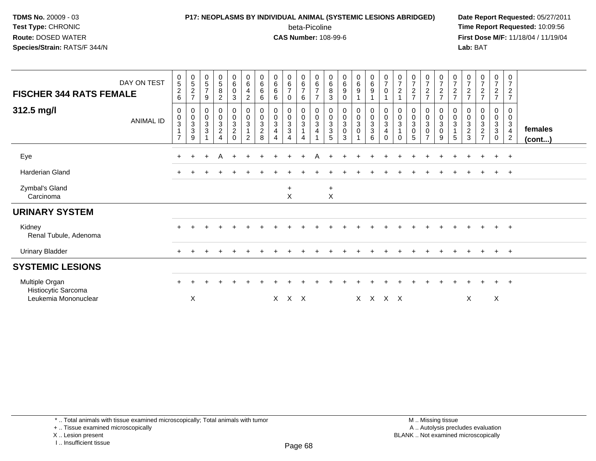# **P17: NEOPLASMS BY INDIVIDUAL ANIMAL (SYSTEMIC LESIONS ABRIDGED) Date Report Requested:** 05/27/2011

beta-Picoline<br>CAS Number: 108-99-6

 **Time Report Requested:** 10:09:56 **First Dose M/F:** 11/18/04 / 11/19/04 Lab: BAT **Lab:** BAT

| <b>FISCHER 344 RATS FEMALE</b><br>312.5 mg/l                  | DAY ON TEST<br><b>ANIMAL ID</b> | $\pmb{0}$<br>5<br>$\overline{c}$<br>6<br>0<br>$\pmb{0}$<br>$\ensuremath{\mathsf{3}}$<br>$\mathbf{1}$<br>$\overline{7}$ | $\begin{smallmatrix}0\0\5\end{smallmatrix}$<br>$\boldsymbol{2}$<br>$\overline{ }$<br>0<br>0<br>$_3^3$<br>9 | $\begin{array}{c} 0 \\ 5 \end{array}$<br>$\overline{7}$<br>9<br>0<br>$\frac{0}{3}$ | $\begin{array}{c} 0 \\ 5 \end{array}$<br>$\bf 8$<br>$\overline{c}$<br>0<br>$\pmb{0}$<br>$\mathsf 3$<br>$\overline{c}$<br>4 | $\mathbf 0$<br>$\,6\,$<br>$\pmb{0}$<br>3<br>$\mathbf 0$<br>$\mathsf 0$<br>$\ensuremath{\mathsf{3}}$<br>$\overline{2}$<br>$\Omega$ | $\begin{array}{c} 0 \\ 6 \end{array}$<br>$\overline{\mathbf{4}}$<br>$\overline{c}$<br>0<br>$\mathbf 0$<br>$\mathbf{3}$<br>$\mathbf{1}$<br>$\overline{2}$ | $\begin{matrix} 0 \\ 6 \end{matrix}$<br>6<br>6<br>0<br>0<br>$\ensuremath{\mathsf{3}}$<br>$\sqrt{2}$<br>8 | $\begin{array}{c} 0 \\ 6 \\ 6 \end{array}$<br>6<br>0<br>$\frac{0}{3}$<br>$\overline{4}$<br>$\Delta$ | $_{6}^{\rm 0}$<br>$\overline{7}$<br>0<br>0<br>$\pmb{0}$<br>$\mathbf 3$<br>$\mathbf{3}$<br>4 | $\begin{array}{c} 0 \\ 6 \end{array}$<br>7<br>6<br>0<br>$\mathbf 0$<br>3<br>$\mathbf{1}$<br>4 | $_{6}^{\rm 0}$<br>$\overline{7}$<br>$\overline{7}$<br>0<br>$\pmb{0}$<br>3<br>4 | $_{6}^{\rm 0}$<br>8<br>$\ensuremath{\mathsf{3}}$<br>0<br>$\mathbf 0$<br>$_3^3$<br>5 | $\begin{array}{c} 0 \\ 6 \\ 9 \end{array}$<br>$\pmb{0}$<br>$\mathbf 0$<br>$\begin{bmatrix} 0 \\ 3 \\ 0 \end{bmatrix}$<br>3 | $_{6}^{\rm 0}$<br>$\boldsymbol{9}$<br>0<br>$\frac{0}{3}$<br>0 | $\begin{array}{c} 0 \\ 6 \end{array}$<br>$\boldsymbol{9}$<br>$\mathbf 0$<br>$\pmb{0}$<br>$\sqrt{3}$<br>$\overline{3}$<br>6 | $\frac{0}{7}$<br>0<br>0<br>$\pmb{0}$<br>$\mathbf{3}$<br>4<br>$\Omega$ | $\frac{0}{7}$<br>$\boldsymbol{2}$<br>0<br>$\pmb{0}$<br>$\ensuremath{\mathsf{3}}$<br>$\mathbf{1}$<br>$\Omega$ | $\begin{array}{c} 0 \\ 7 \end{array}$<br>$\sqrt{2}$<br>$\overline{ }$<br>0<br>$\pmb{0}$<br>$\frac{3}{0}$<br>5 | $\frac{0}{7}$<br>$\frac{2}{7}$<br>0<br>$\pmb{0}$<br>$\sqrt{3}$<br>$\pmb{0}$<br>$\overline{7}$ | $\begin{array}{c} 0 \\ 7 \end{array}$<br>$\frac{2}{7}$<br>$\pmb{0}$<br>$\frac{0}{3}$<br>$\overline{0}$<br>9 | $\frac{0}{7}$<br>$\frac{2}{7}$<br>0<br>$\boldsymbol{0}$<br>$\mathbf{3}$<br>$\mathbf{1}$<br>5 | $\frac{0}{7}$<br>$\frac{2}{7}$<br>0<br>$\pmb{0}$<br>$\frac{3}{2}$ | $\frac{0}{7}$<br>$\frac{2}{7}$<br>0<br>$\pmb{0}$<br>$\ensuremath{\mathsf{3}}$<br>$\overline{2}$<br>$\overline{ }$ | $\begin{smallmatrix}0\\7\end{smallmatrix}$<br>$\frac{2}{7}$<br>$\mathbf 0$<br>$\mathsf{O}\xspace$<br>$_3^3$<br>$\mathbf{0}$ | $\frac{0}{7}$<br>$\sqrt{2}$<br>$\overline{7}$<br>0<br>$\mathbf 0$<br>$\mathbf{3}$<br>$\overline{4}$<br>$\overline{2}$ | females<br>(cont) |
|---------------------------------------------------------------|---------------------------------|------------------------------------------------------------------------------------------------------------------------|------------------------------------------------------------------------------------------------------------|------------------------------------------------------------------------------------|----------------------------------------------------------------------------------------------------------------------------|-----------------------------------------------------------------------------------------------------------------------------------|----------------------------------------------------------------------------------------------------------------------------------------------------------|----------------------------------------------------------------------------------------------------------|-----------------------------------------------------------------------------------------------------|---------------------------------------------------------------------------------------------|-----------------------------------------------------------------------------------------------|--------------------------------------------------------------------------------|-------------------------------------------------------------------------------------|----------------------------------------------------------------------------------------------------------------------------|---------------------------------------------------------------|----------------------------------------------------------------------------------------------------------------------------|-----------------------------------------------------------------------|--------------------------------------------------------------------------------------------------------------|---------------------------------------------------------------------------------------------------------------|-----------------------------------------------------------------------------------------------|-------------------------------------------------------------------------------------------------------------|----------------------------------------------------------------------------------------------|-------------------------------------------------------------------|-------------------------------------------------------------------------------------------------------------------|-----------------------------------------------------------------------------------------------------------------------------|-----------------------------------------------------------------------------------------------------------------------|-------------------|
| Eye                                                           |                                 | $+$                                                                                                                    | $+$                                                                                                        | $\ddot{}$                                                                          | A                                                                                                                          |                                                                                                                                   |                                                                                                                                                          |                                                                                                          |                                                                                                     |                                                                                             |                                                                                               |                                                                                |                                                                                     |                                                                                                                            |                                                               |                                                                                                                            |                                                                       |                                                                                                              |                                                                                                               |                                                                                               |                                                                                                             |                                                                                              |                                                                   | $\div$                                                                                                            | $\ddot{}$                                                                                                                   | $+$                                                                                                                   |                   |
| Harderian Gland                                               |                                 |                                                                                                                        |                                                                                                            |                                                                                    |                                                                                                                            |                                                                                                                                   |                                                                                                                                                          |                                                                                                          |                                                                                                     |                                                                                             |                                                                                               |                                                                                |                                                                                     |                                                                                                                            |                                                               |                                                                                                                            |                                                                       |                                                                                                              |                                                                                                               |                                                                                               |                                                                                                             |                                                                                              |                                                                   |                                                                                                                   | $\ddot{}$                                                                                                                   | $+$                                                                                                                   |                   |
| Zymbal's Gland<br>Carcinoma                                   |                                 |                                                                                                                        |                                                                                                            |                                                                                    |                                                                                                                            |                                                                                                                                   |                                                                                                                                                          |                                                                                                          |                                                                                                     | $\ddot{}$<br>$\mathsf{X}$                                                                   |                                                                                               |                                                                                | $+$<br>X                                                                            |                                                                                                                            |                                                               |                                                                                                                            |                                                                       |                                                                                                              |                                                                                                               |                                                                                               |                                                                                                             |                                                                                              |                                                                   |                                                                                                                   |                                                                                                                             |                                                                                                                       |                   |
| <b>URINARY SYSTEM</b>                                         |                                 |                                                                                                                        |                                                                                                            |                                                                                    |                                                                                                                            |                                                                                                                                   |                                                                                                                                                          |                                                                                                          |                                                                                                     |                                                                                             |                                                                                               |                                                                                |                                                                                     |                                                                                                                            |                                                               |                                                                                                                            |                                                                       |                                                                                                              |                                                                                                               |                                                                                               |                                                                                                             |                                                                                              |                                                                   |                                                                                                                   |                                                                                                                             |                                                                                                                       |                   |
| Kidney<br>Renal Tubule, Adenoma                               |                                 |                                                                                                                        |                                                                                                            |                                                                                    |                                                                                                                            |                                                                                                                                   |                                                                                                                                                          |                                                                                                          |                                                                                                     |                                                                                             |                                                                                               |                                                                                |                                                                                     |                                                                                                                            |                                                               |                                                                                                                            |                                                                       |                                                                                                              |                                                                                                               |                                                                                               |                                                                                                             |                                                                                              |                                                                   |                                                                                                                   |                                                                                                                             | $\overline{+}$                                                                                                        |                   |
| <b>Urinary Bladder</b>                                        |                                 | $+$                                                                                                                    |                                                                                                            |                                                                                    |                                                                                                                            |                                                                                                                                   |                                                                                                                                                          |                                                                                                          |                                                                                                     |                                                                                             |                                                                                               |                                                                                |                                                                                     |                                                                                                                            |                                                               |                                                                                                                            |                                                                       |                                                                                                              |                                                                                                               |                                                                                               |                                                                                                             |                                                                                              | $\pm$                                                             | $\pm$                                                                                                             | $+$                                                                                                                         | $+$                                                                                                                   |                   |
| <b>SYSTEMIC LESIONS</b>                                       |                                 |                                                                                                                        |                                                                                                            |                                                                                    |                                                                                                                            |                                                                                                                                   |                                                                                                                                                          |                                                                                                          |                                                                                                     |                                                                                             |                                                                                               |                                                                                |                                                                                     |                                                                                                                            |                                                               |                                                                                                                            |                                                                       |                                                                                                              |                                                                                                               |                                                                                               |                                                                                                             |                                                                                              |                                                                   |                                                                                                                   |                                                                                                                             |                                                                                                                       |                   |
| Multiple Organ<br>Histiocytic Sarcoma<br>Leukemia Mononuclear |                                 | $\ddot{}$                                                                                                              | X                                                                                                          |                                                                                    |                                                                                                                            |                                                                                                                                   |                                                                                                                                                          |                                                                                                          | X                                                                                                   | X X                                                                                         |                                                                                               |                                                                                |                                                                                     |                                                                                                                            |                                                               |                                                                                                                            | X X X X                                                               |                                                                                                              |                                                                                                               |                                                                                               |                                                                                                             |                                                                                              | X                                                                 |                                                                                                                   | ÷.<br>X                                                                                                                     | $+$                                                                                                                   |                   |

\* .. Total animals with tissue examined microscopically; Total animals with tumor

+ .. Tissue examined microscopically

X .. Lesion present

I .. Insufficient tissue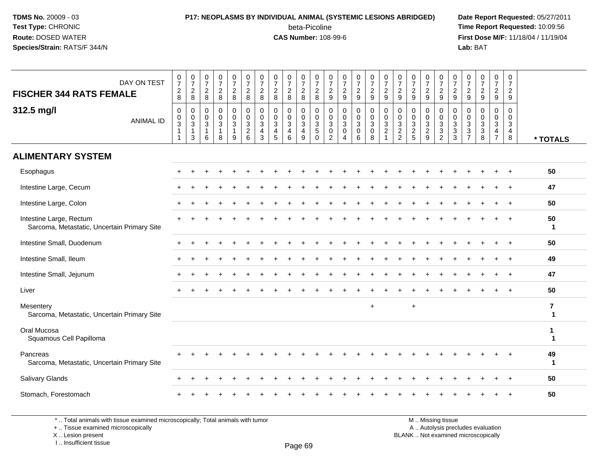### **P17: NEOPLASMS BY INDIVIDUAL ANIMAL (SYSTEMIC LESIONS ABRIDGED) Date Report Requested:** 05/27/2011 beta-Picoline<br>CAS Number: 108-99-6

 **Time Report Requested:** 10:09:56 **First Dose M/F:** 11/18/04 / 11/19/04 Lab: BAT **Lab:** BAT

| DAY ON TEST<br><b>FISCHER 344 RATS FEMALE</b>                          | $\begin{smallmatrix}0\\7\end{smallmatrix}$<br>$\frac{2}{8}$ | $\frac{0}{7}$<br>$\overline{\mathbf{c}}$<br>8                      | $\frac{0}{7}$<br>$\overline{c}$<br>8             | $\frac{0}{7}$<br>$\frac{2}{8}$                                | $\frac{0}{7}$<br>$\frac{2}{8}$             | $\frac{0}{7}$<br>$\frac{2}{8}$    | $\frac{0}{7}$<br>$\overline{2}$<br>8                                         | $\frac{0}{7}$<br>$\frac{2}{8}$                                             | $\frac{0}{7}$<br>$_{8}^2$                  | $\frac{0}{7}$<br>$\frac{2}{8}$                        | $\frac{0}{7}$<br>$\frac{2}{8}$                          | $\frac{0}{7}$<br>$\frac{2}{9}$                                      | $\frac{0}{7}$<br>$\frac{2}{9}$                                   | $\frac{0}{7}$<br>$\frac{2}{9}$ | $\frac{0}{7}$<br>$\overline{2}$<br>9      | $\frac{0}{7}$<br>$\frac{2}{9}$                                    | $\frac{0}{7}$<br>$\sqrt{2}$<br>9                                               | $\frac{0}{7}$<br>$\overline{c}$<br>9                             | $\frac{0}{7}$<br>$\overline{2}$<br>9          | $\frac{0}{7}$<br>$\frac{2}{9}$                                                       | $\frac{0}{7}$<br>$\frac{2}{9}$                                  | $\frac{0}{7}$<br>$\overline{c}$<br>9        | $\frac{0}{7}$<br>$\sqrt{2}$<br>9                   | $\frac{0}{7}$<br>$\overline{a}$<br>9            | 0<br>$\overline{7}$<br>$\overline{a}$<br>9 |                                         |
|------------------------------------------------------------------------|-------------------------------------------------------------|--------------------------------------------------------------------|--------------------------------------------------|---------------------------------------------------------------|--------------------------------------------|-----------------------------------|------------------------------------------------------------------------------|----------------------------------------------------------------------------|--------------------------------------------|-------------------------------------------------------|---------------------------------------------------------|---------------------------------------------------------------------|------------------------------------------------------------------|--------------------------------|-------------------------------------------|-------------------------------------------------------------------|--------------------------------------------------------------------------------|------------------------------------------------------------------|-----------------------------------------------|--------------------------------------------------------------------------------------|-----------------------------------------------------------------|---------------------------------------------|----------------------------------------------------|-------------------------------------------------|--------------------------------------------|-----------------------------------------|
| 312.5 mg/l<br><b>ANIMAL ID</b>                                         | $\mathbf 0$<br>$_{3}^{\rm 0}$<br>$\mathbf{1}$<br>-1         | $\mathbf 0$<br>$\boldsymbol{0}$<br>$\sqrt{3}$<br>$\mathbf{1}$<br>3 | $\mathbf 0$<br>$\,0\,$<br>3<br>$\mathbf{1}$<br>6 | $\mathbf 0$<br>$\pmb{0}$<br>$\mathbf{3}$<br>$\mathbf{1}$<br>8 | 0<br>$\mathbf 0$<br>3<br>$\mathbf{1}$<br>9 | $\mathbf 0$<br>$\frac{0}{3}$<br>6 | $\mathbf 0$<br>$\mathbf 0$<br>$\mathbf{3}$<br>$\overline{4}$<br>$\mathbf{3}$ | $\mathbf 0$<br>$\mathbf 0$<br>$\mathbf{3}$<br>$\overline{\mathbf{4}}$<br>5 | 0<br>$\pmb{0}$<br>3<br>$\overline{4}$<br>6 | 0<br>$\mathbf 0$<br>3<br>$\overline{\mathbf{4}}$<br>9 | $\mathbf 0$<br>$_{3}^{\rm 0}$<br>$\sqrt{5}$<br>$\Omega$ | $\mathbf 0$<br>$\pmb{0}$<br>3<br>$\boldsymbol{0}$<br>$\overline{2}$ | $\mathbf 0$<br>$\mathbf 0$<br>3<br>$\mathbf 0$<br>$\overline{4}$ | 0<br>$\pmb{0}$<br>3<br>0<br>6  | 0<br>$\mathbf 0$<br>3<br>$\mathbf 0$<br>8 | $\mathbf 0$<br>$_{3}^{\rm 0}$<br>$\overline{2}$<br>$\overline{1}$ | $\mathbf 0$<br>$\mathbf 0$<br>$\mathbf{3}$<br>$\overline{c}$<br>$\overline{2}$ | $\mathbf 0$<br>$\boldsymbol{0}$<br>$\mathbf{3}$<br>$\frac{2}{5}$ | 0<br>0<br>$\mathbf{3}$<br>$\overline{c}$<br>9 | 0<br>$\boldsymbol{0}$<br>$\ensuremath{\mathsf{3}}$<br>$\mathbf{3}$<br>$\overline{c}$ | $\mathbf 0$<br>$_{3}^{\rm 0}$<br>$\overline{3}$<br>$\mathbf{3}$ | 0<br>0<br>3<br>$\sqrt{3}$<br>$\overline{7}$ | $\mathbf 0$<br>$\mathbf 0$<br>3<br>$\sqrt{3}$<br>8 | 0<br>0<br>3<br>$\overline{4}$<br>$\overline{7}$ | 0<br>0<br>3<br>$\overline{4}$<br>8         | * TOTALS                                |
| <b>ALIMENTARY SYSTEM</b>                                               |                                                             |                                                                    |                                                  |                                                               |                                            |                                   |                                                                              |                                                                            |                                            |                                                       |                                                         |                                                                     |                                                                  |                                |                                           |                                                                   |                                                                                |                                                                  |                                               |                                                                                      |                                                                 |                                             |                                                    |                                                 |                                            |                                         |
| Esophagus                                                              |                                                             |                                                                    |                                                  |                                                               |                                            |                                   |                                                                              |                                                                            |                                            |                                                       |                                                         |                                                                     |                                                                  |                                |                                           |                                                                   |                                                                                |                                                                  |                                               |                                                                                      |                                                                 |                                             |                                                    |                                                 |                                            | 50                                      |
| Intestine Large, Cecum                                                 |                                                             |                                                                    |                                                  |                                                               |                                            |                                   |                                                                              |                                                                            |                                            |                                                       |                                                         |                                                                     |                                                                  |                                |                                           |                                                                   |                                                                                |                                                                  |                                               |                                                                                      |                                                                 |                                             |                                                    |                                                 | $\ddot{}$                                  | 47                                      |
| Intestine Large, Colon                                                 |                                                             |                                                                    |                                                  |                                                               |                                            |                                   |                                                                              |                                                                            |                                            |                                                       |                                                         |                                                                     |                                                                  |                                |                                           |                                                                   |                                                                                |                                                                  |                                               |                                                                                      |                                                                 |                                             |                                                    |                                                 |                                            | 50                                      |
| Intestine Large, Rectum<br>Sarcoma, Metastatic, Uncertain Primary Site |                                                             |                                                                    |                                                  |                                                               |                                            |                                   |                                                                              |                                                                            |                                            |                                                       |                                                         |                                                                     |                                                                  |                                |                                           |                                                                   |                                                                                |                                                                  |                                               |                                                                                      |                                                                 |                                             |                                                    |                                                 |                                            | 50<br>$\mathbf 1$                       |
| Intestine Small, Duodenum                                              |                                                             |                                                                    |                                                  |                                                               |                                            |                                   |                                                                              |                                                                            |                                            |                                                       |                                                         |                                                                     |                                                                  |                                |                                           |                                                                   |                                                                                |                                                                  |                                               |                                                                                      |                                                                 |                                             |                                                    |                                                 |                                            | 50                                      |
| Intestine Small, Ileum                                                 |                                                             |                                                                    |                                                  |                                                               |                                            |                                   |                                                                              |                                                                            |                                            |                                                       |                                                         |                                                                     |                                                                  |                                |                                           |                                                                   |                                                                                |                                                                  |                                               |                                                                                      |                                                                 |                                             |                                                    |                                                 | $\ddot{}$                                  | 49                                      |
| Intestine Small, Jejunum                                               |                                                             |                                                                    |                                                  |                                                               |                                            |                                   |                                                                              |                                                                            |                                            |                                                       |                                                         |                                                                     |                                                                  |                                |                                           |                                                                   |                                                                                |                                                                  |                                               |                                                                                      |                                                                 |                                             |                                                    |                                                 |                                            | 47                                      |
| Liver                                                                  |                                                             |                                                                    |                                                  |                                                               |                                            |                                   |                                                                              |                                                                            |                                            |                                                       |                                                         |                                                                     |                                                                  |                                |                                           |                                                                   |                                                                                |                                                                  |                                               |                                                                                      |                                                                 |                                             |                                                    |                                                 |                                            | 50                                      |
| Mesentery<br>Sarcoma, Metastatic, Uncertain Primary Site               |                                                             |                                                                    |                                                  |                                                               |                                            |                                   |                                                                              |                                                                            |                                            |                                                       |                                                         |                                                                     |                                                                  |                                | $+$                                       |                                                                   |                                                                                | $\ddot{}$                                                        |                                               |                                                                                      |                                                                 |                                             |                                                    |                                                 |                                            | $\overline{\mathbf{r}}$<br>$\mathbf{1}$ |
| Oral Mucosa<br>Squamous Cell Papilloma                                 |                                                             |                                                                    |                                                  |                                                               |                                            |                                   |                                                                              |                                                                            |                                            |                                                       |                                                         |                                                                     |                                                                  |                                |                                           |                                                                   |                                                                                |                                                                  |                                               |                                                                                      |                                                                 |                                             |                                                    |                                                 |                                            | 1<br>1                                  |
| Pancreas<br>Sarcoma, Metastatic, Uncertain Primary Site                |                                                             |                                                                    |                                                  |                                                               |                                            |                                   |                                                                              |                                                                            |                                            |                                                       |                                                         |                                                                     |                                                                  |                                |                                           |                                                                   |                                                                                |                                                                  |                                               |                                                                                      |                                                                 |                                             |                                                    |                                                 |                                            | 49<br>$\blacktriangleleft$              |
| Salivary Glands                                                        |                                                             |                                                                    |                                                  |                                                               |                                            |                                   |                                                                              |                                                                            |                                            |                                                       |                                                         |                                                                     |                                                                  |                                |                                           |                                                                   |                                                                                |                                                                  |                                               |                                                                                      |                                                                 |                                             |                                                    |                                                 |                                            | 50                                      |
| Stomach, Forestomach                                                   |                                                             |                                                                    |                                                  |                                                               |                                            |                                   |                                                                              |                                                                            |                                            |                                                       |                                                         |                                                                     |                                                                  |                                |                                           |                                                                   |                                                                                |                                                                  |                                               |                                                                                      |                                                                 |                                             |                                                    |                                                 |                                            | 50                                      |

\* .. Total animals with tissue examined microscopically; Total animals with tumor

+ .. Tissue examined microscopically

 Lesion present BLANK .. Not examined microscopicallyX .. Lesion present

I .. Insufficient tissue

M .. Missing tissue y the contract of the contract of the contract of the contract of the contract of  $\mathsf A$  . Autolysis precludes evaluation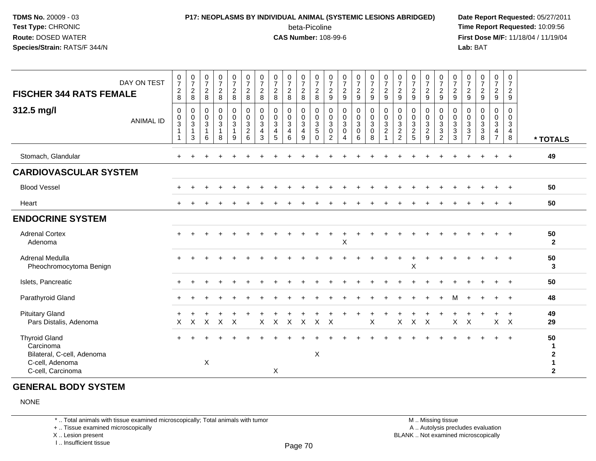### **P17: NEOPLASMS BY INDIVIDUAL ANIMAL (SYSTEMIC LESIONS ABRIDGED) Date Report Requested:** 05/27/2011 beta-Picoline<br>CAS Number: 108-99-6

 **Time Report Requested:** 10:09:56 **First Dose M/F:** 11/18/04 / 11/19/04 Lab: BAT **Lab:** BAT

| <b>FISCHER 344 RATS FEMALE</b>                                                                          | DAY ON TEST      | $\mathbf 0$<br>$\overline{7}$<br>$\overline{2}$<br>8                     | 0<br>$\overline{7}$<br>$\overline{2}$<br>8          | 0<br>$\overline{7}$<br>$\overline{2}$<br>8            | $\frac{0}{7}$<br>$\boldsymbol{2}$<br>$\bf 8$ | $\frac{0}{7}$<br>$\overline{c}$<br>$\,8\,$         | $\frac{0}{7}$<br>$\overline{2}$<br>8                           | 0<br>$\overline{7}$<br>$\sqrt{2}$<br>8 | 0<br>$\overline{7}$<br>$\mathbf{2}$<br>8             | $\frac{0}{7}$<br>$\overline{c}$<br>8          | 0<br>$\overline{7}$<br>$\overline{2}$<br>$\bf 8$ | 0<br>$\overline{7}$<br>$\overline{2}$<br>8       | 0<br>$\overline{7}$<br>$\sqrt{2}$<br>9 | 0<br>$\overline{7}$<br>$\frac{2}{9}$                                                           | $\frac{0}{7}$<br>$\overline{c}$<br>9                    | $\mathbf 0$<br>$\boldsymbol{7}$<br>$\overline{2}$<br>$\boldsymbol{9}$ | $\frac{0}{7}$<br>$\overline{2}$<br>$9\,$                         | 0<br>$\overline{7}$<br>$\overline{2}$<br>$9\,$            | $\frac{0}{7}$<br>$\frac{2}{9}$  | $\frac{0}{7}$<br>$\overline{c}$<br>9 | 0<br>$\boldsymbol{7}$<br>$\overline{c}$<br>$9\,$ | $\mathbf 0$<br>$\boldsymbol{7}$<br>$\boldsymbol{2}$<br>$\boldsymbol{9}$ | 0<br>$\overline{7}$<br>$\overline{2}$<br>$\boldsymbol{9}$ | 0<br>$\boldsymbol{7}$<br>$\overline{c}$<br>$\boldsymbol{9}$ | $\frac{0}{7}$<br>$\overline{a}$<br>$\boldsymbol{9}$        | 0<br>$\overline{7}$<br>$\overline{2}$<br>9          |                                               |
|---------------------------------------------------------------------------------------------------------|------------------|--------------------------------------------------------------------------|-----------------------------------------------------|-------------------------------------------------------|----------------------------------------------|----------------------------------------------------|----------------------------------------------------------------|----------------------------------------|------------------------------------------------------|-----------------------------------------------|--------------------------------------------------|--------------------------------------------------|----------------------------------------|------------------------------------------------------------------------------------------------|---------------------------------------------------------|-----------------------------------------------------------------------|------------------------------------------------------------------|-----------------------------------------------------------|---------------------------------|--------------------------------------|--------------------------------------------------|-------------------------------------------------------------------------|-----------------------------------------------------------|-------------------------------------------------------------|------------------------------------------------------------|-----------------------------------------------------|-----------------------------------------------|
| 312.5 mg/l                                                                                              | <b>ANIMAL ID</b> | $\mathbf 0$<br>$\pmb{0}$<br>$\mathbf{3}$<br>$\mathbf{1}$<br>$\mathbf{1}$ | 0<br>$\pmb{0}$<br>$\mathbf{3}$<br>$\mathbf{1}$<br>3 | $\mathbf 0$<br>0<br>$\mathbf{3}$<br>$\mathbf{1}$<br>6 | $\pmb{0}$<br>$\pmb{0}$<br>$\mathbf{3}$<br>8  | $\mathbf 0$<br>$\pmb{0}$<br>3<br>$\mathbf{1}$<br>9 | $\pmb{0}$<br>$\overline{0}$<br>$\mathbf{3}$<br>$\sqrt{2}$<br>6 | 0<br>$\mathbf 0$<br>3<br>4<br>3        | $\mathbf 0$<br>$\mathbf 0$<br>$\mathbf{3}$<br>4<br>5 | 0<br>0<br>$\mathbf{3}$<br>$\overline{4}$<br>6 | $\mathbf 0$<br>0<br>3<br>$\overline{4}$<br>9     | 0<br>0<br>$\mathbf{3}$<br>$\sqrt{5}$<br>$\Omega$ | 0<br>0<br>3<br>0<br>$\overline{2}$     | $\mathbf 0$<br>$\pmb{0}$<br>$\ensuremath{\mathsf{3}}$<br>$\mathbf 0$<br>$\boldsymbol{\Lambda}$ | 0<br>$\pmb{0}$<br>$\mathbf{3}$<br>$\boldsymbol{0}$<br>6 | $\mathbf 0$<br>0<br>$\mathbf{3}$<br>$\mathbf 0$<br>8                  | 0<br>$\mathbf 0$<br>$\mathbf{3}$<br>$\sqrt{2}$<br>$\overline{1}$ | 0<br>$\mathbf 0$<br>3<br>$\overline{c}$<br>$\overline{2}$ | 0<br>$\pmb{0}$<br>$\frac{3}{2}$ | 0<br>0<br>3<br>$\overline{c}$<br>9   | 0<br>0<br>$\mathbf{3}$<br>3<br>$\overline{2}$    | 0<br>$\mathbf 0$<br>$\frac{3}{3}$<br>$\mathbf{3}$                       | 0<br>0<br>$\mathbf{3}$<br>3<br>$\overline{7}$             | $\mathbf 0$<br>0<br>3<br>$\ensuremath{\mathsf{3}}$<br>8     | 0<br>0<br>$\mathbf{3}$<br>$\overline{4}$<br>$\overline{7}$ | $\Omega$<br>$\mathbf 0$<br>3<br>$\overline{4}$<br>8 | * TOTALS                                      |
| Stomach, Glandular                                                                                      |                  |                                                                          |                                                     |                                                       |                                              |                                                    |                                                                |                                        |                                                      |                                               |                                                  |                                                  |                                        |                                                                                                |                                                         |                                                                       |                                                                  |                                                           |                                 |                                      |                                                  |                                                                         |                                                           |                                                             | $\ddot{}$                                                  | $+$                                                 | 49                                            |
| <b>CARDIOVASCULAR SYSTEM</b>                                                                            |                  |                                                                          |                                                     |                                                       |                                              |                                                    |                                                                |                                        |                                                      |                                               |                                                  |                                                  |                                        |                                                                                                |                                                         |                                                                       |                                                                  |                                                           |                                 |                                      |                                                  |                                                                         |                                                           |                                                             |                                                            |                                                     |                                               |
| <b>Blood Vessel</b>                                                                                     |                  |                                                                          |                                                     |                                                       |                                              |                                                    |                                                                |                                        |                                                      |                                               |                                                  |                                                  |                                        |                                                                                                |                                                         |                                                                       |                                                                  |                                                           |                                 |                                      |                                                  |                                                                         |                                                           |                                                             | $\div$                                                     | $+$                                                 | 50                                            |
| Heart                                                                                                   |                  |                                                                          |                                                     |                                                       |                                              |                                                    |                                                                |                                        |                                                      |                                               |                                                  |                                                  |                                        |                                                                                                |                                                         |                                                                       |                                                                  |                                                           |                                 |                                      |                                                  |                                                                         |                                                           |                                                             |                                                            | $+$                                                 | 50                                            |
| <b>ENDOCRINE SYSTEM</b>                                                                                 |                  |                                                                          |                                                     |                                                       |                                              |                                                    |                                                                |                                        |                                                      |                                               |                                                  |                                                  |                                        |                                                                                                |                                                         |                                                                       |                                                                  |                                                           |                                 |                                      |                                                  |                                                                         |                                                           |                                                             |                                                            |                                                     |                                               |
| <b>Adrenal Cortex</b><br>Adenoma                                                                        |                  |                                                                          |                                                     |                                                       |                                              |                                                    |                                                                |                                        |                                                      |                                               |                                                  |                                                  |                                        | Χ                                                                                              |                                                         |                                                                       |                                                                  |                                                           |                                 |                                      |                                                  |                                                                         |                                                           |                                                             |                                                            |                                                     | 50<br>$\mathbf{2}$                            |
| Adrenal Medulla<br>Pheochromocytoma Benign                                                              |                  |                                                                          |                                                     |                                                       |                                              |                                                    |                                                                |                                        |                                                      |                                               |                                                  |                                                  |                                        |                                                                                                |                                                         |                                                                       |                                                                  |                                                           | X                               |                                      |                                                  |                                                                         |                                                           |                                                             |                                                            |                                                     | 50<br>3                                       |
| Islets, Pancreatic                                                                                      |                  |                                                                          |                                                     |                                                       |                                              |                                                    |                                                                |                                        |                                                      |                                               |                                                  |                                                  |                                        |                                                                                                |                                                         |                                                                       |                                                                  |                                                           |                                 |                                      |                                                  |                                                                         |                                                           |                                                             |                                                            | $\ddot{}$                                           | 50                                            |
| Parathyroid Gland                                                                                       |                  |                                                                          |                                                     |                                                       |                                              |                                                    |                                                                |                                        |                                                      |                                               |                                                  |                                                  |                                        |                                                                                                |                                                         |                                                                       |                                                                  |                                                           |                                 |                                      |                                                  | м                                                                       |                                                           |                                                             |                                                            | $\ddot{}$                                           | 48                                            |
| <b>Pituitary Gland</b><br>Pars Distalis, Adenoma                                                        |                  | $\times$                                                                 | X                                                   | X                                                     | $\mathsf{X}$                                 | $\times$                                           |                                                                | X                                      | $\boldsymbol{\mathsf{X}}$                            | $\mathsf{X}$                                  | $\sf X$                                          | $\mathsf{X}$                                     | $\mathsf{X}$                           |                                                                                                |                                                         | $\pmb{\times}$                                                        |                                                                  | X                                                         | $\mathsf{X}$                    | $\mathsf{X}$                         |                                                  | X                                                                       | $\boldsymbol{\mathsf{X}}$                                 |                                                             | $\ddot{}$                                                  | $+$<br>$X$ $X$                                      | 49<br>29                                      |
| <b>Thyroid Gland</b><br>Carcinoma<br>Bilateral, C-cell, Adenoma<br>C-cell, Adenoma<br>C-cell, Carcinoma |                  |                                                                          |                                                     | $\boldsymbol{\mathsf{X}}$                             |                                              |                                                    |                                                                |                                        | $\boldsymbol{\mathsf{X}}$                            |                                               |                                                  | X                                                |                                        |                                                                                                |                                                         |                                                                       |                                                                  |                                                           |                                 |                                      |                                                  |                                                                         |                                                           |                                                             |                                                            |                                                     | 50<br>-1<br>$\mathbf{2}$<br>1<br>$\mathbf{2}$ |

#### **GENERAL BODY SYSTEM**

NONE

\* .. Total animals with tissue examined microscopically; Total animals with tumor

+ .. Tissue examined microscopically

X .. Lesion present

I .. Insufficient tissue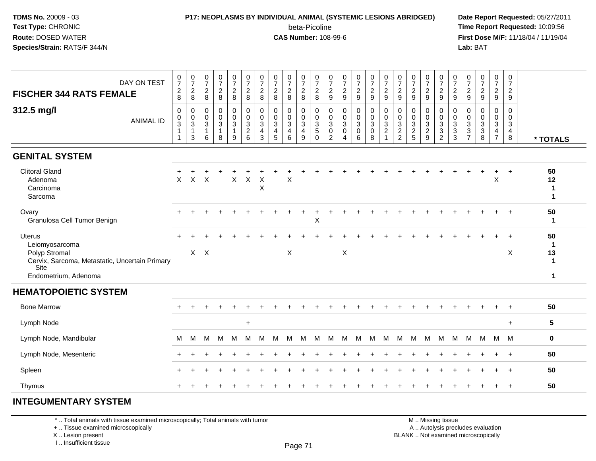### **P17: NEOPLASMS BY INDIVIDUAL ANIMAL (SYSTEMIC LESIONS ABRIDGED) Date Report Requested:** 05/27/2011 beta-Picoline<br>CAS Number: 108-99-6

 **Time Report Requested:** 10:09:56 **First Dose M/F:** 11/18/04 / 11/19/04 Lab: BAT **Lab:** BAT

| $\frac{0}{7}$<br>$\frac{0}{7}$<br>$\begin{array}{c} 0 \\ 7 \end{array}$<br>DAY ON TEST<br>$^2_8$<br>$\frac{2}{8}$<br>$_{\rm 8}^2$<br><b>FISCHER 344 RATS FEMALE</b>                                                                                 | $\begin{array}{c} 0 \\ 7 \end{array}$<br>$_{8}^{\rm 2}$     | $\frac{0}{7}$<br>$\frac{2}{8}$  | $\frac{0}{7}$<br>$\frac{0}{7}$<br>$\frac{2}{8}$<br>$\frac{2}{8}$          | $\frac{0}{7}$<br>$_{\rm 8}^2$                                                                                                   | $\frac{0}{7}$<br>$\frac{2}{8}$                     | $\frac{0}{7}$<br>$^2_{\bf 8}$            | $\frac{0}{7}$<br>$_{8}^{\rm 2}$                | $\frac{0}{7}$<br>$\frac{2}{9}$                                            | $\frac{0}{7}$<br>$\frac{2}{9}$                     | $\frac{0}{7}$<br>$\frac{2}{9}$                           | $\begin{array}{c} 0 \\ 7 \end{array}$<br>$\frac{2}{9}$   | $\frac{0}{7}$<br>$\frac{2}{9}$                              | $\frac{0}{7}$<br>$\frac{2}{9}$                                    | $\frac{0}{7}$<br>$\frac{2}{9}$                    | $\frac{0}{7}$<br>$\frac{2}{9}$                                  | $\frac{0}{7}$<br>$\frac{2}{9}$                        | $\frac{0}{7}$<br>$\frac{2}{9}$                                               | $\pmb{0}$<br>$\overline{7}$<br>$\frac{2}{9}$ | $\pmb{0}$<br>$\overline{7}$<br>$\overline{2}$<br>9 | $\frac{0}{7}$<br>$\frac{2}{9}$                                    | $\begin{smallmatrix}0\\7\end{smallmatrix}$<br>$\frac{2}{9}$       |                                               |
|-----------------------------------------------------------------------------------------------------------------------------------------------------------------------------------------------------------------------------------------------------|-------------------------------------------------------------|---------------------------------|---------------------------------------------------------------------------|---------------------------------------------------------------------------------------------------------------------------------|----------------------------------------------------|------------------------------------------|------------------------------------------------|---------------------------------------------------------------------------|----------------------------------------------------|----------------------------------------------------------|----------------------------------------------------------|-------------------------------------------------------------|-------------------------------------------------------------------|---------------------------------------------------|-----------------------------------------------------------------|-------------------------------------------------------|------------------------------------------------------------------------------|----------------------------------------------|----------------------------------------------------|-------------------------------------------------------------------|-------------------------------------------------------------------|-----------------------------------------------|
| 312.5 mg/l<br>$\mathbf 0$<br>$\mathbf 0$<br>0<br>$\pmb{0}$<br>$\mathbf 0$<br>$\pmb{0}$<br><b>ANIMAL ID</b><br>$\overline{3}$<br>$\mathbf{3}$<br>$\mathbf{3}$<br>$\mathbf{1}$<br>$\mathbf{1}$<br>$\overline{1}$<br>$\mathbf{3}$<br>6<br>$\mathbf{1}$ | $\mathbf 0$<br>$\pmb{0}$<br>$\sqrt{3}$<br>$\mathbf{1}$<br>8 | 0<br>$\mathsf 0$<br>3<br>1<br>9 | $\mathbf 0$<br>$\pmb{0}$<br>$\sqrt{3}$<br>$\frac{2}{6}$<br>$\overline{a}$ | $\mathbf 0$<br>$\mathbf 0$<br>$\mathsf 0$<br>$\mathbf 0$<br>3<br>$\mathbf{3}$<br>$\overline{4}$<br>$\mathfrak{S}$<br>$\sqrt{5}$ | $\mathbf 0$<br>$\pmb{0}$<br>$\mathbf{3}$<br>4<br>6 | 0<br>$\pmb{0}$<br>$\mathbf{3}$<br>4<br>9 | $\mathbf 0$<br>$\pmb{0}$<br>3<br>5<br>$\Omega$ | $\mathbf 0$<br>$\pmb{0}$<br>$\mathbf{3}$<br>$\mathbf 0$<br>$\overline{2}$ | $\mathbf 0$<br>0<br>$\sqrt{3}$<br>$\mathbf 0$<br>4 | $\mathbf 0$<br>$\pmb{0}$<br>$\sqrt{3}$<br>$\pmb{0}$<br>6 | $\mathbf 0$<br>$\pmb{0}$<br>$\sqrt{3}$<br>$\pmb{0}$<br>8 | $\mathbf 0$<br>$\mathsf 0$<br>$\mathbf{3}$<br>$\frac{2}{1}$ | $\mathbf 0$<br>$\pmb{0}$<br>3<br>$\overline{2}$<br>$\overline{2}$ | 0<br>$\pmb{0}$<br>$\mathfrak{Z}$<br>$\frac{2}{5}$ | $\mathbf 0$<br>$\pmb{0}$<br>$\mathbf{3}$<br>$\overline{2}$<br>9 | 0<br>$\mathbf 0$<br>3<br>$\sqrt{3}$<br>$\overline{2}$ | $\mathbf 0$<br>$\pmb{0}$<br>$\overline{3}$<br>$\overline{3}$<br>$\mathbf{3}$ | $\Omega$<br>0<br>3<br>3<br>$\overline{7}$    | $\Omega$<br>$\mathbf 0$<br>3<br>3<br>8             | $\mathbf 0$<br>$\pmb{0}$<br>3<br>$\overline{4}$<br>$\overline{7}$ | $\mathbf 0$<br>$\mathsf 0$<br>$\mathbf{3}$<br>$\overline{4}$<br>8 | * TOTALS                                      |
| <b>GENITAL SYSTEM</b>                                                                                                                                                                                                                               |                                                             |                                 |                                                                           |                                                                                                                                 |                                                    |                                          |                                                |                                                                           |                                                    |                                                          |                                                          |                                                             |                                                                   |                                                   |                                                                 |                                                       |                                                                              |                                              |                                                    |                                                                   |                                                                   |                                               |
| <b>Clitoral Gland</b><br>$\mathsf X$<br>$\pmb{\times}$<br>$\boldsymbol{\mathsf{X}}$<br>Adenoma<br>Carcinoma<br>Sarcoma                                                                                                                              |                                                             | $\mathsf X$                     | $\mathsf X$<br>$\times$                                                   | $\pmb{\times}$                                                                                                                  | X                                                  |                                          |                                                |                                                                           |                                                    |                                                          |                                                          |                                                             |                                                                   |                                                   |                                                                 |                                                       |                                                                              |                                              |                                                    | X                                                                 | $\overline{+}$                                                    | 50<br>12<br>$\mathbf{1}$<br>$\mathbf 1$       |
| Ovary<br>Granulosa Cell Tumor Benign                                                                                                                                                                                                                |                                                             |                                 |                                                                           |                                                                                                                                 |                                                    |                                          | $\pmb{\times}$                                 |                                                                           |                                                    |                                                          |                                                          |                                                             |                                                                   |                                                   |                                                                 |                                                       |                                                                              |                                              |                                                    |                                                                   |                                                                   | 50<br>$\mathbf{1}$                            |
| Uterus<br>Leiomyosarcoma<br>$X$ $X$<br>Polyp Stromal<br>Cervix, Sarcoma, Metastatic, Uncertain Primary<br><b>Site</b><br>Endometrium, Adenoma                                                                                                       |                                                             |                                 |                                                                           |                                                                                                                                 | $\boldsymbol{\mathsf{X}}$                          |                                          |                                                |                                                                           | $\boldsymbol{\mathsf{X}}$                          |                                                          |                                                          |                                                             |                                                                   |                                                   |                                                                 |                                                       |                                                                              |                                              |                                                    |                                                                   | X                                                                 | 50<br>-1<br>13<br>$\mathbf 1$<br>$\mathbf{1}$ |
| <b>HEMATOPOIETIC SYSTEM</b>                                                                                                                                                                                                                         |                                                             |                                 |                                                                           |                                                                                                                                 |                                                    |                                          |                                                |                                                                           |                                                    |                                                          |                                                          |                                                             |                                                                   |                                                   |                                                                 |                                                       |                                                                              |                                              |                                                    |                                                                   |                                                                   |                                               |
| <b>Bone Marrow</b>                                                                                                                                                                                                                                  |                                                             |                                 |                                                                           |                                                                                                                                 |                                                    |                                          |                                                |                                                                           |                                                    |                                                          |                                                          |                                                             |                                                                   |                                                   |                                                                 |                                                       |                                                                              |                                              |                                                    |                                                                   | $\ddot{}$                                                         | 50                                            |
| Lymph Node                                                                                                                                                                                                                                          |                                                             |                                 | $\ddot{}$                                                                 |                                                                                                                                 |                                                    |                                          |                                                |                                                                           |                                                    |                                                          |                                                          |                                                             |                                                                   |                                                   |                                                                 |                                                       |                                                                              |                                              |                                                    |                                                                   | $+$                                                               | 5                                             |
| Lymph Node, Mandibular<br>M<br>м<br>м                                                                                                                                                                                                               | м                                                           | м                               | м<br>м                                                                    | м                                                                                                                               | м                                                  | м                                        | м                                              | м                                                                         | м                                                  | м                                                        | м                                                        | M                                                           | м                                                                 | м                                                 | M                                                               | М                                                     | м                                                                            | M                                            | M                                                  | M                                                                 | M                                                                 | $\mathbf 0$                                   |
| Lymph Node, Mesenteric                                                                                                                                                                                                                              |                                                             |                                 |                                                                           |                                                                                                                                 |                                                    |                                          |                                                |                                                                           |                                                    |                                                          |                                                          |                                                             |                                                                   |                                                   |                                                                 |                                                       |                                                                              |                                              |                                                    | $\ddot{}$                                                         | $+$                                                               | 50                                            |
| Spleen                                                                                                                                                                                                                                              |                                                             |                                 |                                                                           |                                                                                                                                 |                                                    |                                          |                                                |                                                                           |                                                    |                                                          |                                                          |                                                             |                                                                   |                                                   |                                                                 |                                                       |                                                                              |                                              |                                                    |                                                                   | $\overline{+}$                                                    | 50                                            |
| Thymus                                                                                                                                                                                                                                              |                                                             |                                 |                                                                           |                                                                                                                                 |                                                    |                                          |                                                |                                                                           |                                                    |                                                          |                                                          |                                                             |                                                                   |                                                   |                                                                 |                                                       |                                                                              |                                              |                                                    |                                                                   | $\overline{+}$                                                    | 50                                            |

#### **INTEGUMENTARY SYSTEM**

\* .. Total animals with tissue examined microscopically; Total animals with tumor

+ .. Tissue examined microscopically

X .. Lesion present

I .. Insufficient tissue

 M .. Missing tissuey the contract of the contract of the contract of the contract of the contract of  $\mathsf A$  . Autolysis precludes evaluation

Lesion present BLANK .. Not examined microscopically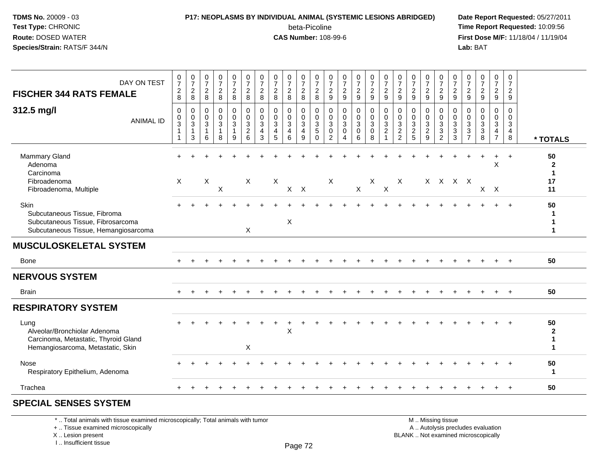## **P17: NEOPLASMS BY INDIVIDUAL ANIMAL (SYSTEMIC LESIONS ABRIDGED) Date Report Requested:** 05/27/2011

beta-Picoline<br>CAS Number: 108-99-6

 **Time Report Requested:** 10:09:56 **First Dose M/F:** 11/18/04 / 11/19/04 Lab: BAT **Lab:** BAT

| DAY ON TEST<br><b>FISCHER 344 RATS FEMALE</b>                                                                     | $\begin{smallmatrix}0\\7\end{smallmatrix}$<br>$\overline{c}$<br>8 | $\frac{0}{7}$<br>$\overline{2}$<br>8          | $\frac{0}{7}$<br>$\overline{2}$<br>8                            | $\frac{0}{7}$<br>$\overline{c}$<br>8     | $\frac{0}{7}$<br>$\sqrt{2}$<br>8        | $\frac{0}{7}$<br>$\sqrt{2}$<br>8                              | $\frac{0}{7}$<br>$\overline{2}$<br>8                              | $\frac{0}{7}$<br>$\overline{2}$<br>8                | $\frac{0}{7}$<br>$\overline{2}$<br>8                    | $\begin{array}{c} 0 \\ 7 \\ 2 \end{array}$<br>8      | $\frac{0}{7}$<br>$\sqrt{2}$<br>8                                           | $\frac{0}{7}$<br>$\overline{c}$<br>9                 | $\frac{0}{7}$<br>$\overline{2}$<br>9                     | $\frac{0}{7}$<br>$\overline{a}$<br>9                 | $\begin{array}{c} 0 \\ 7 \\ 2 \end{array}$<br>9 | $\frac{0}{7}$<br>$\sqrt{2}$<br>9                   | $\frac{0}{7}$<br>$\overline{2}$<br>9                                  | $\frac{0}{7}$<br>$\overline{2}$<br>9                                  | $\frac{0}{7}$<br>$\overline{2}$<br>9          | $\frac{0}{7}$<br>$\overline{2}$<br>9                  | $\frac{0}{7}$<br>$\sqrt{2}$<br>9                      | $\frac{0}{7}$<br>$\overline{2}$<br>9                         | $\begin{smallmatrix}0\\7\end{smallmatrix}$<br>$\sqrt{2}$<br>9 | $\frac{0}{7}$<br>$\overline{2}$<br>9                                 | 0<br>$\overline{7}$<br>$\overline{2}$<br>9                     |                                               |
|-------------------------------------------------------------------------------------------------------------------|-------------------------------------------------------------------|-----------------------------------------------|-----------------------------------------------------------------|------------------------------------------|-----------------------------------------|---------------------------------------------------------------|-------------------------------------------------------------------|-----------------------------------------------------|---------------------------------------------------------|------------------------------------------------------|----------------------------------------------------------------------------|------------------------------------------------------|----------------------------------------------------------|------------------------------------------------------|-------------------------------------------------|----------------------------------------------------|-----------------------------------------------------------------------|-----------------------------------------------------------------------|-----------------------------------------------|-------------------------------------------------------|-------------------------------------------------------|--------------------------------------------------------------|---------------------------------------------------------------|----------------------------------------------------------------------|----------------------------------------------------------------|-----------------------------------------------|
| 312.5 mg/l<br><b>ANIMAL ID</b>                                                                                    | $\mathbf 0$<br>0<br>$\sqrt{3}$<br>$\mathbf{1}$<br>$\mathbf{1}$    | $\mathbf 0$<br>$\mathbf 0$<br>$\sqrt{3}$<br>3 | $\mathbf 0$<br>$\pmb{0}$<br>$\overline{3}$<br>$\mathbf{1}$<br>6 | 0<br>$_{3}^{\rm 0}$<br>$\mathbf{1}$<br>8 | 0<br>$\mathbf 0$<br>$\overline{3}$<br>9 | $\mathbf 0$<br>$\mathsf 0$<br>$\overline{3}$<br>$\frac{2}{6}$ | $\mathbf 0$<br>$\mathbf 0$<br>$\mathbf{3}$<br>$\overline{4}$<br>3 | $\mathbf 0$<br>$\frac{0}{3}$<br>$\overline{a}$<br>5 | 0<br>$\pmb{0}$<br>$\overline{3}$<br>$\overline{4}$<br>6 | 0<br>$\mathsf{O}\xspace$<br>$\overline{3}$<br>4<br>9 | $\mathbf 0$<br>$\mathsf 0$<br>$\overline{3}$<br>$\overline{5}$<br>$\Omega$ | 0<br>$\mathbf 0$<br>$\mathbf{3}$<br>$\mathbf 0$<br>2 | $\mathbf 0$<br>$\mathbf 0$<br>$\mathfrak{Z}$<br>$\Omega$ | 0<br>$\mathsf{O}\xspace$<br>$\overline{3}$<br>0<br>6 | 0<br>$\overline{0}$<br>3<br>$\pmb{0}$<br>8      | 0<br>$\overline{0}$ <sub>3</sub><br>$\overline{2}$ | $\Omega$<br>$\mathbf 0$<br>$\ensuremath{\mathsf{3}}$<br>$\frac{2}{2}$ | $\Omega$<br>$\boldsymbol{0}$<br>$\overline{3}$<br>$\overline{c}$<br>5 | 0<br>0<br>$\sqrt{3}$<br>$\boldsymbol{2}$<br>9 | 0<br>$\mathbf 0$<br>$\overline{3}$<br>$\sqrt{3}$<br>2 | 0<br>$\mathbf 0$<br>$\overline{3}$<br>$\sqrt{3}$<br>3 | $\mathbf 0$<br>$\mathbf 0$<br>$\overline{3}$<br>$\mathbf{3}$ | $\Omega$<br>$\mathbf 0$<br>$\overline{3}$<br>$\sqrt{3}$<br>8  | 0<br>$\mathbf 0$<br>$\mathbf{3}$<br>$\overline{4}$<br>$\overline{7}$ | $\Omega$<br>$\mathbf 0$<br>$\mathbf{3}$<br>$\overline{4}$<br>8 | * TOTALS                                      |
| <b>Mammary Gland</b><br>Adenoma<br>Carcinoma<br>Fibroadenoma<br>Fibroadenoma, Multiple                            | $\sf X$                                                           |                                               | $\boldsymbol{\mathsf{X}}$                                       | $\mathsf X$                              |                                         | $\sf X$                                                       |                                                                   | $\mathsf X$                                         | $X$ $X$                                                 |                                                      |                                                                            | X                                                    |                                                          | $\mathsf{X}$                                         | X                                               | $\mathsf X$                                        | X                                                                     |                                                                       |                                               | X X X X                                               |                                                       |                                                              |                                                               | $\div$<br>X<br>$X$ $X$                                               |                                                                | 50<br>$\mathbf{2}$<br>$\mathbf 1$<br>17<br>11 |
| Skin<br>Subcutaneous Tissue, Fibroma<br>Subcutaneous Tissue, Fibrosarcoma<br>Subcutaneous Tissue, Hemangiosarcoma |                                                                   |                                               |                                                                 |                                          |                                         | $\sf X$                                                       |                                                                   |                                                     | X                                                       |                                                      |                                                                            |                                                      |                                                          |                                                      |                                                 |                                                    |                                                                       |                                                                       |                                               |                                                       |                                                       |                                                              |                                                               |                                                                      | $\ddot{}$                                                      | 50                                            |
| <b>MUSCULOSKELETAL SYSTEM</b>                                                                                     |                                                                   |                                               |                                                                 |                                          |                                         |                                                               |                                                                   |                                                     |                                                         |                                                      |                                                                            |                                                      |                                                          |                                                      |                                                 |                                                    |                                                                       |                                                                       |                                               |                                                       |                                                       |                                                              |                                                               |                                                                      |                                                                |                                               |
| Bone                                                                                                              |                                                                   |                                               |                                                                 |                                          |                                         |                                                               |                                                                   |                                                     |                                                         |                                                      |                                                                            |                                                      |                                                          |                                                      |                                                 |                                                    |                                                                       |                                                                       |                                               |                                                       |                                                       |                                                              |                                                               |                                                                      |                                                                | 50                                            |
| <b>NERVOUS SYSTEM</b>                                                                                             |                                                                   |                                               |                                                                 |                                          |                                         |                                                               |                                                                   |                                                     |                                                         |                                                      |                                                                            |                                                      |                                                          |                                                      |                                                 |                                                    |                                                                       |                                                                       |                                               |                                                       |                                                       |                                                              |                                                               |                                                                      |                                                                |                                               |
| <b>Brain</b>                                                                                                      |                                                                   |                                               |                                                                 |                                          |                                         |                                                               |                                                                   |                                                     |                                                         |                                                      |                                                                            |                                                      |                                                          |                                                      |                                                 |                                                    |                                                                       |                                                                       |                                               |                                                       |                                                       |                                                              |                                                               |                                                                      |                                                                | 50                                            |
| <b>RESPIRATORY SYSTEM</b>                                                                                         |                                                                   |                                               |                                                                 |                                          |                                         |                                                               |                                                                   |                                                     |                                                         |                                                      |                                                                            |                                                      |                                                          |                                                      |                                                 |                                                    |                                                                       |                                                                       |                                               |                                                       |                                                       |                                                              |                                                               |                                                                      |                                                                |                                               |
| Lung<br>Alveolar/Bronchiolar Adenoma<br>Carcinoma, Metastatic, Thyroid Gland<br>Hemangiosarcoma, Metastatic, Skin |                                                                   |                                               |                                                                 |                                          |                                         | $\boldsymbol{\mathsf{X}}$                                     |                                                                   |                                                     | $\sf X$                                                 |                                                      |                                                                            |                                                      |                                                          |                                                      |                                                 |                                                    |                                                                       |                                                                       |                                               |                                                       |                                                       |                                                              |                                                               |                                                                      |                                                                | 50<br>$\overline{2}$<br>1<br>1                |
| Nose<br>Respiratory Epithelium, Adenoma                                                                           |                                                                   |                                               |                                                                 |                                          |                                         |                                                               |                                                                   |                                                     |                                                         |                                                      |                                                                            |                                                      |                                                          |                                                      |                                                 |                                                    |                                                                       |                                                                       |                                               |                                                       |                                                       |                                                              |                                                               |                                                                      |                                                                | 50<br>$\mathbf{1}$                            |
| Trachea                                                                                                           |                                                                   |                                               |                                                                 |                                          |                                         |                                                               |                                                                   |                                                     |                                                         |                                                      |                                                                            |                                                      |                                                          |                                                      |                                                 |                                                    |                                                                       |                                                                       |                                               |                                                       |                                                       |                                                              |                                                               |                                                                      | $\ddot{}$                                                      | 50                                            |
| COECUL CENCEC CVCTEM                                                                                              |                                                                   |                                               |                                                                 |                                          |                                         |                                                               |                                                                   |                                                     |                                                         |                                                      |                                                                            |                                                      |                                                          |                                                      |                                                 |                                                    |                                                                       |                                                                       |                                               |                                                       |                                                       |                                                              |                                                               |                                                                      |                                                                |                                               |

#### **SPECIAL SENSES SYSTEM**

\* .. Total animals with tissue examined microscopically; Total animals with tumor

+ .. Tissue examined microscopically

X .. Lesion present

I .. Insufficient tissue

 M .. Missing tissuey the contract of the contract of the contract of the contract of the contract of  $\mathsf A$  . Autolysis precludes evaluation

Lesion present BLANK .. Not examined microscopically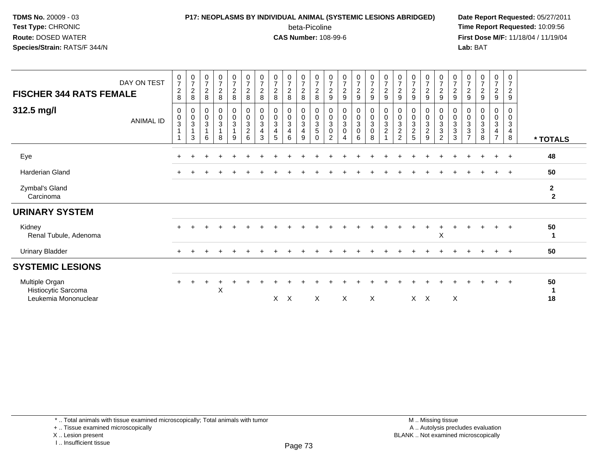# **P17: NEOPLASMS BY INDIVIDUAL ANIMAL (SYSTEMIC LESIONS ABRIDGED) Date Report Requested:** 05/27/2011

beta-Picoline<br>CAS Number: 108-99-6

 **Time Report Requested:** 10:09:56 **First Dose M/F:** 11/18/04 / 11/19/04<br>**Lab:** BAT **Lab:** BAT

| <b>FISCHER 344 RATS FEMALE</b><br>312.5 mg/l                  | DAY ON TEST<br><b>ANIMAL ID</b> | $\begin{array}{c} 0 \\ 7 \end{array}$<br>$_{\rm 8}^2$<br>0<br>$\pmb{0}$<br>$\ensuremath{\mathsf{3}}$ | $\frac{0}{7}$<br>$\frac{2}{8}$<br>0<br>$\frac{0}{3}$ | $\frac{0}{7}$<br>$\boldsymbol{2}$<br>8<br>0<br>$\pmb{0}$<br>$\ensuremath{\mathsf{3}}$ | $\frac{0}{7}$<br>$\frac{2}{8}$<br>0<br>$\mathbf 0$<br>$\mathbf{3}$ | $\frac{0}{7}$<br>$_{8}^2$<br>$\pmb{0}$<br>$\pmb{0}$<br>$\mathbf{3}$ | $\frac{0}{7}$<br>$\frac{2}{8}$<br>$\pmb{0}$<br>$\mathbf 0$<br>$\ensuremath{\mathsf{3}}$ | $\begin{array}{c} 0 \\ 7 \end{array}$<br>$\frac{2}{8}$<br>0<br>$\pmb{0}$<br>$\sqrt{3}$ | $\frac{0}{7}$<br>$\sqrt{2}$<br>8<br>0<br>$\pmb{0}$<br>$\sqrt{3}$ | $\frac{0}{7}$<br>$\overline{c}$<br>8<br>0<br>$\mathbf 0$<br>3 | $\frac{0}{7}$<br>$\frac{2}{8}$<br>0<br>$\mathsf 0$<br>3 | $\begin{array}{c} 0 \\ 7 \end{array}$<br>$^{\mathsf{2}}_{\mathsf{8}}$<br>0<br>$\pmb{0}$<br>$\frac{3}{5}$ | $\frac{0}{7}$<br>$\frac{2}{9}$<br>0<br>$\pmb{0}$<br>$\ensuremath{\mathsf{3}}$ | $\frac{0}{7}$<br>$\overline{2}$<br>9<br>0<br>$\pmb{0}$<br>$\sqrt{3}$ | $\frac{0}{7}$<br>$\frac{2}{9}$<br>0<br>$\mathbf 0$<br>$\mathbf{3}$ | $\frac{0}{7}$<br>$rac{2}{9}$<br>0<br>$\pmb{0}$<br>$\mathbf{3}$ | $\frac{0}{7}$<br>$\frac{2}{9}$<br>0<br>$\mathbf 0$<br>$\frac{3}{2}$ | $\begin{array}{c} 0 \\ 7 \end{array}$<br>$\frac{2}{9}$<br>0<br>$\pmb{0}$ | $\begin{array}{c} 0 \\ 7 \end{array}$<br>$\overline{2}$<br>$\boldsymbol{9}$<br>0<br>$\pmb{0}$<br>$\sqrt{3}$ | $\frac{0}{7}$<br>$\overline{a}$<br>$\boldsymbol{9}$<br>0<br>$\mathbf 0$<br>$\sqrt{3}$ | $\frac{0}{7}$<br>$\frac{2}{9}$<br>0<br>$\mathsf 0$<br>$\ensuremath{\mathsf{3}}$ | $\begin{array}{c} 0 \\ 7 \end{array}$<br>$\frac{2}{9}$<br>0<br>$\pmb{0}$<br>$_3^3$ | $\frac{0}{7}$<br>$\frac{2}{9}$<br>0<br>$\mathbf 0$<br>$_3^3$ | $\frac{0}{7}$<br>$\frac{2}{9}$<br>0<br>0<br>3 | $\frac{0}{7}$<br>$\overline{a}$<br>9<br>0<br>0<br>3 | $\begin{smallmatrix}0\\7\end{smallmatrix}$<br>$\overline{c}$<br>$\boldsymbol{9}$<br>0<br>0<br>$\mathbf{3}$ |                                         |
|---------------------------------------------------------------|---------------------------------|------------------------------------------------------------------------------------------------------|------------------------------------------------------|---------------------------------------------------------------------------------------|--------------------------------------------------------------------|---------------------------------------------------------------------|-----------------------------------------------------------------------------------------|----------------------------------------------------------------------------------------|------------------------------------------------------------------|---------------------------------------------------------------|---------------------------------------------------------|----------------------------------------------------------------------------------------------------------|-------------------------------------------------------------------------------|----------------------------------------------------------------------|--------------------------------------------------------------------|----------------------------------------------------------------|---------------------------------------------------------------------|--------------------------------------------------------------------------|-------------------------------------------------------------------------------------------------------------|---------------------------------------------------------------------------------------|---------------------------------------------------------------------------------|------------------------------------------------------------------------------------|--------------------------------------------------------------|-----------------------------------------------|-----------------------------------------------------|------------------------------------------------------------------------------------------------------------|-----------------------------------------|
|                                                               |                                 |                                                                                                      | $\mathbf{1}$<br>3                                    | $\mathbf{1}$<br>6                                                                     | 8                                                                  | $\mathbf{1}$<br>9                                                   | $\overline{2}$<br>$6\phantom{1}$                                                        | 4<br>3                                                                                 | 4<br>5                                                           | 4<br>6                                                        | 4<br>9                                                  | $\Omega$                                                                                                 | $\mathsf 0$<br>$\overline{2}$                                                 | $\pmb{0}$<br>4                                                       | $\mathbf 0$<br>6                                                   | $\pmb{0}$<br>8                                                 |                                                                     | $\frac{3}{2}$                                                            | $\overline{2}$<br>5                                                                                         | $\overline{a}$<br>9                                                                   | $\sqrt{3}$<br>$\overline{c}$                                                    | 3                                                                                  | $\overline{z}$                                               | 3<br>8                                        | $\overline{4}$<br>$\overline{7}$                    | $\overline{\mathbf{4}}$<br>8                                                                               | * TOTALS                                |
| Eye                                                           |                                 | $+$                                                                                                  |                                                      |                                                                                       |                                                                    |                                                                     |                                                                                         |                                                                                        |                                                                  |                                                               |                                                         |                                                                                                          |                                                                               |                                                                      |                                                                    |                                                                |                                                                     |                                                                          |                                                                                                             |                                                                                       |                                                                                 |                                                                                    |                                                              |                                               | $\ddot{}$                                           | $+$                                                                                                        | 48                                      |
| Harderian Gland                                               |                                 |                                                                                                      |                                                      |                                                                                       |                                                                    |                                                                     |                                                                                         |                                                                                        |                                                                  |                                                               |                                                         |                                                                                                          |                                                                               |                                                                      |                                                                    |                                                                |                                                                     |                                                                          |                                                                                                             |                                                                                       |                                                                                 |                                                                                    |                                                              |                                               |                                                     | $+$                                                                                                        | 50                                      |
| Zymbal's Gland<br>Carcinoma                                   |                                 |                                                                                                      |                                                      |                                                                                       |                                                                    |                                                                     |                                                                                         |                                                                                        |                                                                  |                                                               |                                                         |                                                                                                          |                                                                               |                                                                      |                                                                    |                                                                |                                                                     |                                                                          |                                                                                                             |                                                                                       |                                                                                 |                                                                                    |                                                              |                                               |                                                     |                                                                                                            | $\mathbf{2}$<br>$\overline{\mathbf{2}}$ |
| <b>URINARY SYSTEM</b>                                         |                                 |                                                                                                      |                                                      |                                                                                       |                                                                    |                                                                     |                                                                                         |                                                                                        |                                                                  |                                                               |                                                         |                                                                                                          |                                                                               |                                                                      |                                                                    |                                                                |                                                                     |                                                                          |                                                                                                             |                                                                                       |                                                                                 |                                                                                    |                                                              |                                               |                                                     |                                                                                                            |                                         |
| Kidney<br>Renal Tubule, Adenoma                               |                                 |                                                                                                      |                                                      |                                                                                       |                                                                    |                                                                     |                                                                                         |                                                                                        |                                                                  |                                                               |                                                         |                                                                                                          |                                                                               |                                                                      |                                                                    |                                                                |                                                                     |                                                                          |                                                                                                             |                                                                                       | X                                                                               |                                                                                    |                                                              |                                               |                                                     | $\ddot{}$                                                                                                  | 50<br>-1                                |
| <b>Urinary Bladder</b>                                        |                                 | $+$                                                                                                  |                                                      |                                                                                       |                                                                    |                                                                     |                                                                                         |                                                                                        |                                                                  |                                                               |                                                         |                                                                                                          |                                                                               |                                                                      |                                                                    |                                                                |                                                                     |                                                                          |                                                                                                             |                                                                                       |                                                                                 |                                                                                    |                                                              |                                               | $\pm$                                               | $+$                                                                                                        | 50                                      |
| <b>SYSTEMIC LESIONS</b>                                       |                                 |                                                                                                      |                                                      |                                                                                       |                                                                    |                                                                     |                                                                                         |                                                                                        |                                                                  |                                                               |                                                         |                                                                                                          |                                                                               |                                                                      |                                                                    |                                                                |                                                                     |                                                                          |                                                                                                             |                                                                                       |                                                                                 |                                                                                    |                                                              |                                               |                                                     |                                                                                                            |                                         |
| Multiple Organ<br>Histiocytic Sarcoma<br>Leukemia Mononuclear |                                 | $\div$                                                                                               |                                                      |                                                                                       | X                                                                  |                                                                     |                                                                                         |                                                                                        | $X$ $X$                                                          |                                                               |                                                         | $\times$                                                                                                 |                                                                               | X                                                                    |                                                                    | X                                                              |                                                                     |                                                                          | $X$ $X$                                                                                                     |                                                                                       |                                                                                 | X                                                                                  |                                                              |                                               |                                                     | $\ddot{}$                                                                                                  | 50<br>-1<br>18                          |

\* .. Total animals with tissue examined microscopically; Total animals with tumor

+ .. Tissue examined microscopically

X .. Lesion present

I .. Insufficient tissue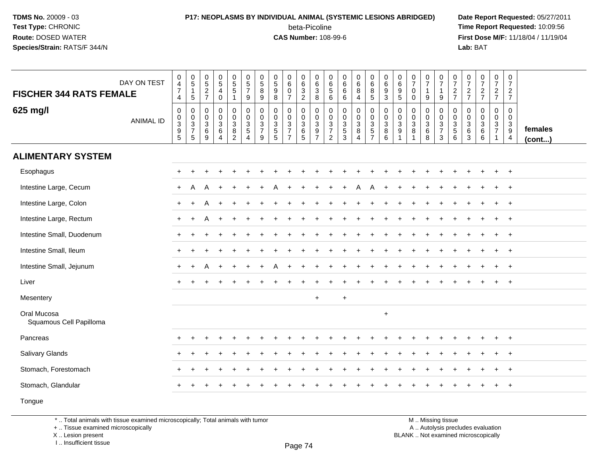#### **P17: NEOPLASMS BY INDIVIDUAL ANIMAL (SYSTEMIC LESIONS ABRIDGED) Date Report Requested:** 05/27/2011 beta-Picoline<br>CAS Number: 108-99-6

 **Time Report Requested:** 10:09:56 **First Dose M/F:** 11/18/04 / 11/19/04<br>**Lab:** BAT **Lab:** BAT

| <b>FISCHER 344 RATS FEMALE</b>         | DAY ON TEST      | $\begin{smallmatrix}0\0\4\end{smallmatrix}$<br>$\overline{7}$<br>$\overline{4}$ | $\begin{array}{c} 0 \\ 5 \\ 1 \end{array}$<br>5      | $\begin{array}{c} 0 \\ 5 \end{array}$<br>$\frac{2}{7}$                  | $\begin{array}{c} 0 \\ 5 \end{array}$<br>$\overline{4}$<br>$\mathbf 0$         | $\begin{array}{c} 0 \\ 5 \\ 5 \end{array}$<br>$\mathbf{1}$                | $\begin{array}{c} 0 \\ 5 \end{array}$<br>$\overline{7}$<br>9                           | $\begin{array}{c} 0 \\ 5 \end{array}$<br>$\overline{8}$<br>9 | 0<br>9<br>9<br>8                                     | $\begin{array}{c} 0 \\ 6 \end{array}$<br>$\pmb{0}$<br>$\overline{7}$ | $\begin{array}{c} 0 \\ 6 \end{array}$<br>$\frac{3}{2}$  | 0<br>$\overline{6}$<br>$\mathbf{3}$<br>8                   | 0<br>$\,6\,$<br>5<br>6                                                            | $\begin{matrix} 0 \\ 6 \end{matrix}$<br>6<br>$6^{\circ}$ | $\begin{matrix}0\\6\\8\end{matrix}$<br>4        | $\begin{matrix}0\\6\\8\end{matrix}$<br>$\overline{5}$ | $\begin{array}{c} 0 \\ 6 \end{array}$<br>$\overline{9}$<br>$\overline{3}$ | $\begin{array}{c} 0 \\ 6 \end{array}$<br>$9\,$<br>$5\phantom{1}$    | $\frac{0}{7}$<br>$\mathbf 0$<br>$\Omega$             | $\frac{0}{7}$<br>$\mathbf{1}$<br>9                         | $\frac{0}{7}$<br>$\overline{1}$<br>9   | $\frac{0}{7}$<br>$\frac{2}{7}$                                                            | $\frac{0}{7}$<br>$rac{2}{7}$                             | $\frac{0}{7}$<br>$\frac{2}{7}$                                          | $\begin{array}{c} 0 \\ 7 \end{array}$<br>$\frac{2}{7}$ | 0<br>$\overline{7}$<br>$\overline{2}$<br>$\overline{7}$                       |                         |
|----------------------------------------|------------------|---------------------------------------------------------------------------------|------------------------------------------------------|-------------------------------------------------------------------------|--------------------------------------------------------------------------------|---------------------------------------------------------------------------|----------------------------------------------------------------------------------------|--------------------------------------------------------------|------------------------------------------------------|----------------------------------------------------------------------|---------------------------------------------------------|------------------------------------------------------------|-----------------------------------------------------------------------------------|----------------------------------------------------------|-------------------------------------------------|-------------------------------------------------------|---------------------------------------------------------------------------|---------------------------------------------------------------------|------------------------------------------------------|------------------------------------------------------------|----------------------------------------|-------------------------------------------------------------------------------------------|----------------------------------------------------------|-------------------------------------------------------------------------|--------------------------------------------------------|-------------------------------------------------------------------------------|-------------------------|
| 625 mg/l                               | <b>ANIMAL ID</b> | $\pmb{0}$<br>$\begin{array}{c} 0 \\ 3 \\ 9 \\ 5 \end{array}$                    | $\boldsymbol{0}$<br>$\frac{0}{3}$<br>$5\phantom{.0}$ | $\mathbf 0$<br>$\mathbf 0$<br>$\ensuremath{\mathsf{3}}$<br>$\,6\,$<br>9 | $\mathbf 0$<br>$\mathbf 0$<br>$\mathbf 3$<br>$6\phantom{1}6$<br>$\overline{4}$ | 0<br>$\mathbf 0$<br>$\ensuremath{\mathsf{3}}$<br>$\, 8$<br>$\overline{2}$ | 0<br>$\mathsf{O}\xspace$<br>$\ensuremath{\mathsf{3}}$<br>$\,$ 5 $\,$<br>$\overline{4}$ | 0<br>$\mathbf 0$<br>3<br>$\overline{7}$<br>9                 | 0<br>0<br>$\ensuremath{\mathsf{3}}$<br>$\frac{5}{5}$ | $\mathbf 0$<br>$\pmb{0}$<br>$\frac{3}{7}$<br>$\overline{7}$          | 0<br>$\mathsf{O}\xspace$<br>$\sqrt{3}$<br>$\frac{6}{5}$ | $\mathbf 0$<br>$\mathsf{O}$<br>$\sqrt{3}$<br>$\frac{9}{7}$ | 0<br>$\mathbf 0$<br>$\ensuremath{\mathsf{3}}$<br>$\overline{7}$<br>$\overline{c}$ | $\mathbf 0$<br>$\ddot{\mathbf{0}}$<br>$\frac{3}{5}$      | 0<br>$\frac{0}{3}$<br>$\bf 8$<br>$\overline{4}$ | 0<br>$\ddot{\mathbf{0}}$<br>$\frac{3}{5}$             | $\mathbf 0$<br>$\frac{0}{3}$<br>$\,6\,$                                   | $\mathbf 0$<br>$\mathbf 0$<br>$\mathbf 3$<br>$\boldsymbol{9}$<br>-1 | $\mathbf 0$<br>$\mathbf 0$<br>$\mathbf{3}$<br>8<br>1 | $\mathbf 0$<br>$\mathbf 0$<br>$\mathbf{3}$<br>$\,6\,$<br>8 | 0<br>$\mathbf 0$<br>$\frac{3}{7}$<br>3 | $\mathbf 0$<br>$\mathsf{O}\xspace$<br>$\ensuremath{\mathsf{3}}$<br>$\mathbf 5$<br>$\,6\,$ | $\mathbf 0$<br>$\mathbf 0$<br>3<br>$\,6\,$<br>$\sqrt{3}$ | $\mathbf 0$<br>$\mathbf 0$<br>$\mathbf 3$<br>$\,6\,$<br>$6\phantom{1}6$ | 0<br>$\mathbf 0$<br>$\frac{3}{7}$<br>1                 | 0<br>$\mathsf{O}\xspace$<br>$\mathbf 3$<br>$\boldsymbol{9}$<br>$\overline{4}$ | females<br>$($ cont $)$ |
| <b>ALIMENTARY SYSTEM</b>               |                  |                                                                                 |                                                      |                                                                         |                                                                                |                                                                           |                                                                                        |                                                              |                                                      |                                                                      |                                                         |                                                            |                                                                                   |                                                          |                                                 |                                                       |                                                                           |                                                                     |                                                      |                                                            |                                        |                                                                                           |                                                          |                                                                         |                                                        |                                                                               |                         |
| Esophagus                              |                  | $\div$                                                                          |                                                      |                                                                         |                                                                                |                                                                           |                                                                                        |                                                              |                                                      |                                                                      |                                                         |                                                            |                                                                                   |                                                          |                                                 |                                                       |                                                                           |                                                                     |                                                      |                                                            | ÷                                      |                                                                                           |                                                          |                                                                         | $\ddot{}$                                              | $^{+}$                                                                        |                         |
| Intestine Large, Cecum                 |                  | $+$                                                                             | A                                                    | A                                                                       |                                                                                |                                                                           |                                                                                        |                                                              |                                                      |                                                                      |                                                         |                                                            |                                                                                   |                                                          | А                                               |                                                       |                                                                           |                                                                     |                                                      |                                                            |                                        |                                                                                           |                                                          |                                                                         |                                                        | $\overline{ }$                                                                |                         |
| Intestine Large, Colon                 |                  | $+$                                                                             | $\ddot{}$                                            |                                                                         |                                                                                |                                                                           |                                                                                        |                                                              |                                                      |                                                                      |                                                         |                                                            |                                                                                   |                                                          |                                                 |                                                       |                                                                           |                                                                     |                                                      |                                                            |                                        |                                                                                           |                                                          |                                                                         |                                                        | $\overline{1}$                                                                |                         |
| Intestine Large, Rectum                |                  | $\ddot{}$                                                                       | $\ddot{}$                                            | A                                                                       |                                                                                | $\ddot{}$                                                                 |                                                                                        |                                                              |                                                      |                                                                      |                                                         |                                                            |                                                                                   |                                                          |                                                 |                                                       |                                                                           |                                                                     |                                                      |                                                            |                                        |                                                                                           |                                                          |                                                                         | $\ddot{}$                                              | $^{+}$                                                                        |                         |
| Intestine Small, Duodenum              |                  | $\ddot{}$                                                                       |                                                      |                                                                         |                                                                                |                                                                           |                                                                                        |                                                              |                                                      |                                                                      |                                                         |                                                            |                                                                                   |                                                          |                                                 |                                                       |                                                                           |                                                                     |                                                      |                                                            |                                        |                                                                                           |                                                          |                                                                         | $\ddot{}$                                              | $^{+}$                                                                        |                         |
| Intestine Small, Ileum                 |                  | $\ddot{}$                                                                       |                                                      |                                                                         |                                                                                |                                                                           |                                                                                        |                                                              |                                                      |                                                                      |                                                         |                                                            |                                                                                   |                                                          |                                                 |                                                       |                                                                           |                                                                     |                                                      |                                                            |                                        |                                                                                           |                                                          |                                                                         |                                                        | $\overline{+}$                                                                |                         |
| Intestine Small, Jejunum               |                  |                                                                                 |                                                      |                                                                         |                                                                                |                                                                           |                                                                                        |                                                              |                                                      |                                                                      |                                                         |                                                            |                                                                                   |                                                          |                                                 |                                                       |                                                                           |                                                                     |                                                      |                                                            |                                        |                                                                                           |                                                          |                                                                         |                                                        |                                                                               |                         |
| Liver                                  |                  | $+$                                                                             |                                                      |                                                                         |                                                                                |                                                                           |                                                                                        |                                                              |                                                      |                                                                      |                                                         |                                                            |                                                                                   |                                                          |                                                 |                                                       |                                                                           |                                                                     |                                                      |                                                            |                                        |                                                                                           |                                                          |                                                                         |                                                        | $+$                                                                           |                         |
| Mesentery                              |                  |                                                                                 |                                                      |                                                                         |                                                                                |                                                                           |                                                                                        |                                                              |                                                      |                                                                      |                                                         | $\ddot{}$                                                  |                                                                                   | $\ddot{}$                                                |                                                 |                                                       |                                                                           |                                                                     |                                                      |                                                            |                                        |                                                                                           |                                                          |                                                                         |                                                        |                                                                               |                         |
| Oral Mucosa<br>Squamous Cell Papilloma |                  |                                                                                 |                                                      |                                                                         |                                                                                |                                                                           |                                                                                        |                                                              |                                                      |                                                                      |                                                         |                                                            |                                                                                   |                                                          |                                                 |                                                       | $\ddot{}$                                                                 |                                                                     |                                                      |                                                            |                                        |                                                                                           |                                                          |                                                                         |                                                        |                                                                               |                         |
| Pancreas                               |                  |                                                                                 |                                                      |                                                                         |                                                                                |                                                                           |                                                                                        |                                                              |                                                      |                                                                      |                                                         |                                                            |                                                                                   |                                                          |                                                 |                                                       |                                                                           |                                                                     |                                                      |                                                            |                                        |                                                                                           |                                                          |                                                                         | $\ddot{}$                                              | $^{+}$                                                                        |                         |
| <b>Salivary Glands</b>                 |                  |                                                                                 |                                                      |                                                                         |                                                                                |                                                                           |                                                                                        |                                                              |                                                      |                                                                      |                                                         |                                                            |                                                                                   |                                                          |                                                 |                                                       |                                                                           |                                                                     |                                                      |                                                            |                                        |                                                                                           |                                                          |                                                                         |                                                        | $\overline{+}$                                                                |                         |
| Stomach, Forestomach                   |                  | $\pm$                                                                           | $\div$                                               |                                                                         |                                                                                |                                                                           |                                                                                        |                                                              |                                                      |                                                                      |                                                         |                                                            |                                                                                   |                                                          |                                                 |                                                       |                                                                           |                                                                     |                                                      |                                                            |                                        |                                                                                           |                                                          |                                                                         |                                                        | $\overline{+}$                                                                |                         |
| Stomach, Glandular                     |                  | +                                                                               | ÷                                                    |                                                                         |                                                                                |                                                                           |                                                                                        |                                                              |                                                      |                                                                      |                                                         |                                                            |                                                                                   |                                                          |                                                 |                                                       |                                                                           |                                                                     |                                                      |                                                            |                                        |                                                                                           |                                                          |                                                                         | $\ddot{}$                                              | $\overline{+}$                                                                |                         |
| Tongue                                 |                  |                                                                                 |                                                      |                                                                         |                                                                                |                                                                           |                                                                                        |                                                              |                                                      |                                                                      |                                                         |                                                            |                                                                                   |                                                          |                                                 |                                                       |                                                                           |                                                                     |                                                      |                                                            |                                        |                                                                                           |                                                          |                                                                         |                                                        |                                                                               |                         |

\* .. Total animals with tissue examined microscopically; Total animals with tumor

+ .. Tissue examined microscopically

X .. Lesion present

I .. Insufficient tissue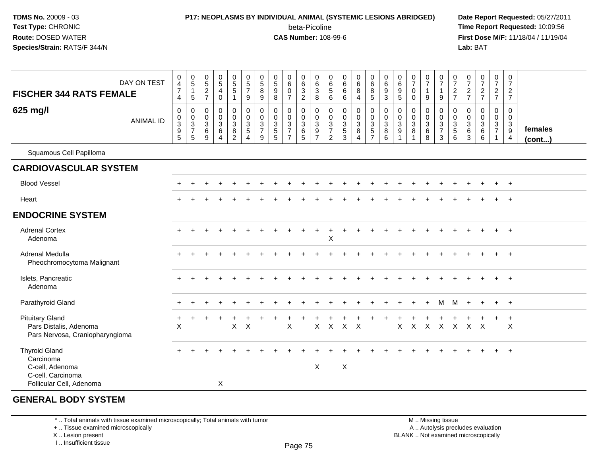## **P17: NEOPLASMS BY INDIVIDUAL ANIMAL (SYSTEMIC LESIONS ABRIDGED) Date Report Requested:** 05/27/2011

beta-Picoline<br>CAS Number: 108-99-6

 **Time Report Requested:** 10:09:56 **First Dose M/F:** 11/18/04 / 11/19/04<br>**Lab:** BAT **Lab:** BAT

| <b>FISCHER 344 RATS FEMALE</b>                                                                        | DAY ON TEST      | $\mathbf 0$<br>$\overline{\mathbf{4}}$<br>$\overline{7}$<br>4          | $\begin{array}{c} 0 \\ 5 \end{array}$<br>$\mathbf{1}$<br>5 | $\begin{array}{c} 0 \\ 5 \end{array}$<br>$\overline{c}$<br>$\overline{7}$ | $\begin{array}{c} 0 \\ 5 \end{array}$<br>4<br>$\mathbf 0$ | $\begin{array}{c} 0 \\ 5 \end{array}$<br>$\sqrt{5}$<br>$\overline{\mathbf{1}}$ | $\begin{array}{c} 0 \\ 5 \end{array}$<br>$\overline{7}$<br>9 | 0<br>$\sqrt{5}$<br>8<br>9                                 | 0<br>$\overline{5}$<br>$\boldsymbol{9}$<br>8           | 0<br>$6\phantom{a}$<br>0<br>$\overline{7}$                           | $\begin{array}{c} 0 \\ 6 \end{array}$<br>$\ensuremath{\mathsf{3}}$<br>$\overline{2}$ | 0<br>$\,6\,$<br>$\sqrt{3}$<br>8                               | 0<br>6<br>$\sqrt{5}$<br>6                                                | 0<br>$6\phantom{a}$<br>$\,6\,$<br>6           | $0\over 6$<br>8<br>4                                      | $\begin{array}{c} 0 \\ 6 \end{array}$<br>8<br>$5\phantom{.0}$ | $\begin{array}{c} 0 \\ 6 \end{array}$<br>$\boldsymbol{9}$<br>3 | 0<br>$\,6\,$<br>9<br>$5\phantom{1}$                    | $\frac{0}{7}$<br>$\mathbf 0$<br>$\Omega$                          | $\frac{0}{7}$<br>$\mathbf{1}$<br>9           | $\begin{array}{c} 0 \\ 7 \end{array}$<br>$\mathbf{1}$<br>9 | $\frac{0}{7}$<br>$\frac{2}{7}$                        | $\frac{0}{7}$<br>$\frac{2}{7}$                  | $\frac{0}{7}$<br>$\frac{2}{7}$                                     | $\mathbf 0$<br>$\overline{7}$<br>$\frac{2}{7}$          | $\frac{0}{7}$<br>$\overline{c}$<br>$\overline{7}$                               |                   |
|-------------------------------------------------------------------------------------------------------|------------------|------------------------------------------------------------------------|------------------------------------------------------------|---------------------------------------------------------------------------|-----------------------------------------------------------|--------------------------------------------------------------------------------|--------------------------------------------------------------|-----------------------------------------------------------|--------------------------------------------------------|----------------------------------------------------------------------|--------------------------------------------------------------------------------------|---------------------------------------------------------------|--------------------------------------------------------------------------|-----------------------------------------------|-----------------------------------------------------------|---------------------------------------------------------------|----------------------------------------------------------------|--------------------------------------------------------|-------------------------------------------------------------------|----------------------------------------------|------------------------------------------------------------|-------------------------------------------------------|-------------------------------------------------|--------------------------------------------------------------------|---------------------------------------------------------|---------------------------------------------------------------------------------|-------------------|
| 625 mg/l                                                                                              | <b>ANIMAL ID</b> | $\mathbf 0$<br>0<br>$\ensuremath{\mathsf{3}}$<br>$\boldsymbol{9}$<br>5 | $\mathsf{O}$<br>$_{3}^{\rm 0}$<br>$\overline{7}$<br>5      | 0<br>$_{3}^{\rm 0}$<br>$\,6\,$<br>9                                       | $\pmb{0}$<br>$\frac{0}{3}$<br>$\,6\,$<br>$\overline{4}$   | 0<br>$\mathbf 0$<br>$\overline{3}$<br>$\frac{8}{2}$                            | $\mathbf 0$<br>$\frac{0}{3}$<br>$\overline{4}$               | 0<br>$\mathbf 0$<br>$\overline{3}$<br>$\overline{7}$<br>9 | 0<br>$\mathbf 0$<br>$\overline{3}$<br>$\,$ 5 $\,$<br>5 | 0<br>$\pmb{0}$<br>$\overline{3}$<br>$\overline{7}$<br>$\overline{7}$ | 0<br>$\mathsf{O}\xspace$<br>$\overline{3}$<br>$\,6\,$<br>$5\phantom{.0}$             | 0<br>$\mathbf 0$<br>$\overline{3}$<br>$9\,$<br>$\overline{7}$ | 0<br>$\mathbf 0$<br>$\overline{3}$<br>$\boldsymbol{7}$<br>$\overline{2}$ | $\mathbf 0$<br>$\frac{0}{3}$<br>$\frac{5}{3}$ | $\mathbf 0$<br>$\frac{0}{3}$<br>$\bf 8$<br>$\overline{4}$ | $\mathbf 0$<br>$\frac{0}{3}$<br>$\frac{5}{7}$                 | $\mathbf 0$<br>$\frac{0}{3}$<br>$\,8\,$<br>6                   | $\mathbf 0$<br>$\mathbf 0$<br>$\overline{3}$<br>9<br>1 | $\boldsymbol{0}$<br>$\mathbf 0$<br>$\overline{3}$<br>$\bf 8$<br>1 | 0<br>$\mathbf 0$<br>$\overline{3}$<br>6<br>8 | 0<br>$\frac{0}{3}$<br>$\mathbf{3}$                         | $\mathbf 0$<br>$\frac{0}{3}$<br>$\sqrt{5}$<br>$\,6\,$ | 0<br>0<br>$\mathbf{3}$<br>$\,6$<br>$\mathbf{3}$ | $\mathbf 0$<br>$\mathbf 0$<br>$\mathbf{3}$<br>$6\phantom{1}6$<br>6 | 0<br>$\mathbf 0$<br>$\mathbf{3}$<br>$\overline{7}$<br>1 | $\mathbf 0$<br>$\mathbf 0$<br>$\mathbf 3$<br>$\boldsymbol{9}$<br>$\overline{4}$ | females<br>(cont) |
| Squamous Cell Papilloma                                                                               |                  |                                                                        |                                                            |                                                                           |                                                           |                                                                                |                                                              |                                                           |                                                        |                                                                      |                                                                                      |                                                               |                                                                          |                                               |                                                           |                                                               |                                                                |                                                        |                                                                   |                                              |                                                            |                                                       |                                                 |                                                                    |                                                         |                                                                                 |                   |
| <b>CARDIOVASCULAR SYSTEM</b>                                                                          |                  |                                                                        |                                                            |                                                                           |                                                           |                                                                                |                                                              |                                                           |                                                        |                                                                      |                                                                                      |                                                               |                                                                          |                                               |                                                           |                                                               |                                                                |                                                        |                                                                   |                                              |                                                            |                                                       |                                                 |                                                                    |                                                         |                                                                                 |                   |
| <b>Blood Vessel</b>                                                                                   |                  |                                                                        |                                                            |                                                                           |                                                           |                                                                                |                                                              |                                                           |                                                        |                                                                      |                                                                                      |                                                               |                                                                          |                                               |                                                           |                                                               |                                                                |                                                        |                                                                   |                                              |                                                            |                                                       |                                                 |                                                                    |                                                         | $+$                                                                             |                   |
| Heart                                                                                                 |                  |                                                                        |                                                            |                                                                           |                                                           |                                                                                |                                                              |                                                           |                                                        |                                                                      |                                                                                      |                                                               |                                                                          |                                               |                                                           |                                                               |                                                                |                                                        |                                                                   |                                              |                                                            |                                                       |                                                 |                                                                    |                                                         | $+$                                                                             |                   |
| <b>ENDOCRINE SYSTEM</b>                                                                               |                  |                                                                        |                                                            |                                                                           |                                                           |                                                                                |                                                              |                                                           |                                                        |                                                                      |                                                                                      |                                                               |                                                                          |                                               |                                                           |                                                               |                                                                |                                                        |                                                                   |                                              |                                                            |                                                       |                                                 |                                                                    |                                                         |                                                                                 |                   |
| <b>Adrenal Cortex</b><br>Adenoma                                                                      |                  |                                                                        |                                                            |                                                                           |                                                           |                                                                                |                                                              |                                                           |                                                        |                                                                      |                                                                                      | $\ddot{}$                                                     | +<br>X                                                                   |                                               |                                                           |                                                               |                                                                |                                                        |                                                                   |                                              |                                                            |                                                       |                                                 |                                                                    |                                                         | $+$                                                                             |                   |
| Adrenal Medulla<br>Pheochromocytoma Malignant                                                         |                  |                                                                        |                                                            |                                                                           |                                                           |                                                                                |                                                              |                                                           |                                                        |                                                                      |                                                                                      |                                                               |                                                                          |                                               |                                                           |                                                               |                                                                |                                                        |                                                                   |                                              |                                                            |                                                       |                                                 |                                                                    |                                                         | $\ddot{}$                                                                       |                   |
| Islets, Pancreatic<br>Adenoma                                                                         |                  |                                                                        |                                                            |                                                                           |                                                           |                                                                                |                                                              |                                                           |                                                        |                                                                      |                                                                                      |                                                               |                                                                          |                                               |                                                           |                                                               |                                                                |                                                        |                                                                   |                                              |                                                            |                                                       |                                                 |                                                                    |                                                         | $+$                                                                             |                   |
| Parathyroid Gland                                                                                     |                  |                                                                        |                                                            |                                                                           |                                                           |                                                                                |                                                              |                                                           |                                                        |                                                                      |                                                                                      |                                                               |                                                                          |                                               |                                                           |                                                               |                                                                |                                                        |                                                                   |                                              | M                                                          | м                                                     |                                                 |                                                                    | $\ddot{}$                                               | $+$                                                                             |                   |
| <b>Pituitary Gland</b><br>Pars Distalis, Adenoma<br>Pars Nervosa, Craniopharyngioma                   |                  | X                                                                      |                                                            |                                                                           |                                                           | $\mathsf X$                                                                    | $\times$                                                     |                                                           |                                                        | X                                                                    |                                                                                      | X                                                             | $\mathsf{X}$                                                             | $\mathsf{X}$                                  | $\boldsymbol{\mathsf{X}}$                                 |                                                               |                                                                | $\mathsf{X}$                                           | $\mathsf{X}$                                                      | $\mathsf{X}$                                 | $\mathsf{X}$                                               | $\mathsf{X}$                                          | $\mathsf{X}$                                    | $\times$                                                           |                                                         | $\ddot{}$<br>$\times$                                                           |                   |
| <b>Thyroid Gland</b><br>Carcinoma<br>C-cell, Adenoma<br>C-cell, Carcinoma<br>Follicular Cell, Adenoma |                  |                                                                        |                                                            |                                                                           | $\times$                                                  |                                                                                |                                                              |                                                           |                                                        |                                                                      |                                                                                      | X                                                             |                                                                          | $\boldsymbol{\mathsf{X}}$                     |                                                           |                                                               |                                                                |                                                        |                                                                   |                                              |                                                            |                                                       |                                                 |                                                                    |                                                         | $\ddot{}$                                                                       |                   |

#### **GENERAL BODY SYSTEM**

\* .. Total animals with tissue examined microscopically; Total animals with tumor

+ .. Tissue examined microscopically

X .. Lesion present

I .. Insufficient tissue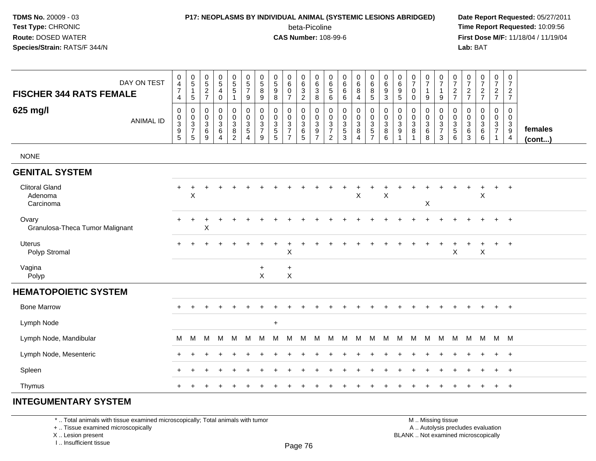### **P17: NEOPLASMS BY INDIVIDUAL ANIMAL (SYSTEMIC LESIONS ABRIDGED) Date Report Requested:** 05/27/2011

beta-Picoline<br>CAS Number: 108-99-6

 **Time Report Requested:** 10:09:56 **First Dose M/F:** 11/18/04 / 11/19/04<br>**Lab:** BAT **Lab:** BAT

| DAY ON TEST<br><b>FISCHER 344 RATS FEMALE</b> | $\pmb{0}$<br>$\overline{4}$<br>$\overline{7}$<br>4                             | $\begin{array}{c} 0 \\ 5 \end{array}$<br>$\mathbf{1}$<br>$5\phantom{.0}$ | $\begin{array}{c} 0 \\ 5 \end{array}$<br>$\sqrt{2}$<br>$\overline{7}$ | $\begin{array}{c} 0 \\ 5 \end{array}$<br>$\overline{\mathbf{4}}$<br>$\pmb{0}$ | $\begin{array}{c} 0 \\ 5 \\ 5 \end{array}$<br>$\overline{1}$ | $\begin{array}{c} 0 \\ 5 \\ 7 \end{array}$<br>9     | $\begin{array}{c} 0 \\ 5 \end{array}$<br>$\bf 8$<br>9 | $\begin{array}{c} 0 \\ 5 \end{array}$<br>$\boldsymbol{9}$<br>8 | $_{6}^{\rm 0}$<br>$\pmb{0}$<br>$\overline{7}$                     | $_{6}^{\rm 0}$<br>$\ensuremath{\mathsf{3}}$<br>$\overline{2}$ | $\begin{matrix} 0 \\ 6 \\ 3 \end{matrix}$<br>8 | 0<br>$\,6\,$<br>$\sqrt{5}$<br>6                            | $\pmb{0}$<br>$\,6$<br>$\,6\,$<br>6                        | $_{6}^{\rm 0}$<br>8<br>$\overline{4}$ | $\begin{array}{c} 0 \\ 6 \end{array}$<br>$\bf 8$<br>$\overline{5}$            | $\begin{array}{c} 0 \\ 6 \end{array}$<br>$\boldsymbol{9}$<br>$\mathbf{3}$ | $\begin{array}{c} 0 \\ 6 \end{array}$<br>$\begin{array}{c} 9 \\ 5 \end{array}$              | $\frac{0}{7}$<br>$\pmb{0}$<br>$\mathbf 0$                      | $\frac{0}{7}$<br>$\mathbf{1}$<br>$\boldsymbol{9}$ | $\frac{0}{7}$<br>$\mathbf{1}$<br>$9\,$                          | $\frac{0}{7}$<br>$\frac{2}{7}$             | $\frac{0}{7}$<br>$rac{2}{7}$                                 | $\begin{smallmatrix}0\\7\end{smallmatrix}$<br>$\frac{2}{7}$ | $\frac{0}{7}$<br>$rac{2}{7}$                             | $\frac{0}{7}$<br>$\overline{2}$<br>$\overline{7}$                        |                   |
|-----------------------------------------------|--------------------------------------------------------------------------------|--------------------------------------------------------------------------|-----------------------------------------------------------------------|-------------------------------------------------------------------------------|--------------------------------------------------------------|-----------------------------------------------------|-------------------------------------------------------|----------------------------------------------------------------|-------------------------------------------------------------------|---------------------------------------------------------------|------------------------------------------------|------------------------------------------------------------|-----------------------------------------------------------|---------------------------------------|-------------------------------------------------------------------------------|---------------------------------------------------------------------------|---------------------------------------------------------------------------------------------|----------------------------------------------------------------|---------------------------------------------------|-----------------------------------------------------------------|--------------------------------------------|--------------------------------------------------------------|-------------------------------------------------------------|----------------------------------------------------------|--------------------------------------------------------------------------|-------------------|
| 625 mg/l<br><b>ANIMAL ID</b>                  | $\mathbf 0$<br>$\pmb{0}$<br>$\ensuremath{\mathsf{3}}$<br>$\boldsymbol{9}$<br>5 | 0<br>$_3^0$<br>$\boldsymbol{7}$<br>5                                     | $\mathbf 0$<br>$\pmb{0}$<br>$\mathsf 3$<br>$\,6$<br>9                 | $\pmb{0}$<br>$_{3}^{\rm 0}$<br>$\,6$<br>$\overline{4}$                        | 0<br>$_{3}^{\rm 0}$<br>$\bf 8$<br>$\overline{2}$             | 0<br>$_{3}^{\rm 0}$<br>$\sqrt{5}$<br>$\overline{4}$ | 0<br>$\pmb{0}$<br>3<br>$\overline{\mathcal{I}}$<br>9  | 0<br>$_{3}^{\rm 0}$<br>$\mathbf 5$<br>5                        | 0<br>$\begin{array}{c} 0 \\ 3 \\ 7 \end{array}$<br>$\overline{7}$ | 0<br>$\frac{0}{3}$<br>$\,6$<br>5                              | 0<br>$\frac{0}{3}$<br>$\overline{7}$           | 0<br>0<br>$\sqrt{3}$<br>$\boldsymbol{7}$<br>$\overline{c}$ | $\mathbf 0$<br>$\pmb{0}$<br>$\sqrt{3}$<br>$\sqrt{5}$<br>3 | 0<br>$_{3}^{\rm 0}$<br>8<br>4         | 0<br>$\mathbf 0$<br>$\ensuremath{\mathsf{3}}$<br>$\sqrt{5}$<br>$\overline{7}$ | 0<br>$_{3}^{\rm 0}$<br>$\,$ 8 $\,$<br>6                                   | $\mathbf 0$<br>$\pmb{0}$<br>$\ensuremath{\mathsf{3}}$<br>$\boldsymbol{9}$<br>$\overline{1}$ | $\mathbf 0$<br>$\pmb{0}$<br>$\mathbf 3$<br>8<br>$\overline{ }$ | 0<br>$_3^0$<br>$\,6\,$<br>8                       | $\mathbf 0$<br>$_{3}^{\rm 0}$<br>$\overline{7}$<br>$\mathbf{3}$ | 0<br>$\mathbf 0$<br>$\mathbf{3}$<br>5<br>6 | 0<br>0<br>$\ensuremath{\mathsf{3}}$<br>$\,6$<br>$\mathbf{3}$ | $\mathbf 0$<br>$_{3}^{\rm 0}$<br>$\,6$<br>6                 | 0<br>$\mathbf 0$<br>$\mathbf{3}$<br>$\overline{7}$<br>-1 | $\mathbf 0$<br>$\overline{0}$<br>$\mathbf{3}$<br>$9\,$<br>$\overline{4}$ | females<br>(cont) |
| <b>NONE</b>                                   |                                                                                |                                                                          |                                                                       |                                                                               |                                                              |                                                     |                                                       |                                                                |                                                                   |                                                               |                                                |                                                            |                                                           |                                       |                                                                               |                                                                           |                                                                                             |                                                                |                                                   |                                                                 |                                            |                                                              |                                                             |                                                          |                                                                          |                   |
| <b>GENITAL SYSTEM</b>                         |                                                                                |                                                                          |                                                                       |                                                                               |                                                              |                                                     |                                                       |                                                                |                                                                   |                                                               |                                                |                                                            |                                                           |                                       |                                                                               |                                                                           |                                                                                             |                                                                |                                                   |                                                                 |                                            |                                                              |                                                             |                                                          |                                                                          |                   |
| <b>Clitoral Gland</b><br>Adenoma<br>Carcinoma | $+$                                                                            | X                                                                        |                                                                       |                                                                               |                                                              |                                                     |                                                       |                                                                |                                                                   |                                                               |                                                |                                                            |                                                           | $\sf X$                               |                                                                               | $\pmb{\times}$                                                            |                                                                                             |                                                                | X                                                 |                                                                 |                                            |                                                              | $\sf X$                                                     |                                                          | $\overline{+}$                                                           |                   |
| Ovary<br>Granulosa-Theca Tumor Malignant      |                                                                                |                                                                          | X                                                                     |                                                                               |                                                              |                                                     |                                                       |                                                                |                                                                   |                                                               |                                                |                                                            |                                                           |                                       |                                                                               |                                                                           |                                                                                             |                                                                |                                                   |                                                                 |                                            |                                                              |                                                             |                                                          | $\ddot{}$                                                                |                   |
| Uterus<br>Polyp Stromal                       |                                                                                |                                                                          |                                                                       |                                                                               |                                                              |                                                     |                                                       |                                                                | $\ddot{}$<br>$\sf X$                                              |                                                               |                                                |                                                            |                                                           |                                       |                                                                               |                                                                           |                                                                                             |                                                                |                                                   |                                                                 | $\sf X$                                    | +                                                            | $\pm$<br>$\mathsf X$                                        | $\ddot{}$                                                | $+$                                                                      |                   |
| Vagina<br>Polyp                               |                                                                                |                                                                          |                                                                       |                                                                               |                                                              |                                                     | $\ddot{}$<br>$\mathsf{X}$                             |                                                                | $\ddot{}$<br>$\pmb{\times}$                                       |                                                               |                                                |                                                            |                                                           |                                       |                                                                               |                                                                           |                                                                                             |                                                                |                                                   |                                                                 |                                            |                                                              |                                                             |                                                          |                                                                          |                   |
| <b>HEMATOPOIETIC SYSTEM</b>                   |                                                                                |                                                                          |                                                                       |                                                                               |                                                              |                                                     |                                                       |                                                                |                                                                   |                                                               |                                                |                                                            |                                                           |                                       |                                                                               |                                                                           |                                                                                             |                                                                |                                                   |                                                                 |                                            |                                                              |                                                             |                                                          |                                                                          |                   |
| <b>Bone Marrow</b>                            |                                                                                |                                                                          |                                                                       |                                                                               |                                                              |                                                     |                                                       |                                                                |                                                                   |                                                               |                                                |                                                            |                                                           |                                       |                                                                               |                                                                           |                                                                                             |                                                                |                                                   |                                                                 |                                            |                                                              |                                                             | $\ddot{}$                                                | $+$                                                                      |                   |
| Lymph Node                                    |                                                                                |                                                                          |                                                                       |                                                                               |                                                              |                                                     |                                                       | $\ddot{}$                                                      |                                                                   |                                                               |                                                |                                                            |                                                           |                                       |                                                                               |                                                                           |                                                                                             |                                                                |                                                   |                                                                 |                                            |                                                              |                                                             |                                                          |                                                                          |                   |
| Lymph Node, Mandibular                        | M                                                                              | M                                                                        | M                                                                     | м                                                                             | M                                                            | M                                                   | м                                                     | м                                                              | м                                                                 | м                                                             | м                                              | м                                                          | М                                                         | M                                     | М                                                                             | м                                                                         | м                                                                                           | M                                                              | м                                                 | M                                                               | м                                          | M                                                            | M                                                           | M                                                        | M                                                                        |                   |
| Lymph Node, Mesenteric                        |                                                                                |                                                                          |                                                                       |                                                                               |                                                              |                                                     |                                                       |                                                                |                                                                   |                                                               |                                                |                                                            |                                                           |                                       |                                                                               |                                                                           |                                                                                             |                                                                |                                                   |                                                                 |                                            |                                                              |                                                             | $\ddot{}$                                                | $+$                                                                      |                   |
| Spleen                                        |                                                                                |                                                                          |                                                                       |                                                                               |                                                              |                                                     |                                                       |                                                                |                                                                   |                                                               |                                                |                                                            |                                                           |                                       |                                                                               |                                                                           |                                                                                             |                                                                |                                                   |                                                                 |                                            |                                                              |                                                             | $\ddot{}$                                                | $+$                                                                      |                   |
| Thymus                                        |                                                                                |                                                                          |                                                                       |                                                                               |                                                              |                                                     |                                                       |                                                                |                                                                   |                                                               |                                                |                                                            |                                                           |                                       |                                                                               |                                                                           |                                                                                             |                                                                |                                                   |                                                                 |                                            |                                                              |                                                             | $\ddot{}$                                                | $+$                                                                      |                   |
| INITE ALIMENTA BV AVATEM                      |                                                                                |                                                                          |                                                                       |                                                                               |                                                              |                                                     |                                                       |                                                                |                                                                   |                                                               |                                                |                                                            |                                                           |                                       |                                                                               |                                                                           |                                                                                             |                                                                |                                                   |                                                                 |                                            |                                                              |                                                             |                                                          |                                                                          |                   |

#### **INTEGUMENTARY SYSTEM**

\* .. Total animals with tissue examined microscopically; Total animals with tumor

+ .. Tissue examined microscopically

X .. Lesion present

I .. Insufficient tissue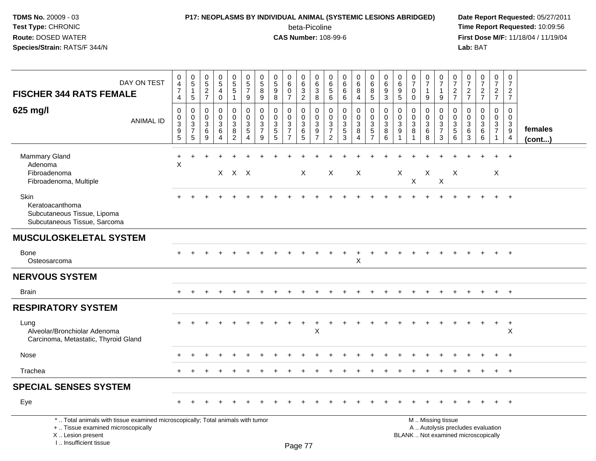### **P17: NEOPLASMS BY INDIVIDUAL ANIMAL (SYSTEMIC LESIONS ABRIDGED) Date Report Requested:** 05/27/2011 beta-Picoline<br>CAS Number: 108-99-6

 **Time Report Requested:** 10:09:56 **First Dose M/F:** 11/18/04 / 11/19/04<br>**Lab:** BAT **Lab:** BAT

| DAY ON TEST<br><b>FISCHER 344 RATS FEMALE</b>                                                                                                                       | $\pmb{0}$<br>$\overline{4}$<br>$\overline{7}$<br>4   | $\begin{array}{c} 0 \\ 5 \end{array}$<br>$\mathbf{1}$<br>$\sqrt{5}$ | $\pmb{0}$<br>$\sqrt{5}$<br>$\overline{2}$<br>$\overline{7}$ | $\begin{array}{c} 0 \\ 5 \end{array}$<br>$\overline{4}$<br>$\mathbf 0$ | $\begin{array}{c} 0 \\ 5 \\ 5 \end{array}$<br>$\mathbf{1}$    | $\begin{array}{c} 0 \\ 5 \\ 7 \end{array}$<br>9               | $\pmb{0}$<br>$\frac{5}{8}$<br>9        | $\begin{array}{c} 0 \\ 5 \end{array}$<br>9<br>8       | $\pmb{0}$<br>$\,6$<br>$\mathbf 0$<br>$\overline{7}$      | $\pmb{0}$<br>$\,6\,$<br>$\mathbf{3}$<br>$\overline{2}$   | 0<br>6<br>3<br>8                             | 0<br>$^6$ 5<br>6                                                                  | $\begin{array}{c} 0 \\ 6 \end{array}$<br>$6\phantom{a}$<br>6 | $\begin{array}{c} 0 \\ 6 \end{array}$<br>8<br>4         | $\pmb{0}$<br>$\,6\,$<br>8<br>5                                               | 0<br>$\,6$<br>9<br>$\mathbf{3}$  | 0<br>6<br>$9\,$<br>$\sqrt{5}$                 | $\pmb{0}$<br>$\overline{7}$<br>$\mathbf 0$<br>$\mathbf 0$ | $\begin{array}{c} 0 \\ 7 \end{array}$<br>$\overline{1}$<br>9 | $\pmb{0}$<br>$\overline{7}$<br>$\overline{1}$<br>9                                            | $\pmb{0}$<br>$\overline{7}$<br>$\overline{2}$<br>$\overline{7}$ | $\frac{0}{7}$<br>$\overline{2}$<br>$\overline{7}$ | $\frac{0}{7}$<br>$\frac{2}{7}$                           | $\begin{array}{c} 0 \\ 7 \end{array}$<br>$rac{2}{7}$        | $\pmb{0}$<br>$\overline{7}$<br>$\overline{2}$<br>$\overline{7}$ |                   |
|---------------------------------------------------------------------------------------------------------------------------------------------------------------------|------------------------------------------------------|---------------------------------------------------------------------|-------------------------------------------------------------|------------------------------------------------------------------------|---------------------------------------------------------------|---------------------------------------------------------------|----------------------------------------|-------------------------------------------------------|----------------------------------------------------------|----------------------------------------------------------|----------------------------------------------|-----------------------------------------------------------------------------------|--------------------------------------------------------------|---------------------------------------------------------|------------------------------------------------------------------------------|----------------------------------|-----------------------------------------------|-----------------------------------------------------------|--------------------------------------------------------------|-----------------------------------------------------------------------------------------------|-----------------------------------------------------------------|---------------------------------------------------|----------------------------------------------------------|-------------------------------------------------------------|-----------------------------------------------------------------|-------------------|
| 625 mg/l<br><b>ANIMAL ID</b>                                                                                                                                        | $\mathbf 0$<br>$_{3}^{\rm 0}$<br>$\overline{9}$<br>5 | $\mathbf 0$<br>$\mathbf 0$<br>$\sqrt{3}$<br>$\overline{7}$<br>5     | $\mathbf 0$<br>$\Omega$<br>$\sqrt{3}$<br>6<br>9             | $\mathbf 0$<br>0<br>$\mathbf{3}$<br>6<br>$\overline{\mathbf{4}}$       | $\mathbf 0$<br>0<br>$\mathbf{3}$<br>$\,8\,$<br>$\overline{2}$ | $\pmb{0}$<br>$\mathbf 0$<br>$\sqrt{3}$<br>$\overline{5}$<br>4 | $\mathbf 0$<br>0<br>$\frac{3}{7}$<br>9 | $\mathbf 0$<br>0<br>$\sqrt{3}$<br>$\overline{5}$<br>5 | 0<br>0<br>$\sqrt{3}$<br>$\overline{7}$<br>$\overline{7}$ | $\mathbf 0$<br>$\mathbf 0$<br>$\sqrt{3}$<br>$\,6\,$<br>5 | 0<br>$\mathbf 0$<br>3<br>9<br>$\overline{7}$ | $\mathbf 0$<br>0<br>$\ensuremath{\mathsf{3}}$<br>$\overline{7}$<br>$\overline{2}$ | $\mathbf 0$<br>$\pmb{0}$<br>$\frac{3}{5}$<br>3               | 0<br>$\mathbf 0$<br>$\mathbf{3}$<br>8<br>$\overline{4}$ | $\mathbf 0$<br>$\mathbf 0$<br>$\sqrt{3}$<br>$\overline{5}$<br>$\overline{7}$ | 0<br>0<br>$\mathbf{3}$<br>8<br>6 | $\mathbf 0$<br>$\mathbf 0$<br>$\sqrt{3}$<br>9 | $\mathbf{0}$<br>0<br>$\sqrt{3}$<br>8                      | $\mathbf 0$<br>$\mathbf 0$<br>$\mathbf{3}$<br>6<br>8         | $\mathbf 0$<br>$\mathbf 0$<br>$\frac{3}{7}$<br>3                                              | $\mathbf 0$<br>$\mathbf 0$<br>$\sqrt{3}$<br>5<br>6              | 0<br>$\Omega$<br>$\sqrt{3}$<br>6<br>3             | $\mathbf 0$<br>0<br>$\mathbf{3}$<br>$6\overline{6}$<br>6 | $\mathbf 0$<br>$\mathbf 0$<br>$\frac{3}{7}$<br>$\mathbf{1}$ | $\mathbf 0$<br>$\mathbf 0$<br>3<br>9<br>$\overline{4}$          | females<br>(cont) |
| Mammary Gland<br>Adenoma<br>Fibroadenoma<br>Fibroadenoma, Multiple                                                                                                  | $\ddot{}$<br>$\sf X$                                 |                                                                     |                                                             |                                                                        | $X$ $X$ $X$                                                   |                                                               |                                        |                                                       |                                                          | $\times$                                                 |                                              | X                                                                                 |                                                              | $\boldsymbol{\mathsf{X}}$                               |                                                                              |                                  | X                                             | X                                                         | X                                                            | $\boldsymbol{\mathsf{X}}$                                                                     | X                                                               |                                                   |                                                          | X                                                           | $\div$                                                          |                   |
| Skin<br>Keratoacanthoma<br>Subcutaneous Tissue, Lipoma<br>Subcutaneous Tissue, Sarcoma                                                                              |                                                      |                                                                     |                                                             |                                                                        |                                                               |                                                               |                                        |                                                       |                                                          |                                                          |                                              |                                                                                   |                                                              |                                                         |                                                                              |                                  |                                               |                                                           |                                                              |                                                                                               |                                                                 |                                                   |                                                          |                                                             | $^{+}$                                                          |                   |
| <b>MUSCULOSKELETAL SYSTEM</b>                                                                                                                                       |                                                      |                                                                     |                                                             |                                                                        |                                                               |                                                               |                                        |                                                       |                                                          |                                                          |                                              |                                                                                   |                                                              |                                                         |                                                                              |                                  |                                               |                                                           |                                                              |                                                                                               |                                                                 |                                                   |                                                          |                                                             |                                                                 |                   |
| Bone<br>Osteosarcoma                                                                                                                                                |                                                      |                                                                     |                                                             |                                                                        |                                                               |                                                               |                                        |                                                       |                                                          |                                                          |                                              |                                                                                   |                                                              | Χ                                                       |                                                                              |                                  |                                               |                                                           |                                                              |                                                                                               |                                                                 |                                                   |                                                          |                                                             |                                                                 |                   |
| <b>NERVOUS SYSTEM</b>                                                                                                                                               |                                                      |                                                                     |                                                             |                                                                        |                                                               |                                                               |                                        |                                                       |                                                          |                                                          |                                              |                                                                                   |                                                              |                                                         |                                                                              |                                  |                                               |                                                           |                                                              |                                                                                               |                                                                 |                                                   |                                                          |                                                             |                                                                 |                   |
| <b>Brain</b>                                                                                                                                                        |                                                      |                                                                     |                                                             |                                                                        |                                                               |                                                               |                                        |                                                       |                                                          |                                                          |                                              |                                                                                   |                                                              |                                                         |                                                                              |                                  |                                               |                                                           |                                                              |                                                                                               |                                                                 |                                                   |                                                          | $+$                                                         | $+$                                                             |                   |
| <b>RESPIRATORY SYSTEM</b>                                                                                                                                           |                                                      |                                                                     |                                                             |                                                                        |                                                               |                                                               |                                        |                                                       |                                                          |                                                          |                                              |                                                                                   |                                                              |                                                         |                                                                              |                                  |                                               |                                                           |                                                              |                                                                                               |                                                                 |                                                   |                                                          |                                                             |                                                                 |                   |
| Lung<br>Alveolar/Bronchiolar Adenoma<br>Carcinoma, Metastatic, Thyroid Gland                                                                                        |                                                      |                                                                     |                                                             |                                                                        |                                                               |                                                               |                                        |                                                       |                                                          |                                                          | $\ddot{}$<br>X                               |                                                                                   |                                                              |                                                         |                                                                              |                                  |                                               |                                                           |                                                              |                                                                                               |                                                                 |                                                   |                                                          | $\ddot{}$                                                   | $+$<br>X                                                        |                   |
| Nose                                                                                                                                                                |                                                      |                                                                     |                                                             |                                                                        |                                                               |                                                               |                                        |                                                       |                                                          |                                                          |                                              |                                                                                   |                                                              |                                                         |                                                                              |                                  |                                               |                                                           |                                                              |                                                                                               |                                                                 |                                                   |                                                          |                                                             |                                                                 |                   |
| Trachea                                                                                                                                                             |                                                      |                                                                     |                                                             |                                                                        |                                                               |                                                               |                                        |                                                       |                                                          |                                                          |                                              |                                                                                   |                                                              |                                                         |                                                                              |                                  |                                               |                                                           |                                                              |                                                                                               |                                                                 |                                                   |                                                          |                                                             | $\ddot{}$                                                       |                   |
| <b>SPECIAL SENSES SYSTEM</b>                                                                                                                                        |                                                      |                                                                     |                                                             |                                                                        |                                                               |                                                               |                                        |                                                       |                                                          |                                                          |                                              |                                                                                   |                                                              |                                                         |                                                                              |                                  |                                               |                                                           |                                                              |                                                                                               |                                                                 |                                                   |                                                          |                                                             |                                                                 |                   |
| Eye                                                                                                                                                                 |                                                      |                                                                     |                                                             |                                                                        |                                                               |                                                               |                                        |                                                       |                                                          |                                                          |                                              |                                                                                   |                                                              |                                                         |                                                                              |                                  |                                               |                                                           |                                                              |                                                                                               |                                                                 |                                                   |                                                          |                                                             | $^{+}$                                                          |                   |
| *  Total animals with tissue examined microscopically; Total animals with tumor<br>+  Tissue examined microscopically<br>X  Lesion present<br>I Insufficient tissue |                                                      |                                                                     |                                                             |                                                                        |                                                               |                                                               |                                        |                                                       |                                                          | Page 77                                                  |                                              |                                                                                   |                                                              |                                                         |                                                                              |                                  |                                               |                                                           |                                                              | M  Missing tissue<br>A  Autolysis precludes evaluation<br>BLANK  Not examined microscopically |                                                                 |                                                   |                                                          |                                                             |                                                                 |                   |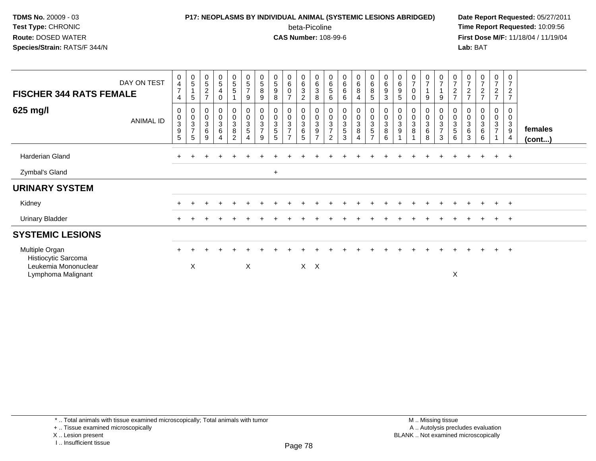### **P17: NEOPLASMS BY INDIVIDUAL ANIMAL (SYSTEMIC LESIONS ABRIDGED) Date Report Requested:** 05/27/2011 beta-Picoline<br>CAS Number: 108-99-6

 **Time Report Requested:** 10:09:56 **First Dose M/F:** 11/18/04 / 11/19/04<br>**Lab:** BAT **Lab:** BAT

| <b>FISCHER 344 RATS FEMALE</b>                                                      | DAY ON TEST      | $\boldsymbol{0}$<br>$\overline{4}$<br>$\overline{7}$<br>4 | $\begin{array}{c} 0 \\ 5 \end{array}$<br>$\overline{1}$<br>5         | $\pmb{0}$<br>$\sqrt{5}$<br>$\overline{2}$<br>$\overline{7}$ | $\begin{matrix} 0 \\ 5 \end{matrix}$<br>$\overline{4}$<br>0 | $\begin{array}{c} 0 \\ 5 \\ 5 \end{array}$ | $\boldsymbol{0}$<br>$\frac{5}{7}$<br>9               | $\pmb{0}$<br>$\sqrt{5}$<br>$\bf 8$<br>9        | $\pmb{0}$<br>$\sqrt{5}$<br>$\boldsymbol{9}$<br>8 | $\pmb{0}$<br>$\,6\,$<br>0<br>$\overline{7}$                       | $\mathbf 0$<br>6<br>$\overline{3}$<br>$\overline{2}$ | 0<br>6<br>3<br>8                             | $\pmb{0}$<br>6<br>$\sqrt{5}$<br>6      | $\begin{array}{c} 0 \\ 6 \\ 6 \end{array}$<br>6 | $\begin{array}{c} 0 \\ 6 \\ 8 \end{array}$<br>$\overline{4}$ | $\begin{matrix} 0 \\ 6 \end{matrix}$<br>8<br>5               | 0<br>6<br>$\boldsymbol{9}$<br>3     | 0<br>$\,6\,$<br>$\boldsymbol{9}$<br>5       | $\frac{0}{7}$<br>$\pmb{0}$<br>0        | $\frac{0}{7}$<br>9                                              | $\begin{smallmatrix}0\\7\end{smallmatrix}$<br>$\mathbf{1}$<br>9 | $\boldsymbol{0}$<br>$\overline{7}$<br>$\boldsymbol{2}$<br>$\overline{ }$ | $\begin{array}{c} 0 \\ 7 \end{array}$<br>$\sqrt{2}$<br>$\overline{7}$ | $\frac{0}{7}$<br>$\overline{c}$<br>$\overline{ }$     | 0<br>$\overline{7}$<br>$\overline{c}$<br>$\overline{z}$ | 0<br>$\overline{7}$<br>$\overline{2}$<br>$\overline{7}$     |                   |
|-------------------------------------------------------------------------------------|------------------|-----------------------------------------------------------|----------------------------------------------------------------------|-------------------------------------------------------------|-------------------------------------------------------------|--------------------------------------------|------------------------------------------------------|------------------------------------------------|--------------------------------------------------|-------------------------------------------------------------------|------------------------------------------------------|----------------------------------------------|----------------------------------------|-------------------------------------------------|--------------------------------------------------------------|--------------------------------------------------------------|-------------------------------------|---------------------------------------------|----------------------------------------|-----------------------------------------------------------------|-----------------------------------------------------------------|--------------------------------------------------------------------------|-----------------------------------------------------------------------|-------------------------------------------------------|---------------------------------------------------------|-------------------------------------------------------------|-------------------|
| 625 mg/l                                                                            | <b>ANIMAL ID</b> | 0<br>$\pmb{0}$<br>$\sqrt{3}$<br>$\boldsymbol{9}$<br>5     | $\begin{smallmatrix}0\\0\\3\end{smallmatrix}$<br>$\overline{7}$<br>5 | 0<br>$\pmb{0}$<br>$\mathbf{3}$<br>$\,6\,$<br>9              | 0<br>$\mathbf 0$<br>$\mathbf{3}$<br>$\,6$<br>4              | 0<br>$\pmb{0}$<br>3<br>8<br>$\mathfrak{p}$ | $\begin{smallmatrix} 0\\0\\3 \end{smallmatrix}$<br>5 | $\pmb{0}$<br>$\sqrt{3}$<br>$\overline{ }$<br>9 | 0<br>$\pmb{0}$<br>$\sqrt{3}$<br>$\mathbf 5$<br>5 | 0<br>$\pmb{0}$<br>3<br>$\overline{7}$<br>$\overline{\phantom{a}}$ | 0<br>$\boldsymbol{0}$<br>$\sqrt{3}$<br>$\,6$<br>5    | 0<br>$\mathbf 0$<br>3<br>9<br>$\overline{ }$ | 0<br>$\sqrt{3}$<br>$\overline{ }$<br>2 | 0<br>$\overline{0}$<br>3<br>$\mathbf 5$<br>3    | 0<br>$\frac{0}{3}$<br>8<br>4                                 | 0<br>$\pmb{0}$<br>$\sqrt{3}$<br>$\sqrt{5}$<br>$\overline{7}$ | $\mathbf 0$<br>$\sqrt{3}$<br>8<br>6 | $\pmb{0}$<br>$\sqrt{3}$<br>$\boldsymbol{9}$ | 0<br>$\pmb{0}$<br>$\sqrt{3}$<br>$\, 8$ | $\begin{smallmatrix} 0\\0\\3 \end{smallmatrix}$<br>$\,6\,$<br>8 | 0<br>$\,0\,$<br>$\overline{3}$<br>$\overline{7}$<br>3           | 0<br>$\mathbf 0$<br>3<br>5<br>6                                          | 0<br>$\mathbf{3}$<br>6<br>3                                           | 0<br>$\pmb{0}$<br>$\ensuremath{\mathsf{3}}$<br>6<br>6 | 0<br>0<br>$\mathbf{3}$<br>$\overline{ }$                | 0<br>$\mathbf 0$<br>$\mathbf{3}$<br>$9\,$<br>$\overline{a}$ | females<br>(cont) |
| Harderian Gland                                                                     |                  |                                                           |                                                                      |                                                             |                                                             |                                            |                                                      |                                                |                                                  |                                                                   |                                                      |                                              |                                        |                                                 |                                                              |                                                              |                                     |                                             |                                        |                                                                 |                                                                 |                                                                          |                                                                       |                                                       | $+$                                                     | $+$                                                         |                   |
| Zymbal's Gland                                                                      |                  |                                                           |                                                                      |                                                             |                                                             |                                            |                                                      |                                                | $+$                                              |                                                                   |                                                      |                                              |                                        |                                                 |                                                              |                                                              |                                     |                                             |                                        |                                                                 |                                                                 |                                                                          |                                                                       |                                                       |                                                         |                                                             |                   |
| <b>URINARY SYSTEM</b>                                                               |                  |                                                           |                                                                      |                                                             |                                                             |                                            |                                                      |                                                |                                                  |                                                                   |                                                      |                                              |                                        |                                                 |                                                              |                                                              |                                     |                                             |                                        |                                                                 |                                                                 |                                                                          |                                                                       |                                                       |                                                         |                                                             |                   |
| Kidney                                                                              |                  |                                                           |                                                                      |                                                             |                                                             |                                            |                                                      |                                                |                                                  |                                                                   |                                                      |                                              |                                        |                                                 |                                                              |                                                              |                                     |                                             |                                        |                                                                 |                                                                 |                                                                          |                                                                       |                                                       | $+$                                                     | $+$                                                         |                   |
| <b>Urinary Bladder</b>                                                              |                  | $+$                                                       |                                                                      |                                                             |                                                             |                                            |                                                      |                                                |                                                  |                                                                   |                                                      |                                              |                                        |                                                 |                                                              |                                                              |                                     |                                             |                                        |                                                                 |                                                                 |                                                                          |                                                                       | $\overline{+}$                                        | $+$                                                     | $+$                                                         |                   |
| <b>SYSTEMIC LESIONS</b>                                                             |                  |                                                           |                                                                      |                                                             |                                                             |                                            |                                                      |                                                |                                                  |                                                                   |                                                      |                                              |                                        |                                                 |                                                              |                                                              |                                     |                                             |                                        |                                                                 |                                                                 |                                                                          |                                                                       |                                                       |                                                         |                                                             |                   |
| Multiple Organ<br>Histiocytic Sarcoma<br>Leukemia Mononuclear<br>Lymphoma Malignant |                  |                                                           | X                                                                    |                                                             |                                                             |                                            | X                                                    |                                                |                                                  |                                                                   |                                                      | $X$ $X$                                      |                                        |                                                 |                                                              |                                                              |                                     |                                             |                                        |                                                                 |                                                                 | X                                                                        |                                                                       |                                                       | $+$                                                     | $+$                                                         |                   |

X .. Lesion present

I .. Insufficient tissue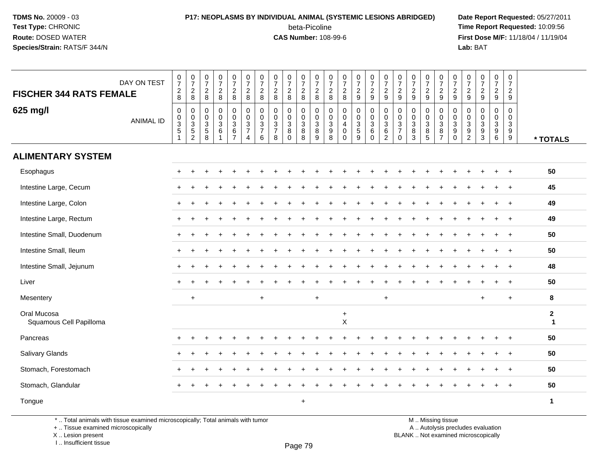### **P17: NEOPLASMS BY INDIVIDUAL ANIMAL (SYSTEMIC LESIONS ABRIDGED) Date Report Requested:** 05/27/2011 beta-Picoline<br>CAS Number: 108-99-6

 **Time Report Requested:** 10:09:56 **First Dose M/F:** 11/18/04 / 11/19/04<br>**Lab:** BAT **Lab:** BAT

| DAY ON TEST<br><b>FISCHER 344 RATS FEMALE</b> | $\begin{array}{c} 0 \\ 7 \end{array}$<br>$_{8}^{2}$                                     | $\frac{0}{7}$<br>$_{8}^2$                                   | 0<br>$\overline{7}$<br>$\frac{2}{8}$        | $\begin{array}{c} 0 \\ 7 \end{array}$<br>$_{\rm 8}^2$                          | $\frac{0}{7}$<br>$\frac{2}{8}$                                                 | $\begin{array}{c} 0 \\ 7 \end{array}$<br>$\frac{2}{8}$        | $\frac{0}{7}$<br>$\overline{c}$<br>8                   | 0<br>$\overline{7}$<br>$\sqrt{2}$<br>8                  | $\frac{0}{7}$<br>$_{8}^2$                          | $\pmb{0}$<br>$\overline{7}$<br>$_{\rm 8}^2$      | $\frac{0}{7}$<br>$_{8}^{\rm 2}$                         | $\frac{0}{7}$<br>$\overline{a}$<br>8                      | $\begin{smallmatrix}0\\7\end{smallmatrix}$<br>$\frac{2}{8}$ | $\frac{0}{7}$<br>$\frac{2}{9}$                              | 0<br>$\overline{7}$<br>$\frac{2}{9}$                      | $\frac{0}{7}$<br>$\frac{2}{9}$                                        | $\frac{0}{7}$<br>$\frac{2}{9}$                                               | $\pmb{0}$<br>$\overline{7}$<br>$\overline{\mathbf{c}}$<br>9       | $\frac{0}{7}$<br>$\frac{2}{9}$                             | $\frac{0}{7}$<br>$\frac{2}{9}$    | $\begin{array}{c} 0 \\ 7 \end{array}$<br>$\frac{2}{9}$ | $\frac{0}{7}$<br>$\frac{2}{9}$                            | $\frac{0}{7}$<br>$\frac{2}{9}$                                               | $\frac{0}{7}$<br>$\frac{2}{9}$                            | $\mathbf 0$<br>$\overline{7}$<br>$\sqrt{2}$<br>9          |                              |
|-----------------------------------------------|-----------------------------------------------------------------------------------------|-------------------------------------------------------------|---------------------------------------------|--------------------------------------------------------------------------------|--------------------------------------------------------------------------------|---------------------------------------------------------------|--------------------------------------------------------|---------------------------------------------------------|----------------------------------------------------|--------------------------------------------------|---------------------------------------------------------|-----------------------------------------------------------|-------------------------------------------------------------|-------------------------------------------------------------|-----------------------------------------------------------|-----------------------------------------------------------------------|------------------------------------------------------------------------------|-------------------------------------------------------------------|------------------------------------------------------------|-----------------------------------|--------------------------------------------------------|-----------------------------------------------------------|------------------------------------------------------------------------------|-----------------------------------------------------------|-----------------------------------------------------------|------------------------------|
| 625 mg/l<br>ANIMAL ID                         | $\mathbf 0$<br>$\pmb{0}$<br>$\ensuremath{\mathsf{3}}$<br>$\overline{5}$<br>$\mathbf{1}$ | 0<br>$\mathsf{O}\xspace$<br>$\frac{3}{5}$<br>$\overline{2}$ | 0<br>$\boldsymbol{0}$<br>$\frac{3}{5}$<br>8 | $\mathbf 0$<br>$\pmb{0}$<br>$\overline{3}$<br>$6\phantom{a}$<br>$\overline{1}$ | $\mathbf 0$<br>$\mathbf 0$<br>$\mathbf{3}$<br>$6\phantom{a}$<br>$\overline{7}$ | $\mathbf 0$<br>$\mathbf 0$<br>$\frac{3}{7}$<br>$\overline{4}$ | $\mathbf 0$<br>$\mathbf 0$<br>3<br>$\overline{7}$<br>6 | $\mathbf 0$<br>$\mathbf{0}$<br>3<br>$\overline{7}$<br>8 | 0<br>0<br>$\sqrt{3}$<br>$\overline{8}$<br>$\Omega$ | $\mathbf 0$<br>$\mathbf 0$<br>$\frac{3}{8}$<br>8 | 0<br>$\mathbf 0$<br>$\mathbf{3}$<br>$\overline{8}$<br>9 | 0<br>$\mathbf 0$<br>$\mathbf{3}$<br>$\boldsymbol{9}$<br>8 | $\mathbf 0$<br>$\mathbf 0$<br>4<br>$\pmb{0}$<br>$\Omega$    | 0<br>$\boldsymbol{0}$<br>$\mathbf 3$<br>$\overline{5}$<br>9 | 0<br>0<br>$\mathfrak{S}$<br>$6\phantom{a}$<br>$\mathbf 0$ | $\mathbf 0$<br>$\mathsf{O}\xspace$<br>$\frac{3}{6}$<br>$\overline{2}$ | $\mathbf 0$<br>$\mathbf 0$<br>$\mathbf{3}$<br>$\overline{7}$<br>$\mathbf{0}$ | $\mathbf 0$<br>$\mathbf 0$<br>$\mathbf{3}$<br>$\overline{8}$<br>3 | 0<br>0<br>$\mathbf{3}$<br>$\overline{8}$<br>$\overline{5}$ | 0<br>$\mathbf 0$<br>$\frac{3}{8}$ | 0<br>$\mathbf 0$<br>$\frac{3}{9}$<br>$\mathbf 0$       | 0<br>$\mathbf 0$<br>3<br>$\overline{9}$<br>$\overline{c}$ | $\mathbf 0$<br>$\mathbf 0$<br>$\sqrt{3}$<br>$\boldsymbol{9}$<br>$\mathbf{3}$ | $\mathbf 0$<br>0<br>$\mathbf{3}$<br>$\boldsymbol{9}$<br>6 | $\mathbf 0$<br>0<br>$\mathfrak{S}$<br>$\overline{9}$<br>9 | * TOTALS                     |
| <b>ALIMENTARY SYSTEM</b>                      |                                                                                         |                                                             |                                             |                                                                                |                                                                                |                                                               |                                                        |                                                         |                                                    |                                                  |                                                         |                                                           |                                                             |                                                             |                                                           |                                                                       |                                                                              |                                                                   |                                                            |                                   |                                                        |                                                           |                                                                              |                                                           |                                                           |                              |
| Esophagus                                     |                                                                                         |                                                             |                                             |                                                                                |                                                                                |                                                               |                                                        |                                                         |                                                    |                                                  |                                                         |                                                           |                                                             |                                                             |                                                           |                                                                       |                                                                              |                                                                   |                                                            |                                   |                                                        |                                                           |                                                                              | $\ddot{}$                                                 | $+$                                                       | 50                           |
| Intestine Large, Cecum                        |                                                                                         |                                                             |                                             |                                                                                |                                                                                |                                                               |                                                        |                                                         |                                                    |                                                  |                                                         |                                                           |                                                             |                                                             |                                                           |                                                                       |                                                                              |                                                                   |                                                            |                                   |                                                        |                                                           |                                                                              |                                                           |                                                           | 45                           |
| Intestine Large, Colon                        |                                                                                         |                                                             |                                             |                                                                                |                                                                                |                                                               |                                                        |                                                         |                                                    |                                                  |                                                         |                                                           |                                                             |                                                             |                                                           |                                                                       |                                                                              |                                                                   |                                                            |                                   |                                                        |                                                           |                                                                              |                                                           |                                                           | 49                           |
| Intestine Large, Rectum                       |                                                                                         |                                                             |                                             |                                                                                |                                                                                |                                                               |                                                        |                                                         |                                                    |                                                  |                                                         |                                                           |                                                             |                                                             |                                                           |                                                                       |                                                                              |                                                                   |                                                            |                                   |                                                        |                                                           |                                                                              | $\ddot{}$                                                 | $+$                                                       | 49                           |
| Intestine Small, Duodenum                     |                                                                                         |                                                             |                                             |                                                                                |                                                                                |                                                               |                                                        |                                                         |                                                    |                                                  |                                                         |                                                           |                                                             |                                                             |                                                           |                                                                       |                                                                              |                                                                   |                                                            |                                   |                                                        |                                                           |                                                                              |                                                           | $\ddot{}$                                                 | 50                           |
| Intestine Small, Ileum                        |                                                                                         |                                                             |                                             |                                                                                |                                                                                |                                                               |                                                        |                                                         |                                                    |                                                  |                                                         |                                                           |                                                             |                                                             |                                                           |                                                                       |                                                                              |                                                                   |                                                            |                                   |                                                        |                                                           |                                                                              |                                                           |                                                           | 50                           |
| Intestine Small, Jejunum                      |                                                                                         |                                                             |                                             |                                                                                |                                                                                |                                                               |                                                        |                                                         |                                                    |                                                  |                                                         |                                                           |                                                             |                                                             |                                                           |                                                                       |                                                                              |                                                                   |                                                            |                                   |                                                        |                                                           |                                                                              | $\div$                                                    | $\ddot{}$                                                 | 48                           |
| Liver                                         |                                                                                         |                                                             |                                             |                                                                                |                                                                                |                                                               |                                                        |                                                         |                                                    |                                                  |                                                         |                                                           |                                                             |                                                             |                                                           |                                                                       |                                                                              |                                                                   |                                                            |                                   |                                                        |                                                           |                                                                              |                                                           |                                                           | 50                           |
| Mesentery                                     |                                                                                         | $\ddot{}$                                                   |                                             |                                                                                |                                                                                |                                                               | $\ddot{}$                                              |                                                         |                                                    |                                                  | $\ddot{}$                                               |                                                           |                                                             |                                                             |                                                           | $\ddot{}$                                                             |                                                                              |                                                                   |                                                            |                                   |                                                        |                                                           | $\ddot{}$                                                                    |                                                           | $\ddot{}$                                                 | 8                            |
| Oral Mucosa<br>Squamous Cell Papilloma        |                                                                                         |                                                             |                                             |                                                                                |                                                                                |                                                               |                                                        |                                                         |                                                    |                                                  |                                                         |                                                           | $\ddot{}$<br>$\mathsf X$                                    |                                                             |                                                           |                                                                       |                                                                              |                                                                   |                                                            |                                   |                                                        |                                                           |                                                                              |                                                           |                                                           | $\mathbf{2}$<br>$\mathbf{1}$ |
| Pancreas                                      |                                                                                         |                                                             |                                             |                                                                                |                                                                                |                                                               |                                                        |                                                         |                                                    |                                                  |                                                         |                                                           |                                                             |                                                             |                                                           |                                                                       |                                                                              |                                                                   |                                                            |                                   |                                                        |                                                           |                                                                              |                                                           |                                                           | 50                           |
| Salivary Glands                               |                                                                                         |                                                             |                                             |                                                                                |                                                                                |                                                               |                                                        |                                                         |                                                    |                                                  |                                                         |                                                           |                                                             |                                                             |                                                           |                                                                       |                                                                              |                                                                   |                                                            |                                   |                                                        |                                                           |                                                                              |                                                           | $\ddot{}$                                                 | 50                           |
| Stomach, Forestomach                          |                                                                                         |                                                             |                                             |                                                                                |                                                                                |                                                               |                                                        |                                                         |                                                    |                                                  |                                                         |                                                           |                                                             |                                                             |                                                           |                                                                       |                                                                              |                                                                   |                                                            |                                   |                                                        |                                                           |                                                                              |                                                           |                                                           | 50                           |
| Stomach, Glandular                            |                                                                                         |                                                             |                                             |                                                                                |                                                                                |                                                               |                                                        |                                                         |                                                    |                                                  |                                                         |                                                           |                                                             |                                                             |                                                           |                                                                       |                                                                              |                                                                   |                                                            |                                   |                                                        |                                                           |                                                                              | $\overline{ }$                                            | $\ddot{}$                                                 | 50                           |
| Tongue                                        |                                                                                         |                                                             |                                             |                                                                                |                                                                                |                                                               |                                                        |                                                         |                                                    | $+$                                              |                                                         |                                                           |                                                             |                                                             |                                                           |                                                                       |                                                                              |                                                                   |                                                            |                                   |                                                        |                                                           |                                                                              |                                                           |                                                           | $\mathbf{1}$                 |

\* .. Total animals with tissue examined microscopically; Total animals with tumor

+ .. Tissue examined microscopically

X .. Lesion present

I .. Insufficient tissue

y the contract of the contract of the contract of the contract of the contract of  $\mathsf A$  . Autolysis precludes evaluation Lesion present BLANK .. Not examined microscopically

M .. Missing tissue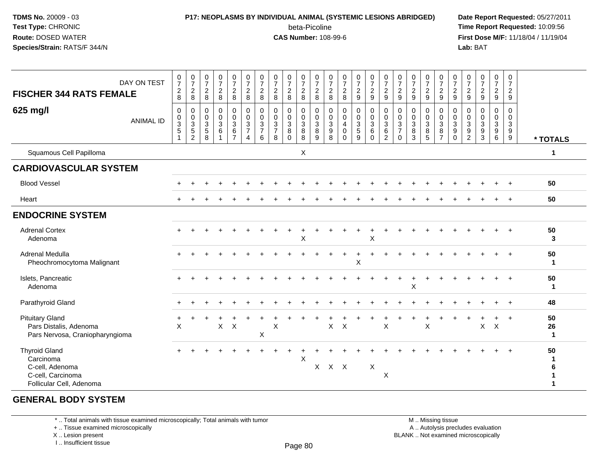# **P17: NEOPLASMS BY INDIVIDUAL ANIMAL (SYSTEMIC LESIONS ABRIDGED) Date Report Requested:** 05/27/2011

beta-Picoline<br>CAS Number: 108-99-6

 **Time Report Requested:** 10:09:56 **First Dose M/F:** 11/18/04 / 11/19/04<br>**Lab:** BAT **Lab:** BAT

| <b>FISCHER 344 RATS FEMALE</b>                                                                        | DAY ON TEST      | $\frac{0}{7}$<br>$\overline{c}$<br>$\,8\,$                                                     | $\frac{0}{7}$<br>$\overline{c}$<br>8                               | $\frac{0}{7}$<br>$\overline{c}$<br>8              | $\frac{0}{7}$<br>$\overline{c}$<br>$\bf 8$               | $\begin{smallmatrix}0\\7\end{smallmatrix}$<br>$\frac{2}{8}$         | $\frac{0}{7}$<br>$\overline{c}$<br>$\,8\,$                                      | $\frac{0}{7}$<br>$\overline{c}$<br>8         | $\begin{array}{c} 0 \\ 7 \end{array}$<br>$\overline{2}$<br>8                 | $\frac{0}{7}$<br>$\overline{a}$<br>8   | $\begin{array}{c} 0 \\ 7 \end{array}$<br>$\overline{c}$<br>8 | $\frac{0}{7}$<br>$\boldsymbol{2}$<br>$\,8\,$ | $\frac{0}{7}$<br>$\frac{2}{8}$                                      | $\begin{array}{c} 0 \\ 7 \end{array}$<br>$\overline{c}$<br>$\,8\,$ | $\frac{0}{7}$<br>$\frac{2}{9}$                                 | $\begin{smallmatrix}0\\7\end{smallmatrix}$<br>$\frac{2}{9}$                                    | $\frac{0}{7}$<br>$\overline{2}$<br>9                   | $\pmb{0}$<br>$\boldsymbol{7}$<br>$\boldsymbol{2}$<br>$\boldsymbol{9}$ | $\begin{array}{c} 0 \\ 7 \end{array}$<br>$\frac{2}{9}$    | $\frac{0}{7}$<br>$\frac{2}{9}$                    | $\frac{0}{7}$<br>$\sqrt{2}$<br>$\boldsymbol{9}$                        | $\frac{0}{7}$<br>$\overline{c}$<br>9 | $\frac{0}{7}$<br>$\frac{2}{9}$                  | $\frac{0}{7}$<br>$\frac{2}{9}$            | $\frac{0}{7}$<br>$\frac{2}{9}$          | 0<br>$\overline{7}$<br>$\overline{2}$<br>9              |                         |
|-------------------------------------------------------------------------------------------------------|------------------|------------------------------------------------------------------------------------------------|--------------------------------------------------------------------|---------------------------------------------------|----------------------------------------------------------|---------------------------------------------------------------------|---------------------------------------------------------------------------------|----------------------------------------------|------------------------------------------------------------------------------|----------------------------------------|--------------------------------------------------------------|----------------------------------------------|---------------------------------------------------------------------|--------------------------------------------------------------------|----------------------------------------------------------------|------------------------------------------------------------------------------------------------|--------------------------------------------------------|-----------------------------------------------------------------------|-----------------------------------------------------------|---------------------------------------------------|------------------------------------------------------------------------|--------------------------------------|-------------------------------------------------|-------------------------------------------|-----------------------------------------|---------------------------------------------------------|-------------------------|
| 625 mg/l                                                                                              | <b>ANIMAL ID</b> | $\mathbf 0$<br>$\boldsymbol{0}$<br>$\ensuremath{\mathsf{3}}$<br>$\overline{5}$<br>$\mathbf{1}$ | 0<br>$\pmb{0}$<br>$\ensuremath{\mathsf{3}}$<br>$\overline{5}$<br>2 | 0<br>$\pmb{0}$<br>$\mathbf{3}$<br>$\sqrt{5}$<br>8 | $\pmb{0}$<br>$\pmb{0}$<br>$\mathbf{3}$<br>$6\phantom{a}$ | $\mathbf 0$<br>$\mathbf 0$<br>3<br>$6\phantom{a}$<br>$\overline{7}$ | $\pmb{0}$<br>$\overline{0}$<br>$\mathbf{3}$<br>$\overline{7}$<br>$\overline{4}$ | 0<br>$\mathbf 0$<br>3<br>$\overline{7}$<br>6 | $\pmb{0}$<br>$\mathbf 0$<br>$\ensuremath{\mathsf{3}}$<br>$\overline{7}$<br>8 | 0<br>$\mathbf 0$<br>3<br>8<br>$\Omega$ | 0<br>$\mathbf 0$<br>$\mathbf{3}$<br>$\overline{8}$           | 0<br>$\pmb{0}$<br>$_8^3$<br>9                | 0<br>$\boldsymbol{0}$<br>$\begin{array}{c} 3 \\ 9 \\ 8 \end{array}$ | 0<br>$\pmb{0}$<br>4<br>$\mathbf 0$<br>$\Omega$                     | 0<br>$\boldsymbol{0}$<br>3<br>$\overline{5}$<br>$\overline{9}$ | $\begin{smallmatrix} 0\\0 \end{smallmatrix}$<br>$\mathbf{3}$<br>$6\overline{6}$<br>$\mathbf 0$ | $\mathbf 0$<br>$\mathbf 0$<br>3<br>6<br>$\overline{2}$ | 0<br>0<br>$\mathbf{3}$<br>$\overline{7}$<br>$\Omega$                  | $\mathbf 0$<br>$\overline{0}$<br>$_8^3$<br>$\overline{3}$ | 0<br>$\mathbf 0$<br>$\mathbf{3}$<br>$\frac{8}{5}$ | 0<br>$\overline{0}$<br>$\mathbf 3$<br>$\overline{8}$<br>$\overline{7}$ | 0<br>$\mathbf 0$<br>3<br>9<br>0      | 0<br>$\pmb{0}$<br>$\mathbf{3}$<br>$\frac{9}{2}$ | $\mathbf 0$<br>$\pmb{0}$<br>$\frac{3}{9}$ | 0<br>0<br>$\mathbf{3}$<br>$\frac{9}{6}$ | 0<br>$\mathbf 0$<br>$\sqrt{3}$<br>$\boldsymbol{9}$<br>9 | * TOTALS                |
| Squamous Cell Papilloma                                                                               |                  |                                                                                                |                                                                    |                                                   |                                                          |                                                                     |                                                                                 |                                              |                                                                              |                                        | X                                                            |                                              |                                                                     |                                                                    |                                                                |                                                                                                |                                                        |                                                                       |                                                           |                                                   |                                                                        |                                      |                                                 |                                           |                                         |                                                         | 1                       |
| <b>CARDIOVASCULAR SYSTEM</b>                                                                          |                  |                                                                                                |                                                                    |                                                   |                                                          |                                                                     |                                                                                 |                                              |                                                                              |                                        |                                                              |                                              |                                                                     |                                                                    |                                                                |                                                                                                |                                                        |                                                                       |                                                           |                                                   |                                                                        |                                      |                                                 |                                           |                                         |                                                         |                         |
| <b>Blood Vessel</b>                                                                                   |                  |                                                                                                |                                                                    |                                                   |                                                          |                                                                     |                                                                                 |                                              |                                                                              |                                        |                                                              |                                              |                                                                     |                                                                    |                                                                |                                                                                                |                                                        |                                                                       |                                                           |                                                   |                                                                        |                                      |                                                 |                                           |                                         |                                                         | 50                      |
| Heart                                                                                                 |                  |                                                                                                |                                                                    |                                                   |                                                          |                                                                     |                                                                                 |                                              |                                                                              |                                        |                                                              |                                              |                                                                     |                                                                    |                                                                |                                                                                                |                                                        |                                                                       |                                                           |                                                   |                                                                        |                                      |                                                 |                                           |                                         | $+$                                                     | 50                      |
| <b>ENDOCRINE SYSTEM</b>                                                                               |                  |                                                                                                |                                                                    |                                                   |                                                          |                                                                     |                                                                                 |                                              |                                                                              |                                        |                                                              |                                              |                                                                     |                                                                    |                                                                |                                                                                                |                                                        |                                                                       |                                                           |                                                   |                                                                        |                                      |                                                 |                                           |                                         |                                                         |                         |
| <b>Adrenal Cortex</b><br>Adenoma                                                                      |                  |                                                                                                |                                                                    |                                                   |                                                          |                                                                     |                                                                                 |                                              |                                                                              |                                        | Χ                                                            |                                              |                                                                     |                                                                    | $\ddot{}$                                                      | X                                                                                              |                                                        |                                                                       |                                                           |                                                   |                                                                        |                                      |                                                 |                                           |                                         |                                                         | 50<br>3                 |
| Adrenal Medulla<br>Pheochromocytoma Malignant                                                         |                  |                                                                                                |                                                                    |                                                   |                                                          |                                                                     |                                                                                 |                                              |                                                                              |                                        |                                                              |                                              |                                                                     |                                                                    | Χ                                                              |                                                                                                |                                                        |                                                                       |                                                           |                                                   |                                                                        |                                      |                                                 |                                           |                                         |                                                         | 50<br>$\mathbf{1}$      |
| Islets, Pancreatic<br>Adenoma                                                                         |                  |                                                                                                |                                                                    |                                                   |                                                          |                                                                     |                                                                                 |                                              |                                                                              |                                        |                                                              |                                              |                                                                     |                                                                    |                                                                |                                                                                                |                                                        |                                                                       | X                                                         |                                                   |                                                                        |                                      |                                                 |                                           |                                         |                                                         | 50<br>1                 |
| Parathyroid Gland                                                                                     |                  |                                                                                                |                                                                    |                                                   |                                                          |                                                                     |                                                                                 |                                              |                                                                              |                                        |                                                              |                                              |                                                                     |                                                                    |                                                                |                                                                                                |                                                        |                                                                       |                                                           |                                                   |                                                                        |                                      |                                                 |                                           |                                         | $\overline{+}$                                          | 48                      |
| <b>Pituitary Gland</b><br>Pars Distalis, Adenoma<br>Pars Nervosa, Craniopharyngioma                   |                  | X                                                                                              |                                                                    |                                                   | $\pmb{\times}$                                           | $\boldsymbol{\mathsf{X}}$                                           |                                                                                 | X                                            | X                                                                            |                                        |                                                              |                                              | $\mathsf{X}$                                                        | $\boldsymbol{\mathsf{X}}$                                          |                                                                |                                                                                                | $\boldsymbol{\mathsf{X}}$                              |                                                                       |                                                           | $\mathsf X$                                       |                                                                        |                                      |                                                 | $\mathsf X$                               | $\mathsf X$                             | $\ddot{}$                                               | 50<br>26<br>$\mathbf 1$ |
| <b>Thyroid Gland</b><br>Carcinoma<br>C-cell, Adenoma<br>C-cell, Carcinoma<br>Follicular Cell, Adenoma |                  |                                                                                                |                                                                    |                                                   |                                                          |                                                                     |                                                                                 |                                              |                                                                              |                                        | X                                                            |                                              | X X X                                                               |                                                                    |                                                                | X                                                                                              | X                                                      |                                                                       |                                                           |                                                   |                                                                        |                                      |                                                 |                                           |                                         |                                                         | 50<br>1                 |

#### **GENERAL BODY SYSTEM**

\* .. Total animals with tissue examined microscopically; Total animals with tumor

+ .. Tissue examined microscopically

X .. Lesion present

I .. Insufficient tissue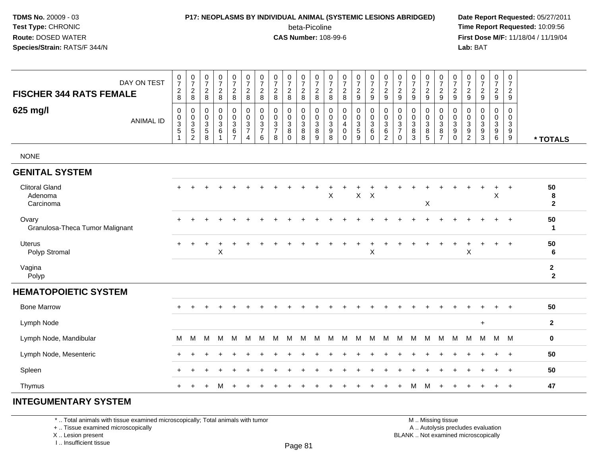## **P17: NEOPLASMS BY INDIVIDUAL ANIMAL (SYSTEMIC LESIONS ABRIDGED) Date Report Requested:** 05/27/2011

beta-Picoline<br>CAS Number: 108-99-6

 **Time Report Requested:** 10:09:56 **First Dose M/F:** 11/18/04 / 11/19/04 Lab: BAT **Lab:** BAT

|                                               |                                                                           |                                              |                                                              |                                                                                |                                                                 |                                              |                                      |                                             |                                                     |                                          |                                                                       |                                                   |                                                   |                                 |                                                                      |                                                     |                                                                  |                                                        |                                    |                                                                   |                                                                  |                                    |                                              |                                                      | 0                                                 |                                |
|-----------------------------------------------|---------------------------------------------------------------------------|----------------------------------------------|--------------------------------------------------------------|--------------------------------------------------------------------------------|-----------------------------------------------------------------|----------------------------------------------|--------------------------------------|---------------------------------------------|-----------------------------------------------------|------------------------------------------|-----------------------------------------------------------------------|---------------------------------------------------|---------------------------------------------------|---------------------------------|----------------------------------------------------------------------|-----------------------------------------------------|------------------------------------------------------------------|--------------------------------------------------------|------------------------------------|-------------------------------------------------------------------|------------------------------------------------------------------|------------------------------------|----------------------------------------------|------------------------------------------------------|---------------------------------------------------|--------------------------------|
| DAY ON TEST<br><b>FISCHER 344 RATS FEMALE</b> | $\frac{0}{7}$<br>$_{8}^2$                                                 | $\frac{0}{7}$<br>$_{\rm 2}^2$                | $\begin{smallmatrix}0\\7\end{smallmatrix}$<br>$\overline{2}$ | $\frac{0}{7}$<br>$\sqrt{2}$                                                    | $\frac{0}{7}$<br>$\sqrt{2}$                                     | $\frac{0}{7}$<br>$\frac{2}{8}$               | $\frac{0}{7}$<br>$_{8}^{\rm 2}$      | $\frac{0}{7}$<br>$\overline{2}$             | $\frac{0}{7}$<br>$\frac{2}{8}$                      | $\frac{0}{7}$<br>$_{\rm 8}^2$            | $\frac{0}{7}$<br>$\sqrt{2}$                                           | $\frac{0}{7}$<br>$_{8}^2$                         | $\frac{0}{7}$<br>$\frac{2}{8}$                    | $\frac{0}{7}$<br>$\frac{2}{9}$  | $\frac{0}{7}$<br>$\frac{2}{9}$                                       | $\frac{0}{7}$<br>$\overline{2}$                     | $\frac{0}{7}$<br>$\sqrt{2}$                                      | $\frac{0}{7}$<br>$\sqrt{2}$                            | $\frac{0}{7}$<br>$\sqrt{2}$        | $\frac{0}{7}$<br>$\frac{2}{9}$                                    | $\frac{0}{7}$<br>$\sqrt{2}$                                      | $\frac{0}{7}$<br>$\overline{2}$    | $\frac{0}{7}$<br>$\frac{2}{9}$               | $\frac{0}{7}$<br>$\overline{c}$                      | $\overline{7}$<br>$\frac{2}{9}$                   |                                |
|                                               |                                                                           |                                              | 8                                                            | 8                                                                              | 8                                                               |                                              |                                      | $\bf 8$                                     |                                                     |                                          | 8                                                                     |                                                   |                                                   |                                 |                                                                      | 9                                                   | 9                                                                | 9                                                      | $\boldsymbol{9}$                   |                                                                   | 9                                                                | 9                                  |                                              | 9                                                    |                                                   |                                |
| 625 mg/l<br><b>ANIMAL ID</b>                  | $\pmb{0}$<br>$\begin{array}{c} 0 \\ 3 \\ 5 \end{array}$<br>$\overline{1}$ | $\pmb{0}$<br>$\frac{0}{3}$<br>$\overline{2}$ | $\mathbf 0$<br>0<br>$\overline{3}$<br>$\sqrt{5}$<br>$\, 8$   | $\pmb{0}$<br>$\mathbf 0$<br>$\overline{3}$<br>$\,6$<br>$\overline{\mathbf{1}}$ | 0<br>$\mathbf 0$<br>$\overline{3}$<br>$\,6\,$<br>$\overline{7}$ | $\pmb{0}$<br>$\frac{0}{3}$<br>$\overline{4}$ | 0<br>$\pmb{0}$<br>$\frac{3}{7}$<br>6 | 0<br>0<br>$\sqrt{3}$<br>$\overline{7}$<br>8 | $\mathbf 0$<br>0<br>$\overline{3}$<br>8<br>$\Omega$ | 0<br>0<br>$\overline{3}$<br>$\bf 8$<br>8 | $\mathbf 0$<br>$\mathbf 0$<br>$\overline{3}$<br>8<br>$\boldsymbol{9}$ | 0<br>0<br>$\overline{3}$<br>$\boldsymbol{9}$<br>8 | $\mathbf 0$<br>0<br>4<br>$\pmb{0}$<br>$\mathbf 0$ | $\pmb{0}$<br>$\frac{0}{3}$<br>9 | 0<br>$\mathsf{O}\xspace$<br>$\overline{3}$<br>$\,6\,$<br>$\mathbf 0$ | $\mathbf 0$<br>$\frac{0}{3}$<br>6<br>$\overline{c}$ | 0<br>$\mathbf 0$<br>$\overline{3}$<br>$\overline{7}$<br>$\Omega$ | $\mathbf 0$<br>$\mathbf 0$<br>$\overline{3}$<br>8<br>3 | 0<br>0<br>$\overline{3}$<br>8<br>5 | 0<br>$\begin{array}{c} 0 \\ 3 \\ 8 \end{array}$<br>$\overline{7}$ | $\mathbf 0$<br>$\mathbf 0$<br>$\overline{3}$<br>9<br>$\mathbf 0$ | 0<br>0<br>3<br>9<br>$\overline{c}$ | $\mathbf 0$<br>0<br>$\overline{3}$<br>9<br>3 | $\mathbf 0$<br>$\pmb{0}$<br>$\overline{3}$<br>9<br>6 | 0<br>0<br>$\mathfrak{S}$<br>$\boldsymbol{9}$<br>9 | * TOTALS                       |
| <b>NONE</b>                                   |                                                                           |                                              |                                                              |                                                                                |                                                                 |                                              |                                      |                                             |                                                     |                                          |                                                                       |                                                   |                                                   |                                 |                                                                      |                                                     |                                                                  |                                                        |                                    |                                                                   |                                                                  |                                    |                                              |                                                      |                                                   |                                |
| <b>GENITAL SYSTEM</b>                         |                                                                           |                                              |                                                              |                                                                                |                                                                 |                                              |                                      |                                             |                                                     |                                          |                                                                       |                                                   |                                                   |                                 |                                                                      |                                                     |                                                                  |                                                        |                                    |                                                                   |                                                                  |                                    |                                              |                                                      |                                                   |                                |
| <b>Clitoral Gland</b><br>Adenoma<br>Carcinoma | $+$                                                                       |                                              |                                                              |                                                                                |                                                                 |                                              |                                      |                                             |                                                     |                                          |                                                                       | X                                                 |                                                   | $\mathsf{X}$                    | $\boldsymbol{\mathsf{X}}$                                            |                                                     |                                                                  |                                                        | X                                  |                                                                   |                                                                  |                                    |                                              | $\ddot{}$<br>X                                       | $\ddot{}$                                         | 50<br>8<br>$\overline{2}$      |
| Ovary<br>Granulosa-Theca Tumor Malignant      |                                                                           |                                              |                                                              |                                                                                |                                                                 |                                              |                                      |                                             |                                                     |                                          |                                                                       |                                                   |                                                   |                                 |                                                                      |                                                     |                                                                  |                                                        |                                    |                                                                   |                                                                  |                                    |                                              |                                                      |                                                   | 50<br>$\mathbf{1}$             |
| <b>Uterus</b><br>Polyp Stromal                | $+$                                                                       | $\ddot{}$                                    | +                                                            | $\boldsymbol{\mathsf{X}}$                                                      |                                                                 |                                              |                                      |                                             |                                                     |                                          |                                                                       |                                                   |                                                   |                                 | $\ddot{}$<br>$\sf X$                                                 |                                                     |                                                                  |                                                        |                                    |                                                                   | $\ddot{}$                                                        | ÷<br>X                             |                                              | $\ddot{}$                                            | $+$                                               | 50<br>6                        |
| Vagina<br>Polyp                               |                                                                           |                                              |                                                              |                                                                                |                                                                 |                                              |                                      |                                             |                                                     |                                          |                                                                       |                                                   |                                                   |                                 |                                                                      |                                                     |                                                                  |                                                        |                                    |                                                                   |                                                                  |                                    |                                              |                                                      |                                                   | $\mathbf{2}$<br>$\overline{2}$ |
| <b>HEMATOPOIETIC SYSTEM</b>                   |                                                                           |                                              |                                                              |                                                                                |                                                                 |                                              |                                      |                                             |                                                     |                                          |                                                                       |                                                   |                                                   |                                 |                                                                      |                                                     |                                                                  |                                                        |                                    |                                                                   |                                                                  |                                    |                                              |                                                      |                                                   |                                |
| <b>Bone Marrow</b>                            |                                                                           |                                              |                                                              |                                                                                |                                                                 |                                              |                                      |                                             |                                                     |                                          |                                                                       |                                                   |                                                   |                                 |                                                                      |                                                     |                                                                  |                                                        |                                    |                                                                   |                                                                  |                                    |                                              |                                                      |                                                   | 50                             |
| Lymph Node                                    |                                                                           |                                              |                                                              |                                                                                |                                                                 |                                              |                                      |                                             |                                                     |                                          |                                                                       |                                                   |                                                   |                                 |                                                                      |                                                     |                                                                  |                                                        |                                    |                                                                   |                                                                  |                                    | $\ddot{}$                                    |                                                      |                                                   | $\mathbf{2}$                   |
| Lymph Node, Mandibular                        | M                                                                         | M                                            | м                                                            | м                                                                              | м                                                               | м                                            | м                                    | м                                           | м                                                   | м                                        | M                                                                     | м                                                 | м                                                 | M                               | м                                                                    | М                                                   | M                                                                | м                                                      | м                                  | M                                                                 | M                                                                | М                                  | М                                            | M                                                    | – M                                               | $\mathbf 0$                    |
| Lymph Node, Mesenteric                        |                                                                           |                                              |                                                              |                                                                                |                                                                 |                                              |                                      |                                             |                                                     |                                          |                                                                       |                                                   |                                                   |                                 |                                                                      |                                                     |                                                                  |                                                        |                                    |                                                                   |                                                                  |                                    |                                              | $\ddot{}$                                            | $+$                                               | 50                             |
| Spleen                                        |                                                                           |                                              |                                                              |                                                                                |                                                                 |                                              |                                      |                                             |                                                     |                                          |                                                                       |                                                   |                                                   |                                 |                                                                      |                                                     |                                                                  |                                                        |                                    |                                                                   |                                                                  |                                    |                                              | $\ddot{}$                                            | $+$                                               | 50                             |
| Thymus                                        |                                                                           |                                              |                                                              | м                                                                              |                                                                 |                                              |                                      |                                             |                                                     |                                          |                                                                       |                                                   |                                                   |                                 |                                                                      |                                                     |                                                                  | м                                                      | м                                  |                                                                   |                                                                  |                                    |                                              | $\div$                                               | $\ddot{}$                                         | 47                             |
| $F = 2H + 1H + 1H + 1H + 2H + 3H + 4H$        |                                                                           |                                              |                                                              |                                                                                |                                                                 |                                              |                                      |                                             |                                                     |                                          |                                                                       |                                                   |                                                   |                                 |                                                                      |                                                     |                                                                  |                                                        |                                    |                                                                   |                                                                  |                                    |                                              |                                                      |                                                   |                                |

#### **INTEGUMENTARY SYSTEM**

\* .. Total animals with tissue examined microscopically; Total animals with tumor

+ .. Tissue examined microscopically

 Lesion present BLANK .. Not examined microscopicallyX .. Lesion present

I .. Insufficient tissue

 M .. Missing tissuey the contract of the contract of the contract of the contract of the contract of  $\mathsf A$  . Autolysis precludes evaluation

Page 81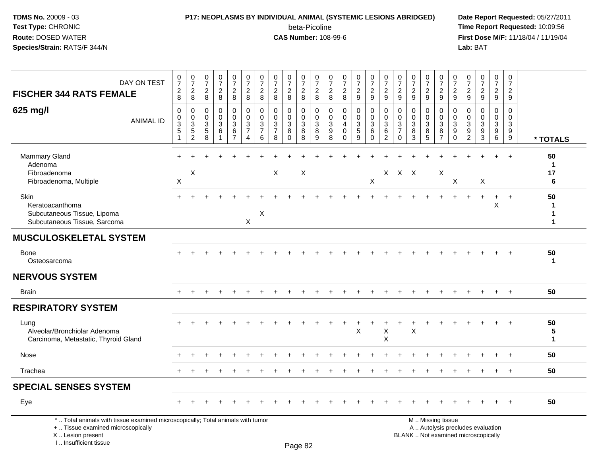### **P17: NEOPLASMS BY INDIVIDUAL ANIMAL (SYSTEMIC LESIONS ABRIDGED) Date Report Requested:** 05/27/2011 beta-Picoline<br>CAS Number: 108-99-6

 **Time Report Requested:** 10:09:56 **First Dose M/F:** 11/18/04 / 11/19/04<br>**Lab:** BAT **Lab:** BAT

| <b>FISCHER 344 RATS FEMALE</b>                                                                                                                                      | DAY ON TEST      | $\frac{0}{7}$<br>$\frac{2}{8}$                  | $\frac{0}{7}$<br>$\overline{c}$<br>8                                       | $\begin{array}{c} 0 \\ 7 \end{array}$<br>$\sqrt{2}$<br>8      | $\frac{0}{7}$<br>$\boldsymbol{2}$<br>8                             | $\frac{0}{7}$<br>$\overline{\mathbf{c}}$<br>8              | $\frac{0}{7}$<br>$\sqrt{2}$<br>8                                                     | 0<br>$\overline{7}$<br>$\sqrt{2}$<br>8                  | 0<br>$\overline{7}$<br>$\sqrt{2}$<br>8                           | $\pmb{0}$<br>$\overline{7}$<br>$\overline{2}$<br>8                    | $\frac{0}{7}$<br>$\frac{2}{8}$                     | $\frac{0}{7}$<br>$\sqrt{2}$<br>8                      | 0<br>$\overline{7}$<br>$\overline{c}$<br>8        | $\frac{0}{7}$<br>$\boldsymbol{2}$<br>8                     | $\frac{0}{7}$<br>$\overline{c}$<br>9                 | $\frac{0}{7}$<br>$\sqrt{2}$<br>9       | $\frac{0}{7}$<br>$\sqrt{2}$<br>9                                      | $\pmb{0}$<br>$\overline{7}$<br>$\sqrt{2}$<br>9                        | $\pmb{0}$<br>$\overline{7}$<br>$\overline{2}$<br>9  | 0<br>$\overline{7}$<br>$\overline{c}$<br>9 | $\begin{smallmatrix}0\\7\end{smallmatrix}$<br>$\frac{2}{9}$            | $\begin{array}{c} 0 \\ 7 \end{array}$<br>$\boldsymbol{2}$<br>9                           | 0<br>$\overline{7}$<br>$\overline{c}$<br>9 | $\frac{0}{7}$<br>$\sqrt{2}$<br>9                                         | 0<br>$\overline{7}$<br>$\overline{2}$<br>9        | $\pmb{0}$<br>$\overline{7}$<br>$\overline{c}$<br>9               |                                 |
|---------------------------------------------------------------------------------------------------------------------------------------------------------------------|------------------|-------------------------------------------------|----------------------------------------------------------------------------|---------------------------------------------------------------|--------------------------------------------------------------------|------------------------------------------------------------|--------------------------------------------------------------------------------------|---------------------------------------------------------|------------------------------------------------------------------|-----------------------------------------------------------------------|----------------------------------------------------|-------------------------------------------------------|---------------------------------------------------|------------------------------------------------------------|------------------------------------------------------|----------------------------------------|-----------------------------------------------------------------------|-----------------------------------------------------------------------|-----------------------------------------------------|--------------------------------------------|------------------------------------------------------------------------|------------------------------------------------------------------------------------------|--------------------------------------------|--------------------------------------------------------------------------|---------------------------------------------------|------------------------------------------------------------------|---------------------------------|
| 625 mg/l                                                                                                                                                            | <b>ANIMAL ID</b> | $\Omega$<br>0<br>$\ensuremath{\mathsf{3}}$<br>5 | $\mathbf 0$<br>$\pmb{0}$<br>$\overline{3}$<br>$\sqrt{5}$<br>$\overline{2}$ | $\Omega$<br>0<br>$\ensuremath{\mathsf{3}}$<br>$\sqrt{5}$<br>8 | $\mathbf 0$<br>$\mathbf 0$<br>$\ensuremath{\mathsf{3}}$<br>$\,6\,$ | 0<br>$\pmb{0}$<br>$\mathbf 3$<br>$\,6\,$<br>$\overline{7}$ | $\mathbf 0$<br>$\mathbf 0$<br>$\sqrt{3}$<br>$\overline{7}$<br>$\boldsymbol{\Lambda}$ | $\mathbf{0}$<br>$\mathbf 0$<br>3<br>$\overline{7}$<br>6 | $\mathbf{0}$<br>$\mathbf 0$<br>$\sqrt{3}$<br>$\overline{7}$<br>8 | $\Omega$<br>$\mathbf 0$<br>$\ensuremath{\mathsf{3}}$<br>8<br>$\Omega$ | $\mathbf 0$<br>$\mathbf 0$<br>$\sqrt{3}$<br>8<br>8 | $\mathbf{0}$<br>$\mathbf 0$<br>$\mathbf{3}$<br>8<br>9 | $\Omega$<br>$\mathbf 0$<br>$\mathbf{3}$<br>9<br>8 | $\mathbf 0$<br>$\mathbf 0$<br>4<br>$\mathbf 0$<br>$\Omega$ | $\mathbf 0$<br>$\mathsf 0$<br>$\mathbf{3}$<br>5<br>9 | 0<br>$\mathbf 0$<br>3<br>6<br>$\Omega$ | $\mathbf 0$<br>$\pmb{0}$<br>$\mathbf{3}$<br>$\,6\,$<br>$\overline{2}$ | $\Omega$<br>$\mathbf 0$<br>$\mathbf{3}$<br>$\overline{7}$<br>$\Omega$ | $\mathbf{0}$<br>$\mathbf 0$<br>$\sqrt{3}$<br>8<br>3 | $\Omega$<br>$\mathbf 0$<br>3<br>8<br>5     | 0<br>$\mathsf{O}\xspace$<br>$\overline{3}$<br>$\, 8$<br>$\overline{7}$ | $\mathbf{0}$<br>$\mathbf 0$<br>$\ensuremath{\mathsf{3}}$<br>$\boldsymbol{9}$<br>$\Omega$ | $\Omega$<br>$\mathbf 0$<br>3<br>9<br>2     | $\Omega$<br>$\Omega$<br>3<br>9<br>3                                      | $\Omega$<br>$\mathbf 0$<br>$\mathbf{3}$<br>9<br>6 | $\Omega$<br>$\mathbf 0$<br>$\sqrt{3}$<br>$9\,$<br>$\overline{9}$ | * TOTALS                        |
| <b>Mammary Gland</b><br>Adenoma<br>Fibroadenoma<br>Fibroadenoma, Multiple                                                                                           |                  | $\boldsymbol{\mathsf{X}}$                       | X                                                                          |                                                               |                                                                    |                                                            |                                                                                      |                                                         | $\sf X$                                                          |                                                                       | X                                                  |                                                       |                                                   |                                                            |                                                      | X                                      |                                                                       | X X X                                                                 |                                                     |                                            | $\boldsymbol{\mathsf{X}}$                                              | X                                                                                        |                                            | X                                                                        |                                                   |                                                                  | 50<br>$\mathbf 1$<br>17<br>6    |
| Skin<br>Keratoacanthoma<br>Subcutaneous Tissue, Lipoma<br>Subcutaneous Tissue, Sarcoma                                                                              |                  |                                                 |                                                                            |                                                               |                                                                    |                                                            | X                                                                                    | X                                                       |                                                                  |                                                                       |                                                    |                                                       |                                                   |                                                            |                                                      |                                        |                                                                       |                                                                       |                                                     |                                            |                                                                        |                                                                                          |                                            | $+$                                                                      | $\ddot{}$<br>X                                    | $+$                                                              | 50<br>-1<br>1<br>1              |
| <b>MUSCULOSKELETAL SYSTEM</b>                                                                                                                                       |                  |                                                 |                                                                            |                                                               |                                                                    |                                                            |                                                                                      |                                                         |                                                                  |                                                                       |                                                    |                                                       |                                                   |                                                            |                                                      |                                        |                                                                       |                                                                       |                                                     |                                            |                                                                        |                                                                                          |                                            |                                                                          |                                                   |                                                                  |                                 |
| <b>Bone</b><br>Osteosarcoma                                                                                                                                         |                  |                                                 |                                                                            |                                                               |                                                                    |                                                            |                                                                                      |                                                         |                                                                  |                                                                       |                                                    |                                                       |                                                   |                                                            |                                                      |                                        |                                                                       |                                                                       |                                                     |                                            |                                                                        |                                                                                          |                                            |                                                                          |                                                   |                                                                  | 50<br>$\mathbf{1}$              |
| <b>NERVOUS SYSTEM</b>                                                                                                                                               |                  |                                                 |                                                                            |                                                               |                                                                    |                                                            |                                                                                      |                                                         |                                                                  |                                                                       |                                                    |                                                       |                                                   |                                                            |                                                      |                                        |                                                                       |                                                                       |                                                     |                                            |                                                                        |                                                                                          |                                            |                                                                          |                                                   |                                                                  |                                 |
| <b>Brain</b>                                                                                                                                                        |                  |                                                 |                                                                            |                                                               |                                                                    |                                                            |                                                                                      |                                                         |                                                                  |                                                                       |                                                    |                                                       |                                                   |                                                            |                                                      |                                        |                                                                       |                                                                       |                                                     |                                            |                                                                        |                                                                                          |                                            |                                                                          |                                                   |                                                                  | 50                              |
| <b>RESPIRATORY SYSTEM</b>                                                                                                                                           |                  |                                                 |                                                                            |                                                               |                                                                    |                                                            |                                                                                      |                                                         |                                                                  |                                                                       |                                                    |                                                       |                                                   |                                                            |                                                      |                                        |                                                                       |                                                                       |                                                     |                                            |                                                                        |                                                                                          |                                            |                                                                          |                                                   |                                                                  |                                 |
| Lung<br>Alveolar/Bronchiolar Adenoma<br>Carcinoma, Metastatic, Thyroid Gland                                                                                        |                  |                                                 |                                                                            |                                                               |                                                                    |                                                            |                                                                                      |                                                         |                                                                  |                                                                       |                                                    |                                                       |                                                   |                                                            | $\sf X$                                              |                                        | $\mathsf X$<br>X                                                      |                                                                       | X                                                   |                                            |                                                                        |                                                                                          |                                            |                                                                          |                                                   |                                                                  | 50<br>5<br>$\blacktriangleleft$ |
| Nose                                                                                                                                                                |                  |                                                 |                                                                            |                                                               |                                                                    |                                                            |                                                                                      |                                                         |                                                                  |                                                                       |                                                    |                                                       |                                                   |                                                            |                                                      |                                        |                                                                       |                                                                       |                                                     |                                            |                                                                        |                                                                                          |                                            |                                                                          |                                                   |                                                                  | 50                              |
| Trachea                                                                                                                                                             |                  |                                                 |                                                                            |                                                               |                                                                    |                                                            |                                                                                      |                                                         |                                                                  |                                                                       |                                                    |                                                       |                                                   |                                                            |                                                      |                                        |                                                                       |                                                                       |                                                     |                                            |                                                                        |                                                                                          |                                            |                                                                          |                                                   | $\ddot{}$                                                        | 50                              |
| <b>SPECIAL SENSES SYSTEM</b>                                                                                                                                        |                  |                                                 |                                                                            |                                                               |                                                                    |                                                            |                                                                                      |                                                         |                                                                  |                                                                       |                                                    |                                                       |                                                   |                                                            |                                                      |                                        |                                                                       |                                                                       |                                                     |                                            |                                                                        |                                                                                          |                                            |                                                                          |                                                   |                                                                  |                                 |
| Eye                                                                                                                                                                 |                  |                                                 |                                                                            |                                                               |                                                                    |                                                            |                                                                                      |                                                         |                                                                  |                                                                       |                                                    |                                                       |                                                   |                                                            |                                                      |                                        |                                                                       |                                                                       |                                                     |                                            |                                                                        |                                                                                          |                                            |                                                                          |                                                   |                                                                  | 50                              |
| *  Total animals with tissue examined microscopically; Total animals with tumor<br>+  Tissue examined microscopically<br>X  Lesion present<br>I Insufficient tissue |                  |                                                 |                                                                            |                                                               |                                                                    |                                                            |                                                                                      |                                                         |                                                                  |                                                                       | D <sub>200</sub> 92                                |                                                       |                                                   |                                                            |                                                      |                                        |                                                                       |                                                                       |                                                     |                                            | M  Missing tissue                                                      |                                                                                          |                                            | A  Autolysis precludes evaluation<br>BLANK  Not examined microscopically |                                                   |                                                                  |                                 |